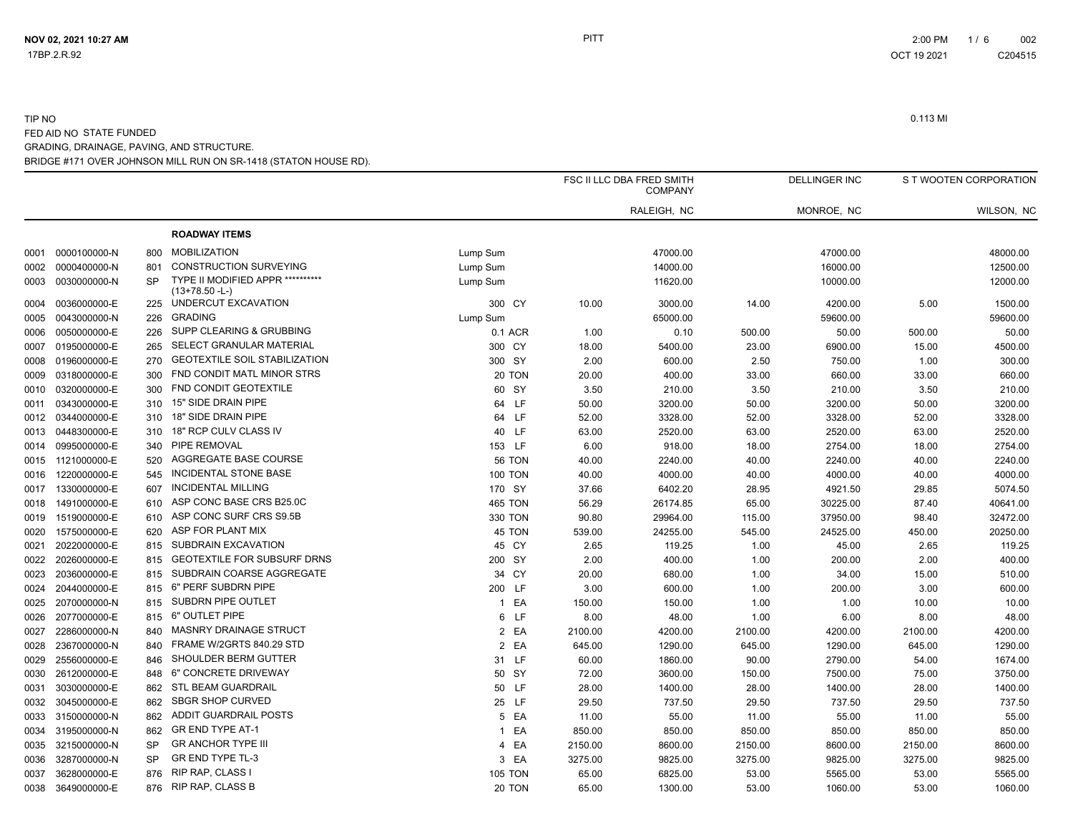TIP NO

# 0.113 MI FED AID NO STATE FUNDED

# BRIDGE #171 OVER JOHNSON MILL RUN ON SR-1418 (STATON HOUSE RD). GRADING, DRAINAGE, PAVING, AND STRUCTURE.

|      |                   |           |                                                      |                |         | FSC II LLC DBA FRED SMITH<br><b>COMPANY</b> |         | <b>DELLINGER INC</b> |         | S T WOOTEN CORPORATION |
|------|-------------------|-----------|------------------------------------------------------|----------------|---------|---------------------------------------------|---------|----------------------|---------|------------------------|
|      |                   |           |                                                      |                |         | RALEIGH, NC                                 |         | MONROE, NC           |         | WILSON, NC             |
|      |                   |           | <b>ROADWAY ITEMS</b>                                 |                |         |                                             |         |                      |         |                        |
|      | 0001 0000100000-N | 800       | <b>MOBILIZATION</b>                                  | Lump Sum       |         | 47000.00                                    |         | 47000.00             |         | 48000.00               |
| 0002 | 0000400000-N      | 801       | <b>CONSTRUCTION SURVEYING</b>                        | Lump Sum       |         | 14000.00                                    |         | 16000.00             |         | 12500.00               |
|      | 0003 0030000000-N | <b>SP</b> | TYPE II MODIFIED APPR **********<br>$(13+78.50 - L)$ | Lump Sum       |         | 11620.00                                    |         | 10000.00             |         | 12000.00               |
|      | 0004 0036000000-E | 225       | UNDERCUT EXCAVATION                                  | 300 CY         | 10.00   | 3000.00                                     | 14.00   | 4200.00              | 5.00    | 1500.00                |
| 0005 | 0043000000-N      | 226       | <b>GRADING</b>                                       | Lump Sum       |         | 65000.00                                    |         | 59600.00             |         | 59600.00               |
|      | 0006 0050000000-E | 226       | SUPP CLEARING & GRUBBING                             | 0.1 ACR        | 1.00    | 0.10                                        | 500.00  | 50.00                | 500.00  | 50.00                  |
|      | 0007 0195000000-E | 265       | SELECT GRANULAR MATERIAL                             | 300 CY         | 18.00   | 5400.00                                     | 23.00   | 6900.00              | 15.00   | 4500.00                |
|      | 0008 0196000000-E | 270       | <b>GEOTEXTILE SOIL STABILIZATION</b>                 | 300 SY         | 2.00    | 600.00                                      | 2.50    | 750.00               | 1.00    | 300.00                 |
|      | 0009 0318000000-E | 300       | FND CONDIT MATL MINOR STRS                           | 20 TON         | 20.00   | 400.00                                      | 33.00   | 660.00               | 33.00   | 660.00                 |
|      | 0010 0320000000-E | 300       | <b>FND CONDIT GEOTEXTILE</b>                         | 60 SY          | 3.50    | 210.00                                      | 3.50    | 210.00               | 3.50    | 210.00                 |
| 0011 | 0343000000-E      | 310       | 15" SIDE DRAIN PIPE                                  | 64 LF          | 50.00   | 3200.00                                     | 50.00   | 3200.00              | 50.00   | 3200.00                |
|      | 0012 0344000000-E | 310       | 18" SIDE DRAIN PIPE                                  | 64 LF          | 52.00   | 3328.00                                     | 52.00   | 3328.00              | 52.00   | 3328.00                |
|      | 0013 0448300000-E | 310       | 18" RCP CULV CLASS IV                                | 40 LF          | 63.00   | 2520.00                                     | 63.00   | 2520.00              | 63.00   | 2520.00                |
|      | 0014 0995000000-E | 340       | PIPE REMOVAL                                         | 153 LF         | 6.00    | 918.00                                      | 18.00   | 2754.00              | 18.00   | 2754.00                |
|      | 0015 1121000000-E | 520       | AGGREGATE BASE COURSE                                | <b>56 TON</b>  | 40.00   | 2240.00                                     | 40.00   | 2240.00              | 40.00   | 2240.00                |
|      | 0016 1220000000-E | 545       | <b>INCIDENTAL STONE BASE</b>                         | <b>100 TON</b> | 40.00   | 4000.00                                     | 40.00   | 4000.00              | 40.00   | 4000.00                |
|      | 0017 1330000000-E | 607       | <b>INCIDENTAL MILLING</b>                            | 170 SY         | 37.66   | 6402.20                                     | 28.95   | 4921.50              | 29.85   | 5074.50                |
| 0018 | 1491000000-E      | 610       | ASP CONC BASE CRS B25.0C                             | <b>465 TON</b> | 56.29   | 26174.85                                    | 65.00   | 30225.00             | 87.40   | 40641.00               |
|      | 0019 1519000000-E | 610       | ASP CONC SURF CRS S9.5B                              | 330 TON        | 90.80   | 29964.00                                    | 115.00  | 37950.00             | 98.40   | 32472.00               |
|      | 0020 1575000000-E | 620       | ASP FOR PLANT MIX                                    | 45 TON         | 539.00  | 24255.00                                    | 545.00  | 24525.00             | 450.00  | 20250.00               |
| 0021 | 2022000000-E      | 815       | SUBDRAIN EXCAVATION                                  | 45 CY          | 2.65    | 119.25                                      | 1.00    | 45.00                | 2.65    | 119.25                 |
| 0022 | 2026000000-E      | 815       | <b>GEOTEXTILE FOR SUBSURF DRNS</b>                   | 200 SY         | 2.00    | 400.00                                      | 1.00    | 200.00               | 2.00    | 400.00                 |
|      | 0023 2036000000-E | 815       | SUBDRAIN COARSE AGGREGATE                            | 34 CY          | 20.00   | 680.00                                      | 1.00    | 34.00                | 15.00   | 510.00                 |
|      | 0024 2044000000-E | 815       | 6" PERF SUBDRN PIPE                                  | 200 LF         | 3.00    | 600.00                                      | 1.00    | 200.00               | 3.00    | 600.00                 |
| 0025 | 2070000000-N      | 815       | SUBDRN PIPE OUTLET                                   | 1 EA           | 150.00  | 150.00                                      | 1.00    | 1.00                 | 10.00   | 10.00                  |
|      | 0026 2077000000-E | 815       | 6" OUTLET PIPE                                       | 6 LF           | 8.00    | 48.00                                       | 1.00    | 6.00                 | 8.00    | 48.00                  |
|      | 0027 2286000000-N | 840       | MASNRY DRAINAGE STRUCT                               | 2 EA           | 2100.00 | 4200.00                                     | 2100.00 | 4200.00              | 2100.00 | 4200.00                |
| 0028 | 2367000000-N      | 840       | FRAME W/2GRTS 840.29 STD                             | 2 EA           | 645.00  | 1290.00                                     | 645.00  | 1290.00              | 645.00  | 1290.00                |
| 0029 | 2556000000-E      | 846       | SHOULDER BERM GUTTER                                 | 31 LF          | 60.00   | 1860.00                                     | 90.00   | 2790.00              | 54.00   | 1674.00                |
| 0030 | 2612000000-E      | 848       | 6" CONCRETE DRIVEWAY                                 | 50 SY          | 72.00   | 3600.00                                     | 150.00  | 7500.00              | 75.00   | 3750.00                |
| 0031 | 3030000000-E      | 862       | STL BEAM GUARDRAIL                                   | 50 LF          | 28.00   | 1400.00                                     | 28.00   | 1400.00              | 28.00   | 1400.00                |
| 0032 | 3045000000-E      | 862       | <b>SBGR SHOP CURVED</b>                              | 25 LF          | 29.50   | 737.50                                      | 29.50   | 737.50               | 29.50   | 737.50                 |
|      | 0033 3150000000-N | 862       | <b>ADDIT GUARDRAIL POSTS</b>                         | 5 EA           | 11.00   | 55.00                                       | 11.00   | 55.00                | 11.00   | 55.00                  |
|      | 0034 3195000000-N | 862       | <b>GR END TYPE AT-1</b>                              | 1 EA           | 850.00  | 850.00                                      | 850.00  | 850.00               | 850.00  | 850.00                 |
| 0035 | 3215000000-N      | <b>SP</b> | <b>GR ANCHOR TYPE III</b>                            | 4 EA           | 2150.00 | 8600.00                                     | 2150.00 | 8600.00              | 2150.00 | 8600.00                |
| 0036 | 3287000000-N      | <b>SP</b> | <b>GR END TYPE TL-3</b>                              | 3 EA           | 3275.00 | 9825.00                                     | 3275.00 | 9825.00              | 3275.00 | 9825.00                |
| 0037 | 3628000000-E      | 876       | <b>RIP RAP, CLASS I</b>                              | <b>105 TON</b> | 65.00   | 6825.00                                     | 53.00   | 5565.00              | 53.00   | 5565.00                |
| 0038 | 3649000000-E      | 876       | <b>RIP RAP, CLASS B</b>                              | 20 TON         | 65.00   | 1300.00                                     | 53.00   | 1060.00              | 53.00   | 1060.00                |
|      |                   |           |                                                      |                |         |                                             |         |                      |         |                        |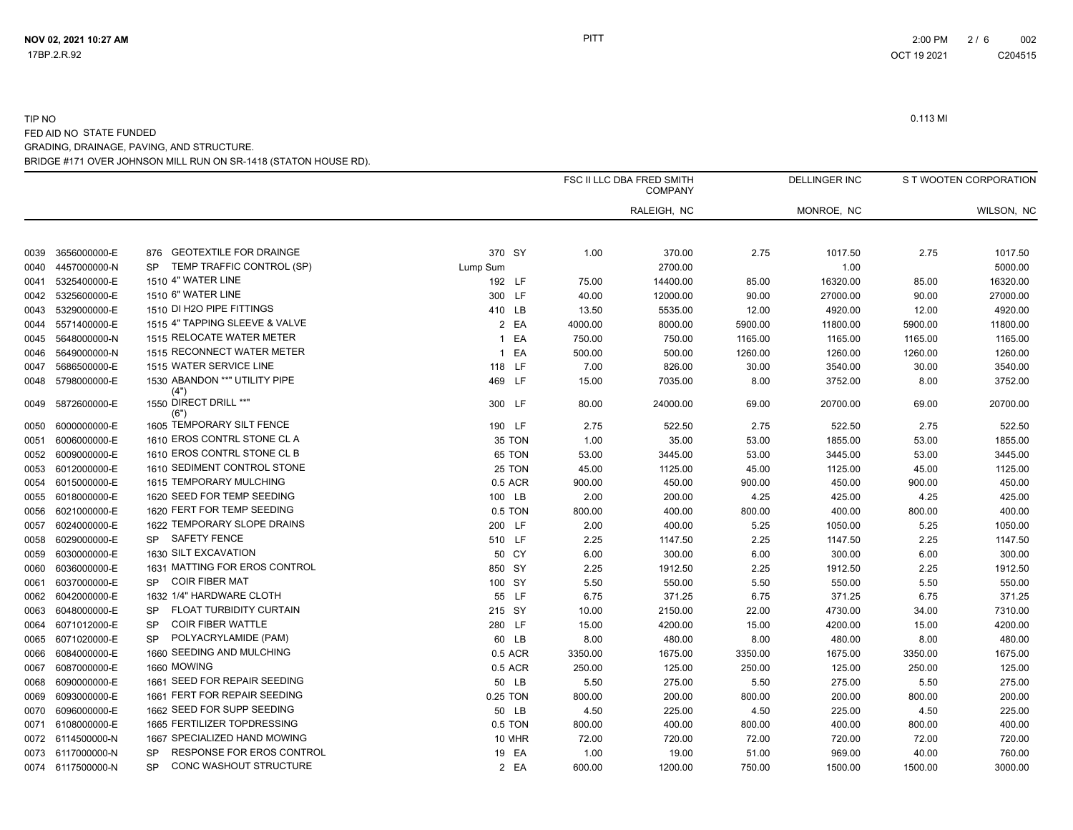|      |                   |                                        |                    |         | FSC II LLC DBA FRED SMITH<br><b>COMPANY</b> |         | <b>DELLINGER INC</b> |         | S T WOOTEN CORPORATION |  |
|------|-------------------|----------------------------------------|--------------------|---------|---------------------------------------------|---------|----------------------|---------|------------------------|--|
|      |                   |                                        |                    |         | RALEIGH, NC                                 |         | MONROE, NC           |         | WILSON, NC             |  |
| 0039 | 3656000000-E      | <b>GEOTEXTILE FOR DRAINGE</b><br>876   | 370 SY             | 1.00    | 370.00                                      | 2.75    | 1017.50              | 2.75    | 1017.50                |  |
| 0040 | 4457000000-N      | TEMP TRAFFIC CONTROL (SP)<br><b>SP</b> | Lump Sum           |         | 2700.00                                     |         | 1.00                 |         | 5000.00                |  |
| 0041 | 5325400000-E      | 1510 4" WATER LINE                     | 192 LF             | 75.00   | 14400.00                                    | 85.00   | 16320.00             | 85.00   | 16320.00               |  |
| 0042 | 5325600000-E      | 1510 6" WATER LINE                     | 300 LF             | 40.00   | 12000.00                                    | 90.00   | 27000.00             | 90.00   | 27000.00               |  |
| 0043 | 5329000000-E      | 1510 DI H2O PIPE FITTINGS              | 410 LB             | 13.50   | 5535.00                                     | 12.00   | 4920.00              | 12.00   | 4920.00                |  |
| 0044 | 5571400000-E      | 1515 4" TAPPING SLEEVE & VALVE         | 2 EA               | 4000.00 | 8000.00                                     | 5900.00 | 11800.00             | 5900.00 | 11800.00               |  |
| 0045 | 5648000000-N      | 1515 RELOCATE WATER METER              | EA<br>$\mathbf{1}$ | 750.00  | 750.00                                      | 1165.00 | 1165.00              | 1165.00 | 1165.00                |  |
| 0046 | 5649000000-N      | 1515 RECONNECT WATER METER             | 1 EA               | 500.00  | 500.00                                      | 1260.00 | 1260.00              | 1260.00 | 1260.00                |  |
| 0047 | 5686500000-E      | 1515 WATER SERVICE LINE                | 118 LF             | 7.00    | 826.00                                      | 30.00   | 3540.00              | 30.00   | 3540.00                |  |
| 0048 | 5798000000-E      | 1530 ABANDON ** "UTILITY PIPE<br>(4")  | 469 LF             | 15.00   | 7035.00                                     | 8.00    | 3752.00              | 8.00    | 3752.00                |  |
| 0049 | 5872600000-E      | 1550 DIRECT DRILL **"<br>(6")          | 300 LF             | 80.00   | 24000.00                                    | 69.00   | 20700.00             | 69.00   | 20700.00               |  |
| 0050 | 6000000000-E      | 1605 TEMPORARY SILT FENCE              | 190 LF             | 2.75    | 522.50                                      | 2.75    | 522.50               | 2.75    | 522.50                 |  |
| 0051 | 6006000000-E      | 1610 EROS CONTRL STONE CL A            | 35 TON             | 1.00    | 35.00                                       | 53.00   | 1855.00              | 53.00   | 1855.00                |  |
| 0052 | 6009000000-E      | 1610 EROS CONTRL STONE CL B            | 65 TON             | 53.00   | 3445.00                                     | 53.00   | 3445.00              | 53.00   | 3445.00                |  |
| 0053 | 6012000000-E      | 1610 SEDIMENT CONTROL STONE            | 25 TON             | 45.00   | 1125.00                                     | 45.00   | 1125.00              | 45.00   | 1125.00                |  |
| 0054 | 6015000000-E      | 1615 TEMPORARY MULCHING                | 0.5 ACR            | 900.00  | 450.00                                      | 900.00  | 450.00               | 900.00  | 450.00                 |  |
|      | 0055 6018000000-E | 1620 SEED FOR TEMP SEEDING             | 100 LB             | 2.00    | 200.00                                      | 4.25    | 425.00               | 4.25    | 425.00                 |  |
| 0056 | 6021000000-E      | 1620 FERT FOR TEMP SEEDING             | 0.5 TON            | 800.00  | 400.00                                      | 800.00  | 400.00               | 800.00  | 400.00                 |  |
| 0057 | 6024000000-E      | 1622 TEMPORARY SLOPE DRAINS            | 200 LF             | 2.00    | 400.00                                      | 5.25    | 1050.00              | 5.25    | 1050.00                |  |
| 0058 | 6029000000-E      | <b>SAFETY FENCE</b><br><b>SP</b>       | 510 LF             | 2.25    | 1147.50                                     | 2.25    | 1147.50              | 2.25    | 1147.50                |  |
| 0059 | 6030000000-E      | 1630 SILT EXCAVATION                   | 50 CY              | 6.00    | 300.00                                      | 6.00    | 300.00               | 6.00    | 300.00                 |  |
| 0060 | 6036000000-E      | 1631 MATTING FOR EROS CONTROL          | 850 SY             | 2.25    | 1912.50                                     | 2.25    | 1912.50              | 2.25    | 1912.50                |  |
| 0061 | 6037000000-E      | <b>COIR FIBER MAT</b><br><b>SP</b>     | 100 SY             | 5.50    | 550.00                                      | 5.50    | 550.00               | 5.50    | 550.00                 |  |
| 0062 | 6042000000-E      | 1632 1/4" HARDWARE CLOTH               | 55 LF              | 6.75    | 371.25                                      | 6.75    | 371.25               | 6.75    | 371.25                 |  |
| 0063 | 6048000000-E      | FLOAT TURBIDITY CURTAIN<br><b>SP</b>   | 215 SY             | 10.00   | 2150.00                                     | 22.00   | 4730.00              | 34.00   | 7310.00                |  |
| 0064 | 6071012000-E      | <b>COIR FIBER WATTLE</b><br><b>SP</b>  | 280 LF             | 15.00   | 4200.00                                     | 15.00   | 4200.00              | 15.00   | 4200.00                |  |
| 0065 | 6071020000-E      | POLYACRYLAMIDE (PAM)<br><b>SP</b>      | 60 LB              | 8.00    | 480.00                                      | 8.00    | 480.00               | 8.00    | 480.00                 |  |
| 0066 | 6084000000-E      | 1660 SEEDING AND MULCHING              | 0.5 ACR            | 3350.00 | 1675.00                                     | 3350.00 | 1675.00              | 3350.00 | 1675.00                |  |
| 0067 | 6087000000-E      | 1660 MOWING                            | 0.5 ACR            | 250.00  | 125.00                                      | 250.00  | 125.00               | 250.00  | 125.00                 |  |
| 0068 | 6090000000-E      | 1661 SEED FOR REPAIR SEEDING           | 50 LB              | 5.50    | 275.00                                      | 5.50    | 275.00               | 5.50    | 275.00                 |  |
| 0069 | 6093000000-E      | 1661 FERT FOR REPAIR SEEDING           | 0.25 TON           | 800.00  | 200.00                                      | 800.00  | 200.00               | 800.00  | 200.00                 |  |
| 0070 | 6096000000-E      | 1662 SEED FOR SUPP SEEDING             | 50 LB              | 4.50    | 225.00                                      | 4.50    | 225.00               | 4.50    | 225.00                 |  |
| 0071 | 6108000000-E      | 1665 FERTILIZER TOPDRESSING            | 0.5 TON            | 800.00  | 400.00                                      | 800.00  | 400.00               | 800.00  | 400.00                 |  |
|      | 0072 6114500000-N | 1667 SPECIALIZED HAND MOWING           | <b>10 MHR</b>      | 72.00   | 720.00                                      | 72.00   | 720.00               | 72.00   | 720.00                 |  |
|      | 0073 6117000000-N | RESPONSE FOR EROS CONTROL<br>SP        | 19 EA              | 1.00    | 19.00                                       | 51.00   | 969.00               | 40.00   | 760.00                 |  |
|      | 0074 6117500000-N | CONC WASHOUT STRUCTURE<br><b>SP</b>    | 2 EA               | 600.00  | 1200.00                                     | 750.00  | 1500.00              | 1500.00 | 3000.00                |  |
|      |                   |                                        |                    |         |                                             |         |                      |         |                        |  |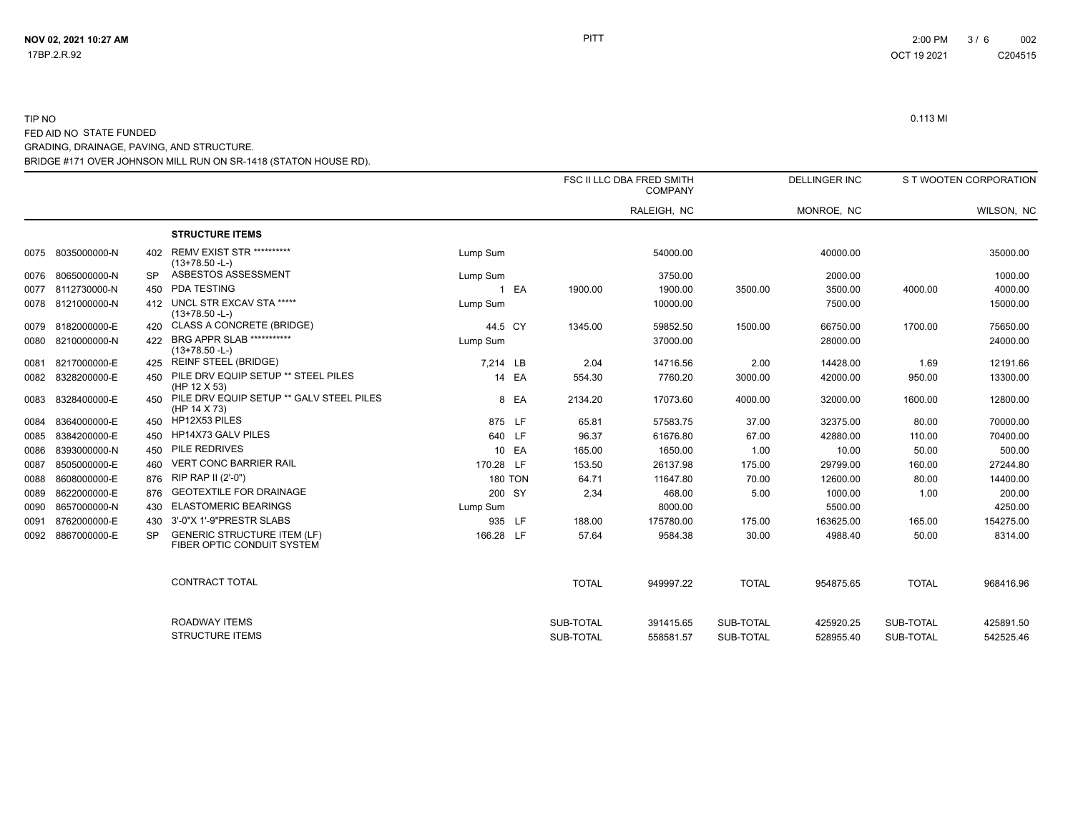|      |              |           |                                                                  |           |                |              | FSC II LLC DBA FRED SMITH<br><b>COMPANY</b> |              | <b>DELLINGER INC</b> |              | S T WOOTEN CORPORATION |
|------|--------------|-----------|------------------------------------------------------------------|-----------|----------------|--------------|---------------------------------------------|--------------|----------------------|--------------|------------------------|
|      |              |           |                                                                  |           |                |              | RALEIGH, NC                                 |              | MONROE, NC           |              | WILSON, NC             |
|      |              |           | <b>STRUCTURE ITEMS</b>                                           |           |                |              |                                             |              |                      |              |                        |
| 0075 | 8035000000-N | 402       | <b>REMV EXIST STR **********</b><br>$(13+78.50 - L)$             | Lump Sum  |                |              | 54000.00                                    |              | 40000.00             |              | 35000.00               |
| 0076 | 8065000000-N | <b>SP</b> | ASBESTOS ASSESSMENT                                              | Lump Sum  |                |              | 3750.00                                     |              | 2000.00              |              | 1000.00                |
| 0077 | 8112730000-N | 450       | <b>PDA TESTING</b>                                               |           | 1 EA           | 1900.00      | 1900.00                                     | 3500.00      | 3500.00              | 4000.00      | 4000.00                |
| 0078 | 8121000000-N | 412       | UNCL STR EXCAV STA *****<br>$(13+78.50 - L)$                     | Lump Sum  |                |              | 10000.00                                    |              | 7500.00              |              | 15000.00               |
| 0079 | 8182000000-E | 420       | CLASS A CONCRETE (BRIDGE)                                        | 44.5 CY   |                | 1345.00      | 59852.50                                    | 1500.00      | 66750.00             | 1700.00      | 75650.00               |
| 0080 | 8210000000-N | 422       | BRG APPR SLAB ***********<br>$(13+78.50 - L)$                    | Lump Sum  |                |              | 37000.00                                    |              | 28000.00             |              | 24000.00               |
| 0081 | 8217000000-E | 425       | <b>REINF STEEL (BRIDGE)</b>                                      | 7.214 LB  |                | 2.04         | 14716.56                                    | 2.00         | 14428.00             | 1.69         | 12191.66               |
| 0082 | 8328200000-E | 450       | PILE DRV EQUIP SETUP ** STEEL PILES<br>(HP 12 X 53)              |           | 14 EA          | 554.30       | 7760.20                                     | 3000.00      | 42000.00             | 950.00       | 13300.00               |
| 0083 | 8328400000-E | 450       | PILE DRV EQUIP SETUP ** GALV STEEL PILES<br>(HP 14 X 73)         |           | 8 EA           | 2134.20      | 17073.60                                    | 4000.00      | 32000.00             | 1600.00      | 12800.00               |
| 0084 | 8364000000-E | 450       | HP12X53 PILES                                                    |           | 875 LF         | 65.81        | 57583.75                                    | 37.00        | 32375.00             | 80.00        | 70000.00               |
| 0085 | 8384200000-E | 450       | HP14X73 GALV PILES                                               |           | 640 LF         | 96.37        | 61676.80                                    | 67.00        | 42880.00             | 110.00       | 70400.00               |
| 0086 | 8393000000-N | 450       | PILE REDRIVES                                                    |           | 10 EA          | 165.00       | 1650.00                                     | 1.00         | 10.00                | 50.00        | 500.00                 |
| 0087 | 8505000000-E | 460       | <b>VERT CONC BARRIER RAIL</b>                                    | 170.28 LF |                | 153.50       | 26137.98                                    | 175.00       | 29799.00             | 160.00       | 27244.80               |
| 0088 | 8608000000-E | 876       | RIP RAP II (2'-0")                                               |           | <b>180 TON</b> | 64.71        | 11647.80                                    | 70.00        | 12600.00             | 80.00        | 14400.00               |
| 0089 | 8622000000-E | 876       | <b>GEOTEXTILE FOR DRAINAGE</b>                                   |           | 200 SY         | 2.34         | 468.00                                      | 5.00         | 1000.00              | 1.00         | 200.00                 |
| 0090 | 8657000000-N | 430       | <b>ELASTOMERIC BEARINGS</b>                                      | Lump Sum  |                |              | 8000.00                                     |              | 5500.00              |              | 4250.00                |
| 0091 | 8762000000-E | 430       | 3'-0"X 1'-9"PRESTR SLABS                                         |           | 935 LF         | 188.00       | 175780.00                                   | 175.00       | 163625.00            | 165.00       | 154275.00              |
| 0092 | 8867000000-E | <b>SP</b> | <b>GENERIC STRUCTURE ITEM (LF)</b><br>FIBER OPTIC CONDUIT SYSTEM | 166.28 LF |                | 57.64        | 9584.38                                     | 30.00        | 4988.40              | 50.00        | 8314.00                |
|      |              |           | <b>CONTRACT TOTAL</b>                                            |           |                | <b>TOTAL</b> | 949997.22                                   | <b>TOTAL</b> | 954875.65            | <b>TOTAL</b> | 968416.96              |
|      |              |           | <b>ROADWAY ITEMS</b>                                             |           |                | SUB-TOTAL    | 391415.65                                   | SUB-TOTAL    | 425920.25            | SUB-TOTAL    | 425891.50              |
|      |              |           | <b>STRUCTURE ITEMS</b>                                           |           |                | SUB-TOTAL    | 558581.57                                   | SUB-TOTAL    | 528955.40            | SUB-TOTAL    | 542525.46              |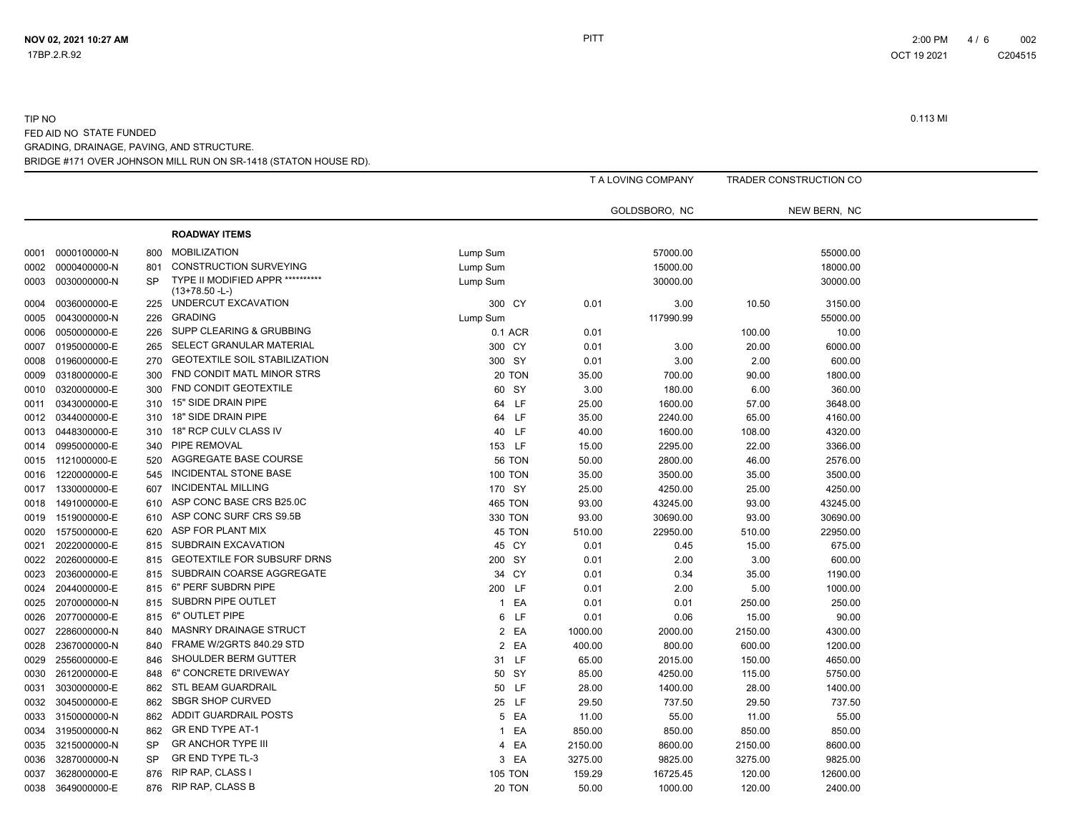C204515

|      |              |           |                                                             |                      |         | T A LOVING COMPANY |         | TRADER CONSTRUCTION CO |  |
|------|--------------|-----------|-------------------------------------------------------------|----------------------|---------|--------------------|---------|------------------------|--|
|      |              |           |                                                             |                      |         | GOLDSBORO, NC      |         | NEW BERN, NC           |  |
|      |              |           | <b>ROADWAY ITEMS</b>                                        |                      |         |                    |         |                        |  |
| 0001 | 0000100000-N | 800       | <b>MOBILIZATION</b>                                         | Lump Sum             |         | 57000.00           |         | 55000.00               |  |
| 0002 | 0000400000-N | 801       | <b>CONSTRUCTION SURVEYING</b>                               | Lump Sum             |         | 15000.00           |         | 18000.00               |  |
| 0003 | 0030000000-N | <b>SP</b> | <b>TYPE II MODIFIED APPR **********</b><br>$(13+78.50 - L)$ | Lump Sum             |         | 30000.00           |         | 30000.00               |  |
| 0004 | 0036000000-E | 225       | UNDERCUT EXCAVATION                                         | 300 CY               | 0.01    | 3.00               | 10.50   | 3150.00                |  |
| 0005 | 0043000000-N | 226       | <b>GRADING</b>                                              | Lump Sum             |         | 117990.99          |         | 55000.00               |  |
| 0006 | 0050000000-E | 226       | SUPP CLEARING & GRUBBING                                    | 0.1 ACR              | 0.01    |                    | 100.00  | 10.00                  |  |
| 0007 | 0195000000-E | 265       | SELECT GRANULAR MATERIAL                                    | 300 CY               | 0.01    | 3.00               | 20.00   | 6000.00                |  |
| 0008 | 0196000000-E | 270       | <b>GEOTEXTILE SOIL STABILIZATION</b>                        | 300 SY               | 0.01    | 3.00               | 2.00    | 600.00                 |  |
| 0009 | 0318000000-E | 300       | FND CONDIT MATL MINOR STRS                                  | 20 TON               | 35.00   | 700.00             | 90.00   | 1800.00                |  |
| 0010 | 0320000000-E | 300       | FND CONDIT GEOTEXTILE                                       | 60 SY                | 3.00    | 180.00             | 6.00    | 360.00                 |  |
| 0011 | 0343000000-E | 310       | 15" SIDE DRAIN PIPE                                         | 64 LF                | 25.00   | 1600.00            | 57.00   | 3648.00                |  |
| 0012 | 0344000000-E | 310       | 18" SIDE DRAIN PIPE                                         | 64 LF                | 35.00   | 2240.00            | 65.00   | 4160.00                |  |
| 0013 | 0448300000-E | 310       | 18" RCP CULV CLASS IV                                       | 40 LF                | 40.00   | 1600.00            | 108.00  | 4320.00                |  |
| 0014 | 0995000000-E | 340       | PIPE REMOVAL                                                | 153 LF               | 15.00   | 2295.00            | 22.00   | 3366.00                |  |
| 0015 | 1121000000-E | 520       | AGGREGATE BASE COURSE                                       | <b>56 TON</b>        | 50.00   | 2800.00            | 46.00   | 2576.00                |  |
| 0016 | 1220000000-E | 545       | INCIDENTAL STONE BASE                                       | <b>100 TON</b>       | 35.00   | 3500.00            | 35.00   | 3500.00                |  |
| 0017 | 1330000000-E | 607       | <b>INCIDENTAL MILLING</b>                                   | 170 SY               | 25.00   | 4250.00            | 25.00   | 4250.00                |  |
| 0018 | 1491000000-E | 610       | ASP CONC BASE CRS B25.0C                                    | <b>465 TON</b>       | 93.00   | 43245.00           | 93.00   | 43245.00               |  |
| 0019 | 1519000000-E | 610       | ASP CONC SURF CRS S9.5B                                     | 330 TON              | 93.00   | 30690.00           | 93.00   | 30690.00               |  |
| 0020 | 1575000000-E | 620       | ASP FOR PLANT MIX                                           | 45 TON               | 510.00  | 22950.00           | 510.00  | 22950.00               |  |
| 0021 | 2022000000-E | 815       | SUBDRAIN EXCAVATION                                         | 45 CY                | 0.01    | 0.45               | 15.00   | 675.00                 |  |
| 0022 | 2026000000-E | 815       | GEOTEXTILE FOR SUBSURF DRNS                                 | 200 SY               | 0.01    | 2.00               | 3.00    | 600.00                 |  |
| 0023 | 2036000000-E | 815       | SUBDRAIN COARSE AGGREGATE                                   | 34 CY                | 0.01    | 0.34               | 35.00   | 1190.00                |  |
| 0024 | 2044000000-E | 815       | 6" PERF SUBDRN PIPE                                         | 200 LF               | 0.01    | 2.00               | 5.00    | 1000.00                |  |
| 0025 | 2070000000-N | 815       | SUBDRN PIPE OUTLET                                          | EA<br>$\mathbf{1}$   | 0.01    | 0.01               | 250.00  | 250.00                 |  |
| 0026 | 2077000000-E | 815       | 6" OUTLET PIPE                                              | 6<br>LF.             | 0.01    | 0.06               | 15.00   | 90.00                  |  |
| 0027 | 2286000000-N | 840       | MASNRY DRAINAGE STRUCT                                      | EA<br>$\overline{2}$ | 1000.00 | 2000.00            | 2150.00 | 4300.00                |  |
| 0028 | 2367000000-N | 840       | FRAME W/2GRTS 840.29 STD                                    | $\overline{2}$<br>EA | 400.00  | 800.00             | 600.00  | 1200.00                |  |
| 0029 | 2556000000-E | 846       | SHOULDER BERM GUTTER                                        | 31 LF                | 65.00   | 2015.00            | 150.00  | 4650.00                |  |
| 0030 | 2612000000-E | 848       | 6" CONCRETE DRIVEWAY                                        | 50 SY                | 85.00   | 4250.00            | 115.00  | 5750.00                |  |
| 0031 | 3030000000-E | 862       | <b>STL BEAM GUARDRAIL</b>                                   | 50 LF                | 28.00   | 1400.00            | 28.00   | 1400.00                |  |
| 0032 | 3045000000-E | 862       | <b>SBGR SHOP CURVED</b>                                     | 25 LF                | 29.50   | 737.50             | 29.50   | 737.50                 |  |
| 0033 | 3150000000-N | 862       | ADDIT GUARDRAIL POSTS                                       | EA<br>5              | 11.00   | 55.00              | 11.00   | 55.00                  |  |
| 0034 | 3195000000-N | 862       | <b>GR END TYPE AT-1</b>                                     | EA<br>1              | 850.00  | 850.00             | 850.00  | 850.00                 |  |
| 0035 | 3215000000-N | <b>SP</b> | <b>GR ANCHOR TYPE III</b>                                   | EA<br>4              | 2150.00 | 8600.00            | 2150.00 | 8600.00                |  |
| 0036 | 3287000000-N | <b>SP</b> | GR END TYPE TL-3                                            | 3 EA                 | 3275.00 | 9825.00            | 3275.00 | 9825.00                |  |
| 0037 | 3628000000-E | 876       | RIP RAP, CLASS I                                            | <b>105 TON</b>       | 159.29  | 16725.45           | 120.00  | 12600.00               |  |
| 0038 | 3649000000-E | 876       | <b>RIP RAP, CLASS B</b>                                     | 20 TON               | 50.00   | 1000.00            | 120.00  | 2400.00                |  |
|      |              |           |                                                             |                      |         |                    |         |                        |  |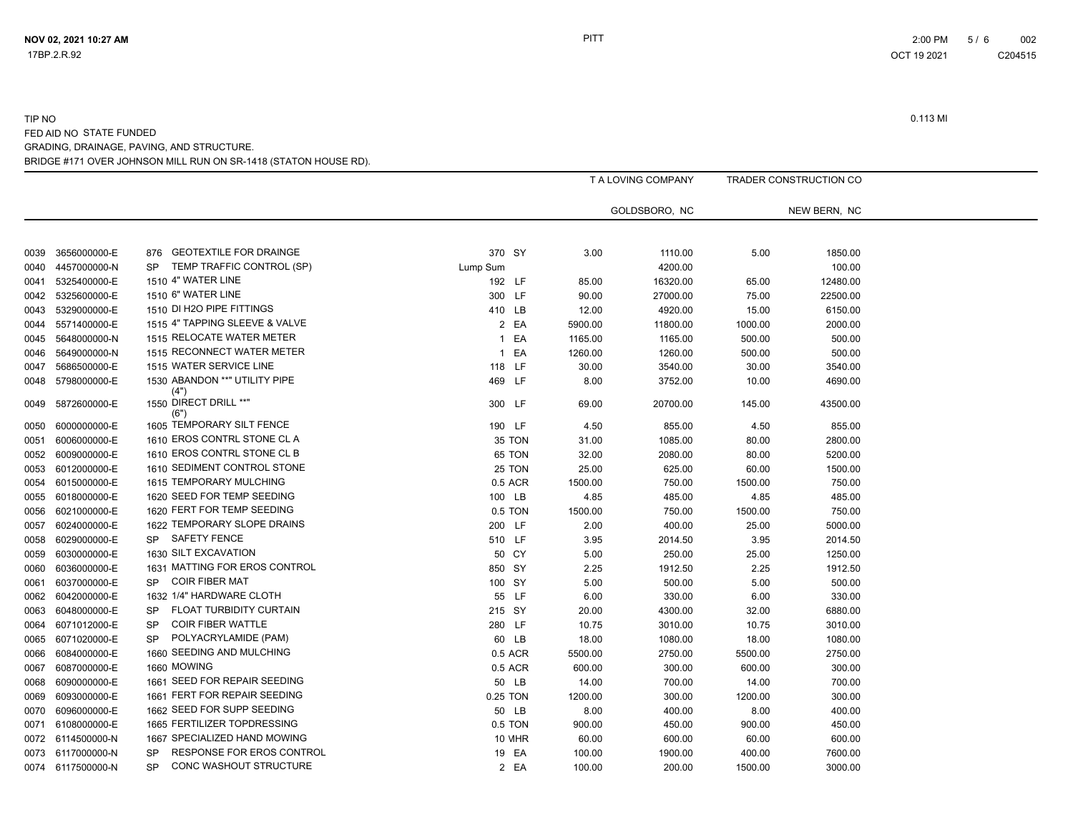|      |                   |                                        |          | T A LOVING COMPANY |               | TRADER CONSTRUCTION CO |              |
|------|-------------------|----------------------------------------|----------|--------------------|---------------|------------------------|--------------|
|      |                   |                                        |          |                    | GOLDSBORO, NC |                        | NEW BERN, NC |
|      |                   |                                        |          |                    |               |                        |              |
| 0039 | 3656000000-E      | <b>GEOTEXTILE FOR DRAINGE</b><br>876   | 370 SY   | 3.00               | 1110.00       | 5.00                   | 1850.00      |
| 0040 | 4457000000-N      | TEMP TRAFFIC CONTROL (SP)<br><b>SP</b> | Lump Sum |                    | 4200.00       |                        | 100.00       |
| 0041 | 5325400000-E      | 1510 4" WATER LINE                     | 192 LF   | 85.00              | 16320.00      | 65.00                  | 12480.00     |
| 0042 | 5325600000-E      | 1510 6" WATER LINE                     | 300 LF   | 90.00              | 27000.00      | 75.00                  | 22500.00     |
| 0043 | 5329000000-E      | 1510 DI H2O PIPE FITTINGS              | 410 LB   | 12.00              | 4920.00       | 15.00                  | 6150.00      |
| 0044 | 5571400000-E      | 1515 4" TAPPING SLEEVE & VALVE         | 2 EA     | 5900.00            | 11800.00      | 1000.00                | 2000.00      |
| 0045 | 5648000000-N      | 1515 RELOCATE WATER METER              | 1 EA     | 1165.00            | 1165.00       | 500.00                 | 500.00       |
| 0046 | 5649000000-N      | 1515 RECONNECT WATER METER             | 1 EA     | 1260.00            | 1260.00       | 500.00                 | 500.00       |
| 0047 | 5686500000-E      | 1515 WATER SERVICE LINE                | 118 LF   | 30.00              | 3540.00       | 30.00                  | 3540.00      |
| 0048 | 5798000000-E      | 1530 ABANDON ** "UTILITY PIPE          | 469 LF   | 8.00               | 3752.00       | 10.00                  | 4690.00      |
| 0049 | 5872600000-E      | (4")<br>1550 DIRECT DRILL **"          | 300 LF   | 69.00              | 20700.00      | 145.00                 | 43500.00     |
| 0050 | 6000000000-E      | (6")<br>1605 TEMPORARY SILT FENCE      | 190 LF   | 4.50               | 855.00        | 4.50                   | 855.00       |
| 0051 | 6006000000-E      | 1610 EROS CONTRL STONE CL A            | 35 TON   | 31.00              | 1085.00       | 80.00                  | 2800.00      |
| 0052 | 6009000000-E      | 1610 EROS CONTRL STONE CL B            | 65 TON   | 32.00              | 2080.00       | 80.00                  | 5200.00      |
| 0053 | 6012000000-E      | 1610 SEDIMENT CONTROL STONE            | 25 TON   | 25.00              | 625.00        | 60.00                  | 1500.00      |
| 0054 | 6015000000-E      | 1615 TEMPORARY MULCHING                | 0.5 ACR  | 1500.00            | 750.00        | 1500.00                | 750.00       |
| 0055 | 6018000000-E      | 1620 SEED FOR TEMP SEEDING             | 100 LB   | 4.85               | 485.00        | 4.85                   | 485.00       |
| 0056 | 6021000000-E      | 1620 FERT FOR TEMP SEEDING             | 0.5 TON  | 1500.00            | 750.00        | 1500.00                | 750.00       |
| 0057 | 6024000000-E      | 1622 TEMPORARY SLOPE DRAINS            | 200 LF   | 2.00               | 400.00        | 25.00                  | 5000.00      |
| 0058 | 6029000000-E      | <b>SAFETY FENCE</b><br><b>SP</b>       | 510 LF   | 3.95               | 2014.50       | 3.95                   | 2014.50      |
| 0059 | 6030000000-E      | 1630 SILT EXCAVATION                   | 50 CY    | 5.00               | 250.00        | 25.00                  | 1250.00      |
| 0060 | 6036000000-E      | 1631 MATTING FOR EROS CONTROL          | 850 SY   | 2.25               | 1912.50       | 2.25                   | 1912.50      |
| 0061 | 6037000000-E      | <b>COIR FIBER MAT</b><br><b>SP</b>     | 100 SY   | 5.00               | 500.00        | 5.00                   | 500.00       |
| 0062 | 6042000000-E      | 1632 1/4" HARDWARE CLOTH               | 55 LF    | 6.00               | 330.00        | 6.00                   | 330.00       |
| 0063 | 6048000000-E      | FLOAT TURBIDITY CURTAIN<br><b>SP</b>   | 215 SY   | 20.00              | 4300.00       | 32.00                  | 6880.00      |
| 0064 | 6071012000-E      | <b>COIR FIBER WATTLE</b><br><b>SP</b>  | 280 LF   | 10.75              | 3010.00       | 10.75                  | 3010.00      |
| 0065 | 6071020000-E      | POLYACRYLAMIDE (PAM)<br><b>SP</b>      | 60 LB    | 18.00              | 1080.00       | 18.00                  | 1080.00      |
| 0066 | 6084000000-E      | 1660 SEEDING AND MULCHING              | 0.5 ACR  | 5500.00            | 2750.00       | 5500.00                | 2750.00      |
| 0067 | 6087000000-E      | 1660 MOWING                            | 0.5 ACR  | 600.00             | 300.00        | 600.00                 | 300.00       |
| 0068 | 6090000000-E      | 1661 SEED FOR REPAIR SEEDING           | 50 LB    | 14.00              | 700.00        | 14.00                  | 700.00       |
| 0069 | 6093000000-E      | 1661 FERT FOR REPAIR SEEDING           | 0.25 TON | 1200.00            | 300.00        | 1200.00                | 300.00       |
| 0070 | 6096000000-E      | 1662 SEED FOR SUPP SEEDING             | 50 LB    | 8.00               | 400.00        | 8.00                   | 400.00       |
| 0071 | 6108000000-E      | 1665 FERTILIZER TOPDRESSING            | 0.5 TON  | 900.00             | 450.00        | 900.00                 | 450.00       |
| 0072 | 6114500000-N      | 1667 SPECIALIZED HAND MOWING           | 10 MHR   | 60.00              | 600.00        | 60.00                  | 600.00       |
| 0073 | 6117000000-N      | RESPONSE FOR EROS CONTROL<br><b>SP</b> | 19 EA    | 100.00             | 1900.00       | 400.00                 | 7600.00      |
|      | 0074 6117500000-N | CONC WASHOUT STRUCTURE<br><b>SP</b>    | 2 EA     | 100.00             | 200.00        | 1500.00                | 3000.00      |
|      |                   |                                        |          |                    |               |                        |              |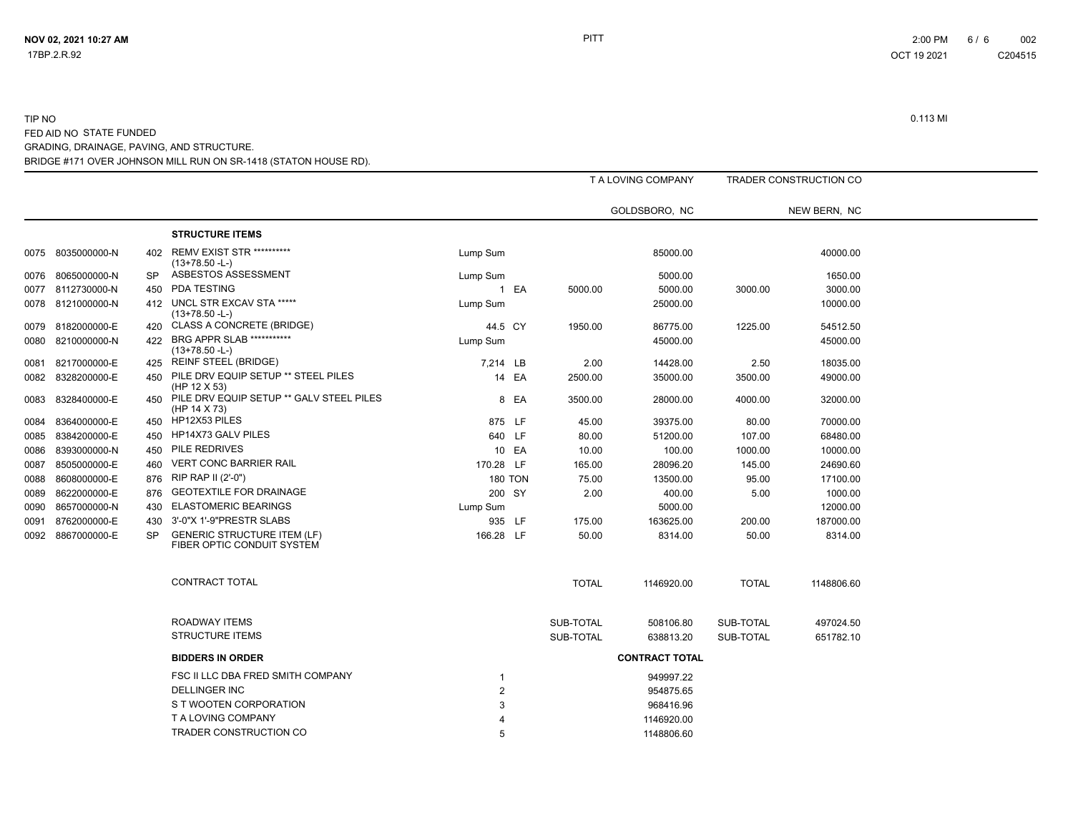# TIP NO 0.113 MI FED AID NO STATE FUNDED GRADING, DRAINAGE, PAVING, AND STRUCTURE.

BRIDGE #171 OVER JOHNSON MILL RUN ON SR-1418 (STATON HOUSE RD).

|      |                   |           |                                                                  |           |                |              | T A LOVING COMPANY    |              | TRADER CONSTRUCTION CO |
|------|-------------------|-----------|------------------------------------------------------------------|-----------|----------------|--------------|-----------------------|--------------|------------------------|
|      |                   |           |                                                                  |           |                |              | GOLDSBORO, NC         |              | NEW BERN, NC           |
|      |                   |           | <b>STRUCTURE ITEMS</b>                                           |           |                |              |                       |              |                        |
|      | 0075 8035000000-N | 402       | <b>REMV EXIST STR **********</b><br>$(13+78.50 - L)$             | Lump Sum  |                |              | 85000.00              |              | 40000.00               |
|      | 0076 8065000000-N | <b>SP</b> | ASBESTOS ASSESSMENT                                              | Lump Sum  |                |              | 5000.00               |              | 1650.00                |
|      | 0077 8112730000-N | 450       | PDA TESTING                                                      |           | 1 EA           | 5000.00      | 5000.00               | 3000.00      | 3000.00                |
|      | 0078 8121000000-N |           | 412 UNCL STR EXCAV STA *****<br>$(13+78.50 - L)$                 | Lump Sum  |                |              | 25000.00              |              | 10000.00               |
| 0079 | 8182000000-E      | 420       | <b>CLASS A CONCRETE (BRIDGE)</b>                                 | 44.5 CY   |                | 1950.00      | 86775.00              | 1225.00      | 54512.50               |
| 0080 | 8210000000-N      | 422       | BRG APPR SLAB ***********<br>$(13+78.50 - L)$                    | Lump Sum  |                |              | 45000.00              |              | 45000.00               |
|      | 0081 8217000000-E |           | 425 REINF STEEL (BRIDGE)                                         | 7,214 LB  |                | 2.00         | 14428.00              | 2.50         | 18035.00               |
|      | 0082 8328200000-E | 450       | PILE DRV EQUIP SETUP ** STEEL PILES<br>(HP 12 X 53)              |           | 14 EA          | 2500.00      | 35000.00              | 3500.00      | 49000.00               |
| 0083 | 8328400000-E      | 450       | PILE DRV EQUIP SETUP ** GALV STEEL PILES<br>(HP 14 X 73)         |           | 8 EA           | 3500.00      | 28000.00              | 4000.00      | 32000.00               |
| 0084 | 8364000000-E      |           | 450 HP12X53 PILES                                                |           | 875 LF         | 45.00        | 39375.00              | 80.00        | 70000.00               |
| 0085 | 8384200000-E      | 450       | HP14X73 GALV PILES                                               |           | 640 LF         | 80.00        | 51200.00              | 107.00       | 68480.00               |
| 0086 | 8393000000-N      | 450       | PILE REDRIVES                                                    |           | 10 EA          | 10.00        | 100.00                | 1000.00      | 10000.00               |
| 0087 | 8505000000-E      | 460       | <b>VERT CONC BARRIER RAIL</b>                                    | 170.28 LF |                | 165.00       | 28096.20              | 145.00       | 24690.60               |
| 0088 | 8608000000-E      | 876       | RIP RAP II (2'-0")                                               |           | <b>180 TON</b> | 75.00        | 13500.00              | 95.00        | 17100.00               |
| 0089 | 8622000000-E      | 876       | <b>GEOTEXTILE FOR DRAINAGE</b>                                   |           | 200 SY         | 2.00         | 400.00                | 5.00         | 1000.00                |
| 0090 | 8657000000-N      | 430       | <b>ELASTOMERIC BEARINGS</b>                                      | Lump Sum  |                |              | 5000.00               |              | 12000.00               |
| 0091 | 8762000000-E      | 430       | 3'-0"X 1'-9"PRESTR SLABS                                         |           | 935 LF         | 175.00       | 163625.00             | 200.00       | 187000.00              |
| 0092 | 8867000000-E      | <b>SP</b> | <b>GENERIC STRUCTURE ITEM (LF)</b><br>FIBER OPTIC CONDUIT SYSTEM | 166.28 LF |                | 50.00        | 8314.00               | 50.00        | 8314.00                |
|      |                   |           | CONTRACT TOTAL                                                   |           |                | <b>TOTAL</b> | 1146920.00            | <b>TOTAL</b> | 1148806.60             |
|      |                   |           | <b>ROADWAY ITEMS</b>                                             |           |                | SUB-TOTAL    | 508106.80             | SUB-TOTAL    | 497024.50              |
|      |                   |           | <b>STRUCTURE ITEMS</b>                                           |           |                | SUB-TOTAL    | 638813.20             | SUB-TOTAL    | 651782.10              |
|      |                   |           | <b>BIDDERS IN ORDER</b>                                          |           |                |              | <b>CONTRACT TOTAL</b> |              |                        |
|      |                   |           | FSC II LLC DBA FRED SMITH COMPANY                                |           |                |              | 949997.22             |              |                        |
|      |                   |           | <b>DELLINGER INC</b>                                             |           |                |              | 954875.65             |              |                        |
|      |                   |           | S T WOOTEN CORPORATION                                           |           |                |              | 968416.96             |              |                        |
|      |                   |           | T A LOVING COMPANY                                               |           |                |              | 1146920.00            |              |                        |
|      |                   |           | TRADER CONSTRUCTION CO                                           |           |                |              | 1148806.60            |              |                        |

**NOV 02, 2021 10:27 AM** 6 / 6 002 ост 19 2021 година в селото с се община в 19 деномбри 19 деномбри 19 деномбри 19 2021 година с с 204515 година C204515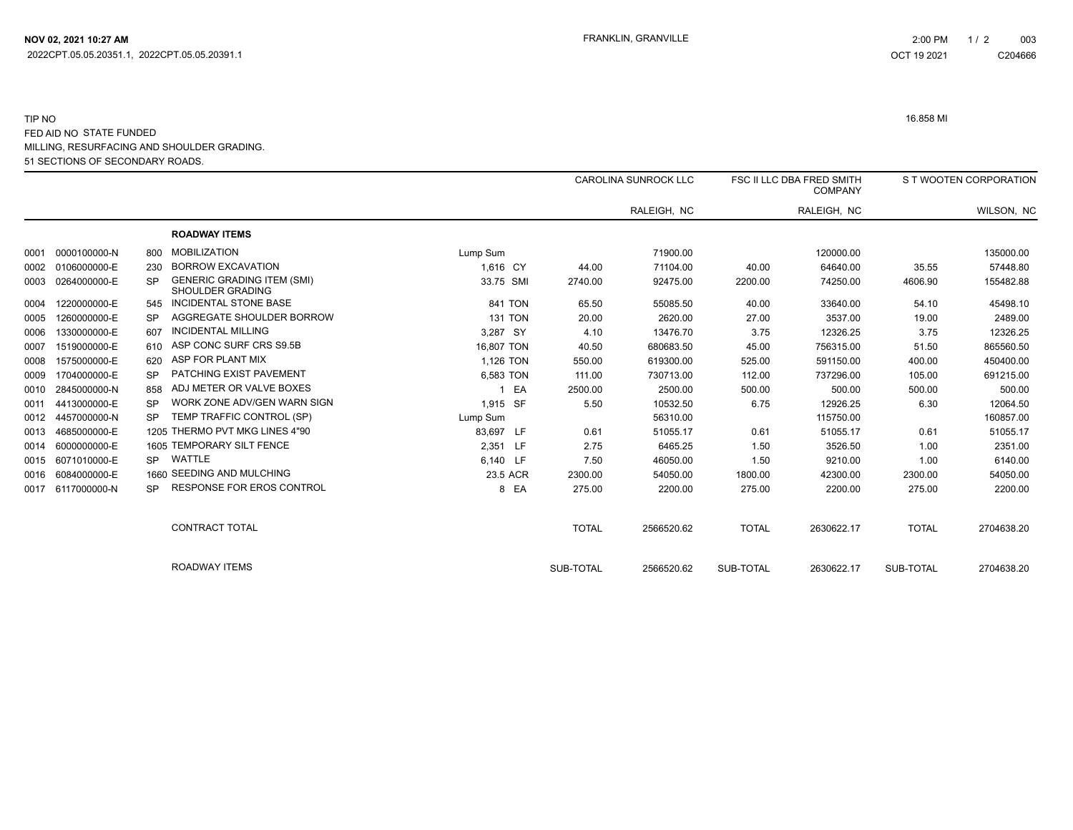|      |              |           |                                                       |                |              | <b>CAROLINA SUNROCK LLC</b> |              | <b>FSC II LLC DBA FRED SMITH</b><br><b>COMPANY</b> |              | S T WOOTEN CORPORATION |  |
|------|--------------|-----------|-------------------------------------------------------|----------------|--------------|-----------------------------|--------------|----------------------------------------------------|--------------|------------------------|--|
|      |              |           |                                                       |                |              | RALEIGH, NC                 |              | RALEIGH, NC                                        |              | WILSON, NC             |  |
|      |              |           | <b>ROADWAY ITEMS</b>                                  |                |              |                             |              |                                                    |              |                        |  |
| 0001 | 0000100000-N | 800       | <b>MOBILIZATION</b>                                   | Lump Sum       |              | 71900.00                    |              | 120000.00                                          |              | 135000.00              |  |
| 0002 | 0106000000-E | 230       | <b>BORROW EXCAVATION</b>                              | 1.616 CY       | 44.00        | 71104.00                    | 40.00        | 64640.00                                           | 35.55        | 57448.80               |  |
| 0003 | 0264000000-E | SP        | <b>GENERIC GRADING ITEM (SMI)</b><br>SHOULDER GRADING | 33.75 SMI      | 2740.00      | 92475.00                    | 2200.00      | 74250.00                                           | 4606.90      | 155482.88              |  |
| 0004 | 1220000000-E | 545       | INCIDENTAL STONE BASE                                 | 841 TON        | 65.50        | 55085.50                    | 40.00        | 33640.00                                           | 54.10        | 45498.10               |  |
| 0005 | 1260000000-E | SP        | AGGREGATE SHOULDER BORROW                             | <b>131 TON</b> | 20.00        | 2620.00                     | 27.00        | 3537.00                                            | 19.00        | 2489.00                |  |
| 0006 | 1330000000-E | 607       | <b>INCIDENTAL MILLING</b>                             | 3,287 SY       | 4.10         | 13476.70                    | 3.75         | 12326.25                                           | 3.75         | 12326.25               |  |
| 0007 | 1519000000-E | 610       | ASP CONC SURF CRS S9.5B                               | 16,807 TON     | 40.50        | 680683.50                   | 45.00        | 756315.00                                          | 51.50        | 865560.50              |  |
| 0008 | 1575000000-E | 620       | ASP FOR PLANT MIX                                     | 1.126 TON      | 550.00       | 619300.00                   | 525.00       | 591150.00                                          | 400.00       | 450400.00              |  |
| 0009 | 1704000000-E | SP        | PATCHING EXIST PAVEMENT                               | 6.583 TON      | 111.00       | 730713.00                   | 112.00       | 737296.00                                          | 105.00       | 691215.00              |  |
| 0010 | 2845000000-N | 858       | ADJ METER OR VALVE BOXES                              | 1 EA           | 2500.00      | 2500.00                     | 500.00       | 500.00                                             | 500.00       | 500.00                 |  |
| 0011 | 4413000000-E | <b>SP</b> | WORK ZONE ADV/GEN WARN SIGN                           | 1,915 SF       | 5.50         | 10532.50                    | 6.75         | 12926.25                                           | 6.30         | 12064.50               |  |
| 0012 | 4457000000-N | SP        | TEMP TRAFFIC CONTROL (SP)                             | Lump Sum       |              | 56310.00                    |              | 115750.00                                          |              | 160857.00              |  |
| 0013 | 4685000000-E |           | 1205 THERMO PVT MKG LINES 4"90                        | 83,697 LF      | 0.61         | 51055.17                    | 0.61         | 51055.17                                           | 0.61         | 51055.17               |  |
| 0014 | 6000000000-E |           | 1605 TEMPORARY SILT FENCE                             | 2,351 LF       | 2.75         | 6465.25                     | 1.50         | 3526.50                                            | 1.00         | 2351.00                |  |
| 0015 | 6071010000-E | SP.       | WATTLE                                                | 6.140 LF       | 7.50         | 46050.00                    | 1.50         | 9210.00                                            | 1.00         | 6140.00                |  |
| 0016 | 6084000000-E |           | 1660 SEEDING AND MULCHING                             | 23.5 ACR       | 2300.00      | 54050.00                    | 1800.00      | 42300.00                                           | 2300.00      | 54050.00               |  |
| 0017 | 6117000000-N | SP        | <b>RESPONSE FOR EROS CONTROL</b>                      | 8 EA           | 275.00       | 2200.00                     | 275.00       | 2200.00                                            | 275.00       | 2200.00                |  |
|      |              |           | <b>CONTRACT TOTAL</b>                                 |                | <b>TOTAL</b> | 2566520.62                  | <b>TOTAL</b> | 2630622.17                                         | <b>TOTAL</b> | 2704638.20             |  |
|      |              |           | <b>ROADWAY ITEMS</b>                                  |                | SUB-TOTAL    | 2566520.62                  | SUB-TOTAL    | 2630622.17                                         | SUB-TOTAL    | 2704638.20             |  |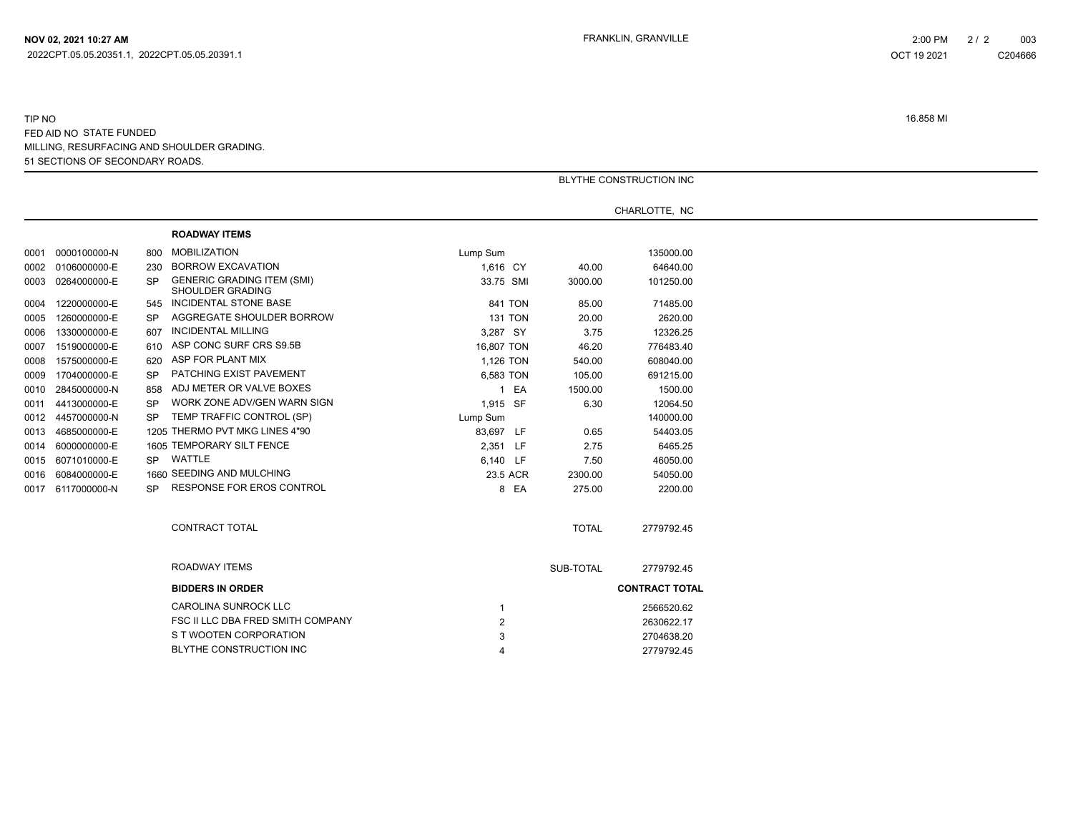|      |                   |           |                                                              | BLYTHE CONSTRUCTION INC |              |                       |  |  |  |
|------|-------------------|-----------|--------------------------------------------------------------|-------------------------|--------------|-----------------------|--|--|--|
|      |                   |           |                                                              |                         |              |                       |  |  |  |
|      |                   |           |                                                              |                         |              | CHARLOTTE, NC         |  |  |  |
|      |                   |           | <b>ROADWAY ITEMS</b>                                         |                         |              |                       |  |  |  |
|      | 0001 0000100000-N | 800       | <b>MOBILIZATION</b>                                          | Lump Sum                |              | 135000.00             |  |  |  |
|      | 0002 0106000000-E | 230       | <b>BORROW EXCAVATION</b>                                     | 1,616 CY                | 40.00        | 64640.00              |  |  |  |
|      | 0003 0264000000-E | SP.       | <b>GENERIC GRADING ITEM (SMI)</b><br><b>SHOULDER GRADING</b> | 33.75 SMI               | 3000.00      | 101250.00             |  |  |  |
| 0004 | 1220000000-E      | 545       | INCIDENTAL STONE BASE                                        | 841 TON                 | 85.00        | 71485.00              |  |  |  |
| 0005 | 1260000000-E      | SP        | AGGREGATE SHOULDER BORROW                                    | <b>131 TON</b>          | 20.00        | 2620.00               |  |  |  |
| 0006 | 1330000000-E      | 607       | <b>INCIDENTAL MILLING</b>                                    | 3,287 SY                | 3.75         | 12326.25              |  |  |  |
| 0007 | 1519000000-E      | 610       | ASP CONC SURF CRS S9.5B                                      | 16,807 TON              | 46.20        | 776483.40             |  |  |  |
| 0008 | 1575000000-E      | 620       | ASP FOR PLANT MIX                                            | 1,126 TON               | 540.00       | 608040.00             |  |  |  |
| 0009 | 1704000000-E      | SP        | PATCHING EXIST PAVEMENT                                      | 6,583 TON               | 105.00       | 691215.00             |  |  |  |
|      | 0010 2845000000-N | 858       | ADJ METER OR VALVE BOXES                                     | 1 EA                    | 1500.00      | 1500.00               |  |  |  |
| 0011 | 4413000000-E      | <b>SP</b> | WORK ZONE ADV/GEN WARN SIGN                                  | 1,915 SF                | 6.30         | 12064.50              |  |  |  |
|      | 0012 4457000000-N | SP.       | TEMP TRAFFIC CONTROL (SP)                                    | Lump Sum                |              | 140000.00             |  |  |  |
| 0013 | 4685000000-E      |           | 1205 THERMO PVT MKG LINES 4"90                               | 83,697 LF               | 0.65         | 54403.05              |  |  |  |
|      | 0014 6000000000-E |           | 1605 TEMPORARY SILT FENCE                                    | 2,351 LF                | 2.75         | 6465.25               |  |  |  |
|      | 0015 6071010000-E |           | SP WATTLE                                                    | 6,140 LF                | 7.50         | 46050.00              |  |  |  |
|      | 0016 6084000000-E |           | 1660 SEEDING AND MULCHING                                    | 23.5 ACR                | 2300.00      | 54050.00              |  |  |  |
|      | 0017 6117000000-N |           | SP RESPONSE FOR EROS CONTROL                                 | 8 EA                    | 275.00       | 2200.00               |  |  |  |
|      |                   |           | CONTRACT TOTAL                                               |                         | <b>TOTAL</b> | 2779792.45            |  |  |  |
|      |                   |           | ROADWAY ITEMS                                                |                         | SUB-TOTAL    | 2779792.45            |  |  |  |
|      |                   |           | <b>BIDDERS IN ORDER</b>                                      |                         |              | <b>CONTRACT TOTAL</b> |  |  |  |
|      |                   |           | <b>CAROLINA SUNROCK LLC</b>                                  | -1                      |              | 2566520.62            |  |  |  |
|      |                   |           | FSC II LLC DBA FRED SMITH COMPANY                            | $\overline{2}$          |              | 2630622.17            |  |  |  |
|      |                   |           | S T WOOTEN CORPORATION                                       | 3                       |              | 2704638.20            |  |  |  |
|      |                   |           | <b>BLYTHE CONSTRUCTION INC</b>                               | 4                       |              | 2779792.45            |  |  |  |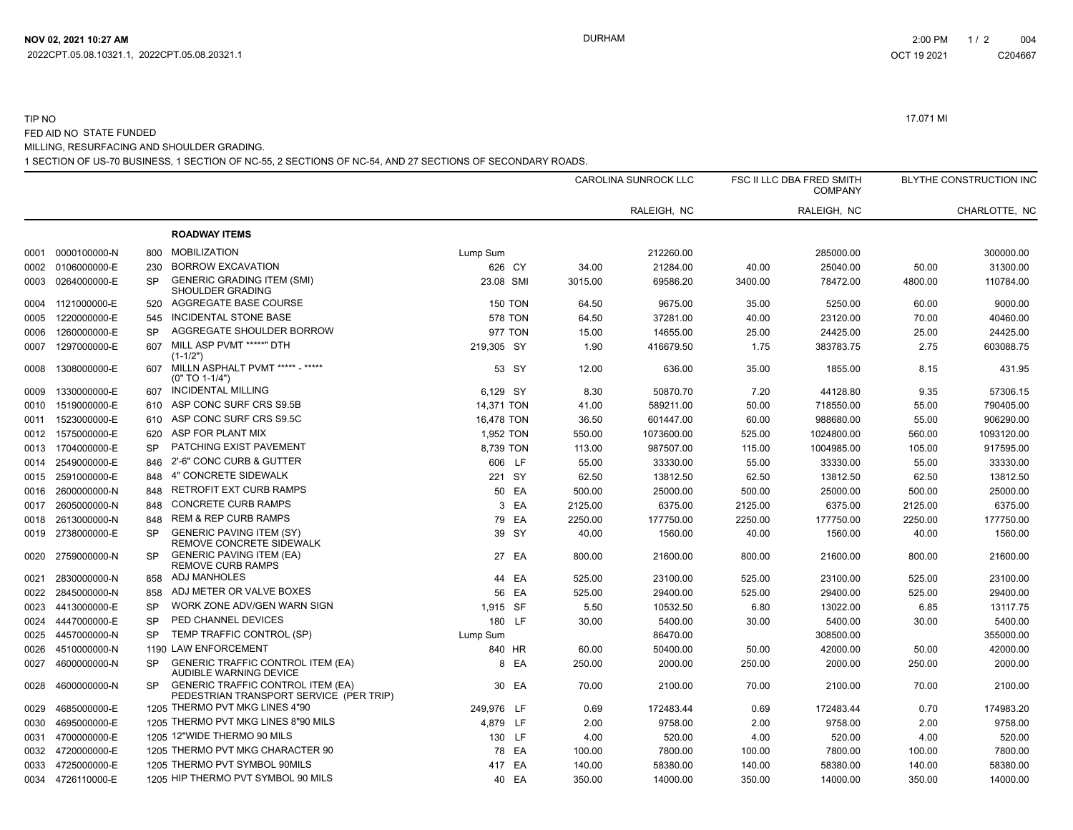#### TIP NO 17.071 MI FED AID NO STATE FUNDED MILLING, RESURFACING AND SHOULDER GRADING.

1 SECTION OF US-70 BUSINESS, 1 SECTION OF NC-55, 2 SECTIONS OF NC-54, AND 27 SECTIONS OF SECONDARY ROADS.

|      |                   |           |                                                                                     |                |         | CAROLINA SUNROCK LLC |         | FSC II LLC DBA FRED SMITH<br><b>COMPANY</b> |         | BLYTHE CONSTRUCTION INC |  |
|------|-------------------|-----------|-------------------------------------------------------------------------------------|----------------|---------|----------------------|---------|---------------------------------------------|---------|-------------------------|--|
|      |                   |           |                                                                                     |                |         | RALEIGH, NC          |         | RALEIGH, NC                                 |         | CHARLOTTE, NC           |  |
|      |                   |           | <b>ROADWAY ITEMS</b>                                                                |                |         |                      |         |                                             |         |                         |  |
| 0001 | 0000100000-N      | 800       | <b>MOBILIZATION</b>                                                                 | Lump Sum       |         | 212260.00            |         | 285000.00                                   |         | 300000.00               |  |
| 0002 | 0106000000-E      | 230       | <b>BORROW EXCAVATION</b>                                                            | 626 CY         | 34.00   | 21284.00             | 40.00   | 25040.00                                    | 50.00   | 31300.00                |  |
| 0003 | 0264000000-E      | <b>SP</b> | <b>GENERIC GRADING ITEM (SMI)</b><br>SHOULDER GRADING                               | 23.08 SMI      | 3015.00 | 69586.20             | 3400.00 | 78472.00                                    | 4800.00 | 110784.00               |  |
| 0004 | 1121000000-E      | 520       | AGGREGATE BASE COURSE                                                               | <b>150 TON</b> | 64.50   | 9675.00              | 35.00   | 5250.00                                     | 60.00   | 9000.00                 |  |
| 0005 | 1220000000-E      | 545       | <b>INCIDENTAL STONE BASE</b>                                                        | <b>578 TON</b> | 64.50   | 37281.00             | 40.00   | 23120.00                                    | 70.00   | 40460.00                |  |
| 0006 | 1260000000-E      | <b>SP</b> | AGGREGATE SHOULDER BORROW                                                           | <b>977 TON</b> | 15.00   | 14655.00             | 25.00   | 24425.00                                    | 25.00   | 24425.00                |  |
| 0007 | 1297000000-E      | 607       | MILL ASP PVMT *****" DTH<br>$(1-1/2")$                                              | 219,305 SY     | 1.90    | 416679.50            | 1.75    | 383783.75                                   | 2.75    | 603088.75               |  |
| 0008 | 1308000000-E      | 607       | MILLN ASPHALT PVMT ***** - *****<br>$(0" TO 1-1/4")$                                | 53 SY          | 12.00   | 636.00               | 35.00   | 1855.00                                     | 8.15    | 431.95                  |  |
| 0009 | 1330000000-E      | 607       | <b>INCIDENTAL MILLING</b>                                                           | 6,129 SY       | 8.30    | 50870.70             | 7.20    | 44128.80                                    | 9.35    | 57306.15                |  |
| 0010 | 1519000000-E      | 610       | ASP CONC SURF CRS S9.5B                                                             | 14,371 TON     | 41.00   | 589211.00            | 50.00   | 718550.00                                   | 55.00   | 790405.00               |  |
| 0011 | 1523000000-E      | 610       | ASP CONC SURF CRS S9.5C                                                             | 16,478 TON     | 36.50   | 601447.00            | 60.00   | 988680.00                                   | 55.00   | 906290.00               |  |
| 0012 | 1575000000-E      | 620       | ASP FOR PLANT MIX                                                                   | 1,952 TON      | 550.00  | 1073600.00           | 525.00  | 1024800.00                                  | 560.00  | 1093120.00              |  |
| 0013 | 1704000000-E      | SP        | PATCHING EXIST PAVEMENT                                                             | 8,739 TON      | 113.00  | 987507.00            | 115.00  | 1004985.00                                  | 105.00  | 917595.00               |  |
| 0014 | 2549000000-E      | 846       | 2'-6" CONC CURB & GUTTER                                                            | 606 LF         | 55.00   | 33330.00             | 55.00   | 33330.00                                    | 55.00   | 33330.00                |  |
| 0015 | 2591000000-E      | 848       | 4" CONCRETE SIDEWALK                                                                | 221 SY         | 62.50   | 13812.50             | 62.50   | 13812.50                                    | 62.50   | 13812.50                |  |
| 0016 | 2600000000-N      | 848       | <b>RETROFIT EXT CURB RAMPS</b>                                                      | 50 EA          | 500.00  | 25000.00             | 500.00  | 25000.00                                    | 500.00  | 25000.00                |  |
| 0017 | 2605000000-N      | 848       | <b>CONCRETE CURB RAMPS</b>                                                          | 3<br>EA        | 2125.00 | 6375.00              | 2125.00 | 6375.00                                     | 2125.00 | 6375.00                 |  |
| 0018 | 2613000000-N      | 848       | <b>REM &amp; REP CURB RAMPS</b>                                                     | 79 EA          | 2250.00 | 177750.00            | 2250.00 | 177750.00                                   | 2250.00 | 177750.00               |  |
| 0019 | 2738000000-E      | <b>SP</b> | <b>GENERIC PAVING ITEM (SY)</b><br>REMOVE CONCRETE SIDEWALK                         | 39 SY          | 40.00   | 1560.00              | 40.00   | 1560.00                                     | 40.00   | 1560.00                 |  |
| 0020 | 2759000000-N      | <b>SP</b> | <b>GENERIC PAVING ITEM (EA)</b><br><b>REMOVE CURB RAMPS</b>                         | 27 EA          | 800.00  | 21600.00             | 800.00  | 21600.00                                    | 800.00  | 21600.00                |  |
| 0021 | 2830000000-N      | 858       | ADJ MANHOLES                                                                        | 44 EA          | 525.00  | 23100.00             | 525.00  | 23100.00                                    | 525.00  | 23100.00                |  |
| 0022 | 2845000000-N      | 858       | ADJ METER OR VALVE BOXES                                                            | 56 EA          | 525.00  | 29400.00             | 525.00  | 29400.00                                    | 525.00  | 29400.00                |  |
| 0023 | 4413000000-E      | <b>SP</b> | WORK ZONE ADV/GEN WARN SIGN                                                         | 1.915 SF       | 5.50    | 10532.50             | 6.80    | 13022.00                                    | 6.85    | 13117.75                |  |
| 0024 | 4447000000-E      | <b>SP</b> | PED CHANNEL DEVICES                                                                 | 180 LF         | 30.00   | 5400.00              | 30.00   | 5400.00                                     | 30.00   | 5400.00                 |  |
| 0025 | 4457000000-N      | <b>SP</b> | TEMP TRAFFIC CONTROL (SP)                                                           | Lump Sum       |         | 86470.00             |         | 308500.00                                   |         | 355000.00               |  |
| 0026 | 4510000000-N      |           | 1190 LAW ENFORCEMENT                                                                | 840 HR         | 60.00   | 50400.00             | 50.00   | 42000.00                                    | 50.00   | 42000.00                |  |
| 0027 | 4600000000-N      | <b>SP</b> | <b>GENERIC TRAFFIC CONTROL ITEM (EA)</b><br>AUDIBLE WARNING DEVICE                  | EA<br>8        | 250.00  | 2000.00              | 250.00  | 2000.00                                     | 250.00  | 2000.00                 |  |
| 0028 | 4600000000-N      | <b>SP</b> | <b>GENERIC TRAFFIC CONTROL ITEM (EA)</b><br>PEDESTRIAN TRANSPORT SERVICE (PER TRIP) | 30 EA          | 70.00   | 2100.00              | 70.00   | 2100.00                                     | 70.00   | 2100.00                 |  |
| 0029 | 4685000000-E      |           | 1205 THERMO PVT MKG LINES 4"90                                                      | 249,976 LF     | 0.69    | 172483.44            | 0.69    | 172483.44                                   | 0.70    | 174983.20               |  |
| 0030 | 4695000000-E      |           | 1205 THERMO PVT MKG LINES 8"90 MILS                                                 | 4,879 LF       | 2.00    | 9758.00              | 2.00    | 9758.00                                     | 2.00    | 9758.00                 |  |
| 0031 | 4700000000-E      |           | 1205 12"WIDE THERMO 90 MILS                                                         | 130 LF         | 4.00    | 520.00               | 4.00    | 520.00                                      | 4.00    | 520.00                  |  |
| 0032 | 4720000000-E      |           | 1205 THERMO PVT MKG CHARACTER 90                                                    | 78 EA          | 100.00  | 7800.00              | 100.00  | 7800.00                                     | 100.00  | 7800.00                 |  |
| 0033 | 4725000000-E      |           | 1205 THERMO PVT SYMBOL 90MILS                                                       | 417 EA         | 140.00  | 58380.00             | 140.00  | 58380.00                                    | 140.00  | 58380.00                |  |
|      | 0034 4726110000-E |           | 1205 HIP THERMO PVT SYMBOL 90 MILS                                                  | 40 EA          | 350.00  | 14000.00             | 350.00  | 14000.00                                    | 350.00  | 14000.00                |  |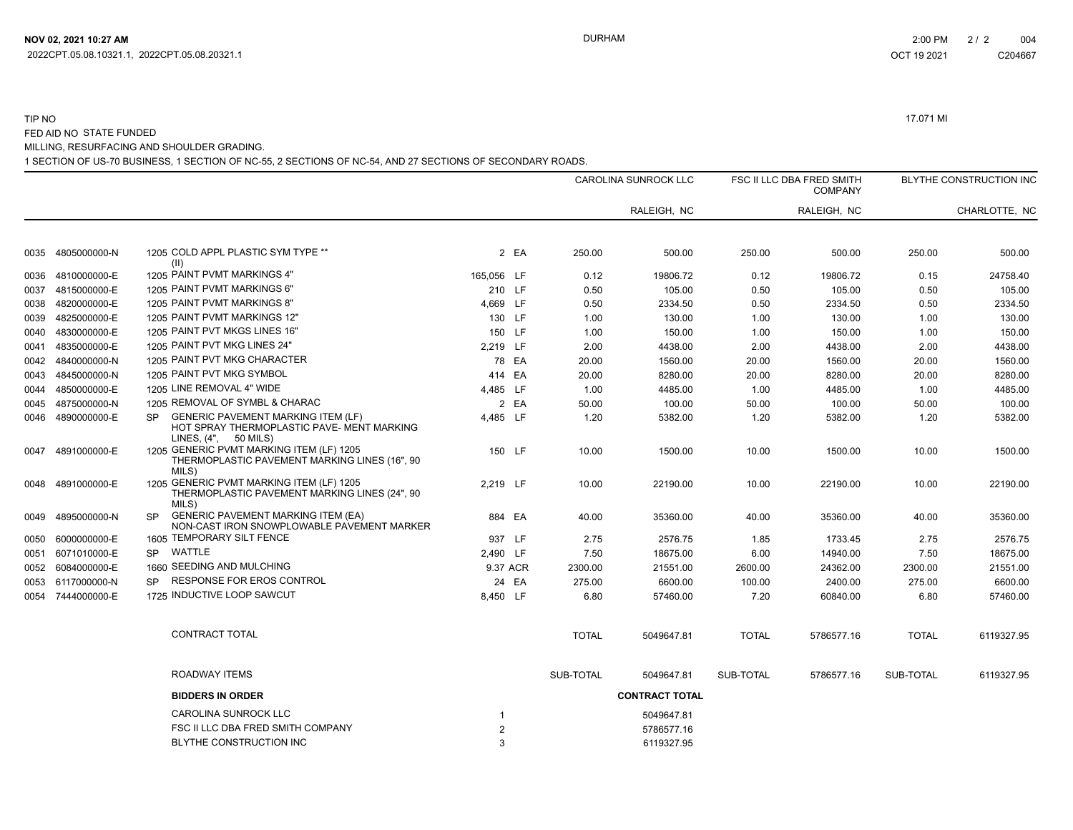# TIP NO 17.071 MI FED AID NO STATE FUNDED MILLING, RESURFACING AND SHOULDER GRADING.

1 SECTION OF US-70 BUSINESS, 1 SECTION OF NC-55, 2 SECTIONS OF NC-54, AND 27 SECTIONS OF SECONDARY ROADS.

|      |                   |                                                                                                                                |                |              | <b>CAROLINA SUNROCK LLC</b> |              | FSC II LLC DBA FRED SMITH<br><b>COMPANY</b> |              | BLYTHE CONSTRUCTION INC |
|------|-------------------|--------------------------------------------------------------------------------------------------------------------------------|----------------|--------------|-----------------------------|--------------|---------------------------------------------|--------------|-------------------------|
|      |                   |                                                                                                                                |                |              | RALEIGH, NC                 |              | RALEIGH, NC                                 |              | CHARLOTTE, NC           |
| 0035 | 4805000000-N      | 1205 COLD APPL PLASTIC SYM TYPE **<br>(II)                                                                                     | 2 EA           | 250.00       | 500.00                      | 250.00       | 500.00                                      | 250.00       | 500.00                  |
| 0036 | 4810000000-E      | 1205 PAINT PVMT MARKINGS 4"                                                                                                    | 165,056 LF     | 0.12         | 19806.72                    | 0.12         | 19806.72                                    | 0.15         | 24758.40                |
| 0037 | 4815000000-E      | 1205 PAINT PVMT MARKINGS 6"                                                                                                    | 210 LF         | 0.50         | 105.00                      | 0.50         | 105.00                                      | 0.50         | 105.00                  |
| 0038 | 4820000000-E      | 1205 PAINT PVMT MARKINGS 8"                                                                                                    | 4,669 LF       | 0.50         | 2334.50                     | 0.50         | 2334.50                                     | 0.50         | 2334.50                 |
| 0039 | 4825000000-E      | 1205 PAINT PVMT MARKINGS 12"                                                                                                   | 130 LF         | 1.00         | 130.00                      | 1.00         | 130.00                                      | 1.00         | 130.00                  |
| 0040 | 4830000000-E      | 1205 PAINT PVT MKGS LINES 16"                                                                                                  | 150 LF         | 1.00         | 150.00                      | 1.00         | 150.00                                      | 1.00         | 150.00                  |
| 0041 | 4835000000-E      | 1205 PAINT PVT MKG LINES 24"                                                                                                   | 2,219 LF       | 2.00         | 4438.00                     | 2.00         | 4438.00                                     | 2.00         | 4438.00                 |
| 0042 | 4840000000-N      | 1205 PAINT PVT MKG CHARACTER                                                                                                   | 78 EA          | 20.00        | 1560.00                     | 20.00        | 1560.00                                     | 20.00        | 1560.00                 |
| 0043 | 4845000000-N      | 1205 PAINT PVT MKG SYMBOL                                                                                                      | 414 EA         | 20.00        | 8280.00                     | 20.00        | 8280.00                                     | 20.00        | 8280.00                 |
| 0044 | 4850000000-E      | 1205 LINE REMOVAL 4" WIDE                                                                                                      | 4,485 LF       | 1.00         | 4485.00                     | 1.00         | 4485.00                                     | 1.00         | 4485.00                 |
| 0045 | 4875000000-N      | 1205 REMOVAL OF SYMBL & CHARAC                                                                                                 | 2 EA           | 50.00        | 100.00                      | 50.00        | 100.00                                      | 50.00        | 100.00                  |
| 0046 | 4890000000-E      | <b>GENERIC PAVEMENT MARKING ITEM (LF)</b><br><b>SP</b><br>HOT SPRAY THERMOPLASTIC PAVE- MENT MARKING<br>LINES, $(4", 50$ MILS) | 4.485 LF       | 1.20         | 5382.00                     | 1.20         | 5382.00                                     | 1.20         | 5382.00                 |
| 0047 | 4891000000-E      | 1205 GENERIC PVMT MARKING ITEM (LF) 1205<br>THERMOPLASTIC PAVEMENT MARKING LINES (16", 90<br>MILS)                             | 150 LF         | 10.00        | 1500.00                     | 10.00        | 1500.00                                     | 10.00        | 1500.00                 |
| 0048 | 4891000000-E      | 1205 GENERIC PVMT MARKING ITEM (LF) 1205<br>THERMOPLASTIC PAVEMENT MARKING LINES (24", 90<br>MILS)                             | 2,219 LF       | 10.00        | 22190.00                    | 10.00        | 22190.00                                    | 10.00        | 22190.00                |
| 0049 | 4895000000-N      | <b>GENERIC PAVEMENT MARKING ITEM (EA)</b><br>SP<br>NON-CAST IRON SNOWPLOWABLE PAVEMENT MARKER                                  | 884 EA         | 40.00        | 35360.00                    | 40.00        | 35360.00                                    | 40.00        | 35360.00                |
| 0050 | 6000000000-E      | 1605 TEMPORARY SILT FENCE                                                                                                      | 937 LF         | 2.75         | 2576.75                     | 1.85         | 1733.45                                     | 2.75         | 2576.75                 |
| 0051 | 6071010000-E      | WATTLE<br><b>SP</b>                                                                                                            | 2,490 LF       | 7.50         | 18675.00                    | 6.00         | 14940.00                                    | 7.50         | 18675.00                |
|      | 0052 6084000000-E | 1660 SEEDING AND MULCHING                                                                                                      | 9.37 ACR       | 2300.00      | 21551.00                    | 2600.00      | 24362.00                                    | 2300.00      | 21551.00                |
|      | 0053 6117000000-N | <b>RESPONSE FOR EROS CONTROL</b><br><b>SP</b>                                                                                  | 24 EA          | 275.00       | 6600.00                     | 100.00       | 2400.00                                     | 275.00       | 6600.00                 |
|      | 0054 7444000000-E | 1725 INDUCTIVE LOOP SAWCUT                                                                                                     | 8,450 LF       | 6.80         | 57460.00                    | 7.20         | 60840.00                                    | 6.80         | 57460.00                |
|      |                   | <b>CONTRACT TOTAL</b>                                                                                                          |                | <b>TOTAL</b> | 5049647.81                  | <b>TOTAL</b> | 5786577.16                                  | <b>TOTAL</b> | 6119327.95              |
|      |                   | ROADWAY ITEMS                                                                                                                  |                | SUB-TOTAL    | 5049647.81                  | SUB-TOTAL    | 5786577.16                                  | SUB-TOTAL    | 6119327.95              |
|      |                   | <b>BIDDERS IN ORDER</b>                                                                                                        |                |              | <b>CONTRACT TOTAL</b>       |              |                                             |              |                         |
|      |                   | <b>CAROLINA SUNROCK LLC</b>                                                                                                    | -1             |              | 5049647.81                  |              |                                             |              |                         |
|      |                   | FSC II LLC DBA FRED SMITH COMPANY                                                                                              | $\overline{2}$ |              | 5786577.16                  |              |                                             |              |                         |
|      |                   | BLYTHE CONSTRUCTION INC                                                                                                        | 3              |              | 6119327.95                  |              |                                             |              |                         |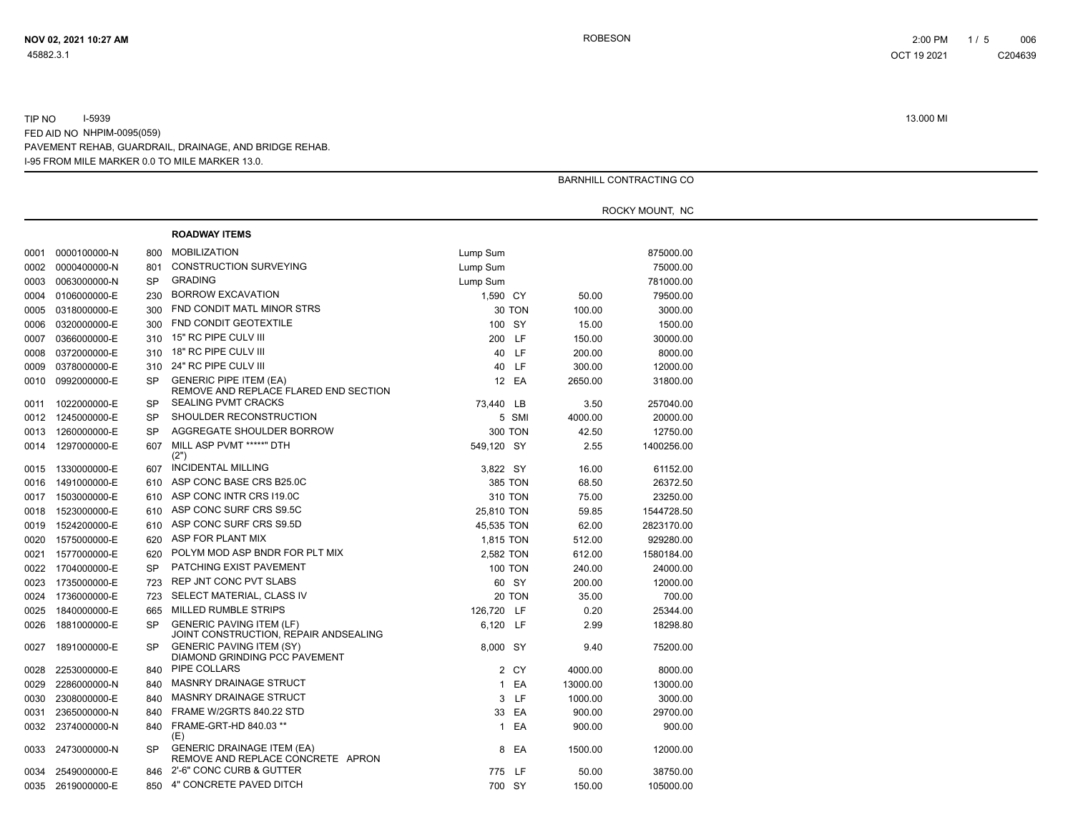|      |              |           |                                                                          |                |        |          | <b>BARNHILL CONTRACTING CO</b> |
|------|--------------|-----------|--------------------------------------------------------------------------|----------------|--------|----------|--------------------------------|
|      |              |           |                                                                          |                |        |          |                                |
|      |              |           |                                                                          |                |        |          | ROCKY MOUNT, NC                |
|      |              |           | <b>ROADWAY ITEMS</b>                                                     |                |        |          |                                |
| 0001 | 0000100000-N | 800       | <b>MOBILIZATION</b>                                                      | Lump Sum       |        |          | 875000.00                      |
| 0002 | 0000400000-N | 801       | CONSTRUCTION SURVEYING                                                   | Lump Sum       |        |          | 75000.00                       |
| 0003 | 0063000000-N | <b>SP</b> | <b>GRADING</b>                                                           | Lump Sum       |        |          | 781000.00                      |
| 0004 | 0106000000-E | 230       | <b>BORROW EXCAVATION</b>                                                 | 1,590 CY       |        | 50.00    | 79500.00                       |
| 0005 | 0318000000-E | 300       | FND CONDIT MATL MINOR STRS                                               |                | 30 TON | 100.00   | 3000.00                        |
| 0006 | 0320000000-E | 300       | FND CONDIT GEOTEXTILE                                                    | 100 SY         |        | 15.00    | 1500.00                        |
| 0007 | 0366000000-E | 310       | 15" RC PIPE CULV III                                                     | 200 LF         |        | 150.00   | 30000.00                       |
| 0008 | 0372000000-E | 310       | 18" RC PIPE CULV III                                                     | 40 LF          |        | 200.00   | 8000.00                        |
| 0009 | 0378000000-E | 310       | 24" RC PIPE CULV III                                                     | 40 LF          |        | 300.00   | 12000.00                       |
| 0010 | 0992000000-E | <b>SP</b> | <b>GENERIC PIPE ITEM (EA)</b><br>REMOVE AND REPLACE FLARED END SECTION   |                | 12 EA  | 2650.00  | 31800.00                       |
| 0011 | 1022000000-E | <b>SP</b> | <b>SEALING PVMT CRACKS</b>                                               | 73,440 LB      |        | 3.50     | 257040.00                      |
| 0012 | 1245000000-E | <b>SP</b> | SHOULDER RECONSTRUCTION                                                  |                | 5 SMI  | 4000.00  | 20000.00                       |
| 0013 | 1260000000-E | <b>SP</b> | AGGREGATE SHOULDER BORROW                                                | <b>300 TON</b> |        | 42.50    | 12750.00                       |
| 0014 | 1297000000-E | 607       | MILL ASP PVMT *****" DTH<br>(2")                                         | 549,120 SY     |        | 2.55     | 1400256.00                     |
| 0015 | 1330000000-E | 607       | <b>INCIDENTAL MILLING</b>                                                | 3,822 SY       |        | 16.00    | 61152.00                       |
| 0016 | 1491000000-E | 610       | ASP CONC BASE CRS B25.0C                                                 | <b>385 TON</b> |        | 68.50    | 26372.50                       |
| 0017 | 1503000000-E | 610       | ASP CONC INTR CRS I19.0C                                                 | 310 TON        |        | 75.00    | 23250.00                       |
| 0018 | 1523000000-E | 610       | ASP CONC SURF CRS S9.5C                                                  | 25,810 TON     |        | 59.85    | 1544728.50                     |
| 0019 | 1524200000-E | 610       | ASP CONC SURF CRS S9.5D                                                  | 45,535 TON     |        | 62.00    | 2823170.00                     |
| 0020 | 1575000000-E | 620       | ASP FOR PLANT MIX                                                        | 1,815 TON      |        | 512.00   | 929280.00                      |
| 0021 | 1577000000-E | 620       | POLYM MOD ASP BNDR FOR PLT MIX                                           | 2,582 TON      |        | 612.00   | 1580184.00                     |
| 0022 | 1704000000-E | <b>SP</b> | <b>PATCHING EXIST PAVEMENT</b>                                           | <b>100 TON</b> |        | 240.00   | 24000.00                       |
| 0023 | 1735000000-E | 723       | REP JNT CONC PVT SLABS                                                   | 60 SY          |        | 200.00   | 12000.00                       |
| 0024 | 1736000000-E | 723       | SELECT MATERIAL, CLASS IV                                                |                | 20 TON | 35.00    | 700.00                         |
| 0025 | 1840000000-E | 665       | MILLED RUMBLE STRIPS                                                     | 126,720 LF     |        | 0.20     | 25344.00                       |
| 0026 | 1881000000-E | SP        | <b>GENERIC PAVING ITEM (LF)</b><br>JOINT CONSTRUCTION, REPAIR ANDSEALING | 6,120 LF       |        | 2.99     | 18298.80                       |
| 0027 | 1891000000-E | SP        | <b>GENERIC PAVING ITEM (SY)</b><br>DIAMOND GRINDING PCC PAVEMENT         | 8,000 SY       |        | 9.40     | 75200.00                       |
| 0028 | 2253000000-E | 840       | PIPE COLLARS                                                             |                | 2 CY   | 4000.00  | 8000.00                        |
| 0029 | 2286000000-N | 840       | <b>MASNRY DRAINAGE STRUCT</b>                                            |                | 1 EA   | 13000.00 | 13000.00                       |
| 0030 | 2308000000-E | 840       | <b>MASNRY DRAINAGE STRUCT</b>                                            |                | 3 LF   | 1000.00  | 3000.00                        |
| 0031 | 2365000000-N | 840       | FRAME W/2GRTS 840.22 STD                                                 |                | 33 EA  | 900.00   | 29700.00                       |
| 0032 | 2374000000-N | 840       | FRAME-GRT-HD 840.03 **<br>(E)                                            |                | 1 EA   | 900.00   | 900.00                         |
| 0033 | 2473000000-N | <b>SP</b> | <b>GENERIC DRAINAGE ITEM (EA)</b><br>REMOVE AND REPLACE CONCRETE APRON   |                | 8 EA   | 1500.00  | 12000.00                       |
| 0034 | 2549000000-E | 846       | 2'-6" CONC CURB & GUTTER                                                 | 775 LF         |        | 50.00    | 38750.00                       |
| 0035 | 2619000000-E |           | 850 4" CONCRETE PAVED DITCH                                              | 700 SY         |        | 150.00   | 105000.00                      |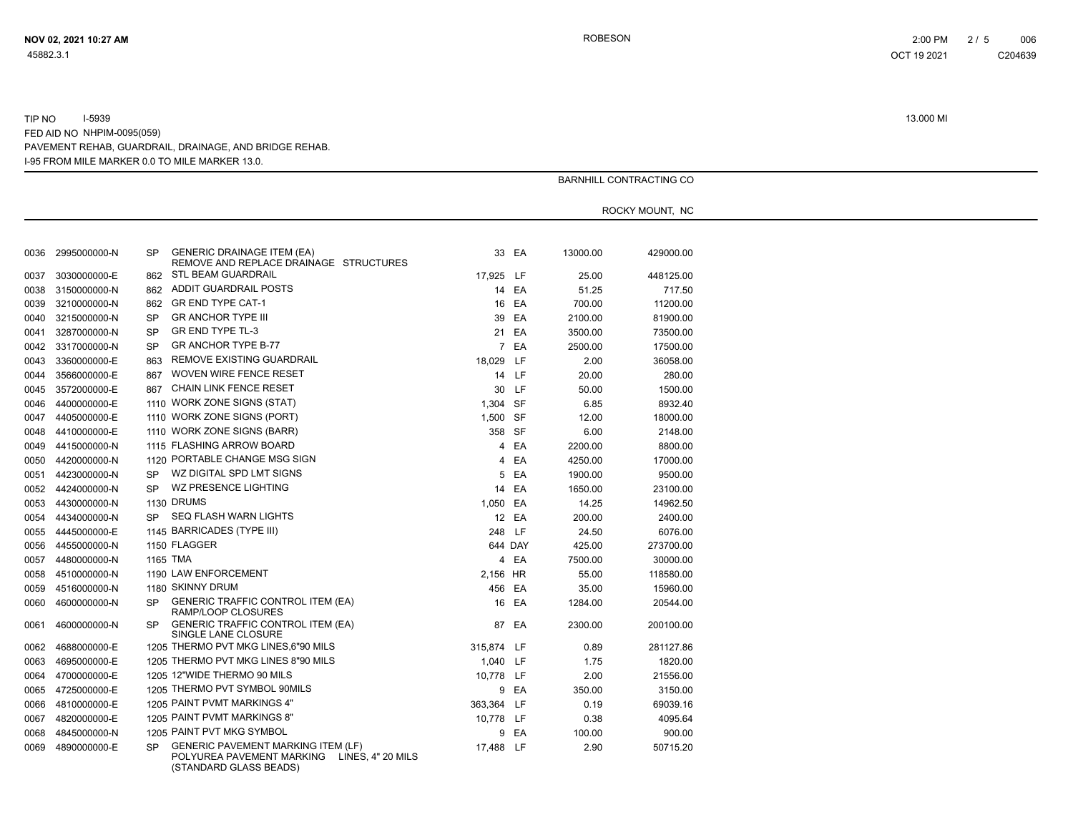|      |              |                                                                                                                                  |            |         |          | BARNHILL CONTRACTING CO |  |
|------|--------------|----------------------------------------------------------------------------------------------------------------------------------|------------|---------|----------|-------------------------|--|
|      |              |                                                                                                                                  |            |         |          |                         |  |
|      |              |                                                                                                                                  |            |         |          | ROCKY MOUNT, NC         |  |
|      |              |                                                                                                                                  |            |         |          |                         |  |
|      |              |                                                                                                                                  |            |         |          |                         |  |
| 0036 | 2995000000-N | <b>GENERIC DRAINAGE ITEM (EA)</b><br><b>SP</b><br>REMOVE AND REPLACE DRAINAGE STRUCTURES                                         |            | 33 EA   | 13000.00 | 429000.00               |  |
| 0037 | 3030000000-E | STL BEAM GUARDRAIL<br>862                                                                                                        | 17,925 LF  |         | 25.00    | 448125.00               |  |
| 0038 | 3150000000-N | ADDIT GUARDRAIL POSTS<br>862                                                                                                     |            | 14 EA   | 51.25    | 717.50                  |  |
| 0039 | 3210000000-N | <b>GR END TYPE CAT-1</b><br>862                                                                                                  |            | 16 EA   | 700.00   | 11200.00                |  |
| 0040 | 3215000000-N | <b>SP</b><br><b>GR ANCHOR TYPE III</b>                                                                                           |            | 39 EA   | 2100.00  | 81900.00                |  |
| 0041 | 3287000000-N | <b>GR END TYPE TL-3</b><br><b>SP</b>                                                                                             |            | 21 EA   | 3500.00  | 73500.00                |  |
| 0042 | 3317000000-N | <b>GR ANCHOR TYPE B-77</b><br><b>SP</b>                                                                                          |            | 7 EA    | 2500.00  | 17500.00                |  |
| 0043 | 3360000000-E | REMOVE EXISTING GUARDRAIL<br>863                                                                                                 | 18,029 LF  |         | 2.00     | 36058.00                |  |
| 0044 | 3566000000-E | WOVEN WIRE FENCE RESET<br>867                                                                                                    |            | 14 LF   | 20.00    | 280.00                  |  |
| 0045 | 3572000000-E | CHAIN LINK FENCE RESET<br>867                                                                                                    |            | 30 LF   | 50.00    | 1500.00                 |  |
| 0046 | 4400000000-E | 1110 WORK ZONE SIGNS (STAT)                                                                                                      | 1,304 SF   |         | 6.85     | 8932.40                 |  |
| 0047 | 4405000000-E | 1110 WORK ZONE SIGNS (PORT)                                                                                                      | 1,500 SF   |         | 12.00    | 18000.00                |  |
| 0048 | 4410000000-E | 1110 WORK ZONE SIGNS (BARR)                                                                                                      | 358 SF     |         | 6.00     | 2148.00                 |  |
| 0049 | 4415000000-N | 1115 FLASHING ARROW BOARD                                                                                                        |            | 4 EA    | 2200.00  | 8800.00                 |  |
| 0050 | 4420000000-N | 1120 PORTABLE CHANGE MSG SIGN                                                                                                    | 4          | EA      | 4250.00  | 17000.00                |  |
| 0051 | 4423000000-N | WZ DIGITAL SPD LMT SIGNS<br><b>SP</b>                                                                                            |            | 5 EA    | 1900.00  | 9500.00                 |  |
| 0052 | 4424000000-N | WZ PRESENCE LIGHTING<br><b>SP</b>                                                                                                |            | 14 EA   | 1650.00  | 23100.00                |  |
| 0053 | 4430000000-N | 1130 DRUMS                                                                                                                       | 1,050 EA   |         | 14.25    | 14962.50                |  |
| 0054 | 4434000000-N | SEQ FLASH WARN LIGHTS<br><b>SP</b>                                                                                               |            | 12 EA   | 200.00   | 2400.00                 |  |
| 0055 | 4445000000-E | 1145 BARRICADES (TYPE III)                                                                                                       | 248 LF     |         | 24.50    | 6076.00                 |  |
| 0056 | 4455000000-N | 1150 FLAGGER                                                                                                                     |            | 644 DAY | 425.00   | 273700.00               |  |
| 0057 | 4480000000-N | 1165 TMA                                                                                                                         |            | 4 EA    | 7500.00  | 30000.00                |  |
| 0058 | 4510000000-N | 1190 LAW ENFORCEMENT                                                                                                             | 2,156 HR   |         | 55.00    | 118580.00               |  |
| 0059 | 4516000000-N | 1180 SKINNY DRUM                                                                                                                 | 456 EA     |         | 35.00    | 15960.00                |  |
| 0060 | 4600000000-N | <b>GENERIC TRAFFIC CONTROL ITEM (EA)</b><br><b>SP</b>                                                                            |            | 16 EA   | 1284.00  | 20544.00                |  |
|      |              | RAMP/LOOP CLOSURES                                                                                                               |            |         |          |                         |  |
| 0061 | 4600000000-N | <b>GENERIC TRAFFIC CONTROL ITEM (EA)</b><br><b>SP</b><br>SINGLE LANE CLOSURE                                                     |            | 87 EA   | 2300.00  | 200100.00               |  |
| 0062 | 4688000000-E | 1205 THERMO PVT MKG LINES,6"90 MILS                                                                                              | 315,874 LF |         | 0.89     | 281127.86               |  |
| 0063 | 4695000000-E | 1205 THERMO PVT MKG LINES 8"90 MILS                                                                                              | 1,040 LF   |         | 1.75     | 1820.00                 |  |
| 0064 | 4700000000-E | 1205 12"WIDE THERMO 90 MILS                                                                                                      | 10,778 LF  |         | 2.00     | 21556.00                |  |
| 0065 | 4725000000-E | 1205 THERMO PVT SYMBOL 90MILS                                                                                                    |            | 9 EA    | 350.00   | 3150.00                 |  |
| 0066 | 4810000000-E | 1205 PAINT PVMT MARKINGS 4"                                                                                                      | 363,364 LF |         | 0.19     | 69039.16                |  |
| 0067 | 4820000000-E | 1205 PAINT PVMT MARKINGS 8"                                                                                                      | 10,778 LF  |         | 0.38     | 4095.64                 |  |
| 0068 | 4845000000-N | 1205 PAINT PVT MKG SYMBOL                                                                                                        |            | 9 EA    | 100.00   | 900.00                  |  |
| 0069 | 4890000000-E | <b>GENERIC PAVEMENT MARKING ITEM (LF)</b><br><b>SP</b><br>POLYUREA PAVEMENT MARKING  LINES, 4" 20 MILS<br>(STANDARD GLASS BEADS) | 17,488 LF  |         | 2.90     | 50715.20                |  |

**NOV 02, 2021 10:27 AM** ROBESON 2:00 PM 2 / 5 006 OCT 19 2021 C204639C204639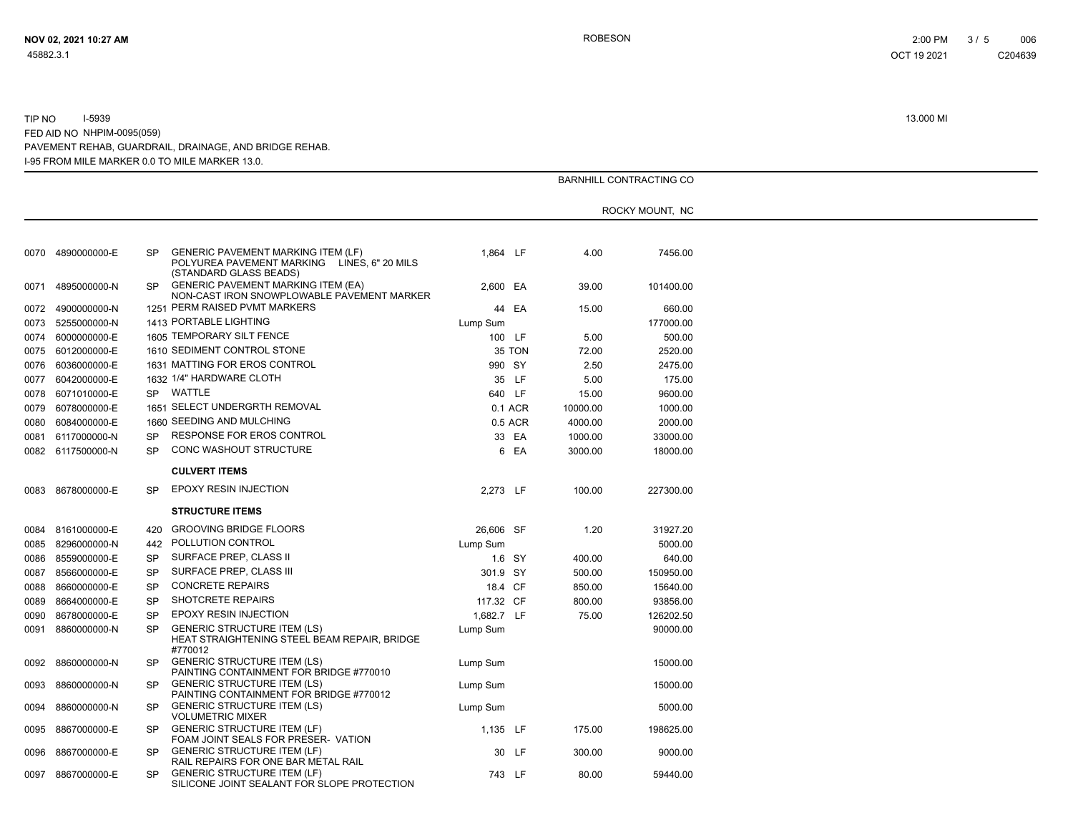|      |                   |           |                                                                                                                    |            |         |          | BARNHILL CONTRACTING CO |  |
|------|-------------------|-----------|--------------------------------------------------------------------------------------------------------------------|------------|---------|----------|-------------------------|--|
|      |                   |           |                                                                                                                    |            |         |          |                         |  |
|      |                   |           |                                                                                                                    |            |         |          | ROCKY MOUNT, NC         |  |
|      |                   |           |                                                                                                                    |            |         |          |                         |  |
|      | 0070 4890000000-E | SP        | <b>GENERIC PAVEMENT MARKING ITEM (LF)</b><br>POLYUREA PAVEMENT MARKING LINES, 6" 20 MILS<br>(STANDARD GLASS BEADS) | 1,864 LF   |         | 4.00     | 7456.00                 |  |
| 0071 | 4895000000-N      | <b>SP</b> | <b>GENERIC PAVEMENT MARKING ITEM (EA)</b><br>NON-CAST IRON SNOWPLOWABLE PAVEMENT MARKER                            | 2,600 EA   |         | 39.00    | 101400.00               |  |
| 0072 | 4900000000-N      |           | 1251 PERM RAISED PVMT MARKERS                                                                                      |            | 44 EA   | 15.00    | 660.00                  |  |
| 0073 | 5255000000-N      |           | 1413 PORTABLE LIGHTING                                                                                             | Lump Sum   |         |          | 177000.00               |  |
| 0074 | 6000000000-E      |           | 1605 TEMPORARY SILT FENCE                                                                                          |            | 100 LF  | 5.00     | 500.00                  |  |
| 0075 | 6012000000-E      |           | 1610 SEDIMENT CONTROL STONE                                                                                        |            | 35 TON  | 72.00    | 2520.00                 |  |
| 0076 | 6036000000-E      |           | 1631 MATTING FOR EROS CONTROL                                                                                      | 990 SY     |         | 2.50     | 2475.00                 |  |
| 0077 | 6042000000-E      |           | 1632 1/4" HARDWARE CLOTH                                                                                           |            | 35 LF   | 5.00     | 175.00                  |  |
| 0078 | 6071010000-E      |           | SP WATTLE                                                                                                          | 640 LF     |         | 15.00    | 9600.00                 |  |
| 0079 | 6078000000-E      |           | 1651 SELECT UNDERGRTH REMOVAL                                                                                      |            | 0.1 ACR | 10000.00 | 1000.00                 |  |
| 0080 | 6084000000-E      |           | 1660 SEEDING AND MULCHING                                                                                          |            | 0.5 ACR | 4000.00  | 2000.00                 |  |
| 0081 | 6117000000-N      | <b>SP</b> | RESPONSE FOR EROS CONTROL                                                                                          |            | 33 EA   | 1000.00  | 33000.00                |  |
|      | 0082 6117500000-N | SP        | <b>CONC WASHOUT STRUCTURE</b>                                                                                      |            | 6 EA    | 3000.00  | 18000.00                |  |
|      |                   |           | <b>CULVERT ITEMS</b>                                                                                               |            |         |          |                         |  |
|      | 0083 8678000000-E | <b>SP</b> | <b>EPOXY RESIN INJECTION</b>                                                                                       | 2.273 LF   |         | 100.00   | 227300.00               |  |
|      |                   |           |                                                                                                                    |            |         |          |                         |  |
|      |                   |           | <b>STRUCTURE ITEMS</b>                                                                                             |            |         |          |                         |  |
| 0084 | 8161000000-E      | 420       | <b>GROOVING BRIDGE FLOORS</b>                                                                                      | 26,606 SF  |         | 1.20     | 31927.20                |  |
| 0085 | 8296000000-N      | 442       | POLLUTION CONTROL                                                                                                  | Lump Sum   |         |          | 5000.00                 |  |
| 0086 | 8559000000-E      | <b>SP</b> | SURFACE PREP, CLASS II                                                                                             |            | 1.6 SY  | 400.00   | 640.00                  |  |
| 0087 | 8566000000-E      | SP        | SURFACE PREP, CLASS III                                                                                            | 301.9 SY   |         | 500.00   | 150950.00               |  |
| 0088 | 8660000000-E      | <b>SP</b> | <b>CONCRETE REPAIRS</b>                                                                                            | 18.4 CF    |         | 850.00   | 15640.00                |  |
| 0089 | 8664000000-E      | <b>SP</b> | <b>SHOTCRETE REPAIRS</b>                                                                                           | 117.32 CF  |         | 800.00   | 93856.00                |  |
| 0090 | 8678000000-E      | <b>SP</b> | <b>EPOXY RESIN INJECTION</b>                                                                                       | 1.682.7 LF |         | 75.00    | 126202.50               |  |
| 0091 | 8860000000-N      | <b>SP</b> | <b>GENERIC STRUCTURE ITEM (LS)</b><br>HEAT STRAIGHTENING STEEL BEAM REPAIR, BRIDGE<br>#770012                      | Lump Sum   |         |          | 90000.00                |  |
| 0092 | 8860000000-N      | <b>SP</b> | <b>GENERIC STRUCTURE ITEM (LS)</b><br>PAINTING CONTAINMENT FOR BRIDGE #770010                                      | Lump Sum   |         |          | 15000.00                |  |
| 0093 | 8860000000-N      | SP        | <b>GENERIC STRUCTURE ITEM (LS)</b><br>PAINTING CONTAINMENT FOR BRIDGE #770012                                      | Lump Sum   |         |          | 15000.00                |  |
| 0094 | 8860000000-N      | SP        | <b>GENERIC STRUCTURE ITEM (LS)</b><br><b>VOLUMETRIC MIXER</b>                                                      | Lump Sum   |         |          | 5000.00                 |  |
| 0095 | 8867000000-E      | SP        | <b>GENERIC STRUCTURE ITEM (LF)</b><br>FOAM JOINT SEALS FOR PRESER- VATION                                          | 1,135 LF   |         | 175.00   | 198625.00               |  |
| 0096 | 8867000000-E      | SP        | <b>GENERIC STRUCTURE ITEM (LF)</b><br>RAIL REPAIRS FOR ONE BAR METAL RAIL                                          | 30         | - LF    | 300.00   | 9000.00                 |  |
| 0097 | 8867000000-E      | SP        | <b>GENERIC STRUCTURE ITEM (LF)</b><br>SILICONE JOINT SEALANT FOR SLOPE PROTECTION                                  | 743 LF     |         | 80.00    | 59440.00                |  |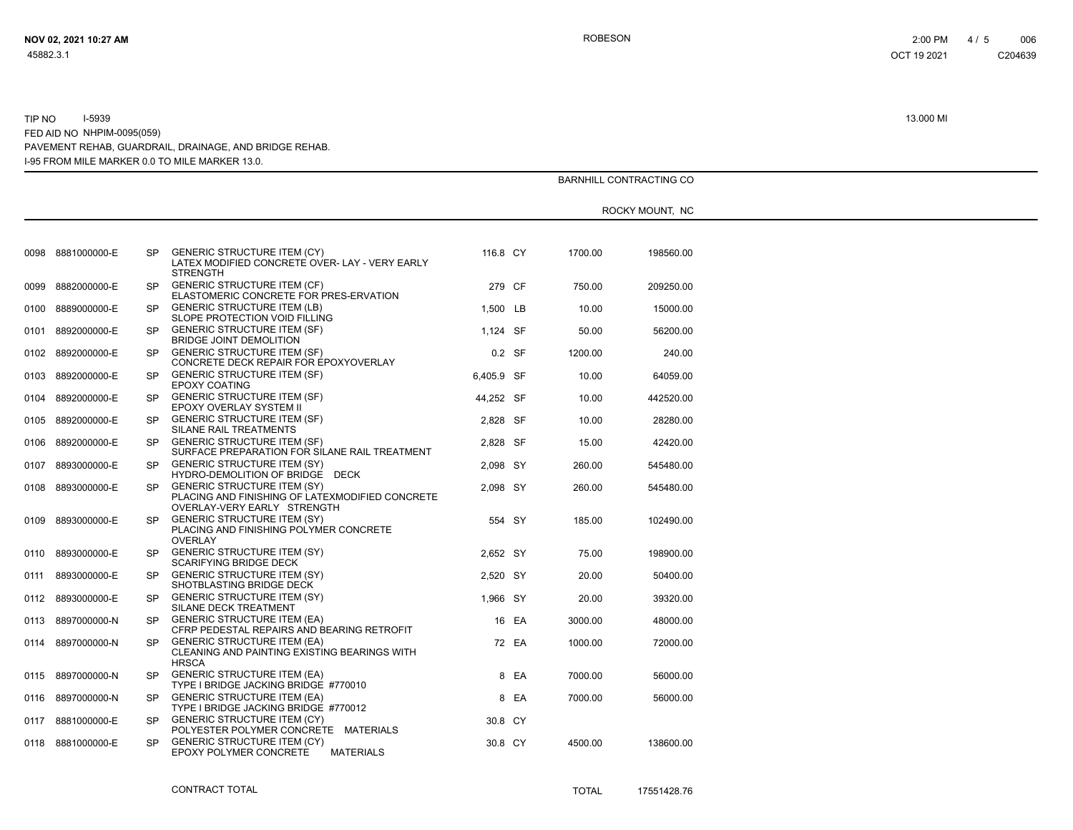|      |                   |           |                                                                                                                      |            |       |         | BARNHILL CONTRACTING CO |  |
|------|-------------------|-----------|----------------------------------------------------------------------------------------------------------------------|------------|-------|---------|-------------------------|--|
|      |                   |           |                                                                                                                      |            |       |         | ROCKY MOUNT, NC         |  |
|      |                   |           |                                                                                                                      |            |       |         |                         |  |
|      | 0098 8881000000-E | SP        | <b>GENERIC STRUCTURE ITEM (CY)</b><br>LATEX MODIFIED CONCRETE OVER-LAY - VERY EARLY<br><b>STRENGTH</b>               | 116.8 CY   |       | 1700.00 | 198560.00               |  |
| 0099 | 8882000000-E      | SP.       | <b>GENERIC STRUCTURE ITEM (CF)</b><br>ELASTOMERIC CONCRETE FOR PRES-ERVATION                                         | 279 CF     |       | 750.00  | 209250.00               |  |
|      | 0100 8889000000-E | SP        | <b>GENERIC STRUCTURE ITEM (LB)</b><br>SLOPE PROTECTION VOID FILLING                                                  | 1.500 LB   |       | 10.00   | 15000.00                |  |
| 0101 | 8892000000-E      | SP.       | <b>GENERIC STRUCTURE ITEM (SF)</b><br><b>BRIDGE JOINT DEMOLITION</b>                                                 | 1,124 SF   |       | 50.00   | 56200.00                |  |
|      | 0102 8892000000-E | <b>SP</b> | <b>GENERIC STRUCTURE ITEM (SF)</b><br>CONCRETE DECK REPAIR FOR EPOXYOVERLAY                                          | 0.2 SF     |       | 1200.00 | 240.00                  |  |
|      | 0103 8892000000-E | SP.       | <b>GENERIC STRUCTURE ITEM (SF)</b><br><b>EPOXY COATING</b>                                                           | 6.405.9 SF |       | 10.00   | 64059.00                |  |
| 0104 | 8892000000-E      | <b>SP</b> | <b>GENERIC STRUCTURE ITEM (SF)</b><br>EPOXY OVERLAY SYSTEM II                                                        | 44,252 SF  |       | 10.00   | 442520.00               |  |
|      | 0105 8892000000-E | SP        | <b>GENERIC STRUCTURE ITEM (SF)</b><br>SILANE RAIL TREATMENTS                                                         | 2.828 SF   |       | 10.00   | 28280.00                |  |
| 0106 | 8892000000-E      | SP        | <b>GENERIC STRUCTURE ITEM (SF)</b><br>SURFACE PREPARATION FOR SILANE RAIL TREATMENT                                  | 2,828 SF   |       | 15.00   | 42420.00                |  |
| 0107 | 8893000000-E      | SP.       | <b>GENERIC STRUCTURE ITEM (SY)</b><br>HYDRO-DEMOLITION OF BRIDGE DECK                                                | 2,098 SY   |       | 260.00  | 545480.00               |  |
|      | 0108 8893000000-E | <b>SP</b> | <b>GENERIC STRUCTURE ITEM (SY)</b><br>PLACING AND FINISHING OF LATEXMODIFIED CONCRETE<br>OVERLAY-VERY EARLY STRENGTH | 2,098 SY   |       | 260.00  | 545480.00               |  |
|      | 0109 8893000000-E | SP.       | <b>GENERIC STRUCTURE ITEM (SY)</b><br>PLACING AND FINISHING POLYMER CONCRETE<br><b>OVERLAY</b>                       | 554 SY     |       | 185.00  | 102490.00               |  |
| 0110 | 8893000000-E      | SP.       | <b>GENERIC STRUCTURE ITEM (SY)</b><br><b>SCARIFYING BRIDGE DECK</b>                                                  | 2,652 SY   |       | 75.00   | 198900.00               |  |
| 0111 | 8893000000-E      | <b>SP</b> | <b>GENERIC STRUCTURE ITEM (SY)</b><br>SHOTBLASTING BRIDGE DECK                                                       | 2,520 SY   |       | 20.00   | 50400.00                |  |
|      | 0112 8893000000-E | SP        | <b>GENERIC STRUCTURE ITEM (SY)</b><br>SILANE DECK TREATMENT                                                          | 1,966 SY   |       | 20.00   | 39320.00                |  |
| 0113 | 8897000000-N      | <b>SP</b> | <b>GENERIC STRUCTURE ITEM (EA)</b><br>CFRP PEDESTAL REPAIRS AND BEARING RETROFIT                                     |            | 16 EA | 3000.00 | 48000.00                |  |
|      | 0114 8897000000-N | <b>SP</b> | <b>GENERIC STRUCTURE ITEM (EA)</b><br>CLEANING AND PAINTING EXISTING BEARINGS WITH<br><b>HRSCA</b>                   |            | 72 EA | 1000.00 | 72000.00                |  |
|      | 0115 8897000000-N | SP.       | <b>GENERIC STRUCTURE ITEM (EA)</b><br>TYPE I BRIDGE JACKING BRIDGE #770010                                           |            | 8 EA  | 7000.00 | 56000.00                |  |
|      | 0116 8897000000-N | SP.       | <b>GENERIC STRUCTURE ITEM (EA)</b><br>TYPE I BRIDGE JACKING BRIDGE #770012                                           |            | 8 EA  | 7000.00 | 56000.00                |  |
| 0117 | 8881000000-E      | SP.       | <b>GENERIC STRUCTURE ITEM (CY)</b><br>POLYESTER POLYMER CONCRETE MATERIALS                                           | 30.8 CY    |       |         |                         |  |
|      | 0118 8881000000-E | SP.       | <b>GENERIC STRUCTURE ITEM (CY)</b><br>EPOXY POLYMER CONCRETE<br>MATERIALS                                            | 30.8 CY    |       | 4500.00 | 138600.00               |  |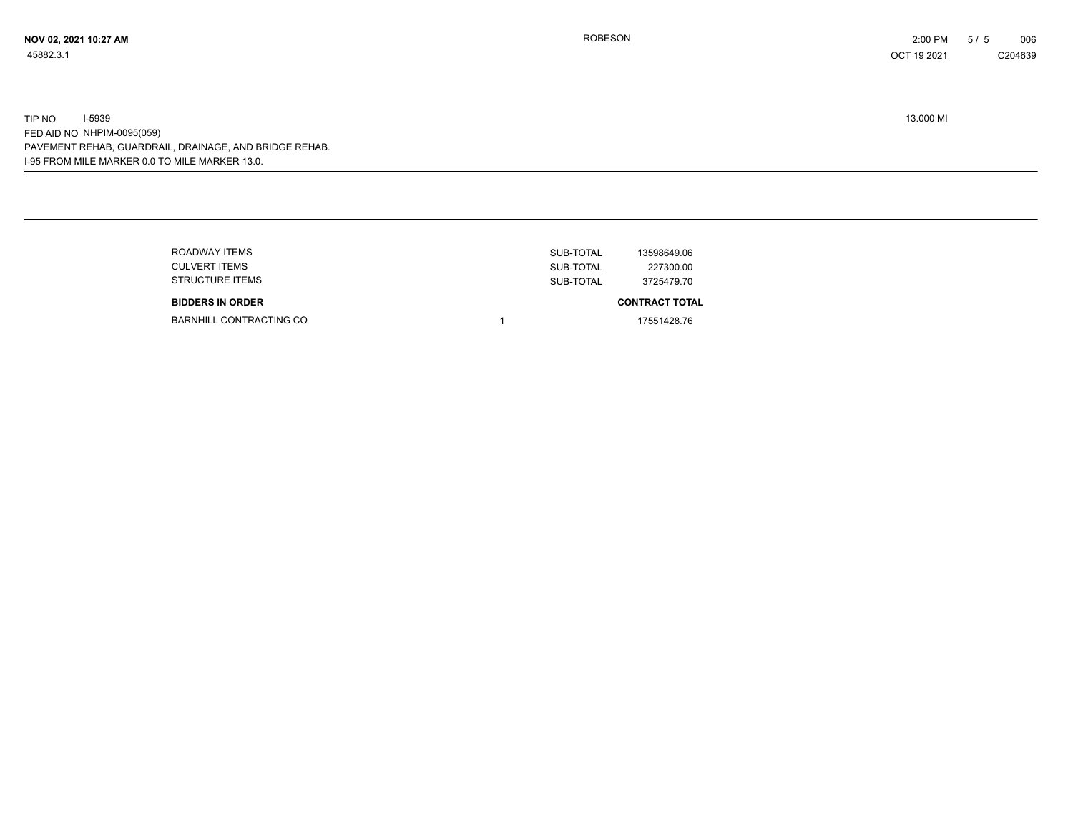| ROADWAY ITEMS<br><b>CULVERT ITEMS</b>             | SUB-TOTAL<br>SUB-TOTAL | 13598649.06<br>227300.00            |
|---------------------------------------------------|------------------------|-------------------------------------|
| <b>STRUCTURE ITEMS</b><br><b>BIDDERS IN ORDER</b> | SUB-TOTAL              | 3725479.70<br><b>CONTRACT TOTAL</b> |
| BARNHILL CONTRACTING CO                           |                        | 17551428.76                         |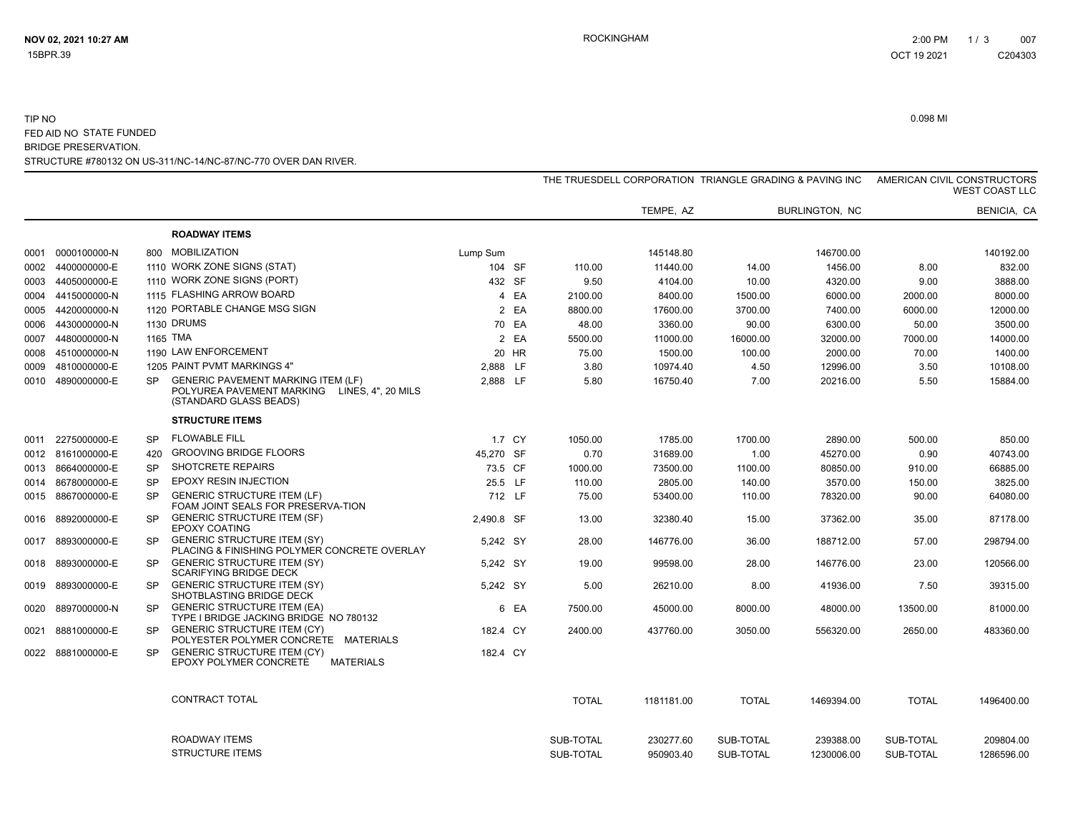#### STRUCTURE #780132 ON US-311/NC-14/NC-87/NC-770 OVER DAN RIVER. TIP NOоли в основании производит в основании производит в основании производит в основании производительно основании<br>Основания производительно основания производительно основания производительно основания производительно основа FED AID NO STATE FUNDED BRIDGE PRESERVATION.

|      |                   |           |                                                                                                                     |            |              |            | THE TRUESDELL CORPORATION TRIANGLE GRADING & PAVING INC |                |              | AMERICAN CIVIL CONSTRUCTORS<br><b>WEST COAST LLC</b> |
|------|-------------------|-----------|---------------------------------------------------------------------------------------------------------------------|------------|--------------|------------|---------------------------------------------------------|----------------|--------------|------------------------------------------------------|
|      |                   |           |                                                                                                                     |            |              | TEMPE, AZ  |                                                         | BURLINGTON, NC |              | BENICIA, CA                                          |
|      |                   |           | <b>ROADWAY ITEMS</b>                                                                                                |            |              |            |                                                         |                |              |                                                      |
| 0001 | 0000100000-N      | 800       | MOBILIZATION                                                                                                        | Lump Sum   |              | 145148.80  |                                                         | 146700.00      |              | 140192.00                                            |
|      | 0002 4400000000-E |           | 1110 WORK ZONE SIGNS (STAT)                                                                                         | 104 SF     | 110.00       | 11440.00   | 14.00                                                   | 1456.00        | 8.00         | 832.00                                               |
|      | 0003 4405000000-E |           | 1110 WORK ZONE SIGNS (PORT)                                                                                         | 432 SF     | 9.50         | 4104.00    | 10.00                                                   | 4320.00        | 9.00         | 3888.00                                              |
| 0004 | 4415000000-N      |           | 1115 FLASHING ARROW BOARD                                                                                           | 4 EA       | 2100.00      | 8400.00    | 1500.00                                                 | 6000.00        | 2000.00      | 8000.00                                              |
| 0005 | 4420000000-N      |           | 1120 PORTABLE CHANGE MSG SIGN                                                                                       | 2 EA       | 8800.00      | 17600.00   | 3700.00                                                 | 7400.00        | 6000.00      | 12000.00                                             |
| 0006 | 4430000000-N      |           | 1130 DRUMS                                                                                                          | 70 EA      | 48.00        | 3360.00    | 90.00                                                   | 6300.00        | 50.00        | 3500.00                                              |
| 0007 | 4480000000-N      |           | 1165 TMA                                                                                                            | 2 EA       | 5500.00      | 11000.00   | 16000.00                                                | 32000.00       | 7000.00      | 14000.00                                             |
| 0008 | 4510000000-N      |           | 1190 LAW ENFORCEMENT                                                                                                | 20 HR      | 75.00        | 1500.00    | 100.00                                                  | 2000.00        | 70.00        | 1400.00                                              |
| 0009 | 4810000000-E      |           | 1205 PAINT PVMT MARKINGS 4"                                                                                         | 2,888 LF   | 3.80         | 10974.40   | 4.50                                                    | 12996.00       | 3.50         | 10108.00                                             |
| 0010 | 4890000000-E      | <b>SP</b> | <b>GENERIC PAVEMENT MARKING ITEM (LF)</b><br>POLYUREA PAVEMENT MARKING LINES, 4", 20 MILS<br>(STANDARD GLASS BEADS) | 2,888 LF   | 5.80         | 16750.40   | 7.00                                                    | 20216.00       | 5.50         | 15884.00                                             |
|      |                   |           | <b>STRUCTURE ITEMS</b>                                                                                              |            |              |            |                                                         |                |              |                                                      |
|      | 0011 2275000000-E | <b>SP</b> | <b>FLOWABLE FILL</b>                                                                                                | 1.7 CY     | 1050.00      | 1785.00    | 1700.00                                                 | 2890.00        | 500.00       | 850.00                                               |
|      | 0012 8161000000-E | 420       | <b>GROOVING BRIDGE FLOORS</b>                                                                                       | 45.270 SF  | 0.70         | 31689.00   | 1.00                                                    | 45270.00       | 0.90         | 40743.00                                             |
| 0013 | 8664000000-E      | <b>SP</b> | SHOTCRETE REPAIRS                                                                                                   | 73.5 CF    | 1000.00      | 73500.00   | 1100.00                                                 | 80850.00       | 910.00       | 66885.00                                             |
| 0014 | 8678000000-E      | <b>SP</b> | <b>EPOXY RESIN INJECTION</b>                                                                                        | 25.5 LF    | 110.00       | 2805.00    | 140.00                                                  | 3570.00        | 150.00       | 3825.00                                              |
|      | 0015 8867000000-E | <b>SP</b> | <b>GENERIC STRUCTURE ITEM (LF)</b><br>FOAM JOINT SEALS FOR PRESERVA-TION                                            | 712 LF     | 75.00        | 53400.00   | 110.00                                                  | 78320.00       | 90.00        | 64080.00                                             |
|      | 0016 8892000000-E | SP.       | <b>GENERIC STRUCTURE ITEM (SF)</b><br><b>EPOXY COATING</b>                                                          | 2,490.8 SF | 13.00        | 32380.40   | 15.00                                                   | 37362.00       | 35.00        | 87178.00                                             |
| 0017 | 8893000000-E      | <b>SP</b> | <b>GENERIC STRUCTURE ITEM (SY)</b><br>PLACING & FINISHING POLYMER CONCRETE OVERLAY                                  | 5,242 SY   | 28.00        | 146776.00  | 36.00                                                   | 188712.00      | 57.00        | 298794.00                                            |
| 0018 | 8893000000-E      | <b>SP</b> | <b>GENERIC STRUCTURE ITEM (SY)</b><br><b>SCARIFYING BRIDGE DECK</b>                                                 | 5,242 SY   | 19.00        | 99598.00   | 28.00                                                   | 146776.00      | 23.00        | 120566.00                                            |
| 0019 | 8893000000-E      | <b>SP</b> | <b>GENERIC STRUCTURE ITEM (SY)</b><br><b>SHOTBLASTING BRIDGE DECK</b>                                               | 5,242 SY   | 5.00         | 26210.00   | 8.00                                                    | 41936.00       | 7.50         | 39315.00                                             |
| 0020 | 8897000000-N      | <b>SP</b> | <b>GENERIC STRUCTURE ITEM (EA)</b><br>TYPE I BRIDGE JACKING BRIDGE NO 780132                                        | 6 EA       | 7500.00      | 45000.00   | 8000.00                                                 | 48000.00       | 13500.00     | 81000.00                                             |
|      | 0021 8881000000-E | SP.       | <b>GENERIC STRUCTURE ITEM (CY)</b><br>POLYESTER POLYMER CONCRETE MATERIALS                                          | 182.4 CY   | 2400.00      | 437760.00  | 3050.00                                                 | 556320.00      | 2650.00      | 483360.00                                            |
| 0022 | 8881000000-E      | SP.       | <b>GENERIC STRUCTURE ITEM (CY)</b><br>EPOXY POLYMER CONCRETE<br><b>MATERIALS</b>                                    | 182.4 CY   |              |            |                                                         |                |              |                                                      |
|      |                   |           | <b>CONTRACT TOTAL</b>                                                                                               |            | <b>TOTAL</b> | 1181181.00 | <b>TOTAL</b>                                            | 1469394.00     | <b>TOTAL</b> | 1496400.00                                           |
|      |                   |           | ROADWAY ITEMS                                                                                                       |            | SUB-TOTAL    | 230277.60  | SUB-TOTAL                                               | 239388.00      | SUB-TOTAL    | 209804.00                                            |
|      |                   |           | <b>STRUCTURE ITEMS</b>                                                                                              |            | SUB-TOTAL    | 950903.40  | SUB-TOTAL                                               | 1230006.00     | SUB-TOTAL    | 1286596.00                                           |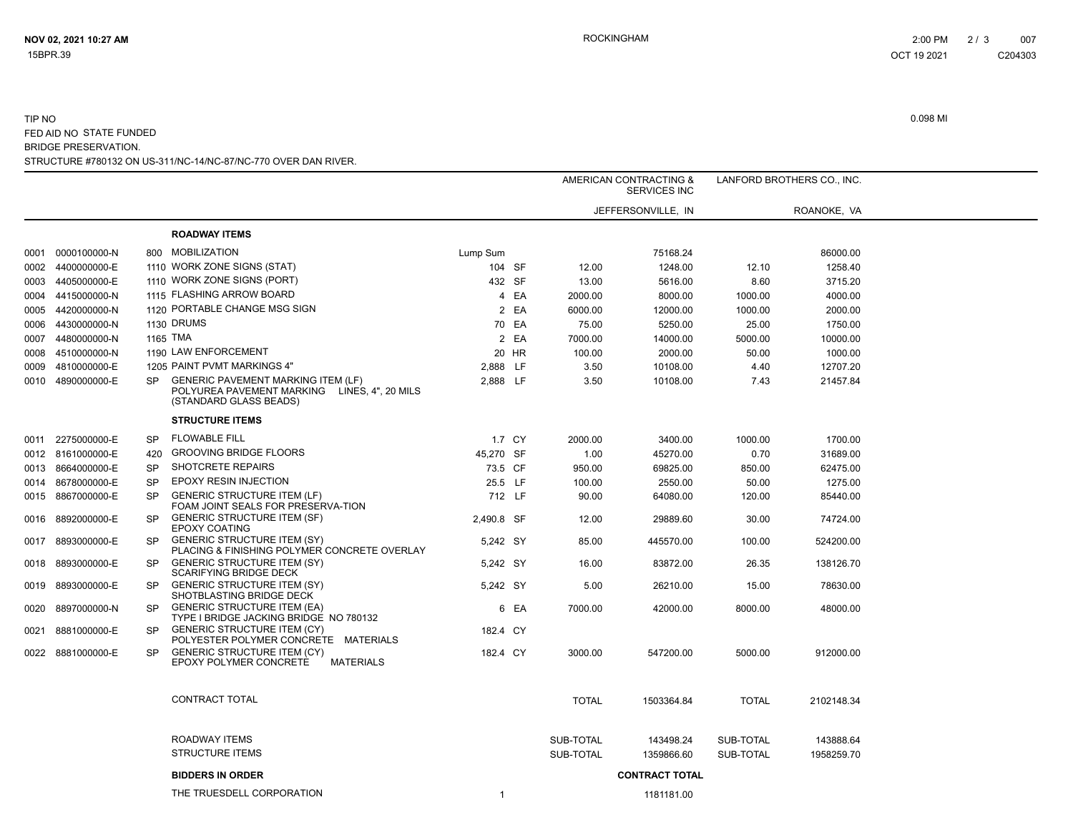#### STRUCTURE #780132 ON US-311/NC-14/NC-87/NC-770 OVER DAN RIVER. TIP NOоли в основании производит в основании производит в основании производит в основании производительно основании<br>Основания производительно основания производительно основания производительно основания производительно основа FED AID NO STATE FUNDED BRIDGE PRESERVATION.

|      |                   |           |                                                                                                                     |            |              | AMERICAN CONTRACTING &<br><b>SERVICES INC</b> |              | LANFORD BROTHERS CO., INC. |
|------|-------------------|-----------|---------------------------------------------------------------------------------------------------------------------|------------|--------------|-----------------------------------------------|--------------|----------------------------|
|      |                   |           |                                                                                                                     |            |              | JEFFERSONVILLE, IN                            |              | ROANOKE, VA                |
|      |                   |           | <b>ROADWAY ITEMS</b>                                                                                                |            |              |                                               |              |                            |
|      | 0001 0000100000-N | 800       | MOBILIZATION                                                                                                        | Lump Sum   |              | 75168.24                                      |              | 86000.00                   |
| 0002 | 4400000000-E      |           | 1110 WORK ZONE SIGNS (STAT)                                                                                         | 104 SF     | 12.00        | 1248.00                                       | 12.10        | 1258.40                    |
|      | 0003 4405000000-E |           | 1110 WORK ZONE SIGNS (PORT)                                                                                         | 432 SF     | 13.00        | 5616.00                                       | 8.60         | 3715.20                    |
|      | 0004 4415000000-N |           | 1115 FLASHING ARROW BOARD                                                                                           | 4 EA       | 2000.00      | 8000.00                                       | 1000.00      | 4000.00                    |
|      | 0005 4420000000-N |           | 1120 PORTABLE CHANGE MSG SIGN                                                                                       | 2 EA       | 6000.00      | 12000.00                                      | 1000.00      | 2000.00                    |
| 0006 | 4430000000-N      |           | 1130 DRUMS                                                                                                          | 70 EA      | 75.00        | 5250.00                                       | 25.00        | 1750.00                    |
| 0007 | 4480000000-N      |           | 1165 TMA                                                                                                            | 2 EA       | 7000.00      | 14000.00                                      | 5000.00      | 10000.00                   |
| 0008 | 4510000000-N      |           | 1190 LAW ENFORCEMENT                                                                                                | 20 HR      | 100.00       | 2000.00                                       | 50.00        | 1000.00                    |
| 0009 | 4810000000-E      |           | 1205 PAINT PVMT MARKINGS 4"                                                                                         | 2,888 LF   | 3.50         | 10108.00                                      | 4.40         | 12707.20                   |
|      | 0010 4890000000-E | SP.       | <b>GENERIC PAVEMENT MARKING ITEM (LF)</b><br>POLYUREA PAVEMENT MARKING LINES, 4", 20 MILS<br>(STANDARD GLASS BEADS) | 2,888 LF   | 3.50         | 10108.00                                      | 7.43         | 21457.84                   |
|      |                   |           | <b>STRUCTURE ITEMS</b>                                                                                              |            |              |                                               |              |                            |
|      | 0011 2275000000-E | SP        | <b>FLOWABLE FILL</b>                                                                                                | 1.7 CY     | 2000.00      | 3400.00                                       | 1000.00      | 1700.00                    |
|      | 0012 8161000000-E | 420       | <b>GROOVING BRIDGE FLOORS</b>                                                                                       | 45,270 SF  | 1.00         | 45270.00                                      | 0.70         | 31689.00                   |
|      | 0013 8664000000-E | <b>SP</b> | SHOTCRETE REPAIRS                                                                                                   | 73.5 CF    | 950.00       | 69825.00                                      | 850.00       | 62475.00                   |
|      | 0014 8678000000-E | <b>SP</b> | <b>EPOXY RESIN INJECTION</b>                                                                                        | 25.5 LF    | 100.00       | 2550.00                                       | 50.00        | 1275.00                    |
|      | 0015 8867000000-E | <b>SP</b> | <b>GENERIC STRUCTURE ITEM (LF)</b><br>FOAM JOINT SEALS FOR PRESERVA-TION                                            | 712 LF     | 90.00        | 64080.00                                      | 120.00       | 85440.00                   |
|      | 0016 8892000000-E | <b>SP</b> | <b>GENERIC STRUCTURE ITEM (SF)</b><br><b>EPOXY COATING</b>                                                          | 2,490.8 SF | 12.00        | 29889.60                                      | 30.00        | 74724.00                   |
| 0017 | 8893000000-E      | SP        | <b>GENERIC STRUCTURE ITEM (SY)</b><br>PLACING & FINISHING POLYMER CONCRETE OVERLAY                                  | 5,242 SY   | 85.00        | 445570.00                                     | 100.00       | 524200.00                  |
|      | 0018 8893000000-E | SP        | <b>GENERIC STRUCTURE ITEM (SY)</b><br><b>SCARIFYING BRIDGE DECK</b>                                                 | 5,242 SY   | 16.00        | 83872.00                                      | 26.35        | 138126.70                  |
| 0019 | 8893000000-E      | SP        | <b>GENERIC STRUCTURE ITEM (SY)</b><br>SHOTBLASTING BRIDGE DECK                                                      | 5,242 SY   | 5.00         | 26210.00                                      | 15.00        | 78630.00                   |
| 0020 | 8897000000-N      | SP        | <b>GENERIC STRUCTURE ITEM (EA)</b><br>TYPE I BRIDGE JACKING BRIDGE NO 780132                                        | 6 EA       | 7000.00      | 42000.00                                      | 8000.00      | 48000.00                   |
|      | 0021 8881000000-E | <b>SP</b> | <b>GENERIC STRUCTURE ITEM (CY)</b><br>POLYESTER POLYMER CONCRETE MATERIALS                                          | 182.4 CY   |              |                                               |              |                            |
|      | 0022 8881000000-E | <b>SP</b> | <b>GENERIC STRUCTURE ITEM (CY)</b><br>EPOXY POLYMER CONCRETE<br>MATERIALS                                           | 182.4 CY   | 3000.00      | 547200.00                                     | 5000.00      | 912000.00                  |
|      |                   |           | CONTRACT TOTAL                                                                                                      |            | <b>TOTAL</b> | 1503364.84                                    | <b>TOTAL</b> | 2102148.34                 |
|      |                   |           | ROADWAY ITEMS                                                                                                       |            | SUB-TOTAL    | 143498.24                                     | SUB-TOTAL    | 143888.64                  |
|      |                   |           | <b>STRUCTURE ITEMS</b>                                                                                              |            | SUB-TOTAL    | 1359866.60                                    | SUB-TOTAL    | 1958259.70                 |
|      |                   |           | <b>BIDDERS IN ORDER</b>                                                                                             |            |              | <b>CONTRACT TOTAL</b>                         |              |                            |
|      |                   |           | THE TRUESDELL CORPORATION                                                                                           | -1         |              | 1181181 00                                    |              |                            |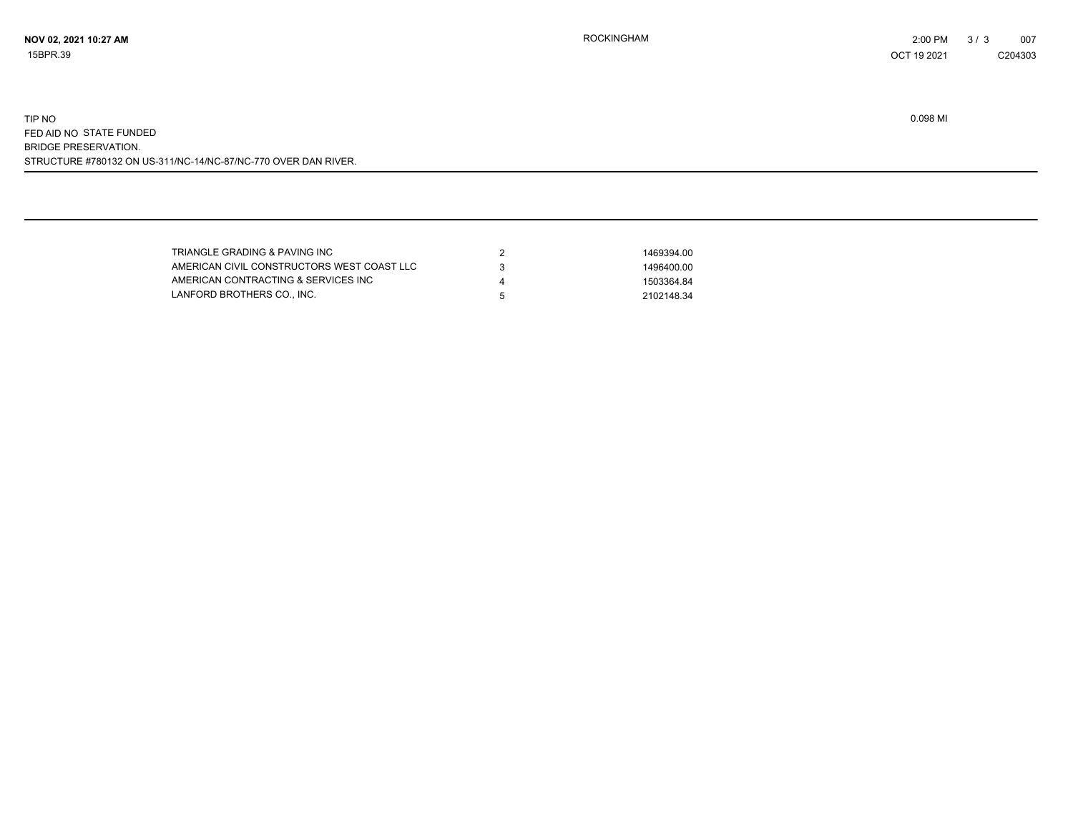STRUCTURE #780132 ON US-311/NC-14/NC-87/NC-770 OVER DAN RIVER. TIP NOоли в основании производит в основании производит в основании производит в основании производительно основании<br>Основания производительно основания производительно основания производительно основания производительно основа FED AID NO STATE FUNDED BRIDGE PRESERVATION.

| TRIANGLE GRADING & PAVING INC              |   | 1469394.00 |
|--------------------------------------------|---|------------|
| AMERICAN CIVIL CONSTRUCTORS WEST COAST LLC |   | 1496400.00 |
| AMERICAN CONTRACTING & SERVICES INC        |   | 1503364.84 |
| LANFORD BROTHERS CO., INC.                 | h | 2102148.34 |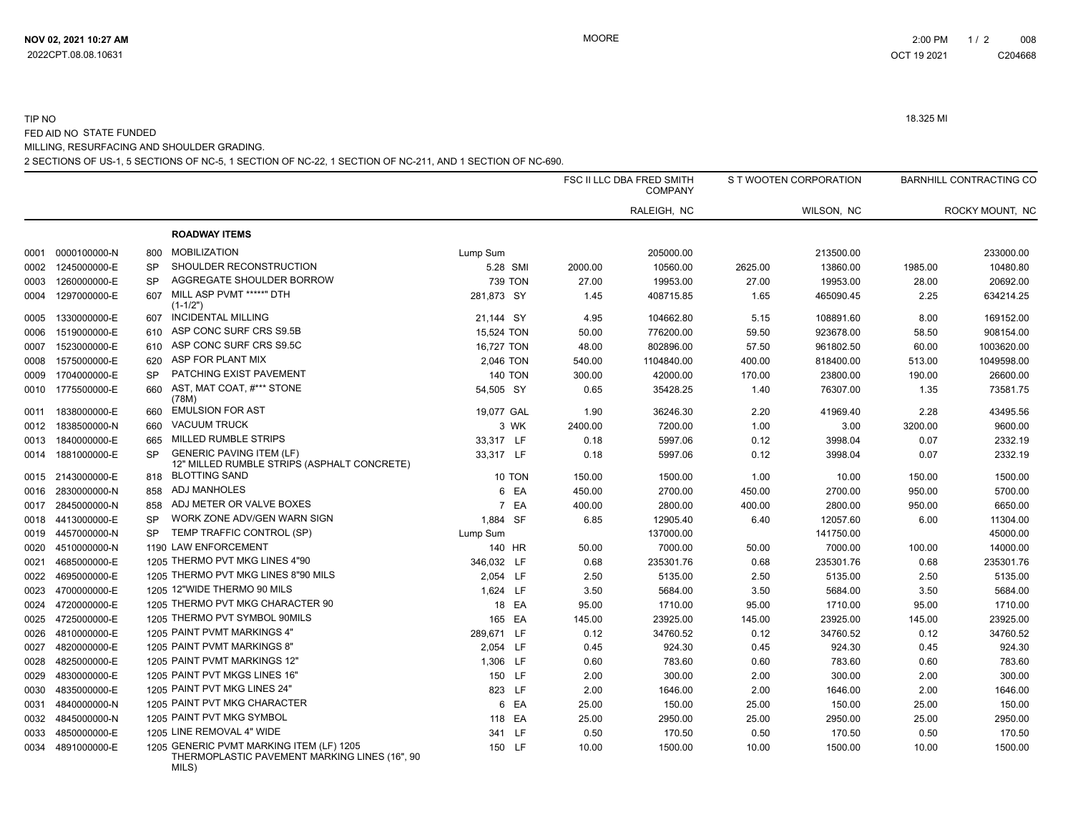#### TIP NO 18.325 MI FED AID NO STATE FUNDED MILLING, RESURFACING AND SHOULDER GRADING.

2 SECTIONS OF US-1, 5 SECTIONS OF NC-5, 1 SECTION OF NC-22, 1 SECTION OF NC-211, AND 1 SECTION OF NC-690.

|      |                   |           |                                                                                           |                |         | FSC II LLC DBA FRED SMITH<br><b>COMPANY</b> |         | S T WOOTEN CORPORATION |         | <b>BARNHILL CONTRACTING CO</b> |
|------|-------------------|-----------|-------------------------------------------------------------------------------------------|----------------|---------|---------------------------------------------|---------|------------------------|---------|--------------------------------|
|      |                   |           |                                                                                           |                |         | RALEIGH, NC                                 |         | WILSON, NC             |         | ROCKY MOUNT, NC                |
|      |                   |           | <b>ROADWAY ITEMS</b>                                                                      |                |         |                                             |         |                        |         |                                |
| 0001 | 0000100000-N      | 800       | <b>MOBILIZATION</b>                                                                       | Lump Sum       |         | 205000.00                                   |         | 213500.00              |         | 233000.00                      |
| 0002 | 1245000000-E      | <b>SP</b> | SHOULDER RECONSTRUCTION                                                                   | 5.28 SMI       | 2000.00 | 10560.00                                    | 2625.00 | 13860.00               | 1985.00 | 10480.80                       |
| 0003 | 1260000000-E      | <b>SP</b> | AGGREGATE SHOULDER BORROW                                                                 | <b>739 TON</b> | 27.00   | 19953.00                                    | 27.00   | 19953.00               | 28.00   | 20692.00                       |
| 0004 | 1297000000-E      | 607       | MILL ASP PVMT *****" DTH<br>$(1-1/2")$                                                    | 281,873 SY     | 1.45    | 408715.85                                   | 1.65    | 465090.45              | 2.25    | 634214.25                      |
| 0005 | 1330000000-E      | 607       | <b>INCIDENTAL MILLING</b>                                                                 | 21,144 SY      | 4.95    | 104662.80                                   | 5.15    | 108891.60              | 8.00    | 169152.00                      |
| 0006 | 1519000000-E      | 610       | ASP CONC SURF CRS S9.5B                                                                   | 15,524 TON     | 50.00   | 776200.00                                   | 59.50   | 923678.00              | 58.50   | 908154.00                      |
| 0007 | 1523000000-E      | 610       | ASP CONC SURF CRS S9.5C                                                                   | 16,727 TON     | 48.00   | 802896.00                                   | 57.50   | 961802.50              | 60.00   | 1003620.00                     |
| 0008 | 1575000000-E      | 620       | ASP FOR PLANT MIX                                                                         | 2,046 TON      | 540.00  | 1104840.00                                  | 400.00  | 818400.00              | 513.00  | 1049598.00                     |
| 0009 | 1704000000-E      | SP        | PATCHING EXIST PAVEMENT                                                                   | <b>140 TON</b> | 300.00  | 42000.00                                    | 170.00  | 23800.00               | 190.00  | 26600.00                       |
| 0010 | 1775500000-E      | 660       | AST, MAT COAT, #*** STONE<br>(78M)                                                        | 54,505 SY      | 0.65    | 35428.25                                    | 1.40    | 76307.00               | 1.35    | 73581.75                       |
| 0011 | 1838000000-E      | 660       | <b>EMULSION FOR AST</b>                                                                   | 19,077 GAL     | 1.90    | 36246.30                                    | 2.20    | 41969.40               | 2.28    | 43495.56                       |
| 0012 | 1838500000-N      | 660       | <b>VACUUM TRUCK</b>                                                                       | 3 WK           | 2400.00 | 7200.00                                     | 1.00    | 3.00                   | 3200.00 | 9600.00                        |
| 0013 | 1840000000-E      | 665       | MILLED RUMBLE STRIPS                                                                      | 33,317 LF      | 0.18    | 5997.06                                     | 0.12    | 3998.04                | 0.07    | 2332.19                        |
| 0014 | 1881000000-E      | <b>SP</b> | <b>GENERIC PAVING ITEM (LF)</b><br>12" MILLED RUMBLE STRIPS (ASPHALT CONCRETE)            | 33,317 LF      | 0.18    | 5997.06                                     | 0.12    | 3998.04                | 0.07    | 2332.19                        |
| 0015 | 2143000000-E      | 818       | <b>BLOTTING SAND</b>                                                                      | 10 TON         | 150.00  | 1500.00                                     | 1.00    | 10.00                  | 150.00  | 1500.00                        |
| 0016 | 2830000000-N      | 858       | ADJ MANHOLES                                                                              | 6 EA           | 450.00  | 2700.00                                     | 450.00  | 2700.00                | 950.00  | 5700.00                        |
| 0017 | 2845000000-N      | 858       | ADJ METER OR VALVE BOXES                                                                  | 7 EA           | 400.00  | 2800.00                                     | 400.00  | 2800.00                | 950.00  | 6650.00                        |
|      | 0018 4413000000-E | SP        | WORK ZONE ADV/GEN WARN SIGN                                                               | 1,884 SF       | 6.85    | 12905.40                                    | 6.40    | 12057.60               | 6.00    | 11304.00                       |
|      | 0019 4457000000-N | <b>SP</b> | TEMP TRAFFIC CONTROL (SP)                                                                 | Lump Sum       |         | 137000.00                                   |         | 141750.00              |         | 45000.00                       |
| 0020 | 4510000000-N      |           | 1190 LAW ENFORCEMENT                                                                      | 140 HR         | 50.00   | 7000.00                                     | 50.00   | 7000.00                | 100.00  | 14000.00                       |
| 0021 | 4685000000-E      |           | 1205 THERMO PVT MKG LINES 4"90                                                            | 346,032 LF     | 0.68    | 235301.76                                   | 0.68    | 235301.76              | 0.68    | 235301.76                      |
| 0022 | 4695000000-E      |           | 1205 THERMO PVT MKG LINES 8"90 MILS                                                       | 2,054 LF       | 2.50    | 5135.00                                     | 2.50    | 5135.00                | 2.50    | 5135.00                        |
| 0023 | 4700000000-E      |           | 1205 12"WIDE THERMO 90 MILS                                                               | 1,624 LF       | 3.50    | 5684.00                                     | 3.50    | 5684.00                | 3.50    | 5684.00                        |
| 0024 | 4720000000-E      |           | 1205 THERMO PVT MKG CHARACTER 90                                                          | 18 EA          | 95.00   | 1710.00                                     | 95.00   | 1710.00                | 95.00   | 1710.00                        |
| 0025 | 4725000000-E      |           | 1205 THERMO PVT SYMBOL 90MILS                                                             | 165 EA         | 145.00  | 23925.00                                    | 145.00  | 23925.00               | 145.00  | 23925.00                       |
| 0026 | 4810000000-E      |           | 1205 PAINT PVMT MARKINGS 4"                                                               | 289,671 LF     | 0.12    | 34760.52                                    | 0.12    | 34760.52               | 0.12    | 34760.52                       |
| 0027 | 4820000000-E      |           | 1205 PAINT PVMT MARKINGS 8"                                                               | 2,054 LF       | 0.45    | 924.30                                      | 0.45    | 924.30                 | 0.45    | 924.30                         |
| 0028 | 4825000000-E      |           | 1205 PAINT PVMT MARKINGS 12"                                                              | 1,306 LF       | 0.60    | 783.60                                      | 0.60    | 783.60                 | 0.60    | 783.60                         |
| 0029 | 4830000000-E      |           | 1205 PAINT PVT MKGS LINES 16"                                                             | 150 LF         | 2.00    | 300.00                                      | 2.00    | 300.00                 | 2.00    | 300.00                         |
| 0030 | 4835000000-E      |           | 1205 PAINT PVT MKG LINES 24"                                                              | 823 LF         | 2.00    | 1646.00                                     | 2.00    | 1646.00                | 2.00    | 1646.00                        |
| 0031 | 4840000000-N      |           | 1205 PAINT PVT MKG CHARACTER                                                              | 6 EA           | 25.00   | 150.00                                      | 25.00   | 150.00                 | 25.00   | 150.00                         |
| 0032 | 4845000000-N      |           | 1205 PAINT PVT MKG SYMBOL                                                                 | 118 EA         | 25.00   | 2950.00                                     | 25.00   | 2950.00                | 25.00   | 2950.00                        |
| 0033 | 4850000000-E      |           | 1205 LINE REMOVAL 4" WIDE                                                                 | 341 LF         | 0.50    | 170.50                                      | 0.50    | 170.50                 | 0.50    | 170.50                         |
|      | 0034 4891000000-E |           | 1205 GENERIC PVMT MARKING ITEM (LF) 1205<br>THERMOPLASTIC PAVEMENT MARKING LINES (16", 90 | 150 LF         | 10.00   | 1500.00                                     | 10.00   | 1500.00                | 10.00   | 1500.00                        |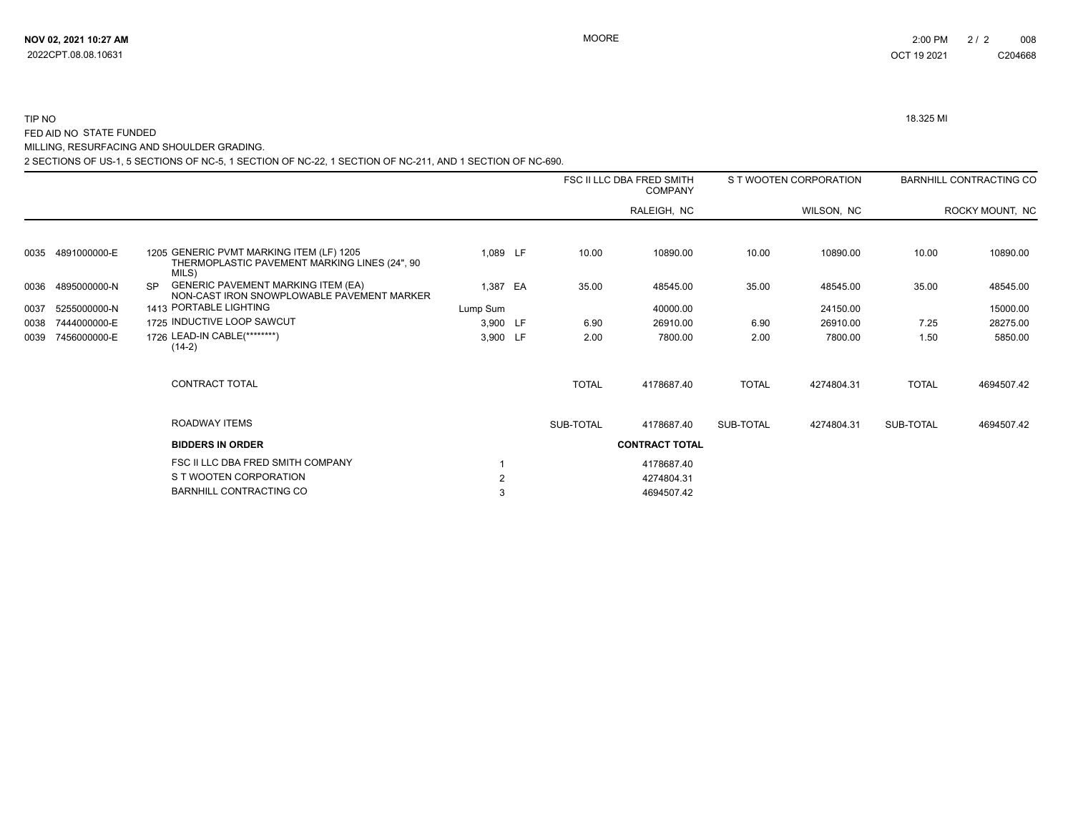2022CPT.08.08.10631

#### TIP NO 18.325 MI FED AID NO STATE FUNDED

MILLING, RESURFACING AND SHOULDER GRADING.

2 SECTIONS OF US-1, 5 SECTIONS OF NC-5, 1 SECTION OF NC-22, 1 SECTION OF NC-211, AND 1 SECTION OF NC-690.

|      |              |           |                                                                                                    |          |              | FSC II LLC DBA FRED SMITH<br><b>COMPANY</b> |              | S T WOOTEN CORPORATION |              | <b>BARNHILL CONTRACTING CO</b> |
|------|--------------|-----------|----------------------------------------------------------------------------------------------------|----------|--------------|---------------------------------------------|--------------|------------------------|--------------|--------------------------------|
|      |              |           |                                                                                                    |          |              | RALEIGH, NC                                 |              | WILSON, NC             |              | ROCKY MOUNT, NC                |
| 0035 | 4891000000-E |           | 1205 GENERIC PVMT MARKING ITEM (LF) 1205<br>THERMOPLASTIC PAVEMENT MARKING LINES (24", 90<br>MILS) | 1,089 LF | 10.00        | 10890.00                                    | 10.00        | 10890.00               | 10.00        | 10890.00                       |
| 0036 | 4895000000-N | <b>SP</b> | <b>GENERIC PAVEMENT MARKING ITEM (EA)</b><br>NON-CAST IRON SNOWPLOWABLE PAVEMENT MARKER            | 1,387 EA | 35.00        | 48545.00                                    | 35.00        | 48545.00               | 35.00        | 48545.00                       |
| 0037 | 5255000000-N |           | 1413 PORTABLE LIGHTING                                                                             | Lump Sum |              | 40000.00                                    |              | 24150.00               |              | 15000.00                       |
| 0038 | 7444000000-E |           | 1725 INDUCTIVE LOOP SAWCUT                                                                         | 3,900 LF | 6.90         | 26910.00                                    | 6.90         | 26910.00               | 7.25         | 28275.00                       |
| 0039 | 7456000000-E |           | 1726 LEAD-IN CABLE(********)<br>$(14-2)$                                                           | 3,900 LF | 2.00         | 7800.00                                     | 2.00         | 7800.00                | 1.50         | 5850.00                        |
|      |              |           | CONTRACT TOTAL                                                                                     |          | <b>TOTAL</b> | 4178687.40                                  | <b>TOTAL</b> | 4274804.31             | <b>TOTAL</b> | 4694507.42                     |
|      |              |           | ROADWAY ITEMS                                                                                      |          | SUB-TOTAL    | 4178687.40                                  | SUB-TOTAL    | 4274804.31             | SUB-TOTAL    | 4694507.42                     |
|      |              |           | <b>BIDDERS IN ORDER</b>                                                                            |          |              | <b>CONTRACT TOTAL</b>                       |              |                        |              |                                |
|      |              |           | FSC II LLC DBA FRED SMITH COMPANY                                                                  |          |              | 4178687.40                                  |              |                        |              |                                |
|      |              |           | S T WOOTEN CORPORATION                                                                             |          |              | 4274804.31                                  |              |                        |              |                                |
|      |              |           | <b>BARNHILL CONTRACTING CO</b>                                                                     |          |              | 4694507.42                                  |              |                        |              |                                |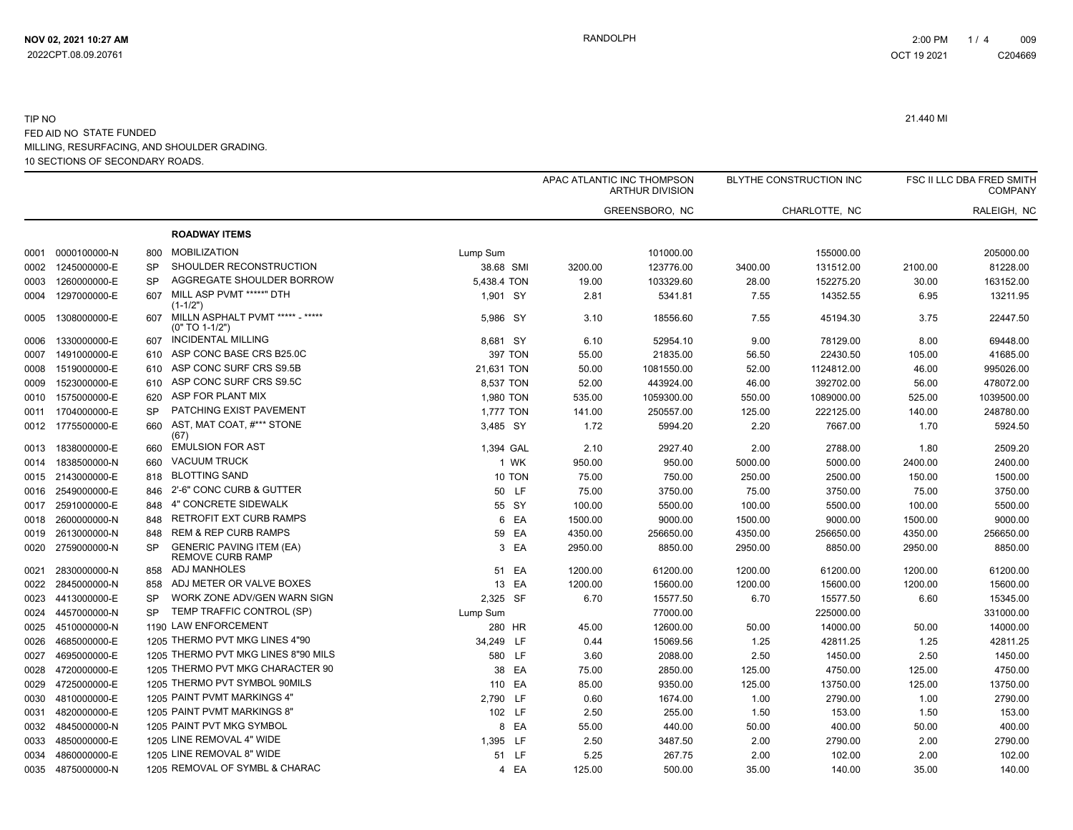|      |                   |           |                                                            |             |         | APAC ATLANTIC INC THOMPSON<br><b>ARTHUR DIVISION</b> |         | <b>BLYTHE CONSTRUCTION INC</b> |         | FSC II LLC DBA FRED SMITH<br><b>COMPANY</b> |
|------|-------------------|-----------|------------------------------------------------------------|-------------|---------|------------------------------------------------------|---------|--------------------------------|---------|---------------------------------------------|
|      |                   |           |                                                            |             |         | GREENSBORO, NC                                       |         | CHARLOTTE, NC                  |         | RALEIGH, NC                                 |
|      |                   |           | <b>ROADWAY ITEMS</b>                                       |             |         |                                                      |         |                                |         |                                             |
| 0001 | 0000100000-N      | 800       | <b>MOBILIZATION</b>                                        | Lump Sum    |         | 101000.00                                            |         | 155000.00                      |         | 205000.00                                   |
| 0002 | 1245000000-E      | <b>SP</b> | SHOULDER RECONSTRUCTION                                    | 38.68 SMI   | 3200.00 | 123776.00                                            | 3400.00 | 131512.00                      | 2100.00 | 81228.00                                    |
| 0003 | 1260000000-E      | <b>SP</b> | AGGREGATE SHOULDER BORROW                                  | 5,438.4 TON | 19.00   | 103329.60                                            | 28.00   | 152275.20                      | 30.00   | 163152.00                                   |
| 0004 | 1297000000-E      | 607       | MILL ASP PVMT *****" DTH<br>$(1 - 1/2")$                   | 1.901 SY    | 2.81    | 5341.81                                              | 7.55    | 14352.55                       | 6.95    | 13211.95                                    |
| 0005 | 1308000000-E      | 607       | MILLN ASPHALT PVMT ***** - *****<br>$(0" TO 1-1/2")$       | 5,986 SY    | 3.10    | 18556.60                                             | 7.55    | 45194.30                       | 3.75    | 22447.50                                    |
| 0006 | 1330000000-E      | 607       | <b>INCIDENTAL MILLING</b>                                  | 8,681 SY    | 6.10    | 52954.10                                             | 9.00    | 78129.00                       | 8.00    | 69448.00                                    |
| 0007 | 1491000000-E      | 610       | ASP CONC BASE CRS B25.0C                                   | 397 TON     | 55.00   | 21835.00                                             | 56.50   | 22430.50                       | 105.00  | 41685.00                                    |
| 0008 | 1519000000-E      | 610       | ASP CONC SURF CRS S9.5B                                    | 21,631 TON  | 50.00   | 1081550.00                                           | 52.00   | 1124812.00                     | 46.00   | 995026.00                                   |
| 0009 | 1523000000-E      | 610       | ASP CONC SURF CRS S9.5C                                    | 8,537 TON   | 52.00   | 443924.00                                            | 46.00   | 392702.00                      | 56.00   | 478072.00                                   |
| 0010 | 1575000000-E      | 620       | ASP FOR PLANT MIX                                          | 1,980 TON   | 535.00  | 1059300.00                                           | 550.00  | 1089000.00                     | 525.00  | 1039500.00                                  |
| 0011 | 1704000000-E      | <b>SP</b> | PATCHING EXIST PAVEMENT                                    | 1,777 TON   | 141.00  | 250557.00                                            | 125.00  | 222125.00                      | 140.00  | 248780.00                                   |
|      | 0012 1775500000-E | 660       | AST, MAT COAT, #*** STONE<br>(67)                          | 3,485 SY    | 1.72    | 5994.20                                              | 2.20    | 7667.00                        | 1.70    | 5924.50                                     |
| 0013 | 1838000000-E      | 660       | <b>EMULSION FOR AST</b>                                    | 1,394 GAL   | 2.10    | 2927.40                                              | 2.00    | 2788.00                        | 1.80    | 2509.20                                     |
| 0014 | 1838500000-N      | 660       | <b>VACUUM TRUCK</b>                                        | 1 WK        | 950.00  | 950.00                                               | 5000.00 | 5000.00                        | 2400.00 | 2400.00                                     |
|      | 0015 2143000000-E | 818       | <b>BLOTTING SAND</b>                                       | 10 TON      | 75.00   | 750.00                                               | 250.00  | 2500.00                        | 150.00  | 1500.00                                     |
| 0016 | 2549000000-E      | 846       | 2'-6" CONC CURB & GUTTER                                   | 50 LF       | 75.00   | 3750.00                                              | 75.00   | 3750.00                        | 75.00   | 3750.00                                     |
| 0017 | 2591000000-E      | 848       | 4" CONCRETE SIDEWALK                                       | 55 SY       | 100.00  | 5500.00                                              | 100.00  | 5500.00                        | 100.00  | 5500.00                                     |
| 0018 | 2600000000-N      | 848       | <b>RETROFIT EXT CURB RAMPS</b>                             | 6 EA        | 1500.00 | 9000.00                                              | 1500.00 | 9000.00                        | 1500.00 | 9000.00                                     |
| 0019 | 2613000000-N      | 848       | <b>REM &amp; REP CURB RAMPS</b>                            | 59 EA       | 4350.00 | 256650.00                                            | 4350.00 | 256650.00                      | 4350.00 | 256650.00                                   |
| 0020 | 2759000000-N      | <b>SP</b> | <b>GENERIC PAVING ITEM (EA)</b><br><b>REMOVE CURB RAMP</b> | 3 EA        | 2950.00 | 8850.00                                              | 2950.00 | 8850.00                        | 2950.00 | 8850.00                                     |
| 0021 | 2830000000-N      | 858       | ADJ MANHOLES                                               | 51 EA       | 1200.00 | 61200.00                                             | 1200.00 | 61200.00                       | 1200.00 | 61200.00                                    |
| 0022 | 2845000000-N      | 858       | ADJ METER OR VALVE BOXES                                   | 13 EA       | 1200.00 | 15600.00                                             | 1200.00 | 15600.00                       | 1200.00 | 15600.00                                    |
| 0023 | 4413000000-E      | <b>SP</b> | WORK ZONE ADV/GEN WARN SIGN                                | 2,325 SF    | 6.70    | 15577.50                                             | 6.70    | 15577.50                       | 6.60    | 15345.00                                    |
| 0024 | 4457000000-N      | <b>SP</b> | TEMP TRAFFIC CONTROL (SP)                                  | Lump Sum    |         | 77000.00                                             |         | 225000.00                      |         | 331000.00                                   |
| 0025 | 4510000000-N      |           | 1190 LAW ENFORCEMENT                                       | 280 HR      | 45.00   | 12600.00                                             | 50.00   | 14000.00                       | 50.00   | 14000.00                                    |
| 0026 | 4685000000-E      |           | 1205 THERMO PVT MKG LINES 4"90                             | 34,249 LF   | 0.44    | 15069.56                                             | 1.25    | 42811.25                       | 1.25    | 42811.25                                    |
| 0027 | 4695000000-E      |           | 1205 THERMO PVT MKG LINES 8"90 MILS                        | 580 LF      | 3.60    | 2088.00                                              | 2.50    | 1450.00                        | 2.50    | 1450.00                                     |
| 0028 | 4720000000-E      |           | 1205 THERMO PVT MKG CHARACTER 90                           | 38 EA       | 75.00   | 2850.00                                              | 125.00  | 4750.00                        | 125.00  | 4750.00                                     |
| 0029 | 4725000000-E      |           | 1205 THERMO PVT SYMBOL 90MILS                              | 110 EA      | 85.00   | 9350.00                                              | 125.00  | 13750.00                       | 125.00  | 13750.00                                    |
| 0030 | 4810000000-E      |           | 1205 PAINT PVMT MARKINGS 4"                                | 2,790 LF    | 0.60    | 1674.00                                              | 1.00    | 2790.00                        | 1.00    | 2790.00                                     |
| 0031 | 4820000000-E      |           | 1205 PAINT PVMT MARKINGS 8"                                | 102 LF      | 2.50    | 255.00                                               | 1.50    | 153.00                         | 1.50    | 153.00                                      |
| 0032 | 4845000000-N      |           | 1205 PAINT PVT MKG SYMBOL                                  | 8 EA        | 55.00   | 440.00                                               | 50.00   | 400.00                         | 50.00   | 400.00                                      |
| 0033 | 4850000000-E      |           | 1205 LINE REMOVAL 4" WIDE                                  | 1,395 LF    | 2.50    | 3487.50                                              | 2.00    | 2790.00                        | 2.00    | 2790.00                                     |
| 0034 | 4860000000-E      |           | 1205 LINE REMOVAL 8" WIDE                                  | 51 LF       | 5.25    | 267.75                                               | 2.00    | 102.00                         | 2.00    | 102.00                                      |
|      | 0035 4875000000-N |           | 1205 REMOVAL OF SYMBL & CHARAC                             | 4 EA        | 125.00  | 500.00                                               | 35.00   | 140.00                         | 35.00   | 140.00                                      |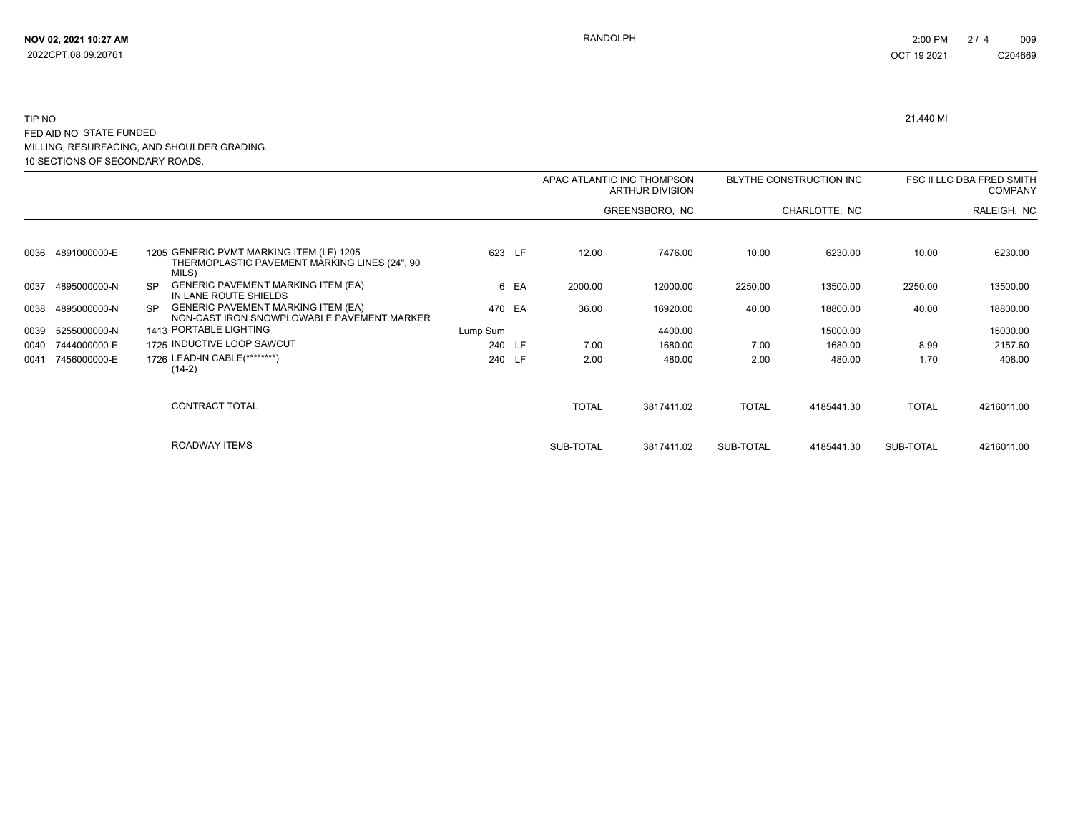|      |              |                                                                                                      |          |      | APAC ATLANTIC INC THOMPSON | ARTHUR DIVISION |              | BLYTHE CONSTRUCTION INC |              | FSC II LLC DBA FRED SMITH<br><b>COMPANY</b> |
|------|--------------|------------------------------------------------------------------------------------------------------|----------|------|----------------------------|-----------------|--------------|-------------------------|--------------|---------------------------------------------|
|      |              |                                                                                                      |          |      |                            | GREENSBORO, NC  |              | CHARLOTTE, NC           |              | RALEIGH, NC                                 |
|      |              |                                                                                                      |          |      |                            |                 |              |                         |              |                                             |
| 0036 | 4891000000-E | 1205 GENERIC PVMT MARKING ITEM (LF) 1205<br>THERMOPLASTIC PAVEMENT MARKING LINES (24", 90<br>MILS)   | 623 LF   |      | 12.00                      | 7476.00         | 10.00        | 6230.00                 | 10.00        | 6230.00                                     |
| 0037 | 4895000000-N | <b>GENERIC PAVEMENT MARKING ITEM (EA)</b><br><b>SP</b><br>IN LANE ROUTE SHIELDS                      |          | 6 EA | 2000.00                    | 12000.00        | 2250.00      | 13500.00                | 2250.00      | 13500.00                                    |
| 0038 | 4895000000-N | <b>GENERIC PAVEMENT MARKING ITEM (EA)</b><br><b>SP</b><br>NON-CAST IRON SNOWPLOWABLE PAVEMENT MARKER | 470 EA   |      | 36.00                      | 16920.00        | 40.00        | 18800.00                | 40.00        | 18800.00                                    |
| 0039 | 5255000000-N | 1413 PORTABLE LIGHTING                                                                               | Lump Sum |      |                            | 4400.00         |              | 15000.00                |              | 15000.00                                    |
| 0040 | 7444000000-E | 1725 INDUCTIVE LOOP SAWCUT                                                                           | 240 LF   |      | 7.00                       | 1680.00         | 7.00         | 1680.00                 | 8.99         | 2157.60                                     |
| 0041 | 7456000000-E | 1726 LEAD-IN CABLE(********)<br>$(14-2)$                                                             | 240 LF   |      | 2.00                       | 480.00          | 2.00         | 480.00                  | 1.70         | 408.00                                      |
|      |              | CONTRACT TOTAL                                                                                       |          |      | <b>TOTAL</b>               | 3817411.02      | <b>TOTAL</b> | 4185441.30              | <b>TOTAL</b> | 4216011.00                                  |
|      |              | ROADWAY ITEMS                                                                                        |          |      | SUB-TOTAL                  | 3817411.02      | SUB-TOTAL    | 4185441.30              | SUB-TOTAL    | 4216011.00                                  |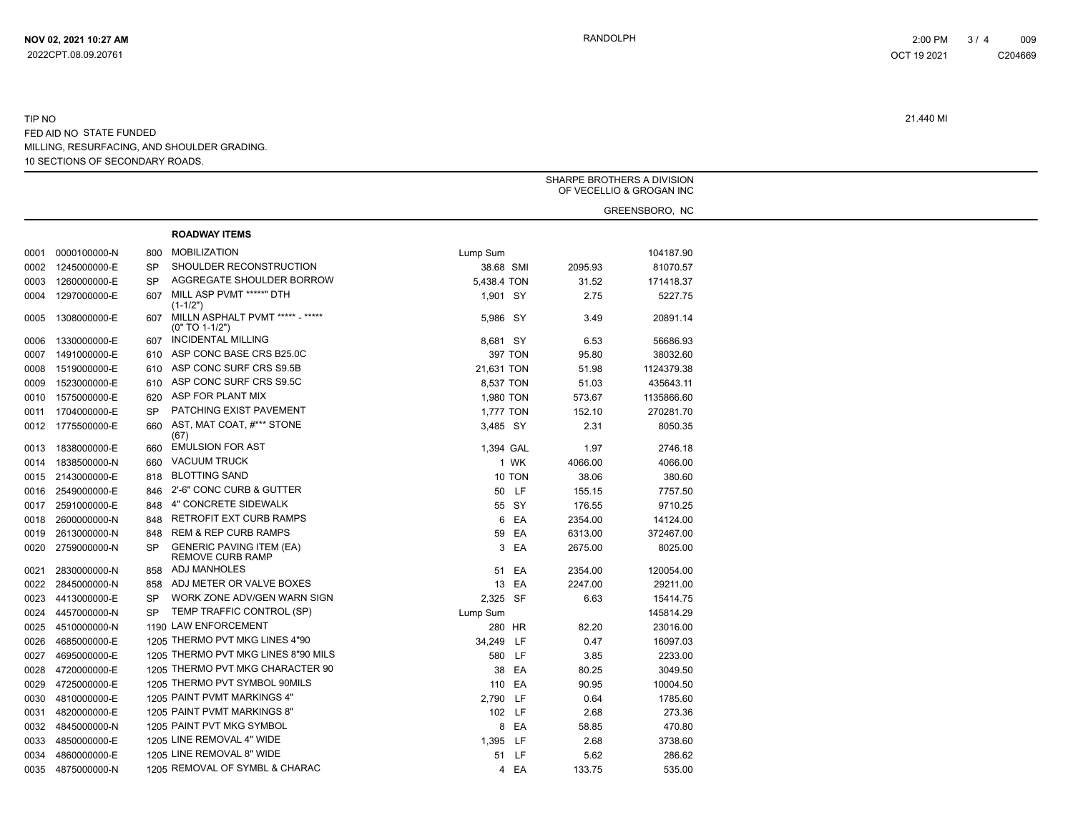|      |                   |     |                                                            |             |         |         | SHARPE BROTHERS A DIVISION<br>OF VECELLIO & GROGAN INC |
|------|-------------------|-----|------------------------------------------------------------|-------------|---------|---------|--------------------------------------------------------|
|      |                   |     |                                                            |             |         |         | GREENSBORO, NC                                         |
|      |                   |     | <b>ROADWAY ITEMS</b>                                       |             |         |         |                                                        |
| 0001 | 0000100000-N      | 800 | <b>MOBILIZATION</b>                                        | Lump Sum    |         |         | 104187.90                                              |
| 0002 | 1245000000-E      | SP  | SHOULDER RECONSTRUCTION                                    | 38.68 SMI   |         | 2095.93 | 81070.57                                               |
| 0003 | 1260000000-E      | SP  | AGGREGATE SHOULDER BORROW                                  | 5,438.4 TON |         | 31.52   | 171418.37                                              |
| 0004 | 1297000000-E      | 607 | MILL ASP PVMT *****" DTH                                   | 1,901 SY    |         | 2.75    | 5227.75                                                |
|      |                   |     | $(1-1/2")$                                                 |             |         |         |                                                        |
| 0005 | 1308000000-E      |     | 607 MILLN ASPHALT PVMT ***** - *****<br>$(0" TO 1-1/2")$   | 5,986 SY    |         | 3.49    | 20891.14                                               |
| 0006 | 1330000000-E      | 607 | INCIDENTAL MILLING                                         | 8,681 SY    |         | 6.53    | 56686.93                                               |
| 0007 | 1491000000-E      | 610 | ASP CONC BASE CRS B25.0C                                   |             | 397 TON | 95.80   | 38032.60                                               |
| 0008 | 1519000000-E      | 610 | ASP CONC SURF CRS S9.5B                                    | 21,631 TON  |         | 51.98   | 1124379.38                                             |
| 0009 | 1523000000-E      | 610 | ASP CONC SURF CRS S9.5C                                    | 8,537 TON   |         | 51.03   | 435643.11                                              |
| 0010 | 1575000000-E      | 620 | ASP FOR PLANT MIX                                          | 1,980 TON   |         | 573.67  | 1135866.60                                             |
|      | 0011 1704000000-E | SP  | PATCHING EXIST PAVEMENT                                    | 1,777 TON   |         | 152.10  | 270281.70                                              |
|      | 0012 1775500000-E | 660 | AST. MAT COAT. #*** STONE<br>(67)                          | 3,485 SY    |         | 2.31    | 8050.35                                                |
| 0013 | 1838000000-E      | 660 | <b>EMULSION FOR AST</b>                                    | 1,394 GAL   |         | 1.97    | 2746.18                                                |
| 0014 | 1838500000-N      | 660 | <b>VACUUM TRUCK</b>                                        |             | 1 WK    | 4066.00 | 4066.00                                                |
|      | 0015 2143000000-E | 818 | <b>BLOTTING SAND</b>                                       |             | 10 TON  | 38.06   | 380.60                                                 |
|      | 0016 2549000000-E | 846 | 2'-6" CONC CURB & GUTTER                                   |             | 50 LF   | 155.15  | 7757.50                                                |
| 0017 | 2591000000-E      | 848 | 4" CONCRETE SIDEWALK                                       |             | 55 SY   | 176.55  | 9710.25                                                |
| 0018 | 2600000000-N      | 848 | RETROFIT EXT CURB RAMPS                                    |             | 6 EA    | 2354.00 | 14124.00                                               |
| 0019 | 2613000000-N      | 848 | <b>REM &amp; REP CURB RAMPS</b>                            |             | 59 EA   | 6313.00 | 372467.00                                              |
| 0020 | 2759000000-N      | SP  | <b>GENERIC PAVING ITEM (EA)</b><br><b>REMOVE CURB RAMP</b> |             | 3 EA    | 2675.00 | 8025.00                                                |
| 0021 | 2830000000-N      |     | 858 ADJ MANHOLES                                           |             | 51 EA   | 2354.00 | 120054.00                                              |
| 0022 | 2845000000-N      | 858 | ADJ METER OR VALVE BOXES                                   |             | 13 EA   | 2247.00 | 29211.00                                               |
| 0023 | 4413000000-E      | SP  | WORK ZONE ADV/GEN WARN SIGN                                | 2,325 SF    |         | 6.63    | 15414.75                                               |
| 0024 | 4457000000-N      | SP  | TEMP TRAFFIC CONTROL (SP)                                  | Lump Sum    |         |         | 145814.29                                              |
| 0025 | 4510000000-N      |     | 1190 LAW ENFORCEMENT                                       | 280 HR      |         | 82.20   | 23016.00                                               |
| 0026 | 4685000000-E      |     | 1205 THERMO PVT MKG LINES 4"90                             | 34,249 LF   |         | 0.47    | 16097.03                                               |
| 0027 | 4695000000-E      |     | 1205 THERMO PVT MKG LINES 8"90 MILS                        |             | 580 LF  | 3.85    | 2233.00                                                |
| 0028 | 4720000000-E      |     | 1205 THERMO PVT MKG CHARACTER 90                           |             | 38 EA   | 80.25   | 3049.50                                                |
| 0029 | 4725000000-E      |     | 1205 THERMO PVT SYMBOL 90MILS                              |             | 110 EA  | 90.95   | 10004.50                                               |
| 0030 | 4810000000-E      |     | 1205 PAINT PVMT MARKINGS 4"                                | 2,790 LF    |         | 0.64    | 1785.60                                                |
|      | 4820000000-E      |     | 1205 PAINT PVMT MARKINGS 8"                                |             |         |         |                                                        |
| 0031 |                   |     | 1205 PAINT PVT MKG SYMBOL                                  |             | 102 LF  | 2.68    | 273.36                                                 |
| 0032 | 4845000000-N      |     |                                                            |             | 8 EA    | 58.85   | 470.80                                                 |
| 0033 | 4850000000-E      |     | 1205 LINE REMOVAL 4" WIDE                                  | 1,395 LF    |         | 2.68    | 3738.60                                                |
| 0034 | 4860000000-E      |     | 1205 LINE REMOVAL 8" WIDE                                  |             | 51 LF   | 5.62    | 286.62                                                 |
|      | 0035 4875000000-N |     | 1205 REMOVAL OF SYMBL & CHARAC                             |             | 4 EA    | 133.75  | 535.00                                                 |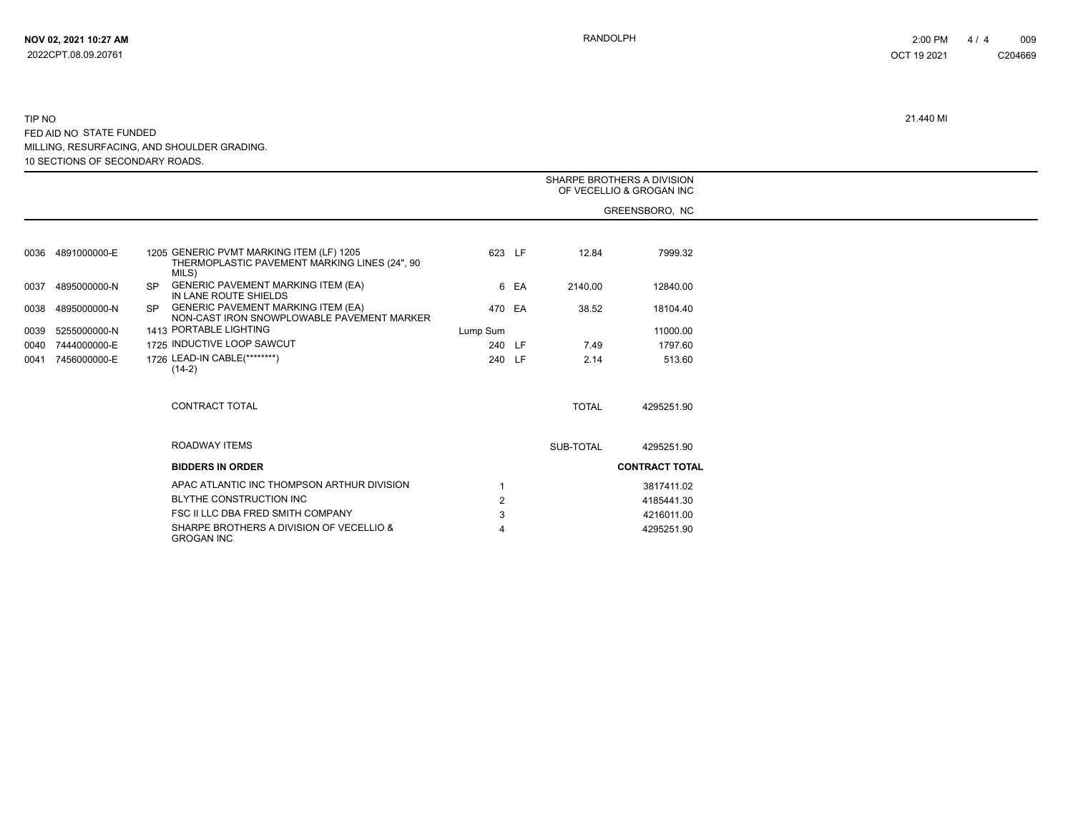|      |                   |           |                                                                                                    |                |      |              | SHARPE BROTHERS A DIVISION<br>OF VECELLIO & GROGAN INC |
|------|-------------------|-----------|----------------------------------------------------------------------------------------------------|----------------|------|--------------|--------------------------------------------------------|
|      |                   |           |                                                                                                    |                |      |              | GREENSBORO, NC                                         |
|      |                   |           |                                                                                                    |                |      |              |                                                        |
|      | 0036 4891000000-E |           | 1205 GENERIC PVMT MARKING ITEM (LF) 1205<br>THERMOPLASTIC PAVEMENT MARKING LINES (24", 90<br>MILS) | 623 LF         |      | 12.84        | 7999.32                                                |
| 0037 | 4895000000-N      | <b>SP</b> | <b>GENERIC PAVEMENT MARKING ITEM (EA)</b><br>IN LANE ROUTE SHIELDS                                 |                | 6 EA | 2140.00      | 12840.00                                               |
| 0038 | 4895000000-N      | SP.       | <b>GENERIC PAVEMENT MARKING ITEM (EA)</b><br>NON-CAST IRON SNOWPLOWABLE PAVEMENT MARKER            | 470 EA         |      | 38.52        | 18104.40                                               |
| 0039 | 5255000000-N      |           | 1413 PORTABLE LIGHTING                                                                             | Lump Sum       |      |              | 11000.00                                               |
|      | 0040 7444000000-E |           | 1725 INDUCTIVE LOOP SAWCUT                                                                         | 240 LF         |      | 7.49         | 1797.60                                                |
| 0041 | 7456000000-E      |           | 1726 LEAD-IN CABLE(********)<br>$(14-2)$                                                           | 240 LF         |      | 2.14         | 513.60                                                 |
|      |                   |           | CONTRACT TOTAL                                                                                     |                |      | <b>TOTAL</b> | 4295251.90                                             |
|      |                   |           | <b>ROADWAY ITEMS</b>                                                                               |                |      | SUB-TOTAL    | 4295251.90                                             |
|      |                   |           | <b>BIDDERS IN ORDER</b>                                                                            |                |      |              | <b>CONTRACT TOTAL</b>                                  |
|      |                   |           | APAC ATLANTIC INC THOMPSON ARTHUR DIVISION                                                         |                |      |              | 3817411.02                                             |
|      |                   |           | BLYTHE CONSTRUCTION INC                                                                            | $\overline{2}$ |      |              | 4185441.30                                             |
|      |                   |           | FSC II LLC DBA FRED SMITH COMPANY                                                                  | 3              |      |              | 4216011.00                                             |
|      |                   |           | SHARPE BROTHERS A DIVISION OF VECELLIO &<br><b>GROGAN INC</b>                                      |                |      |              | 4295251.90                                             |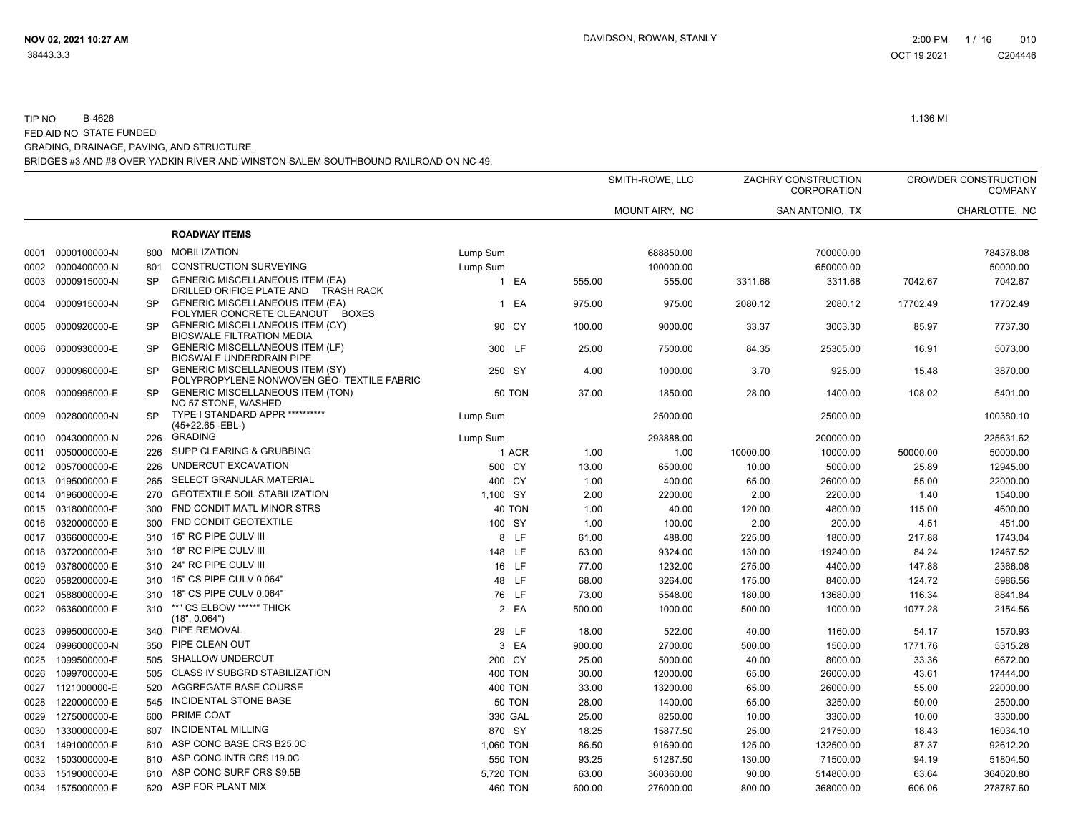|      |                   |           |                                                                                          |                |        | SMITH-ROWE, LLC |          | ZACHRY CONSTRUCTION<br>CORPORATION |          | <b>CROWDER CONSTRUCTION</b><br><b>COMPANY</b> |
|------|-------------------|-----------|------------------------------------------------------------------------------------------|----------------|--------|-----------------|----------|------------------------------------|----------|-----------------------------------------------|
|      |                   |           |                                                                                          |                |        | MOUNT AIRY, NC  |          | SAN ANTONIO, TX                    |          | CHARLOTTE, NC                                 |
|      |                   |           | <b>ROADWAY ITEMS</b>                                                                     |                |        |                 |          |                                    |          |                                               |
| 0001 | 0000100000-N      | 800       | <b>MOBILIZATION</b>                                                                      | Lump Sum       |        | 688850.00       |          | 700000.00                          |          | 784378.08                                     |
| 0002 | 0000400000-N      | 801       | <b>CONSTRUCTION SURVEYING</b>                                                            | Lump Sum       |        | 100000.00       |          | 650000.00                          |          | 50000.00                                      |
| 0003 | 0000915000-N      | <b>SP</b> | <b>GENERIC MISCELLANEOUS ITEM (EA)</b><br>DRILLED ORIFICE PLATE AND<br><b>TRASH RACK</b> | 1 EA           | 555.00 | 555.00          | 3311.68  | 3311.68                            | 7042.67  | 7042.67                                       |
| 0004 | 0000915000-N      | <b>SP</b> | <b>GENERIC MISCELLANEOUS ITEM (EA)</b><br>POLYMER CONCRETE CLEANOUT BOXES                | 1 EA           | 975.00 | 975.00          | 2080.12  | 2080.12                            | 17702.49 | 17702.49                                      |
| 0005 | 0000920000-E      | <b>SP</b> | <b>GENERIC MISCELLANEOUS ITEM (CY)</b><br><b>BIOSWALE FILTRATION MEDIA</b>               | 90 CY          | 100.00 | 9000.00         | 33.37    | 3003.30                            | 85.97    | 7737.30                                       |
| 0006 | 0000930000-E      | <b>SP</b> | <b>GENERIC MISCELLANEOUS ITEM (LF)</b><br>BIOSWALE UNDERDRAIN PIPE                       | 300 LF         | 25.00  | 7500.00         | 84.35    | 25305.00                           | 16.91    | 5073.00                                       |
| 0007 | 0000960000-E      | <b>SP</b> | <b>GENERIC MISCELLANEOUS ITEM (SY)</b><br>POLYPROPYLENE NONWOVEN GEO- TEXTILE FABRIC     | 250 SY         | 4.00   | 1000.00         | 3.70     | 925.00                             | 15.48    | 3870.00                                       |
| 0008 | 0000995000-E      | <b>SP</b> | <b>GENERIC MISCELLANEOUS ITEM (TON)</b><br>NO 57 STONE, WASHED                           | <b>50 TON</b>  | 37.00  | 1850.00         | 28.00    | 1400.00                            | 108.02   | 5401.00                                       |
| 0009 | 0028000000-N      | <b>SP</b> | TYPE I STANDARD APPR ***********<br>(45+22.65 -EBL-)                                     | Lump Sum       |        | 25000.00        |          | 25000.00                           |          | 100380.10                                     |
| 0010 | 0043000000-N      | 226       | <b>GRADING</b>                                                                           | Lump Sum       |        | 293888.00       |          | 200000.00                          |          | 225631.62                                     |
| 0011 | 0050000000-E      | 226       | SUPP CLEARING & GRUBBING                                                                 | 1 ACR          | 1.00   | 1.00            | 10000.00 | 10000.00                           | 50000.00 | 50000.00                                      |
| 0012 | 0057000000-E      | 226       | UNDERCUT EXCAVATION                                                                      | 500 CY         | 13.00  | 6500.00         | 10.00    | 5000.00                            | 25.89    | 12945.00                                      |
| 0013 | 0195000000-E      | 265       | SELECT GRANULAR MATERIAL                                                                 | 400 CY         | 1.00   | 400.00          | 65.00    | 26000.00                           | 55.00    | 22000.00                                      |
| 0014 | 0196000000-E      | 270       | <b>GEOTEXTILE SOIL STABILIZATION</b>                                                     | 1,100 SY       | 2.00   | 2200.00         | 2.00     | 2200.00                            | 1.40     | 1540.00                                       |
| 0015 | 0318000000-E      | 300       | FND CONDIT MATL MINOR STRS                                                               | 40 TON         | 1.00   | 40.00           | 120.00   | 4800.00                            | 115.00   | 4600.00                                       |
| 0016 | 0320000000-E      | 300       | FND CONDIT GEOTEXTILE                                                                    | 100 SY         | 1.00   | 100.00          | 2.00     | 200.00                             | 4.51     | 451.00                                        |
| 0017 | 0366000000-E      | 310       | 15" RC PIPE CULV III                                                                     | 8 LF           | 61.00  | 488.00          | 225.00   | 1800.00                            | 217.88   | 1743.04                                       |
| 0018 | 0372000000-E      | 310       | 18" RC PIPE CULV III                                                                     | 148 LF         | 63.00  | 9324.00         | 130.00   | 19240.00                           | 84.24    | 12467.52                                      |
| 0019 | 0378000000-E      | 310       | 24" RC PIPE CULV III                                                                     | 16 LF          | 77.00  | 1232.00         | 275.00   | 4400.00                            | 147.88   | 2366.08                                       |
| 0020 | 0582000000-E      | 310       | 15" CS PIPE CULV 0.064"                                                                  | 48 LF          | 68.00  | 3264.00         | 175.00   | 8400.00                            | 124.72   | 5986.56                                       |
| 0021 | 0588000000-E      | 310       | 18" CS PIPE CULV 0.064"                                                                  | 76 LF          | 73.00  | 5548.00         | 180.00   | 13680.00                           | 116.34   | 8841.84                                       |
| 0022 | 0636000000-E      | 310       | **" CS ELBOW *****" THICK<br>(18", 0.064")                                               | 2 EA           | 500.00 | 1000.00         | 500.00   | 1000.00                            | 1077.28  | 2154.56                                       |
| 0023 | 0995000000-E      |           | 340 PIPE REMOVAL                                                                         | 29 LF          | 18.00  | 522.00          | 40.00    | 1160.00                            | 54.17    | 1570.93                                       |
| 0024 | 0996000000-N      | 350       | PIPE CLEAN OUT                                                                           | 3 EA           | 900.00 | 2700.00         | 500.00   | 1500.00                            | 1771.76  | 5315.28                                       |
| 0025 | 1099500000-E      | 505       | SHALLOW UNDERCUT                                                                         | 200 CY         | 25.00  | 5000.00         | 40.00    | 8000.00                            | 33.36    | 6672.00                                       |
| 0026 | 1099700000-E      | 505       | <b>CLASS IV SUBGRD STABILIZATION</b>                                                     | <b>400 TON</b> | 30.00  | 12000.00        | 65.00    | 26000.00                           | 43.61    | 17444.00                                      |
|      | 0027 1121000000-E | 520       | AGGREGATE BASE COURSE                                                                    | <b>400 TON</b> | 33.00  | 13200.00        | 65.00    | 26000.00                           | 55.00    | 22000.00                                      |
| 0028 | 1220000000-E      | 545       | INCIDENTAL STONE BASE                                                                    | <b>50 TON</b>  | 28.00  | 1400.00         | 65.00    | 3250.00                            | 50.00    | 2500.00                                       |
| 0029 | 1275000000-E      | 600       | PRIME COAT                                                                               | 330 GAL        | 25.00  | 8250.00         | 10.00    | 3300.00                            | 10.00    | 3300.00                                       |
| 0030 | 1330000000-E      | 607       | <b>INCIDENTAL MILLING</b>                                                                | 870 SY         | 18.25  | 15877.50        | 25.00    | 21750.00                           | 18.43    | 16034.10                                      |
| 0031 | 1491000000-E      | 610       | ASP CONC BASE CRS B25.0C                                                                 | 1,060 TON      | 86.50  | 91690.00        | 125.00   | 132500.00                          | 87.37    | 92612.20                                      |
| 0032 | 1503000000-E      | 610       | ASP CONC INTR CRS I19.0C                                                                 | 550 TON        | 93.25  | 51287.50        | 130.00   | 71500.00                           | 94.19    | 51804.50                                      |
| 0033 | 1519000000-E      | 610       | ASP CONC SURF CRS S9.5B                                                                  | 5,720 TON      | 63.00  | 360360.00       | 90.00    | 514800.00                          | 63.64    | 364020.80                                     |
|      | 0034 1575000000-E | 620       | ASP FOR PLANT MIX                                                                        | <b>460 TON</b> | 600.00 | 276000.00       | 800.00   | 368000.00                          | 606.06   | 278787.60                                     |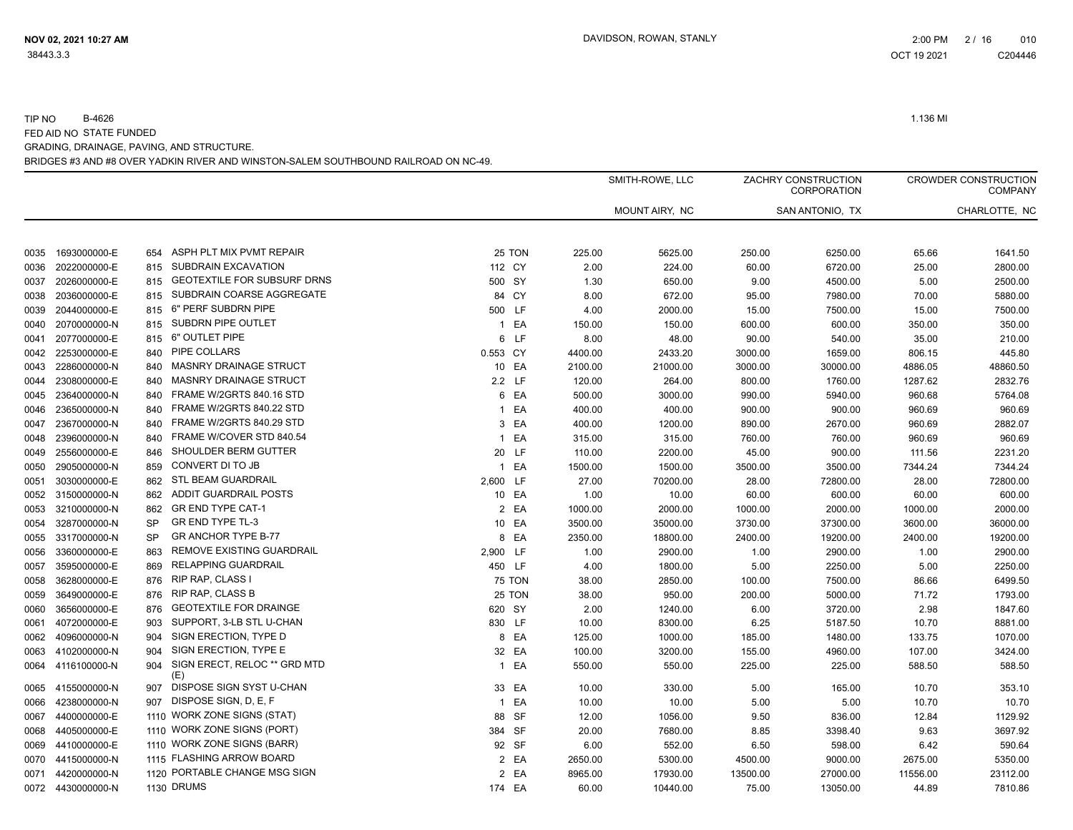|      |                   |           |                                     |               |                 | SMITH-ROWE, LLC |          | ZACHRY CONSTRUCTION<br>CORPORATION |          | <b>CROWDER CONSTRUCTION</b><br><b>COMPANY</b> |
|------|-------------------|-----------|-------------------------------------|---------------|-----------------|-----------------|----------|------------------------------------|----------|-----------------------------------------------|
|      |                   |           |                                     |               |                 | MOUNT AIRY, NC  |          | SAN ANTONIO, TX                    |          | CHARLOTTE, NC                                 |
| 0035 | 1693000000-E      | 654       | ASPH PLT MIX PVMT REPAIR            | 25 TON        | 225.00          | 5625.00         | 250.00   | 6250.00                            | 65.66    | 1641.50                                       |
| 0036 | 2022000000-E      | 815       | SUBDRAIN EXCAVATION                 | 112 CY        | 2.00            | 224.00          | 60.00    | 6720.00                            | 25.00    | 2800.00                                       |
| 0037 | 2026000000-E      | 815       | <b>GEOTEXTILE FOR SUBSURF DRNS</b>  | 500 SY        | 1.30            | 650.00          | 9.00     | 4500.00                            | 5.00     | 2500.00                                       |
| 0038 | 2036000000-E      | 815       | SUBDRAIN COARSE AGGREGATE           | 84 CY         | 8.00            | 672.00          | 95.00    | 7980.00                            | 70.00    | 5880.00                                       |
| 0039 | 2044000000-E      | 815       | 6" PERF SUBDRN PIPE                 | 500 LF        | 4.00            | 2000.00         | 15.00    | 7500.00                            | 15.00    | 7500.00                                       |
| 0040 | 2070000000-N      | 815       | SUBDRN PIPE OUTLET                  |               | 1 EA<br>150.00  | 150.00          | 600.00   | 600.00                             | 350.00   | 350.00                                        |
| 0041 | 2077000000-E      | 815       | 6" OUTLET PIPE                      |               | 6 LF<br>8.00    | 48.00           | 90.00    | 540.00                             | 35.00    | 210.00                                        |
| 0042 | 2253000000-E      | 840       | PIPE COLLARS                        | 0.553 CY      | 4400.00         | 2433.20         | 3000.00  | 1659.00                            | 806.15   | 445.80                                        |
| 0043 | 2286000000-N      | 840       | <b>MASNRY DRAINAGE STRUCT</b>       | 10 EA         | 2100.00         | 21000.00        | 3000.00  | 30000.00                           | 4886.05  | 48860.50                                      |
| 0044 | 2308000000-E      | 840       | <b>MASNRY DRAINAGE STRUCT</b>       | 2.2 LF        | 120.00          | 264.00          | 800.00   | 1760.00                            | 1287.62  | 2832.76                                       |
| 0045 | 2364000000-N      | 840       | FRAME W/2GRTS 840.16 STD            |               | 6 EA<br>500.00  | 3000.00         | 990.00   | 5940.00                            | 960.68   | 5764.08                                       |
| 0046 | 2365000000-N      | 840       | FRAME W/2GRTS 840.22 STD            |               | 1 EA<br>400.00  | 400.00          | 900.00   | 900.00                             | 960.69   | 960.69                                        |
| 0047 | 2367000000-N      | 840       | FRAME W/2GRTS 840.29 STD            |               | 3 EA<br>400.00  | 1200.00         | 890.00   | 2670.00                            | 960.69   | 2882.07                                       |
| 0048 | 2396000000-N      | 840       | FRAME W/COVER STD 840.54            |               | 1 EA<br>315.00  | 315.00          | 760.00   | 760.00                             | 960.69   | 960.69                                        |
| 0049 | 2556000000-E      | 846       | SHOULDER BERM GUTTER                | 20 LF         | 110.00          | 2200.00         | 45.00    | 900.00                             | 111.56   | 2231.20                                       |
| 0050 | 2905000000-N      | 859       | CONVERT DI TO JB                    |               | 1 EA<br>1500.00 | 1500.00         | 3500.00  | 3500.00                            | 7344.24  | 7344.24                                       |
| 0051 | 3030000000-E      | 862       | <b>STL BEAM GUARDRAIL</b>           | 2,600 LF      | 27.00           | 70200.00        | 28.00    | 72800.00                           | 28.00    | 72800.00                                      |
| 0052 | 3150000000-N      | 862       | <b>ADDIT GUARDRAIL POSTS</b>        | 10 EA         | 1.00            | 10.00           | 60.00    | 600.00                             | 60.00    | 600.00                                        |
| 0053 | 3210000000-N      | 862       | <b>GR END TYPE CAT-1</b>            |               | 2 EA<br>1000.00 | 2000.00         | 1000.00  | 2000.00                            | 1000.00  | 2000.00                                       |
| 0054 | 3287000000-N      | SP        | <b>GR END TYPE TL-3</b>             | 10 EA         | 3500.00         | 35000.00        | 3730.00  | 37300.00                           | 3600.00  | 36000.00                                      |
| 0055 | 3317000000-N      | <b>SP</b> | <b>GR ANCHOR TYPE B-77</b>          | 8             | EA<br>2350.00   | 18800.00        | 2400.00  | 19200.00                           | 2400.00  | 19200.00                                      |
| 0056 | 3360000000-E      | 863       | REMOVE EXISTING GUARDRAIL           | 2,900 LF      | 1.00            | 2900.00         | 1.00     | 2900.00                            | 1.00     | 2900.00                                       |
| 0057 | 3595000000-E      | 869       | <b>RELAPPING GUARDRAIL</b>          | 450 LF        | 4.00            | 1800.00         | 5.00     | 2250.00                            | 5.00     | 2250.00                                       |
| 0058 | 3628000000-E      | 876       | RIP RAP, CLASS I                    | <b>75 TON</b> | 38.00           | 2850.00         | 100.00   | 7500.00                            | 86.66    | 6499.50                                       |
| 0059 | 3649000000-E      | 876       | RIP RAP, CLASS B                    | 25 TON        | 38.00           | 950.00          | 200.00   | 5000.00                            | 71.72    | 1793.00                                       |
| 0060 | 3656000000-E      | 876       | <b>GEOTEXTILE FOR DRAINGE</b>       | 620 SY        | 2.00            | 1240.00         | 6.00     | 3720.00                            | 2.98     | 1847.60                                       |
| 0061 | 4072000000-E      | 903       | SUPPORT, 3-LB STL U-CHAN            | 830 LF        | 10.00           | 8300.00         | 6.25     | 5187.50                            | 10.70    | 8881.00                                       |
| 0062 | 4096000000-N      | 904       | SIGN ERECTION, TYPE D               |               | 8 EA<br>125.00  | 1000.00         | 185.00   | 1480.00                            | 133.75   | 1070.00                                       |
| 0063 | 4102000000-N      | 904       | SIGN ERECTION, TYPE E               | 32 EA         | 100.00          | 3200.00         | 155.00   | 4960.00                            | 107.00   | 3424.00                                       |
|      | 0064 4116100000-N | 904       | SIGN ERECT, RELOC ** GRD MTD<br>(E) | 1 EA          | 550.00          | 550.00          | 225.00   | 225.00                             | 588.50   | 588.50                                        |
|      | 0065 4155000000-N | 907       | DISPOSE SIGN SYST U-CHAN            | 33 EA         | 10.00           | 330.00          | 5.00     | 165.00                             | 10.70    | 353.10                                        |
| 0066 | 4238000000-N      | 907       | DISPOSE SIGN, D, E, F               |               | 1 EA<br>10.00   | 10.00           | 5.00     | 5.00                               | 10.70    | 10.70                                         |
| 0067 | 4400000000-E      |           | 1110 WORK ZONE SIGNS (STAT)         | 88 SF         | 12.00           | 1056.00         | 9.50     | 836.00                             | 12.84    | 1129.92                                       |
| 0068 | 4405000000-E      |           | 1110 WORK ZONE SIGNS (PORT)         | 384 SF        | 20.00           | 7680.00         | 8.85     | 3398.40                            | 9.63     | 3697.92                                       |
| 0069 | 4410000000-E      |           | 1110 WORK ZONE SIGNS (BARR)         | 92 SF         | 6.00            | 552.00          | 6.50     | 598.00                             | 6.42     | 590.64                                        |
| 0070 | 4415000000-N      |           | 1115 FLASHING ARROW BOARD           |               | 2 EA<br>2650.00 | 5300.00         | 4500.00  | 9000.00                            | 2675.00  | 5350.00                                       |
| 0071 | 4420000000-N      |           | 1120 PORTABLE CHANGE MSG SIGN       |               | 2 EA<br>8965.00 | 17930.00        | 13500.00 | 27000.00                           | 11556.00 | 23112.00                                      |
|      | 0072 4430000000-N |           | 1130 DRUMS                          | 174 EA        | 60.00           | 10440.00        | 75.00    | 13050.00                           | 44.89    | 7810.86                                       |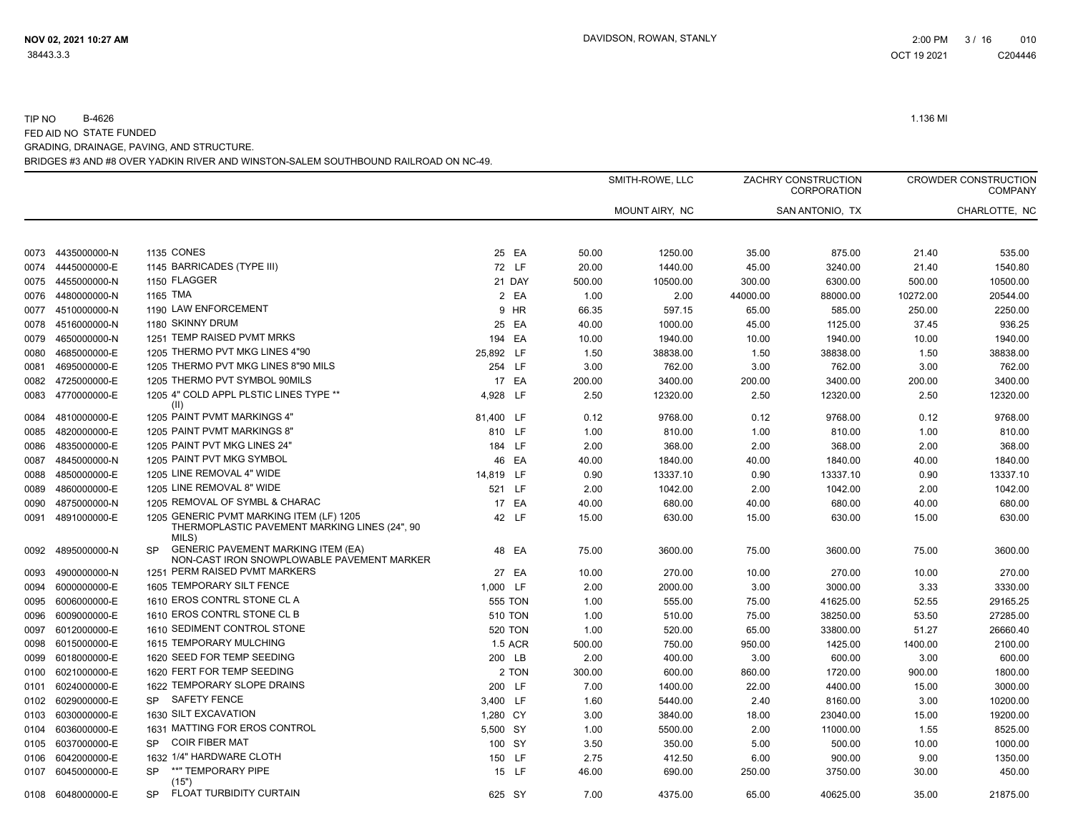|      |                   |                                                                                                    |                |        | SMITH-ROWE, LLC |          | ZACHRY CONSTRUCTION<br>CORPORATION |          | <b>CROWDER CONSTRUCTION</b><br><b>COMPANY</b> |
|------|-------------------|----------------------------------------------------------------------------------------------------|----------------|--------|-----------------|----------|------------------------------------|----------|-----------------------------------------------|
|      |                   |                                                                                                    |                |        | MOUNT AIRY, NC  |          | SAN ANTONIO, TX                    |          | CHARLOTTE, NC                                 |
| 0073 | 4435000000-N      | <b>1135 CONES</b>                                                                                  | 25 EA          | 50.00  | 1250.00         | 35.00    | 875.00                             | 21.40    | 535.00                                        |
| 0074 | 4445000000-E      | 1145 BARRICADES (TYPE III)                                                                         | 72 LF          | 20.00  | 1440.00         | 45.00    | 3240.00                            | 21.40    | 1540.80                                       |
| 0075 | 4455000000-N      | 1150 FLAGGER                                                                                       | 21 DAY         | 500.00 | 10500.00        | 300.00   | 6300.00                            | 500.00   | 10500.00                                      |
| 0076 | 4480000000-N      | 1165 TMA                                                                                           | 2 EA           | 1.00   | 2.00            | 44000.00 | 88000.00                           | 10272.00 | 20544.00                                      |
|      | 0077 4510000000-N | 1190 LAW ENFORCEMENT                                                                               | 9 HR           | 66.35  | 597.15          | 65.00    | 585.00                             | 250.00   | 2250.00                                       |
| 0078 | 4516000000-N      | 1180 SKINNY DRUM                                                                                   | 25 EA          | 40.00  | 1000.00         | 45.00    | 1125.00                            | 37.45    | 936.25                                        |
| 0079 | 4650000000-N      | 1251 TEMP RAISED PVMT MRKS                                                                         | 194 EA         | 10.00  | 1940.00         | 10.00    | 1940.00                            | 10.00    | 1940.00                                       |
| 0080 | 4685000000-E      | 1205 THERMO PVT MKG LINES 4"90                                                                     | 25,892 LF      | 1.50   | 38838.00        | 1.50     | 38838.00                           | 1.50     | 38838.00                                      |
| 0081 | 4695000000-E      | 1205 THERMO PVT MKG LINES 8"90 MILS                                                                | 254 LF         | 3.00   | 762.00          | 3.00     | 762.00                             | 3.00     | 762.00                                        |
|      | 0082 4725000000-E | 1205 THERMO PVT SYMBOL 90MILS                                                                      | 17 EA          | 200.00 | 3400.00         | 200.00   | 3400.00                            | 200.00   | 3400.00                                       |
| 0083 | 4770000000-E      | 1205 4" COLD APPL PLSTIC LINES TYPE **<br>(II)                                                     | 4.928 LF       | 2.50   | 12320.00        | 2.50     | 12320.00                           | 2.50     | 12320.00                                      |
| 0084 | 4810000000-E      | 1205 PAINT PVMT MARKINGS 4"                                                                        | 81,400 LF      | 0.12   | 9768.00         | 0.12     | 9768.00                            | 0.12     | 9768.00                                       |
| 0085 | 4820000000-E      | 1205 PAINT PVMT MARKINGS 8"                                                                        | 810 LF         | 1.00   | 810.00          | 1.00     | 810.00                             | 1.00     | 810.00                                        |
| 0086 | 4835000000-E      | 1205 PAINT PVT MKG LINES 24"                                                                       | 184 LF         | 2.00   | 368.00          | 2.00     | 368.00                             | 2.00     | 368.00                                        |
| 0087 | 4845000000-N      | 1205 PAINT PVT MKG SYMBOL                                                                          | 46 EA          | 40.00  | 1840.00         | 40.00    | 1840.00                            | 40.00    | 1840.00                                       |
| 0088 | 4850000000-E      | 1205 LINE REMOVAL 4" WIDE                                                                          | 14,819 LF      | 0.90   | 13337.10        | 0.90     | 13337.10                           | 0.90     | 13337.10                                      |
| 0089 | 4860000000-E      | 1205 LINE REMOVAL 8" WIDE                                                                          | 521 LF         | 2.00   | 1042.00         | 2.00     | 1042.00                            | 2.00     | 1042.00                                       |
| 0090 | 4875000000-N      | 1205 REMOVAL OF SYMBL & CHARAC                                                                     | 17 EA          | 40.00  | 680.00          | 40.00    | 680.00                             | 40.00    | 680.00                                        |
|      | 0091 4891000000-E | 1205 GENERIC PVMT MARKING ITEM (LF) 1205<br>THERMOPLASTIC PAVEMENT MARKING LINES (24", 90<br>MILS) | 42 LF          | 15.00  | 630.00          | 15.00    | 630.00                             | 15.00    | 630.00                                        |
| 0092 | 4895000000-N      | <b>GENERIC PAVEMENT MARKING ITEM (EA)</b><br>SP.<br>NON-CAST IRON SNOWPLOWABLE PAVEMENT MARKER     | 48 EA          | 75.00  | 3600.00         | 75.00    | 3600.00                            | 75.00    | 3600.00                                       |
| 0093 | 4900000000-N      | 1251 PERM RAISED PVMT MARKERS                                                                      | 27 EA          | 10.00  | 270.00          | 10.00    | 270.00                             | 10.00    | 270.00                                        |
| 0094 | 6000000000-E      | 1605 TEMPORARY SILT FENCE                                                                          | 1,000 LF       | 2.00   | 2000.00         | 3.00     | 3000.00                            | 3.33     | 3330.00                                       |
| 0095 | 6006000000-E      | 1610 EROS CONTRL STONE CL A                                                                        | 555 TON        | 1.00   | 555.00          | 75.00    | 41625.00                           | 52.55    | 29165.25                                      |
| 0096 | 6009000000-E      | 1610 EROS CONTRL STONE CL B                                                                        | <b>510 TON</b> | 1.00   | 510.00          | 75.00    | 38250.00                           | 53.50    | 27285.00                                      |
| 0097 | 6012000000-E      | 1610 SEDIMENT CONTROL STONE                                                                        | <b>520 TON</b> | 1.00   | 520.00          | 65.00    | 33800.00                           | 51.27    | 26660.40                                      |
| 0098 | 6015000000-E      | 1615 TEMPORARY MULCHING                                                                            | <b>1.5 ACR</b> | 500.00 | 750.00          | 950.00   | 1425.00                            | 1400.00  | 2100.00                                       |
| 0099 | 6018000000-E      | 1620 SEED FOR TEMP SEEDING                                                                         | 200 LB         | 2.00   | 400.00          | 3.00     | 600.00                             | 3.00     | 600.00                                        |
| 0100 | 6021000000-E      | 1620 FERT FOR TEMP SEEDING                                                                         | 2 TON          | 300.00 | 600.00          | 860.00   | 1720.00                            | 900.00   | 1800.00                                       |
| 0101 | 6024000000-E      | 1622 TEMPORARY SLOPE DRAINS                                                                        | 200 LF         | 7.00   | 1400.00         | 22.00    | 4400.00                            | 15.00    | 3000.00                                       |
| 0102 | 6029000000-E      | <b>SAFETY FENCE</b><br><b>SP</b>                                                                   | 3,400 LF       | 1.60   | 5440.00         | 2.40     | 8160.00                            | 3.00     | 10200.00                                      |
| 0103 | 6030000000-E      | 1630 SILT EXCAVATION                                                                               | 1,280 CY       | 3.00   | 3840.00         | 18.00    | 23040.00                           | 15.00    | 19200.00                                      |
| 0104 | 6036000000-E      | 1631 MATTING FOR EROS CONTROL                                                                      | 5,500 SY       | 1.00   | 5500.00         | 2.00     | 11000.00                           | 1.55     | 8525.00                                       |
| 0105 | 6037000000-E      | <b>COIR FIBER MAT</b><br><b>SP</b>                                                                 | 100 SY         | 3.50   | 350.00          | 5.00     | 500.00                             | 10.00    | 1000.00                                       |
| 0106 | 6042000000-E      | 1632 1/4" HARDWARE CLOTH                                                                           | 150 LF         | 2.75   | 412.50          | 6.00     | 900.00                             | 9.00     | 1350.00                                       |
| 0107 | 6045000000-E      | **" TEMPORARY PIPE<br><b>SP</b><br>(15")                                                           | 15 LF          | 46.00  | 690.00          | 250.00   | 3750.00                            | 30.00    | 450.00                                        |
|      | 0108 6048000000-E | FLOAT TURBIDITY CURTAIN<br><b>SP</b>                                                               | 625 SY         | 7.00   | 4375.00         | 65.00    | 40625.00                           | 35.00    | 21875.00                                      |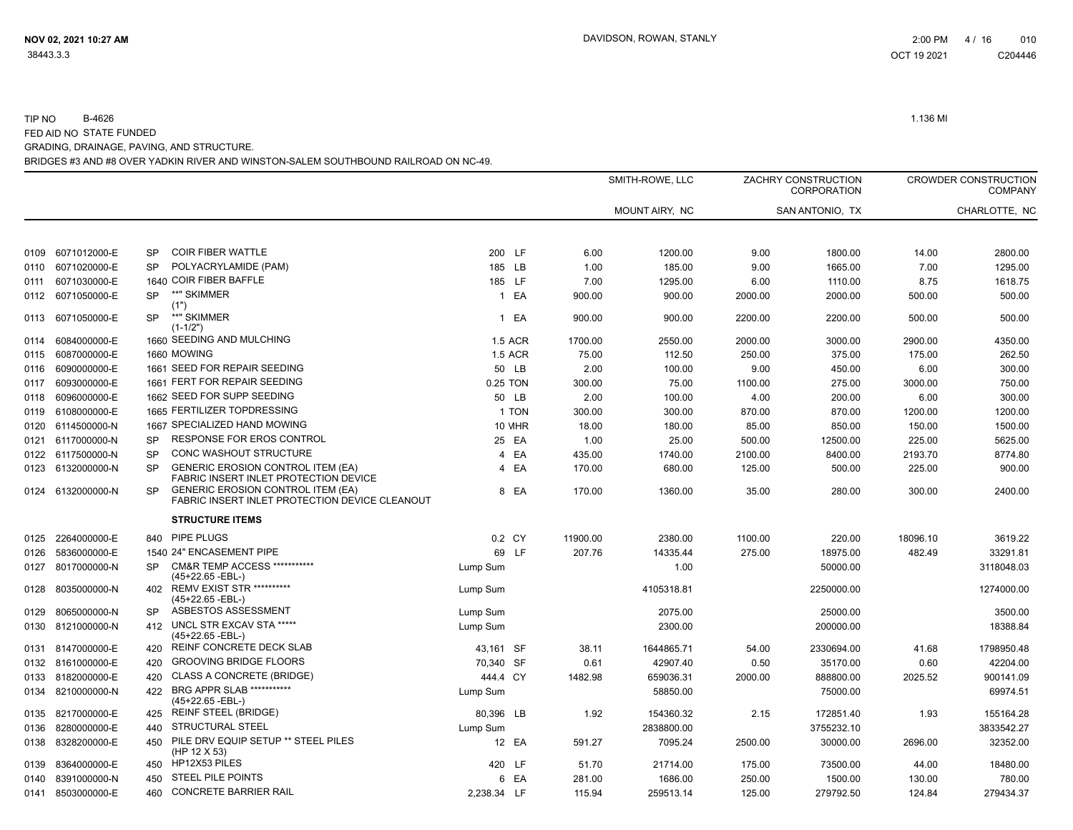|      |                   |           |                                                                                            |              |                |          | SMITH-ROWE, LLC |         | ZACHRY CONSTRUCTION<br>CORPORATION |          | <b>CROWDER CONSTRUCTION</b><br><b>COMPANY</b> |
|------|-------------------|-----------|--------------------------------------------------------------------------------------------|--------------|----------------|----------|-----------------|---------|------------------------------------|----------|-----------------------------------------------|
|      |                   |           |                                                                                            |              |                |          | MOUNT AIRY, NC  |         | SAN ANTONIO, TX                    |          | CHARLOTTE, NC                                 |
| 0109 | 6071012000-E      | <b>SP</b> | <b>COIR FIBER WATTLE</b>                                                                   | 200 LF       |                | 6.00     | 1200.00         | 9.00    | 1800.00                            | 14.00    | 2800.00                                       |
| 0110 | 6071020000-E      | <b>SP</b> | POLYACRYLAMIDE (PAM)                                                                       | 185 LB       |                | 1.00     | 185.00          | 9.00    | 1665.00                            | 7.00     | 1295.00                                       |
| 0111 | 6071030000-E      |           | 1640 COIR FIBER BAFFLE                                                                     | 185 LF       |                | 7.00     | 1295.00         | 6.00    | 1110.00                            | 8.75     | 1618.75                                       |
| 0112 | 6071050000-E      | <b>SP</b> | **" SKIMMER                                                                                | $\mathbf{1}$ | EA             | 900.00   | 900.00          | 2000.00 | 2000.00                            | 500.00   | 500.00                                        |
|      |                   |           | (1")                                                                                       |              |                |          |                 |         |                                    |          |                                               |
| 0113 | 6071050000-E      | <b>SP</b> | **" SKIMMER<br>$(1-1/2")$                                                                  |              | 1 EA           | 900.00   | 900.00          | 2200.00 | 2200.00                            | 500.00   | 500.00                                        |
| 0114 | 6084000000-E      |           | 1660 SEEDING AND MULCHING                                                                  |              | 1.5 ACR        | 1700.00  | 2550.00         | 2000.00 | 3000.00                            | 2900.00  | 4350.00                                       |
| 0115 | 6087000000-E      |           | 1660 MOWING                                                                                |              | <b>1.5 ACR</b> | 75.00    | 112.50          | 250.00  | 375.00                             | 175.00   | 262.50                                        |
| 0116 | 6090000000-E      |           | 1661 SEED FOR REPAIR SEEDING                                                               |              | 50 LB          | 2.00     | 100.00          | 9.00    | 450.00                             | 6.00     | 300.00                                        |
| 0117 | 6093000000-E      |           | 1661 FERT FOR REPAIR SEEDING                                                               | 0.25 TON     |                | 300.00   | 75.00           | 1100.00 | 275.00                             | 3000.00  | 750.00                                        |
| 0118 | 6096000000-E      |           | 1662 SEED FOR SUPP SEEDING                                                                 |              | 50 LB          | 2.00     | 100.00          | 4.00    | 200.00                             | 6.00     | 300.00                                        |
| 0119 | 6108000000-E      |           | 1665 FERTILIZER TOPDRESSING                                                                |              | 1 TON          | 300.00   | 300.00          | 870.00  | 870.00                             | 1200.00  | 1200.00                                       |
| 0120 | 6114500000-N      |           | 1667 SPECIALIZED HAND MOWING                                                               |              | <b>10 MHR</b>  | 18.00    | 180.00          | 85.00   | 850.00                             | 150.00   | 1500.00                                       |
| 0121 | 6117000000-N      | <b>SP</b> | RESPONSE FOR EROS CONTROL                                                                  |              | 25 EA          | 1.00     | 25.00           | 500.00  | 12500.00                           | 225.00   | 5625.00                                       |
|      | 0122 6117500000-N | SP        | CONC WASHOUT STRUCTURE                                                                     |              | 4 EA           | 435.00   | 1740.00         | 2100.00 | 8400.00                            | 2193.70  | 8774.80                                       |
|      | 0123 6132000000-N | <b>SP</b> | <b>GENERIC EROSION CONTROL ITEM (EA)</b><br>FABRIC INSERT INLET PROTECTION DEVICE          |              | 4 EA           | 170.00   | 680.00          | 125.00  | 500.00                             | 225.00   | 900.00                                        |
| 0124 | 6132000000-N      | SP        | <b>GENERIC EROSION CONTROL ITEM (EA)</b><br>FABRIC INSERT INLET PROTECTION DEVICE CLEANOUT |              | 8 EA           | 170.00   | 1360.00         | 35.00   | 280.00                             | 300.00   | 2400.00                                       |
|      |                   |           | <b>STRUCTURE ITEMS</b>                                                                     |              |                |          |                 |         |                                    |          |                                               |
| 0125 | 2264000000-E      | 840       | PIPE PLUGS                                                                                 |              | 0.2 CY         | 11900.00 | 2380.00         | 1100.00 | 220.00                             | 18096.10 | 3619.22                                       |
| 0126 | 5836000000-E      |           | 1540 24" ENCASEMENT PIPE                                                                   |              | 69 LF          | 207.76   | 14335.44        | 275.00  | 18975.00                           | 482.49   | 33291.81                                      |
| 0127 | 8017000000-N      | <b>SP</b> | CM&R TEMP ACCESS ***********<br>(45+22.65 -EBL-)                                           | Lump Sum     |                |          | 1.00            |         | 50000.00                           |          | 3118048.03                                    |
| 0128 | 8035000000-N      | 402       | <b>REMV EXIST STR **********</b><br>(45+22.65 -EBL-)                                       | Lump Sum     |                |          | 4105318.81      |         | 2250000.00                         |          | 1274000.00                                    |
| 0129 | 8065000000-N      | SP        | ASBESTOS ASSESSMENT                                                                        | Lump Sum     |                |          | 2075.00         |         | 25000.00                           |          | 3500.00                                       |
| 0130 | 8121000000-N      | 412       | UNCL STR EXCAV STA *****<br>(45+22.65 -EBL-)                                               | Lump Sum     |                |          | 2300.00         |         | 200000.00                          |          | 18388.84                                      |
| 0131 | 8147000000-E      | 420       | REINF CONCRETE DECK SLAB                                                                   | 43,161 SF    |                | 38.11    | 1644865.71      | 54.00   | 2330694.00                         | 41.68    | 1798950.48                                    |
|      | 0132 8161000000-E | 420       | <b>GROOVING BRIDGE FLOORS</b>                                                              | 70,340 SF    |                | 0.61     | 42907.40        | 0.50    | 35170.00                           | 0.60     | 42204.00                                      |
| 0133 | 8182000000-E      | 420       | <b>CLASS A CONCRETE (BRIDGE)</b>                                                           | 444.4 CY     |                | 1482.98  | 659036.31       | 2000.00 | 888800.00                          | 2025.52  | 900141.09                                     |
| 0134 | 8210000000-N      | 422       | <b>BRG APPR SLAB ***********</b><br>(45+22.65 -EBL-)                                       | Lump Sum     |                |          | 58850.00        |         | 75000.00                           |          | 69974.51                                      |
| 0135 | 8217000000-E      | 425       | <b>REINF STEEL (BRIDGE)</b>                                                                | 80,396 LB    |                | 1.92     | 154360.32       | 2.15    | 172851.40                          | 1.93     | 155164.28                                     |
| 0136 | 8280000000-E      | 440       | STRUCTURAL STEEL                                                                           | Lump Sum     |                |          | 2838800.00      |         | 3755232.10                         |          | 3833542.27                                    |
| 0138 | 8328200000-E      | 450       | PILE DRV EQUIP SETUP ** STEEL PILES<br>(HP 12 X 53)                                        |              | 12 EA          | 591.27   | 7095.24         | 2500.00 | 30000.00                           | 2696.00  | 32352.00                                      |
| 0139 | 8364000000-E      | 450       | HP12X53 PILES                                                                              | 420 LF       |                | 51.70    | 21714.00        | 175.00  | 73500.00                           | 44.00    | 18480.00                                      |
| 0140 | 8391000000-N      | 450       | <b>STEEL PILE POINTS</b>                                                                   |              | 6 EA           | 281.00   | 1686.00         | 250.00  | 1500.00                            | 130.00   | 780.00                                        |
| 0141 | 8503000000-E      | 460       | <b>CONCRETE BARRIER RAIL</b>                                                               | 2,238.34 LF  |                | 115.94   | 259513.14       | 125.00  | 279792.50                          | 124.84   | 279434.37                                     |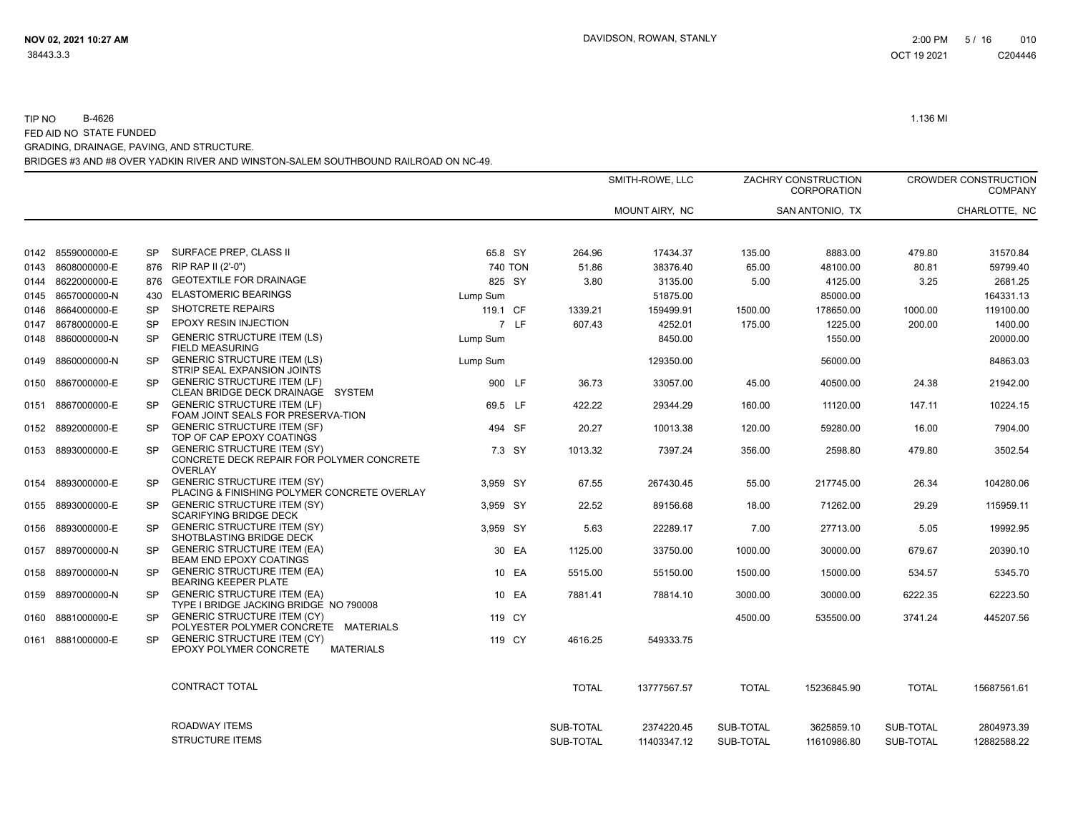|              |                                   |                  |                                                                                                   |                          |              | SMITH-ROWE, LLC |                      |               | ZACHRY CONSTRUCTION<br><b>CORPORATION</b> |               | <b>CROWDER CONSTRUCTION</b><br><b>COMPANY</b> |
|--------------|-----------------------------------|------------------|---------------------------------------------------------------------------------------------------|--------------------------|--------------|-----------------|----------------------|---------------|-------------------------------------------|---------------|-----------------------------------------------|
|              |                                   |                  |                                                                                                   |                          |              | MOUNT AIRY, NC  |                      |               | SAN ANTONIO, TX                           |               | CHARLOTTE, NC                                 |
|              |                                   |                  |                                                                                                   |                          |              |                 |                      |               |                                           |               |                                               |
|              | 0142 8559000000-E<br>8608000000-E | <b>SP</b><br>876 | SURFACE PREP, CLASS II<br>RIP RAP II (2'-0")                                                      | 65.8 SY                  | 264.96       |                 | 17434.37<br>38376.40 | 135.00        | 8883.00                                   | 479.80        | 31570.84                                      |
| 0143<br>0144 | 8622000000-E                      | 876              | <b>GEOTEXTILE FOR DRAINAGE</b>                                                                    | <b>740 TON</b><br>825 SY | 51.86        | 3.80            | 3135.00              | 65.00<br>5.00 | 48100.00<br>4125.00                       | 80.81<br>3.25 | 59799.40<br>2681.25                           |
| 0145         | 8657000000-N                      | 430              | <b>ELASTOMERIC BEARINGS</b>                                                                       | Lump Sum                 |              |                 | 51875.00             |               | 85000.00                                  |               | 164331.13                                     |
| 0146         | 8664000000-E                      | <b>SP</b>        | SHOTCRETE REPAIRS                                                                                 | 119.1 CF                 | 1339.21      |                 | 159499.91            | 1500.00       | 178650.00                                 | 1000.00       | 119100.00                                     |
| 0147         | 8678000000-E                      | <b>SP</b>        | EPOXY RESIN INJECTION                                                                             | 7 LF                     | 607.43       |                 | 4252.01              | 175.00        | 1225.00                                   | 200.00        | 1400.00                                       |
| 0148         | 8860000000-N                      | <b>SP</b>        | <b>GENERIC STRUCTURE ITEM (LS)</b><br><b>FIELD MEASURING</b>                                      | Lump Sum                 |              |                 | 8450.00              |               | 1550.00                                   |               | 20000.00                                      |
| 0149         | 8860000000-N                      | <b>SP</b>        | <b>GENERIC STRUCTURE ITEM (LS)</b><br>STRIP SEAL EXPANSION JOINTS                                 | Lump Sum                 |              |                 | 129350.00            |               | 56000.00                                  |               | 84863.03                                      |
|              | 0150 8867000000-E                 | <b>SP</b>        | <b>GENERIC STRUCTURE ITEM (LF)</b><br>CLEAN BRIDGE DECK DRAINAGE<br>SYSTEM                        | 900 LF                   | 36.73        |                 | 33057.00             | 45.00         | 40500.00                                  | 24.38         | 21942.00                                      |
| 0151         | 8867000000-E                      | <b>SP</b>        | <b>GENERIC STRUCTURE ITEM (LF)</b><br>FOAM JOINT SEALS FOR PRESERVA-TION                          | 69.5 LF                  | 422.22       |                 | 29344.29             | 160.00        | 11120.00                                  | 147.11        | 10224.15                                      |
|              | 0152 8892000000-E                 | <b>SP</b>        | <b>GENERIC STRUCTURE ITEM (SF)</b><br>TOP OF CAP EPOXY COATINGS                                   | 494 SF                   | 20.27        |                 | 10013.38             | 120.00        | 59280.00                                  | 16.00         | 7904.00                                       |
|              | 0153 8893000000-E                 | <b>SP</b>        | <b>GENERIC STRUCTURE ITEM (SY)</b><br>CONCRETE DECK REPAIR FOR POLYMER CONCRETE<br><b>OVERLAY</b> | 7.3 SY                   | 1013.32      |                 | 7397.24              | 356.00        | 2598.80                                   | 479.80        | 3502.54                                       |
| 0154         | 8893000000-E                      | SP.              | <b>GENERIC STRUCTURE ITEM (SY)</b><br>PLACING & FINISHING POLYMER CONCRETE OVERLAY                | 3,959 SY                 | 67.55        |                 | 267430.45            | 55.00         | 217745.00                                 | 26.34         | 104280.06                                     |
|              | 0155 8893000000-E                 | <b>SP</b>        | <b>GENERIC STRUCTURE ITEM (SY)</b><br><b>SCARIFYING BRIDGE DECK</b>                               | 3,959 SY                 | 22.52        |                 | 89156.68             | 18.00         | 71262.00                                  | 29.29         | 115959.11                                     |
| 0156         | 8893000000-E                      | <b>SP</b>        | <b>GENERIC STRUCTURE ITEM (SY)</b><br>SHOTBLASTING BRIDGE DECK                                    | 3,959 SY                 |              | 5.63            | 22289.17             | 7.00          | 27713.00                                  | 5.05          | 19992.95                                      |
| 0157         | 8897000000-N                      | <b>SP</b>        | <b>GENERIC STRUCTURE ITEM (EA)</b><br><b>BEAM END EPOXY COATINGS</b>                              | 30 EA                    | 1125.00      |                 | 33750.00             | 1000.00       | 30000.00                                  | 679.67        | 20390.10                                      |
| 0158         | 8897000000-N                      | <b>SP</b>        | <b>GENERIC STRUCTURE ITEM (EA)</b><br><b>BEARING KEEPER PLATE</b>                                 | 10 EA                    | 5515.00      |                 | 55150.00             | 1500.00       | 15000.00                                  | 534.57        | 5345.70                                       |
|              | 0159 8897000000-N                 | <b>SP</b>        | <b>GENERIC STRUCTURE ITEM (EA)</b><br>TYPE I BRIDGE JACKING BRIDGE NO 790008                      | 10 EA                    | 7881.41      |                 | 78814.10             | 3000.00       | 30000.00                                  | 6222.35       | 62223.50                                      |
| 0160         | 8881000000-E                      | <b>SP</b>        | <b>GENERIC STRUCTURE ITEM (CY)</b><br>POLYESTER POLYMER CONCRETE MATERIALS                        | 119 CY                   |              |                 |                      | 4500.00       | 535500.00                                 | 3741.24       | 445207.56                                     |
|              | 0161 8881000000-E                 | SP.              | <b>GENERIC STRUCTURE ITEM (CY)</b><br>EPOXY POLYMER CONCRETE<br><b>MATERIALS</b>                  | 119 CY                   | 4616.25      |                 | 549333.75            |               |                                           |               |                                               |
|              |                                   |                  | CONTRACT TOTAL                                                                                    |                          | <b>TOTAL</b> |                 | 13777567.57          | <b>TOTAL</b>  | 15236845.90                               | <b>TOTAL</b>  | 15687561.61                                   |
|              |                                   |                  | ROADWAY ITEMS                                                                                     |                          | SUB-TOTAL    |                 | 2374220.45           | SUB-TOTAL     | 3625859.10                                | SUB-TOTAL     | 2804973.39                                    |
|              |                                   |                  | <b>STRUCTURE ITEMS</b>                                                                            |                          | SUB-TOTAL    |                 | 11403347.12          | SUB-TOTAL     | 11610986.80                               | SUB-TOTAL     | 12882588.22                                   |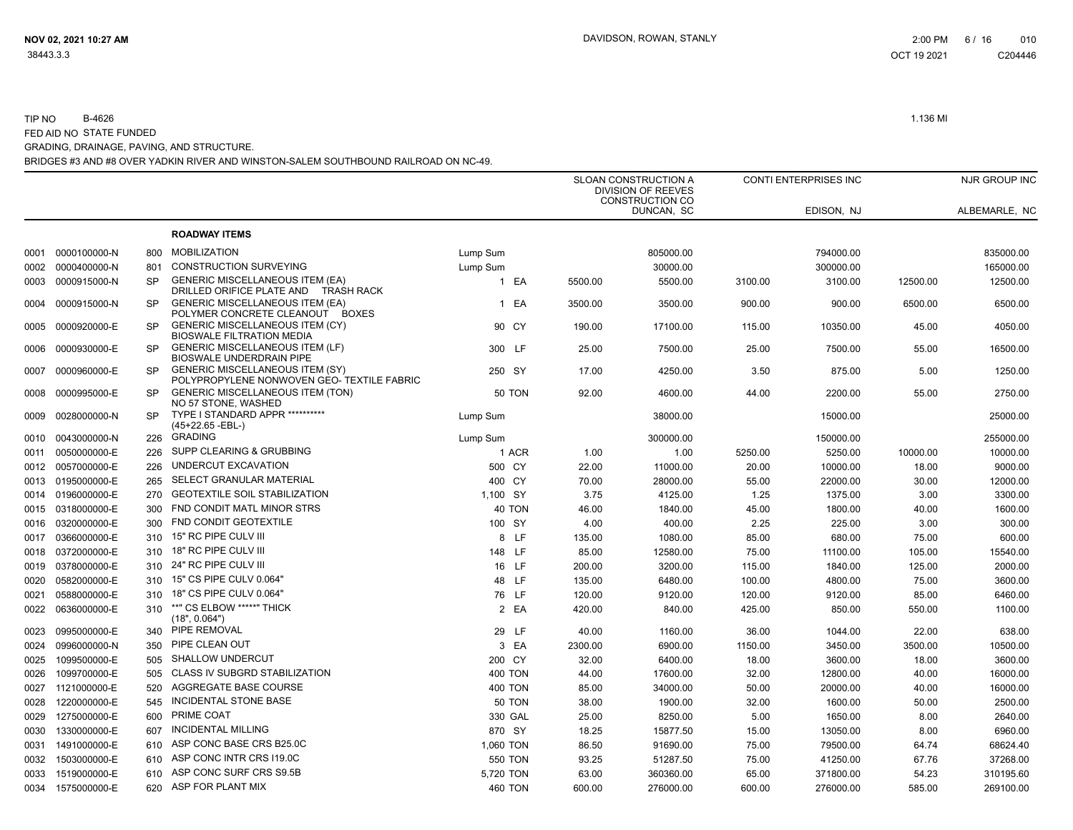#### TIP NO B-4626 1.136 MI FED AID NO STATE FUNDED GRADING, DRAINAGE, PAVING, AND STRUCTURE.

BRIDGES #3 AND #8 OVER YADKIN RIVER AND WINSTON-SALEM SOUTHBOUND RAILROAD ON NC-49.

|      |                   |           |                                                                                      |                |         | SLOAN CONSTRUCTION A<br>DIVISION OF REEVES<br><b>CONSTRUCTION CO</b> |         | CONTI ENTERPRISES INC |          | NJR GROUP INC |
|------|-------------------|-----------|--------------------------------------------------------------------------------------|----------------|---------|----------------------------------------------------------------------|---------|-----------------------|----------|---------------|
|      |                   |           |                                                                                      |                |         | DUNCAN, SC                                                           |         | EDISON, NJ            |          | ALBEMARLE, NC |
|      |                   |           | <b>ROADWAY ITEMS</b>                                                                 |                |         |                                                                      |         |                       |          |               |
| 0001 | 0000100000-N      | 800       | <b>MOBILIZATION</b>                                                                  | Lump Sum       |         | 805000.00                                                            |         | 794000.00             |          | 835000.00     |
| 0002 | 0000400000-N      | 801       | <b>CONSTRUCTION SURVEYING</b>                                                        | Lump Sum       |         | 30000.00                                                             |         | 300000.00             |          | 165000.00     |
| 0003 | 0000915000-N      | <b>SP</b> | <b>GENERIC MISCELLANEOUS ITEM (EA)</b><br>DRILLED ORIFICE PLATE AND<br>TRASH RACK    | 1 EA           | 5500.00 | 5500.00                                                              | 3100.00 | 3100.00               | 12500.00 | 12500.00      |
| 0004 | 0000915000-N      | <b>SP</b> | <b>GENERIC MISCELLANEOUS ITEM (EA)</b><br>POLYMER CONCRETE CLEANOUT<br>BOXES         | 1 EA           | 3500.00 | 3500.00                                                              | 900.00  | 900.00                | 6500.00  | 6500.00       |
| 0005 | 0000920000-E      | <b>SP</b> | <b>GENERIC MISCELLANEOUS ITEM (CY)</b><br><b>BIOSWALE FILTRATION MEDIA</b>           | 90 CY          | 190.00  | 17100.00                                                             | 115.00  | 10350.00              | 45.00    | 4050.00       |
| 0006 | 0000930000-E      | <b>SP</b> | <b>GENERIC MISCELLANEOUS ITEM (LF)</b><br><b>BIOSWALE UNDERDRAIN PIPE</b>            | 300 LF         | 25.00   | 7500.00                                                              | 25.00   | 7500.00               | 55.00    | 16500.00      |
| 0007 | 0000960000-E      | <b>SP</b> | <b>GENERIC MISCELLANEOUS ITEM (SY)</b><br>POLYPROPYLENE NONWOVEN GEO- TEXTILE FABRIC | 250 SY         | 17.00   | 4250.00                                                              | 3.50    | 875.00                | 5.00     | 1250.00       |
| 0008 | 0000995000-E      | <b>SP</b> | <b>GENERIC MISCELLANEOUS ITEM (TON)</b><br>NO 57 STONE, WASHED                       | <b>50 TON</b>  | 92.00   | 4600.00                                                              | 44.00   | 2200.00               | 55.00    | 2750.00       |
| 0009 | 0028000000-N      | SP        | TYPE I STANDARD APPR ***********<br>(45+22.65 -EBL-)                                 | Lump Sum       |         | 38000.00                                                             |         | 15000.00              |          | 25000.00      |
| 0010 | 0043000000-N      | 226       | <b>GRADING</b>                                                                       | Lump Sum       |         | 300000.00                                                            |         | 150000.00             |          | 255000.00     |
| 0011 | 0050000000-E      | 226       | SUPP CLEARING & GRUBBING                                                             | 1 ACR          | 1.00    | 1.00                                                                 | 5250.00 | 5250.00               | 10000.00 | 10000.00      |
|      | 0012 0057000000-E | 226       | UNDERCUT EXCAVATION                                                                  | 500 CY         | 22.00   | 11000.00                                                             | 20.00   | 10000.00              | 18.00    | 9000.00       |
|      | 0013 0195000000-E | 265       | SELECT GRANULAR MATERIAL                                                             | 400 CY         | 70.00   | 28000.00                                                             | 55.00   | 22000.00              | 30.00    | 12000.00      |
| 0014 | 0196000000-E      | 270       | <b>GEOTEXTILE SOIL STABILIZATION</b>                                                 | 1.100 SY       | 3.75    | 4125.00                                                              | 1.25    | 1375.00               | 3.00     | 3300.00       |
| 0015 | 0318000000-E      | 300       | FND CONDIT MATL MINOR STRS                                                           | 40 TON         | 46.00   | 1840.00                                                              | 45.00   | 1800.00               | 40.00    | 1600.00       |
| 0016 | 0320000000-E      | 300       | FND CONDIT GEOTEXTILE                                                                | 100 SY         | 4.00    | 400.00                                                               | 2.25    | 225.00                | 3.00     | 300.00        |
| 0017 | 0366000000-E      | 310       | 15" RC PIPE CULV III                                                                 | 8 LF           | 135.00  | 1080.00                                                              | 85.00   | 680.00                | 75.00    | 600.00        |
| 0018 | 0372000000-E      | 310       | 18" RC PIPE CULV III                                                                 | 148 LF         | 85.00   | 12580.00                                                             | 75.00   | 11100.00              | 105.00   | 15540.00      |
| 0019 | 0378000000-E      | 310       | 24" RC PIPE CULV III                                                                 | 16 LF          | 200.00  | 3200.00                                                              | 115.00  | 1840.00               | 125.00   | 2000.00       |
| 0020 | 0582000000-E      | 310       | 15" CS PIPE CULV 0.064"                                                              | 48 LF          | 135.00  | 6480.00                                                              | 100.00  | 4800.00               | 75.00    | 3600.00       |
| 0021 | 0588000000-E      | 310       | 18" CS PIPE CULV 0.064"                                                              | 76 LF          | 120.00  | 9120.00                                                              | 120.00  | 9120.00               | 85.00    | 6460.00       |
| 0022 | 0636000000-E      | 310       | **" CS ELBOW *****" THICK<br>(18", 0.064")                                           | 2 EA           | 420.00  | 840.00                                                               | 425.00  | 850.00                | 550.00   | 1100.00       |
| 0023 | 0995000000-E      |           | 340 PIPE REMOVAL                                                                     | 29 LF          | 40.00   | 1160.00                                                              | 36.00   | 1044.00               | 22.00    | 638.00        |
| 0024 | 0996000000-N      | 350       | PIPE CLEAN OUT                                                                       | 3 EA           | 2300.00 | 6900.00                                                              | 1150.00 | 3450.00               | 3500.00  | 10500.00      |
| 0025 | 1099500000-E      | 505       | <b>SHALLOW UNDERCUT</b>                                                              | 200 CY         | 32.00   | 6400.00                                                              | 18.00   | 3600.00               | 18.00    | 3600.00       |
| 0026 | 1099700000-E      | 505       | CLASS IV SUBGRD STABILIZATION                                                        | <b>400 TON</b> | 44.00   | 17600.00                                                             | 32.00   | 12800.00              | 40.00    | 16000.00      |
| 0027 | 1121000000-E      | 520       | AGGREGATE BASE COURSE                                                                | <b>400 TON</b> | 85.00   | 34000.00                                                             | 50.00   | 20000.00              | 40.00    | 16000.00      |
| 0028 | 1220000000-E      | 545       | INCIDENTAL STONE BASE                                                                | 50 TON         | 38.00   | 1900.00                                                              | 32.00   | 1600.00               | 50.00    | 2500.00       |
| 0029 | 1275000000-E      | 600       | PRIME COAT                                                                           | 330 GAL        | 25.00   | 8250.00                                                              | 5.00    | 1650.00               | 8.00     | 2640.00       |
| 0030 | 1330000000-E      | 607       | <b>INCIDENTAL MILLING</b>                                                            | 870 SY         | 18.25   | 15877.50                                                             | 15.00   | 13050.00              | 8.00     | 6960.00       |
| 0031 | 1491000000-E      | 610       | ASP CONC BASE CRS B25.0C                                                             | 1,060 TON      | 86.50   | 91690.00                                                             | 75.00   | 79500.00              | 64.74    | 68624.40      |
| 0032 | 1503000000-E      | 610       | ASP CONC INTR CRS I19.0C                                                             | <b>550 TON</b> | 93.25   | 51287.50                                                             | 75.00   | 41250.00              | 67.76    | 37268.00      |
| 0033 | 1519000000-E      | 610       | ASP CONC SURF CRS S9.5B                                                              | 5,720 TON      | 63.00   | 360360.00                                                            | 65.00   | 371800.00             | 54.23    | 310195.60     |
| 0034 | 1575000000-E      | 620       | ASP FOR PLANT MIX                                                                    | <b>460 TON</b> | 600.00  | 276000.00                                                            | 600.00  | 276000.00             | 585.00   | 269100.00     |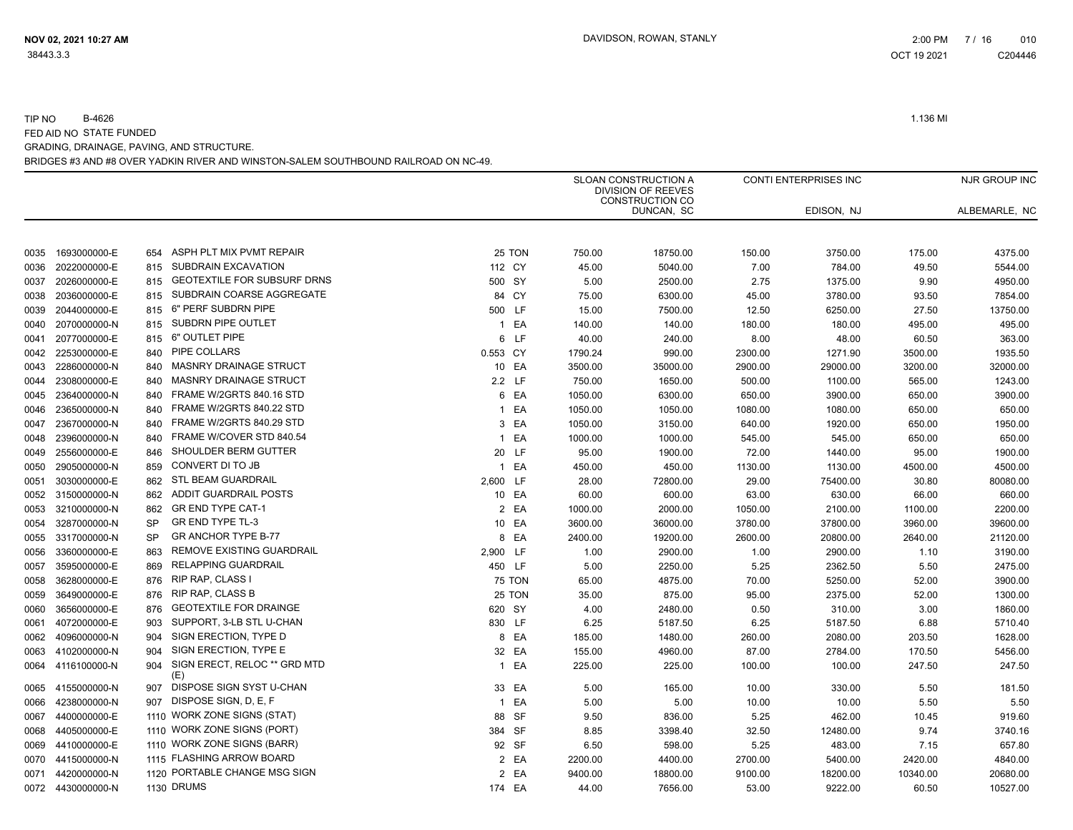|                      |           |                                            |                |               |         | SLOAN CONSTRUCTION A<br><b>DIVISION OF REEVES</b><br>CONSTRUCTION CO |         | <b>CONTI ENTERPRISES INC</b> |          | NJR GROUP INC |
|----------------------|-----------|--------------------------------------------|----------------|---------------|---------|----------------------------------------------------------------------|---------|------------------------------|----------|---------------|
|                      |           |                                            |                |               |         | DUNCAN, SC                                                           |         | EDISON, NJ                   |          | ALBEMARLE, NC |
| 1693000000-E<br>0035 |           | ASPH PLT MIX PVMT REPAIR<br>654            |                | 25 TON        | 750.00  | 18750.00                                                             | 150.00  | 3750.00                      | 175.00   | 4375.00       |
| 2022000000-E<br>0036 |           | SUBDRAIN EXCAVATION<br>815                 |                | 112 CY        | 45.00   | 5040.00                                                              | 7.00    | 784.00                       | 49.50    | 5544.00       |
| 2026000000-E<br>0037 |           | GEOTEXTILE FOR SUBSURF DRNS<br>815         | 500 SY         |               | 5.00    | 2500.00                                                              | 2.75    | 1375.00                      | 9.90     | 4950.00       |
| 2036000000-E<br>0038 |           | SUBDRAIN COARSE AGGREGATE<br>815           |                | 84 CY         | 75.00   | 6300.00                                                              | 45.00   | 3780.00                      | 93.50    | 7854.00       |
| 2044000000-E<br>0039 |           | 6" PERF SUBDRN PIPE<br>815                 | 500 LF         |               | 15.00   | 7500.00                                                              | 12.50   | 6250.00                      | 27.50    | 13750.00      |
| 2070000000-N<br>0040 |           | SUBDRN PIPE OUTLET<br>815                  | $\overline{1}$ | EA            | 140.00  | 140.00                                                               | 180.00  | 180.00                       | 495.00   | 495.00        |
| 2077000000-E<br>0041 |           | 6" OUTLET PIPE<br>815                      |                | 6 LF          | 40.00   | 240.00                                                               | 8.00    | 48.00                        | 60.50    | 363.00        |
| 2253000000-E<br>0042 |           | PIPE COLLARS<br>840                        | 0.553 CY       |               | 1790.24 | 990.00                                                               | 2300.00 | 1271.90                      | 3500.00  | 1935.50       |
| 2286000000-N<br>0043 |           | MASNRY DRAINAGE STRUCT<br>840              |                | 10 EA         | 3500.00 | 35000.00                                                             | 2900.00 | 29000.00                     | 3200.00  | 32000.00      |
| 2308000000-E<br>0044 |           | <b>MASNRY DRAINAGE STRUCT</b><br>840       |                | 2.2 LF        | 750.00  | 1650.00                                                              | 500.00  | 1100.00                      | 565.00   | 1243.00       |
| 2364000000-N<br>0045 |           | FRAME W/2GRTS 840.16 STD<br>840            |                | 6 EA          | 1050.00 | 6300.00                                                              | 650.00  | 3900.00                      | 650.00   | 3900.00       |
| 2365000000-N<br>0046 |           | FRAME W/2GRTS 840.22 STD<br>840            | $\overline{1}$ | EA            | 1050.00 | 1050.00                                                              | 1080.00 | 1080.00                      | 650.00   | 650.00        |
| 2367000000-N<br>0047 |           | FRAME W/2GRTS 840.29 STD<br>840            |                | 3 EA          | 1050.00 | 3150.00                                                              | 640.00  | 1920.00                      | 650.00   | 1950.00       |
| 2396000000-N<br>0048 |           | FRAME W/COVER STD 840.54<br>840            | $\mathbf{1}$   | EA            | 1000.00 | 1000.00                                                              | 545.00  | 545.00                       | 650.00   | 650.00        |
| 2556000000-E<br>0049 |           | SHOULDER BERM GUTTER<br>846                | 20             | LF.           | 95.00   | 1900.00                                                              | 72.00   | 1440.00                      | 95.00    | 1900.00       |
| 2905000000-N<br>0050 |           | CONVERT DI TO JB<br>859                    | $\mathbf{1}$   | EA            | 450.00  | 450.00                                                               | 1130.00 | 1130.00                      | 4500.00  | 4500.00       |
| 3030000000-E<br>0051 |           | STL BEAM GUARDRAIL<br>862                  | 2,600 LF       |               | 28.00   | 72800.00                                                             | 29.00   | 75400.00                     | 30.80    | 80080.00      |
| 3150000000-N<br>0052 |           | ADDIT GUARDRAIL POSTS<br>862               |                | 10 EA         | 60.00   | 600.00                                                               | 63.00   | 630.00                       | 66.00    | 660.00        |
| 3210000000-N<br>0053 |           | <b>GR END TYPE CAT-1</b><br>862            |                | 2 EA          | 1000.00 | 2000.00                                                              | 1050.00 | 2100.00                      | 1100.00  | 2200.00       |
| 3287000000-N<br>0054 | <b>SP</b> | GR END TYPE TL-3                           |                | 10 EA         | 3600.00 | 36000.00                                                             | 3780.00 | 37800.00                     | 3960.00  | 39600.00      |
| 3317000000-N<br>0055 | <b>SP</b> | GR ANCHOR TYPE B-77                        |                | 8 EA          | 2400.00 | 19200.00                                                             | 2600.00 | 20800.00                     | 2640.00  | 21120.00      |
| 3360000000-E<br>0056 |           | REMOVE EXISTING GUARDRAIL<br>863           | 2,900 LF       |               | 1.00    | 2900.00                                                              | 1.00    | 2900.00                      | 1.10     | 3190.00       |
| 3595000000-E<br>0057 |           | <b>RELAPPING GUARDRAIL</b><br>869          | 450 LF         |               | 5.00    | 2250.00                                                              | 5.25    | 2362.50                      | 5.50     | 2475.00       |
| 3628000000-E<br>0058 |           | RIP RAP, CLASS I<br>876                    |                | <b>75 TON</b> | 65.00   | 4875.00                                                              | 70.00   | 5250.00                      | 52.00    | 3900.00       |
| 3649000000-E<br>0059 |           | <b>RIP RAP, CLASS B</b><br>876             |                | 25 TON        | 35.00   | 875.00                                                               | 95.00   | 2375.00                      | 52.00    | 1300.00       |
| 3656000000-E<br>0060 |           | <b>GEOTEXTILE FOR DRAINGE</b><br>876       | 620 SY         |               | 4.00    | 2480.00                                                              | 0.50    | 310.00                       | 3.00     | 1860.00       |
| 4072000000-E<br>0061 |           | SUPPORT, 3-LB STL U-CHAN<br>903            | 830 LF         |               | 6.25    | 5187.50                                                              | 6.25    | 5187.50                      | 6.88     | 5710.40       |
| 4096000000-N<br>0062 |           | SIGN ERECTION, TYPE D<br>904               |                | 8 EA          | 185.00  | 1480.00                                                              | 260.00  | 2080.00                      | 203.50   | 1628.00       |
| 4102000000-N<br>0063 |           | SIGN ERECTION, TYPE E<br>904               |                | 32 EA         | 155.00  | 4960.00                                                              | 87.00   | 2784.00                      | 170.50   | 5456.00       |
| 4116100000-N<br>0064 |           | SIGN ERECT, RELOC ** GRD MTD<br>904<br>(E) | $\mathbf{1}$   | EA            | 225.00  | 225.00                                                               | 100.00  | 100.00                       | 247.50   | 247.50        |
| 4155000000-N<br>0065 |           | DISPOSE SIGN SYST U-CHAN<br>907            |                | 33 EA         | 5.00    | 165.00                                                               | 10.00   | 330.00                       | 5.50     | 181.50        |
| 4238000000-N<br>0066 |           | DISPOSE SIGN, D, E, F<br>907               | $\overline{1}$ | EA            | 5.00    | 5.00                                                                 | 10.00   | 10.00                        | 5.50     | 5.50          |
| 4400000000-E<br>0067 |           | 1110 WORK ZONE SIGNS (STAT)                |                | 88 SF         | 9.50    | 836.00                                                               | 5.25    | 462.00                       | 10.45    | 919.60        |
| 4405000000-E<br>0068 |           | 1110 WORK ZONE SIGNS (PORT)                | 384 SF         |               | 8.85    | 3398.40                                                              | 32.50   | 12480.00                     | 9.74     | 3740.16       |
| 4410000000-E<br>0069 |           | 1110 WORK ZONE SIGNS (BARR)                |                | 92 SF         | 6.50    | 598.00                                                               | 5.25    | 483.00                       | 7.15     | 657.80        |
| 4415000000-N<br>0070 |           | 1115 FLASHING ARROW BOARD                  |                | 2 EA          | 2200.00 | 4400.00                                                              | 2700.00 | 5400.00                      | 2420.00  | 4840.00       |
| 4420000000-N<br>0071 |           | 1120 PORTABLE CHANGE MSG SIGN              |                | 2 EA          | 9400.00 | 18800.00                                                             | 9100.00 | 18200.00                     | 10340.00 | 20680.00      |
| 0072 4430000000-N    |           | 1130 DRUMS                                 | 174 EA         |               | 44.00   | 7656.00                                                              | 53.00   | 9222.00                      | 60.50    | 10527.00      |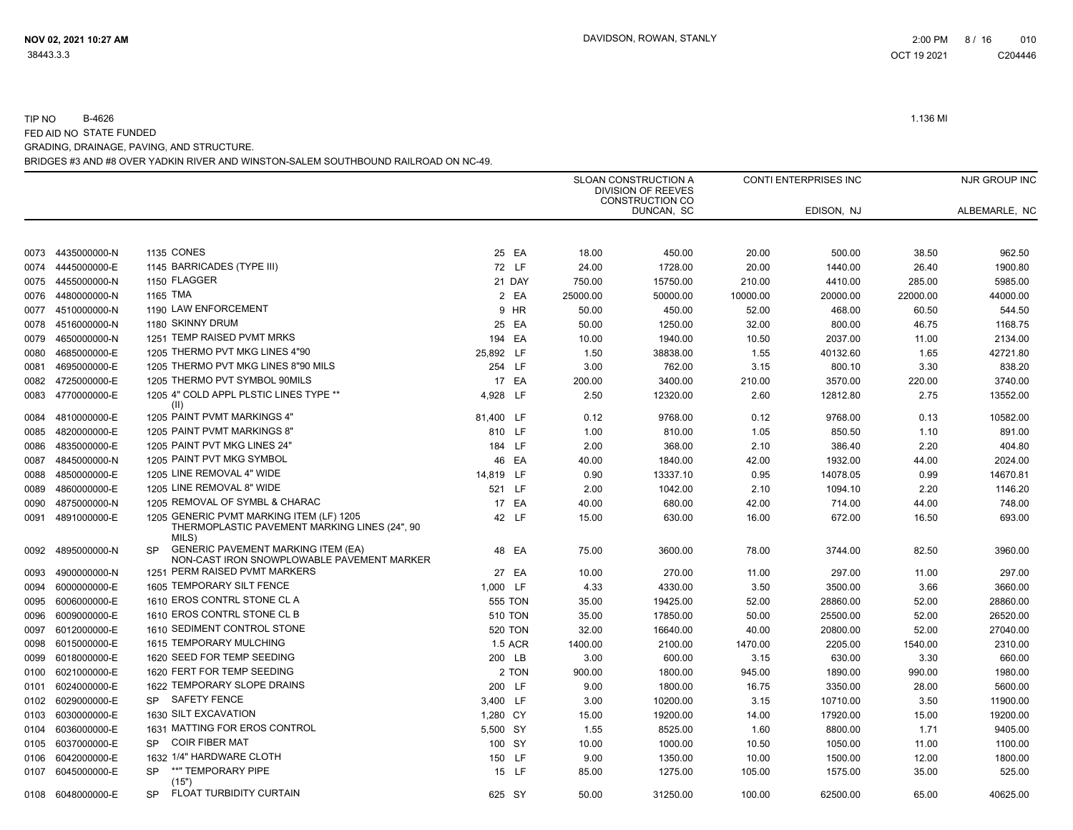|      |                   |                                                                                                      |                |          | SLOAN CONSTRUCTION A<br>DIVISION OF REEVES<br><b>CONSTRUCTION CO</b> |          | CONTI ENTERPRISES INC |          | NJR GROUP INC |
|------|-------------------|------------------------------------------------------------------------------------------------------|----------------|----------|----------------------------------------------------------------------|----------|-----------------------|----------|---------------|
|      |                   |                                                                                                      |                |          | DUNCAN, SC                                                           |          | EDISON, NJ            |          | ALBEMARLE, NC |
| 0073 | 4435000000-N      | 1135 CONES                                                                                           | 25 EA          | 18.00    | 450.00                                                               | 20.00    | 500.00                | 38.50    | 962.50        |
| 0074 | 4445000000-E      | 1145 BARRICADES (TYPE III)                                                                           | 72 LF          | 24.00    | 1728.00                                                              | 20.00    | 1440.00               | 26.40    | 1900.80       |
| 0075 | 4455000000-N      | 1150 FLAGGER                                                                                         | 21 DAY         | 750.00   | 15750.00                                                             | 210.00   | 4410.00               | 285.00   | 5985.00       |
| 0076 | 4480000000-N      | 1165 TMA                                                                                             | 2 EA           | 25000.00 | 50000.00                                                             | 10000.00 | 20000.00              | 22000.00 | 44000.00      |
| 0077 | 4510000000-N      | 1190 LAW ENFORCEMENT                                                                                 | 9 HR           | 50.00    | 450.00                                                               | 52.00    | 468.00                | 60.50    | 544.50        |
| 0078 | 4516000000-N      | 1180 SKINNY DRUM                                                                                     | 25 EA          | 50.00    | 1250.00                                                              | 32.00    | 800.00                | 46.75    | 1168.75       |
| 0079 | 4650000000-N      | 1251 TEMP RAISED PVMT MRKS                                                                           | 194 EA         | 10.00    | 1940.00                                                              | 10.50    | 2037.00               | 11.00    | 2134.00       |
| 0080 | 4685000000-E      | 1205 THERMO PVT MKG LINES 4"90                                                                       | 25,892 LF      | 1.50     | 38838.00                                                             | 1.55     | 40132.60              | 1.65     | 42721.80      |
| 0081 | 4695000000-E      | 1205 THERMO PVT MKG LINES 8"90 MILS                                                                  | 254 LF         | 3.00     | 762.00                                                               | 3.15     | 800.10                | 3.30     | 838.20        |
| 0082 | 4725000000-E      | 1205 THERMO PVT SYMBOL 90MILS                                                                        | 17 EA          | 200.00   | 3400.00                                                              | 210.00   | 3570.00               | 220.00   | 3740.00       |
| 0083 | 4770000000-E      | 1205 4" COLD APPL PLSTIC LINES TYPE **                                                               | 4,928<br>LF    | 2.50     | 12320.00                                                             | 2.60     | 12812.80              | 2.75     | 13552.00      |
|      |                   | (II)                                                                                                 |                |          |                                                                      |          |                       |          |               |
| 0084 | 4810000000-E      | 1205 PAINT PVMT MARKINGS 4"                                                                          | 81,400 LF      | 0.12     | 9768.00                                                              | 0.12     | 9768.00               | 0.13     | 10582.00      |
| 0085 | 4820000000-E      | 1205 PAINT PVMT MARKINGS 8"                                                                          | 810 LF         | 1.00     | 810.00                                                               | 1.05     | 850.50                | 1.10     | 891.00        |
| 0086 | 4835000000-E      | 1205 PAINT PVT MKG LINES 24"                                                                         | 184 LF         | 2.00     | 368.00                                                               | 2.10     | 386.40                | 2.20     | 404.80        |
| 0087 | 4845000000-N      | 1205 PAINT PVT MKG SYMBOL                                                                            | 46 EA          | 40.00    | 1840.00                                                              | 42.00    | 1932.00               | 44.00    | 2024.00       |
| 0088 | 4850000000-E      | 1205 LINE REMOVAL 4" WIDE                                                                            | 14,819 LF      | 0.90     | 13337.10                                                             | 0.95     | 14078.05              | 0.99     | 14670.81      |
| 0089 | 4860000000-E      | 1205 LINE REMOVAL 8" WIDE                                                                            | 521 LF         | 2.00     | 1042.00                                                              | 2.10     | 1094.10               | 2.20     | 1146.20       |
| 0090 | 4875000000-N      | 1205 REMOVAL OF SYMBL & CHARAC                                                                       | 17 EA          | 40.00    | 680.00                                                               | 42.00    | 714.00                | 44.00    | 748.00        |
| 0091 | 4891000000-E      | 1205 GENERIC PVMT MARKING ITEM (LF) 1205<br>THERMOPLASTIC PAVEMENT MARKING LINES (24", 90<br>MILS)   | 42 LF          | 15.00    | 630.00                                                               | 16.00    | 672.00                | 16.50    | 693.00        |
| 0092 | 4895000000-N      | <b>GENERIC PAVEMENT MARKING ITEM (EA)</b><br><b>SP</b><br>NON-CAST IRON SNOWPLOWABLE PAVEMENT MARKER | 48 EA          | 75.00    | 3600.00                                                              | 78.00    | 3744.00               | 82.50    | 3960.00       |
| 0093 | 4900000000-N      | 1251 PERM RAISED PVMT MARKERS                                                                        | 27 EA          | 10.00    | 270.00                                                               | 11.00    | 297.00                | 11.00    | 297.00        |
| 0094 | 6000000000-E      | 1605 TEMPORARY SILT FENCE                                                                            | 1,000 LF       | 4.33     | 4330.00                                                              | 3.50     | 3500.00               | 3.66     | 3660.00       |
| 0095 | 6006000000-E      | 1610 EROS CONTRL STONE CL A                                                                          | <b>555 TON</b> | 35.00    | 19425.00                                                             | 52.00    | 28860.00              | 52.00    | 28860.00      |
| 0096 | 6009000000-E      | 1610 EROS CONTRL STONE CL B                                                                          | <b>510 TON</b> | 35.00    | 17850.00                                                             | 50.00    | 25500.00              | 52.00    | 26520.00      |
| 0097 | 6012000000-E      | 1610 SEDIMENT CONTROL STONE                                                                          | <b>520 TON</b> | 32.00    | 16640.00                                                             | 40.00    | 20800.00              | 52.00    | 27040.00      |
| 0098 | 6015000000-E      | 1615 TEMPORARY MULCHING                                                                              | <b>1.5 ACR</b> | 1400.00  | 2100.00                                                              | 1470.00  | 2205.00               | 1540.00  | 2310.00       |
| 0099 | 6018000000-E      | 1620 SEED FOR TEMP SEEDING                                                                           | 200 LB         | 3.00     | 600.00                                                               | 3.15     | 630.00                | 3.30     | 660.00        |
| 0100 | 6021000000-E      | 1620 FERT FOR TEMP SEEDING                                                                           | 2 TON          | 900.00   | 1800.00                                                              | 945.00   | 1890.00               | 990.00   | 1980.00       |
| 0101 | 6024000000-E      | 1622 TEMPORARY SLOPE DRAINS                                                                          | 200 LF         | 9.00     | 1800.00                                                              | 16.75    | 3350.00               | 28.00    | 5600.00       |
| 0102 | 6029000000-E      | <b>SAFETY FENCE</b><br><b>SP</b>                                                                     | 3,400 LF       | 3.00     | 10200.00                                                             | 3.15     | 10710.00              | 3.50     | 11900.00      |
| 0103 | 6030000000-E      | 1630 SILT EXCAVATION                                                                                 | 1,280 CY       | 15.00    | 19200.00                                                             | 14.00    | 17920.00              | 15.00    | 19200.00      |
| 0104 | 6036000000-E      | 1631 MATTING FOR EROS CONTROL                                                                        | 5,500 SY       | 1.55     | 8525.00                                                              | 1.60     | 8800.00               | 1.71     | 9405.00       |
| 0105 | 6037000000-E      | <b>COIR FIBER MAT</b><br><b>SP</b>                                                                   | 100 SY         | 10.00    | 1000.00                                                              | 10.50    | 1050.00               | 11.00    | 1100.00       |
| 0106 | 6042000000-E      | 1632 1/4" HARDWARE CLOTH                                                                             | 150 LF         | 9.00     | 1350.00                                                              | 10.00    | 1500.00               | 12.00    | 1800.00       |
| 0107 | 6045000000-E      | **" TEMPORARY PIPE<br><b>SP</b><br>(15")                                                             | 15 LF          | 85.00    | 1275.00                                                              | 105.00   | 1575.00               | 35.00    | 525.00        |
|      | 0108 6048000000-E | FLOAT TURBIDITY CURTAIN<br><b>SP</b>                                                                 | 625 SY         | 50.00    | 31250.00                                                             | 100.00   | 62500.00              | 65.00    | 40625.00      |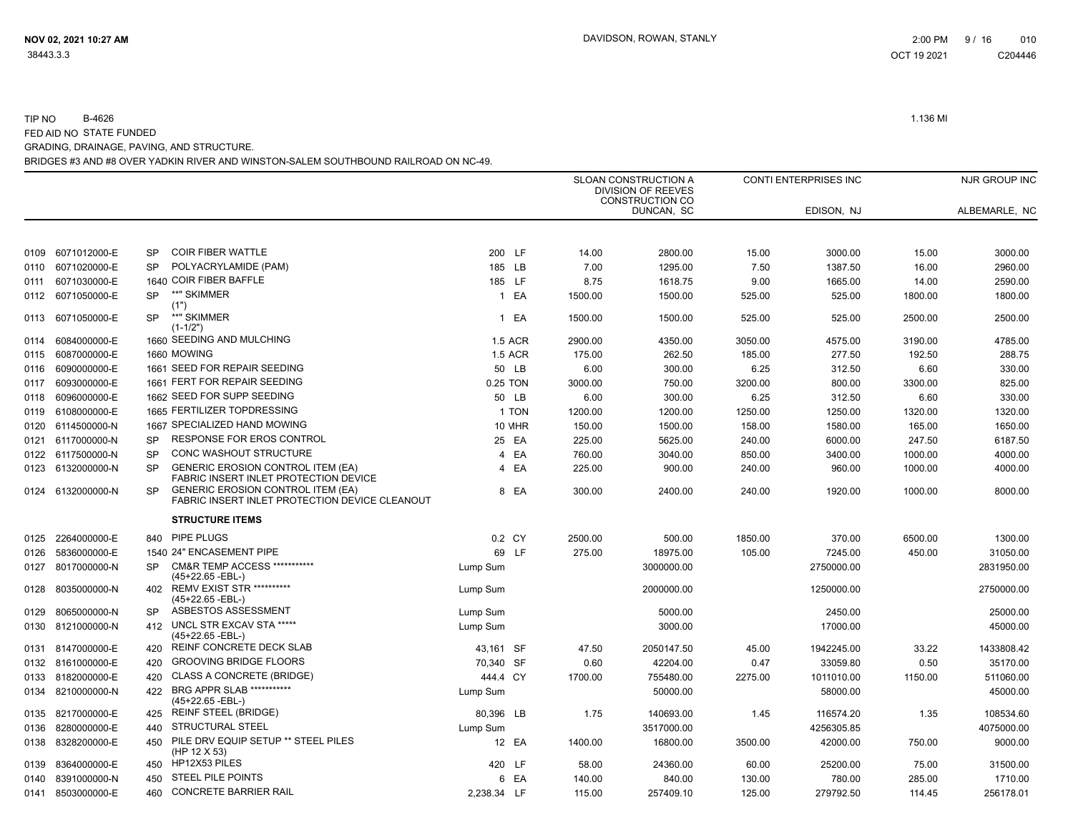|      |                   |           |                                                                                            |             |                |         | <b>SLOAN CONSTRUCTION A</b><br><b>DIVISION OF REEVES</b><br><b>CONSTRUCTION CO</b> |         | CONTI ENTERPRISES INC |         | NJR GROUP INC |
|------|-------------------|-----------|--------------------------------------------------------------------------------------------|-------------|----------------|---------|------------------------------------------------------------------------------------|---------|-----------------------|---------|---------------|
|      |                   |           |                                                                                            |             |                |         | DUNCAN, SC                                                                         |         | EDISON, NJ            |         | ALBEMARLE, NC |
|      |                   |           |                                                                                            |             |                |         |                                                                                    |         |                       |         |               |
| 0109 | 6071012000-E      | SP        | <b>COIR FIBER WATTLE</b>                                                                   |             | 200 LF         | 14.00   | 2800.00                                                                            | 15.00   | 3000.00               | 15.00   | 3000.00       |
| 0110 | 6071020000-E      | SP        | POLYACRYLAMIDE (PAM)                                                                       | 185 LB      |                | 7.00    | 1295.00                                                                            | 7.50    | 1387.50               | 16.00   | 2960.00       |
| 0111 | 6071030000-E      |           | 1640 COIR FIBER BAFFLE                                                                     |             | 185 LF         | 8.75    | 1618.75                                                                            | 9.00    | 1665.00               | 14.00   | 2590.00       |
| 0112 | 6071050000-E      | <b>SP</b> | **" SKIMMER<br>(1")                                                                        |             | 1 EA           | 1500.00 | 1500.00                                                                            | 525.00  | 525.00                | 1800.00 | 1800.00       |
| 0113 | 6071050000-E      | <b>SP</b> | **" SKIMMER<br>$(1 - 1/2")$                                                                |             | 1 EA           | 1500.00 | 1500.00                                                                            | 525.00  | 525.00                | 2500.00 | 2500.00       |
| 0114 | 6084000000-E      |           | 1660 SEEDING AND MULCHING                                                                  |             | <b>1.5 ACR</b> | 2900.00 | 4350.00                                                                            | 3050.00 | 4575.00               | 3190.00 | 4785.00       |
| 0115 | 6087000000-E      |           | 1660 MOWING                                                                                |             | <b>1.5 ACR</b> | 175.00  | 262.50                                                                             | 185.00  | 277.50                | 192.50  | 288.75        |
| 0116 | 6090000000-E      |           | 1661 SEED FOR REPAIR SEEDING                                                               |             | 50 LB          | 6.00    | 300.00                                                                             | 6.25    | 312.50                | 6.60    | 330.00        |
| 0117 | 6093000000-E      |           | 1661 FERT FOR REPAIR SEEDING                                                               |             | 0.25 TON       | 3000.00 | 750.00                                                                             | 3200.00 | 800.00                | 3300.00 | 825.00        |
| 0118 | 6096000000-E      |           | 1662 SEED FOR SUPP SEEDING                                                                 |             | 50 LB          | 6.00    | 300.00                                                                             | 6.25    | 312.50                | 6.60    | 330.00        |
| 0119 | 6108000000-E      |           | 1665 FERTILIZER TOPDRESSING                                                                |             | 1 TON          | 1200.00 | 1200.00                                                                            | 1250.00 | 1250.00               | 1320.00 | 1320.00       |
| 0120 | 6114500000-N      |           | 1667 SPECIALIZED HAND MOWING                                                               |             | 10 MHR         | 150.00  | 1500.00                                                                            | 158.00  | 1580.00               | 165.00  | 1650.00       |
|      | 0121 6117000000-N | <b>SP</b> | RESPONSE FOR EROS CONTROL                                                                  |             | 25 EA          | 225.00  | 5625.00                                                                            | 240.00  | 6000.00               | 247.50  | 6187.50       |
|      | 0122 6117500000-N | <b>SP</b> | CONC WASHOUT STRUCTURE                                                                     |             | 4 EA           | 760.00  | 3040.00                                                                            | 850.00  | 3400.00               | 1000.00 | 4000.00       |
|      | 0123 6132000000-N | <b>SP</b> | <b>GENERIC EROSION CONTROL ITEM (EA)</b><br>FABRIC INSERT INLET PROTECTION DEVICE          |             | 4 EA           | 225.00  | 900.00                                                                             | 240.00  | 960.00                | 1000.00 | 4000.00       |
|      | 0124 6132000000-N | <b>SP</b> | <b>GENERIC EROSION CONTROL ITEM (EA)</b><br>FABRIC INSERT INLET PROTECTION DEVICE CLEANOUT |             | 8 EA           | 300.00  | 2400.00                                                                            | 240.00  | 1920.00               | 1000.00 | 8000.00       |
|      |                   |           | <b>STRUCTURE ITEMS</b>                                                                     |             |                |         |                                                                                    |         |                       |         |               |
| 0125 | 2264000000-E      | 840       | PIPE PLUGS                                                                                 |             | 0.2 CY         | 2500.00 | 500.00                                                                             | 1850.00 | 370.00                | 6500.00 | 1300.00       |
| 0126 | 5836000000-E      |           | 1540 24" ENCASEMENT PIPE                                                                   |             | 69 LF          | 275.00  | 18975.00                                                                           | 105.00  | 7245.00               | 450.00  | 31050.00      |
| 0127 | 8017000000-N      | SP        | <b>CM&amp;R TEMP ACCESS ***********</b><br>(45+22.65 -EBL-)                                | Lump Sum    |                |         | 3000000.00                                                                         |         | 2750000.00            |         | 2831950.00    |
| 0128 | 8035000000-N      | 402       | REMV EXIST STR **********<br>(45+22.65 -EBL-)                                              | Lump Sum    |                |         | 2000000.00                                                                         |         | 1250000.00            |         | 2750000.00    |
| 0129 | 8065000000-N      | SP        | ASBESTOS ASSESSMENT                                                                        | Lump Sum    |                |         | 5000.00                                                                            |         | 2450.00               |         | 25000.00      |
| 0130 | 8121000000-N      | 412       | UNCL STR EXCAV STA *****<br>(45+22.65 -EBL-)                                               | Lump Sum    |                |         | 3000.00                                                                            |         | 17000.00              |         | 45000.00      |
|      | 0131 8147000000-E | 420       | REINF CONCRETE DECK SLAB                                                                   | 43,161 SF   |                | 47.50   | 2050147.50                                                                         | 45.00   | 1942245.00            | 33.22   | 1433808.42    |
|      | 0132 8161000000-E | 420       | <b>GROOVING BRIDGE FLOORS</b>                                                              | 70,340 SF   |                | 0.60    | 42204.00                                                                           | 0.47    | 33059.80              | 0.50    | 35170.00      |
| 0133 | 8182000000-E      | 420       | <b>CLASS A CONCRETE (BRIDGE)</b>                                                           | 444.4 CY    |                | 1700.00 | 755480.00                                                                          | 2275.00 | 1011010.00            | 1150.00 | 511060.00     |
| 0134 | 8210000000-N      | 422       | <b>BRG APPR SLAB ***********</b><br>(45+22.65 -EBL-)                                       | Lump Sum    |                |         | 50000.00                                                                           |         | 58000.00              |         | 45000.00      |
| 0135 | 8217000000-E      | 425       | <b>REINF STEEL (BRIDGE)</b>                                                                | 80,396 LB   |                | 1.75    | 140693.00                                                                          | 1.45    | 116574.20             | 1.35    | 108534.60     |
| 0136 | 8280000000-E      | 440       | STRUCTURAL STEEL                                                                           | Lump Sum    |                |         | 3517000.00                                                                         |         | 4256305.85            |         | 4075000.00    |
| 0138 | 8328200000-E      | 450       | PILE DRV EQUIP SETUP ** STEEL PILES<br>(HP 12 X 53)                                        |             | 12 EA          | 1400.00 | 16800.00                                                                           | 3500.00 | 42000.00              | 750.00  | 9000.00       |
| 0139 | 8364000000-E      | 450       | HP12X53 PILES                                                                              |             | 420 LF         | 58.00   | 24360.00                                                                           | 60.00   | 25200.00              | 75.00   | 31500.00      |
| 0140 | 8391000000-N      | 450       | <b>STEEL PILE POINTS</b>                                                                   |             | 6 EA           | 140.00  | 840.00                                                                             | 130.00  | 780.00                | 285.00  | 1710.00       |
|      | 0141 8503000000-E | 460       | <b>CONCRETE BARRIER RAIL</b>                                                               | 2.238.34 LF |                | 115.00  | 257409.10                                                                          | 125.00  | 279792.50             | 114.45  | 256178.01     |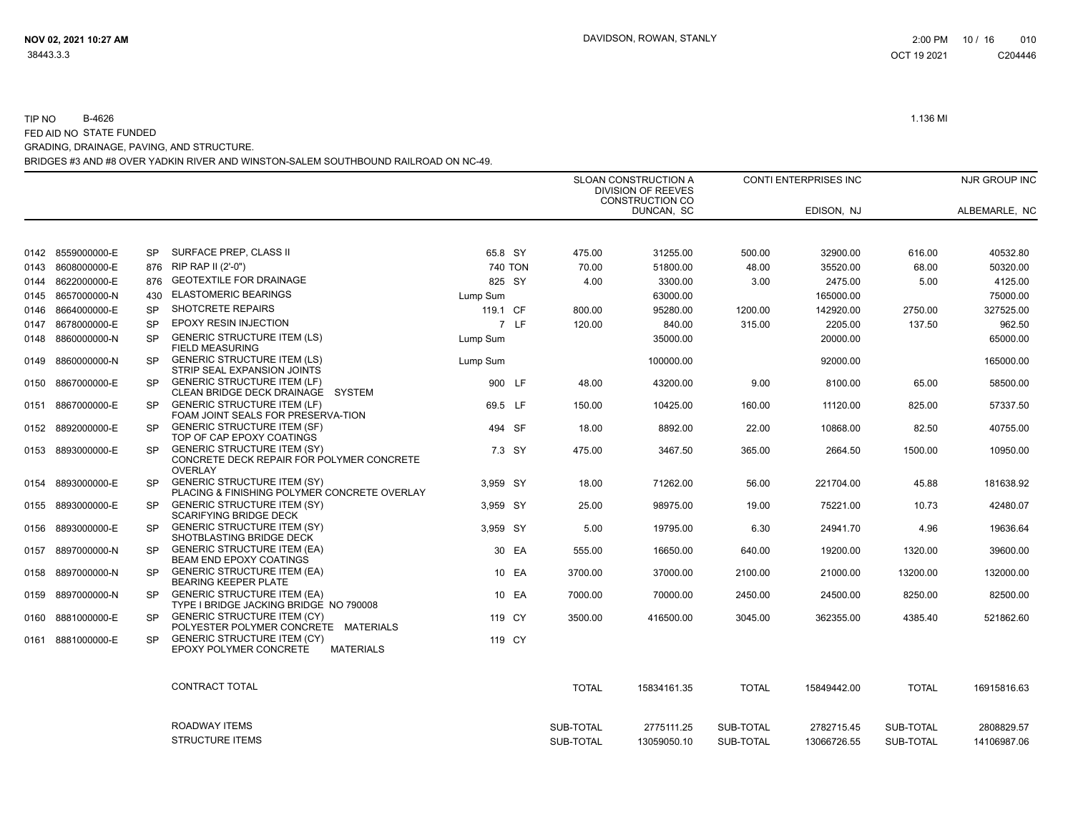|                   |           |                                                                                                   |          |         |              | <b>SLOAN CONSTRUCTION A</b><br><b>DIVISION OF REEVES</b><br>CONSTRUCTION CO |              | <b>CONTI ENTERPRISES INC</b> |              | NJR GROUP INC |
|-------------------|-----------|---------------------------------------------------------------------------------------------------|----------|---------|--------------|-----------------------------------------------------------------------------|--------------|------------------------------|--------------|---------------|
|                   |           |                                                                                                   |          |         |              | DUNCAN, SC                                                                  |              | EDISON, NJ                   |              | ALBEMARLE, NC |
|                   |           |                                                                                                   |          |         |              |                                                                             |              |                              |              |               |
| 0142 8559000000-E | <b>SP</b> | SURFACE PREP, CLASS II                                                                            | 65.8 SY  |         | 475.00       | 31255.00                                                                    | 500.00       | 32900.00                     | 616.00       | 40532.80      |
| 0143 8608000000-E | 876       | RIP RAP II (2'-0")                                                                                |          | 740 TON | 70.00        | 51800.00                                                                    | 48.00        | 35520.00                     | 68.00        | 50320.00      |
| 0144 8622000000-E | 876       | <b>GEOTEXTILE FOR DRAINAGE</b>                                                                    | 825 SY   |         | 4.00         | 3300.00                                                                     | 3.00         | 2475.00                      | 5.00         | 4125.00       |
| 0145 8657000000-N | 430       | <b>ELASTOMERIC BEARINGS</b>                                                                       | Lump Sum |         |              | 63000.00                                                                    |              | 165000.00                    |              | 75000.00      |
| 0146 8664000000-E | <b>SP</b> | <b>SHOTCRETE REPAIRS</b>                                                                          | 119.1 CF |         | 800.00       | 95280.00                                                                    | 1200.00      | 142920.00                    | 2750.00      | 327525.00     |
| 0147 8678000000-E | <b>SP</b> | <b>EPOXY RESIN INJECTION</b>                                                                      |          | 7 LF    | 120.00       | 840.00                                                                      | 315.00       | 2205.00                      | 137.50       | 962.50        |
| 0148 8860000000-N | <b>SP</b> | <b>GENERIC STRUCTURE ITEM (LS)</b><br><b>FIELD MEASURING</b>                                      | Lump Sum |         |              | 35000.00                                                                    |              | 20000.00                     |              | 65000.00      |
| 0149 8860000000-N | <b>SP</b> | <b>GENERIC STRUCTURE ITEM (LS)</b><br>STRIP SEAL EXPANSION JOINTS                                 | Lump Sum |         |              | 100000.00                                                                   |              | 92000.00                     |              | 165000.00     |
| 0150 8867000000-E | <b>SP</b> | <b>GENERIC STRUCTURE ITEM (LF)</b><br>CLEAN BRIDGE DECK DRAINAGE SYSTEM                           |          | 900 LF  | 48.00        | 43200.00                                                                    | 9.00         | 8100.00                      | 65.00        | 58500.00      |
| 0151 8867000000-E | <b>SP</b> | <b>GENERIC STRUCTURE ITEM (LF)</b><br>FOAM JOINT SEALS FOR PRESERVA-TION                          | 69.5 LF  |         | 150.00       | 10425.00                                                                    | 160.00       | 11120.00                     | 825.00       | 57337.50      |
| 0152 8892000000-E | <b>SP</b> | <b>GENERIC STRUCTURE ITEM (SF)</b><br>TOP OF CAP EPOXY COATINGS                                   |          | 494 SF  | 18.00        | 8892.00                                                                     | 22.00        | 10868.00                     | 82.50        | 40755.00      |
| 0153 8893000000-E | SP.       | <b>GENERIC STRUCTURE ITEM (SY)</b><br>CONCRETE DECK REPAIR FOR POLYMER CONCRETE<br><b>OVERLAY</b> |          | 7.3 SY  | 475.00       | 3467.50                                                                     | 365.00       | 2664.50                      | 1500.00      | 10950.00      |
| 0154 8893000000-E | <b>SP</b> | <b>GENERIC STRUCTURE ITEM (SY)</b><br>PLACING & FINISHING POLYMER CONCRETE OVERLAY                | 3.959 SY |         | 18.00        | 71262.00                                                                    | 56.00        | 221704.00                    | 45.88        | 181638.92     |
| 0155 8893000000-E | <b>SP</b> | <b>GENERIC STRUCTURE ITEM (SY)</b><br><b>SCARIFYING BRIDGE DECK</b>                               | 3,959 SY |         | 25.00        | 98975.00                                                                    | 19.00        | 75221.00                     | 10.73        | 42480.07      |
| 0156 8893000000-E | <b>SP</b> | <b>GENERIC STRUCTURE ITEM (SY)</b><br>SHOTBLASTING BRIDGE DECK                                    | 3,959 SY |         | 5.00         | 19795.00                                                                    | 6.30         | 24941.70                     | 4.96         | 19636.64      |
| 0157 8897000000-N | <b>SP</b> | <b>GENERIC STRUCTURE ITEM (EA)</b><br><b>BEAM END EPOXY COATINGS</b>                              |          | 30 EA   | 555.00       | 16650.00                                                                    | 640.00       | 19200.00                     | 1320.00      | 39600.00      |
| 0158 8897000000-N | <b>SP</b> | <b>GENERIC STRUCTURE ITEM (EA)</b><br>BEARING KEEPER PLATE                                        |          | 10 EA   | 3700.00      | 37000.00                                                                    | 2100.00      | 21000.00                     | 13200.00     | 132000.00     |
| 0159 8897000000-N | SP.       | <b>GENERIC STRUCTURE ITEM (EA)</b><br>TYPE I BRIDGE JACKING BRIDGE NO 790008                      |          | 10 EA   | 7000.00      | 70000.00                                                                    | 2450.00      | 24500.00                     | 8250.00      | 82500.00      |
| 0160 8881000000-E | <b>SP</b> | <b>GENERIC STRUCTURE ITEM (CY)</b><br>POLYESTER POLYMER CONCRETE MATERIALS                        |          | 119 CY  | 3500.00      | 416500.00                                                                   | 3045.00      | 362355.00                    | 4385.40      | 521862.60     |
| 0161 8881000000-E | <b>SP</b> | <b>GENERIC STRUCTURE ITEM (CY)</b><br>EPOXY POLYMER CONCRETE<br><b>MATERIALS</b>                  |          | 119 CY  |              |                                                                             |              |                              |              |               |
|                   |           | CONTRACT TOTAL                                                                                    |          |         | <b>TOTAL</b> | 15834161.35                                                                 | <b>TOTAL</b> | 15849442.00                  | <b>TOTAL</b> | 16915816.63   |
|                   |           | ROADWAY ITEMS                                                                                     |          |         | SUB-TOTAL    | 2775111.25                                                                  | SUB-TOTAL    | 2782715.45                   | SUB-TOTAL    | 2808829.57    |
|                   |           | <b>STRUCTURE ITEMS</b>                                                                            |          |         | SUB-TOTAL    | 13059050.10                                                                 | SUB-TOTAL    | 13066726.55                  | SUB-TOTAL    | 14106987.06   |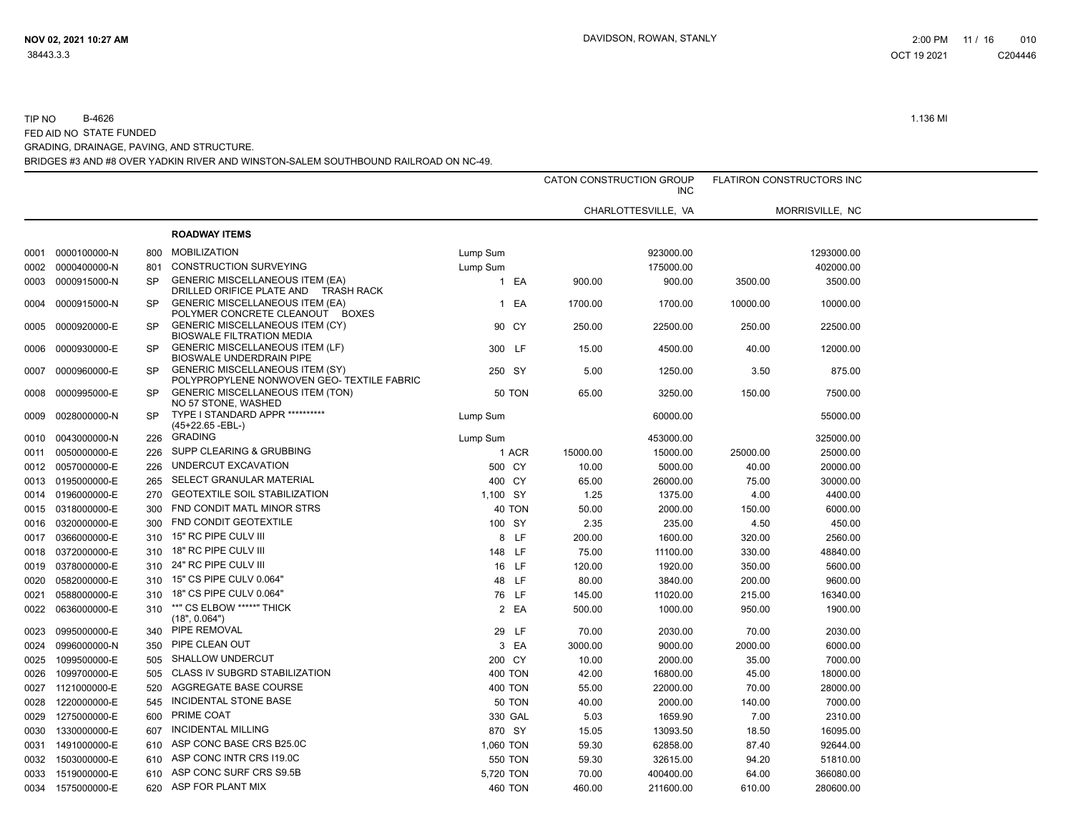|      |                   |           |                                                                                      |                |          | CATON CONSTRUCTION GROUP<br><b>INC</b> |          | FLATIRON CONSTRUCTORS INC |  |
|------|-------------------|-----------|--------------------------------------------------------------------------------------|----------------|----------|----------------------------------------|----------|---------------------------|--|
|      |                   |           |                                                                                      |                |          | CHARLOTTESVILLE, VA                    |          | MORRISVILLE, NC           |  |
|      |                   |           | <b>ROADWAY ITEMS</b>                                                                 |                |          |                                        |          |                           |  |
| 0001 | 0000100000-N      | 800       | <b>MOBILIZATION</b>                                                                  | Lump Sum       |          | 923000.00                              |          | 1293000.00                |  |
|      | 0002 0000400000-N | 801       | <b>CONSTRUCTION SURVEYING</b>                                                        | Lump Sum       |          | 175000.00                              |          | 402000.00                 |  |
| 0003 | 0000915000-N      | SP        | <b>GENERIC MISCELLANEOUS ITEM (EA)</b><br>DRILLED ORIFICE PLATE AND<br>TRASH RACK    | 1 EA           | 900.00   | 900.00                                 | 3500.00  | 3500.00                   |  |
|      | 0004 0000915000-N | SP        | <b>GENERIC MISCELLANEOUS ITEM (EA)</b><br>POLYMER CONCRETE CLEANOUT BOXES            | EA<br>1        | 1700.00  | 1700.00                                | 10000.00 | 10000.00                  |  |
| 0005 | 0000920000-E      | <b>SP</b> | <b>GENERIC MISCELLANEOUS ITEM (CY)</b><br><b>BIOSWALE FILTRATION MEDIA</b>           | 90 CY          | 250.00   | 22500.00                               | 250.00   | 22500.00                  |  |
| 0006 | 0000930000-E      | <b>SP</b> | <b>GENERIC MISCELLANEOUS ITEM (LF)</b><br><b>BIOSWALE UNDERDRAIN PIPE</b>            | 300 LF         | 15.00    | 4500.00                                | 40.00    | 12000.00                  |  |
| 0007 | 0000960000-E      | SP        | <b>GENERIC MISCELLANEOUS ITEM (SY)</b><br>POLYPROPYLENE NONWOVEN GEO- TEXTILE FABRIC | 250 SY         | 5.00     | 1250.00                                | 3.50     | 875.00                    |  |
| 0008 | 0000995000-E      | SP        | <b>GENERIC MISCELLANEOUS ITEM (TON)</b><br>NO 57 STONE, WASHED                       | <b>50 TON</b>  | 65.00    | 3250.00                                | 150.00   | 7500.00                   |  |
| 0009 | 0028000000-N      | SP        | TYPE I STANDARD APPR **********<br>(45+22.65 -EBL-)                                  | Lump Sum       |          | 60000.00                               |          | 55000.00                  |  |
| 0010 | 0043000000-N      | 226       | <b>GRADING</b>                                                                       | Lump Sum       |          | 453000.00                              |          | 325000.00                 |  |
| 0011 | 0050000000-E      | 226       | SUPP CLEARING & GRUBBING                                                             | 1 ACR          | 15000.00 | 15000.00                               | 25000.00 | 25000.00                  |  |
|      | 0012 0057000000-E | 226       | UNDERCUT EXCAVATION                                                                  | 500 CY         | 10.00    | 5000.00                                | 40.00    | 20000.00                  |  |
| 0013 | 0195000000-E      | 265       | <b>SELECT GRANULAR MATERIAL</b>                                                      | 400 CY         | 65.00    | 26000.00                               | 75.00    | 30000.00                  |  |
|      | 0014 0196000000-E | 270       | <b>GEOTEXTILE SOIL STABILIZATION</b>                                                 | 1,100 SY       | 1.25     | 1375.00                                | 4.00     | 4400.00                   |  |
|      | 0015 0318000000-E | 300       | FND CONDIT MATL MINOR STRS                                                           | 40 TON         | 50.00    | 2000.00                                | 150.00   | 6000.00                   |  |
| 0016 | 0320000000-E      | 300       | FND CONDIT GEOTEXTILE                                                                | 100 SY         | 2.35     | 235.00                                 | 4.50     | 450.00                    |  |
| 0017 | 0366000000-E      | 310       | 15" RC PIPE CULV III                                                                 | 8 LF           | 200.00   | 1600.00                                | 320.00   | 2560.00                   |  |
| 0018 | 0372000000-E      | 310       | 18" RC PIPE CULV III                                                                 | 148 LF         | 75.00    | 11100.00                               | 330.00   | 48840.00                  |  |
| 0019 | 0378000000-E      | 310       | 24" RC PIPE CULV III                                                                 | 16 LF          | 120.00   | 1920.00                                | 350.00   | 5600.00                   |  |
| 0020 | 0582000000-E      | 310       | 15" CS PIPE CULV 0.064"                                                              | 48 LF          | 80.00    | 3840.00                                | 200.00   | 9600.00                   |  |
| 0021 | 0588000000-E      | 310       | 18" CS PIPE CULV 0.064"                                                              | 76 LF          | 145.00   | 11020.00                               | 215.00   | 16340.00                  |  |
| 0022 | 0636000000-E      | 310       | **" CS ELBOW *****" THICK<br>(18", 0.064")                                           | 2 EA           | 500.00   | 1000.00                                | 950.00   | 1900.00                   |  |
| 0023 | 0995000000-E      | 340       | PIPE REMOVAL                                                                         | 29 LF          | 70.00    | 2030.00                                | 70.00    | 2030.00                   |  |
| 0024 | 0996000000-N      | 350       | PIPE CLEAN OUT                                                                       | 3 EA           | 3000.00  | 9000.00                                | 2000.00  | 6000.00                   |  |
| 0025 | 1099500000-E      | 505       | <b>SHALLOW UNDERCUT</b>                                                              | 200 CY         | 10.00    | 2000.00                                | 35.00    | 7000.00                   |  |
| 0026 | 1099700000-E      | 505       | <b>CLASS IV SUBGRD STABILIZATION</b>                                                 | <b>400 TON</b> | 42.00    | 16800.00                               | 45.00    | 18000.00                  |  |
| 0027 | 1121000000-E      | 520       | AGGREGATE BASE COURSE                                                                | 400 TON        | 55.00    | 22000.00                               | 70.00    | 28000.00                  |  |
| 0028 | 1220000000-E      | 545       | <b>INCIDENTAL STONE BASE</b>                                                         | <b>50 TON</b>  | 40.00    | 2000.00                                | 140.00   | 7000.00                   |  |
| 0029 | 1275000000-E      | 600       | PRIME COAT                                                                           | 330 GAL        | 5.03     | 1659.90                                | 7.00     | 2310.00                   |  |
| 0030 | 1330000000-E      | 607       | <b>INCIDENTAL MILLING</b>                                                            | 870 SY         | 15.05    | 13093.50                               | 18.50    | 16095.00                  |  |
| 0031 | 1491000000-E      | 610       | ASP CONC BASE CRS B25.0C                                                             | 1,060 TON      | 59.30    | 62858.00                               | 87.40    | 92644.00                  |  |
| 0032 | 1503000000-E      | 610       | ASP CONC INTR CRS 119.0C                                                             | 550 TON        | 59.30    | 32615.00                               | 94.20    | 51810.00                  |  |
| 0033 | 1519000000-E      | 610       | ASP CONC SURF CRS S9.5B                                                              | 5,720 TON      | 70.00    | 400400.00                              | 64.00    | 366080.00                 |  |
|      | 0034 1575000000-E | 620       | ASP FOR PLANT MIX                                                                    | 460 TON        | 460.00   | 211600.00                              | 610.00   | 280600.00                 |  |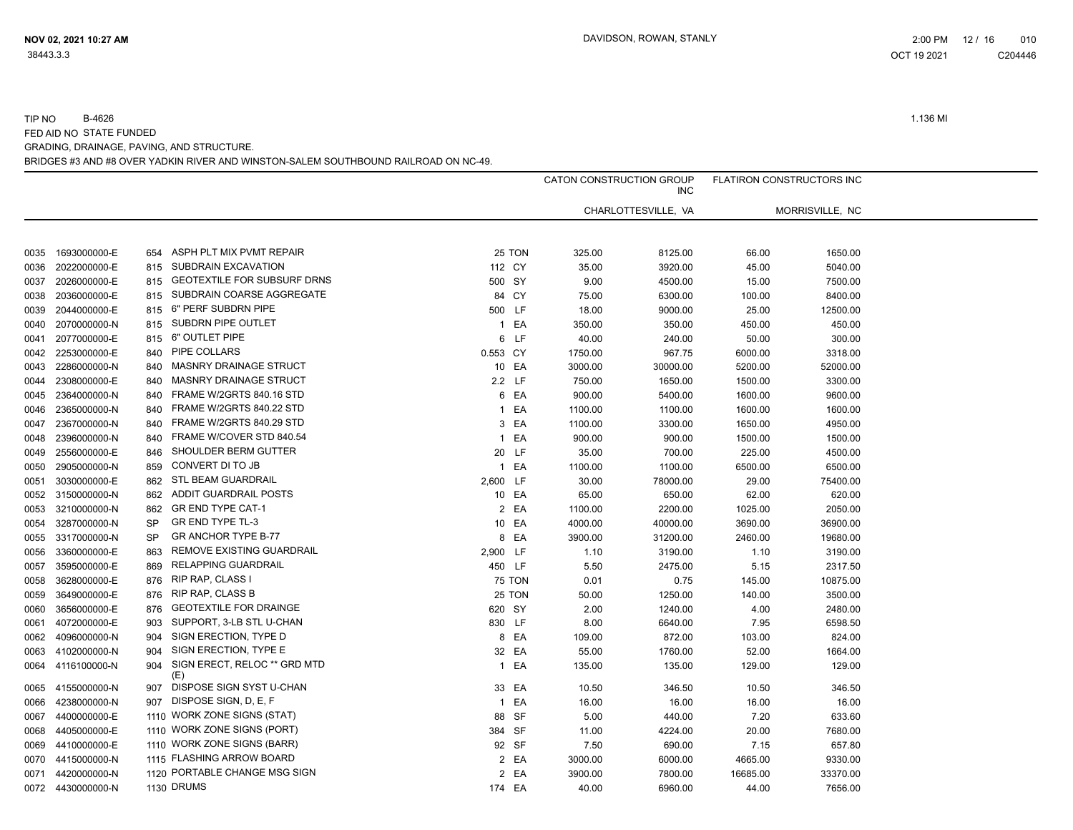|      |                   |           |                                     |              |               |         | CATON CONSTRUCTION GROUP<br><b>INC</b> |          | FLATIRON CONSTRUCTORS INC |
|------|-------------------|-----------|-------------------------------------|--------------|---------------|---------|----------------------------------------|----------|---------------------------|
|      |                   |           |                                     |              |               |         | CHARLOTTESVILLE, VA                    |          | MORRISVILLE, NC           |
|      |                   |           |                                     |              |               |         |                                        |          |                           |
| 0035 | 1693000000-E      | 654       | ASPH PLT MIX PVMT REPAIR            |              | 25 TON        | 325.00  | 8125.00                                | 66.00    | 1650.00                   |
| 0036 | 2022000000-E      | 815       | SUBDRAIN EXCAVATION                 | 112 CY       |               | 35.00   | 3920.00                                | 45.00    | 5040.00                   |
| 0037 | 2026000000-E      | 815       | <b>GEOTEXTILE FOR SUBSURF DRNS</b>  | 500 SY       |               | 9.00    | 4500.00                                | 15.00    | 7500.00                   |
| 0038 | 2036000000-E      | 815       | SUBDRAIN COARSE AGGREGATE           | 84 CY        |               | 75.00   | 6300.00                                | 100.00   | 8400.00                   |
| 0039 | 2044000000-E      | 815       | 6" PERF SUBDRN PIPE                 | 500 LF       |               | 18.00   | 9000.00                                | 25.00    | 12500.00                  |
| 0040 | 2070000000-N      | 815       | SUBDRN PIPE OUTLET                  |              | 1 EA          | 350.00  | 350.00                                 | 450.00   | 450.00                    |
| 0041 | 2077000000-E      | 815       | 6" OUTLET PIPE                      |              | 6 LF          | 40.00   | 240.00                                 | 50.00    | 300.00                    |
| 0042 | 2253000000-E      | 840       | PIPE COLLARS                        | 0.553 CY     |               | 1750.00 | 967.75                                 | 6000.00  | 3318.00                   |
| 0043 | 2286000000-N      | 840       | <b>MASNRY DRAINAGE STRUCT</b>       | 10 EA        |               | 3000.00 | 30000.00                               | 5200.00  | 52000.00                  |
| 0044 | 2308000000-E      | 840       | <b>MASNRY DRAINAGE STRUCT</b>       | 2.2 LF       |               | 750.00  | 1650.00                                | 1500.00  | 3300.00                   |
| 0045 | 2364000000-N      | 840       | FRAME W/2GRTS 840.16 STD            |              | 6 EA          | 900.00  | 5400.00                                | 1600.00  | 9600.00                   |
| 0046 | 2365000000-N      | 840       | FRAME W/2GRTS 840.22 STD            |              | 1 EA          | 1100.00 | 1100.00                                | 1600.00  | 1600.00                   |
| 0047 | 2367000000-N      | 840       | FRAME W/2GRTS 840.29 STD            |              | 3 EA          | 1100.00 | 3300.00                                | 1650.00  | 4950.00                   |
| 0048 | 2396000000-N      | 840       | FRAME W/COVER STD 840.54            | $\mathbf{1}$ | EA            | 900.00  | 900.00                                 | 1500.00  | 1500.00                   |
| 0049 | 2556000000-E      | 846       | SHOULDER BERM GUTTER                | 20 LF        |               | 35.00   | 700.00                                 | 225.00   | 4500.00                   |
| 0050 | 2905000000-N      | 859       | CONVERT DI TO JB                    |              | 1 EA          | 1100.00 | 1100.00                                | 6500.00  | 6500.00                   |
| 0051 | 3030000000-E      | 862       | <b>STL BEAM GUARDRAIL</b>           | 2,600 LF     |               | 30.00   | 78000.00                               | 29.00    | 75400.00                  |
| 0052 | 3150000000-N      | 862       | ADDIT GUARDRAIL POSTS               | 10 EA        |               | 65.00   | 650.00                                 | 62.00    | 620.00                    |
| 0053 | 3210000000-N      | 862       | GR END TYPE CAT-1                   |              | 2 EA          | 1100.00 | 2200.00                                | 1025.00  | 2050.00                   |
| 0054 | 3287000000-N      | <b>SP</b> | GR END TYPE TL-3                    | 10 EA        |               | 4000.00 | 40000.00                               | 3690.00  | 36900.00                  |
| 0055 | 3317000000-N      | <b>SP</b> | <b>GRANCHOR TYPE B-77</b>           |              | 8 EA          | 3900.00 | 31200.00                               | 2460.00  | 19680.00                  |
| 0056 | 3360000000-E      | 863       | REMOVE EXISTING GUARDRAIL           | 2,900 LF     |               | 1.10    | 3190.00                                | 1.10     | 3190.00                   |
| 0057 | 3595000000-E      | 869       | RELAPPING GUARDRAIL                 | 450 LF       |               | 5.50    | 2475.00                                | 5.15     | 2317.50                   |
| 0058 | 3628000000-E      | 876       | RIP RAP, CLASS I                    |              | <b>75 TON</b> | 0.01    | 0.75                                   | 145.00   | 10875.00                  |
| 0059 | 3649000000-E      | 876       | RIP RAP, CLASS B                    |              | 25 TON        | 50.00   | 1250.00                                | 140.00   | 3500.00                   |
| 0060 | 3656000000-E      | 876       | <b>GEOTEXTILE FOR DRAINGE</b>       | 620 SY       |               | 2.00    | 1240.00                                | 4.00     | 2480.00                   |
| 0061 | 4072000000-E      | 903       | SUPPORT, 3-LB STL U-CHAN            | 830 LF       |               | 8.00    | 6640.00                                | 7.95     | 6598.50                   |
| 0062 | 4096000000-N      | 904       | SIGN ERECTION, TYPE D               |              | 8 EA          | 109.00  | 872.00                                 | 103.00   | 824.00                    |
| 0063 | 4102000000-N      | 904       | SIGN ERECTION, TYPE E               | 32 EA        |               | 55.00   | 1760.00                                | 52.00    | 1664.00                   |
| 0064 | 4116100000-N      | 904       | SIGN ERECT. RELOC ** GRD MTD<br>(E) |              | 1 EA          | 135.00  | 135.00                                 | 129.00   | 129.00                    |
| 0065 | 4155000000-N      | 907       | DISPOSE SIGN SYST U-CHAN            | 33 EA        |               | 10.50   | 346.50                                 | 10.50    | 346.50                    |
| 0066 | 4238000000-N      | 907       | DISPOSE SIGN, D, E, F               |              | 1 EA          | 16.00   | 16.00                                  | 16.00    | 16.00                     |
| 0067 | 4400000000-E      |           | 1110 WORK ZONE SIGNS (STAT)         | 88 SF        |               | 5.00    | 440.00                                 | 7.20     | 633.60                    |
| 0068 | 4405000000-E      |           | 1110 WORK ZONE SIGNS (PORT)         | 384 SF       |               | 11.00   | 4224.00                                | 20.00    | 7680.00                   |
| 0069 | 4410000000-E      |           | 1110 WORK ZONE SIGNS (BARR)         | 92 SF        |               | 7.50    | 690.00                                 | 7.15     | 657.80                    |
| 0070 | 4415000000-N      |           | 1115 FLASHING ARROW BOARD           |              | 2 EA          | 3000.00 | 6000.00                                | 4665.00  | 9330.00                   |
| 0071 | 4420000000-N      |           | 1120 PORTABLE CHANGE MSG SIGN       |              | 2 EA          | 3900.00 | 7800.00                                | 16685.00 | 33370.00                  |
|      | 0072 4430000000-N |           | <b>1130 DRUMS</b>                   | 174 EA       |               | 40.00   | 6960.00                                | 44.00    | 7656.00                   |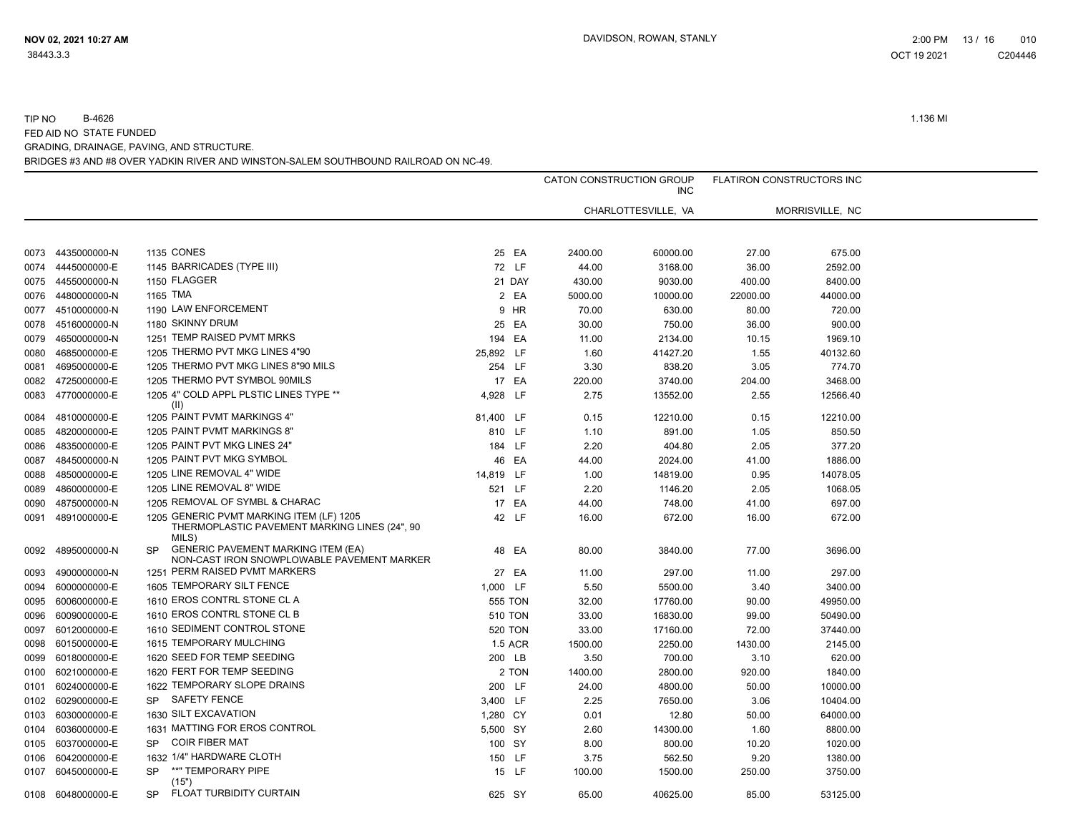|      |                   |                                                                                                      |                | CATON CONSTRUCTION GROUP | <b>INC</b>          | <b>FLATIRON CONSTRUCTORS INC</b> |                 |  |
|------|-------------------|------------------------------------------------------------------------------------------------------|----------------|--------------------------|---------------------|----------------------------------|-----------------|--|
|      |                   |                                                                                                      |                |                          | CHARLOTTESVILLE, VA |                                  | MORRISVILLE, NC |  |
|      |                   |                                                                                                      |                |                          |                     |                                  |                 |  |
| 0073 | 4435000000-N      | 1135 CONES                                                                                           | 25 EA          | 2400.00                  | 60000.00            | 27.00                            | 675.00          |  |
| 0074 | 4445000000-E      | 1145 BARRICADES (TYPE III)                                                                           | 72 LF          | 44.00                    | 3168.00             | 36.00                            | 2592.00         |  |
| 0075 | 4455000000-N      | 1150 FLAGGER                                                                                         | 21 DAY         | 430.00                   | 9030.00             | 400.00                           | 8400.00         |  |
| 0076 | 4480000000-N      | 1165 TMA                                                                                             | 2 EA           | 5000.00                  | 10000.00            | 22000.00                         | 44000.00        |  |
| 0077 | 4510000000-N      | 1190 LAW ENFORCEMENT                                                                                 | 9 HR           | 70.00                    | 630.00              | 80.00                            | 720.00          |  |
| 0078 | 4516000000-N      | 1180 SKINNY DRUM                                                                                     | 25 EA          | 30.00                    | 750.00              | 36.00                            | 900.00          |  |
| 0079 | 4650000000-N      | 1251 TEMP RAISED PVMT MRKS                                                                           | 194 EA         | 11.00                    | 2134.00             | 10.15                            | 1969.10         |  |
| 0080 | 4685000000-E      | 1205 THERMO PVT MKG LINES 4"90                                                                       | 25,892 LF      | 1.60                     | 41427.20            | 1.55                             | 40132.60        |  |
| 0081 | 4695000000-E      | 1205 THERMO PVT MKG LINES 8"90 MILS                                                                  | 254 LF         | 3.30                     | 838.20              | 3.05                             | 774.70          |  |
| 0082 | 4725000000-E      | 1205 THERMO PVT SYMBOL 90MILS                                                                        | 17 EA          | 220.00                   | 3740.00             | 204.00                           | 3468.00         |  |
| 0083 | 4770000000-E      | 1205 4" COLD APPL PLSTIC LINES TYPE **<br>(II)                                                       | 4,928 LF       | 2.75                     | 13552.00            | 2.55                             | 12566.40        |  |
| 0084 | 4810000000-E      | 1205 PAINT PVMT MARKINGS 4"                                                                          | 81,400 LF      | 0.15                     | 12210.00            | 0.15                             | 12210.00        |  |
| 0085 | 4820000000-E      | 1205 PAINT PVMT MARKINGS 8"                                                                          | 810 LF         | 1.10                     | 891.00              | 1.05                             | 850.50          |  |
| 0086 | 4835000000-E      | 1205 PAINT PVT MKG LINES 24"                                                                         | 184 LF         | 2.20                     | 404.80              | 2.05                             | 377.20          |  |
| 0087 | 4845000000-N      | 1205 PAINT PVT MKG SYMBOL                                                                            | 46 EA          | 44.00                    | 2024.00             | 41.00                            | 1886.00         |  |
| 0088 | 4850000000-E      | 1205 LINE REMOVAL 4" WIDE                                                                            | 14,819 LF      | 1.00                     | 14819.00            | 0.95                             | 14078.05        |  |
| 0089 | 4860000000-E      | 1205 LINE REMOVAL 8" WIDE                                                                            | 521 LF         | 2.20                     | 1146.20             | 2.05                             | 1068.05         |  |
| 0090 | 4875000000-N      | 1205 REMOVAL OF SYMBL & CHARAC                                                                       | 17 EA          | 44.00                    | 748.00              | 41.00                            | 697.00          |  |
| 0091 | 4891000000-E      | 1205 GENERIC PVMT MARKING ITEM (LF) 1205<br>THERMOPLASTIC PAVEMENT MARKING LINES (24", 90<br>MILS)   | 42 LF          | 16.00                    | 672.00              | 16.00                            | 672.00          |  |
| 0092 | 4895000000-N      | <b>GENERIC PAVEMENT MARKING ITEM (EA)</b><br><b>SP</b><br>NON-CAST IRON SNOWPLOWABLE PAVEMENT MARKER | 48 EA          | 80.00                    | 3840.00             | 77.00                            | 3696.00         |  |
| 0093 | 4900000000-N      | 1251 PERM RAISED PVMT MARKERS                                                                        | 27 EA          | 11.00                    | 297.00              | 11.00                            | 297.00          |  |
| 0094 | 6000000000-E      | 1605 TEMPORARY SILT FENCE                                                                            | 1,000 LF       | 5.50                     | 5500.00             | 3.40                             | 3400.00         |  |
| 0095 | 6006000000-E      | 1610 EROS CONTRL STONE CL A                                                                          | 555 TON        | 32.00                    | 17760.00            | 90.00                            | 49950.00        |  |
| 0096 | 6009000000-E      | 1610 EROS CONTRL STONE CL B                                                                          | <b>510 TON</b> | 33.00                    | 16830.00            | 99.00                            | 50490.00        |  |
| 0097 | 6012000000-E      | 1610 SEDIMENT CONTROL STONE                                                                          | 520 TON        | 33.00                    | 17160.00            | 72.00                            | 37440.00        |  |
| 0098 | 6015000000-E      | 1615 TEMPORARY MULCHING                                                                              | <b>1.5 ACR</b> | 1500.00                  | 2250.00             | 1430.00                          | 2145.00         |  |
| 0099 | 6018000000-E      | 1620 SEED FOR TEMP SEEDING                                                                           | 200 LB         | 3.50                     | 700.00              | 3.10                             | 620.00          |  |
| 0100 | 6021000000-E      | 1620 FERT FOR TEMP SEEDING                                                                           | 2 TON          | 1400.00                  | 2800.00             | 920.00                           | 1840.00         |  |
| 0101 | 6024000000-E      | 1622 TEMPORARY SLOPE DRAINS                                                                          | 200 LF         | 24.00                    | 4800.00             | 50.00                            | 10000.00        |  |
| 0102 | 6029000000-E      | <b>SAFETY FENCE</b><br><b>SP</b>                                                                     | 3,400 LF       | 2.25                     | 7650.00             | 3.06                             | 10404.00        |  |
| 0103 | 6030000000-E      | 1630 SILT EXCAVATION                                                                                 | 1,280 CY       | 0.01                     | 12.80               | 50.00                            | 64000.00        |  |
| 0104 | 6036000000-E      | 1631 MATTING FOR EROS CONTROL                                                                        | 5,500 SY       | 2.60                     | 14300.00            | 1.60                             | 8800.00         |  |
| 0105 | 6037000000-E      | <b>COIR FIBER MAT</b><br><b>SP</b>                                                                   | 100 SY         | 8.00                     | 800.00              | 10.20                            | 1020.00         |  |
| 0106 | 6042000000-E      | 1632 1/4" HARDWARE CLOTH                                                                             | 150 LF         | 3.75                     | 562.50              | 9.20                             | 1380.00         |  |
| 0107 | 6045000000-E      | **" TEMPORARY PIPE<br><b>SP</b><br>(15")                                                             | 15 LF          | 100.00                   | 1500.00             | 250.00                           | 3750.00         |  |
|      | 0108 6048000000-E | FLOAT TURBIDITY CURTAIN<br><b>SP</b>                                                                 | 625 SY         | 65.00                    | 40625.00            | 85.00                            | 53125.00        |  |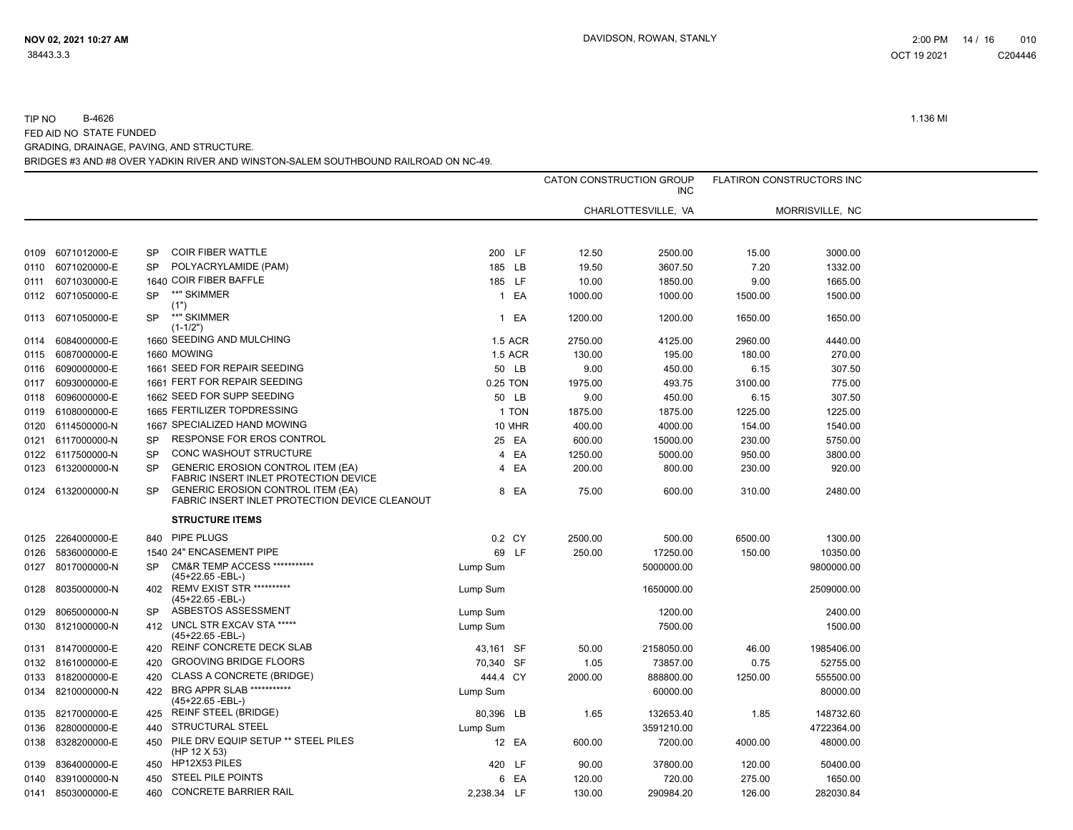|      |                   |           |                                                                                            |             |                |         | CATON CONSTRUCTION GROUP<br><b>INC</b> | <b>FLATIRON CONSTRUCTORS INC</b> |                 |  |
|------|-------------------|-----------|--------------------------------------------------------------------------------------------|-------------|----------------|---------|----------------------------------------|----------------------------------|-----------------|--|
|      |                   |           |                                                                                            |             |                |         | CHARLOTTESVILLE, VA                    |                                  | MORRISVILLE, NC |  |
|      |                   |           |                                                                                            |             |                |         |                                        |                                  |                 |  |
| 0109 | 6071012000-E      | SP        | <b>COIR FIBER WATTLE</b>                                                                   | 200 LF      |                | 12.50   | 2500.00                                | 15.00                            | 3000.00         |  |
| 0110 | 6071020000-E      | <b>SP</b> | POLYACRYLAMIDE (PAM)                                                                       | 185 LB      |                | 19.50   | 3607.50                                | 7.20                             | 1332.00         |  |
| 0111 | 6071030000-E      |           | 1640 COIR FIBER BAFFLE                                                                     | 185 LF      |                | 10.00   | 1850.00                                | 9.00                             | 1665.00         |  |
| 0112 | 6071050000-E      | <b>SP</b> | **" SKIMMER                                                                                |             | 1 EA           | 1000.00 | 1000.00                                | 1500.00                          | 1500.00         |  |
| 0113 | 6071050000-E      | <b>SP</b> | (1")<br>**" SKIMMER<br>$(1-1/2")$                                                          |             | 1 EA           | 1200.00 | 1200.00                                | 1650.00                          | 1650.00         |  |
| 0114 | 6084000000-E      |           | 1660 SEEDING AND MULCHING                                                                  |             | <b>1.5 ACR</b> | 2750.00 | 4125.00                                | 2960.00                          | 4440.00         |  |
| 0115 | 6087000000-E      |           | 1660 MOWING                                                                                |             | <b>1.5 ACR</b> | 130.00  | 195.00                                 | 180.00                           | 270.00          |  |
| 0116 | 6090000000-E      |           | 1661 SEED FOR REPAIR SEEDING                                                               |             | 50 LB          | 9.00    | 450.00                                 | 6.15                             | 307.50          |  |
| 0117 | 6093000000-E      |           | 1661 FERT FOR REPAIR SEEDING                                                               | 0.25 TON    |                | 1975.00 | 493.75                                 | 3100.00                          | 775.00          |  |
| 0118 | 6096000000-E      |           | 1662 SEED FOR SUPP SEEDING                                                                 |             | 50 LB          | 9.00    | 450.00                                 | 6.15                             | 307.50          |  |
| 0119 | 6108000000-E      |           | 1665 FERTILIZER TOPDRESSING                                                                |             | 1 TON          | 1875.00 | 1875.00                                | 1225.00                          | 1225.00         |  |
| 0120 | 6114500000-N      |           | 1667 SPECIALIZED HAND MOWING                                                               |             | 10 MHR         | 400.00  | 4000.00                                | 154.00                           | 1540.00         |  |
| 0121 | 6117000000-N      | <b>SP</b> | RESPONSE FOR EROS CONTROL                                                                  |             | 25 EA          | 600.00  | 15000.00                               | 230.00                           | 5750.00         |  |
| 0122 | 6117500000-N      | SP        | CONC WASHOUT STRUCTURE                                                                     |             | 4 EA           | 1250.00 | 5000.00                                | 950.00                           | 3800.00         |  |
|      | 0123 6132000000-N | <b>SP</b> | <b>GENERIC EROSION CONTROL ITEM (EA)</b><br>FABRIC INSERT INLET PROTECTION DEVICE          |             | 4 EA           | 200.00  | 800.00                                 | 230.00                           | 920.00          |  |
| 0124 | 6132000000-N      | <b>SP</b> | <b>GENERIC EROSION CONTROL ITEM (EA)</b><br>FABRIC INSERT INLET PROTECTION DEVICE CLEANOUT |             | 8 EA           | 75.00   | 600.00                                 | 310.00                           | 2480.00         |  |
|      |                   |           | <b>STRUCTURE ITEMS</b>                                                                     |             |                |         |                                        |                                  |                 |  |
|      | 0125 2264000000-E |           | 840 PIPE PLUGS                                                                             |             | 0.2 CY         | 2500.00 | 500.00                                 | 6500.00                          | 1300.00         |  |
| 0126 | 5836000000-E      |           | 1540 24" ENCASEMENT PIPE                                                                   |             | 69 LF          | 250.00  | 17250.00                               | 150.00                           | 10350.00        |  |
| 0127 | 8017000000-N      | <b>SP</b> | <b>CM&amp;R TEMP ACCESS ***********</b><br>(45+22.65 -EBL-)                                | Lump Sum    |                |         | 5000000.00                             |                                  | 9800000.00      |  |
| 0128 | 8035000000-N      | 402       | <b>REMV EXIST STR **********</b><br>$(45+22.65 - EBL-)$                                    | Lump Sum    |                |         | 1650000.00                             |                                  | 2509000.00      |  |
| 0129 | 8065000000-N      | SP        | ASBESTOS ASSESSMENT                                                                        | Lump Sum    |                |         | 1200.00                                |                                  | 2400.00         |  |
| 0130 | 8121000000-N      | 412       | UNCL STR EXCAV STA *****<br>$(45+22.65 - EBL-)$                                            | Lump Sum    |                |         | 7500.00                                |                                  | 1500.00         |  |
| 0131 | 8147000000-E      | 420       | REINF CONCRETE DECK SLAB                                                                   | 43.161 SF   |                | 50.00   | 2158050.00                             | 46.00                            | 1985406.00      |  |
|      | 0132 8161000000-E | 420       | <b>GROOVING BRIDGE FLOORS</b>                                                              | 70,340 SF   |                | 1.05    | 73857.00                               | 0.75                             | 52755.00        |  |
| 0133 | 8182000000-E      | 420       | <b>CLASS A CONCRETE (BRIDGE)</b>                                                           | 444.4 CY    |                | 2000.00 | 888800.00                              | 1250.00                          | 555500.00       |  |
| 0134 | 8210000000-N      | 422       | BRG APPR SLAB ***********<br>$(45+22.65 - EBL-)$                                           | Lump Sum    |                |         | 60000.00                               |                                  | 80000.00        |  |
|      | 0135 8217000000-E |           | 425 REINF STEEL (BRIDGE)                                                                   | 80,396 LB   |                | 1.65    | 132653.40                              | 1.85                             | 148732.60       |  |
| 0136 | 8280000000-E      | 440       | STRUCTURAL STEEL                                                                           | Lump Sum    |                |         | 3591210.00                             |                                  | 4722364.00      |  |
| 0138 | 8328200000-E      | 450       | PILE DRV EQUIP SETUP ** STEEL PILES<br>(HP 12 $X$ 53)                                      |             | 12 EA          | 600.00  | 7200.00                                | 4000.00                          | 48000.00        |  |
| 0139 | 8364000000-E      | 450       | HP12X53 PILES                                                                              | 420 LF      |                | 90.00   | 37800.00                               | 120.00                           | 50400.00        |  |
| 0140 | 8391000000-N      | 450       | <b>STEEL PILE POINTS</b>                                                                   |             | 6 EA           | 120.00  | 720.00                                 | 275.00                           | 1650.00         |  |
|      | 0141 8503000000-E | 460       | <b>CONCRETE BARRIER RAIL</b>                                                               | 2,238.34 LF |                | 130.00  | 290984.20                              | 126.00                           | 282030.84       |  |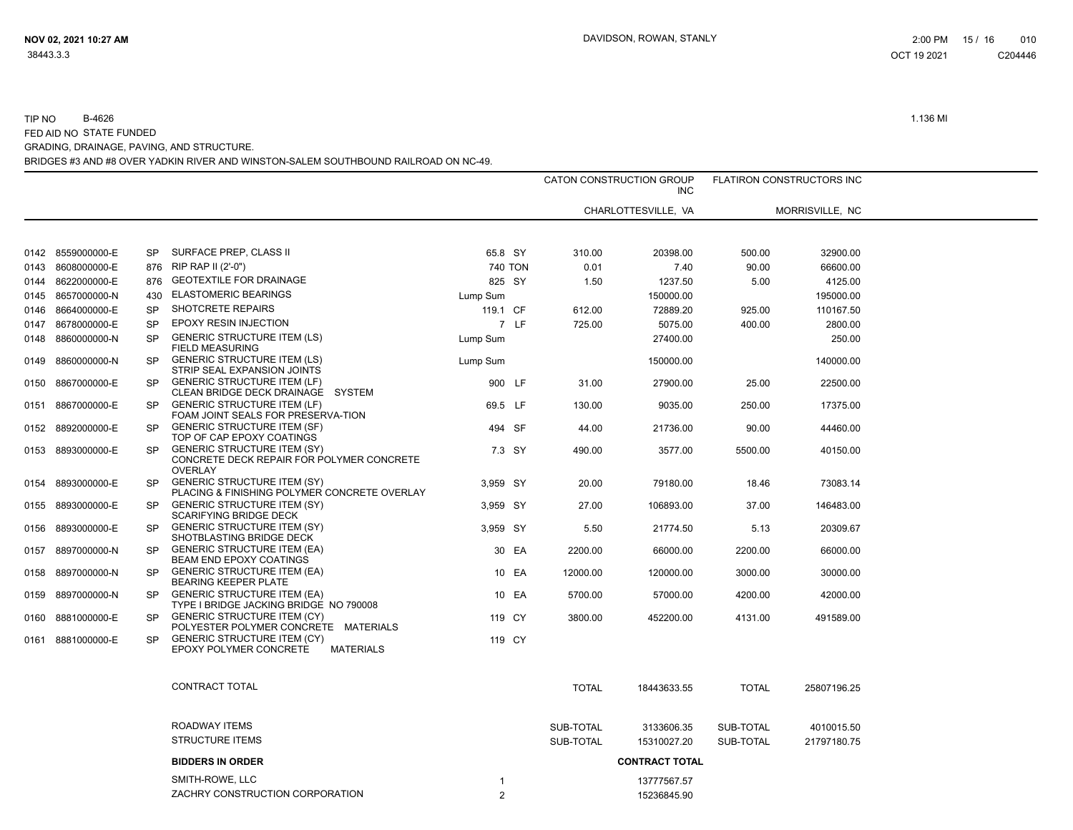|      |                                   |                        |                                                                                                                |                  |                 | CATON CONSTRUCTION GROUP<br><b>INC</b> |                  | <b>FLATIRON CONSTRUCTORS INC</b> |  |
|------|-----------------------------------|------------------------|----------------------------------------------------------------------------------------------------------------|------------------|-----------------|----------------------------------------|------------------|----------------------------------|--|
|      |                                   |                        |                                                                                                                |                  |                 | CHARLOTTESVILLE, VA                    |                  | MORRISVILLE, NC                  |  |
|      |                                   |                        |                                                                                                                |                  |                 |                                        |                  |                                  |  |
|      | 0142 8559000000-E                 | <b>SP</b>              | SURFACE PREP, CLASS II                                                                                         | 65.8 SY          | 310.00          | 20398.00                               | 500.00           | 32900.00                         |  |
| 0143 | 8608000000-E                      | 876                    | RIP RAP II (2'-0")                                                                                             | 740 TON          | 0.01            | 7.40                                   | 90.00            | 66600.00                         |  |
| 0144 | 8622000000-E                      | 876                    | <b>GEOTEXTILE FOR DRAINAGE</b>                                                                                 | 825 SY           | 1.50            | 1237.50                                | 5.00             | 4125.00                          |  |
|      | 0145 8657000000-N                 | 430                    | <b>ELASTOMERIC BEARINGS</b>                                                                                    | Lump Sum         |                 | 150000.00                              |                  | 195000.00                        |  |
| 0146 | 8664000000-E                      | <b>SP</b>              | SHOTCRETE REPAIRS                                                                                              | 119.1 CF         | 612.00          | 72889.20                               | 925.00           | 110167.50                        |  |
| 0147 | 8678000000-E                      | <b>SP</b>              | <b>EPOXY RESIN INJECTION</b>                                                                                   | 7 LF             | 725.00          | 5075.00                                | 400.00           | 2800.00                          |  |
| 0148 | 8860000000-N                      | <b>SP</b>              | <b>GENERIC STRUCTURE ITEM (LS)</b><br>FIELD MEASURING                                                          | Lump Sum         |                 | 27400.00                               |                  | 250.00                           |  |
| 0149 | 8860000000-N                      | <b>SP</b>              | <b>GENERIC STRUCTURE ITEM (LS)</b><br>STRIP SEAL EXPANSION JOINTS                                              | Lump Sum         |                 | 150000.00                              |                  | 140000.00                        |  |
| 0150 | 8867000000-E                      | <b>SP</b>              | <b>GENERIC STRUCTURE ITEM (LF)</b><br>CLEAN BRIDGE DECK DRAINAGE SYSTEM                                        | 900 LF           | 31.00           | 27900.00                               | 25.00            | 22500.00                         |  |
| 0151 | 8867000000-E                      | <b>SP</b><br><b>SP</b> | <b>GENERIC STRUCTURE ITEM (LF)</b><br>FOAM JOINT SEALS FOR PRESERVA-TION<br><b>GENERIC STRUCTURE ITEM (SF)</b> | 69.5 LF          | 130.00          | 9035.00                                | 250.00           | 17375.00                         |  |
| 0152 | 8892000000-E<br>0153 8893000000-E | <b>SP</b>              | TOP OF CAP EPOXY COATINGS<br><b>GENERIC STRUCTURE ITEM (SY)</b>                                                | 494 SF<br>7.3 SY | 44.00<br>490.00 | 21736.00<br>3577.00                    | 90.00<br>5500.00 | 44460.00<br>40150.00             |  |
|      |                                   |                        | CONCRETE DECK REPAIR FOR POLYMER CONCRETE<br><b>OVERLAY</b>                                                    |                  |                 |                                        |                  |                                  |  |
| 0154 | 8893000000-E                      | <b>SP</b>              | <b>GENERIC STRUCTURE ITEM (SY)</b><br>PLACING & FINISHING POLYMER CONCRETE OVERLAY                             | 3.959 SY         | 20.00           | 79180.00                               | 18.46            | 73083.14                         |  |
|      | 0155 8893000000-E                 | <b>SP</b>              | <b>GENERIC STRUCTURE ITEM (SY)</b><br><b>SCARIFYING BRIDGE DECK</b>                                            | 3,959 SY         | 27.00           | 106893.00                              | 37.00            | 146483.00                        |  |
| 0156 | 8893000000-E                      | <b>SP</b>              | <b>GENERIC STRUCTURE ITEM (SY)</b><br>SHOTBLASTING BRIDGE DECK                                                 | 3,959 SY         | 5.50            | 21774.50                               | 5.13             | 20309.67                         |  |
| 0157 | 8897000000-N                      | <b>SP</b>              | <b>GENERIC STRUCTURE ITEM (EA)</b><br><b>BEAM END EPOXY COATINGS</b>                                           | 30 EA            | 2200.00         | 66000.00                               | 2200.00          | 66000.00                         |  |
| 0158 | 8897000000-N                      | <b>SP</b>              | <b>GENERIC STRUCTURE ITEM (EA)</b><br><b>BEARING KEEPER PLATE</b>                                              | 10 EA            | 12000.00        | 120000.00                              | 3000.00          | 30000.00                         |  |
| 0159 | 8897000000-N                      | <b>SP</b>              | <b>GENERIC STRUCTURE ITEM (EA)</b><br>TYPE I BRIDGE JACKING BRIDGE NO 790008                                   | 10 EA            | 5700.00         | 57000.00                               | 4200.00          | 42000.00                         |  |
| 0160 | 8881000000-E                      | <b>SP</b>              | <b>GENERIC STRUCTURE ITEM (CY)</b><br>POLYESTER POLYMER CONCRETE MATERIALS                                     | 119 CY           | 3800.00         | 452200.00                              | 4131.00          | 491589.00                        |  |
| 0161 | 8881000000-E                      | <b>SP</b>              | <b>GENERIC STRUCTURE ITEM (CY)</b><br><b>EPOXY POLYMER CONCRETE</b><br><b>MATERIALS</b>                        | 119 CY           |                 |                                        |                  |                                  |  |
|      |                                   |                        | <b>CONTRACT TOTAL</b>                                                                                          |                  | <b>TOTAL</b>    | 18443633.55                            | <b>TOTAL</b>     | 25807196.25                      |  |
|      |                                   |                        | ROADWAY ITEMS                                                                                                  |                  | SUB-TOTAL       | 3133606.35                             | SUB-TOTAL        | 4010015.50                       |  |
|      |                                   |                        | <b>STRUCTURE ITEMS</b>                                                                                         |                  | SUB-TOTAL       | 15310027.20                            | SUB-TOTAL        | 21797180.75                      |  |
|      |                                   |                        | <b>BIDDERS IN ORDER</b>                                                                                        |                  |                 | <b>CONTRACT TOTAL</b>                  |                  |                                  |  |
|      |                                   |                        | SMITH-ROWE, LLC                                                                                                | -1               |                 | 13777567.57                            |                  |                                  |  |
|      |                                   |                        | ZACHRY CONSTRUCTION CORPORATION                                                                                | $\mathfrak{p}$   |                 | 15236845.90                            |                  |                                  |  |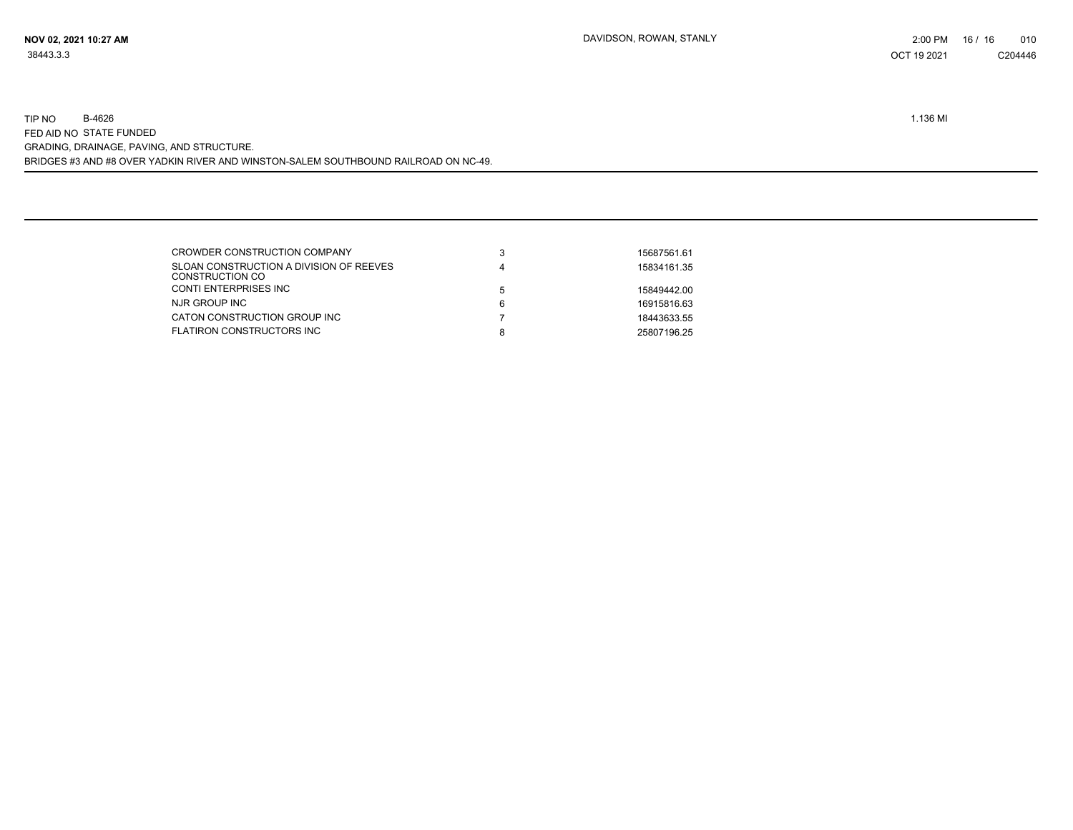| 3 | 15687561.61 |
|---|-------------|
| 4 | 15834161.35 |
| 5 | 15849442.00 |
| 6 | 16915816.63 |
|   | 18443633.55 |
| 8 | 25807196.25 |
|   |             |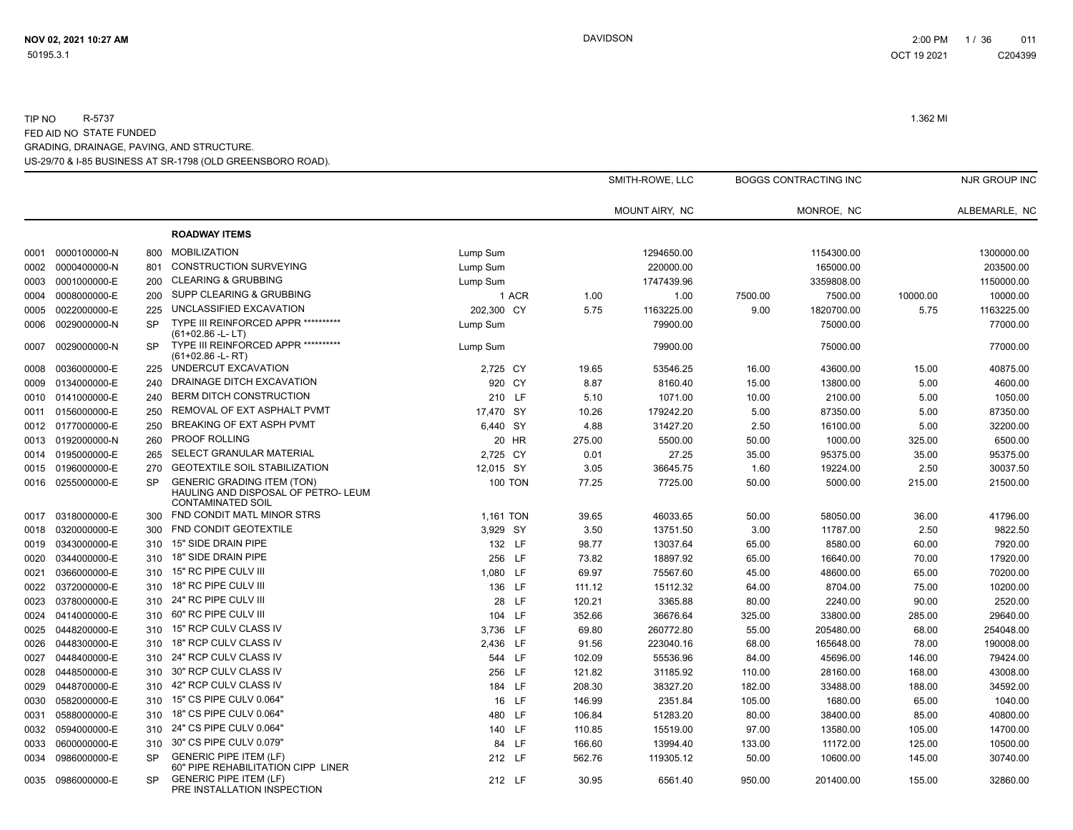|      |                   |           |                                                                                                      |                |        | SMITH-ROWE, LLC |         | <b>BOGGS CONTRACTING INC</b> |          | NJR GROUP INC |
|------|-------------------|-----------|------------------------------------------------------------------------------------------------------|----------------|--------|-----------------|---------|------------------------------|----------|---------------|
|      |                   |           |                                                                                                      |                |        | MOUNT AIRY, NC  |         | MONROE, NC                   |          | ALBEMARLE, NC |
|      |                   |           | <b>ROADWAY ITEMS</b>                                                                                 |                |        |                 |         |                              |          |               |
| 0001 | 0000100000-N      | 800       | <b>MOBILIZATION</b>                                                                                  | Lump Sum       |        | 1294650.00      |         | 1154300.00                   |          | 1300000.00    |
| 0002 | 0000400000-N      | 801       | <b>CONSTRUCTION SURVEYING</b>                                                                        | Lump Sum       |        | 220000.00       |         | 165000.00                    |          | 203500.00     |
| 0003 | 0001000000-E      | 200       | <b>CLEARING &amp; GRUBBING</b>                                                                       | Lump Sum       |        | 1747439.96      |         | 3359808.00                   |          | 1150000.00    |
| 0004 | 0008000000-E      | 200       | SUPP CLEARING & GRUBBING                                                                             | 1 ACR          | 1.00   | 1.00            | 7500.00 | 7500.00                      | 10000.00 | 10000.00      |
| 0005 | 0022000000-E      | 225       | UNCLASSIFIED EXCAVATION                                                                              | 202,300 CY     | 5.75   | 1163225.00      | 9.00    | 1820700.00                   | 5.75     | 1163225.00    |
| 0006 | 0029000000-N      | <b>SP</b> | TYPE III REINFORCED APPR ***********<br>(61+02.86 -L-LT)                                             | Lump Sum       |        | 79900.00        |         | 75000.00                     |          | 77000.00      |
| 0007 | 0029000000-N      | <b>SP</b> | TYPE III REINFORCED APPR **********<br>$(61+02.86 - L - RT)$                                         | Lump Sum       |        | 79900.00        |         | 75000.00                     |          | 77000.00      |
| 0008 | 0036000000-E      | 225       | UNDERCUT EXCAVATION                                                                                  | 2,725 CY       | 19.65  | 53546.25        | 16.00   | 43600.00                     | 15.00    | 40875.00      |
| 0009 | 0134000000-E      | 240       | DRAINAGE DITCH EXCAVATION                                                                            | 920 CY         | 8.87   | 8160.40         | 15.00   | 13800.00                     | 5.00     | 4600.00       |
| 0010 | 0141000000-E      | 240       | <b>BERM DITCH CONSTRUCTION</b>                                                                       | 210 LF         | 5.10   | 1071.00         | 10.00   | 2100.00                      | 5.00     | 1050.00       |
| 0011 | 0156000000-E      | 250       | REMOVAL OF EXT ASPHALT PVMT                                                                          | 17.470 SY      | 10.26  | 179242.20       | 5.00    | 87350.00                     | 5.00     | 87350.00      |
|      | 0012 0177000000-E | 250       | BREAKING OF EXT ASPH PVMT                                                                            | 6,440 SY       | 4.88   | 31427.20        | 2.50    | 16100.00                     | 5.00     | 32200.00      |
| 0013 | 0192000000-N      | 260       | <b>PROOF ROLLING</b>                                                                                 | 20 HR          | 275.00 | 5500.00         | 50.00   | 1000.00                      | 325.00   | 6500.00       |
| 0014 | 0195000000-E      | 265       | SELECT GRANULAR MATERIAL                                                                             | 2,725 CY       | 0.01   | 27.25           | 35.00   | 95375.00                     | 35.00    | 95375.00      |
| 0015 | 0196000000-E      | 270       | <b>GEOTEXTILE SOIL STABILIZATION</b>                                                                 | 12,015 SY      | 3.05   | 36645.75        | 1.60    | 19224.00                     | 2.50     | 30037.50      |
| 0016 | 0255000000-E      | <b>SP</b> | <b>GENERIC GRADING ITEM (TON)</b><br>HAULING AND DISPOSAL OF PETRO- LEUM<br><b>CONTAMINATED SOIL</b> | <b>100 TON</b> | 77.25  | 7725.00         | 50.00   | 5000.00                      | 215.00   | 21500.00      |
| 0017 | 0318000000-E      | 300       | FND CONDIT MATL MINOR STRS                                                                           | 1.161 TON      | 39.65  | 46033.65        | 50.00   | 58050.00                     | 36.00    | 41796.00      |
| 0018 | 0320000000-E      | 300       | FND CONDIT GEOTEXTILE                                                                                | 3.929 SY       | 3.50   | 13751.50        | 3.00    | 11787.00                     | 2.50     | 9822.50       |
| 0019 | 0343000000-E      | 310       | 15" SIDE DRAIN PIPE                                                                                  | 132 LF         | 98.77  | 13037.64        | 65.00   | 8580.00                      | 60.00    | 7920.00       |
| 0020 | 0344000000-E      | 310       | 18" SIDE DRAIN PIPE                                                                                  | 256 LF         | 73.82  | 18897.92        | 65.00   | 16640.00                     | 70.00    | 17920.00      |
| 0021 | 0366000000-E      | 310       | 15" RC PIPE CULV III                                                                                 | 1,080 LF       | 69.97  | 75567.60        | 45.00   | 48600.00                     | 65.00    | 70200.00      |
| 0022 | 0372000000-E      | 310       | 18" RC PIPE CULV III                                                                                 | 136 LF         | 111.12 | 15112.32        | 64.00   | 8704.00                      | 75.00    | 10200.00      |
| 0023 | 0378000000-E      | 310       | 24" RC PIPE CULV III                                                                                 | 28 LF          | 120.21 | 3365.88         | 80.00   | 2240.00                      | 90.00    | 2520.00       |
| 0024 | 0414000000-E      | 310       | 60" RC PIPE CULV III                                                                                 | 104 LF         | 352.66 | 36676.64        | 325.00  | 33800.00                     | 285.00   | 29640.00      |
| 0025 | 0448200000-E      | 310       | 15" RCP CULV CLASS IV                                                                                | 3.736 LF       | 69.80  | 260772.80       | 55.00   | 205480.00                    | 68.00    | 254048.00     |
| 0026 | 0448300000-E      | 310       | 18" RCP CULV CLASS IV                                                                                | 2,436 LF       | 91.56  | 223040.16       | 68.00   | 165648.00                    | 78.00    | 190008.00     |
| 0027 | 0448400000-E      | 310       | 24" RCP CULV CLASS IV                                                                                | 544 LF         | 102.09 | 55536.96        | 84.00   | 45696.00                     | 146.00   | 79424.00      |
| 0028 | 0448500000-E      | 310       | 30" RCP CULV CLASS IV                                                                                | 256 LF         | 121.82 | 31185.92        | 110.00  | 28160.00                     | 168.00   | 43008.00      |
| 0029 | 0448700000-E      | 310       | 42" RCP CULV CLASS IV                                                                                | 184 LF         | 208.30 | 38327.20        | 182.00  | 33488.00                     | 188.00   | 34592.00      |
| 0030 | 0582000000-E      | 310       | 15" CS PIPE CULV 0.064"                                                                              | 16 LF          | 146.99 | 2351.84         | 105.00  | 1680.00                      | 65.00    | 1040.00       |
| 0031 | 0588000000-E      | 310       | 18" CS PIPE CULV 0.064"                                                                              | 480 LF         | 106.84 | 51283.20        | 80.00   | 38400.00                     | 85.00    | 40800.00      |
| 0032 | 0594000000-E      | 310       | 24" CS PIPE CULV 0.064"                                                                              | 140 LF         | 110.85 | 15519.00        | 97.00   | 13580.00                     | 105.00   | 14700.00      |
| 0033 | 0600000000-E      | 310       | 30" CS PIPE CULV 0.079"                                                                              | 84 LF          | 166.60 | 13994.40        | 133.00  | 11172.00                     | 125.00   | 10500.00      |
| 0034 | 0986000000-E      | <b>SP</b> | <b>GENERIC PIPE ITEM (LF)</b><br>60" PIPE REHABILITATION CIPP LINER                                  | 212 LF         | 562.76 | 119305.12       | 50.00   | 10600.00                     | 145.00   | 30740.00      |
|      | 0035 0986000000-E | SP.       | <b>GENERIC PIPE ITEM (LF)</b><br>PRE INSTALLATION INSPECTION                                         | 212 LF         | 30.95  | 6561.40         | 950.00  | 201400.00                    | 155.00   | 32860.00      |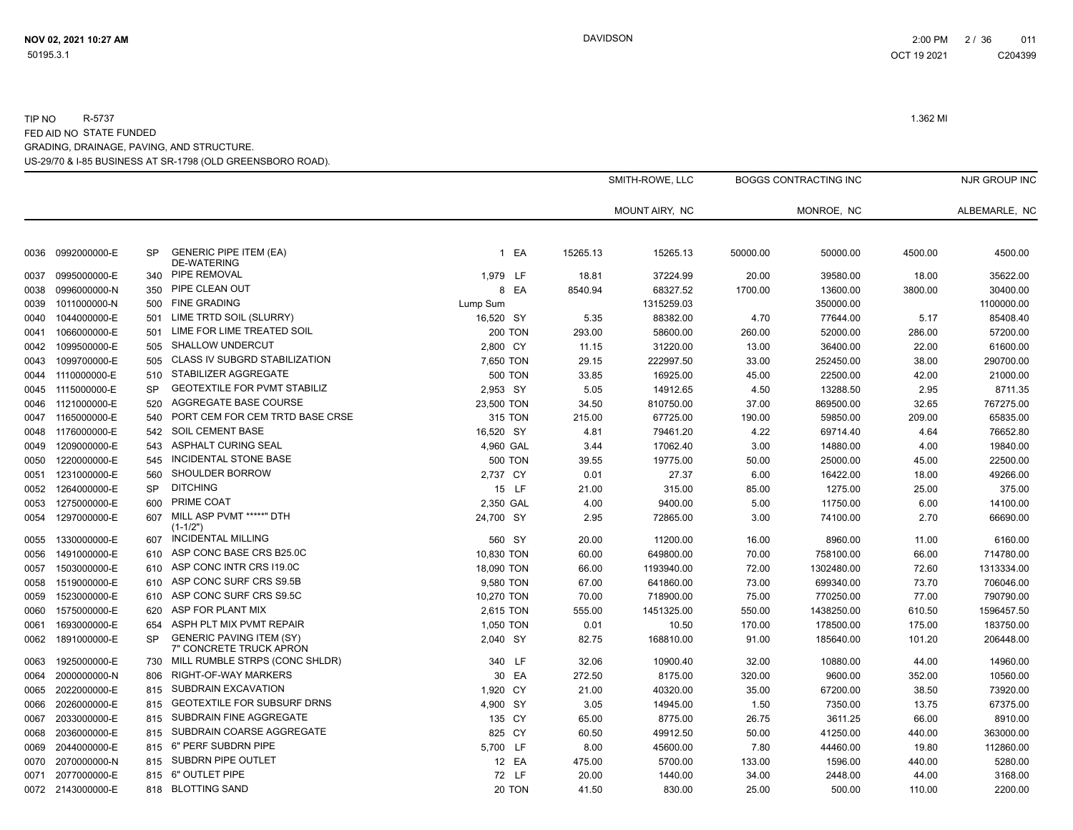|      |                   |           |                                                            |                | SMITH-ROWE, LLC |                | <b>BOGGS CONTRACTING INC</b> |            |         | NJR GROUP INC |
|------|-------------------|-----------|------------------------------------------------------------|----------------|-----------------|----------------|------------------------------|------------|---------|---------------|
|      |                   |           |                                                            |                |                 | MOUNT AIRY, NC |                              | MONROE, NC |         | ALBEMARLE, NC |
| 0036 | 0992000000-E      | <b>SP</b> | <b>GENERIC PIPE ITEM (EA)</b><br><b>DE-WATERING</b>        | 1 EA           | 15265.13        | 15265.13       | 50000.00                     | 50000.00   | 4500.00 | 4500.00       |
| 0037 | 0995000000-E      | 340       | PIPE REMOVAL                                               | 1,979 LF       | 18.81           | 37224.99       | 20.00                        | 39580.00   | 18.00   | 35622.00      |
| 0038 | 0996000000-N      | 350       | PIPE CLEAN OUT                                             | 8 EA           | 8540.94         | 68327.52       | 1700.00                      | 13600.00   | 3800.00 | 30400.00      |
| 0039 | 1011000000-N      | 500       | <b>FINE GRADING</b>                                        | Lump Sum       |                 | 1315259.03     |                              | 350000.00  |         | 1100000.00    |
| 0040 | 1044000000-E      | 501       | LIME TRTD SOIL (SLURRY)                                    | 16,520 SY      | 5.35            | 88382.00       | 4.70                         | 77644.00   | 5.17    | 85408.40      |
| 0041 | 1066000000-E      | 501       | LIME FOR LIME TREATED SOIL                                 | <b>200 TON</b> | 293.00          | 58600.00       | 260.00                       | 52000.00   | 286.00  | 57200.00      |
| 0042 | 1099500000-E      | 505       | <b>SHALLOW UNDERCUT</b>                                    | 2,800 CY       | 11.15           | 31220.00       | 13.00                        | 36400.00   | 22.00   | 61600.00      |
| 0043 | 1099700000-E      | 505       | CLASS IV SUBGRD STABILIZATION                              | 7,650 TON      | 29.15           | 222997.50      | 33.00                        | 252450.00  | 38.00   | 290700.00     |
| 0044 | 1110000000-E      | 510       | STABILIZER AGGREGATE                                       | <b>500 TON</b> | 33.85           | 16925.00       | 45.00                        | 22500.00   | 42.00   | 21000.00      |
| 0045 | 1115000000-E      | <b>SP</b> | <b>GEOTEXTILE FOR PVMT STABILIZ</b>                        | 2,953 SY       | 5.05            | 14912.65       | 4.50                         | 13288.50   | 2.95    | 8711.35       |
| 0046 | 1121000000-E      | 520       | AGGREGATE BASE COURSE                                      | 23,500 TON     | 34.50           | 810750.00      | 37.00                        | 869500.00  | 32.65   | 767275.00     |
| 0047 | 1165000000-E      | 540       | PORT CEM FOR CEM TRTD BASE CRSE                            | 315 TON        | 215.00          | 67725.00       | 190.00                       | 59850.00   | 209.00  | 65835.00      |
| 0048 | 1176000000-E      | 542       | <b>SOIL CEMENT BASE</b>                                    | 16,520 SY      | 4.81            | 79461.20       | 4.22                         | 69714.40   | 4.64    | 76652.80      |
| 0049 | 1209000000-E      | 543       | <b>ASPHALT CURING SEAL</b>                                 | 4,960 GAL      | 3.44            | 17062.40       | 3.00                         | 14880.00   | 4.00    | 19840.00      |
| 0050 | 1220000000-E      | 545       | INCIDENTAL STONE BASE                                      | <b>500 TON</b> | 39.55           | 19775.00       | 50.00                        | 25000.00   | 45.00   | 22500.00      |
| 0051 | 1231000000-E      | 560       | SHOULDER BORROW                                            | 2,737 CY       | 0.01            | 27.37          | 6.00                         | 16422.00   | 18.00   | 49266.00      |
| 0052 | 1264000000-E      | <b>SP</b> | <b>DITCHING</b>                                            | 15 LF          | 21.00           | 315.00         | 85.00                        | 1275.00    | 25.00   | 375.00        |
| 0053 | 1275000000-E      | 600       | PRIME COAT                                                 | 2,350 GAL      | 4.00            | 9400.00        | 5.00                         | 11750.00   | 6.00    | 14100.00      |
| 0054 | 1297000000-E      | 607       | MILL ASP PVMT *****" DTH<br>$(1-1/2")$                     | 24,700 SY      | 2.95            | 72865.00       | 3.00                         | 74100.00   | 2.70    | 66690.00      |
| 0055 | 1330000000-E      | 607       | <b>INCIDENTAL MILLING</b>                                  | 560 SY         | 20.00           | 11200.00       | 16.00                        | 8960.00    | 11.00   | 6160.00       |
| 0056 | 1491000000-E      | 610       | ASP CONC BASE CRS B25.0C                                   | 10,830 TON     | 60.00           | 649800.00      | 70.00                        | 758100.00  | 66.00   | 714780.00     |
| 0057 | 1503000000-E      | 610       | ASP CONC INTR CRS 119.0C                                   | 18,090 TON     | 66.00           | 1193940.00     | 72.00                        | 1302480.00 | 72.60   | 1313334.00    |
| 0058 | 1519000000-E      | 610       | ASP CONC SURF CRS S9.5B                                    | 9,580 TON      | 67.00           | 641860.00      | 73.00                        | 699340.00  | 73.70   | 706046.00     |
| 0059 | 1523000000-E      | 610       | ASP CONC SURF CRS S9.5C                                    | 10,270 TON     | 70.00           | 718900.00      | 75.00                        | 770250.00  | 77.00   | 790790.00     |
| 0060 | 1575000000-E      | 620       | ASP FOR PLANT MIX                                          | 2,615 TON      | 555.00          | 1451325.00     | 550.00                       | 1438250.00 | 610.50  | 1596457.50    |
| 0061 | 1693000000-E      | 654       | ASPH PLT MIX PVMT REPAIR                                   | 1,050 TON      | 0.01            | 10.50          | 170.00                       | 178500.00  | 175.00  | 183750.00     |
| 0062 | 1891000000-E      | <b>SP</b> | <b>GENERIC PAVING ITEM (SY)</b><br>7" CONCRETE TRUCK APRON | 2,040 SY       | 82.75           | 168810.00      | 91.00                        | 185640.00  | 101.20  | 206448.00     |
| 0063 | 1925000000-E      | 730       | MILL RUMBLE STRPS (CONC SHLDR)                             | 340 LF         | 32.06           | 10900.40       | 32.00                        | 10880.00   | 44.00   | 14960.00      |
| 0064 | 2000000000-N      | 806       | <b>RIGHT-OF-WAY MARKERS</b>                                | 30 EA          | 272.50          | 8175.00        | 320.00                       | 9600.00    | 352.00  | 10560.00      |
| 0065 | 2022000000-E      | 815       | SUBDRAIN EXCAVATION                                        | 1,920 CY       | 21.00           | 40320.00       | 35.00                        | 67200.00   | 38.50   | 73920.00      |
| 0066 | 2026000000-E      | 815       | <b>GEOTEXTILE FOR SUBSURF DRNS</b>                         | 4,900 SY       | 3.05            | 14945.00       | 1.50                         | 7350.00    | 13.75   | 67375.00      |
| 0067 | 2033000000-E      | 815       | SUBDRAIN FINE AGGREGATE                                    | 135 CY         | 65.00           | 8775.00        | 26.75                        | 3611.25    | 66.00   | 8910.00       |
| 0068 | 2036000000-E      | 815       | SUBDRAIN COARSE AGGREGATE                                  | 825 CY         | 60.50           | 49912.50       | 50.00                        | 41250.00   | 440.00  | 363000.00     |
| 0069 | 2044000000-E      | 815       | 6" PERF SUBDRN PIPE                                        | 5,700 LF       | 8.00            | 45600.00       | 7.80                         | 44460.00   | 19.80   | 112860.00     |
| 0070 | 2070000000-N      | 815       | SUBDRN PIPE OUTLET                                         | 12 EA          | 475.00          | 5700.00        | 133.00                       | 1596.00    | 440.00  | 5280.00       |
| 0071 | 2077000000-E      | 815       | 6" OUTLET PIPE                                             | 72 LF          | 20.00           | 1440.00        | 34.00                        | 2448.00    | 44.00   | 3168.00       |
|      | 0072 2143000000-E | 818       | <b>BLOTTING SAND</b>                                       | 20 TON         | 41.50           | 830.00         | 25.00                        | 500.00     | 110.00  | 2200.00       |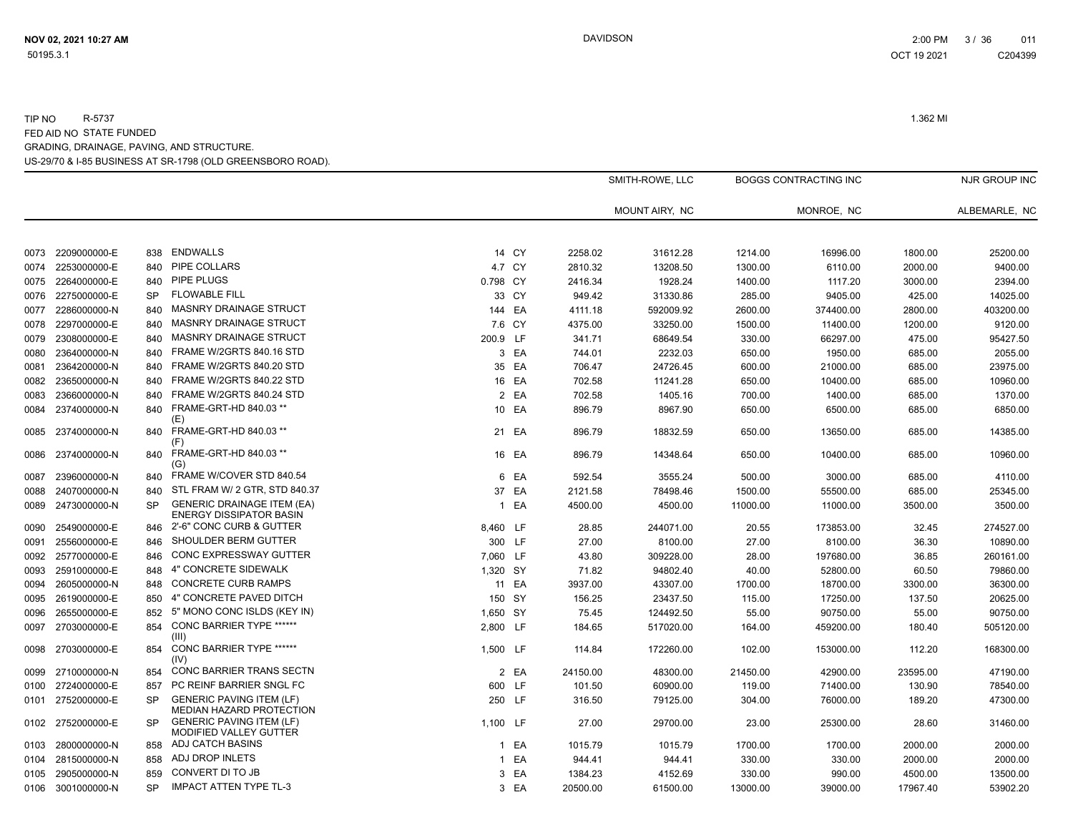SMITH-ROWE, LLC

BOGGS CONTRACTING INC<br>
NJR GROUP INC

|      |              |           |                                                                     |              |        |          | MOUNT AIRY, NC |          | MONROE, NC |          | ALBEMARLE, NC |
|------|--------------|-----------|---------------------------------------------------------------------|--------------|--------|----------|----------------|----------|------------|----------|---------------|
|      |              |           |                                                                     |              |        |          |                |          |            |          |               |
| 0073 | 2209000000-E | 838       | <b>ENDWALLS</b>                                                     |              | 14 CY  | 2258.02  | 31612.28       | 1214.00  | 16996.00   | 1800.00  | 25200.00      |
| 0074 | 2253000000-E | 840       | PIPE COLLARS                                                        |              | 4.7 CY | 2810.32  | 13208.50       | 1300.00  | 6110.00    | 2000.00  | 9400.00       |
| 0075 | 2264000000-E | 840       | <b>PIPE PLUGS</b>                                                   | 0.798 CY     |        | 2416.34  | 1928.24        | 1400.00  | 1117.20    | 3000.00  | 2394.00       |
| 0076 | 2275000000-E | <b>SP</b> | <b>FLOWABLE FILL</b>                                                |              | 33 CY  | 949.42   | 31330.86       | 285.00   | 9405.00    | 425.00   | 14025.00      |
| 0077 | 2286000000-N | 840       | <b>MASNRY DRAINAGE STRUCT</b>                                       |              | 144 EA | 4111.18  | 592009.92      | 2600.00  | 374400.00  | 2800.00  | 403200.00     |
| 0078 | 2297000000-E | 840       | MASNRY DRAINAGE STRUCT                                              |              | 7.6 CY | 4375.00  | 33250.00       | 1500.00  | 11400.00   | 1200.00  | 9120.00       |
| 0079 | 2308000000-E | 840       | <b>MASNRY DRAINAGE STRUCT</b>                                       | 200.9        | LF.    | 341.71   | 68649.54       | 330.00   | 66297.00   | 475.00   | 95427.50      |
| 0080 | 2364000000-N | 840       | FRAME W/2GRTS 840.16 STD                                            |              | 3 EA   | 744.01   | 2232.03        | 650.00   | 1950.00    | 685.00   | 2055.00       |
| 0081 | 2364200000-N | 840       | FRAME W/2GRTS 840.20 STD                                            |              | 35 EA  | 706.47   | 24726.45       | 600.00   | 21000.00   | 685.00   | 23975.00      |
| 0082 | 2365000000-N | 840       | FRAME W/2GRTS 840.22 STD                                            |              | 16 EA  | 702.58   | 11241.28       | 650.00   | 10400.00   | 685.00   | 10960.00      |
| 0083 | 2366000000-N | 840       | FRAME W/2GRTS 840.24 STD                                            | 2            | EA     | 702.58   | 1405.16        | 700.00   | 1400.00    | 685.00   | 1370.00       |
| 0084 | 2374000000-N | 840       | FRAME-GRT-HD 840.03 **<br>(E)                                       |              | 10 EA  | 896.79   | 8967.90        | 650.00   | 6500.00    | 685.00   | 6850.00       |
| 0085 | 2374000000-N | 840       | FRAME-GRT-HD 840.03 **<br>(F)                                       | 21           | EA     | 896.79   | 18832.59       | 650.00   | 13650.00   | 685.00   | 14385.00      |
| 0086 | 2374000000-N | 840       | FRAME-GRT-HD 840.03 **<br>(G)                                       |              | 16 EA  | 896.79   | 14348.64       | 650.00   | 10400.00   | 685.00   | 10960.00      |
| 0087 | 2396000000-N | 840       | FRAME W/COVER STD 840.54                                            | 6            | EA     | 592.54   | 3555.24        | 500.00   | 3000.00    | 685.00   | 4110.00       |
| 0088 | 2407000000-N | 840       | STL FRAM W/ 2 GTR, STD 840.37                                       | 37           | EA     | 2121.58  | 78498.46       | 1500.00  | 55500.00   | 685.00   | 25345.00      |
| 0089 | 2473000000-N | <b>SP</b> | <b>GENERIC DRAINAGE ITEM (EA)</b><br><b>ENERGY DISSIPATOR BASIN</b> | $\mathbf{1}$ | EA     | 4500.00  | 4500.00        | 11000.00 | 11000.00   | 3500.00  | 3500.00       |
| 0090 | 2549000000-E | 846       | 2'-6" CONC CURB & GUTTER                                            | 8,460 LF     |        | 28.85    | 244071.00      | 20.55    | 173853.00  | 32.45    | 274527.00     |
| 0091 | 2556000000-E | 846       | SHOULDER BERM GUTTER                                                | 300 LF       |        | 27.00    | 8100.00        | 27.00    | 8100.00    | 36.30    | 10890.00      |
| 0092 | 2577000000-E | 846       | CONC EXPRESSWAY GUTTER                                              | 7,060 LF     |        | 43.80    | 309228.00      | 28.00    | 197680.00  | 36.85    | 260161.00     |
| 0093 | 2591000000-E | 848       | 4" CONCRETE SIDEWALK                                                | 1,320 SY     |        | 71.82    | 94802.40       | 40.00    | 52800.00   | 60.50    | 79860.00      |
| 0094 | 2605000000-N | 848       | <b>CONCRETE CURB RAMPS</b>                                          | 11           | EA     | 3937.00  | 43307.00       | 1700.00  | 18700.00   | 3300.00  | 36300.00      |
| 0095 | 2619000000-E | 850       | 4" CONCRETE PAVED DITCH                                             | 150 SY       |        | 156.25   | 23437.50       | 115.00   | 17250.00   | 137.50   | 20625.00      |
| 0096 | 2655000000-E | 852       | 5" MONO CONC ISLDS (KEY IN)                                         | 1,650 SY     |        | 75.45    | 124492.50      | 55.00    | 90750.00   | 55.00    | 90750.00      |
| 0097 | 2703000000-E | 854       | CONC BARRIER TYPE ******<br>(III)                                   | 2,800 LF     |        | 184.65   | 517020.00      | 164.00   | 459200.00  | 180.40   | 505120.00     |
| 0098 | 2703000000-E | 854       | CONC BARRIER TYPE ******<br>(IV)                                    | 1.500 LF     |        | 114.84   | 172260.00      | 102.00   | 153000.00  | 112.20   | 168300.00     |
| 0099 | 2710000000-N | 854       | CONC BARRIER TRANS SECTN                                            |              | 2 EA   | 24150.00 | 48300.00       | 21450.00 | 42900.00   | 23595.00 | 47190.00      |
| 0100 | 2724000000-E | 857       | PC REINF BARRIER SNGL FC                                            | 600 LF       |        | 101.50   | 60900.00       | 119.00   | 71400.00   | 130.90   | 78540.00      |
| 0101 | 2752000000-E | <b>SP</b> | <b>GENERIC PAVING ITEM (LF)</b><br>MEDIAN HAZARD PROTECTION         |              | 250 LF | 316.50   | 79125.00       | 304.00   | 76000.00   | 189.20   | 47300.00      |
| 0102 | 2752000000-E | <b>SP</b> | <b>GENERIC PAVING ITEM (LF)</b><br>MODIFIED VALLEY GUTTER           | 1,100 LF     |        | 27.00    | 29700.00       | 23.00    | 25300.00   | 28.60    | 31460.00      |
| 0103 | 2800000000-N | 858       | ADJ CATCH BASINS                                                    | 1            | EA     | 1015.79  | 1015.79        | 1700.00  | 1700.00    | 2000.00  | 2000.00       |
| 0104 | 2815000000-N | 858       | ADJ DROP INLETS                                                     | 1            | EA     | 944.41   | 944.41         | 330.00   | 330.00     | 2000.00  | 2000.00       |
| 0105 | 2905000000-N | 859       | CONVERT DI TO JB                                                    | 3            | EA     | 1384.23  | 4152.69        | 330.00   | 990.00     | 4500.00  | 13500.00      |
| 0106 | 3001000000-N | <b>SP</b> | <b>IMPACT ATTEN TYPE TL-3</b>                                       | 3            | EA     | 20500.00 | 61500.00       | 13000.00 | 39000.00   | 17967.40 | 53902.20      |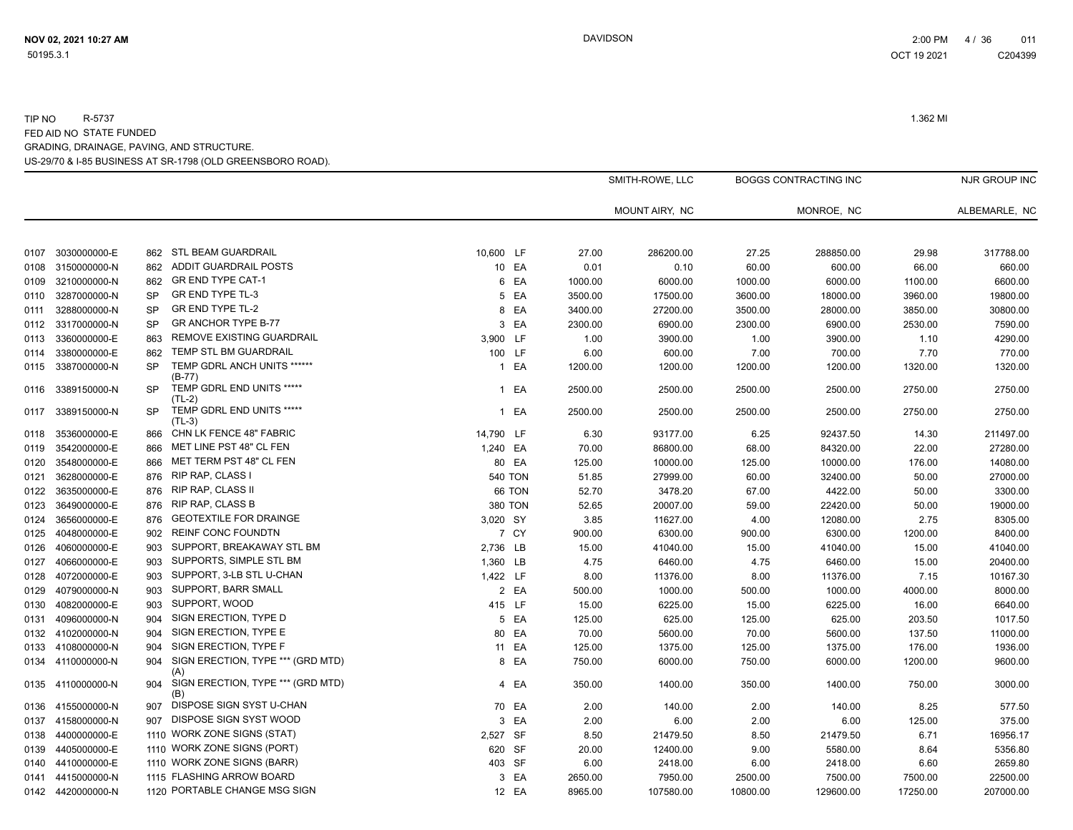|      |                   |           |                                          |              | SMITH-ROWE, LLC |         | <b>BOGGS CONTRACTING INC</b> |          |            | NJR GROUP INC |               |
|------|-------------------|-----------|------------------------------------------|--------------|-----------------|---------|------------------------------|----------|------------|---------------|---------------|
|      |                   |           |                                          |              |                 |         | MOUNT AIRY, NC               |          | MONROE, NC |               | ALBEMARLE, NC |
| 0107 | 3030000000-E      | 862       | <b>STL BEAM GUARDRAIL</b>                | 10,600 LF    |                 | 27.00   | 286200.00                    | 27.25    | 288850.00  | 29.98         | 317788.00     |
| 0108 | 3150000000-N      | 862       | ADDIT GUARDRAIL POSTS                    |              | 10 EA           | 0.01    | 0.10                         | 60.00    | 600.00     | 66.00         | 660.00        |
| 0109 | 3210000000-N      | 862       | <b>GR END TYPE CAT-1</b>                 |              | 6 EA            | 1000.00 | 6000.00                      | 1000.00  | 6000.00    | 1100.00       | 6600.00       |
| 0110 | 3287000000-N      | <b>SP</b> | <b>GR END TYPE TL-3</b>                  | 5            | EA              | 3500.00 | 17500.00                     | 3600.00  | 18000.00   | 3960.00       | 19800.00      |
| 0111 | 3288000000-N      | <b>SP</b> | <b>GR END TYPE TL-2</b>                  |              | 8 EA            | 3400.00 | 27200.00                     | 3500.00  | 28000.00   | 3850.00       | 30800.00      |
| 0112 | 3317000000-N      | <b>SP</b> | <b>GR ANCHOR TYPE B-77</b>               |              | 3 EA            | 2300.00 | 6900.00                      | 2300.00  | 6900.00    | 2530.00       | 7590.00       |
| 0113 | 3360000000-E      | 863       | REMOVE EXISTING GUARDRAIL                | 3,900 LF     |                 | 1.00    | 3900.00                      | 1.00     | 3900.00    | 1.10          | 4290.00       |
| 0114 | 3380000000-E      | 862       | TEMP STL BM GUARDRAIL                    |              | 100 LF          | 6.00    | 600.00                       | 7.00     | 700.00     | 7.70          | 770.00        |
| 0115 | 3387000000-N      | <b>SP</b> | TEMP GDRL ANCH UNITS ******<br>$(B-77)$  | $\mathbf{1}$ | EA              | 1200.00 | 1200.00                      | 1200.00  | 1200.00    | 1320.00       | 1320.00       |
| 0116 | 3389150000-N      | <b>SP</b> | TEMP GDRL END UNITS *****<br>$(TL-2)$    |              | 1 EA            | 2500.00 | 2500.00                      | 2500.00  | 2500.00    | 2750.00       | 2750.00       |
| 0117 | 3389150000-N      | <b>SP</b> | TEMP GDRL END UNITS *****<br>$(TL-3)$    |              | 1 EA            | 2500.00 | 2500.00                      | 2500.00  | 2500.00    | 2750.00       | 2750.00       |
| 0118 | 3536000000-E      | 866       | CHN LK FENCE 48" FABRIC                  | 14,790 LF    |                 | 6.30    | 93177.00                     | 6.25     | 92437.50   | 14.30         | 211497.00     |
| 0119 | 3542000000-E      | 866       | MET LINE PST 48" CL FEN                  | 1,240 EA     |                 | 70.00   | 86800.00                     | 68.00    | 84320.00   | 22.00         | 27280.00      |
| 0120 | 3548000000-E      | 866       | MET TERM PST 48" CL FEN                  |              | 80 EA           | 125.00  | 10000.00                     | 125.00   | 10000.00   | 176.00        | 14080.00      |
| 0121 | 3628000000-E      | 876       | <b>RIP RAP, CLASS I</b>                  |              | <b>540 TON</b>  | 51.85   | 27999.00                     | 60.00    | 32400.00   | 50.00         | 27000.00      |
| 0122 | 3635000000-E      | 876       | <b>RIP RAP, CLASS II</b>                 |              | 66 TON          | 52.70   | 3478.20                      | 67.00    | 4422.00    | 50.00         | 3300.00       |
| 0123 | 3649000000-E      | 876       | <b>RIP RAP, CLASS B</b>                  |              | 380 TON         | 52.65   | 20007.00                     | 59.00    | 22420.00   | 50.00         | 19000.00      |
| 0124 | 3656000000-E      | 876       | <b>GEOTEXTILE FOR DRAINGE</b>            | 3,020 SY     |                 | 3.85    | 11627.00                     | 4.00     | 12080.00   | 2.75          | 8305.00       |
| 0125 | 4048000000-E      | 902       | <b>REINF CONC FOUNDTN</b>                |              | 7 CY            | 900.00  | 6300.00                      | 900.00   | 6300.00    | 1200.00       | 8400.00       |
| 0126 | 4060000000-E      | 903       | SUPPORT, BREAKAWAY STL BM                | 2,736 LB     |                 | 15.00   | 41040.00                     | 15.00    | 41040.00   | 15.00         | 41040.00      |
| 0127 | 4066000000-E      | 903       | SUPPORTS, SIMPLE STL BM                  | 1,360 LB     |                 | 4.75    | 6460.00                      | 4.75     | 6460.00    | 15.00         | 20400.00      |
| 0128 | 4072000000-E      | 903       | SUPPORT, 3-LB STL U-CHAN                 | 1,422 LF     |                 | 8.00    | 11376.00                     | 8.00     | 11376.00   | 7.15          | 10167.30      |
| 0129 | 4079000000-N      | 903       | SUPPORT, BARR SMALL                      |              | 2 EA            | 500.00  | 1000.00                      | 500.00   | 1000.00    | 4000.00       | 8000.00       |
| 0130 | 4082000000-E      | 903       | SUPPORT, WOOD                            |              | 415 LF          | 15.00   | 6225.00                      | 15.00    | 6225.00    | 16.00         | 6640.00       |
| 0131 | 4096000000-N      | 904       | SIGN ERECTION, TYPE D                    |              | 5 EA            | 125.00  | 625.00                       | 125.00   | 625.00     | 203.50        | 1017.50       |
| 0132 | 4102000000-N      | 904       | SIGN ERECTION, TYPE E                    |              | 80 EA           | 70.00   | 5600.00                      | 70.00    | 5600.00    | 137.50        | 11000.00      |
| 0133 | 4108000000-N      | 904       | SIGN ERECTION, TYPE F                    |              | 11 EA           | 125.00  | 1375.00                      | 125.00   | 1375.00    | 176.00        | 1936.00       |
|      | 0134 4110000000-N | 904       | SIGN ERECTION, TYPE *** (GRD MTD)<br>(A) |              | 8 EA            | 750.00  | 6000.00                      | 750.00   | 6000.00    | 1200.00       | 9600.00       |
|      | 0135 4110000000-N | 904       | SIGN ERECTION, TYPE *** (GRD MTD)<br>(B) |              | 4 EA            | 350.00  | 1400.00                      | 350.00   | 1400.00    | 750.00        | 3000.00       |
| 0136 | 4155000000-N      | 907       | DISPOSE SIGN SYST U-CHAN                 |              | 70 EA           | 2.00    | 140.00                       | 2.00     | 140.00     | 8.25          | 577.50        |
| 0137 | 4158000000-N      | 907       | DISPOSE SIGN SYST WOOD                   | 3            | EA              | 2.00    | 6.00                         | 2.00     | 6.00       | 125.00        | 375.00        |
| 0138 | 4400000000-E      |           | 1110 WORK ZONE SIGNS (STAT)              | 2,527 SF     |                 | 8.50    | 21479.50                     | 8.50     | 21479.50   | 6.71          | 16956.17      |
| 0139 | 4405000000-E      |           | 1110 WORK ZONE SIGNS (PORT)              |              | 620 SF          | 20.00   | 12400.00                     | 9.00     | 5580.00    | 8.64          | 5356.80       |
| 0140 | 4410000000-E      |           | 1110 WORK ZONE SIGNS (BARR)              |              | 403 SF          | 6.00    | 2418.00                      | 6.00     | 2418.00    | 6.60          | 2659.80       |
| 0141 | 4415000000-N      |           | 1115 FLASHING ARROW BOARD                |              | 3 EA            | 2650.00 | 7950.00                      | 2500.00  | 7500.00    | 7500.00       | 22500.00      |
|      | 0142 4420000000-N |           | 1120 PORTABLE CHANGE MSG SIGN            |              | 12 EA           | 8965.00 | 107580.00                    | 10800.00 | 129600.00  | 17250.00      | 207000.00     |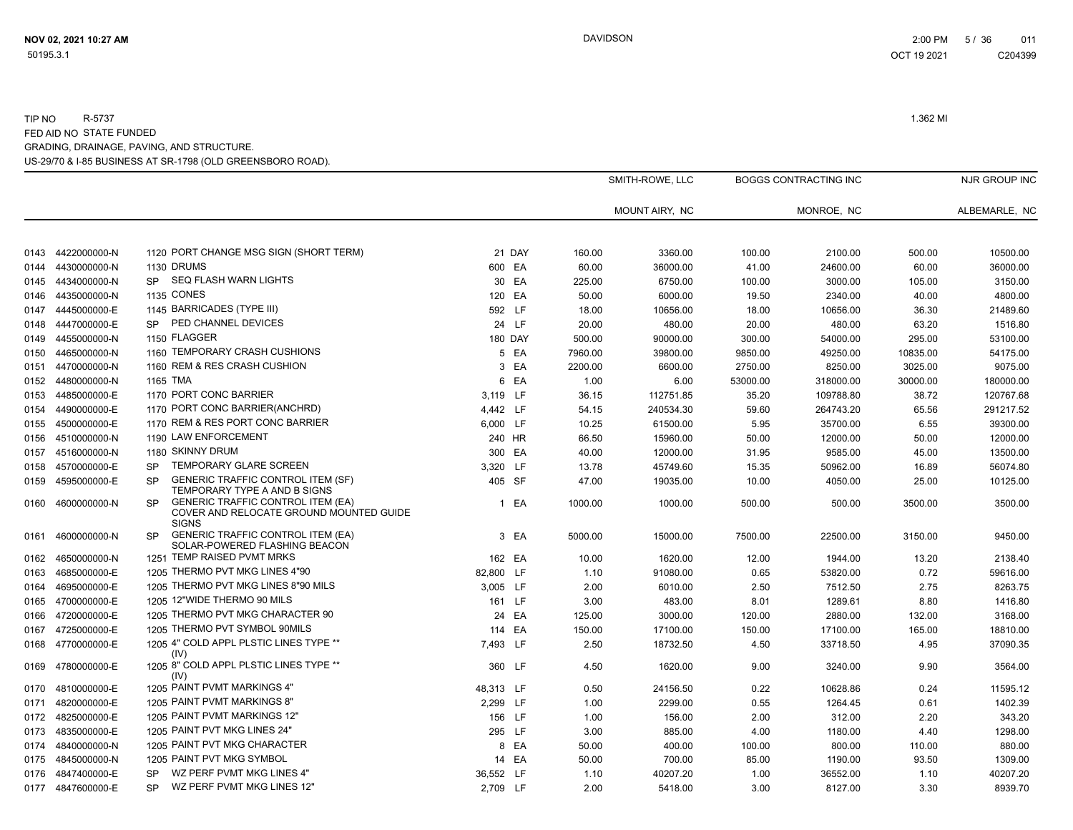|              |                              |                                                                                                            |              |                | SMITH-ROWE, LLC |                     | <b>BOGGS CONTRACTING INC</b> |                     |                | NJR GROUP INC       |
|--------------|------------------------------|------------------------------------------------------------------------------------------------------------|--------------|----------------|-----------------|---------------------|------------------------------|---------------------|----------------|---------------------|
|              |                              |                                                                                                            |              |                |                 | MOUNT AIRY, NC      |                              | MONROE, NC          |                | ALBEMARLE, NC       |
| 0143         | 4422000000-N                 | 1120 PORT CHANGE MSG SIGN (SHORT TERM)                                                                     |              | 21 DAY         | 160.00          | 3360.00             | 100.00                       | 2100.00             | 500.00         | 10500.00            |
|              | 4430000000-N                 | 1130 DRUMS                                                                                                 |              | 600 EA         | 60.00           | 36000.00            | 41.00                        | 24600.00            | 60.00          | 36000.00            |
| 0144         | 4434000000-N                 | SEQ FLASH WARN LIGHTS<br><b>SP</b>                                                                         |              |                |                 | 6750.00             |                              |                     |                |                     |
| 0145<br>0146 |                              | 1135 CONES                                                                                                 | 120          | 30 EA<br>EA    | 225.00          |                     | 100.00                       | 3000.00             | 105.00         | 3150.00             |
|              | 4435000000-N<br>4445000000-E | 1145 BARRICADES (TYPE III)                                                                                 |              | 592 LF         | 50.00<br>18.00  | 6000.00<br>10656.00 | 19.50<br>18.00               | 2340.00<br>10656.00 | 40.00<br>36.30 | 4800.00<br>21489.60 |
| 0147         |                              | PED CHANNEL DEVICES<br><b>SP</b>                                                                           |              |                |                 |                     |                              |                     |                |                     |
| 0148         | 4447000000-E                 | 1150 FLAGGER                                                                                               |              | 24 LF          | 20.00           | 480.00              | 20.00                        | 480.00              | 63.20          | 1516.80             |
| 0149         | 4455000000-N                 | 1160 TEMPORARY CRASH CUSHIONS                                                                              |              | <b>180 DAY</b> | 500.00          | 90000.00            | 300.00                       | 54000.00            | 295.00         | 53100.00            |
| 0150         | 4465000000-N                 |                                                                                                            |              | 5 EA           | 7960.00         | 39800.00            | 9850.00                      | 49250.00            | 10835.00       | 54175.00            |
|              | 0151 4470000000-N            | 1160 REM & RES CRASH CUSHION                                                                               |              | 3 EA           | 2200.00         | 6600.00             | 2750.00                      | 8250.00             | 3025.00        | 9075.00             |
| 0152         | 4480000000-N                 | 1165 TMA                                                                                                   |              | 6 EA           | 1.00            | 6.00                | 53000.00                     | 318000.00           | 30000.00       | 180000.00           |
| 0153         | 4485000000-E                 | 1170 PORT CONC BARRIER                                                                                     | 3,119 LF     |                | 36.15           | 112751.85           | 35.20                        | 109788.80           | 38.72          | 120767.68           |
| 0154         | 4490000000-E                 | 1170 PORT CONC BARRIER(ANCHRD)                                                                             | 4,442 LF     |                | 54.15           | 240534.30           | 59.60                        | 264743.20           | 65.56          | 291217.52           |
| 0155         | 4500000000-E                 | 1170 REM & RES PORT CONC BARRIER                                                                           | 6,000 LF     |                | 10.25           | 61500.00            | 5.95                         | 35700.00            | 6.55           | 39300.00            |
| 0156         | 4510000000-N                 | 1190 LAW ENFORCEMENT                                                                                       | 240 HR       |                | 66.50           | 15960.00            | 50.00                        | 12000.00            | 50.00          | 12000.00            |
| 0157         | 4516000000-N                 | 1180 SKINNY DRUM                                                                                           | 300 EA       |                | 40.00           | 12000.00            | 31.95                        | 9585.00             | 45.00          | 13500.00            |
| 0158         | 4570000000-E                 | TEMPORARY GLARE SCREEN<br><b>SP</b>                                                                        | 3,320 LF     |                | 13.78           | 45749.60            | 15.35                        | 50962.00            | 16.89          | 56074.80            |
| 0159         | 4595000000-E                 | <b>GENERIC TRAFFIC CONTROL ITEM (SF)</b><br><b>SP</b><br>TEMPORARY TYPE A AND B SIGNS                      | 405 SF       |                | 47.00           | 19035.00            | 10.00                        | 4050.00             | 25.00          | 10125.00            |
| 0160         | 4600000000-N                 | <b>GENERIC TRAFFIC CONTROL ITEM (EA)</b><br>SP.<br>COVER AND RELOCATE GROUND MOUNTED GUIDE<br><b>SIGNS</b> | $\mathbf{1}$ | EA             | 1000.00         | 1000.00             | 500.00                       | 500.00              | 3500.00        | 3500.00             |
| 0161         | 4600000000-N                 | <b>GENERIC TRAFFIC CONTROL ITEM (EA)</b><br><b>SP</b><br>SOLAR-POWERED FLASHING BEACON                     |              | 3 EA           | 5000.00         | 15000.00            | 7500.00                      | 22500.00            | 3150.00        | 9450.00             |
| 0162         | 4650000000-N                 | 1251 TEMP RAISED PVMT MRKS                                                                                 | 162 EA       |                | 10.00           | 1620.00             | 12.00                        | 1944.00             | 13.20          | 2138.40             |
| 0163         | 4685000000-E                 | 1205 THERMO PVT MKG LINES 4"90                                                                             | 82,800 LF    |                | 1.10            | 91080.00            | 0.65                         | 53820.00            | 0.72           | 59616.00            |
| 0164         | 4695000000-E                 | 1205 THERMO PVT MKG LINES 8"90 MILS                                                                        | 3,005 LF     |                | 2.00            | 6010.00             | 2.50                         | 7512.50             | 2.75           | 8263.75             |
|              | 0165 4700000000-E            | 1205 12"WIDE THERMO 90 MILS                                                                                | 161 LF       |                | 3.00            | 483.00              | 8.01                         | 1289.61             | 8.80           | 1416.80             |
| 0166         | 4720000000-E                 | 1205 THERMO PVT MKG CHARACTER 90                                                                           |              | 24 EA          | 125.00          | 3000.00             | 120.00                       | 2880.00             | 132.00         | 3168.00             |
| 0167         | 4725000000-E                 | 1205 THERMO PVT SYMBOL 90MILS                                                                              |              | 114 EA         | 150.00          | 17100.00            | 150.00                       | 17100.00            | 165.00         | 18810.00            |
| 0168         | 4770000000-E                 | 1205 4" COLD APPL PLSTIC LINES TYPE **<br>(IV)                                                             | 7,493 LF     |                | 2.50            | 18732.50            | 4.50                         | 33718.50            | 4.95           | 37090.35            |
| 0169         | 4780000000-E                 | 1205 8" COLD APPL PLSTIC LINES TYPE **<br>(IV)                                                             | 360 LF       |                | 4.50            | 1620.00             | 9.00                         | 3240.00             | 9.90           | 3564.00             |
| 0170         | 4810000000-E                 | 1205 PAINT PVMT MARKINGS 4"                                                                                | 48,313 LF    |                | 0.50            | 24156.50            | 0.22                         | 10628.86            | 0.24           | 11595.12            |
| 0171         | 4820000000-E                 | 1205 PAINT PVMT MARKINGS 8"                                                                                | 2,299 LF     |                | 1.00            | 2299.00             | 0.55                         | 1264.45             | 0.61           | 1402.39             |
| 0172         | 4825000000-E                 | 1205 PAINT PVMT MARKINGS 12"                                                                               | 156 LF       |                | 1.00            | 156.00              | 2.00                         | 312.00              | 2.20           | 343.20              |
| 0173         | 4835000000-E                 | 1205 PAINT PVT MKG LINES 24"                                                                               | 295 LF       |                | 3.00            | 885.00              | 4.00                         | 1180.00             | 4.40           | 1298.00             |
| 0174         | 4840000000-N                 | 1205 PAINT PVT MKG CHARACTER                                                                               |              | 8 EA           | 50.00           | 400.00              | 100.00                       | 800.00              | 110.00         | 880.00              |
| 0175         | 4845000000-N                 | 1205 PAINT PVT MKG SYMBOL                                                                                  |              | 14 EA          | 50.00           | 700.00              | 85.00                        | 1190.00             | 93.50          | 1309.00             |
| 0176         | 4847400000-E                 | WZ PERF PVMT MKG LINES 4"<br><b>SP</b>                                                                     | 36,552 LF    |                | 1.10            | 40207.20            | 1.00                         | 36552.00            | 1.10           | 40207.20            |
|              | 0177 4847600000-E            | WZ PERF PVMT MKG LINES 12"<br>SP.                                                                          | 2,709 LF     |                | 2.00            | 5418.00             | 3.00                         | 8127.00             | 3.30           | 8939.70             |
|              |                              |                                                                                                            |              |                |                 |                     |                              |                     |                |                     |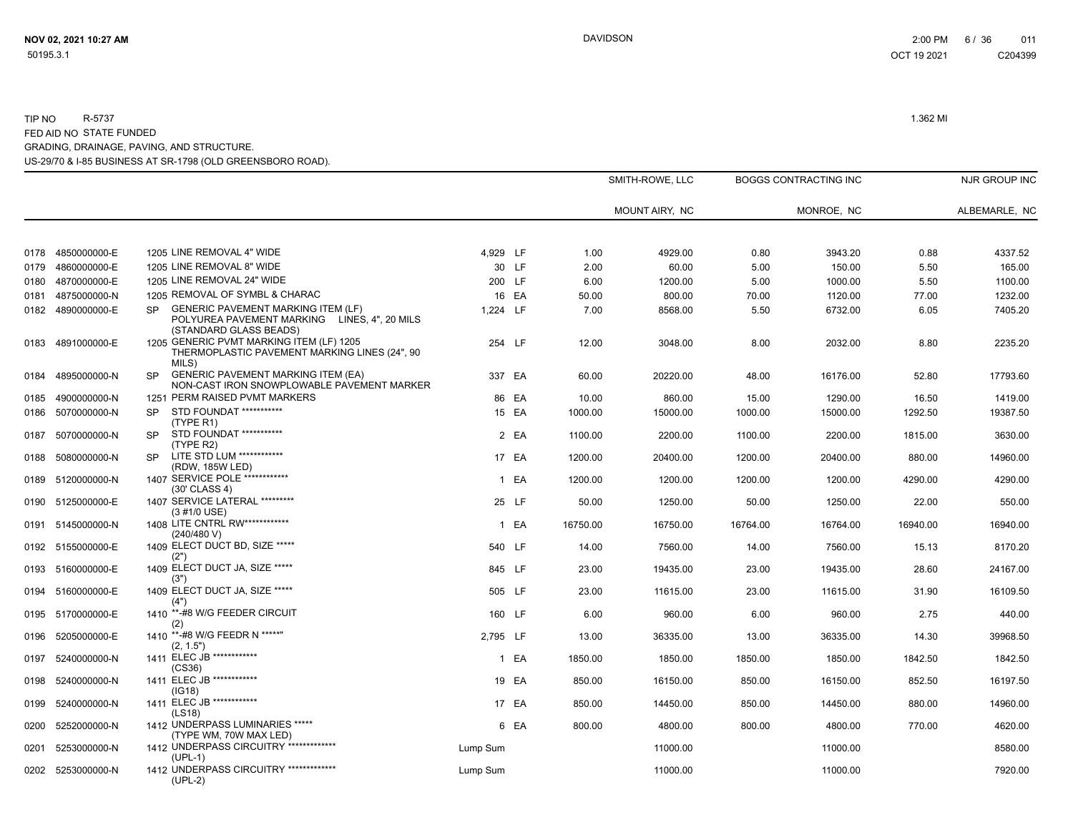|      |                   |           |                                                                                                                     |          |        |          | SMITH-ROWE, LLC |          | <b>BOGGS CONTRACTING INC</b> |          | NJR GROUP INC |
|------|-------------------|-----------|---------------------------------------------------------------------------------------------------------------------|----------|--------|----------|-----------------|----------|------------------------------|----------|---------------|
|      |                   |           |                                                                                                                     |          |        |          | MOUNT AIRY, NC  |          | MONROE, NC                   |          | ALBEMARLE, NC |
| 0178 | 4850000000-E      |           | 1205 LINE REMOVAL 4" WIDE                                                                                           | 4,929 LF |        | 1.00     | 4929.00         | 0.80     | 3943.20                      | 0.88     | 4337.52       |
| 0179 | 4860000000-E      |           | 1205 LINE REMOVAL 8" WIDE                                                                                           |          | 30 LF  | 2.00     | 60.00           | 5.00     | 150.00                       | 5.50     | 165.00        |
| 0180 | 4870000000-E      |           | 1205 LINE REMOVAL 24" WIDE                                                                                          |          | 200 LF | 6.00     | 1200.00         | 5.00     | 1000.00                      | 5.50     | 1100.00       |
| 0181 | 4875000000-N      |           | 1205 REMOVAL OF SYMBL & CHARAC                                                                                      |          | 16 EA  | 50.00    | 800.00          | 70.00    | 1120.00                      | 77.00    | 1232.00       |
|      | 0182 4890000000-E | <b>SP</b> | <b>GENERIC PAVEMENT MARKING ITEM (LF)</b><br>POLYUREA PAVEMENT MARKING LINES, 4", 20 MILS<br>(STANDARD GLASS BEADS) | 1.224 LF |        | 7.00     | 8568.00         | 5.50     | 6732.00                      | 6.05     | 7405.20       |
| 0183 | 4891000000-E      |           | 1205 GENERIC PVMT MARKING ITEM (LF) 1205<br>THERMOPLASTIC PAVEMENT MARKING LINES (24", 90<br>MILS)                  |          | 254 LF | 12.00    | 3048.00         | 8.00     | 2032.00                      | 8.80     | 2235.20       |
| 0184 | 4895000000-N      | <b>SP</b> | <b>GENERIC PAVEMENT MARKING ITEM (EA)</b><br>NON-CAST IRON SNOWPLOWABLE PAVEMENT MARKER                             |          | 337 EA | 60.00    | 20220.00        | 48.00    | 16176.00                     | 52.80    | 17793.60      |
| 0185 | 4900000000-N      |           | 1251 PERM RAISED PVMT MARKERS                                                                                       |          | 86 EA  | 10.00    | 860.00          | 15.00    | 1290.00                      | 16.50    | 1419.00       |
| 0186 | 5070000000-N      | <b>SP</b> | STD FOUNDAT ***********<br>(TYPE R1)                                                                                |          | 15 EA  | 1000.00  | 15000.00        | 1000.00  | 15000.00                     | 1292.50  | 19387.50      |
| 0187 | 5070000000-N      | <b>SP</b> | STD FOUNDAT ***********<br>(TYPE R2)                                                                                |          | 2 EA   | 1100.00  | 2200.00         | 1100.00  | 2200.00                      | 1815.00  | 3630.00       |
| 0188 | 5080000000-N      | <b>SP</b> | LITE STD LUM ************<br>(RDW, 185W LED)                                                                        |          | 17 EA  | 1200.00  | 20400.00        | 1200.00  | 20400.00                     | 880.00   | 14960.00      |
|      | 0189 5120000000-N |           | 1407 SERVICE POLE ************<br>(30' CLASS 4)                                                                     |          | 1 EA   | 1200.00  | 1200.00         | 1200.00  | 1200.00                      | 4290.00  | 4290.00       |
| 0190 | 5125000000-E      |           | 1407 SERVICE LATERAL *********<br>(3 #1/0 USE)                                                                      |          | 25 LF  | 50.00    | 1250.00         | 50.00    | 1250.00                      | 22.00    | 550.00        |
|      | 0191 5145000000-N |           | 1408 LITE CNTRL RW************<br>(240/480 V)                                                                       |          | 1 EA   | 16750.00 | 16750.00        | 16764.00 | 16764.00                     | 16940.00 | 16940.00      |
|      | 0192 5155000000-E |           | 1409 ELECT DUCT BD, SIZE *****<br>(2")                                                                              |          | 540 LF | 14.00    | 7560.00         | 14.00    | 7560.00                      | 15.13    | 8170.20       |
|      | 0193 5160000000-E |           | 1409 ELECT DUCT JA, SIZE *****<br>(3")                                                                              |          | 845 LF | 23.00    | 19435.00        | 23.00    | 19435.00                     | 28.60    | 24167.00      |
|      | 0194 5160000000-E |           | 1409 ELECT DUCT JA, SIZE *****<br>(4")                                                                              |          | 505 LF | 23.00    | 11615.00        | 23.00    | 11615.00                     | 31.90    | 16109.50      |
| 0195 | 5170000000-E      |           | 1410 **-#8 W/G FEEDER CIRCUIT<br>(2)                                                                                |          | 160 LF | 6.00     | 960.00          | 6.00     | 960.00                       | 2.75     | 440.00        |
| 0196 | 5205000000-E      |           | 1410 **-#8 W/G FEEDR N *****"<br>(2, 1.5")                                                                          | 2,795 LF |        | 13.00    | 36335.00        | 13.00    | 36335.00                     | 14.30    | 39968.50      |
| 0197 | 5240000000-N      |           | 1411 ELEC JB ************<br>(CS36)                                                                                 |          | 1 EA   | 1850.00  | 1850.00         | 1850.00  | 1850.00                      | 1842.50  | 1842.50       |
| 0198 | 5240000000-N      |           | 1411 ELEC JB ************<br>(IG18)                                                                                 |          | 19 EA  | 850.00   | 16150.00        | 850.00   | 16150.00                     | 852.50   | 16197.50      |
| 0199 | 5240000000-N      |           | 1411 ELEC JB ************<br>(LS18)                                                                                 |          | 17 EA  | 850.00   | 14450.00        | 850.00   | 14450.00                     | 880.00   | 14960.00      |
| 0200 | 5252000000-N      |           | 1412 UNDERPASS LUMINARIES *****<br>(TYPE WM, 70W MAX LED)                                                           |          | 6 EA   | 800.00   | 4800.00         | 800.00   | 4800.00                      | 770.00   | 4620.00       |
| 0201 | 5253000000-N      |           | 1412 UNDERPASS CIRCUITRY **************<br>$(UPL-1)$                                                                | Lump Sum |        |          | 11000.00        |          | 11000.00                     |          | 8580.00       |
|      | 0202 5253000000-N |           | 1412 UNDERPASS CIRCUITRY **************<br>$(UPL-2)$                                                                | Lump Sum |        |          | 11000.00        |          | 11000.00                     |          | 7920.00       |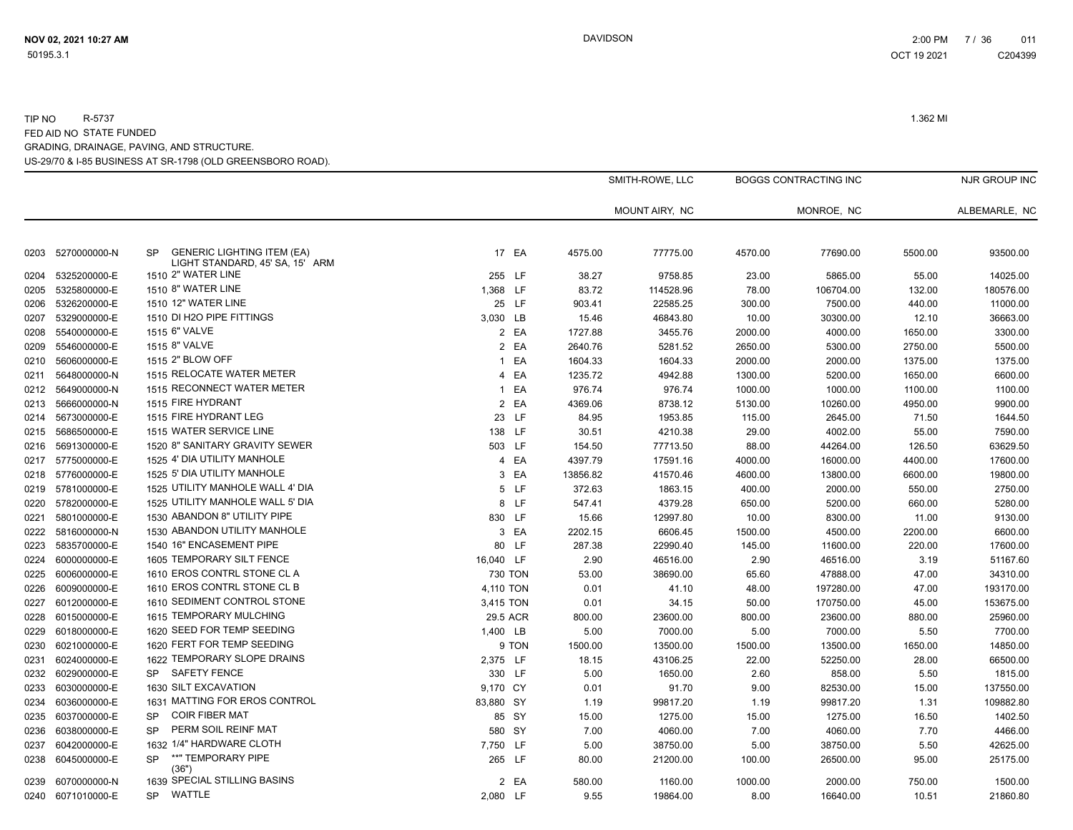0204 5325200000-E

0207 5329000000-E

0211 5648000000-N

0212 5649000000-N

0214 5673000000-E

0215 5686500000-E

0216 5691300000-E

0217 5775000000-E

0218 5776000000-E

0219 5781000000-E

0220 5782000000-E

0221 5801000000-E

0222 5816000000-N

0223 5835700000-E

0224 6000000000-E

0225 6006000000-E

0226 6009000000-E

0227 6012000000-E

0228 6015000000-E

0229 6018000000-E

0230 6021000000-E

0231 6024000000-E

0234 6036000000-E

0237 6042000000-E

0239 6070000000-N

0205 5325800000-E 1510 8" WATER LINE

0206 5326200000-E 1510 12" WATER LINE

0208 5540000000-E 1515 6" VALVE

0209 5546000000-E 1515 8" VALVE

0210 5606000000-E 1515 2" BLOW OFF

0213 5666000000-N 1515 FIRE HYDRANT

LIGHT STANDARD, 45' SA, 15' ARM<br>1510 2" WATER LINE

MONROE, NC ALBEMARLE, NC

BOGGS CONTRACTING INC NJR GROUP INC

| 1510 12" WATER LINE              |           | 25 LF   | 903.41      | 22585.25 | 300.00  | 7500.00   | 440.00  | 11000.00  |
|----------------------------------|-----------|---------|-------------|----------|---------|-----------|---------|-----------|
| 1510 DI H2O PIPE FITTINGS        | 3,030 LB  |         | 15.46       | 46843.80 | 10.00   | 30300.00  | 12.10   | 36663.00  |
| 1515 6" VALVE                    |           | 2 EA    | 1727.88     | 3455.76  | 2000.00 | 4000.00   | 1650.00 | 3300.00   |
| 1515 8" VALVE                    |           | 2 EA    | 2640.76     | 5281.52  | 2650.00 | 5300.00   | 2750.00 | 5500.00   |
| 1515 2" BLOW OFF                 |           | 1 EA    | 1604.33     | 1604.33  | 2000.00 | 2000.00   | 1375.00 | 1375.00   |
| 1515 RELOCATE WATER METER        |           | 4 EA    | 1235.72     | 4942.88  | 1300.00 | 5200.00   | 1650.00 | 6600.00   |
| 1515 RECONNECT WATER METER       |           | 1 EA    | 976.74      | 976.74   | 1000.00 | 1000.00   | 1100.00 | 1100.00   |
| 1515 FIRE HYDRANT                |           | 2 EA    | 4369.06     | 8738.12  | 5130.00 | 10260.00  | 4950.00 | 9900.00   |
| 1515 FIRE HYDRANT LEG            |           | 23 LF   | 84.95       | 1953.85  | 115.00  | 2645.00   | 71.50   | 1644.50   |
| 1515 WATER SERVICE LINE          | 138 LF    |         | 30.51       | 4210.38  | 29.00   | 4002.00   | 55.00   | 7590.00   |
| 1520 8" SANITARY GRAVITY SEWER   | 503 LF    |         | 154.50      | 77713.50 | 88.00   | 44264.00  | 126.50  | 63629.50  |
| 1525 4' DIA UTILITY MANHOLE      |           | 4 EA    | 4397.79     | 17591.16 | 4000.00 | 16000.00  | 4400.00 | 17600.00  |
| 1525 5' DIA UTILITY MANHOLE      |           | 3 EA    | 13856.82    | 41570.46 | 4600.00 | 13800.00  | 6600.00 | 19800.00  |
| 1525 UTILITY MANHOLE WALL 4' DIA |           | 5 LF    | 372.63      | 1863.15  | 400.00  | 2000.00   | 550.00  | 2750.00   |
| 1525 UTILITY MANHOLE WALL 5' DIA |           | 8 LF    | 547.41      | 4379.28  | 650.00  | 5200.00   | 660.00  | 5280.00   |
| 1530 ABANDON 8" UTILITY PIPE     | 830 LF    |         | 15.66       | 12997.80 | 10.00   | 8300.00   | 11.00   | 9130.00   |
| 1530 ABANDON UTILITY MANHOLE     | 3         | EA      | 2202.15     | 6606.45  | 1500.00 | 4500.00   | 2200.00 | 6600.00   |
| 1540 16" ENCASEMENT PIPE         |           | 80 LF   | 287.38      | 22990.40 | 145.00  | 11600.00  | 220.00  | 17600.00  |
| 1605 TEMPORARY SILT FENCE        | 16,040 LF |         | 2.90        | 46516.00 | 2.90    | 46516.00  | 3.19    | 51167.60  |
| 1610 EROS CONTRL STONE CL A      |           | 730 TON | 53.00       | 38690.00 | 65.60   | 47888.00  | 47.00   | 34310.00  |
| 1610 EROS CONTRL STONE CL B      | 4,110 TON |         | 0.01        | 41.10    | 48.00   | 197280.00 | 47.00   | 193170.00 |
| 1610 SEDIMENT CONTROL STONE      | 3,415 TON |         | 0.01        | 34.15    | 50.00   | 170750.00 | 45.00   | 153675.00 |
| 1615 TEMPORARY MULCHING          | 29.5 ACR  |         | 800.00      | 23600.00 | 800.00  | 23600.00  | 880.00  | 25960.00  |
| 1620 SEED FOR TEMP SEEDING       | 1,400 LB  |         | 5.00        | 7000.00  | 5.00    | 7000.00   | 5.50    | 7700.00   |
| 1620 FERT FOR TEMP SEEDING       |           | 9 TON   | 1500.00     | 13500.00 | 1500.00 | 13500.00  | 1650.00 | 14850.00  |
| 1622 TEMPORARY SLOPE DRAINS      | 2,375 LF  |         | 18.15       | 43106.25 | 22.00   | 52250.00  | 28.00   | 66500.00  |
| SP SAFETY FENCE                  | 330 LF    |         | 5.00        | 1650.00  | 2.60    | 858.00    | 5.50    | 1815.00   |
| 1630 SILT FXCAVATION             | 0.170C    |         | <u>ስ ሰ1</u> | Q1 70    | a nn    | 82530.00  | 15. NO  | 137550.00 |

SMITH-ROWE, LLC

MOUNT AIRY, NC

2" WATER LINE 255 LF 38.27 9758.85 23.00 5865.00 55.00 14025.00

8" WATER LINE 1,368 LF 83.72 114528.96 78.00 106704.00 132.00 180576.00

0203 5270000000-N SP GENERIC LIGHTING ITEM (EA)  $17$  EA 4575.00 77775.00 4570.00 77690.00 5500.00 93500.00 93500.00

 UTILITY MANHOLE WALL 5' DIA 8 LF 547.41 4379.28 650.00 5200.00 660.00 5280.00 1530 ABANDON 8" UTILITY PIPE **830 LF** 15.66 12997.80 10.00 8300.00 11.00 9130.00 ABANDON UTILITY MANHOLE 3 EA 2202.15 6606.45 1500.00 4500.00 2200.00 6600.00 16" ENCASEMENT PIPE 1990 100 CH 287.38 22990.40 145.00 11600.00 220.00 17600.00 TEMPORARY SILT FENCE 16,040 LF 2.90 46516.00 2.90 46516.00 3.19 51167.60 EROS CONTRL STONE CL A 730 TON 53.00 38690.00 65.60 47888.00 47.00 34310.00 EROS CONTRL STONE CL B 4,110 TON 0.01 41.10 48.00 197280.00 47.00 193170.00 SEDIMENT CONTROL STONE 3,415 TON 0.01 34.15 50.00 170750.00 45.00 153675.00 1615 TEMPORARY MULCHING SEED FOR TEMP SEEDING 1,400 LB 5.00 7000.00 5.00 7000.00 5.50 7700.00 FERT FOR TEMP SEEDING 9 TON 1500.00 13500.00 1500.00 13500.00 1650.00 14850.00 TEMPORARY SLOPE DRAINS 2,375 LF 18.15 43106.25 22.00 52250.00 28.00 66500.00 0232 6029000000-E SP SAFETY FENCE 0233 6030000000-E 1630 SILT EXCAVATION 0 SILT EXCAVATION 9,170 CY 0.01 91.70 9.00 82530.00 15.00 137550.00 MATTING FOR EROS CONTROL 83,880 SY 1.19 99817.20 1.19 99817.20 1.31 109882.80 0235 6037000000-E SP COIR FIBER MAT 85 SY 15.00 1275.00 15.00 1275.00 16.50 1402.50 0236 6038000000-E SP PERM SOIL REINF MAT 580 SY 7.00 4060.00 7.00 4060.00 7.70 4466.00 1/4" HARDWARE CLOTH 7,750 LF 5.00 38750.00 5.00 38750.00 5.50 42625.00 0238 6045000000-E SP \*\*" TEMPORARY PIPE 2020 2038 265 LF 80.00 21200.00 100.00 26500.00 95.00 25175.00 (36") SPECIAL STILLING BASINS 2 EA 580.00 1160.00 1000.00 2000.00 750.00 1500.00 0240 6071010000-E SP WATTLE 2,080 LF 9.55 19864.00 16640.00 10.51 21860.80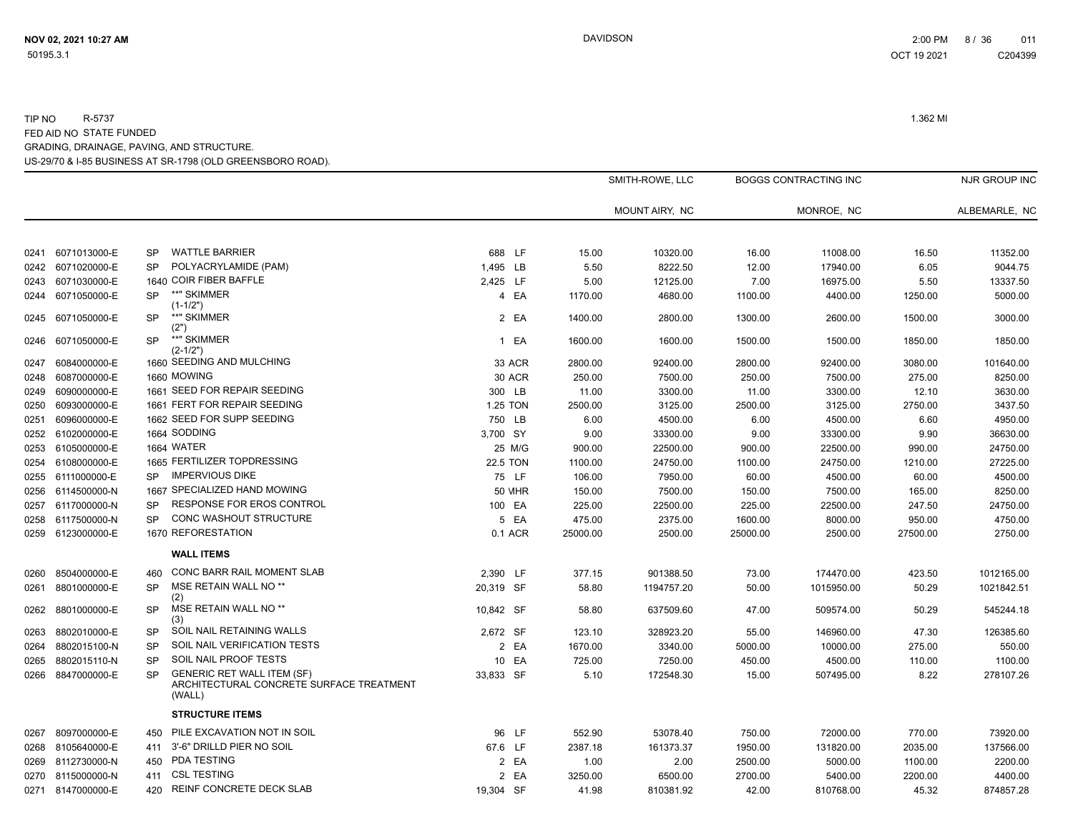|      |                   |           |                                                                                         |               | SMITH-ROWE, LLC |                | <b>BOGGS CONTRACTING INC</b> |            |          | NJR GROUP INC |
|------|-------------------|-----------|-----------------------------------------------------------------------------------------|---------------|-----------------|----------------|------------------------------|------------|----------|---------------|
|      |                   |           |                                                                                         |               |                 | MOUNT AIRY, NC |                              | MONROE, NC |          | ALBEMARLE, NC |
| 0241 | 6071013000-E      | <b>SP</b> | <b>WATTLE BARRIER</b>                                                                   | 688 LF        | 15.00           | 10320.00       | 16.00                        | 11008.00   | 16.50    | 11352.00      |
| 0242 | 6071020000-E      | SP        | POLYACRYLAMIDE (PAM)                                                                    | 1,495 LB      | 5.50            | 8222.50        | 12.00                        | 17940.00   | 6.05     | 9044.75       |
|      | 0243 6071030000-E |           | 1640 COIR FIBER BAFFLE                                                                  | 2,425 LF      | 5.00            | 12125.00       | 7.00                         | 16975.00   | 5.50     | 13337.50      |
|      | 0244 6071050000-E | <b>SP</b> | **" SKIMMER<br>$(1-1/2")$                                                               | 4 EA          | 1170.00         | 4680.00        | 1100.00                      | 4400.00    | 1250.00  | 5000.00       |
|      | 0245 6071050000-E | SP        | **" SKIMMER<br>(2")                                                                     | 2 EA          | 1400.00         | 2800.00        | 1300.00                      | 2600.00    | 1500.00  | 3000.00       |
| 0246 | 6071050000-E      | <b>SP</b> | **" SKIMMER<br>$(2 - 1/2")$                                                             | 1 EA          | 1600.00         | 1600.00        | 1500.00                      | 1500.00    | 1850.00  | 1850.00       |
| 0247 | 6084000000-E      |           | 1660 SEEDING AND MULCHING                                                               | 33 ACR        | 2800.00         | 92400.00       | 2800.00                      | 92400.00   | 3080.00  | 101640.00     |
| 0248 | 6087000000-E      |           | 1660 MOWING                                                                             | 30 ACR        | 250.00          | 7500.00        | 250.00                       | 7500.00    | 275.00   | 8250.00       |
| 0249 | 6090000000-E      |           | 1661 SEED FOR REPAIR SEEDING                                                            | 300 LB        | 11.00           | 3300.00        | 11.00                        | 3300.00    | 12.10    | 3630.00       |
| 0250 | 6093000000-E      |           | 1661 FERT FOR REPAIR SEEDING                                                            | 1.25 TON      | 2500.00         | 3125.00        | 2500.00                      | 3125.00    | 2750.00  | 3437.50       |
| 0251 | 6096000000-E      |           | 1662 SEED FOR SUPP SEEDING                                                              | 750 LB        | 6.00            | 4500.00        | 6.00                         | 4500.00    | 6.60     | 4950.00       |
| 0252 | 6102000000-E      |           | 1664 SODDING                                                                            | 3,700 SY      | 9.00            | 33300.00       | 9.00                         | 33300.00   | 9.90     | 36630.00      |
| 0253 | 6105000000-E      |           | 1664 WATER                                                                              | 25 M/G        | 900.00          | 22500.00       | 900.00                       | 22500.00   | 990.00   | 24750.00      |
|      | 0254 6108000000-E |           | 1665 FERTILIZER TOPDRESSING                                                             | 22.5 TON      | 1100.00         | 24750.00       | 1100.00                      | 24750.00   | 1210.00  | 27225.00      |
|      | 0255 6111000000-E | SP.       | <b>IMPERVIOUS DIKE</b>                                                                  | 75 LF         | 106.00          | 7950.00        | 60.00                        | 4500.00    | 60.00    | 4500.00       |
|      | 0256 6114500000-N |           | 1667 SPECIALIZED HAND MOWING                                                            | <b>50 MHR</b> | 150.00          | 7500.00        | 150.00                       | 7500.00    | 165.00   | 8250.00       |
| 0257 | 6117000000-N      | <b>SP</b> | RESPONSE FOR EROS CONTROL                                                               | 100 EA        | 225.00          | 22500.00       | 225.00                       | 22500.00   | 247.50   | 24750.00      |
| 0258 | 6117500000-N      | <b>SP</b> | CONC WASHOUT STRUCTURE                                                                  | 5 EA          | 475.00          | 2375.00        | 1600.00                      | 8000.00    | 950.00   | 4750.00       |
|      | 0259 6123000000-E |           | 1670 REFORESTATION                                                                      | 0.1 ACR       | 25000.00        | 2500.00        | 25000.00                     | 2500.00    | 27500.00 | 2750.00       |
|      |                   |           | <b>WALL ITEMS</b>                                                                       |               |                 |                |                              |            |          |               |
| 0260 | 8504000000-E      | 460       | CONC BARR RAIL MOMENT SLAB                                                              | 2,390 LF      | 377.15          | 901388.50      | 73.00                        | 174470.00  | 423.50   | 1012165.00    |
| 0261 | 8801000000-E      | <b>SP</b> | MSE RETAIN WALL NO <sup>**</sup><br>(2)                                                 | 20,319 SF     | 58.80           | 1194757.20     | 50.00                        | 1015950.00 | 50.29    | 1021842.51    |
| 0262 | 8801000000-E      | <b>SP</b> | MSE RETAIN WALL NO <sup>**</sup><br>(3)                                                 | 10,842 SF     | 58.80           | 637509.60      | 47.00                        | 509574.00  | 50.29    | 545244.18     |
| 0263 | 8802010000-E      | <b>SP</b> | SOIL NAIL RETAINING WALLS                                                               | 2.672 SF      | 123.10          | 328923.20      | 55.00                        | 146960.00  | 47.30    | 126385.60     |
| 0264 | 8802015100-N      | <b>SP</b> | SOIL NAIL VERIFICATION TESTS                                                            | 2 EA          | 1670.00         | 3340.00        | 5000.00                      | 10000.00   | 275.00   | 550.00        |
| 0265 | 8802015110-N      | <b>SP</b> | SOIL NAIL PROOF TESTS                                                                   | EA<br>10      | 725.00          | 7250.00        | 450.00                       | 4500.00    | 110.00   | 1100.00       |
| 0266 | 8847000000-E      | SP        | <b>GENERIC RET WALL ITEM (SF)</b><br>ARCHITECTURAL CONCRETE SURFACE TREATMENT<br>(WALL) | 33,833 SF     | 5.10            | 172548.30      | 15.00                        | 507495.00  | 8.22     | 278107.26     |
|      |                   |           | <b>STRUCTURE ITEMS</b>                                                                  |               |                 |                |                              |            |          |               |
| 0267 | 8097000000-E      | 450       | PILE EXCAVATION NOT IN SOIL                                                             | 96 LF         | 552.90          | 53078.40       | 750.00                       | 72000.00   | 770.00   | 73920.00      |
|      | 0268 8105640000-E | 411       | 3'-6" DRILLD PIER NO SOIL                                                               | 67.6 LF       | 2387.18         | 161373.37      | 1950.00                      | 131820.00  | 2035.00  | 137566.00     |
| 0269 | 8112730000-N      | 450       | PDA TESTING                                                                             | 2 EA          | 1.00            | 2.00           | 2500.00                      | 5000.00    | 1100.00  | 2200.00       |
|      | 0270 8115000000-N | 411       | <b>CSL TESTING</b>                                                                      | 2 EA          | 3250.00         | 6500.00        | 2700.00                      | 5400.00    | 2200.00  | 4400.00       |
|      | 0271 8147000000-E | 420       | <b>REINF CONCRETE DECK SLAB</b>                                                         | 19.304 SF     | 41.98           | 810381.92      | 42.00                        | 810768.00  | 45.32    | 874857.28     |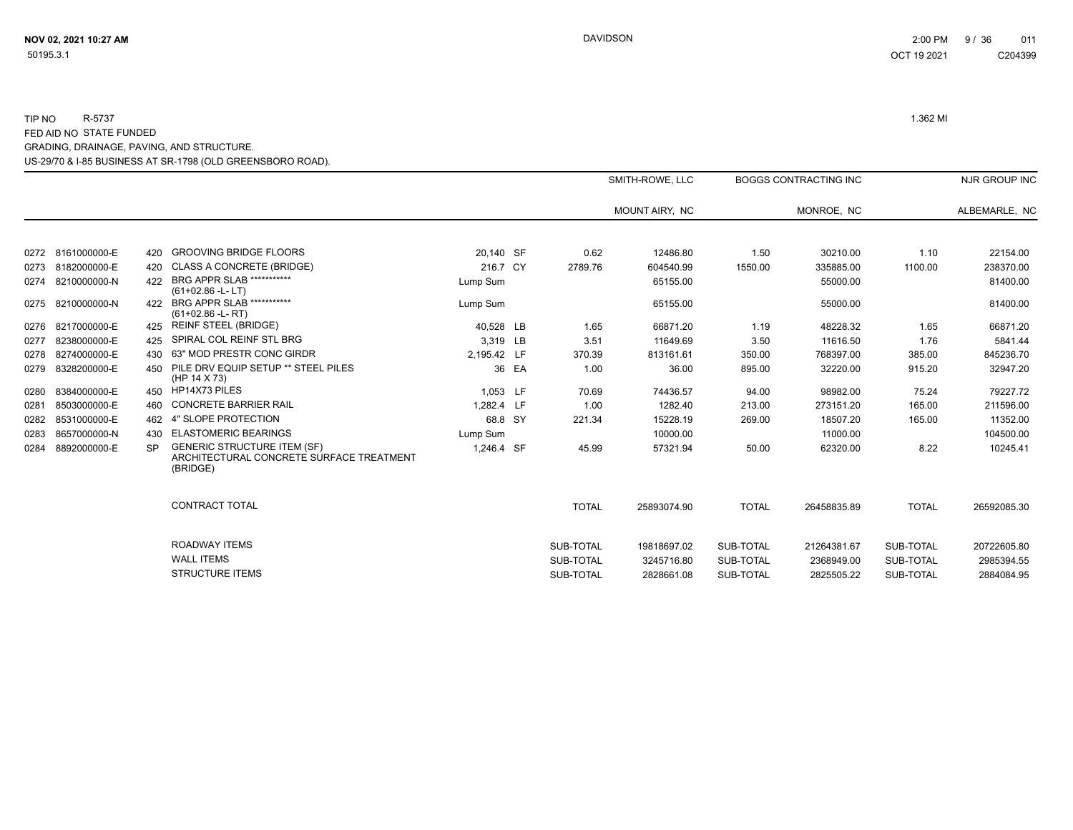|      |                   |           |                                                                                            |             |       |              | SMITH-ROWE, LLC |              | <b>BOGGS CONTRACTING INC</b> |              | NJR GROUP INC |
|------|-------------------|-----------|--------------------------------------------------------------------------------------------|-------------|-------|--------------|-----------------|--------------|------------------------------|--------------|---------------|
|      |                   |           |                                                                                            |             |       |              | MOUNT AIRY, NC  |              | MONROE, NC                   |              | ALBEMARLE, NC |
|      |                   |           |                                                                                            |             |       |              |                 |              |                              |              |               |
|      | 0272 8161000000-E | 420       | <b>GROOVING BRIDGE FLOORS</b>                                                              | 20.140 SF   |       | 0.62         | 12486.80        | 1.50         | 30210.00                     | 1.10         | 22154.00      |
|      | 0273 8182000000-E | 420       | <b>CLASS A CONCRETE (BRIDGE)</b>                                                           | 216.7 CY    |       | 2789.76      | 604540.99       | 1550.00      | 335885.00                    | 1100.00      | 238370.00     |
|      | 0274 8210000000-N | 422       | BRG APPR SLAB ***********<br>$(61+02.86 - L - LT)$                                         | Lump Sum    |       |              | 65155.00        |              | 55000.00                     |              | 81400.00      |
|      | 0275 8210000000-N | 422       | <b>BRG APPR SLAB ***********</b><br>$(61+02.86 - L - RT)$                                  | Lump Sum    |       |              | 65155.00        |              | 55000.00                     |              | 81400.00      |
|      | 0276 8217000000-E | 425       | <b>REINF STEEL (BRIDGE)</b>                                                                | 40,528 LB   |       | 1.65         | 66871.20        | 1.19         | 48228.32                     | 1.65         | 66871.20      |
| 0277 | 8238000000-E      | 425       | SPIRAL COL REINF STL BRG                                                                   | 3.319 LB    |       | 3.51         | 11649.69        | 3.50         | 11616.50                     | 1.76         | 5841.44       |
|      | 0278 8274000000-E | 430       | 63" MOD PRESTR CONC GIRDR                                                                  | 2,195.42 LF |       | 370.39       | 813161.61       | 350.00       | 768397.00                    | 385.00       | 845236.70     |
| 0279 | 8328200000-E      | 450       | PILE DRV EQUIP SETUP ** STEEL PILES<br>(HP 14 X 73)                                        |             | 36 EA | 1.00         | 36.00           | 895.00       | 32220.00                     | 915.20       | 32947.20      |
| 0280 | 8384000000-E      | 450       | HP14X73 PILES                                                                              | 1,053 LF    |       | 70.69        | 74436.57        | 94.00        | 98982.00                     | 75.24        | 79227.72      |
| 0281 | 8503000000-E      | 460       | <b>CONCRETE BARRIER RAIL</b>                                                               | 1,282.4 LF  |       | 1.00         | 1282.40         | 213.00       | 273151.20                    | 165.00       | 211596.00     |
| 0282 | 8531000000-E      | 462       | 4" SLOPE PROTECTION                                                                        | 68.8 SY     |       | 221.34       | 15228.19        | 269.00       | 18507.20                     | 165.00       | 11352.00      |
| 0283 | 8657000000-N      | 430       | <b>ELASTOMERIC BEARINGS</b>                                                                | Lump Sum    |       |              | 10000.00        |              | 11000.00                     |              | 104500.00     |
| 0284 | 8892000000-E      | <b>SP</b> | <b>GENERIC STRUCTURE ITEM (SF)</b><br>ARCHITECTURAL CONCRETE SURFACE TREATMENT<br>(BRIDGE) | 1,246.4 SF  |       | 45.99        | 57321.94        | 50.00        | 62320.00                     | 8.22         | 10245.41      |
|      |                   |           | <b>CONTRACT TOTAL</b>                                                                      |             |       | <b>TOTAL</b> | 25893074.90     | <b>TOTAL</b> | 26458835.89                  | <b>TOTAL</b> | 26592085.30   |
|      |                   |           | ROADWAY ITEMS                                                                              |             |       | SUB-TOTAL    | 19818697.02     | SUB-TOTAL    | 21264381.67                  | SUB-TOTAL    | 20722605.80   |
|      |                   |           | <b>WALL ITEMS</b>                                                                          |             |       | SUB-TOTAL    | 3245716.80      | SUB-TOTAL    | 2368949.00                   | SUB-TOTAL    | 2985394.55    |
|      |                   |           | <b>STRUCTURE ITEMS</b>                                                                     |             |       | SUB-TOTAL    | 2828661.08      | SUB-TOTAL    | 2825505.22                   | SUB-TOTAL    | 2884084.95    |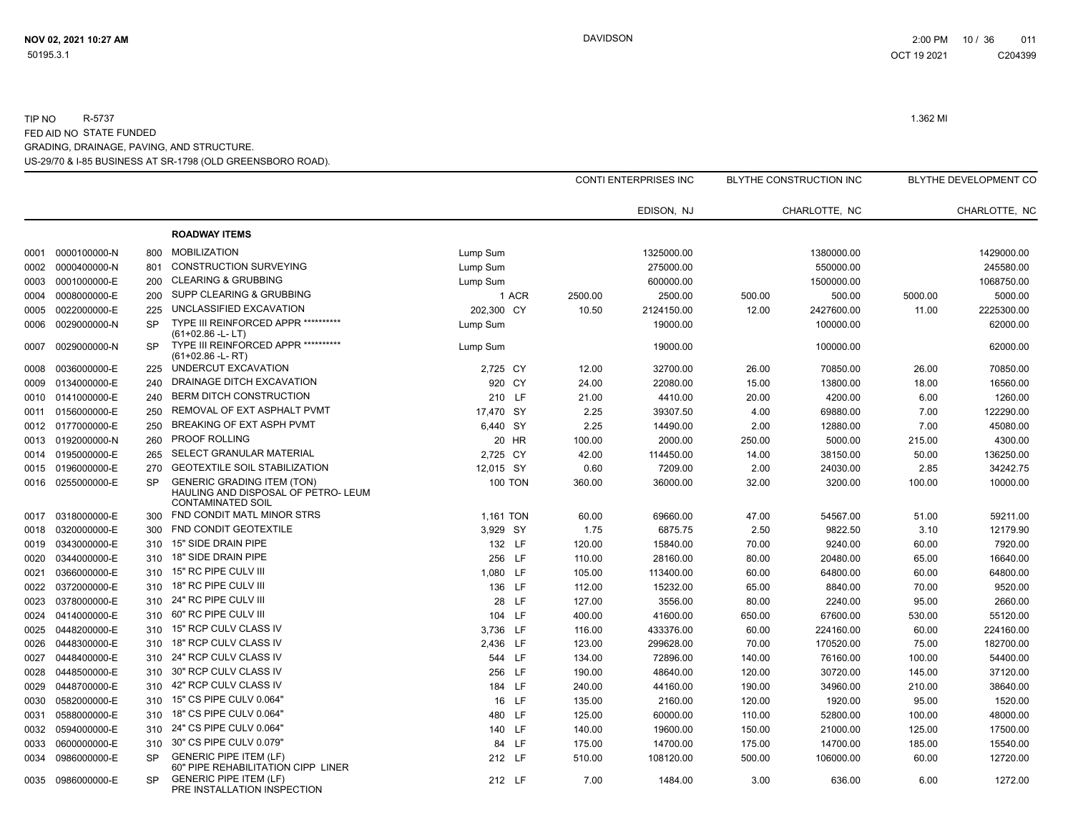|      |                   |           |                                                                                                      |                |         | <b>CONTI ENTERPRISES INC</b> |        | <b>BLYTHE CONSTRUCTION INC</b> |         | BLYTHE DEVELOPMENT CO |
|------|-------------------|-----------|------------------------------------------------------------------------------------------------------|----------------|---------|------------------------------|--------|--------------------------------|---------|-----------------------|
|      |                   |           |                                                                                                      |                |         | EDISON, NJ                   |        | CHARLOTTE. NC                  |         | CHARLOTTE, NC         |
|      |                   |           | <b>ROADWAY ITEMS</b>                                                                                 |                |         |                              |        |                                |         |                       |
| 0001 | 0000100000-N      | 800       | <b>MOBILIZATION</b>                                                                                  | Lump Sum       |         | 1325000.00                   |        | 1380000.00                     |         | 1429000.00            |
| 0002 | 0000400000-N      | 801       | <b>CONSTRUCTION SURVEYING</b>                                                                        | Lump Sum       |         | 275000.00                    |        | 550000.00                      |         | 245580.00             |
| 0003 | 0001000000-E      | 200       | <b>CLEARING &amp; GRUBBING</b>                                                                       | Lump Sum       |         | 600000.00                    |        | 1500000.00                     |         | 1068750.00            |
| 0004 | 0008000000-E      | 200       | SUPP CLEARING & GRUBBING                                                                             | 1 ACR          | 2500.00 | 2500.00                      | 500.00 | 500.00                         | 5000.00 | 5000.00               |
| 0005 | 0022000000-E      | 225       | UNCLASSIFIED EXCAVATION                                                                              | 202,300 CY     | 10.50   | 2124150.00                   | 12.00  | 2427600.00                     | 11.00   | 2225300.00            |
| 0006 | 0029000000-N      | <b>SP</b> | TYPE III REINFORCED APPR ***********<br>$(61+02.86 - L - LT)$                                        | Lump Sum       |         | 19000.00                     |        | 100000.00                      |         | 62000.00              |
| 0007 | 0029000000-N      | <b>SP</b> | <b>TYPE III REINFORCED APPR ***********</b><br>$(61+02.86 - L - RT)$                                 | Lump Sum       |         | 19000.00                     |        | 100000.00                      |         | 62000.00              |
| 0008 | 0036000000-E      | 225       | UNDERCUT EXCAVATION                                                                                  | 2,725 CY       | 12.00   | 32700.00                     | 26.00  | 70850.00                       | 26.00   | 70850.00              |
| 0009 | 0134000000-E      | 240       | DRAINAGE DITCH EXCAVATION                                                                            | 920 CY         | 24.00   | 22080.00                     | 15.00  | 13800.00                       | 18.00   | 16560.00              |
|      | 0010 0141000000-E | 240       | <b>BERM DITCH CONSTRUCTION</b>                                                                       | 210 LF         | 21.00   | 4410.00                      | 20.00  | 4200.00                        | 6.00    | 1260.00               |
| 0011 | 0156000000-E      | 250       | REMOVAL OF EXT ASPHALT PVMT                                                                          | 17,470 SY      | 2.25    | 39307.50                     | 4.00   | 69880.00                       | 7.00    | 122290.00             |
|      | 0012 0177000000-E | 250       | BREAKING OF EXT ASPH PVMT                                                                            | 6,440 SY       | 2.25    | 14490.00                     | 2.00   | 12880.00                       | 7.00    | 45080.00              |
| 0013 | 0192000000-N      | 260       | <b>PROOF ROLLING</b>                                                                                 | 20 HR          | 100.00  | 2000.00                      | 250.00 | 5000.00                        | 215.00  | 4300.00               |
| 0014 | 0195000000-E      | 265       | SELECT GRANULAR MATERIAL                                                                             | 2,725 CY       | 42.00   | 114450.00                    | 14.00  | 38150.00                       | 50.00   | 136250.00             |
|      | 0015 0196000000-E | 270       | <b>GEOTEXTILE SOIL STABILIZATION</b>                                                                 | 12,015 SY      | 0.60    | 7209.00                      | 2.00   | 24030.00                       | 2.85    | 34242.75              |
|      | 0016 0255000000-E | <b>SP</b> | <b>GENERIC GRADING ITEM (TON)</b><br>HAULING AND DISPOSAL OF PETRO- LEUM<br><b>CONTAMINATED SOIL</b> | <b>100 TON</b> | 360.00  | 36000.00                     | 32.00  | 3200.00                        | 100.00  | 10000.00              |
| 0017 | 0318000000-E      | 300       | FND CONDIT MATL MINOR STRS                                                                           | 1.161 TON      | 60.00   | 69660.00                     | 47.00  | 54567.00                       | 51.00   | 59211.00              |
| 0018 | 0320000000-E      | 300       | FND CONDIT GEOTEXTILE                                                                                | 3,929 SY       | 1.75    | 6875.75                      | 2.50   | 9822.50                        | 3.10    | 12179.90              |
| 0019 | 0343000000-E      | 310       | 15" SIDE DRAIN PIPE                                                                                  | 132 LF         | 120.00  | 15840.00                     | 70.00  | 9240.00                        | 60.00   | 7920.00               |
| 0020 | 0344000000-E      | 310       | 18" SIDE DRAIN PIPE                                                                                  | 256 LF         | 110.00  | 28160.00                     | 80.00  | 20480.00                       | 65.00   | 16640.00              |
| 0021 | 0366000000-E      | 310       | 15" RC PIPE CULV III                                                                                 | 1,080 LF       | 105.00  | 113400.00                    | 60.00  | 64800.00                       | 60.00   | 64800.00              |
| 0022 | 0372000000-E      | 310       | 18" RC PIPE CULV III                                                                                 | 136 LF         | 112.00  | 15232.00                     | 65.00  | 8840.00                        | 70.00   | 9520.00               |
| 0023 | 0378000000-E      | 310       | 24" RC PIPE CULV III                                                                                 | 28 LF          | 127.00  | 3556.00                      | 80.00  | 2240.00                        | 95.00   | 2660.00               |
| 0024 | 0414000000-E      | 310       | 60" RC PIPE CULV III                                                                                 | 104 LF         | 400.00  | 41600.00                     | 650.00 | 67600.00                       | 530.00  | 55120.00              |
| 0025 | 0448200000-E      | 310       | 15" RCP CULV CLASS IV                                                                                | 3,736 LF       | 116.00  | 433376.00                    | 60.00  | 224160.00                      | 60.00   | 224160.00             |
| 0026 | 0448300000-E      | 310       | 18" RCP CULV CLASS IV                                                                                | 2,436 LF       | 123.00  | 299628.00                    | 70.00  | 170520.00                      | 75.00   | 182700.00             |
| 0027 | 0448400000-E      | 310       | 24" RCP CULV CLASS IV                                                                                | 544 LF         | 134.00  | 72896.00                     | 140.00 | 76160.00                       | 100.00  | 54400.00              |
| 0028 | 0448500000-E      | 310       | 30" RCP CULV CLASS IV                                                                                | 256 LF         | 190.00  | 48640.00                     | 120.00 | 30720.00                       | 145.00  | 37120.00              |
| 0029 | 0448700000-E      | 310       | 42" RCP CULV CLASS IV                                                                                | 184 LF         | 240.00  | 44160.00                     | 190.00 | 34960.00                       | 210.00  | 38640.00              |
| 0030 | 0582000000-E      | 310       | 15" CS PIPE CULV 0.064"                                                                              | 16 LF          | 135.00  | 2160.00                      | 120.00 | 1920.00                        | 95.00   | 1520.00               |
| 0031 | 0588000000-E      | 310       | 18" CS PIPE CULV 0.064"                                                                              | 480 LF         | 125.00  | 60000.00                     | 110.00 | 52800.00                       | 100.00  | 48000.00              |
| 0032 | 0594000000-E      | 310       | 24" CS PIPE CULV 0.064"                                                                              | 140 LF         | 140.00  | 19600.00                     | 150.00 | 21000.00                       | 125.00  | 17500.00              |
| 0033 | 0600000000-E      | 310       | 30" CS PIPE CULV 0.079"                                                                              | 84 LF          | 175.00  | 14700.00                     | 175.00 | 14700.00                       | 185.00  | 15540.00              |
| 0034 | 0986000000-E      | <b>SP</b> | <b>GENERIC PIPE ITEM (LF)</b><br>60" PIPE REHABILITATION CIPP LINER                                  | 212 LF         | 510.00  | 108120.00                    | 500.00 | 106000.00                      | 60.00   | 12720.00              |
|      | 0035 0986000000-E | <b>SP</b> | <b>GENERIC PIPE ITEM (LF)</b><br>PRE INSTALLATION INSPECTION                                         | 212 LF         | 7.00    | 1484.00                      | 3.00   | 636.00                         | 6.00    | 1272.00               |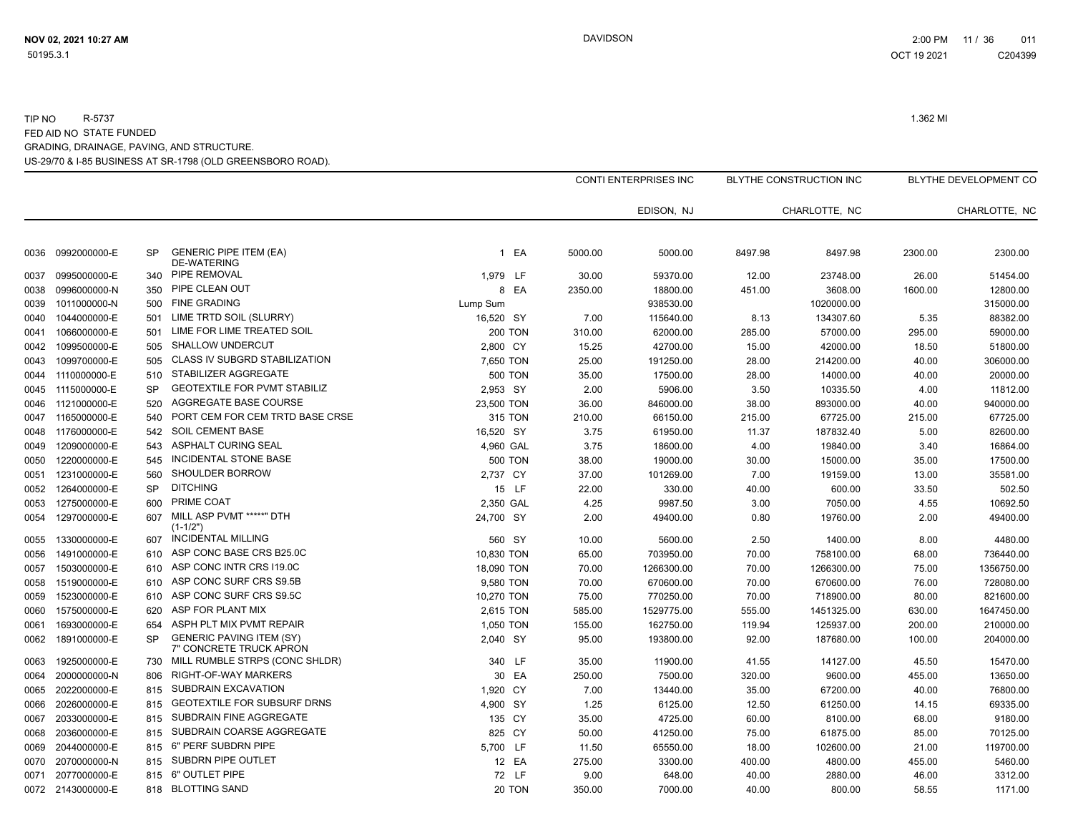|      |                   |           |                                                            |                    |         | CONTI ENTERPRISES INC |         | BLYTHE CONSTRUCTION INC |         | BLYTHE DEVELOPMENT CO |
|------|-------------------|-----------|------------------------------------------------------------|--------------------|---------|-----------------------|---------|-------------------------|---------|-----------------------|
|      |                   |           |                                                            |                    |         | EDISON, NJ            |         | CHARLOTTE, NC           |         | CHARLOTTE, NC         |
| 0036 | 0992000000-E      | <b>SP</b> | <b>GENERIC PIPE ITEM (EA)</b><br><b>DE-WATERING</b>        | EA<br>$\mathbf{1}$ | 5000.00 | 5000.00               | 8497.98 | 8497.98                 | 2300.00 | 2300.00               |
| 0037 | 0995000000-E      | 340       | PIPE REMOVAL                                               | 1,979 LF           | 30.00   | 59370.00              | 12.00   | 23748.00                | 26.00   | 51454.00              |
| 0038 | 0996000000-N      | 350       | PIPE CLEAN OUT                                             | 8 EA               | 2350.00 | 18800.00              | 451.00  | 3608.00                 | 1600.00 | 12800.00              |
| 0039 | 1011000000-N      | 500       | <b>FINE GRADING</b>                                        | Lump Sum           |         | 938530.00             |         | 1020000.00              |         | 315000.00             |
| 0040 | 1044000000-E      | 501       | LIME TRTD SOIL (SLURRY)                                    | 16,520 SY          | 7.00    | 115640.00             | 8.13    | 134307.60               | 5.35    | 88382.00              |
| 0041 | 1066000000-E      | 501       | LIME FOR LIME TREATED SOIL                                 | <b>200 TON</b>     | 310.00  | 62000.00              | 285.00  | 57000.00                | 295.00  | 59000.00              |
| 0042 | 1099500000-E      | 505       | <b>SHALLOW UNDERCUT</b>                                    | 2,800 CY           | 15.25   | 42700.00              | 15.00   | 42000.00                | 18.50   | 51800.00              |
| 0043 | 1099700000-E      | 505       | <b>CLASS IV SUBGRD STABILIZATION</b>                       | 7,650 TON          | 25.00   | 191250.00             | 28.00   | 214200.00               | 40.00   | 306000.00             |
| 0044 | 1110000000-E      | 510       | STABILIZER AGGREGATE                                       | <b>500 TON</b>     | 35.00   | 17500.00              | 28.00   | 14000.00                | 40.00   | 20000.00              |
| 0045 | 1115000000-E      | <b>SP</b> | <b>GEOTEXTILE FOR PVMT STABILIZ</b>                        | 2,953 SY           | 2.00    | 5906.00               | 3.50    | 10335.50                | 4.00    | 11812.00              |
| 0046 | 1121000000-E      | 520       | AGGREGATE BASE COURSE                                      | 23,500 TON         | 36.00   | 846000.00             | 38.00   | 893000.00               | 40.00   | 940000.00             |
| 0047 | 1165000000-E      | 540       | PORT CEM FOR CEM TRTD BASE CRSE                            | 315 TON            | 210.00  | 66150.00              | 215.00  | 67725.00                | 215.00  | 67725.00              |
| 0048 | 1176000000-E      | 542       | <b>SOIL CEMENT BASE</b>                                    | 16,520 SY          | 3.75    | 61950.00              | 11.37   | 187832.40               | 5.00    | 82600.00              |
| 0049 | 1209000000-E      | 543       | <b>ASPHALT CURING SEAL</b>                                 | 4,960 GAL          | 3.75    | 18600.00              | 4.00    | 19840.00                | 3.40    | 16864.00              |
| 0050 | 1220000000-E      | 545       | <b>INCIDENTAL STONE BASE</b>                               | <b>500 TON</b>     | 38.00   | 19000.00              | 30.00   | 15000.00                | 35.00   | 17500.00              |
| 0051 | 1231000000-E      | 560       | <b>SHOULDER BORROW</b>                                     | 2,737 CY           | 37.00   | 101269.00             | 7.00    | 19159.00                | 13.00   | 35581.00              |
| 0052 | 1264000000-E      | SP        | <b>DITCHING</b>                                            | 15 LF              | 22.00   | 330.00                | 40.00   | 600.00                  | 33.50   | 502.50                |
| 0053 | 1275000000-E      | 600       | PRIME COAT                                                 | 2,350 GAL          | 4.25    | 9987.50               | 3.00    | 7050.00                 | 4.55    | 10692.50              |
| 0054 | 1297000000-E      | 607       | MILL ASP PVMT *****" DTH<br>$(1 - 1/2")$                   | 24,700 SY          | 2.00    | 49400.00              | 0.80    | 19760.00                | 2.00    | 49400.00              |
| 0055 | 1330000000-E      | 607       | <b>INCIDENTAL MILLING</b>                                  | 560 SY             | 10.00   | 5600.00               | 2.50    | 1400.00                 | 8.00    | 4480.00               |
| 0056 | 1491000000-E      | 610       | ASP CONC BASE CRS B25.0C                                   | 10,830 TON         | 65.00   | 703950.00             | 70.00   | 758100.00               | 68.00   | 736440.00             |
| 0057 | 1503000000-E      | 610       | ASP CONC INTR CRS 119.0C                                   | 18,090 TON         | 70.00   | 1266300.00            | 70.00   | 1266300.00              | 75.00   | 1356750.00            |
| 0058 | 1519000000-E      | 610       | ASP CONC SURF CRS S9.5B                                    | 9,580 TON          | 70.00   | 670600.00             | 70.00   | 670600.00               | 76.00   | 728080.00             |
| 0059 | 1523000000-E      | 610       | ASP CONC SURF CRS S9.5C                                    | 10,270 TON         | 75.00   | 770250.00             | 70.00   | 718900.00               | 80.00   | 821600.00             |
| 0060 | 1575000000-E      | 620       | ASP FOR PLANT MIX                                          | 2,615 TON          | 585.00  | 1529775.00            | 555.00  | 1451325.00              | 630.00  | 1647450.00            |
| 0061 | 1693000000-E      | 654       | ASPH PLT MIX PVMT REPAIR                                   | 1,050 TON          | 155.00  | 162750.00             | 119.94  | 125937.00               | 200.00  | 210000.00             |
| 0062 | 1891000000-E      | <b>SP</b> | <b>GENERIC PAVING ITEM (SY)</b><br>7" CONCRETE TRUCK APRON | 2.040 SY           | 95.00   | 193800.00             | 92.00   | 187680.00               | 100.00  | 204000.00             |
| 0063 | 1925000000-E      | 730       | MILL RUMBLE STRPS (CONC SHLDR)                             | 340 LF             | 35.00   | 11900.00              | 41.55   | 14127.00                | 45.50   | 15470.00              |
| 0064 | 2000000000-N      | 806       | <b>RIGHT-OF-WAY MARKERS</b>                                | 30 EA              | 250.00  | 7500.00               | 320.00  | 9600.00                 | 455.00  | 13650.00              |
| 0065 | 2022000000-E      | 815       | SUBDRAIN EXCAVATION                                        | 1,920 CY           | 7.00    | 13440.00              | 35.00   | 67200.00                | 40.00   | 76800.00              |
| 0066 | 2026000000-E      | 815       | <b>GEOTEXTILE FOR SUBSURF DRNS</b>                         | 4,900 SY           | 1.25    | 6125.00               | 12.50   | 61250.00                | 14.15   | 69335.00              |
| 0067 | 2033000000-E      | 815       | SUBDRAIN FINE AGGREGATE                                    | 135 CY             | 35.00   | 4725.00               | 60.00   | 8100.00                 | 68.00   | 9180.00               |
| 0068 | 2036000000-E      | 815       | SUBDRAIN COARSE AGGREGATE                                  | 825 CY             | 50.00   | 41250.00              | 75.00   | 61875.00                | 85.00   | 70125.00              |
| 0069 | 2044000000-E      | 815       | 6" PERF SUBDRN PIPE                                        | 5.700 LF           | 11.50   | 65550.00              | 18.00   | 102600.00               | 21.00   | 119700.00             |
| 0070 | 2070000000-N      | 815       | SUBDRN PIPE OUTLET                                         | 12 EA              | 275.00  | 3300.00               | 400.00  | 4800.00                 | 455.00  | 5460.00               |
| 0071 | 2077000000-E      | 815       | 6" OUTLET PIPE                                             | 72 LF              | 9.00    | 648.00                | 40.00   | 2880.00                 | 46.00   | 3312.00               |
|      | 0072 2143000000-E | 818       | <b>BLOTTING SAND</b>                                       | 20 TON             | 350.00  | 7000.00               | 40.00   | 800.00                  | 58.55   | 1171.00               |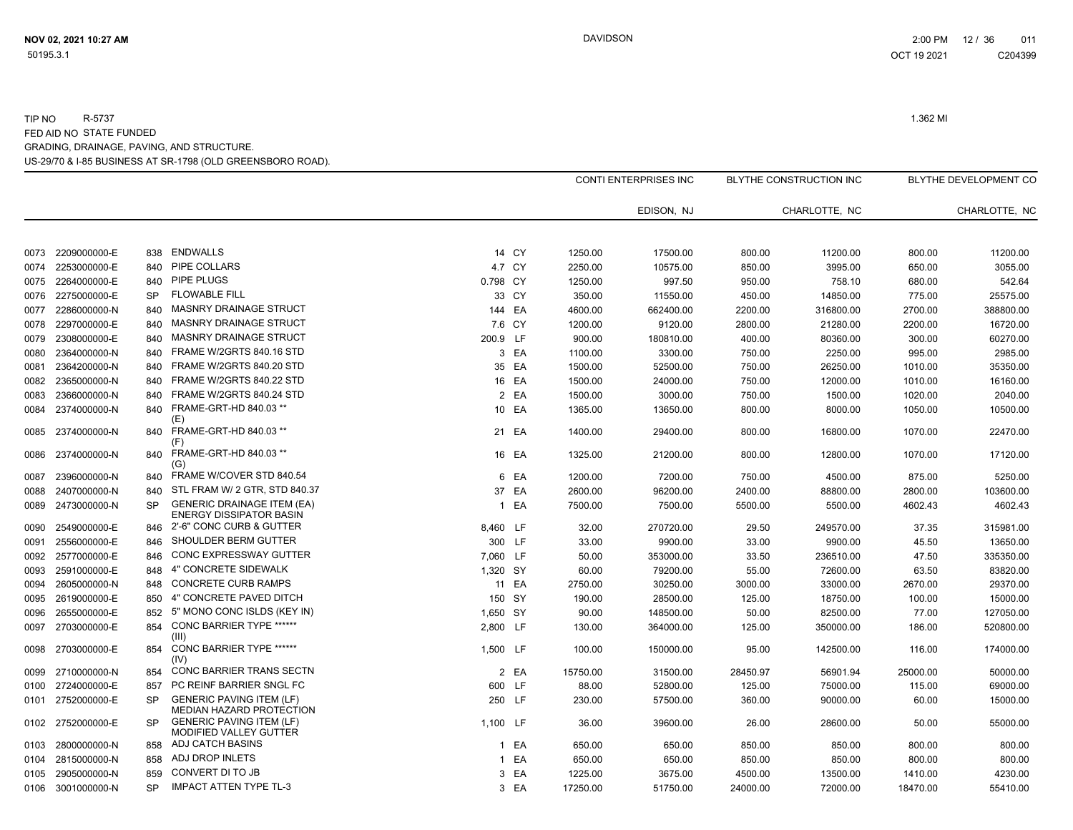|      |                   |           |                                                                     |              |        |          | CONTI ENTERPRISES INC |          | BLYTHE CONSTRUCTION INC |          | <b>BLYTHE DEVELOPMENT CO</b> |
|------|-------------------|-----------|---------------------------------------------------------------------|--------------|--------|----------|-----------------------|----------|-------------------------|----------|------------------------------|
|      |                   |           |                                                                     |              |        |          | EDISON, NJ            |          | CHARLOTTE, NC           |          | CHARLOTTE, NC                |
|      |                   |           |                                                                     |              |        |          |                       |          |                         |          |                              |
| 0073 | 2209000000-E      | 838       | ENDWALLS                                                            |              | 14 CY  | 1250.00  | 17500.00              | 800.00   | 11200.00                | 800.00   | 11200.00                     |
| 0074 | 2253000000-E      | 840       | PIPE COLLARS                                                        |              | 4.7 CY | 2250.00  | 10575.00              | 850.00   | 3995.00                 | 650.00   | 3055.00                      |
| 0075 | 2264000000-E      | 840       | <b>PIPE PLUGS</b>                                                   | 0.798 CY     |        | 1250.00  | 997.50                | 950.00   | 758.10                  | 680.00   | 542.64                       |
| 0076 | 2275000000-E      | <b>SP</b> | <b>FLOWABLE FILL</b>                                                |              | 33 CY  | 350.00   | 11550.00              | 450.00   | 14850.00                | 775.00   | 25575.00                     |
| 0077 | 2286000000-N      | 840       | MASNRY DRAINAGE STRUCT                                              |              | 144 EA | 4600.00  | 662400.00             | 2200.00  | 316800.00               | 2700.00  | 388800.00                    |
| 0078 | 2297000000-E      | 840       | MASNRY DRAINAGE STRUCT                                              |              | 7.6 CY | 1200.00  | 9120.00               | 2800.00  | 21280.00                | 2200.00  | 16720.00                     |
| 0079 | 2308000000-E      | 840       | <b>MASNRY DRAINAGE STRUCT</b>                                       | 200.9 LF     |        | 900.00   | 180810.00             | 400.00   | 80360.00                | 300.00   | 60270.00                     |
| 0080 | 2364000000-N      | 840       | FRAME W/2GRTS 840.16 STD                                            |              | 3 EA   | 1100.00  | 3300.00               | 750.00   | 2250.00                 | 995.00   | 2985.00                      |
| 0081 | 2364200000-N      | 840       | FRAME W/2GRTS 840.20 STD                                            |              | 35 EA  | 1500.00  | 52500.00              | 750.00   | 26250.00                | 1010.00  | 35350.00                     |
| 0082 | 2365000000-N      | 840       | FRAME W/2GRTS 840.22 STD                                            |              | 16 EA  | 1500.00  | 24000.00              | 750.00   | 12000.00                | 1010.00  | 16160.00                     |
| 0083 | 2366000000-N      | 840       | FRAME W/2GRTS 840.24 STD                                            |              | 2 EA   | 1500.00  | 3000.00               | 750.00   | 1500.00                 | 1020.00  | 2040.00                      |
| 0084 | 2374000000-N      | 840       | FRAME-GRT-HD 840.03 **<br>(E)                                       |              | 10 EA  | 1365.00  | 13650.00              | 800.00   | 8000.00                 | 1050.00  | 10500.00                     |
| 0085 | 2374000000-N      | 840       | FRAME-GRT-HD 840.03 **<br>(F)                                       |              | 21 EA  | 1400.00  | 29400.00              | 800.00   | 16800.00                | 1070.00  | 22470.00                     |
| 0086 | 2374000000-N      | 840       | FRAME-GRT-HD 840.03 **<br>(G)                                       |              | 16 EA  | 1325.00  | 21200.00              | 800.00   | 12800.00                | 1070.00  | 17120.00                     |
| 0087 | 2396000000-N      | 840       | FRAME W/COVER STD 840.54                                            |              | 6 EA   | 1200.00  | 7200.00               | 750.00   | 4500.00                 | 875.00   | 5250.00                      |
| 0088 | 2407000000-N      | 840       | STL FRAM W/ 2 GTR, STD 840.37                                       | 37           | EA     | 2600.00  | 96200.00              | 2400.00  | 88800.00                | 2800.00  | 103600.00                    |
| 0089 | 2473000000-N      | <b>SP</b> | <b>GENERIC DRAINAGE ITEM (EA)</b><br><b>ENERGY DISSIPATOR BASIN</b> | $\mathbf{1}$ | EA     | 7500.00  | 7500.00               | 5500.00  | 5500.00                 | 4602.43  | 4602.43                      |
| 0090 | 2549000000-E      | 846       | 2'-6" CONC CURB & GUTTER                                            | 8,460 LF     |        | 32.00    | 270720.00             | 29.50    | 249570.00               | 37.35    | 315981.00                    |
| 0091 | 2556000000-E      | 846       | SHOULDER BERM GUTTER                                                |              | 300 LF | 33.00    | 9900.00               | 33.00    | 9900.00                 | 45.50    | 13650.00                     |
| 0092 | 2577000000-E      | 846       | CONC EXPRESSWAY GUTTER                                              | 7,060 LF     |        | 50.00    | 353000.00             | 33.50    | 236510.00               | 47.50    | 335350.00                    |
| 0093 | 2591000000-E      | 848       | 4" CONCRETE SIDEWALK                                                | 1,320 SY     |        | 60.00    | 79200.00              | 55.00    | 72600.00                | 63.50    | 83820.00                     |
| 0094 | 2605000000-N      | 848       | <b>CONCRETE CURB RAMPS</b>                                          |              | 11 EA  | 2750.00  | 30250.00              | 3000.00  | 33000.00                | 2670.00  | 29370.00                     |
| 0095 | 2619000000-E      | 850       | 4" CONCRETE PAVED DITCH                                             |              | 150 SY | 190.00   | 28500.00              | 125.00   | 18750.00                | 100.00   | 15000.00                     |
| 0096 | 2655000000-E      | 852       | 5" MONO CONC ISLDS (KEY IN)                                         | 1,650 SY     |        | 90.00    | 148500.00             | 50.00    | 82500.00                | 77.00    | 127050.00                    |
| 0097 | 2703000000-E      | 854       | <b>CONC BARRIER TYPE ******</b><br>(III)                            | 2,800 LF     |        | 130.00   | 364000.00             | 125.00   | 350000.00               | 186.00   | 520800.00                    |
| 0098 | 2703000000-E      | 854       | <b>CONC BARRIER TYPE ******</b><br>(IV)                             | 1.500 LF     |        | 100.00   | 150000.00             | 95.00    | 142500.00               | 116.00   | 174000.00                    |
| 0099 | 2710000000-N      | 854       | <b>CONC BARRIER TRANS SECTN</b>                                     |              | 2 EA   | 15750.00 | 31500.00              | 28450.97 | 56901.94                | 25000.00 | 50000.00                     |
| 0100 | 2724000000-E      | 857       | PC REINF BARRIER SNGL FC                                            |              | 600 LF | 88.00    | 52800.00              | 125.00   | 75000.00                | 115.00   | 69000.00                     |
| 0101 | 2752000000-E      | <b>SP</b> | <b>GENERIC PAVING ITEM (LF)</b><br>MEDIAN HAZARD PROTECTION         |              | 250 LF | 230.00   | 57500.00              | 360.00   | 90000.00                | 60.00    | 15000.00                     |
| 0102 | 2752000000-E      | <b>SP</b> | <b>GENERIC PAVING ITEM (LF)</b><br>MODIFIED VALLEY GUTTER           | 1,100 LF     |        | 36.00    | 39600.00              | 26.00    | 28600.00                | 50.00    | 55000.00                     |
| 0103 | 2800000000-N      | 858       | <b>ADJ CATCH BASINS</b>                                             |              | 1 EA   | 650.00   | 650.00                | 850.00   | 850.00                  | 800.00   | 800.00                       |
| 0104 | 2815000000-N      | 858       | ADJ DROP INLETS                                                     |              | 1 EA   | 650.00   | 650.00                | 850.00   | 850.00                  | 800.00   | 800.00                       |
| 0105 | 2905000000-N      | 859       | CONVERT DI TO JB                                                    | 3            | EA     | 1225.00  | 3675.00               | 4500.00  | 13500.00                | 1410.00  | 4230.00                      |
|      | 0106 3001000000-N | <b>SP</b> | <b>IMPACT ATTEN TYPE TL-3</b>                                       |              | 3 EA   | 17250.00 | 51750.00              | 24000.00 | 72000.00                | 18470.00 | 55410.00                     |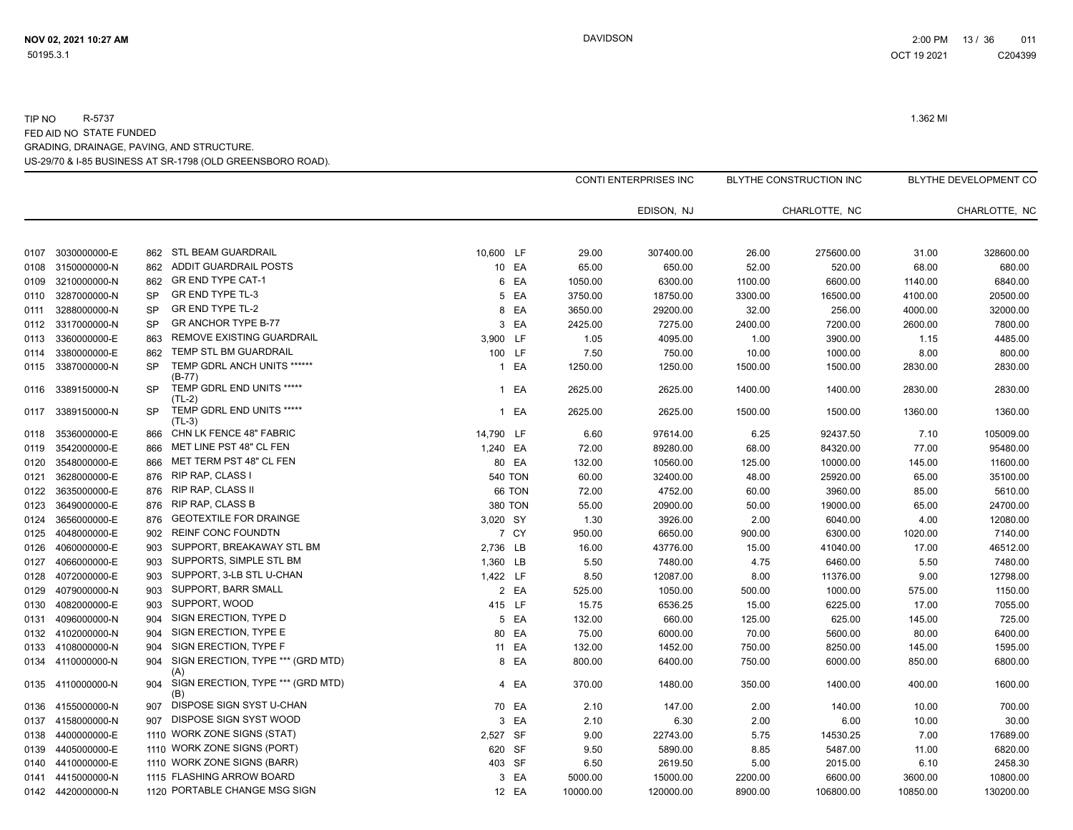|      |                   |           |                                          |           |                |          | <b>CONTI ENTERPRISES INC</b> |         | BLYTHE CONSTRUCTION INC |          | BLYTHE DEVELOPMENT CO |
|------|-------------------|-----------|------------------------------------------|-----------|----------------|----------|------------------------------|---------|-------------------------|----------|-----------------------|
|      |                   |           |                                          |           |                |          | EDISON, NJ                   |         | CHARLOTTE, NC           |          | CHARLOTTE, NC         |
|      |                   |           |                                          |           |                |          |                              |         |                         |          |                       |
| 0107 | 3030000000-E      | 862       | <b>STL BEAM GUARDRAIL</b>                | 10,600 LF |                | 29.00    | 307400.00                    | 26.00   | 275600.00               | 31.00    | 328600.00             |
| 0108 | 3150000000-N      | 862       | ADDIT GUARDRAIL POSTS                    |           | 10 EA          | 65.00    | 650.00                       | 52.00   | 520.00                  | 68.00    | 680.00                |
| 0109 | 3210000000-N      | 862       | <b>GR END TYPE CAT-1</b>                 |           | 6 EA           | 1050.00  | 6300.00                      | 1100.00 | 6600.00                 | 1140.00  | 6840.00               |
| 0110 | 3287000000-N      | SP        | <b>GR END TYPE TL-3</b>                  |           | 5 EA           | 3750.00  | 18750.00                     | 3300.00 | 16500.00                | 4100.00  | 20500.00              |
| 0111 | 3288000000-N      | <b>SP</b> | <b>GR END TYPE TL-2</b>                  |           | 8 EA           | 3650.00  | 29200.00                     | 32.00   | 256.00                  | 4000.00  | 32000.00              |
| 0112 | 3317000000-N      | <b>SP</b> | <b>GR ANCHOR TYPE B-77</b>               |           | 3 EA           | 2425.00  | 7275.00                      | 2400.00 | 7200.00                 | 2600.00  | 7800.00               |
| 0113 | 3360000000-E      | 863       | REMOVE EXISTING GUARDRAIL                | 3,900 LF  |                | 1.05     | 4095.00                      | 1.00    | 3900.00                 | 1.15     | 4485.00               |
| 0114 | 3380000000-E      | 862       | TEMP STL BM GUARDRAIL                    |           | 100 LF         | 7.50     | 750.00                       | 10.00   | 1000.00                 | 8.00     | 800.00                |
|      | 0115 3387000000-N | <b>SP</b> | TEMP GDRL ANCH UNITS ******<br>(B-77)    |           | 1 EA           | 1250.00  | 1250.00                      | 1500.00 | 1500.00                 | 2830.00  | 2830.00               |
| 0116 | 3389150000-N      | <b>SP</b> | TEMP GDRL END UNITS *****<br>$(TL-2)$    |           | 1 EA           | 2625.00  | 2625.00                      | 1400.00 | 1400.00                 | 2830.00  | 2830.00               |
| 0117 | 3389150000-N      | <b>SP</b> | TEMP GDRL END UNITS *****<br>$(TL-3)$    |           | 1 EA           | 2625.00  | 2625.00                      | 1500.00 | 1500.00                 | 1360.00  | 1360.00               |
| 0118 | 3536000000-E      | 866       | CHN LK FENCE 48" FABRIC                  | 14,790 LF |                | 6.60     | 97614.00                     | 6.25    | 92437.50                | 7.10     | 105009.00             |
| 0119 | 3542000000-E      | 866       | MET LINE PST 48" CL FEN                  | 1,240 EA  |                | 72.00    | 89280.00                     | 68.00   | 84320.00                | 77.00    | 95480.00              |
| 0120 | 3548000000-E      | 866       | MET TERM PST 48" CL FEN                  |           | 80 EA          | 132.00   | 10560.00                     | 125.00  | 10000.00                | 145.00   | 11600.00              |
| 0121 | 3628000000-E      | 876       | RIP RAP, CLASS I                         |           | <b>540 TON</b> | 60.00    | 32400.00                     | 48.00   | 25920.00                | 65.00    | 35100.00              |
| 0122 | 3635000000-E      | 876       | RIP RAP, CLASS II                        |           | 66 TON         | 72.00    | 4752.00                      | 60.00   | 3960.00                 | 85.00    | 5610.00               |
| 0123 | 3649000000-E      | 876       | <b>RIP RAP, CLASS B</b>                  |           | <b>380 TON</b> | 55.00    | 20900.00                     | 50.00   | 19000.00                | 65.00    | 24700.00              |
| 0124 | 3656000000-E      | 876       | <b>GEOTEXTILE FOR DRAINGE</b>            | 3,020 SY  |                | 1.30     | 3926.00                      | 2.00    | 6040.00                 | 4.00     | 12080.00              |
|      | 0125 4048000000-E | 902       | <b>REINF CONC FOUNDTN</b>                |           | 7 CY           | 950.00   | 6650.00                      | 900.00  | 6300.00                 | 1020.00  | 7140.00               |
| 0126 | 4060000000-E      | 903       | SUPPORT, BREAKAWAY STL BM                | 2,736 LB  |                | 16.00    | 43776.00                     | 15.00   | 41040.00                | 17.00    | 46512.00              |
| 0127 | 4066000000-E      | 903       | SUPPORTS, SIMPLE STL BM                  | 1,360 LB  |                | 5.50     | 7480.00                      | 4.75    | 6460.00                 | 5.50     | 7480.00               |
| 0128 | 4072000000-E      | 903       | SUPPORT, 3-LB STL U-CHAN                 | 1,422 LF  |                | 8.50     | 12087.00                     | 8.00    | 11376.00                | 9.00     | 12798.00              |
| 0129 | 4079000000-N      | 903       | SUPPORT, BARR SMALL                      |           | 2 EA           | 525.00   | 1050.00                      | 500.00  | 1000.00                 | 575.00   | 1150.00               |
| 0130 | 4082000000-E      | 903       | SUPPORT, WOOD                            |           | 415 LF         | 15.75    | 6536.25                      | 15.00   | 6225.00                 | 17.00    | 7055.00               |
| 0131 | 4096000000-N      | 904       | SIGN ERECTION, TYPE D                    |           | 5 EA           | 132.00   | 660.00                       | 125.00  | 625.00                  | 145.00   | 725.00                |
|      | 0132 4102000000-N | 904       | SIGN ERECTION, TYPE E                    |           | 80 EA          | 75.00    | 6000.00                      | 70.00   | 5600.00                 | 80.00    | 6400.00               |
|      | 0133 4108000000-N | 904       | SIGN ERECTION, TYPE F                    |           | 11 EA          | 132.00   | 1452.00                      | 750.00  | 8250.00                 | 145.00   | 1595.00               |
|      | 0134 4110000000-N | 904       | SIGN ERECTION, TYPE *** (GRD MTD)<br>(A) |           | 8 EA           | 800.00   | 6400.00                      | 750.00  | 6000.00                 | 850.00   | 6800.00               |
|      | 0135 4110000000-N | 904       | SIGN ERECTION, TYPE *** (GRD MTD)<br>(B) |           | 4 EA           | 370.00   | 1480.00                      | 350.00  | 1400.00                 | 400.00   | 1600.00               |
|      | 0136 4155000000-N | 907       | DISPOSE SIGN SYST U-CHAN                 |           | 70 EA          | 2.10     | 147.00                       | 2.00    | 140.00                  | 10.00    | 700.00                |
|      | 0137 4158000000-N | 907       | DISPOSE SIGN SYST WOOD                   |           | 3 EA           | 2.10     | 6.30                         | 2.00    | 6.00                    | 10.00    | 30.00                 |
| 0138 | 4400000000-E      |           | 1110 WORK ZONE SIGNS (STAT)              | 2,527 SF  |                | 9.00     | 22743.00                     | 5.75    | 14530.25                | 7.00     | 17689.00              |
|      | 0139 4405000000-E |           | 1110 WORK ZONE SIGNS (PORT)              |           | 620 SF         | 9.50     | 5890.00                      | 8.85    | 5487.00                 | 11.00    | 6820.00               |
|      | 0140 4410000000-E |           | 1110 WORK ZONE SIGNS (BARR)              |           | 403 SF         | 6.50     | 2619.50                      | 5.00    | 2015.00                 | 6.10     | 2458.30               |
|      | 0141 4415000000-N |           | 1115 FLASHING ARROW BOARD                |           | 3 EA           | 5000.00  | 15000.00                     | 2200.00 | 6600.00                 | 3600.00  | 10800.00              |
|      | 0142 4420000000-N |           | 1120 PORTABLE CHANGE MSG SIGN            |           | 12 EA          | 10000.00 | 120000.00                    | 8900.00 | 106800.00               | 10850.00 | 130200.00             |
|      |                   |           |                                          |           |                |          |                              |         |                         |          |                       |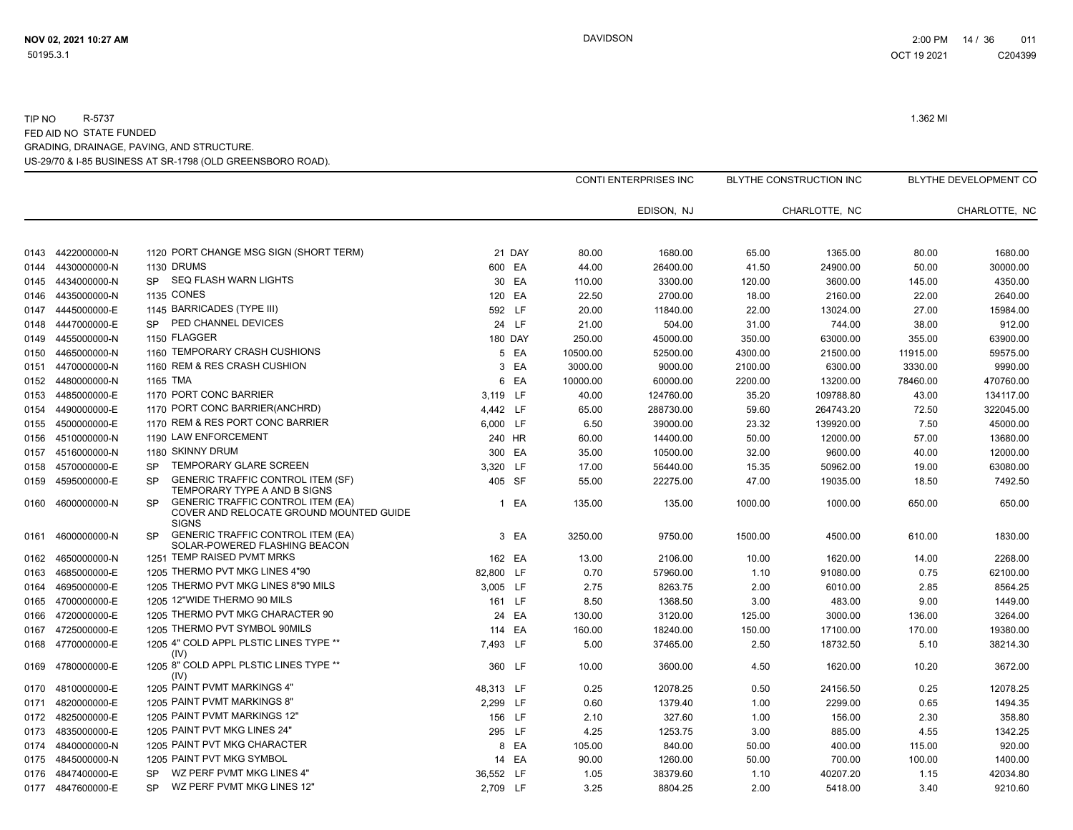|      |                   |                                                                                                                  |           |                |          | <b>CONTI ENTERPRISES INC</b> |         | BLYTHE CONSTRUCTION INC |          | BLYTHE DEVELOPMENT CO |
|------|-------------------|------------------------------------------------------------------------------------------------------------------|-----------|----------------|----------|------------------------------|---------|-------------------------|----------|-----------------------|
|      |                   |                                                                                                                  |           |                |          | EDISON, NJ                   |         | CHARLOTTE, NC           |          | CHARLOTTE, NC         |
|      |                   |                                                                                                                  |           |                |          |                              |         |                         |          |                       |
| 0143 | 4422000000-N      | 1120 PORT CHANGE MSG SIGN (SHORT TERM)                                                                           |           | 21 DAY         | 80.00    | 1680.00                      | 65.00   | 1365.00                 | 80.00    | 1680.00               |
| 0144 | 4430000000-N      | 1130 DRUMS                                                                                                       | 600 EA    |                | 44.00    | 26400.00                     | 41.50   | 24900.00                | 50.00    | 30000.00              |
| 0145 | 4434000000-N      | SEQ FLASH WARN LIGHTS<br><b>SP</b>                                                                               |           | 30 EA          | 110.00   | 3300.00                      | 120.00  | 3600.00                 | 145.00   | 4350.00               |
| 0146 | 4435000000-N      | <b>1135 CONES</b>                                                                                                | 120       | EA             | 22.50    | 2700.00                      | 18.00   | 2160.00                 | 22.00    | 2640.00               |
| 0147 | 4445000000-E      | 1145 BARRICADES (TYPE III)                                                                                       | 592 LF    |                | 20.00    | 11840.00                     | 22.00   | 13024.00                | 27.00    | 15984.00              |
| 0148 | 4447000000-E      | PED CHANNEL DEVICES<br><b>SP</b>                                                                                 |           | 24 LF          | 21.00    | 504.00                       | 31.00   | 744.00                  | 38.00    | 912.00                |
| 0149 | 4455000000-N      | 1150 FLAGGER                                                                                                     |           | <b>180 DAY</b> | 250.00   | 45000.00                     | 350.00  | 63000.00                | 355.00   | 63900.00              |
| 0150 | 4465000000-N      | 1160 TEMPORARY CRASH CUSHIONS                                                                                    |           | 5 EA           | 10500.00 | 52500.00                     | 4300.00 | 21500.00                | 11915.00 | 59575.00              |
| 0151 | 4470000000-N      | 1160 REM & RES CRASH CUSHION                                                                                     |           | 3 EA           | 3000.00  | 9000.00                      | 2100.00 | 6300.00                 | 3330.00  | 9990.00               |
| 0152 | 4480000000-N      | 1165 TMA                                                                                                         |           | 6 EA           | 10000.00 | 60000.00                     | 2200.00 | 13200.00                | 78460.00 | 470760.00             |
| 0153 | 4485000000-E      | 1170 PORT CONC BARRIER                                                                                           | 3,119 LF  |                | 40.00    | 124760.00                    | 35.20   | 109788.80               | 43.00    | 134117.00             |
| 0154 | 4490000000-E      | 1170 PORT CONC BARRIER(ANCHRD)                                                                                   | 4,442 LF  |                | 65.00    | 288730.00                    | 59.60   | 264743.20               | 72.50    | 322045.00             |
| 0155 | 4500000000-E      | 1170 REM & RES PORT CONC BARRIER                                                                                 | 6,000 LF  |                | 6.50     | 39000.00                     | 23.32   | 139920.00               | 7.50     | 45000.00              |
| 0156 | 4510000000-N      | 1190 LAW ENFORCEMENT                                                                                             | 240 HR    |                | 60.00    | 14400.00                     | 50.00   | 12000.00                | 57.00    | 13680.00              |
| 0157 | 4516000000-N      | 1180 SKINNY DRUM                                                                                                 | 300 EA    |                | 35.00    | 10500.00                     | 32.00   | 9600.00                 | 40.00    | 12000.00              |
| 0158 | 4570000000-E      | TEMPORARY GLARE SCREEN<br><b>SP</b>                                                                              | 3,320 LF  |                | 17.00    | 56440.00                     | 15.35   | 50962.00                | 19.00    | 63080.00              |
| 0159 | 4595000000-E      | <b>GENERIC TRAFFIC CONTROL ITEM (SF)</b><br><b>SP</b><br>TEMPORARY TYPE A AND B SIGNS                            | 405 SF    |                | 55.00    | 22275.00                     | 47.00   | 19035.00                | 18.50    | 7492.50               |
| 0160 | 4600000000-N      | <b>GENERIC TRAFFIC CONTROL ITEM (EA)</b><br><b>SP</b><br>COVER AND RELOCATE GROUND MOUNTED GUIDE<br><b>SIGNS</b> |           | 1 EA           | 135.00   | 135.00                       | 1000.00 | 1000.00                 | 650.00   | 650.00                |
| 0161 | 4600000000-N      | <b>GENERIC TRAFFIC CONTROL ITEM (EA)</b><br><b>SP</b><br>SOLAR-POWERED FLASHING BEACON                           |           | 3 EA           | 3250.00  | 9750.00                      | 1500.00 | 4500.00                 | 610.00   | 1830.00               |
| 0162 | 4650000000-N      | 1251 TEMP RAISED PVMT MRKS                                                                                       | 162 EA    |                | 13.00    | 2106.00                      | 10.00   | 1620.00                 | 14.00    | 2268.00               |
| 0163 | 4685000000-E      | 1205 THERMO PVT MKG LINES 4"90                                                                                   | 82,800 LF |                | 0.70     | 57960.00                     | 1.10    | 91080.00                | 0.75     | 62100.00              |
| 0164 | 4695000000-E      | 1205 THERMO PVT MKG LINES 8"90 MILS                                                                              | 3,005 LF  |                | 2.75     | 8263.75                      | 2.00    | 6010.00                 | 2.85     | 8564.25               |
|      | 0165 4700000000-E | 1205 12"WIDE THERMO 90 MILS                                                                                      | 161 LF    |                | 8.50     | 1368.50                      | 3.00    | 483.00                  | 9.00     | 1449.00               |
| 0166 | 4720000000-E      | 1205 THERMO PVT MKG CHARACTER 90                                                                                 |           | 24 EA          | 130.00   | 3120.00                      | 125.00  | 3000.00                 | 136.00   | 3264.00               |
| 0167 | 4725000000-E      | 1205 THERMO PVT SYMBOL 90MILS                                                                                    | 114 EA    |                | 160.00   | 18240.00                     | 150.00  | 17100.00                | 170.00   | 19380.00              |
| 0168 | 4770000000-E      | 1205 4" COLD APPL PLSTIC LINES TYPE **<br>(IV)                                                                   | 7,493 LF  |                | 5.00     | 37465.00                     | 2.50    | 18732.50                | 5.10     | 38214.30              |
| 0169 | 4780000000-E      | 1205 8" COLD APPL PLSTIC LINES TYPE **<br>(IV)                                                                   | 360       | <b>LF</b>      | 10.00    | 3600.00                      | 4.50    | 1620.00                 | 10.20    | 3672.00               |
| 0170 | 4810000000-E      | 1205 PAINT PVMT MARKINGS 4"                                                                                      | 48,313 LF |                | 0.25     | 12078.25                     | 0.50    | 24156.50                | 0.25     | 12078.25              |
| 0171 | 4820000000-E      | 1205 PAINT PVMT MARKINGS 8"                                                                                      | 2,299 LF  |                | 0.60     | 1379.40                      | 1.00    | 2299.00                 | 0.65     | 1494.35               |
| 0172 | 4825000000-E      | 1205 PAINT PVMT MARKINGS 12"                                                                                     | 156 LF    |                | 2.10     | 327.60                       | 1.00    | 156.00                  | 2.30     | 358.80                |
| 0173 | 4835000000-E      | 1205 PAINT PVT MKG LINES 24"                                                                                     | 295 LF    |                | 4.25     | 1253.75                      | 3.00    | 885.00                  | 4.55     | 1342.25               |
| 0174 | 4840000000-N      | 1205 PAINT PVT MKG CHARACTER                                                                                     |           | 8 EA           | 105.00   | 840.00                       | 50.00   | 400.00                  | 115.00   | 920.00                |
| 0175 | 4845000000-N      | 1205 PAINT PVT MKG SYMBOL                                                                                        |           | 14 EA          | 90.00    | 1260.00                      | 50.00   | 700.00                  | 100.00   | 1400.00               |
| 0176 | 4847400000-E      | WZ PERF PVMT MKG LINES 4"<br><b>SP</b>                                                                           | 36,552 LF |                | 1.05     | 38379.60                     | 1.10    | 40207.20                | 1.15     | 42034.80              |
|      | 0177 4847600000-E | WZ PERF PVMT MKG LINES 12"<br><b>SP</b>                                                                          | 2,709 LF  |                | 3.25     | 8804.25                      | 2.00    | 5418.00                 | 3.40     | 9210.60               |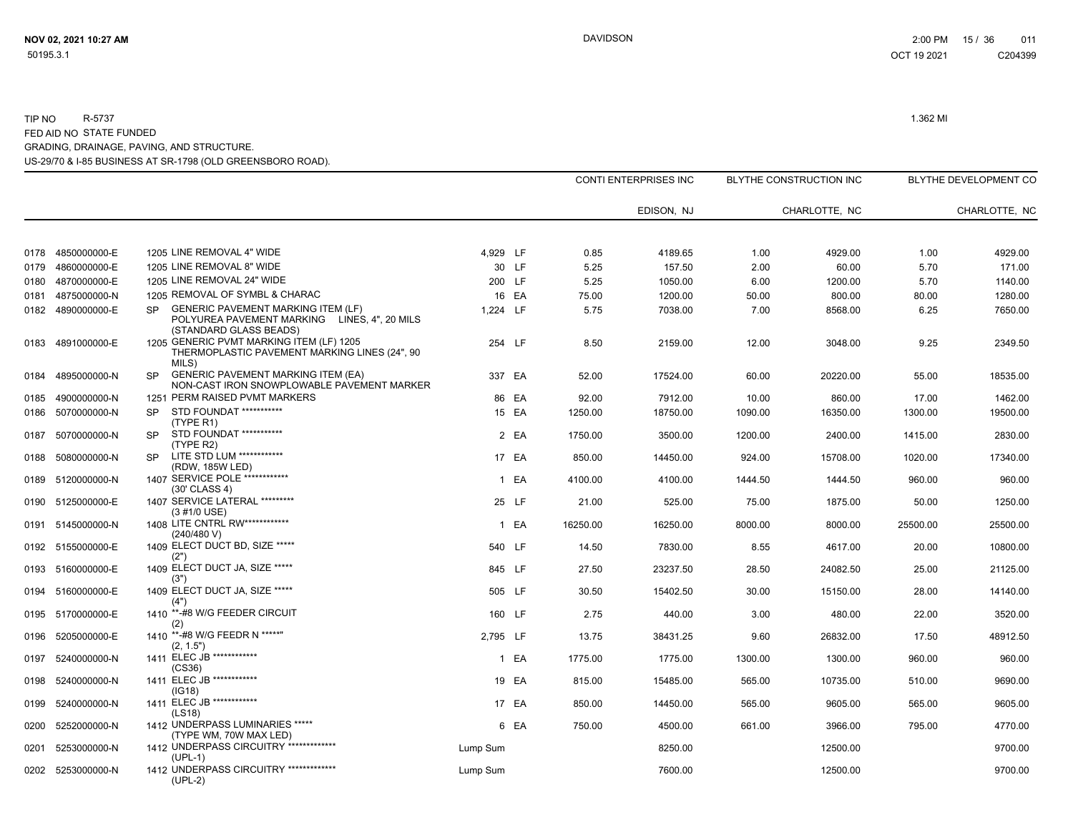|              |                              |                                                                                                                                  |          |                 |              | CONTI ENTERPRISES INC |              | BLYTHE CONSTRUCTION INC |              | BLYTHE DEVELOPMENT CO |
|--------------|------------------------------|----------------------------------------------------------------------------------------------------------------------------------|----------|-----------------|--------------|-----------------------|--------------|-------------------------|--------------|-----------------------|
|              |                              |                                                                                                                                  |          |                 |              | EDISON, NJ            |              | CHARLOTTE. NC           |              | CHARLOTTE, NC         |
|              |                              |                                                                                                                                  |          |                 |              |                       |              |                         |              |                       |
| 0178         | 4850000000-E                 | 1205 LINE REMOVAL 4" WIDE<br>1205 LINE REMOVAL 8" WIDE                                                                           | 4,929 LF |                 | 0.85         | 4189.65               | 1.00         | 4929.00                 | 1.00         | 4929.00               |
| 0179<br>0180 | 4860000000-E<br>4870000000-E | 1205 LINE REMOVAL 24" WIDE                                                                                                       |          | 30 LF<br>200 LF | 5.25<br>5.25 | 157.50<br>1050.00     | 2.00<br>6.00 | 60.00<br>1200.00        | 5.70<br>5.70 | 171.00<br>1140.00     |
| 0181         | 4875000000-N                 | 1205 REMOVAL OF SYMBL & CHARAC                                                                                                   |          | 16 EA           | 75.00        | 1200.00               | 50.00        | 800.00                  | 80.00        | 1280.00               |
| 0182         | 4890000000-E                 | <b>GENERIC PAVEMENT MARKING ITEM (LF)</b><br><b>SP</b><br>POLYUREA PAVEMENT MARKING LINES, 4", 20 MILS<br>(STANDARD GLASS BEADS) | 1,224 LF |                 | 5.75         | 7038.00               | 7.00         | 8568.00                 | 6.25         | 7650.00               |
| 0183         | 4891000000-E                 | 1205 GENERIC PVMT MARKING ITEM (LF) 1205<br>THERMOPLASTIC PAVEMENT MARKING LINES (24", 90<br>MILS)                               |          | 254 LF          | 8.50         | 2159.00               | 12.00        | 3048.00                 | 9.25         | 2349.50               |
| 0184         | 4895000000-N                 | <b>GENERIC PAVEMENT MARKING ITEM (EA)</b><br><b>SP</b><br>NON-CAST IRON SNOWPLOWABLE PAVEMENT MARKER                             |          | 337 EA          | 52.00        | 17524.00              | 60.00        | 20220.00                | 55.00        | 18535.00              |
| 0185         | 4900000000-N                 | 1251 PERM RAISED PVMT MARKERS                                                                                                    |          | 86 EA           | 92.00        | 7912.00               | 10.00        | 860.00                  | 17.00        | 1462.00               |
| 0186         | 5070000000-N                 | STD FOUNDAT ***********<br><b>SP</b><br>(TYPE R1)                                                                                |          | 15 EA           | 1250.00      | 18750.00              | 1090.00      | 16350.00                | 1300.00      | 19500.00              |
| 0187         | 5070000000-N                 | STD FOUNDAT ***********<br><b>SP</b><br>(TYPE R2)                                                                                |          | 2 EA            | 1750.00      | 3500.00               | 1200.00      | 2400.00                 | 1415.00      | 2830.00               |
| 0188         | 5080000000-N                 | LITE STD LUM ************<br><b>SP</b><br>(RDW, 185W LED)                                                                        |          | 17 EA           | 850.00       | 14450.00              | 924.00       | 15708.00                | 1020.00      | 17340.00              |
| 0189         | 5120000000-N                 | 1407 SERVICE POLE ************<br>(30' CLASS 4)                                                                                  |          | 1 EA            | 4100.00      | 4100.00               | 1444.50      | 1444.50                 | 960.00       | 960.00                |
| 0190         | 5125000000-E                 | 1407 SERVICE LATERAL *********<br>(3 #1/0 USE)                                                                                   |          | 25 LF           | 21.00        | 525.00                | 75.00        | 1875.00                 | 50.00        | 1250.00               |
| 0191         | 5145000000-N                 | 1408 LITE CNTRL RW *************<br>(240/480 V)                                                                                  |          | 1 EA            | 16250.00     | 16250.00              | 8000.00      | 8000.00                 | 25500.00     | 25500.00              |
| 0192         | 5155000000-E                 | 1409 ELECT DUCT BD, SIZE *****<br>(2")                                                                                           |          | 540 LF          | 14.50        | 7830.00               | 8.55         | 4617.00                 | 20.00        | 10800.00              |
| 0193         | 5160000000-E                 | 1409 ELECT DUCT JA, SIZE *****<br>(3")                                                                                           |          | 845 LF          | 27.50        | 23237.50              | 28.50        | 24082.50                | 25.00        | 21125.00              |
| 0194         | 5160000000-E                 | 1409 ELECT DUCT JA, SIZE *****<br>(4")                                                                                           |          | 505 LF          | 30.50        | 15402.50              | 30.00        | 15150.00                | 28.00        | 14140.00              |
| 0195         | 5170000000-E                 | 1410 **-#8 W/G FEEDER CIRCUIT<br>(2)                                                                                             |          | 160 LF          | 2.75         | 440.00                | 3.00         | 480.00                  | 22.00        | 3520.00               |
| 0196         | 5205000000-E                 | 1410 **-#8 W/G FEEDR N *****"<br>(2, 1.5")                                                                                       | 2.795 LF |                 | 13.75        | 38431.25              | 9.60         | 26832.00                | 17.50        | 48912.50              |
| 0197         | 5240000000-N                 | 1411 ELEC JB ************<br>(CS36)                                                                                              |          | 1 EA            | 1775.00      | 1775.00               | 1300.00      | 1300.00                 | 960.00       | 960.00                |
| 0198         | 5240000000-N                 | 1411 ELEC JB ************<br>(IG18)                                                                                              |          | 19 EA           | 815.00       | 15485.00              | 565.00       | 10735.00                | 510.00       | 9690.00               |
| 0199         | 5240000000-N                 | 1411 ELEC JB ************<br>(LS18)                                                                                              |          | 17 EA           | 850.00       | 14450.00              | 565.00       | 9605.00                 | 565.00       | 9605.00               |
| 0200         | 5252000000-N                 | 1412 UNDERPASS LUMINARIES *****<br>(TYPE WM, 70W MAX LED)                                                                        |          | 6 EA            | 750.00       | 4500.00               | 661.00       | 3966.00                 | 795.00       | 4770.00               |
| 0201         | 5253000000-N                 | 1412 UNDERPASS CIRCUITRY **************<br>$(UPL-1)$                                                                             | Lump Sum |                 |              | 8250.00               |              | 12500.00                |              | 9700.00               |
| 0202         | 5253000000-N                 | 1412 UNDERPASS CIRCUITRY **************<br>$(UPL-2)$                                                                             | Lump Sum |                 |              | 7600.00               |              | 12500.00                |              | 9700.00               |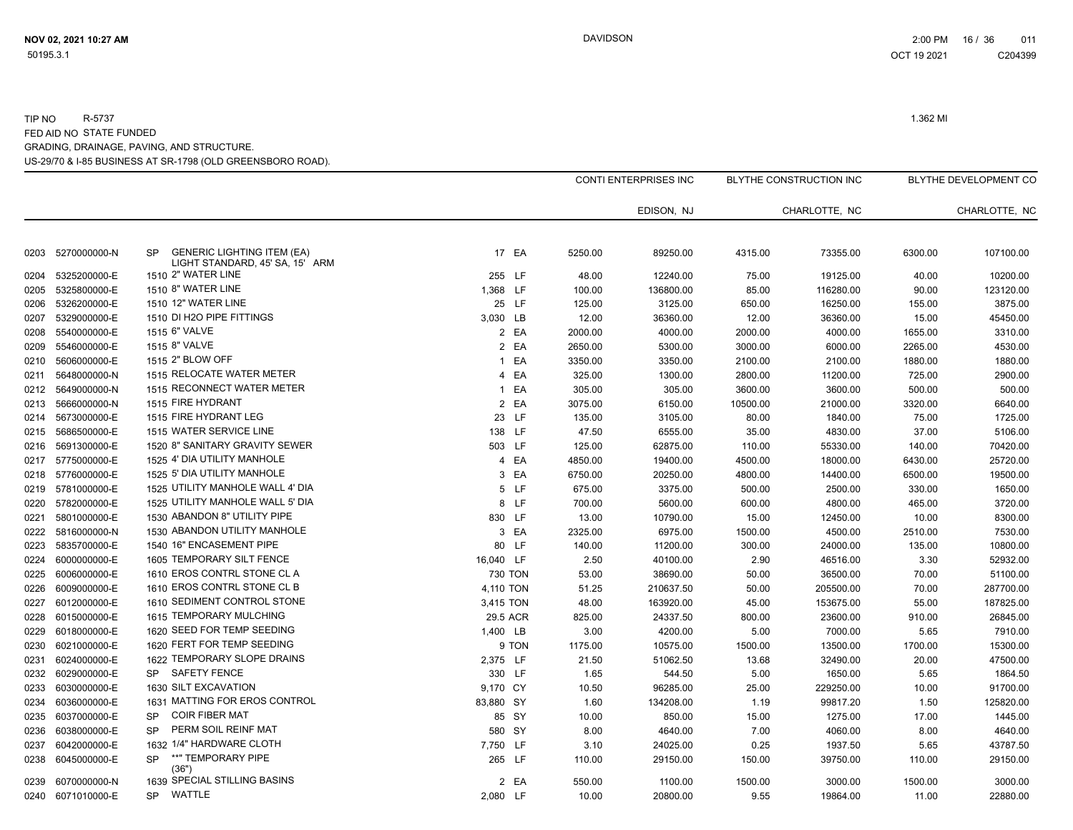|      |                   |                                                                                   |           |         | <b>CONTI ENTERPRISES INC</b> |          | BLYTHE CONSTRUCTION INC |         | BLYTHE DEVELOPMENT CO |
|------|-------------------|-----------------------------------------------------------------------------------|-----------|---------|------------------------------|----------|-------------------------|---------|-----------------------|
|      |                   |                                                                                   |           |         | EDISON, NJ                   |          | CHARLOTTE, NC           |         | CHARLOTTE, NC         |
| 0203 | 5270000000-N      | <b>GENERIC LIGHTING ITEM (EA)</b><br><b>SP</b><br>LIGHT STANDARD, 45' SA, 15' ARM | 17 EA     | 5250.00 | 89250.00                     | 4315.00  | 73355.00                | 6300.00 | 107100.00             |
| 0204 | 5325200000-E      | 1510 2" WATER LINE                                                                | 255 LF    | 48.00   | 12240.00                     | 75.00    | 19125.00                | 40.00   | 10200.00              |
| 0205 | 5325800000-E      | 1510 8" WATER LINE                                                                | 1,368 LF  | 100.00  | 136800.00                    | 85.00    | 116280.00               | 90.00   | 123120.00             |
| 0206 | 5326200000-E      | 1510 12" WATER LINE                                                               | 25 LF     | 125.00  | 3125.00                      | 650.00   | 16250.00                | 155.00  | 3875.00               |
| 0207 | 5329000000-E      | 1510 DI H2O PIPE FITTINGS                                                         | 3,030 LB  | 12.00   | 36360.00                     | 12.00    | 36360.00                | 15.00   | 45450.00              |
| 0208 | 5540000000-E      | 1515 6" VALVE                                                                     | 2 EA      | 2000.00 | 4000.00                      | 2000.00  | 4000.00                 | 1655.00 | 3310.00               |
| 0209 | 5546000000-E      | 1515 8" VALVE                                                                     | 2 EA      | 2650.00 | 5300.00                      | 3000.00  | 6000.00                 | 2265.00 | 4530.00               |
| 0210 | 5606000000-E      | 1515 2" BLOW OFF                                                                  | 1 EA      | 3350.00 | 3350.00                      | 2100.00  | 2100.00                 | 1880.00 | 1880.00               |
| 0211 | 5648000000-N      | 1515 RELOCATE WATER METER                                                         | 4 EA      | 325.00  | 1300.00                      | 2800.00  | 11200.00                | 725.00  | 2900.00               |
| 0212 | 5649000000-N      | 1515 RECONNECT WATER METER                                                        | 1 EA      | 305.00  | 305.00                       | 3600.00  | 3600.00                 | 500.00  | 500.00                |
| 0213 | 5666000000-N      | 1515 FIRE HYDRANT                                                                 | 2 EA      | 3075.00 | 6150.00                      | 10500.00 | 21000.00                | 3320.00 | 6640.00               |
| 0214 | 5673000000-E      | 1515 FIRE HYDRANT LEG                                                             | 23 LF     | 135.00  | 3105.00                      | 80.00    | 1840.00                 | 75.00   | 1725.00               |
| 0215 | 5686500000-E      | 1515 WATER SERVICE LINE                                                           | 138 LF    | 47.50   | 6555.00                      | 35.00    | 4830.00                 | 37.00   | 5106.00               |
| 0216 | 5691300000-E      | 1520 8" SANITARY GRAVITY SEWER                                                    | 503 LF    | 125.00  | 62875.00                     | 110.00   | 55330.00                | 140.00  | 70420.00              |
| 0217 | 5775000000-E      | 1525 4' DIA UTILITY MANHOLE                                                       | 4 EA      | 4850.00 | 19400.00                     | 4500.00  | 18000.00                | 6430.00 | 25720.00              |
| 0218 | 5776000000-E      | 1525 5' DIA UTILITY MANHOLE                                                       | 3 EA      | 6750.00 | 20250.00                     | 4800.00  | 14400.00                | 6500.00 | 19500.00              |
| 0219 | 5781000000-E      | 1525 UTILITY MANHOLE WALL 4' DIA                                                  | 5 LF      | 675.00  | 3375.00                      | 500.00   | 2500.00                 | 330.00  | 1650.00               |
| 0220 | 5782000000-E      | 1525 UTILITY MANHOLE WALL 5' DIA                                                  | 8 LF      | 700.00  | 5600.00                      | 600.00   | 4800.00                 | 465.00  | 3720.00               |
| 0221 | 5801000000-E      | 1530 ABANDON 8" UTILITY PIPE                                                      | 830 LF    | 13.00   | 10790.00                     | 15.00    | 12450.00                | 10.00   | 8300.00               |
| 0222 | 5816000000-N      | 1530 ABANDON UTILITY MANHOLE                                                      | 3 EA      | 2325.00 | 6975.00                      | 1500.00  | 4500.00                 | 2510.00 | 7530.00               |
| 0223 | 5835700000-E      | 1540 16" ENCASEMENT PIPE                                                          | 80 LF     | 140.00  | 11200.00                     | 300.00   | 24000.00                | 135.00  | 10800.00              |
| 0224 | 6000000000-E      | 1605 TEMPORARY SILT FENCE                                                         | 16,040 LF | 2.50    | 40100.00                     | 2.90     | 46516.00                | 3.30    | 52932.00              |
| 0225 | 6006000000-E      | 1610 EROS CONTRL STONE CL A                                                       | 730 TON   | 53.00   | 38690.00                     | 50.00    | 36500.00                | 70.00   | 51100.00              |
| 0226 | 6009000000-E      | 1610 EROS CONTRL STONE CL B                                                       | 4,110 TON | 51.25   | 210637.50                    | 50.00    | 205500.00               | 70.00   | 287700.00             |
| 0227 | 6012000000-E      | 1610 SEDIMENT CONTROL STONE                                                       | 3,415 TON | 48.00   | 163920.00                    | 45.00    | 153675.00               | 55.00   | 187825.00             |
| 0228 | 6015000000-E      | 1615 TEMPORARY MULCHING                                                           | 29.5 ACR  | 825.00  | 24337.50                     | 800.00   | 23600.00                | 910.00  | 26845.00              |
| 0229 | 6018000000-E      | 1620 SEED FOR TEMP SEEDING                                                        | 1,400 LB  | 3.00    | 4200.00                      | 5.00     | 7000.00                 | 5.65    | 7910.00               |
| 0230 | 6021000000-E      | 1620 FERT FOR TEMP SEEDING                                                        | 9 TON     | 1175.00 | 10575.00                     | 1500.00  | 13500.00                | 1700.00 | 15300.00              |
| 0231 | 6024000000-E      | 1622 TEMPORARY SLOPE DRAINS                                                       | 2,375 LF  | 21.50   | 51062.50                     | 13.68    | 32490.00                | 20.00   | 47500.00              |
| 0232 | 6029000000-E      | SAFETY FENCE<br><b>SP</b>                                                         | 330 LF    | 1.65    | 544.50                       | 5.00     | 1650.00                 | 5.65    | 1864.50               |
| 0233 | 6030000000-E      | 1630 SILT EXCAVATION                                                              | 9,170 CY  | 10.50   | 96285.00                     | 25.00    | 229250.00               | 10.00   | 91700.00              |
| 0234 | 6036000000-E      | 1631 MATTING FOR EROS CONTROL                                                     | 83,880 SY | 1.60    | 134208.00                    | 1.19     | 99817.20                | 1.50    | 125820.00             |
| 0235 | 6037000000-E      | <b>COIR FIBER MAT</b><br><b>SP</b>                                                | 85 SY     | 10.00   | 850.00                       | 15.00    | 1275.00                 | 17.00   | 1445.00               |
| 0236 | 6038000000-E      | PERM SOIL REINF MAT<br><b>SP</b>                                                  | 580 SY    | 8.00    | 4640.00                      | 7.00     | 4060.00                 | 8.00    | 4640.00               |
| 0237 | 6042000000-E      | 1632 1/4" HARDWARE CLOTH                                                          | 7,750 LF  | 3.10    | 24025.00                     | 0.25     | 1937.50                 | 5.65    | 43787.50              |
| 0238 | 6045000000-E      | **" TEMPORARY PIPE<br><b>SP</b><br>(36")                                          | 265 LF    | 110.00  | 29150.00                     | 150.00   | 39750.00                | 110.00  | 29150.00              |
| 0239 | 6070000000-N      | 1639 SPECIAL STILLING BASINS                                                      | 2 EA      | 550.00  | 1100.00                      | 1500.00  | 3000.00                 | 1500.00 | 3000.00               |
|      | 0240 6071010000-E | <b>WATTLE</b><br><b>SP</b>                                                        | 2,080 LF  | 10.00   | 20800.00                     | 9.55     | 19864.00                | 11.00   | 22880.00              |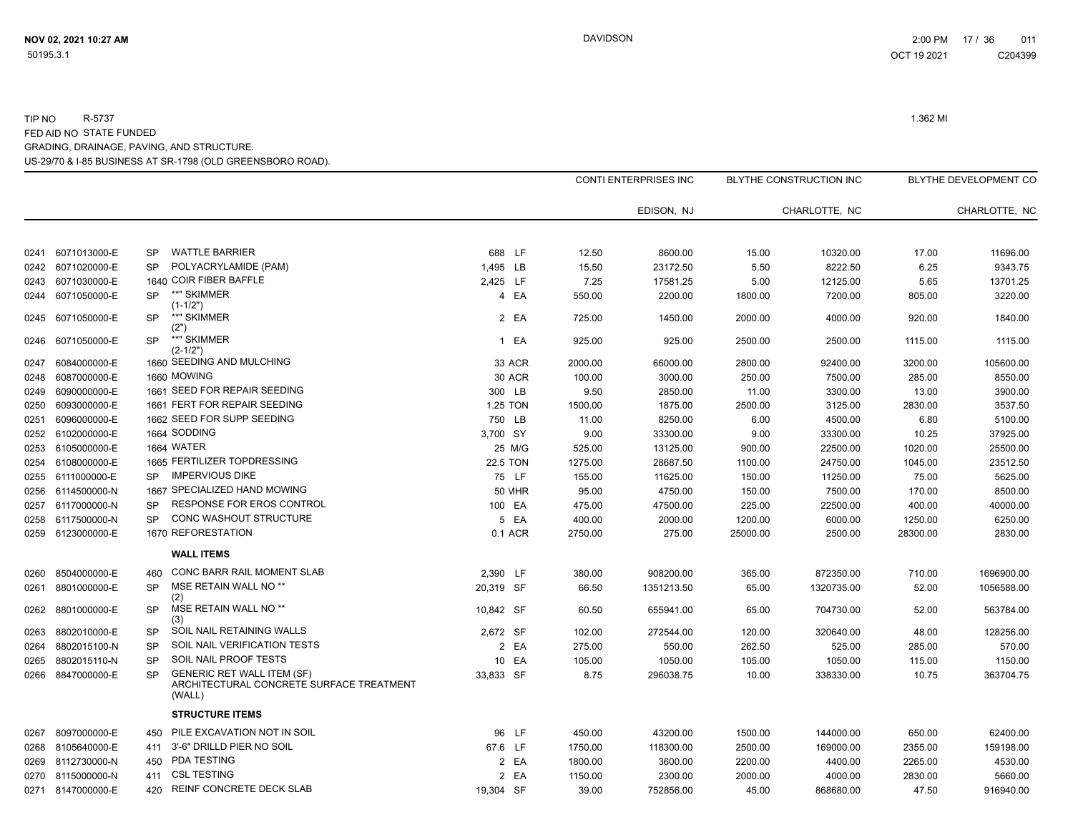|      |                   |           |                                                                                         |               |         | EDISON, NJ |          | CHARLOTTE, NC |          | CHARLOTTE, NC |
|------|-------------------|-----------|-----------------------------------------------------------------------------------------|---------------|---------|------------|----------|---------------|----------|---------------|
| 0241 | 6071013000-E      | <b>SP</b> | <b>WATTLE BARRIER</b>                                                                   | 688 LF        | 12.50   | 8600.00    | 15.00    | 10320.00      | 17.00    | 11696.00      |
| 0242 | 6071020000-E      | <b>SP</b> | POLYACRYLAMIDE (PAM)                                                                    | 1,495 LB      | 15.50   | 23172.50   | 5.50     | 8222.50       | 6.25     | 9343.75       |
| 0243 | 6071030000-E      |           | 1640 COIR FIBER BAFFLE                                                                  | 2,425 LF      | 7.25    | 17581.25   | 5.00     | 12125.00      | 5.65     | 13701.25      |
| 0244 | 6071050000-E      | <b>SP</b> | **" SKIMMER<br>$(1-1/2")$                                                               | 4 EA          | 550.00  | 2200.00    | 1800.00  | 7200.00       | 805.00   | 3220.00       |
| 0245 | 6071050000-E      | <b>SP</b> | **" SKIMMER<br>(2")                                                                     | 2 EA          | 725.00  | 1450.00    | 2000.00  | 4000.00       | 920.00   | 1840.00       |
| 0246 | 6071050000-E      | <b>SP</b> | **" SKIMMER<br>$(2 - 1/2")$                                                             | 1 EA          | 925.00  | 925.00     | 2500.00  | 2500.00       | 1115.00  | 1115.00       |
| 0247 | 6084000000-E      |           | 1660 SEEDING AND MULCHING                                                               | 33 ACR        | 2000.00 | 66000.00   | 2800.00  | 92400.00      | 3200.00  | 105600.00     |
| 0248 | 6087000000-E      |           | 1660 MOWING                                                                             | <b>30 ACR</b> | 100.00  | 3000.00    | 250.00   | 7500.00       | 285.00   | 8550.00       |
| 0249 | 6090000000-E      |           | 1661 SEED FOR REPAIR SEEDING                                                            | 300 LB        | 9.50    | 2850.00    | 11.00    | 3300.00       | 13.00    | 3900.00       |
| 0250 | 6093000000-E      |           | 1661 FERT FOR REPAIR SEEDING                                                            | 1.25 TON      | 1500.00 | 1875.00    | 2500.00  | 3125.00       | 2830.00  | 3537.50       |
| 0251 | 6096000000-E      |           | 1662 SEED FOR SUPP SEEDING                                                              | 750 LB        | 11.00   | 8250.00    | 6.00     | 4500.00       | 6.80     | 5100.00       |
| 0252 | 6102000000-E      |           | 1664 SODDING                                                                            | 3,700 SY      | 9.00    | 33300.00   | 9.00     | 33300.00      | 10.25    | 37925.00      |
| 0253 | 6105000000-E      |           | 1664 WATER                                                                              | 25 M/G        | 525.00  | 13125.00   | 900.00   | 22500.00      | 1020.00  | 25500.00      |
| 0254 | 6108000000-E      |           | 1665 FERTILIZER TOPDRESSING                                                             | 22.5 TON      | 1275.00 | 28687.50   | 1100.00  | 24750.00      | 1045.00  | 23512.50      |
| 0255 | 6111000000-E      | <b>SP</b> | <b>IMPERVIOUS DIKE</b>                                                                  | 75 LF         | 155.00  | 11625.00   | 150.00   | 11250.00      | 75.00    | 5625.00       |
| 0256 | 6114500000-N      |           | 1667 SPECIALIZED HAND MOWING                                                            | <b>50 MHR</b> | 95.00   | 4750.00    | 150.00   | 7500.00       | 170.00   | 8500.00       |
| 0257 | 6117000000-N      | SP        | RESPONSE FOR EROS CONTROL                                                               | 100 EA        | 475.00  | 47500.00   | 225.00   | 22500.00      | 400.00   | 40000.00      |
| 0258 | 6117500000-N      | <b>SP</b> | CONC WASHOUT STRUCTURE                                                                  | 5 EA          | 400.00  | 2000.00    | 1200.00  | 6000.00       | 1250.00  | 6250.00       |
|      | 0259 6123000000-E |           | 1670 REFORESTATION                                                                      | 0.1 ACR       | 2750.00 | 275.00     | 25000.00 | 2500.00       | 28300.00 | 2830.00       |
|      |                   |           | <b>WALL ITEMS</b>                                                                       |               |         |            |          |               |          |               |
| 0260 | 8504000000-E      | 460       | CONC BARR RAIL MOMENT SLAB                                                              | 2,390 LF      | 380.00  | 908200.00  | 365.00   | 872350.00     | 710.00   | 1696900.00    |
| 0261 | 8801000000-E      | SP        | MSE RETAIN WALL NO <sup>**</sup><br>(2)                                                 | 20,319 SF     | 66.50   | 1351213.50 | 65.00    | 1320735.00    | 52.00    | 1056588.00    |
| 0262 | 8801000000-E      | <b>SP</b> | MSE RETAIN WALL NO <sup>**</sup><br>(3)                                                 | 10.842 SF     | 60.50   | 655941.00  | 65.00    | 704730.00     | 52.00    | 563784.00     |
| 0263 | 8802010000-E      | <b>SP</b> | SOIL NAIL RETAINING WALLS                                                               | 2.672 SF      | 102.00  | 272544.00  | 120.00   | 320640.00     | 48.00    | 128256.00     |
| 0264 | 8802015100-N      | <b>SP</b> | SOIL NAIL VERIFICATION TESTS                                                            | 2 EA          | 275.00  | 550.00     | 262.50   | 525.00        | 285.00   | 570.00        |
| 0265 | 8802015110-N      | <b>SP</b> | SOIL NAIL PROOF TESTS                                                                   | 10 EA         | 105.00  | 1050.00    | 105.00   | 1050.00       | 115.00   | 1150.00       |
| 0266 | 8847000000-E      | <b>SP</b> | <b>GENERIC RET WALL ITEM (SF)</b><br>ARCHITECTURAL CONCRETE SURFACE TREATMENT<br>(WALL) | 33,833 SF     | 8.75    | 296038.75  | 10.00    | 338330.00     | 10.75    | 363704.75     |
|      |                   |           | <b>STRUCTURE ITEMS</b>                                                                  |               |         |            |          |               |          |               |
| 0267 | 8097000000-E      | 450       | PILE EXCAVATION NOT IN SOIL                                                             | 96 LF         | 450.00  | 43200.00   | 1500.00  | 144000.00     | 650.00   | 62400.00      |
| 0268 | 8105640000-E      | 411       | 3'-6" DRILLD PIER NO SOIL                                                               | 67.6 LF       | 1750.00 | 118300.00  | 2500.00  | 169000.00     | 2355.00  | 159198.00     |
| 0269 | 8112730000-N      | 450       | <b>PDA TESTING</b>                                                                      | 2 EA          | 1800.00 | 3600.00    | 2200.00  | 4400.00       | 2265.00  | 4530.00       |
|      | 0270 8115000000-N | 411       | <b>CSL TESTING</b>                                                                      | 2 EA          | 1150.00 | 2300.00    | 2000.00  | 4000.00       | 2830.00  | 5660.00       |
|      | 0271 8147000000-E | 420       | REINF CONCRETE DECK SLAB                                                                | 19,304 SF     | 39.00   | 752856.00  | 45.00    | 868680.00     | 47.50    | 916940.00     |

CONTI ENTERPRISES INC

BLYTHE CONSTRUCTION INC BLYTHE DEVELOPMENT CO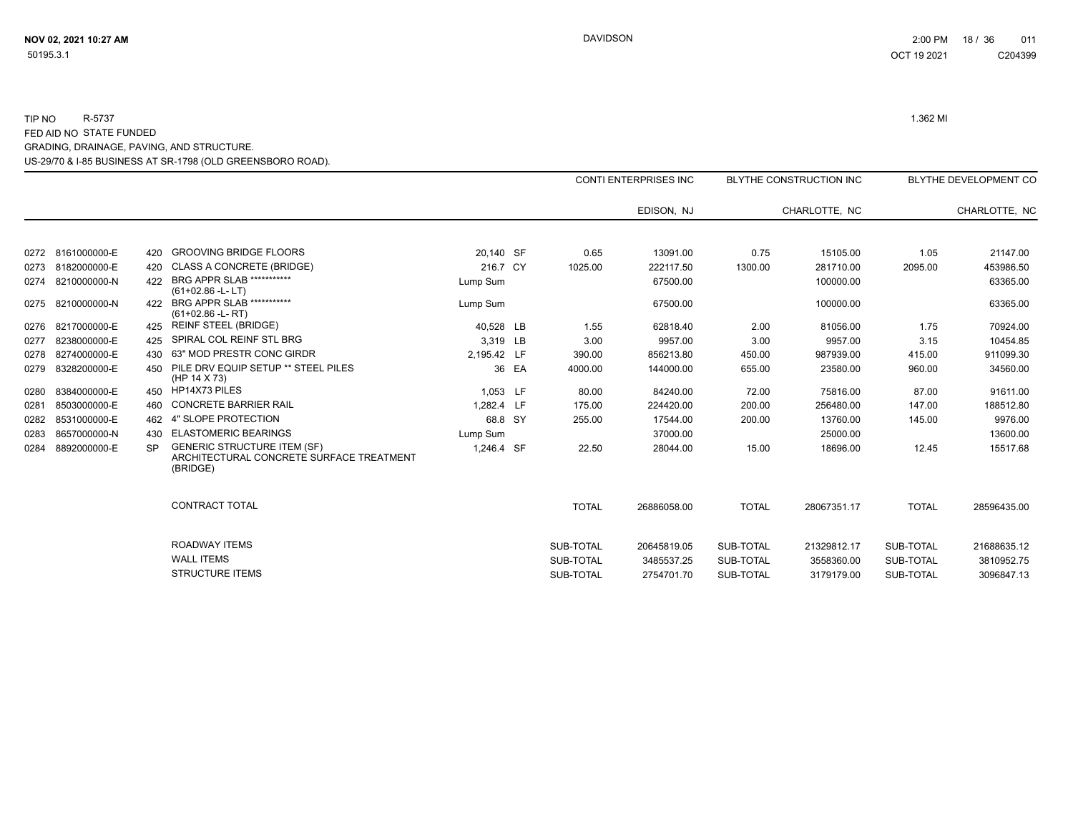|      |                   |           |                                                                                            |             |       |              | <b>CONTI ENTERPRISES INC</b> |              | <b>BLYTHE CONSTRUCTION INC</b> |              | BLYTHE DEVELOPMENT CO |
|------|-------------------|-----------|--------------------------------------------------------------------------------------------|-------------|-------|--------------|------------------------------|--------------|--------------------------------|--------------|-----------------------|
|      |                   |           |                                                                                            |             |       |              | EDISON, NJ                   |              | CHARLOTTE. NC                  |              | CHARLOTTE, NC         |
|      |                   |           |                                                                                            |             |       |              |                              |              |                                |              |                       |
|      | 0272 8161000000-E | 420       | <b>GROOVING BRIDGE FLOORS</b>                                                              | 20,140 SF   |       | 0.65         | 13091.00                     | 0.75         | 15105.00                       | 1.05         | 21147.00              |
|      | 0273 8182000000-E | 420       | <b>CLASS A CONCRETE (BRIDGE)</b>                                                           | 216.7 CY    |       | 1025.00      | 222117.50                    | 1300.00      | 281710.00                      | 2095.00      | 453986.50             |
| 0274 | 8210000000-N      | 422       | <b>BRG APPR SLAB ***********</b><br>$(61+02.86 - L - LT)$                                  | Lump Sum    |       |              | 67500.00                     |              | 100000.00                      |              | 63365.00              |
| 0275 | 8210000000-N      | 422       | <b>BRG APPR SLAB ***********</b><br>$(61+02.86 - L - RT)$                                  | Lump Sum    |       |              | 67500.00                     |              | 100000.00                      |              | 63365.00              |
| 0276 | 8217000000-E      |           | <b>REINF STEEL (BRIDGE)</b>                                                                | 40,528 LB   |       | 1.55         | 62818.40                     | 2.00         | 81056.00                       | 1.75         | 70924.00              |
| 0277 | 8238000000-E      | 425       | SPIRAL COL REINF STL BRG                                                                   | 3.319 LB    |       | 3.00         | 9957.00                      | 3.00         | 9957.00                        | 3.15         | 10454.85              |
| 0278 | 8274000000-E      | 430       | 63" MOD PRESTR CONC GIRDR                                                                  | 2.195.42 LF |       | 390.00       | 856213.80                    | 450.00       | 987939.00                      | 415.00       | 911099.30             |
| 0279 | 8328200000-E      | 450       | PILE DRV EQUIP SETUP ** STEEL PILES<br>(HP 14 X 73)                                        |             | 36 EA | 4000.00      | 144000.00                    | 655.00       | 23580.00                       | 960.00       | 34560.00              |
| 0280 | 8384000000-E      | 450       | HP14X73 PILES                                                                              | 1.053 LF    |       | 80.00        | 84240.00                     | 72.00        | 75816.00                       | 87.00        | 91611.00              |
| 0281 | 8503000000-E      | 460       | <b>CONCRETE BARRIER RAIL</b>                                                               | 1.282.4 LF  |       | 175.00       | 224420.00                    | 200.00       | 256480.00                      | 147.00       | 188512.80             |
| 0282 | 8531000000-E      | 462       | 4" SLOPE PROTECTION                                                                        | 68.8 SY     |       | 255.00       | 17544.00                     | 200.00       | 13760.00                       | 145.00       | 9976.00               |
| 0283 | 8657000000-N      | 430       | <b>ELASTOMERIC BEARINGS</b>                                                                | Lump Sum    |       |              | 37000.00                     |              | 25000.00                       |              | 13600.00              |
| 0284 | 8892000000-E      | <b>SP</b> | <b>GENERIC STRUCTURE ITEM (SF)</b><br>ARCHITECTURAL CONCRETE SURFACE TREATMENT<br>(BRIDGE) | 1,246.4 SF  |       | 22.50        | 28044.00                     | 15.00        | 18696.00                       | 12.45        | 15517.68              |
|      |                   |           | <b>CONTRACT TOTAL</b>                                                                      |             |       | <b>TOTAL</b> | 26886058.00                  | <b>TOTAL</b> | 28067351.17                    | <b>TOTAL</b> | 28596435.00           |
|      |                   |           | <b>ROADWAY ITEMS</b>                                                                       |             |       | SUB-TOTAL    | 20645819.05                  | SUB-TOTAL    | 21329812.17                    | SUB-TOTAL    | 21688635.12           |
|      |                   |           | <b>WALL ITEMS</b>                                                                          |             |       | SUB-TOTAL    | 3485537.25                   | SUB-TOTAL    | 3558360.00                     | SUB-TOTAL    | 3810952.75            |
|      |                   |           | <b>STRUCTURE ITEMS</b>                                                                     |             |       | SUB-TOTAL    | 2754701.70                   | SUB-TOTAL    | 3179179.00                     | SUB-TOTAL    | 3096847.13            |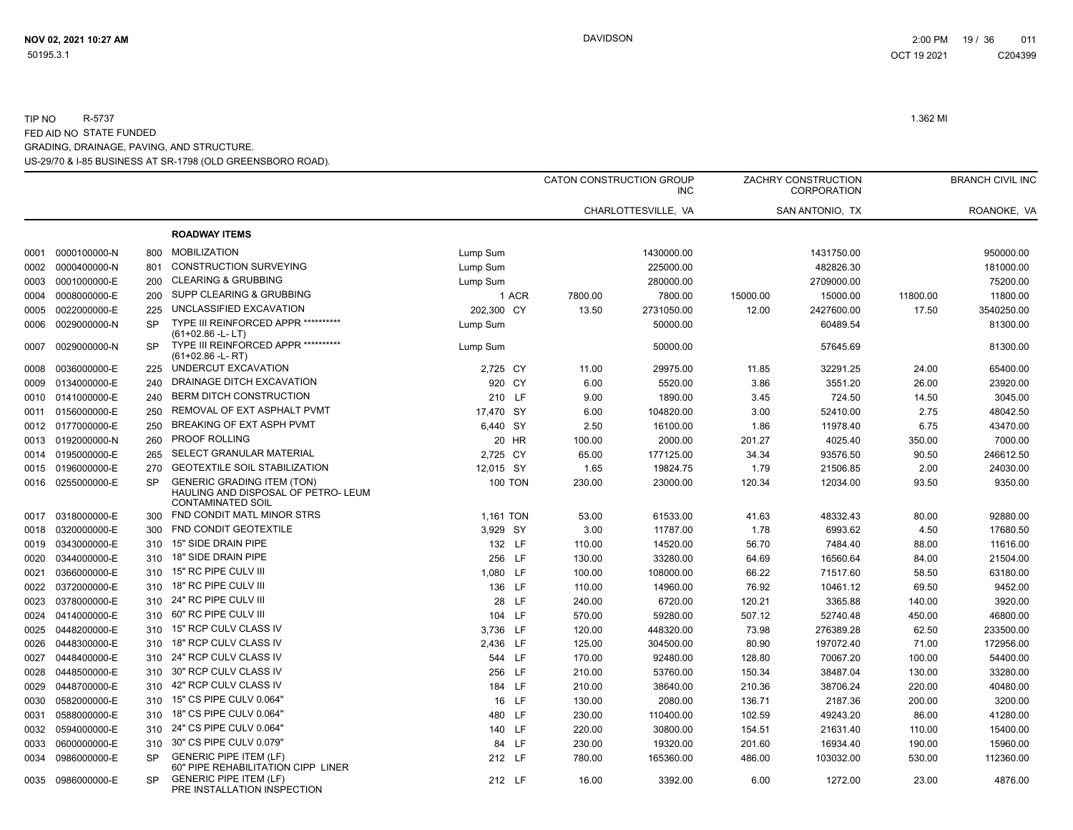|      |                   |           |                                                                                                      |                |         | CATON CONSTRUCTION GROUP<br><b>INC</b> |          | ZACHRY CONSTRUCTION<br><b>CORPORATION</b> |          | <b>BRANCH CIVIL INC</b> |
|------|-------------------|-----------|------------------------------------------------------------------------------------------------------|----------------|---------|----------------------------------------|----------|-------------------------------------------|----------|-------------------------|
|      |                   |           |                                                                                                      |                |         | CHARLOTTESVILLE, VA                    |          | SAN ANTONIO, TX                           |          | ROANOKE, VA             |
|      |                   |           | <b>ROADWAY ITEMS</b>                                                                                 |                |         |                                        |          |                                           |          |                         |
| 0001 | 0000100000-N      | 800       | <b>MOBILIZATION</b>                                                                                  | Lump Sum       |         | 1430000.00                             |          | 1431750.00                                |          | 950000.00               |
| 0002 | 0000400000-N      | 801       | <b>CONSTRUCTION SURVEYING</b>                                                                        | Lump Sum       |         | 225000.00                              |          | 482826.30                                 |          | 181000.00               |
| 0003 | 0001000000-E      | 200       | <b>CLEARING &amp; GRUBBING</b>                                                                       | Lump Sum       |         | 280000.00                              |          | 2709000.00                                |          | 75200.00                |
| 0004 | 0008000000-E      | 200       | SUPP CLEARING & GRUBBING                                                                             | 1 ACR          | 7800.00 | 7800.00                                | 15000.00 | 15000.00                                  | 11800.00 | 11800.00                |
| 0005 | 0022000000-E      | 225       | UNCLASSIFIED EXCAVATION                                                                              | 202,300 CY     | 13.50   | 2731050.00                             | 12.00    | 2427600.00                                | 17.50    | 3540250.00              |
| 0006 | 0029000000-N      | <b>SP</b> | TYPE III REINFORCED APPR **********<br>$(61+02.86 - L - LT)$                                         | Lump Sum       |         | 50000.00                               |          | 60489.54                                  |          | 81300.00                |
| 0007 | 0029000000-N      | <b>SP</b> | TYPE III REINFORCED APPR ***********<br>$(61+02.86 - L - RT)$                                        | Lump Sum       |         | 50000.00                               |          | 57645.69                                  |          | 81300.00                |
| 0008 | 0036000000-E      | 225       | UNDERCUT EXCAVATION                                                                                  | 2,725 CY       | 11.00   | 29975.00                               | 11.85    | 32291.25                                  | 24.00    | 65400.00                |
| 0009 | 0134000000-E      | 240       | DRAINAGE DITCH EXCAVATION                                                                            | 920 CY         | 6.00    | 5520.00                                | 3.86     | 3551.20                                   | 26.00    | 23920.00                |
| 0010 | 0141000000-E      | 240       | BERM DITCH CONSTRUCTION                                                                              | 210 LF         | 9.00    | 1890.00                                | 3.45     | 724.50                                    | 14.50    | 3045.00                 |
| 0011 | 0156000000-E      | 250       | REMOVAL OF EXT ASPHALT PVMT                                                                          | 17,470 SY      | 6.00    | 104820.00                              | 3.00     | 52410.00                                  | 2.75     | 48042.50                |
| 0012 | 0177000000-E      | 250       | BREAKING OF EXT ASPH PVMT                                                                            | 6,440 SY       | 2.50    | 16100.00                               | 1.86     | 11978.40                                  | 6.75     | 43470.00                |
| 0013 | 0192000000-N      | 260       | <b>PROOF ROLLING</b>                                                                                 | 20 HR          | 100.00  | 2000.00                                | 201.27   | 4025.40                                   | 350.00   | 7000.00                 |
| 0014 | 0195000000-E      | 265       | SELECT GRANULAR MATERIAL                                                                             | 2,725 CY       | 65.00   | 177125.00                              | 34.34    | 93576.50                                  | 90.50    | 246612.50               |
|      | 0015 0196000000-E | 270       | GEOTEXTILE SOIL STABILIZATION                                                                        | 12,015 SY      | 1.65    | 19824.75                               | 1.79     | 21506.85                                  | 2.00     | 24030.00                |
| 0016 | 0255000000-E      | <b>SP</b> | <b>GENERIC GRADING ITEM (TON)</b><br>HAULING AND DISPOSAL OF PETRO- LEUM<br><b>CONTAMINATED SOIL</b> | <b>100 TON</b> | 230.00  | 23000.00                               | 120.34   | 12034.00                                  | 93.50    | 9350.00                 |
| 0017 | 0318000000-E      | 300       | FND CONDIT MATL MINOR STRS                                                                           | 1.161 TON      | 53.00   | 61533.00                               | 41.63    | 48332.43                                  | 80.00    | 92880.00                |
| 0018 | 0320000000-E      | 300       | FND CONDIT GEOTEXTILE                                                                                | 3,929 SY       | 3.00    | 11787.00                               | 1.78     | 6993.62                                   | 4.50     | 17680.50                |
| 0019 | 0343000000-E      | 310       | 15" SIDE DRAIN PIPE                                                                                  | 132 LF         | 110.00  | 14520.00                               | 56.70    | 7484.40                                   | 88.00    | 11616.00                |
| 0020 | 0344000000-E      | 310       | 18" SIDE DRAIN PIPE                                                                                  | 256 LF         | 130.00  | 33280.00                               | 64.69    | 16560.64                                  | 84.00    | 21504.00                |
| 0021 | 0366000000-E      | 310       | 15" RC PIPE CULV III                                                                                 | 1,080 LF       | 100.00  | 108000.00                              | 66.22    | 71517.60                                  | 58.50    | 63180.00                |
|      | 0022 0372000000-E | 310       | 18" RC PIPE CULV III                                                                                 | 136 LF         | 110.00  | 14960.00                               | 76.92    | 10461.12                                  | 69.50    | 9452.00                 |
| 0023 | 0378000000-E      | 310       | 24" RC PIPE CULV III                                                                                 | 28 LF          | 240.00  | 6720.00                                | 120.21   | 3365.88                                   | 140.00   | 3920.00                 |
| 0024 | 0414000000-E      | 310       | 60" RC PIPE CULV III                                                                                 | 104 LF         | 570.00  | 59280.00                               | 507.12   | 52740.48                                  | 450.00   | 46800.00                |
| 0025 | 0448200000-E      | 310       | 15" RCP CULV CLASS IV                                                                                | 3,736 LF       | 120.00  | 448320.00                              | 73.98    | 276389.28                                 | 62.50    | 233500.00               |
| 0026 | 0448300000-E      | 310       | 18" RCP CULV CLASS IV                                                                                | 2,436 LF       | 125.00  | 304500.00                              | 80.90    | 197072.40                                 | 71.00    | 172956.00               |
| 0027 | 0448400000-E      | 310       | 24" RCP CULV CLASS IV                                                                                | 544 LF         | 170.00  | 92480.00                               | 128.80   | 70067.20                                  | 100.00   | 54400.00                |
| 0028 | 0448500000-E      | 310       | 30" RCP CULV CLASS IV                                                                                | 256 LF         | 210.00  | 53760.00                               | 150.34   | 38487.04                                  | 130.00   | 33280.00                |
| 0029 | 0448700000-E      | 310       | 42" RCP CULV CLASS IV                                                                                | 184 LF         | 210.00  | 38640.00                               | 210.36   | 38706.24                                  | 220.00   | 40480.00                |
| 0030 | 0582000000-E      | 310       | 15" CS PIPE CULV 0.064"                                                                              | 16 LF          | 130.00  | 2080.00                                | 136.71   | 2187.36                                   | 200.00   | 3200.00                 |
| 0031 | 0588000000-E      | 310       | 18" CS PIPE CULV 0.064"                                                                              | 480 LF         | 230.00  | 110400.00                              | 102.59   | 49243.20                                  | 86.00    | 41280.00                |
| 0032 | 0594000000-E      | 310       | 24" CS PIPE CULV 0.064"                                                                              | 140 LF         | 220.00  | 30800.00                               | 154.51   | 21631.40                                  | 110.00   | 15400.00                |
| 0033 | 0600000000-E      | 310       | 30" CS PIPE CULV 0.079"                                                                              | 84 LF          | 230.00  | 19320.00                               | 201.60   | 16934.40                                  | 190.00   | 15960.00                |
| 0034 | 0986000000-E      | SP        | <b>GENERIC PIPE ITEM (LF)</b><br>60" PIPE REHABILITATION CIPP LINER                                  | 212 LF         | 780.00  | 165360.00                              | 486.00   | 103032.00                                 | 530.00   | 112360.00               |
|      | 0035 0986000000-E | <b>SP</b> | <b>GENERIC PIPE ITEM (LF)</b><br>PRE INSTALLATION INSPECTION                                         | 212 LF         | 16.00   | 3392.00                                | 6.00     | 1272.00                                   | 23.00    | 4876.00                 |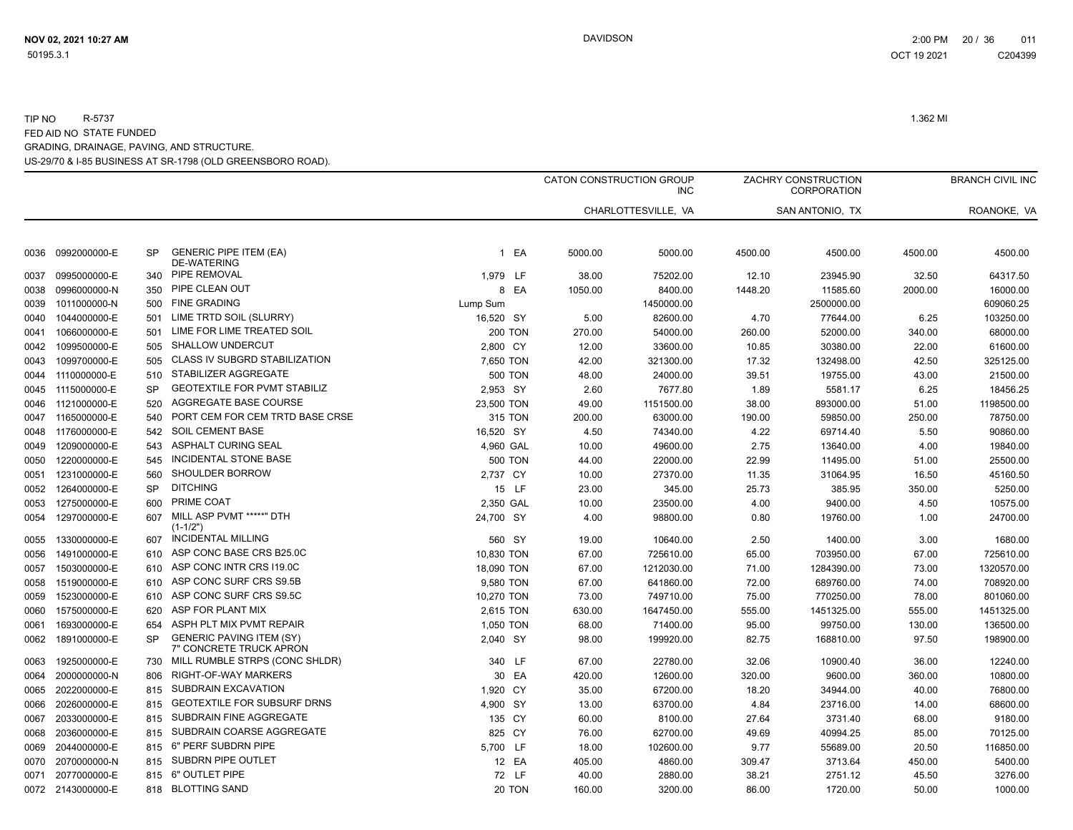|      |                   |           |                                                            |                | CATON CONSTRUCTION GROUP | <b>INC</b>          |         | ZACHRY CONSTRUCTION<br><b>CORPORATION</b> |         | <b>BRANCH CIVIL INC</b> |
|------|-------------------|-----------|------------------------------------------------------------|----------------|--------------------------|---------------------|---------|-------------------------------------------|---------|-------------------------|
|      |                   |           |                                                            |                |                          | CHARLOTTESVILLE, VA |         | SAN ANTONIO, TX                           |         | ROANOKE, VA             |
| 0036 | 0992000000-E      | SP        | <b>GENERIC PIPE ITEM (EA)</b><br><b>DE-WATERING</b>        | 1 EA           | 5000.00                  | 5000.00             | 4500.00 | 4500.00                                   | 4500.00 | 4500.00                 |
| 0037 | 0995000000-E      | 340       | PIPE REMOVAL                                               | 1,979 LF       | 38.00                    | 75202.00            | 12.10   | 23945.90                                  | 32.50   | 64317.50                |
| 0038 | 0996000000-N      | 350       | PIPE CLEAN OUT                                             | 8 EA           | 1050.00                  | 8400.00             | 1448.20 | 11585.60                                  | 2000.00 | 16000.00                |
| 0039 | 1011000000-N      | 500       | <b>FINE GRADING</b>                                        | Lump Sum       |                          | 1450000.00          |         | 2500000.00                                |         | 609060.25               |
| 0040 | 1044000000-E      | 501       | LIME TRTD SOIL (SLURRY)                                    | 16,520 SY      | 5.00                     | 82600.00            | 4.70    | 77644.00                                  | 6.25    | 103250.00               |
| 0041 | 1066000000-E      | 501       | LIME FOR LIME TREATED SOIL                                 | <b>200 TON</b> | 270.00                   | 54000.00            | 260.00  | 52000.00                                  | 340.00  | 68000.00                |
| 0042 | 1099500000-E      | 505       | <b>SHALLOW UNDERCUT</b>                                    | 2,800 CY       | 12.00                    | 33600.00            | 10.85   | 30380.00                                  | 22.00   | 61600.00                |
| 0043 | 1099700000-E      | 505       | CLASS IV SUBGRD STABILIZATION                              | 7,650 TON      | 42.00                    | 321300.00           | 17.32   | 132498.00                                 | 42.50   | 325125.00               |
| 0044 | 1110000000-E      | 510       | STABILIZER AGGREGATE                                       | <b>500 TON</b> | 48.00                    | 24000.00            | 39.51   | 19755.00                                  | 43.00   | 21500.00                |
| 0045 | 1115000000-E      | <b>SP</b> | <b>GEOTEXTILE FOR PVMT STABILIZ</b>                        | 2,953 SY       | 2.60                     | 7677.80             | 1.89    | 5581.17                                   | 6.25    | 18456.25                |
| 0046 | 1121000000-E      | 520       | AGGREGATE BASE COURSE                                      | 23,500 TON     | 49.00                    | 1151500.00          | 38.00   | 893000.00                                 | 51.00   | 1198500.00              |
| 0047 | 1165000000-E      | 540       | PORT CEM FOR CEM TRTD BASE CRSE                            | 315 TON        | 200.00                   | 63000.00            | 190.00  | 59850.00                                  | 250.00  | 78750.00                |
| 0048 | 1176000000-E      | 542       | <b>SOIL CEMENT BASE</b>                                    | 16,520 SY      | 4.50                     | 74340.00            | 4.22    | 69714.40                                  | 5.50    | 90860.00                |
| 0049 | 1209000000-E      | 543       | <b>ASPHALT CURING SEAL</b>                                 | 4,960 GAL      | 10.00                    | 49600.00            | 2.75    | 13640.00                                  | 4.00    | 19840.00                |
| 0050 | 1220000000-E      | 545       | INCIDENTAL STONE BASE                                      | <b>500 TON</b> | 44.00                    | 22000.00            | 22.99   | 11495.00                                  | 51.00   | 25500.00                |
| 0051 | 1231000000-E      | 560       | SHOULDER BORROW                                            | 2,737 CY       | 10.00                    | 27370.00            | 11.35   | 31064.95                                  | 16.50   | 45160.50                |
| 0052 | 1264000000-E      | <b>SP</b> | <b>DITCHING</b>                                            | 15 LF          | 23.00                    | 345.00              | 25.73   | 385.95                                    | 350.00  | 5250.00                 |
| 0053 | 1275000000-E      | 600       | PRIME COAT                                                 | 2,350 GAL      | 10.00                    | 23500.00            | 4.00    | 9400.00                                   | 4.50    | 10575.00                |
| 0054 | 1297000000-E      | 607       | MILL ASP PVMT *****" DTH<br>$(1 - 1/2")$                   | 24,700 SY      | 4.00                     | 98800.00            | 0.80    | 19760.00                                  | 1.00    | 24700.00                |
| 0055 | 1330000000-E      | 607       | <b>INCIDENTAL MILLING</b>                                  | 560 SY         | 19.00                    | 10640.00            | 2.50    | 1400.00                                   | 3.00    | 1680.00                 |
| 0056 | 1491000000-E      | 610       | ASP CONC BASE CRS B25.0C                                   | 10,830 TON     | 67.00                    | 725610.00           | 65.00   | 703950.00                                 | 67.00   | 725610.00               |
| 0057 | 1503000000-E      | 610       | ASP CONC INTR CRS 119.0C                                   | 18,090 TON     | 67.00                    | 1212030.00          | 71.00   | 1284390.00                                | 73.00   | 1320570.00              |
| 0058 | 1519000000-E      | 610       | ASP CONC SURF CRS S9.5B                                    | 9,580 TON      | 67.00                    | 641860.00           | 72.00   | 689760.00                                 | 74.00   | 708920.00               |
| 0059 | 1523000000-E      | 610       | ASP CONC SURF CRS S9.5C                                    | 10,270 TON     | 73.00                    | 749710.00           | 75.00   | 770250.00                                 | 78.00   | 801060.00               |
| 0060 | 1575000000-E      | 620       | ASP FOR PLANT MIX                                          | 2,615 TON      | 630.00                   | 1647450.00          | 555.00  | 1451325.00                                | 555.00  | 1451325.00              |
| 0061 | 1693000000-E      | 654       | ASPH PLT MIX PVMT REPAIR                                   | 1.050 TON      | 68.00                    | 71400.00            | 95.00   | 99750.00                                  | 130.00  | 136500.00               |
| 0062 | 1891000000-E      | <b>SP</b> | <b>GENERIC PAVING ITEM (SY)</b><br>7" CONCRETE TRUCK APRON | 2,040 SY       | 98.00                    | 199920.00           | 82.75   | 168810.00                                 | 97.50   | 198900.00               |
| 0063 | 1925000000-E      | 730       | MILL RUMBLE STRPS (CONC SHLDR)                             | 340 LF         | 67.00                    | 22780.00            | 32.06   | 10900.40                                  | 36.00   | 12240.00                |
| 0064 | 2000000000-N      | 806       | RIGHT-OF-WAY MARKERS                                       | 30 EA          | 420.00                   | 12600.00            | 320.00  | 9600.00                                   | 360.00  | 10800.00                |
| 0065 | 2022000000-E      | 815       | SUBDRAIN EXCAVATION                                        | 1,920 CY       | 35.00                    | 67200.00            | 18.20   | 34944.00                                  | 40.00   | 76800.00                |
| 0066 | 2026000000-E      | 815       | <b>GEOTEXTILE FOR SUBSURF DRNS</b>                         | 4,900 SY       | 13.00                    | 63700.00            | 4.84    | 23716.00                                  | 14.00   | 68600.00                |
| 0067 | 2033000000-E      | 815       | SUBDRAIN FINE AGGREGATE                                    | 135 CY         | 60.00                    | 8100.00             | 27.64   | 3731.40                                   | 68.00   | 9180.00                 |
| 0068 | 2036000000-E      | 815       | SUBDRAIN COARSE AGGREGATE                                  | 825 CY         | 76.00                    | 62700.00            | 49.69   | 40994.25                                  | 85.00   | 70125.00                |
| 0069 | 2044000000-E      | 815       | 6" PERF SUBDRN PIPE                                        | 5,700 LF       | 18.00                    | 102600.00           | 9.77    | 55689.00                                  | 20.50   | 116850.00               |
| 0070 | 2070000000-N      | 815       | SUBDRN PIPE OUTLET                                         | 12 EA          | 405.00                   | 4860.00             | 309.47  | 3713.64                                   | 450.00  | 5400.00                 |
| 0071 | 2077000000-E      | 815       | 6" OUTLET PIPE                                             | 72 LF          | 40.00                    | 2880.00             | 38.21   | 2751.12                                   | 45.50   | 3276.00                 |
|      | 0072 2143000000-E | 818       | <b>BLOTTING SAND</b>                                       | 20 TON         | 160.00                   | 3200.00             | 86.00   | 1720.00                                   | 50.00   | 1000.00                 |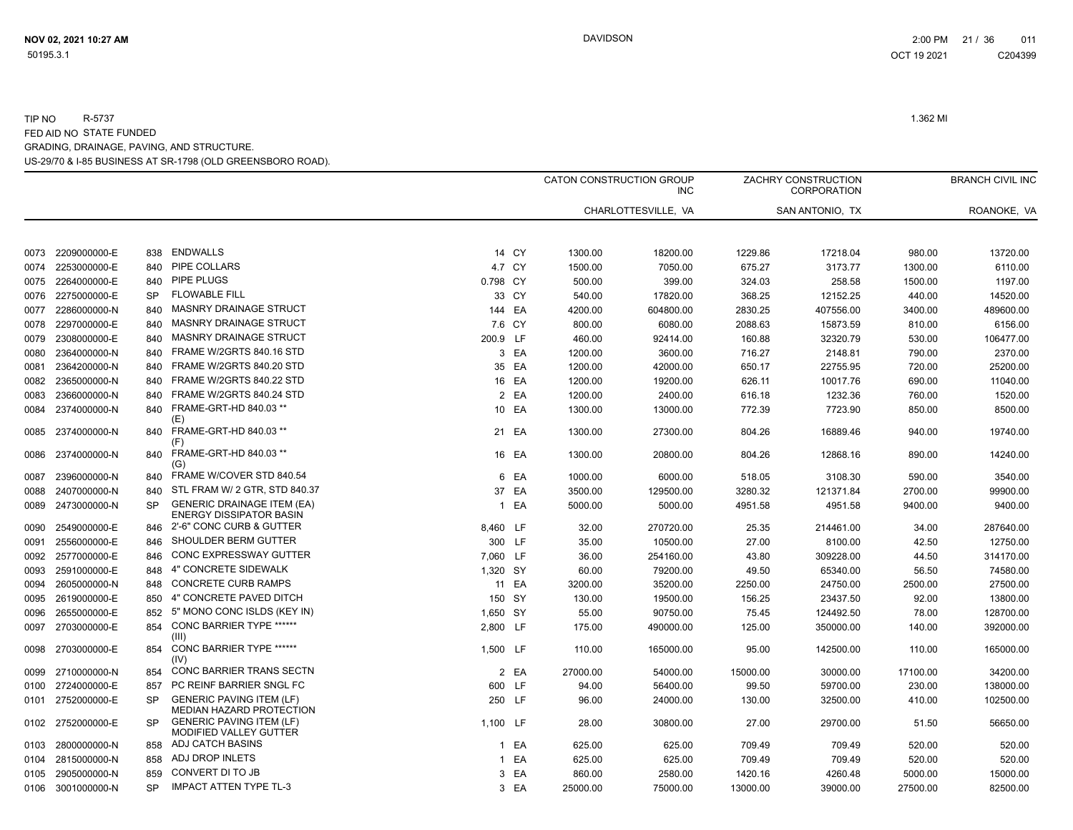|      |                   |           |                                                                     |              |       |          | CATON CONSTRUCTION GROUP<br><b>INC</b> |          | ZACHRY CONSTRUCTION<br><b>CORPORATION</b> |          | <b>BRANCH CIVIL INC</b> |
|------|-------------------|-----------|---------------------------------------------------------------------|--------------|-------|----------|----------------------------------------|----------|-------------------------------------------|----------|-------------------------|
|      |                   |           |                                                                     |              |       |          | CHARLOTTESVILLE, VA                    |          | SAN ANTONIO, TX                           |          | ROANOKE, VA             |
|      |                   |           |                                                                     |              |       |          |                                        |          |                                           |          |                         |
| 0073 | 2209000000-E      | 838       | <b>ENDWALLS</b>                                                     |              | 14 CY | 1300.00  | 18200.00                               | 1229.86  | 17218.04                                  | 980.00   | 13720.00                |
| 0074 | 2253000000-E      | 840       | PIPE COLLARS                                                        | 4.7 CY       |       | 1500.00  | 7050.00                                | 675.27   | 3173.77                                   | 1300.00  | 6110.00                 |
|      | 0075 2264000000-E | 840       | <b>PIPE PLUGS</b>                                                   | 0.798 CY     |       | 500.00   | 399.00                                 | 324.03   | 258.58                                    | 1500.00  | 1197.00                 |
| 0076 | 2275000000-E      | <b>SP</b> | <b>FLOWABLE FILL</b>                                                | 33 CY        |       | 540.00   | 17820.00                               | 368.25   | 12152.25                                  | 440.00   | 14520.00                |
|      | 0077 2286000000-N | 840       | <b>MASNRY DRAINAGE STRUCT</b>                                       | 144 EA       |       | 4200.00  | 604800.00                              | 2830.25  | 407556.00                                 | 3400.00  | 489600.00               |
| 0078 | 2297000000-E      | 840       | <b>MASNRY DRAINAGE STRUCT</b>                                       | 7.6 CY       |       | 800.00   | 6080.00                                | 2088.63  | 15873.59                                  | 810.00   | 6156.00                 |
| 0079 | 2308000000-E      | 840       | <b>MASNRY DRAINAGE STRUCT</b>                                       | 200.9 LF     |       | 460.00   | 92414.00                               | 160.88   | 32320.79                                  | 530.00   | 106477.00               |
| 0080 | 2364000000-N      | 840       | FRAME W/2GRTS 840.16 STD                                            |              | 3 EA  | 1200.00  | 3600.00                                | 716.27   | 2148.81                                   | 790.00   | 2370.00                 |
| 0081 | 2364200000-N      | 840       | FRAME W/2GRTS 840.20 STD                                            |              | 35 EA | 1200.00  | 42000.00                               | 650.17   | 22755.95                                  | 720.00   | 25200.00                |
| 0082 | 2365000000-N      | 840       | FRAME W/2GRTS 840.22 STD                                            |              | 16 EA | 1200.00  | 19200.00                               | 626.11   | 10017.76                                  | 690.00   | 11040.00                |
| 0083 | 2366000000-N      | 840       | FRAME W/2GRTS 840.24 STD                                            |              | 2 EA  | 1200.00  | 2400.00                                | 616.18   | 1232.36                                   | 760.00   | 1520.00                 |
| 0084 | 2374000000-N      | 840       | FRAME-GRT-HD 840.03 **<br>(E)                                       | 10 EA        |       | 1300.00  | 13000.00                               | 772.39   | 7723.90                                   | 850.00   | 8500.00                 |
| 0085 | 2374000000-N      | 840       | FRAME-GRT-HD 840.03 **<br>(F)                                       |              | 21 EA | 1300.00  | 27300.00                               | 804.26   | 16889.46                                  | 940.00   | 19740.00                |
| 0086 | 2374000000-N      | 840       | FRAME-GRT-HD 840.03 **<br>(G)                                       |              | 16 EA | 1300.00  | 20800.00                               | 804.26   | 12868.16                                  | 890.00   | 14240.00                |
| 0087 | 2396000000-N      | 840       | FRAME W/COVER STD 840.54                                            |              | 6 EA  | 1000.00  | 6000.00                                | 518.05   | 3108.30                                   | 590.00   | 3540.00                 |
| 8800 | 2407000000-N      | 840       | STL FRAM W/ 2 GTR, STD 840.37                                       | 37           | EA    | 3500.00  | 129500.00                              | 3280.32  | 121371.84                                 | 2700.00  | 99900.00                |
| 0089 | 2473000000-N      | <b>SP</b> | <b>GENERIC DRAINAGE ITEM (EA)</b><br><b>ENERGY DISSIPATOR BASIN</b> | $\mathbf{1}$ | EA    | 5000.00  | 5000.00                                | 4951.58  | 4951.58                                   | 9400.00  | 9400.00                 |
| 0090 | 2549000000-E      | 846       | 2'-6" CONC CURB & GUTTER                                            | 8,460 LF     |       | 32.00    | 270720.00                              | 25.35    | 214461.00                                 | 34.00    | 287640.00               |
| 0091 | 2556000000-E      | 846       | SHOULDER BERM GUTTER                                                | 300 LF       |       | 35.00    | 10500.00                               | 27.00    | 8100.00                                   | 42.50    | 12750.00                |
| 0092 | 2577000000-E      | 846       | <b>CONC EXPRESSWAY GUTTER</b>                                       | 7,060 LF     |       | 36.00    | 254160.00                              | 43.80    | 309228.00                                 | 44.50    | 314170.00               |
| 0093 | 2591000000-E      | 848       | 4" CONCRETE SIDEWALK                                                | 1,320 SY     |       | 60.00    | 79200.00                               | 49.50    | 65340.00                                  | 56.50    | 74580.00                |
| 0094 | 2605000000-N      | 848       | <b>CONCRETE CURB RAMPS</b>                                          |              | 11 EA | 3200.00  | 35200.00                               | 2250.00  | 24750.00                                  | 2500.00  | 27500.00                |
| 0095 | 2619000000-E      | 850       | 4" CONCRETE PAVED DITCH                                             | 150 SY       |       | 130.00   | 19500.00                               | 156.25   | 23437.50                                  | 92.00    | 13800.00                |
| 0096 | 2655000000-E      | 852       | 5" MONO CONC ISLDS (KEY IN)                                         | 1,650 SY     |       | 55.00    | 90750.00                               | 75.45    | 124492.50                                 | 78.00    | 128700.00               |
| 0097 | 2703000000-E      | 854       | CONC BARRIER TYPE ******<br>(III)                                   | 2,800 LF     |       | 175.00   | 490000.00                              | 125.00   | 350000.00                                 | 140.00   | 392000.00               |
|      | 0098 2703000000-E | 854       | <b>CONC BARRIER TYPE ******</b><br>(IV)                             | 1,500 LF     |       | 110.00   | 165000.00                              | 95.00    | 142500.00                                 | 110.00   | 165000.00               |
| 0099 | 2710000000-N      | 854       | CONC BARRIER TRANS SECTN                                            |              | 2 EA  | 27000.00 | 54000.00                               | 15000.00 | 30000.00                                  | 17100.00 | 34200.00                |
| 0100 | 2724000000-E      | 857       | PC REINF BARRIER SNGL FC                                            | 600          | LF    | 94.00    | 56400.00                               | 99.50    | 59700.00                                  | 230.00   | 138000.00               |
|      | 0101 2752000000-E | <b>SP</b> | <b>GENERIC PAVING ITEM (LF)</b><br>MEDIAN HAZARD PROTECTION         | 250 LF       |       | 96.00    | 24000.00                               | 130.00   | 32500.00                                  | 410.00   | 102500.00               |
|      | 0102 2752000000-E | <b>SP</b> | <b>GENERIC PAVING ITEM (LF)</b><br><b>MODIFIED VALLEY GUTTER</b>    | 1,100 LF     |       | 28.00    | 30800.00                               | 27.00    | 29700.00                                  | 51.50    | 56650.00                |
|      | 0103 2800000000-N | 858       | <b>ADJ CATCH BASINS</b>                                             |              | 1 EA  | 625.00   | 625.00                                 | 709.49   | 709.49                                    | 520.00   | 520.00                  |
| 0104 | 2815000000-N      | 858       | ADJ DROP INLETS                                                     |              | 1 EA  | 625.00   | 625.00                                 | 709.49   | 709.49                                    | 520.00   | 520.00                  |
|      | 0105 2905000000-N | 859       | CONVERT DI TO JB                                                    |              | 3 EA  | 860.00   | 2580.00                                | 1420.16  | 4260.48                                   | 5000.00  | 15000.00                |
|      | 0106 3001000000-N | <b>SP</b> | <b>IMPACT ATTEN TYPE TL-3</b>                                       |              | 3 EA  | 25000.00 | 75000.00                               | 13000.00 | 39000.00                                  | 27500.00 | 82500.00                |

**NOV 02, 2021 10:27 AM** DAVIDSON 2:00 PM 21 / 36 011 OCT 19 2021 C204399C204399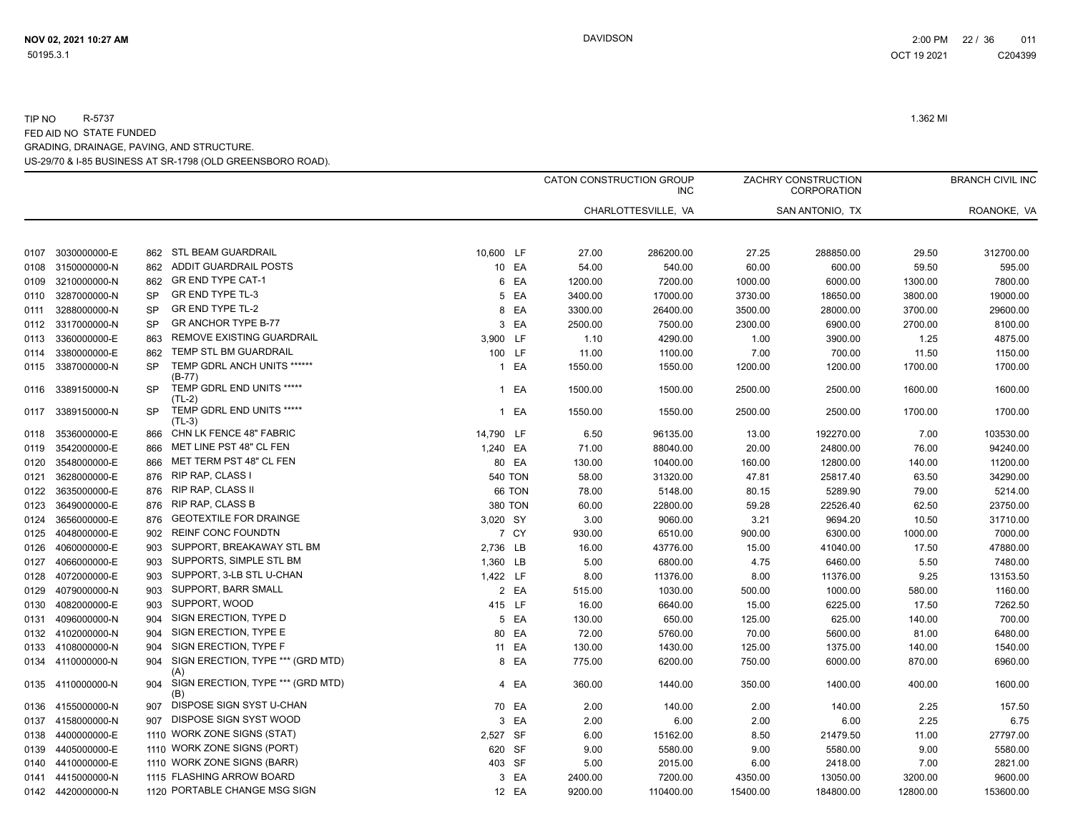|      |                   |                  |                                          |              |                |         | CATON CONSTRUCTION GROUP<br><b>INC</b> |          | ZACHRY CONSTRUCTION<br><b>CORPORATION</b> |          | <b>BRANCH CIVIL INC</b> |
|------|-------------------|------------------|------------------------------------------|--------------|----------------|---------|----------------------------------------|----------|-------------------------------------------|----------|-------------------------|
|      |                   |                  |                                          |              |                |         | CHARLOTTESVILLE, VA                    |          | SAN ANTONIO. TX                           |          | ROANOKE, VA             |
|      |                   |                  | STL BEAM GUARDRAIL                       |              |                |         |                                        |          |                                           |          |                         |
| 0107 | 3030000000-E      | 862<br>862       | ADDIT GUARDRAIL POSTS                    | 10,600 LF    |                | 27.00   | 286200.00                              | 27.25    | 288850.00                                 | 29.50    | 312700.00               |
| 0108 | 3150000000-N      |                  | GR END TYPE CAT-1                        |              | 10 EA          | 54.00   | 540.00                                 | 60.00    | 600.00                                    | 59.50    | 595.00                  |
| 0109 | 3210000000-N      | 862<br><b>SP</b> | <b>GR END TYPE TL-3</b>                  |              | 6 EA           | 1200.00 | 7200.00                                | 1000.00  | 6000.00                                   | 1300.00  | 7800.00                 |
| 0110 | 3287000000-N      | <b>SP</b>        | <b>GR END TYPE TL-2</b>                  |              | 5 EA           | 3400.00 | 17000.00                               | 3730.00  | 18650.00                                  | 3800.00  | 19000.00                |
| 0111 | 3288000000-N      | <b>SP</b>        | <b>GR ANCHOR TYPE B-77</b>               |              | 8 EA           | 3300.00 | 26400.00                               | 3500.00  | 28000.00                                  | 3700.00  | 29600.00                |
| 0112 | 3317000000-N      |                  | REMOVE EXISTING GUARDRAIL                |              | 3 EA           | 2500.00 | 7500.00                                | 2300.00  | 6900.00                                   | 2700.00  | 8100.00                 |
| 0113 | 3360000000-E      | 863              | TEMP STL BM GUARDRAIL                    | 3,900 LF     |                | 1.10    | 4290.00                                | 1.00     | 3900.00                                   | 1.25     | 4875.00                 |
| 0114 | 3380000000-E      | 862<br><b>SP</b> | TEMP GDRL ANCH UNITS ******              |              | 100 LF         | 11.00   | 1100.00                                | 7.00     | 700.00                                    | 11.50    | 1150.00                 |
| 0115 | 3387000000-N      |                  | $(B-77)$                                 | $\mathbf{1}$ | EA             | 1550.00 | 1550.00                                | 1200.00  | 1200.00                                   | 1700.00  | 1700.00                 |
| 0116 | 3389150000-N      | <b>SP</b>        | TEMP GDRL END UNITS *****<br>(TL-2)      | $\mathbf{1}$ | EA             | 1500.00 | 1500.00                                | 2500.00  | 2500.00                                   | 1600.00  | 1600.00                 |
| 0117 | 3389150000-N      | <b>SP</b>        | TEMP GDRL END UNITS *****<br>$(TL-3)$    |              | 1 EA           | 1550.00 | 1550.00                                | 2500.00  | 2500.00                                   | 1700.00  | 1700.00                 |
| 0118 | 3536000000-E      | 866              | CHN LK FENCE 48" FABRIC                  | 14,790 LF    |                | 6.50    | 96135.00                               | 13.00    | 192270.00                                 | 7.00     | 103530.00               |
| 0119 | 3542000000-E      | 866              | MET LINE PST 48" CL FEN                  | 1,240 EA     |                | 71.00   | 88040.00                               | 20.00    | 24800.00                                  | 76.00    | 94240.00                |
| 0120 | 3548000000-E      | 866              | MET TERM PST 48" CL FEN                  |              | 80 EA          | 130.00  | 10400.00                               | 160.00   | 12800.00                                  | 140.00   | 11200.00                |
| 0121 | 3628000000-E      | 876              | <b>RIP RAP, CLASS I</b>                  |              | <b>540 TON</b> | 58.00   | 31320.00                               | 47.81    | 25817.40                                  | 63.50    | 34290.00                |
| 0122 | 3635000000-E      | 876              | <b>RIP RAP, CLASS II</b>                 |              | 66 TON         | 78.00   | 5148.00                                | 80.15    | 5289.90                                   | 79.00    | 5214.00                 |
| 0123 | 3649000000-E      | 876              | <b>RIP RAP, CLASS B</b>                  |              | 380 TON        | 60.00   | 22800.00                               | 59.28    | 22526.40                                  | 62.50    | 23750.00                |
| 0124 | 3656000000-E      | 876              | <b>GEOTEXTILE FOR DRAINGE</b>            | 3,020 SY     |                | 3.00    | 9060.00                                | 3.21     | 9694.20                                   | 10.50    | 31710.00                |
| 0125 | 4048000000-E      | 902              | <b>REINF CONC FOUNDTN</b>                |              | 7 CY           | 930.00  | 6510.00                                | 900.00   | 6300.00                                   | 1000.00  | 7000.00                 |
| 0126 | 4060000000-E      | 903              | SUPPORT, BREAKAWAY STL BM                | 2,736 LB     |                | 16.00   | 43776.00                               | 15.00    | 41040.00                                  | 17.50    | 47880.00                |
| 0127 | 4066000000-E      | 903              | SUPPORTS, SIMPLE STL BM                  | 1,360 LB     |                | 5.00    | 6800.00                                | 4.75     | 6460.00                                   | 5.50     | 7480.00                 |
| 0128 | 4072000000-E      | 903              | SUPPORT, 3-LB STL U-CHAN                 | 1,422 LF     |                | 8.00    | 11376.00                               | 8.00     | 11376.00                                  | 9.25     | 13153.50                |
| 0129 | 4079000000-N      | 903              | SUPPORT, BARR SMALL                      |              | 2 EA           | 515.00  | 1030.00                                | 500.00   | 1000.00                                   | 580.00   | 1160.00                 |
| 0130 | 4082000000-E      | 903              | SUPPORT, WOOD                            |              | 415 LF         | 16.00   | 6640.00                                | 15.00    | 6225.00                                   | 17.50    | 7262.50                 |
| 0131 | 4096000000-N      | 904              | SIGN ERECTION, TYPE D                    |              | 5 EA           | 130.00  | 650.00                                 | 125.00   | 625.00                                    | 140.00   | 700.00                  |
| 0132 | 4102000000-N      | 904              | SIGN ERECTION, TYPE E                    | 80           | EA             | 72.00   | 5760.00                                | 70.00    | 5600.00                                   | 81.00    | 6480.00                 |
| 0133 | 4108000000-N      | 904              | SIGN ERECTION, TYPE F                    |              | 11 EA          | 130.00  | 1430.00                                | 125.00   | 1375.00                                   | 140.00   | 1540.00                 |
|      | 0134 4110000000-N | 904              | SIGN ERECTION, TYPE *** (GRD MTD)<br>(A) |              | 8 EA           | 775.00  | 6200.00                                | 750.00   | 6000.00                                   | 870.00   | 6960.00                 |
| 0135 | 4110000000-N      | 904              | SIGN ERECTION, TYPE *** (GRD MTD)<br>(B) |              | 4 EA           | 360.00  | 1440.00                                | 350.00   | 1400.00                                   | 400.00   | 1600.00                 |
| 0136 | 4155000000-N      | 907              | DISPOSE SIGN SYST U-CHAN                 |              | 70 EA          | 2.00    | 140.00                                 | 2.00     | 140.00                                    | 2.25     | 157.50                  |
| 0137 | 4158000000-N      | 907              | DISPOSE SIGN SYST WOOD                   |              | 3 EA           | 2.00    | 6.00                                   | 2.00     | 6.00                                      | 2.25     | 6.75                    |
| 0138 | 4400000000-E      |                  | 1110 WORK ZONE SIGNS (STAT)              | 2,527 SF     |                | 6.00    | 15162.00                               | 8.50     | 21479.50                                  | 11.00    | 27797.00                |
| 0139 | 4405000000-E      |                  | 1110 WORK ZONE SIGNS (PORT)              |              | 620 SF         | 9.00    | 5580.00                                | 9.00     | 5580.00                                   | 9.00     | 5580.00                 |
| 0140 | 4410000000-E      |                  | 1110 WORK ZONE SIGNS (BARR)              |              | 403 SF         | 5.00    | 2015.00                                | 6.00     | 2418.00                                   | 7.00     | 2821.00                 |
| 0141 | 4415000000-N      |                  | 1115 FLASHING ARROW BOARD                |              | 3 EA           | 2400.00 | 7200.00                                | 4350.00  | 13050.00                                  | 3200.00  | 9600.00                 |
|      | 0142 4420000000-N |                  | 1120 PORTABLE CHANGE MSG SIGN            |              | 12 EA          | 9200.00 | 110400.00                              | 15400.00 | 184800.00                                 | 12800.00 | 153600.00               |
|      |                   |                  |                                          |              |                |         |                                        |          |                                           |          |                         |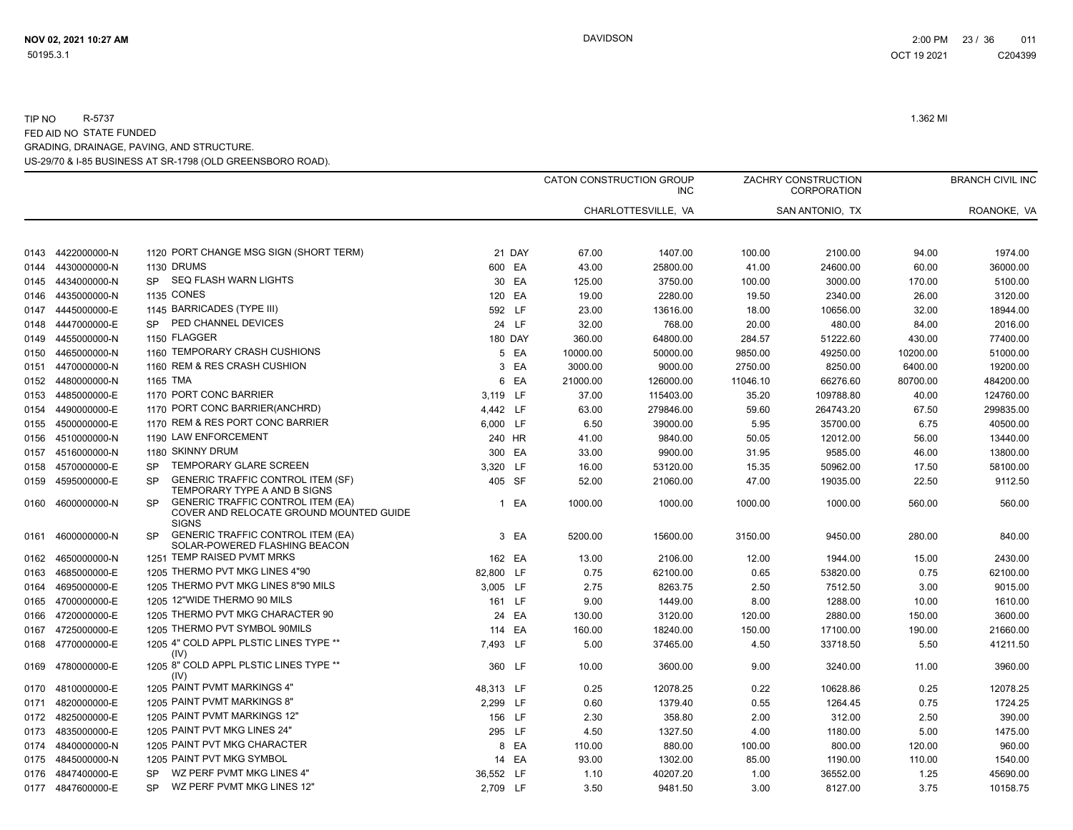|      |                   |                                                                                                                  |                |        | CATON CONSTRUCTION GROUP | <b>INC</b>          |          | ZACHRY CONSTRUCTION<br>CORPORATION |          | <b>BRANCH CIVIL INC</b> |
|------|-------------------|------------------------------------------------------------------------------------------------------------------|----------------|--------|--------------------------|---------------------|----------|------------------------------------|----------|-------------------------|
|      |                   |                                                                                                                  |                |        |                          | CHARLOTTESVILLE, VA |          | SAN ANTONIO, TX                    |          | ROANOKE, VA             |
| 0143 | 4422000000-N      | 1120 PORT CHANGE MSG SIGN (SHORT TERM)                                                                           |                | 21 DAY | 67.00                    | 1407.00             | 100.00   | 2100.00                            | 94.00    | 1974.00                 |
| 0144 | 4430000000-N      | 1130 DRUMS                                                                                                       | 600 EA         |        | 43.00                    | 25800.00            | 41.00    | 24600.00                           | 60.00    | 36000.00                |
| 0145 | 4434000000-N      | <b>SEQ FLASH WARN LIGHTS</b><br>SP.                                                                              | 30             | EA     | 125.00                   | 3750.00             | 100.00   | 3000.00                            | 170.00   | 5100.00                 |
| 0146 | 4435000000-N      | <b>1135 CONES</b>                                                                                                | 120 EA         |        | 19.00                    | 2280.00             | 19.50    | 2340.00                            | 26.00    | 3120.00                 |
| 0147 | 4445000000-E      | 1145 BARRICADES (TYPE III)                                                                                       | 592 LF         |        | 23.00                    | 13616.00            | 18.00    | 10656.00                           | 32.00    | 18944.00                |
| 0148 | 4447000000-E      | PED CHANNEL DEVICES<br><b>SP</b>                                                                                 |                | 24 LF  | 32.00                    | 768.00              | 20.00    | 480.00                             | 84.00    | 2016.00                 |
| 0149 | 4455000000-N      | 1150 FLAGGER                                                                                                     | <b>180 DAY</b> |        | 360.00                   | 64800.00            | 284.57   | 51222.60                           | 430.00   | 77400.00                |
| 0150 | 4465000000-N      | 1160 TEMPORARY CRASH CUSHIONS                                                                                    |                | 5 EA   | 10000.00                 | 50000.00            | 9850.00  | 49250.00                           | 10200.00 | 51000.00                |
| 0151 | 4470000000-N      | 1160 REM & RES CRASH CUSHION                                                                                     |                | 3 EA   | 3000.00                  | 9000.00             | 2750.00  | 8250.00                            | 6400.00  | 19200.00                |
|      | 0152 4480000000-N | 1165 TMA                                                                                                         |                | 6 EA   | 21000.00                 | 126000.00           | 11046.10 | 66276.60                           | 80700.00 | 484200.00               |
| 0153 | 4485000000-E      | 1170 PORT CONC BARRIER                                                                                           | 3,119 LF       |        | 37.00                    | 115403.00           | 35.20    | 109788.80                          | 40.00    | 124760.00               |
| 0154 | 4490000000-E      | 1170 PORT CONC BARRIER(ANCHRD)                                                                                   | 4,442 LF       |        | 63.00                    | 279846.00           | 59.60    | 264743.20                          | 67.50    | 299835.00               |
| 0155 | 4500000000-E      | 1170 REM & RES PORT CONC BARRIER                                                                                 | 6,000 LF       |        | 6.50                     | 39000.00            | 5.95     | 35700.00                           | 6.75     | 40500.00                |
| 0156 | 4510000000-N      | 1190 LAW ENFORCEMENT                                                                                             | 240 HR         |        | 41.00                    | 9840.00             | 50.05    | 12012.00                           | 56.00    | 13440.00                |
| 0157 | 4516000000-N      | 1180 SKINNY DRUM                                                                                                 | 300 EA         |        | 33.00                    | 9900.00             | 31.95    | 9585.00                            | 46.00    | 13800.00                |
| 0158 | 4570000000-E      | TEMPORARY GLARE SCREEN<br><b>SP</b>                                                                              | 3,320 LF       |        | 16.00                    | 53120.00            | 15.35    | 50962.00                           | 17.50    | 58100.00                |
| 0159 | 4595000000-E      | <b>GENERIC TRAFFIC CONTROL ITEM (SF)</b><br><b>SP</b><br>TEMPORARY TYPE A AND B SIGNS                            | 405 SF         |        | 52.00                    | 21060.00            | 47.00    | 19035.00                           | 22.50    | 9112.50                 |
|      | 0160 4600000000-N | <b>GENERIC TRAFFIC CONTROL ITEM (EA)</b><br><b>SP</b><br>COVER AND RELOCATE GROUND MOUNTED GUIDE<br><b>SIGNS</b> |                | 1 EA   | 1000.00                  | 1000.00             | 1000.00  | 1000.00                            | 560.00   | 560.00                  |
| 0161 | 4600000000-N      | <b>GENERIC TRAFFIC CONTROL ITEM (EA)</b><br><b>SP</b><br>SOLAR-POWERED FLASHING BEACON                           |                | 3 EA   | 5200.00                  | 15600.00            | 3150.00  | 9450.00                            | 280.00   | 840.00                  |
| 0162 | 4650000000-N      | 1251 TEMP RAISED PVMT MRKS                                                                                       | 162 EA         |        | 13.00                    | 2106.00             | 12.00    | 1944.00                            | 15.00    | 2430.00                 |
| 0163 | 4685000000-E      | 1205 THERMO PVT MKG LINES 4"90                                                                                   | 82.800 LF      |        | 0.75                     | 62100.00            | 0.65     | 53820.00                           | 0.75     | 62100.00                |
| 0164 | 4695000000-E      | 1205 THERMO PVT MKG LINES 8"90 MILS                                                                              | 3,005 LF       |        | 2.75                     | 8263.75             | 2.50     | 7512.50                            | 3.00     | 9015.00                 |
| 0165 | 4700000000-E      | 1205 12"WIDE THERMO 90 MILS                                                                                      | 161 LF         |        | 9.00                     | 1449.00             | 8.00     | 1288.00                            | 10.00    | 1610.00                 |
| 0166 | 4720000000-E      | 1205 THERMO PVT MKG CHARACTER 90                                                                                 |                | 24 EA  | 130.00                   | 3120.00             | 120.00   | 2880.00                            | 150.00   | 3600.00                 |
| 0167 | 4725000000-E      | 1205 THERMO PVT SYMBOL 90MILS                                                                                    | 114 EA         |        | 160.00                   | 18240.00            | 150.00   | 17100.00                           | 190.00   | 21660.00                |
|      | 0168 4770000000-E | 1205 4" COLD APPL PLSTIC LINES TYPE **<br>(IV)                                                                   | 7,493 LF       |        | 5.00                     | 37465.00            | 4.50     | 33718.50                           | 5.50     | 41211.50                |
| 0169 | 4780000000-E      | 1205 8" COLD APPL PLSTIC LINES TYPE **<br>(IV)                                                                   | 360 LF         |        | 10.00                    | 3600.00             | 9.00     | 3240.00                            | 11.00    | 3960.00                 |
| 0170 | 4810000000-E      | 1205 PAINT PVMT MARKINGS 4"                                                                                      | 48,313 LF      |        | 0.25                     | 12078.25            | 0.22     | 10628.86                           | 0.25     | 12078.25                |
| 0171 | 4820000000-E      | 1205 PAINT PVMT MARKINGS 8"                                                                                      | 2,299 LF       |        | 0.60                     | 1379.40             | 0.55     | 1264.45                            | 0.75     | 1724.25                 |
| 0172 | 4825000000-E      | 1205 PAINT PVMT MARKINGS 12"                                                                                     | 156 LF         |        | 2.30                     | 358.80              | 2.00     | 312.00                             | 2.50     | 390.00                  |
| 0173 | 4835000000-E      | 1205 PAINT PVT MKG LINES 24"                                                                                     | 295 LF         |        | 4.50                     | 1327.50             | 4.00     | 1180.00                            | 5.00     | 1475.00                 |
| 0174 | 4840000000-N      | 1205 PAINT PVT MKG CHARACTER                                                                                     |                | 8 EA   | 110.00                   | 880.00              | 100.00   | 800.00                             | 120.00   | 960.00                  |
| 0175 | 4845000000-N      | 1205 PAINT PVT MKG SYMBOL                                                                                        |                | 14 EA  | 93.00                    | 1302.00             | 85.00    | 1190.00                            | 110.00   | 1540.00                 |
| 0176 | 4847400000-E      | WZ PERF PVMT MKG LINES 4"<br><b>SP</b>                                                                           | 36,552 LF      |        | 1.10                     | 40207.20            | 1.00     | 36552.00                           | 1.25     | 45690.00                |
|      | 0177 4847600000-E | WZ PERF PVMT MKG LINES 12"<br>SP.                                                                                | 2,709 LF       |        | 3.50                     | 9481.50             | 3.00     | 8127.00                            | 3.75     | 10158.75                |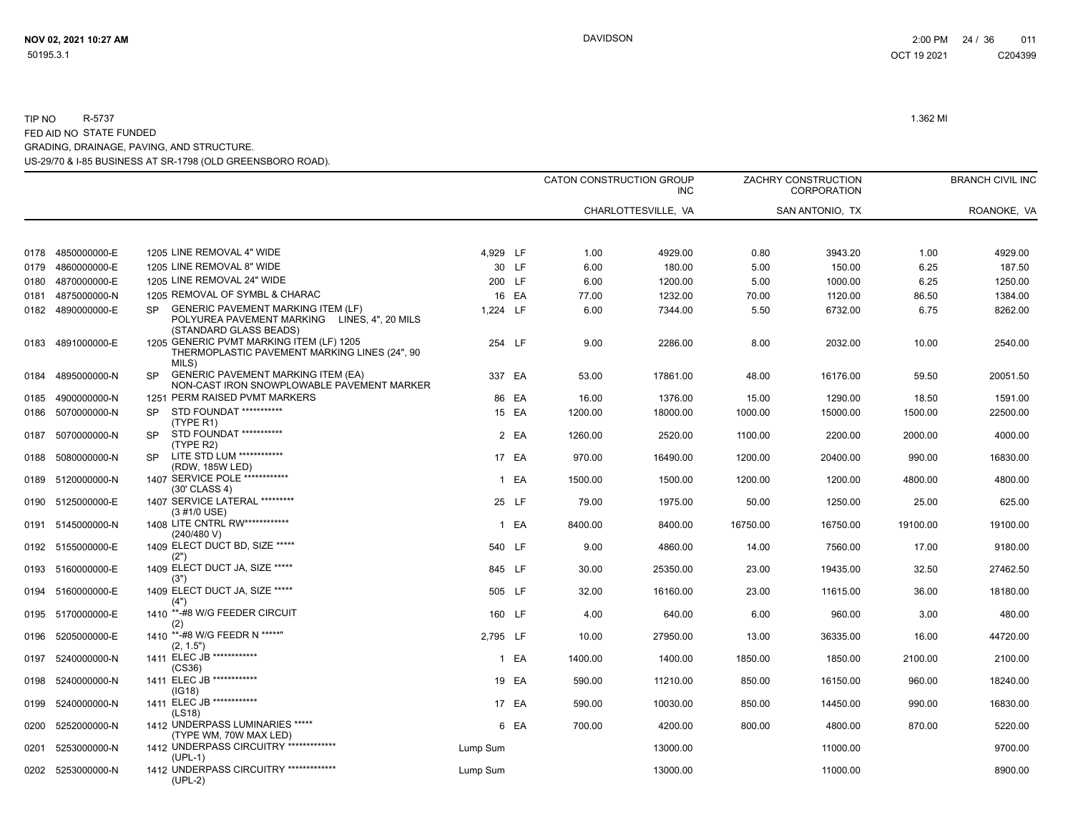|              |                   |           |                                                                                                                     |          |           |              | CATON CONSTRUCTION GROUP<br><b>INC</b> |              | ZACHRY CONSTRUCTION<br>CORPORATION |              | <b>BRANCH CIVIL INC</b> |
|--------------|-------------------|-----------|---------------------------------------------------------------------------------------------------------------------|----------|-----------|--------------|----------------------------------------|--------------|------------------------------------|--------------|-------------------------|
|              |                   |           |                                                                                                                     |          |           |              | CHARLOTTESVILLE, VA                    |              | SAN ANTONIO, TX                    |              | ROANOKE, VA             |
|              | 4850000000-E      |           | 1205 LINE REMOVAL 4" WIDE                                                                                           | 4.929 LF |           |              |                                        |              |                                    |              |                         |
| 0178<br>0179 | 4860000000-E      |           | 1205 LINE REMOVAL 8" WIDE                                                                                           |          | 30 LF     | 1.00<br>6.00 | 4929.00<br>180.00                      | 0.80<br>5.00 | 3943.20<br>150.00                  | 1.00<br>6.25 | 4929.00<br>187.50       |
| 0180         | 4870000000-E      |           | 1205 LINE REMOVAL 24" WIDE                                                                                          |          | 200 LF    | 6.00         | 1200.00                                | 5.00         | 1000.00                            | 6.25         | 1250.00                 |
| 0181         | 4875000000-N      |           | 1205 REMOVAL OF SYMBL & CHARAC                                                                                      |          | 16 EA     | 77.00        | 1232.00                                | 70.00        | 1120.00                            | 86.50        | 1384.00                 |
|              | 0182 4890000000-E | <b>SP</b> | <b>GENERIC PAVEMENT MARKING ITEM (LF)</b><br>POLYUREA PAVEMENT MARKING LINES, 4", 20 MILS<br>(STANDARD GLASS BEADS) | 1.224    | <b>LF</b> | 6.00         | 7344.00                                | 5.50         | 6732.00                            | 6.75         | 8262.00                 |
|              | 0183 4891000000-E |           | 1205 GENERIC PVMT MARKING ITEM (LF) 1205<br>THERMOPLASTIC PAVEMENT MARKING LINES (24", 90<br>MILS)                  |          | 254 LF    | 9.00         | 2286.00                                | 8.00         | 2032.00                            | 10.00        | 2540.00                 |
| 0184         | 4895000000-N      | <b>SP</b> | <b>GENERIC PAVEMENT MARKING ITEM (EA)</b><br>NON-CAST IRON SNOWPLOWABLE PAVEMENT MARKER                             |          | 337 EA    | 53.00        | 17861.00                               | 48.00        | 16176.00                           | 59.50        | 20051.50                |
| 0185         | 4900000000-N      |           | 1251 PERM RAISED PVMT MARKERS                                                                                       |          | 86 EA     | 16.00        | 1376.00                                | 15.00        | 1290.00                            | 18.50        | 1591.00                 |
| 0186         | 5070000000-N      | <b>SP</b> | STD FOUNDAT ***********<br>(TYPE R1)                                                                                |          | 15 EA     | 1200.00      | 18000.00                               | 1000.00      | 15000.00                           | 1500.00      | 22500.00                |
| 0187         | 5070000000-N      | <b>SP</b> | STD FOUNDAT ***********<br>(TYPE R2)                                                                                |          | 2 EA      | 1260.00      | 2520.00                                | 1100.00      | 2200.00                            | 2000.00      | 4000.00                 |
| 0188         | 5080000000-N      | SP.       | LITE STD LUM ************<br>(RDW, 185W LED)                                                                        |          | 17 EA     | 970.00       | 16490.00                               | 1200.00      | 20400.00                           | 990.00       | 16830.00                |
|              | 0189 5120000000-N |           | 1407 SERVICE POLE ************<br>(30' CLASS 4)                                                                     |          | 1 EA      | 1500.00      | 1500.00                                | 1200.00      | 1200.00                            | 4800.00      | 4800.00                 |
| 0190         | 5125000000-E      |           | 1407 SERVICE LATERAL *********<br>(3 #1/0 USE)                                                                      |          | 25 LF     | 79.00        | 1975.00                                | 50.00        | 1250.00                            | 25.00        | 625.00                  |
| 0191         | 5145000000-N      |           | 1408 LITE CNTRL RW *************<br>(240/480 V)                                                                     |          | 1 EA      | 8400.00      | 8400.00                                | 16750.00     | 16750.00                           | 19100.00     | 19100.00                |
|              | 0192 5155000000-E |           | 1409 ELECT DUCT BD, SIZE *****<br>(2")                                                                              |          | 540 LF    | 9.00         | 4860.00                                | 14.00        | 7560.00                            | 17.00        | 9180.00                 |
|              | 0193 5160000000-E |           | 1409 ELECT DUCT JA, SIZE *****<br>(3")                                                                              |          | 845 LF    | 30.00        | 25350.00                               | 23.00        | 19435.00                           | 32.50        | 27462.50                |
| 0194         | 5160000000-E      |           | 1409 ELECT DUCT JA, SIZE *****<br>(4")                                                                              |          | 505 LF    | 32.00        | 16160.00                               | 23.00        | 11615.00                           | 36.00        | 18180.00                |
| 0195         | 5170000000-E      | 1410      | **-#8 W/G FEEDER CIRCUIT<br>(2)                                                                                     |          | 160 LF    | 4.00         | 640.00                                 | 6.00         | 960.00                             | 3.00         | 480.00                  |
| 0196         | 5205000000-E      |           | 1410 **-#8 W/G FEEDR N *****"<br>(2, 1.5")                                                                          | 2,795 LF |           | 10.00        | 27950.00                               | 13.00        | 36335.00                           | 16.00        | 44720.00                |
| 0197         | 5240000000-N      |           | 1411 ELEC JB ************<br>(CS36)                                                                                 |          | 1 EA      | 1400.00      | 1400.00                                | 1850.00      | 1850.00                            | 2100.00      | 2100.00                 |
| 0198         | 5240000000-N      |           | 1411 ELEC JB ************<br>(IG18)                                                                                 |          | 19 EA     | 590.00       | 11210.00                               | 850.00       | 16150.00                           | 960.00       | 18240.00                |
| 0199         | 5240000000-N      |           | 1411 ELEC JB ************<br>(LS18)                                                                                 |          | 17 EA     | 590.00       | 10030.00                               | 850.00       | 14450.00                           | 990.00       | 16830.00                |
| 0200         | 5252000000-N      |           | 1412 UNDERPASS LUMINARIES *****<br>(TYPE WM, 70W MAX LED)                                                           |          | 6 EA      | 700.00       | 4200.00                                | 800.00       | 4800.00                            | 870.00       | 5220.00                 |
| 0201         | 5253000000-N      |           | 1412 UNDERPASS CIRCUITRY **************<br>$(UPL-1)$                                                                | Lump Sum |           |              | 13000.00                               |              | 11000.00                           |              | 9700.00                 |
|              | 0202 5253000000-N |           | 1412 UNDERPASS CIRCUITRY **************<br>$(UPL-2)$                                                                | Lump Sum |           |              | 13000.00                               |              | 11000.00                           |              | 8900.00                 |

 OCT 19 2021 C204399C204399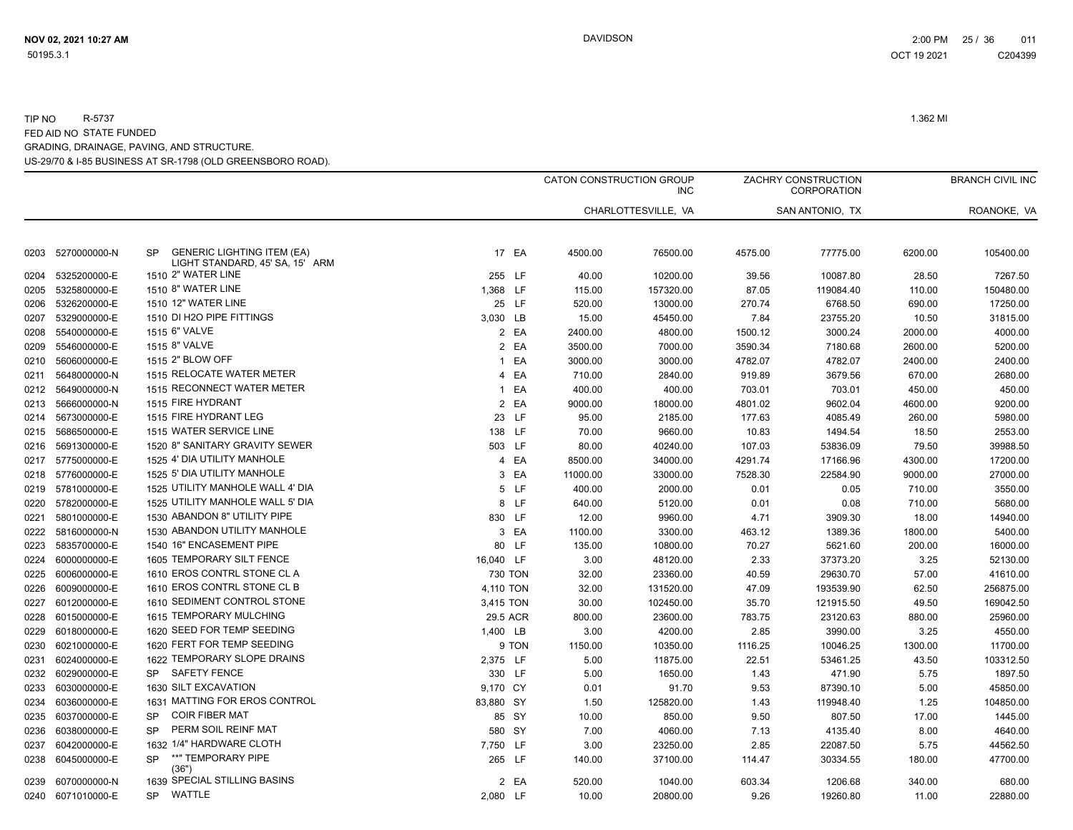|      |                   |                                                                                   |                      |          | CATON CONSTRUCTION GROUP<br><b>INC</b> |         | ZACHRY CONSTRUCTION<br><b>CORPORATION</b> |         | <b>BRANCH CIVIL INC</b> |
|------|-------------------|-----------------------------------------------------------------------------------|----------------------|----------|----------------------------------------|---------|-------------------------------------------|---------|-------------------------|
|      |                   |                                                                                   |                      |          | CHARLOTTESVILLE, VA                    |         | SAN ANTONIO, TX                           |         | ROANOKE, VA             |
| 0203 | 5270000000-N      | <b>GENERIC LIGHTING ITEM (EA)</b><br><b>SP</b><br>LIGHT STANDARD, 45' SA, 15' ARM | 17 EA                | 4500.00  | 76500.00                               | 4575.00 | 77775.00                                  | 6200.00 | 105400.00               |
| 0204 | 5325200000-E      | 1510 2" WATER LINE                                                                | 255 LF               | 40.00    | 10200.00                               | 39.56   | 10087.80                                  | 28.50   | 7267.50                 |
| 0205 | 5325800000-E      | 1510 8" WATER LINE                                                                | 1,368 LF             | 115.00   | 157320.00                              | 87.05   | 119084.40                                 | 110.00  | 150480.00               |
| 0206 | 5326200000-E      | 1510 12" WATER LINE                                                               | 25 LF                | 520.00   | 13000.00                               | 270.74  | 6768.50                                   | 690.00  | 17250.00                |
| 0207 | 5329000000-E      | 1510 DI H2O PIPE FITTINGS                                                         | 3,030 LB             | 15.00    | 45450.00                               | 7.84    | 23755.20                                  | 10.50   | 31815.00                |
| 0208 | 5540000000-E      | 1515 6" VALVE                                                                     | 2 EA                 | 2400.00  | 4800.00                                | 1500.12 | 3000.24                                   | 2000.00 | 4000.00                 |
| 0209 | 5546000000-E      | 1515 8" VALVE                                                                     | 2 EA                 | 3500.00  | 7000.00                                | 3590.34 | 7180.68                                   | 2600.00 | 5200.00                 |
| 0210 | 5606000000-E      | 1515 2" BLOW OFF                                                                  | EA<br>$\mathbf{1}$   | 3000.00  | 3000.00                                | 4782.07 | 4782.07                                   | 2400.00 | 2400.00                 |
| 0211 | 5648000000-N      | 1515 RELOCATE WATER METER                                                         | EA<br>$\overline{4}$ | 710.00   | 2840.00                                | 919.89  | 3679.56                                   | 670.00  | 2680.00                 |
| 0212 | 5649000000-N      | 1515 RECONNECT WATER METER                                                        | 1 EA                 | 400.00   | 400.00                                 | 703.01  | 703.01                                    | 450.00  | 450.00                  |
| 0213 | 5666000000-N      | 1515 FIRE HYDRANT                                                                 | 2 EA                 | 9000.00  | 18000.00                               | 4801.02 | 9602.04                                   | 4600.00 | 9200.00                 |
| 0214 | 5673000000-E      | 1515 FIRE HYDRANT LEG                                                             | 23 LF                | 95.00    | 2185.00                                | 177.63  | 4085.49                                   | 260.00  | 5980.00                 |
| 0215 | 5686500000-E      | 1515 WATER SERVICE LINE                                                           | 138 LF               | 70.00    | 9660.00                                | 10.83   | 1494.54                                   | 18.50   | 2553.00                 |
| 0216 | 5691300000-E      | 1520 8" SANITARY GRAVITY SEWER                                                    | 503 LF               | 80.00    | 40240.00                               | 107.03  | 53836.09                                  | 79.50   | 39988.50                |
| 0217 | 5775000000-E      | 1525 4' DIA UTILITY MANHOLE                                                       | 4 EA                 | 8500.00  | 34000.00                               | 4291.74 | 17166.96                                  | 4300.00 | 17200.00                |
| 0218 | 5776000000-E      | 1525 5' DIA UTILITY MANHOLE                                                       | 3 EA                 | 11000.00 | 33000.00                               | 7528.30 | 22584.90                                  | 9000.00 | 27000.00                |
| 0219 | 5781000000-E      | 1525 UTILITY MANHOLE WALL 4' DIA                                                  | 5 LF                 | 400.00   | 2000.00                                | 0.01    | 0.05                                      | 710.00  | 3550.00                 |
| 0220 | 5782000000-E      | 1525 UTILITY MANHOLE WALL 5' DIA                                                  | 8 LF                 | 640.00   | 5120.00                                | 0.01    | 0.08                                      | 710.00  | 5680.00                 |
| 0221 | 5801000000-E      | 1530 ABANDON 8" UTILITY PIPE                                                      | 830 LF               | 12.00    | 9960.00                                | 4.71    | 3909.30                                   | 18.00   | 14940.00                |
| 0222 | 5816000000-N      | 1530 ABANDON UTILITY MANHOLE                                                      | 3 EA                 | 1100.00  | 3300.00                                | 463.12  | 1389.36                                   | 1800.00 | 5400.00                 |
| 0223 | 5835700000-E      | 1540 16" ENCASEMENT PIPE                                                          | 80 LF                | 135.00   | 10800.00                               | 70.27   | 5621.60                                   | 200.00  | 16000.00                |
| 0224 | 6000000000-E      | 1605 TEMPORARY SILT FENCE                                                         | 16,040 LF            | 3.00     | 48120.00                               | 2.33    | 37373.20                                  | 3.25    | 52130.00                |
| 0225 | 6006000000-E      | 1610 EROS CONTRL STONE CL A                                                       | 730 TON              | 32.00    | 23360.00                               | 40.59   | 29630.70                                  | 57.00   | 41610.00                |
| 0226 | 6009000000-E      | 1610 EROS CONTRL STONE CL B                                                       | 4,110 TON            | 32.00    | 131520.00                              | 47.09   | 193539.90                                 | 62.50   | 256875.00               |
| 0227 | 6012000000-E      | 1610 SEDIMENT CONTROL STONE                                                       | 3,415 TON            | 30.00    | 102450.00                              | 35.70   | 121915.50                                 | 49.50   | 169042.50               |
| 0228 | 6015000000-E      | 1615 TEMPORARY MULCHING                                                           | 29.5 ACR             | 800.00   | 23600.00                               | 783.75  | 23120.63                                  | 880.00  | 25960.00                |
| 0229 | 6018000000-E      | 1620 SEED FOR TEMP SEEDING                                                        | 1,400 LB             | 3.00     | 4200.00                                | 2.85    | 3990.00                                   | 3.25    | 4550.00                 |
| 0230 | 6021000000-E      | 1620 FERT FOR TEMP SEEDING                                                        | 9 TON                | 1150.00  | 10350.00                               | 1116.25 | 10046.25                                  | 1300.00 | 11700.00                |
| 0231 | 6024000000-E      | 1622 TEMPORARY SLOPE DRAINS                                                       | 2,375 LF             | 5.00     | 11875.00                               | 22.51   | 53461.25                                  | 43.50   | 103312.50               |
| 0232 | 6029000000-E      | <b>SAFETY FENCE</b><br><b>SP</b>                                                  | 330 LF               | 5.00     | 1650.00                                | 1.43    | 471.90                                    | 5.75    | 1897.50                 |
| 0233 | 6030000000-E      | 1630 SILT EXCAVATION                                                              | 9,170 CY             | 0.01     | 91.70                                  | 9.53    | 87390.10                                  | 5.00    | 45850.00                |
| 0234 | 6036000000-E      | 1631 MATTING FOR EROS CONTROL                                                     | 83,880 SY            | 1.50     | 125820.00                              | 1.43    | 119948.40                                 | 1.25    | 104850.00               |
| 0235 | 6037000000-E      | <b>COIR FIBER MAT</b><br><b>SP</b>                                                | 85 SY                | 10.00    | 850.00                                 | 9.50    | 807.50                                    | 17.00   | 1445.00                 |
| 0236 | 6038000000-E      | PERM SOIL REINF MAT<br><b>SP</b>                                                  | 580 SY               | 7.00     | 4060.00                                | 7.13    | 4135.40                                   | 8.00    | 4640.00                 |
| 0237 | 6042000000-E      | 1632 1/4" HARDWARE CLOTH                                                          | 7,750 LF             | 3.00     | 23250.00                               | 2.85    | 22087.50                                  | 5.75    | 44562.50                |
| 0238 | 6045000000-E      | **" TEMPORARY PIPE<br><b>SP</b><br>(36")                                          | 265 LF               | 140.00   | 37100.00                               | 114.47  | 30334.55                                  | 180.00  | 47700.00                |
| 0239 | 6070000000-N      | 1639 SPECIAL STILLING BASINS                                                      | 2 EA                 | 520.00   | 1040.00                                | 603.34  | 1206.68                                   | 340.00  | 680.00                  |
|      | 0240 6071010000-E | <b>WATTLE</b><br><b>SP</b>                                                        | 2.080 LF             | 10.00    | 20800.00                               | 9.26    | 19260.80                                  | 11.00   | 22880.00                |

**NOV 02, 2021 10:27 AM** DAVIDSON 2:00 PM 25 / 36 011 OCT 19 2021 C204399C204399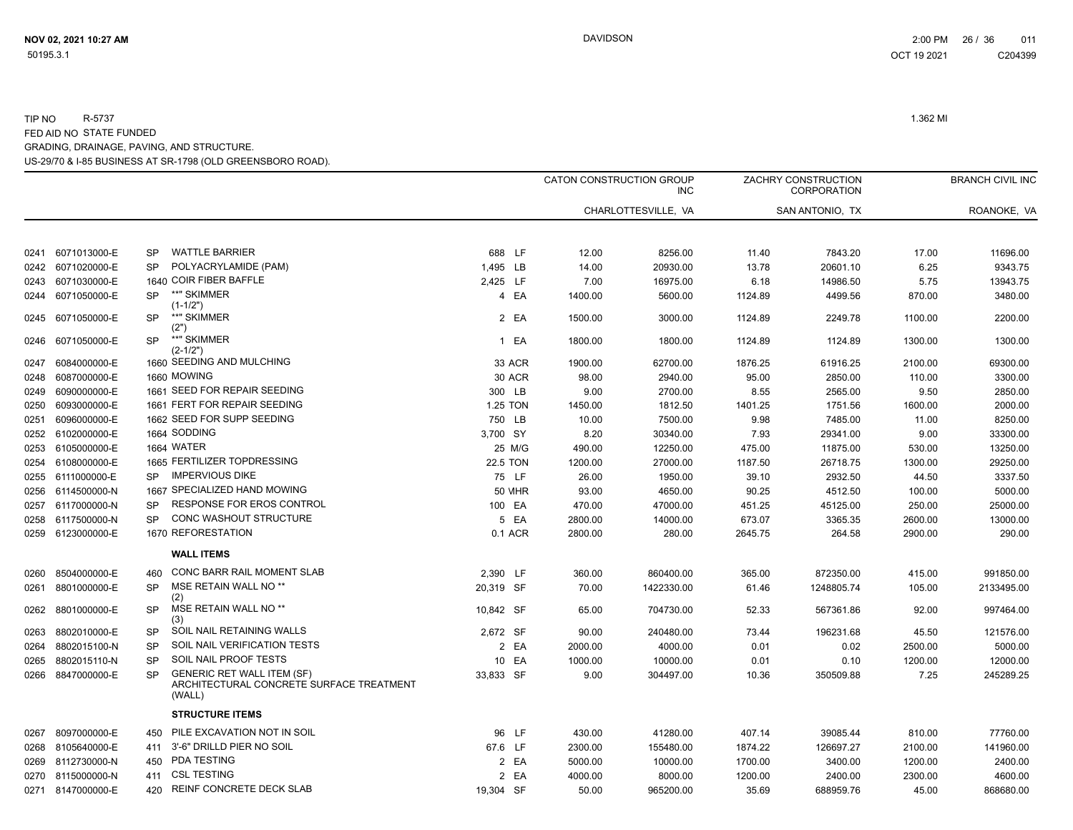|      |                   |           |                                                                                         |           |               |         | CATON CONSTRUCTION GROUP<br><b>INC</b> |         | ZACHRY CONSTRUCTION<br><b>CORPORATION</b> |         | <b>BRANCH CIVIL INC</b> |
|------|-------------------|-----------|-----------------------------------------------------------------------------------------|-----------|---------------|---------|----------------------------------------|---------|-------------------------------------------|---------|-------------------------|
|      |                   |           |                                                                                         |           |               |         | CHARLOTTESVILLE, VA                    |         | SAN ANTONIO, TX                           |         | ROANOKE, VA             |
|      |                   |           |                                                                                         |           |               |         |                                        |         |                                           |         |                         |
|      | 0241 6071013000-E | SP.       | <b>WATTLE BARRIER</b>                                                                   | 688 LF    |               | 12.00   | 8256.00                                | 11.40   | 7843.20                                   | 17.00   | 11696.00                |
|      | 0242 6071020000-E | <b>SP</b> | POLYACRYLAMIDE (PAM)                                                                    | 1,495 LB  |               | 14.00   | 20930.00                               | 13.78   | 20601.10                                  | 6.25    | 9343.75                 |
|      | 0243 6071030000-E |           | 1640 COIR FIBER BAFFLE                                                                  | 2,425 LF  |               | 7.00    | 16975.00                               | 6.18    | 14986.50                                  | 5.75    | 13943.75                |
|      | 0244 6071050000-E | SP.       | **" SKIMMER<br>(1-1/2")                                                                 |           | 4 EA          | 1400.00 | 5600.00                                | 1124.89 | 4499.56                                   | 870.00  | 3480.00                 |
|      | 0245 6071050000-E | <b>SP</b> | **" SKIMMER<br>(2")                                                                     |           | 2 EA          | 1500.00 | 3000.00                                | 1124.89 | 2249.78                                   | 1100.00 | 2200.00                 |
|      | 0246 6071050000-E | <b>SP</b> | **" SKIMMER<br>$(2 - 1/2")$                                                             |           | 1 EA          | 1800.00 | 1800.00                                | 1124.89 | 1124.89                                   | 1300.00 | 1300.00                 |
| 0247 | 6084000000-E      |           | 1660 SEEDING AND MULCHING                                                               |           | 33 ACR        | 1900.00 | 62700.00                               | 1876.25 | 61916.25                                  | 2100.00 | 69300.00                |
| 0248 | 6087000000-E      |           | 1660 MOWING                                                                             |           | 30 ACR        | 98.00   | 2940.00                                | 95.00   | 2850.00                                   | 110.00  | 3300.00                 |
|      | 0249 6090000000-E |           | 1661 SEED FOR REPAIR SEEDING                                                            | 300 LB    |               | 9.00    | 2700.00                                | 8.55    | 2565.00                                   | 9.50    | 2850.00                 |
| 0250 | 6093000000-E      |           | 1661 FERT FOR REPAIR SEEDING                                                            | 1.25 TON  |               | 1450.00 | 1812.50                                | 1401.25 | 1751.56                                   | 1600.00 | 2000.00                 |
| 0251 | 6096000000-E      |           | 1662 SEED FOR SUPP SEEDING                                                              | 750 LB    |               | 10.00   | 7500.00                                | 9.98    | 7485.00                                   | 11.00   | 8250.00                 |
|      | 0252 6102000000-E |           | 1664 SODDING                                                                            | 3,700 SY  |               | 8.20    | 30340.00                               | 7.93    | 29341.00                                  | 9.00    | 33300.00                |
|      | 0253 6105000000-E |           | 1664 WATER                                                                              |           | 25 M/G        | 490.00  | 12250.00                               | 475.00  | 11875.00                                  | 530.00  | 13250.00                |
|      | 0254 6108000000-E |           | 1665 FERTILIZER TOPDRESSING                                                             | 22.5 TON  |               | 1200.00 | 27000.00                               | 1187.50 | 26718.75                                  | 1300.00 | 29250.00                |
|      | 0255 6111000000-E | SP.       | <b>IMPERVIOUS DIKE</b>                                                                  |           | 75 LF         | 26.00   | 1950.00                                | 39.10   | 2932.50                                   | 44.50   | 3337.50                 |
|      | 0256 6114500000-N |           | 1667 SPECIALIZED HAND MOWING                                                            |           | <b>50 MHR</b> | 93.00   | 4650.00                                | 90.25   | 4512.50                                   | 100.00  | 5000.00                 |
|      | 0257 6117000000-N | SP        | RESPONSE FOR EROS CONTROL                                                               | 100 EA    |               | 470.00  | 47000.00                               | 451.25  | 45125.00                                  | 250.00  | 25000.00                |
|      | 0258 6117500000-N | SP        | CONC WASHOUT STRUCTURE                                                                  |           | 5 EA          | 2800.00 | 14000.00                               | 673.07  | 3365.35                                   | 2600.00 | 13000.00                |
|      | 0259 6123000000-E |           | 1670 REFORESTATION                                                                      |           | 0.1 ACR       | 2800.00 | 280.00                                 | 2645.75 | 264.58                                    | 2900.00 | 290.00                  |
|      |                   |           | <b>WALL ITEMS</b>                                                                       |           |               |         |                                        |         |                                           |         |                         |
|      | 0260 8504000000-E | 460       | CONC BARR RAIL MOMENT SLAB                                                              | 2,390 LF  |               | 360.00  | 860400.00                              | 365.00  | 872350.00                                 | 415.00  | 991850.00               |
| 0261 | 8801000000-E      | <b>SP</b> | MSE RETAIN WALL NO <sup>**</sup><br>(2)                                                 | 20,319 SF |               | 70.00   | 1422330.00                             | 61.46   | 1248805.74                                | 105.00  | 2133495.00              |
| 0262 | 8801000000-E      | <b>SP</b> | MSE RETAIN WALL NO <sup>**</sup><br>(3)                                                 | 10,842 SF |               | 65.00   | 704730.00                              | 52.33   | 567361.86                                 | 92.00   | 997464.00               |
|      | 0263 8802010000-E | <b>SP</b> | SOIL NAIL RETAINING WALLS                                                               | 2.672 SF  |               | 90.00   | 240480.00                              | 73.44   | 196231.68                                 | 45.50   | 121576.00               |
| 0264 | 8802015100-N      | <b>SP</b> | SOIL NAIL VERIFICATION TESTS                                                            |           | 2 EA          | 2000.00 | 4000.00                                | 0.01    | 0.02                                      | 2500.00 | 5000.00                 |
| 0265 | 8802015110-N      | <b>SP</b> | SOIL NAIL PROOF TESTS                                                                   |           | 10 EA         | 1000.00 | 10000.00                               | 0.01    | 0.10                                      | 1200.00 | 12000.00                |
| 0266 | 8847000000-E      | SP        | <b>GENERIC RET WALL ITEM (SF)</b><br>ARCHITECTURAL CONCRETE SURFACE TREATMENT<br>(WALL) | 33,833 SF |               | 9.00    | 304497.00                              | 10.36   | 350509.88                                 | 7.25    | 245289.25               |
|      |                   |           | <b>STRUCTURE ITEMS</b>                                                                  |           |               |         |                                        |         |                                           |         |                         |
| 0267 | 8097000000-E      | 450       | PILE EXCAVATION NOT IN SOIL                                                             |           | 96 LF         | 430.00  | 41280.00                               | 407.14  | 39085.44                                  | 810.00  | 77760.00                |
|      | 0268 8105640000-E | 411       | 3'-6" DRILLD PIER NO SOIL                                                               | 67.6 LF   |               | 2300.00 | 155480.00                              | 1874.22 | 126697.27                                 | 2100.00 | 141960.00               |
|      | 0269 8112730000-N | 450       | <b>PDA TESTING</b>                                                                      |           | 2 EA          | 5000.00 | 10000.00                               | 1700.00 | 3400.00                                   | 1200.00 | 2400.00                 |
|      | 0270 8115000000-N | 411       | <b>CSL TESTING</b>                                                                      |           | 2 EA          | 4000.00 | 8000.00                                | 1200.00 | 2400.00                                   | 2300.00 | 4600.00                 |
|      | 0271 8147000000-E | 420       | REINF CONCRETE DECK SLAB                                                                | 19,304 SF |               | 50.00   | 965200.00                              | 35.69   | 688959.76                                 | 45.00   | 868680.00               |
|      |                   |           |                                                                                         |           |               |         |                                        |         |                                           |         |                         |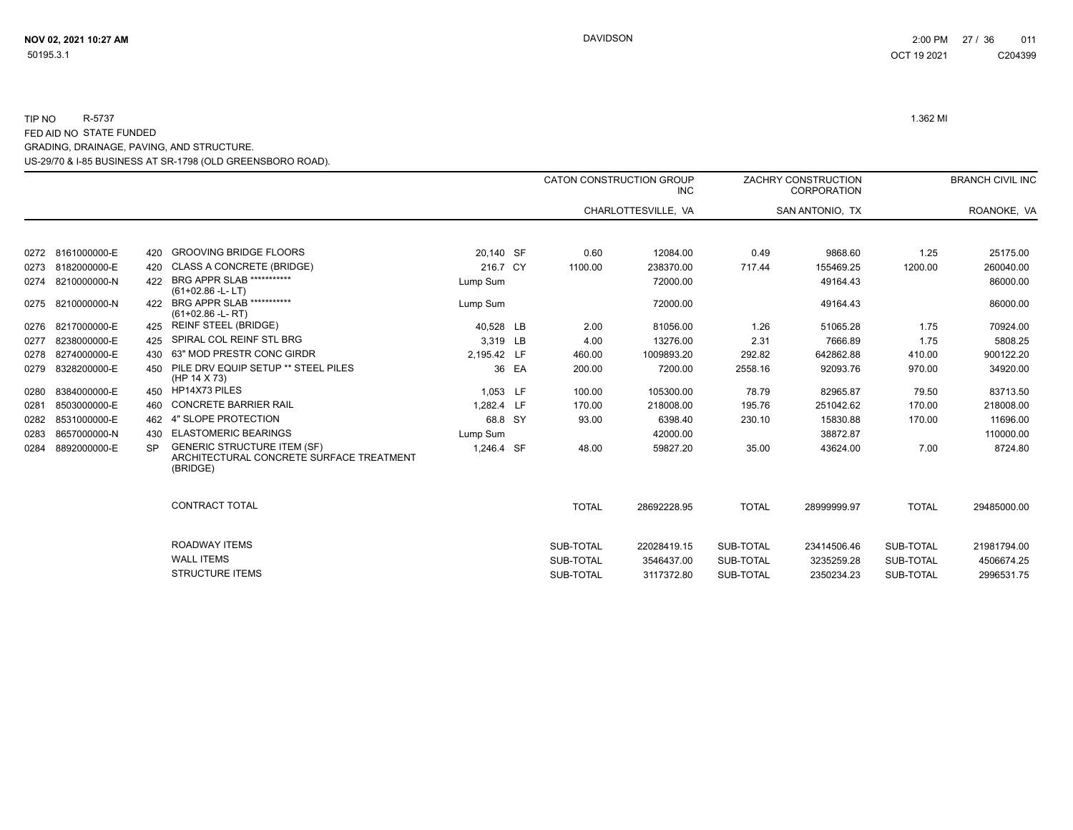US-29/70 & I-85 BUSINESS AT SR-1798 (OLD GREENSBORO ROAD). GRADING, DRAINAGE, PAVING, AND STRUCTURE.

|      |              |           |                                                                                            |             |       |              | <b>CATON CONSTRUCTION GROUP</b><br><b>INC</b> |              | ZACHRY CONSTRUCTION<br><b>CORPORATION</b> |              | <b>BRANCH CIVIL INC</b> |
|------|--------------|-----------|--------------------------------------------------------------------------------------------|-------------|-------|--------------|-----------------------------------------------|--------------|-------------------------------------------|--------------|-------------------------|
|      |              |           |                                                                                            |             |       |              | CHARLOTTESVILLE, VA                           |              | SAN ANTONIO, TX                           |              | ROANOKE, VA             |
| 0272 | 8161000000-E | 420       | <b>GROOVING BRIDGE FLOORS</b>                                                              | 20.140 SF   |       | 0.60         | 12084.00                                      | 0.49         | 9868.60                                   | 1.25         | 25175.00                |
| 0273 | 8182000000-E | 420       | <b>CLASS A CONCRETE (BRIDGE)</b>                                                           | 216.7 CY    |       | 1100.00      | 238370.00                                     | 717.44       | 155469.25                                 | 1200.00      | 260040.00               |
| 0274 | 8210000000-N | 422       | BRG APPR SLAB ***********<br>$(61+02.86 - L - LT)$                                         | Lump Sum    |       |              | 72000.00                                      |              | 49164.43                                  |              | 86000.00                |
| 0275 | 8210000000-N | 422       | <b>BRG APPR SLAB ***********</b><br>$(61+02.86 - L - RT)$                                  | Lump Sum    |       |              | 72000.00                                      |              | 49164.43                                  |              | 86000.00                |
| 0276 | 8217000000-E | 425       | <b>REINF STEEL (BRIDGE)</b>                                                                | 40,528 LB   |       | 2.00         | 81056.00                                      | 1.26         | 51065.28                                  | 1.75         | 70924.00                |
| 0277 | 8238000000-E |           | SPIRAL COL REINF STL BRG                                                                   | 3.319 LB    |       | 4.00         | 13276.00                                      | 2.31         | 7666.89                                   | 1.75         | 5808.25                 |
| 0278 | 8274000000-E | 430       | 63" MOD PRESTR CONC GIRDR                                                                  | 2,195.42 LF |       | 460.00       | 1009893.20                                    | 292.82       | 642862.88                                 | 410.00       | 900122.20               |
| 0279 | 8328200000-E | 450       | PILE DRV EQUIP SETUP ** STEEL PILES<br>(HP 14 X 73)                                        |             | 36 EA | 200.00       | 7200.00                                       | 2558.16      | 92093.76                                  | 970.00       | 34920.00                |
| 0280 | 8384000000-E | 450       | HP14X73 PILES                                                                              | 1,053 LF    |       | 100.00       | 105300.00                                     | 78.79        | 82965.87                                  | 79.50        | 83713.50                |
| 0281 | 8503000000-E | 460       | <b>CONCRETE BARRIER RAIL</b>                                                               | 1.282.4 LF  |       | 170.00       | 218008.00                                     | 195.76       | 251042.62                                 | 170.00       | 218008.00               |
| 0282 | 8531000000-E | 462       | 4" SLOPE PROTECTION                                                                        | 68.8 SY     |       | 93.00        | 6398.40                                       | 230.10       | 15830.88                                  | 170.00       | 11696.00                |
| 0283 | 8657000000-N | 430       | <b>ELASTOMERIC BEARINGS</b>                                                                | Lump Sum    |       |              | 42000.00                                      |              | 38872.87                                  |              | 110000.00               |
| 0284 | 8892000000-E | <b>SP</b> | <b>GENERIC STRUCTURE ITEM (SF)</b><br>ARCHITECTURAL CONCRETE SURFACE TREATMENT<br>(BRIDGE) | 1,246.4 SF  |       | 48.00        | 59827.20                                      | 35.00        | 43624.00                                  | 7.00         | 8724.80                 |
|      |              |           | <b>CONTRACT TOTAL</b>                                                                      |             |       | <b>TOTAL</b> | 28692228.95                                   | <b>TOTAL</b> | 28999999.97                               | <b>TOTAL</b> | 29485000.00             |
|      |              |           | <b>ROADWAY ITEMS</b>                                                                       |             |       | SUB-TOTAL    | 22028419.15                                   | SUB-TOTAL    | 23414506.46                               | SUB-TOTAL    | 21981794.00             |
|      |              |           | <b>WALL ITEMS</b>                                                                          |             |       | SUB-TOTAL    | 3546437.00                                    | SUB-TOTAL    | 3235259.28                                | SUB-TOTAL    | 4506674.25              |
|      |              |           | <b>STRUCTURE ITEMS</b>                                                                     |             |       | SUB-TOTAL    | 3117372.80                                    | SUB-TOTAL    | 2350234.23                                | SUB-TOTAL    | 2996531.75              |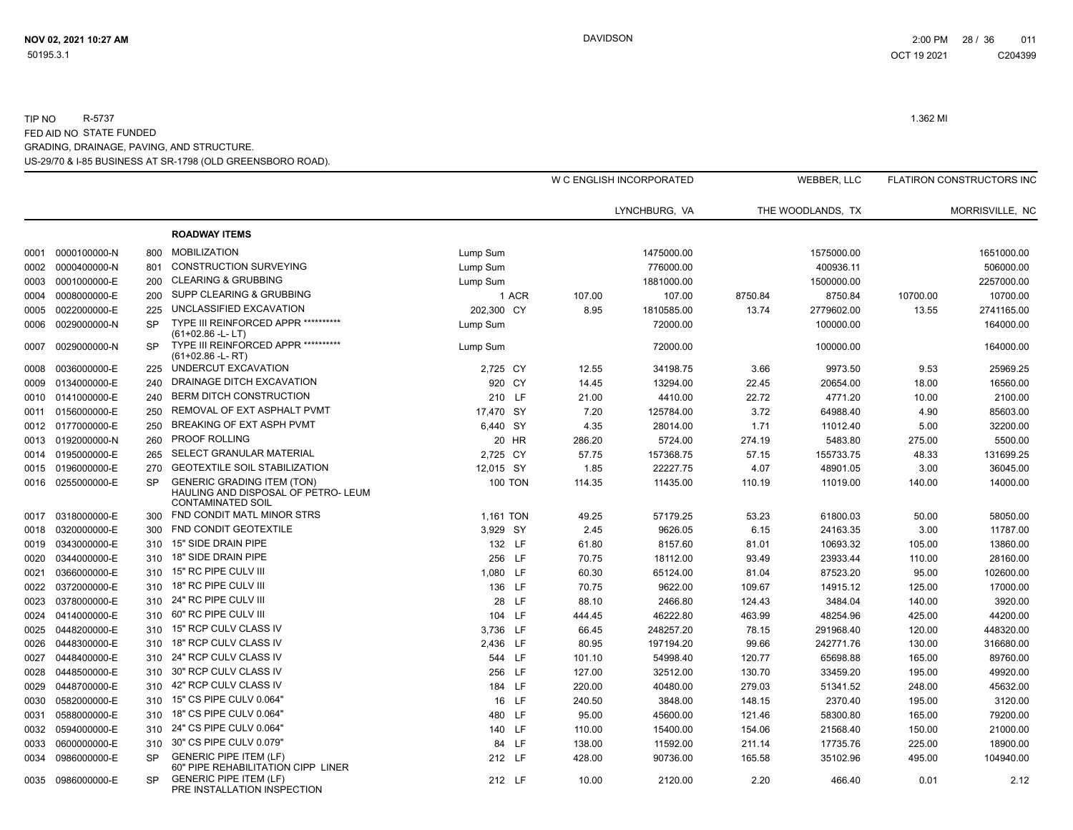|      |                   |           |                                                                                                      |                |        | W C ENGLISH INCORPORATED |         | WEBBER, LLC       |          | <b>FLATIRON CONSTRUCTORS INC</b> |
|------|-------------------|-----------|------------------------------------------------------------------------------------------------------|----------------|--------|--------------------------|---------|-------------------|----------|----------------------------------|
|      |                   |           |                                                                                                      |                |        | LYNCHBURG, VA            |         | THE WOODLANDS, TX |          | MORRISVILLE, NC                  |
|      |                   |           | <b>ROADWAY ITEMS</b>                                                                                 |                |        |                          |         |                   |          |                                  |
| 0001 | 0000100000-N      | 800       | <b>MOBILIZATION</b>                                                                                  | Lump Sum       |        | 1475000.00               |         | 1575000.00        |          | 1651000.00                       |
| 0002 | 0000400000-N      | 801       | <b>CONSTRUCTION SURVEYING</b>                                                                        | Lump Sum       |        | 776000.00                |         | 400936.11         |          | 506000.00                        |
| 0003 | 0001000000-E      | 200       | <b>CLEARING &amp; GRUBBING</b>                                                                       | Lump Sum       |        | 1881000.00               |         | 1500000.00        |          | 2257000.00                       |
| 0004 | 0008000000-E      | 200       | <b>SUPP CLEARING &amp; GRUBBING</b>                                                                  | 1 ACR          | 107.00 | 107.00                   | 8750.84 | 8750.84           | 10700.00 | 10700.00                         |
| 0005 | 0022000000-E      | 225       | UNCLASSIFIED EXCAVATION                                                                              | 202,300 CY     | 8.95   | 1810585.00               | 13.74   | 2779602.00        | 13.55    | 2741165.00                       |
| 0006 | 0029000000-N      | <b>SP</b> | TYPE III REINFORCED APPR ***********<br>(61+02.86 -L-LT)                                             | Lump Sum       |        | 72000.00                 |         | 100000.00         |          | 164000.00                        |
| 0007 | 0029000000-N      | <b>SP</b> | TYPE III REINFORCED APPR ***********<br>$(61+02.86 - L - RT)$                                        | Lump Sum       |        | 72000.00                 |         | 100000.00         |          | 164000.00                        |
| 0008 | 0036000000-E      | 225       | UNDERCUT EXCAVATION                                                                                  | 2,725 CY       | 12.55  | 34198.75                 | 3.66    | 9973.50           | 9.53     | 25969.25                         |
| 0009 | 0134000000-E      | 240       | DRAINAGE DITCH EXCAVATION                                                                            | 920 CY         | 14.45  | 13294.00                 | 22.45   | 20654.00          | 18.00    | 16560.00                         |
| 0010 | 0141000000-E      | 240       | <b>BERM DITCH CONSTRUCTION</b>                                                                       | 210 LF         | 21.00  | 4410.00                  | 22.72   | 4771.20           | 10.00    | 2100.00                          |
| 0011 | 0156000000-E      | 250       | REMOVAL OF EXT ASPHALT PVMT                                                                          | 17.470 SY      | 7.20   | 125784.00                | 3.72    | 64988.40          | 4.90     | 85603.00                         |
|      | 0012 0177000000-E | 250       | BREAKING OF EXT ASPH PVMT                                                                            | 6,440 SY       | 4.35   | 28014.00                 | 1.71    | 11012.40          | 5.00     | 32200.00                         |
| 0013 | 0192000000-N      | 260       | <b>PROOF ROLLING</b>                                                                                 | 20 HR          | 286.20 | 5724.00                  | 274.19  | 5483.80           | 275.00   | 5500.00                          |
| 0014 | 0195000000-E      | 265       | SELECT GRANULAR MATERIAL                                                                             | 2,725 CY       | 57.75  | 157368.75                | 57.15   | 155733.75         | 48.33    | 131699.25                        |
| 0015 | 0196000000-E      | 270       | <b>GEOTEXTILE SOIL STABILIZATION</b>                                                                 | 12,015 SY      | 1.85   | 22227.75                 | 4.07    | 48901.05          | 3.00     | 36045.00                         |
|      | 0016 0255000000-E | <b>SP</b> | <b>GENERIC GRADING ITEM (TON)</b><br>HAULING AND DISPOSAL OF PETRO- LEUM<br><b>CONTAMINATED SOIL</b> | <b>100 TON</b> | 114.35 | 11435.00                 | 110.19  | 11019.00          | 140.00   | 14000.00                         |
| 0017 | 0318000000-E      | 300       | FND CONDIT MATL MINOR STRS                                                                           | 1,161 TON      | 49.25  | 57179.25                 | 53.23   | 61800.03          | 50.00    | 58050.00                         |
| 0018 | 0320000000-E      | 300       | FND CONDIT GEOTEXTILE                                                                                | 3,929 SY       | 2.45   | 9626.05                  | 6.15    | 24163.35          | 3.00     | 11787.00                         |
| 0019 | 0343000000-E      | 310       | 15" SIDE DRAIN PIPE                                                                                  | 132 LF         | 61.80  | 8157.60                  | 81.01   | 10693.32          | 105.00   | 13860.00                         |
| 0020 | 0344000000-E      | 310       | 18" SIDE DRAIN PIPE                                                                                  | 256 LF         | 70.75  | 18112.00                 | 93.49   | 23933.44          | 110.00   | 28160.00                         |
| 0021 | 0366000000-E      | 310       | 15" RC PIPE CULV III                                                                                 | 1,080 LF       | 60.30  | 65124.00                 | 81.04   | 87523.20          | 95.00    | 102600.00                        |
| 0022 | 0372000000-E      | 310       | 18" RC PIPE CULV III                                                                                 | 136 LF         | 70.75  | 9622.00                  | 109.67  | 14915.12          | 125.00   | 17000.00                         |
| 0023 | 0378000000-E      | 310       | 24" RC PIPE CULV III                                                                                 | 28 LF          | 88.10  | 2466.80                  | 124.43  | 3484.04           | 140.00   | 3920.00                          |
| 0024 | 0414000000-E      | 310       | 60" RC PIPE CULV III                                                                                 | 104 LF         | 444.45 | 46222.80                 | 463.99  | 48254.96          | 425.00   | 44200.00                         |
| 0025 | 0448200000-E      | 310       | 15" RCP CULV CLASS IV                                                                                | 3,736 LF       | 66.45  | 248257.20                | 78.15   | 291968.40         | 120.00   | 448320.00                        |
| 0026 | 0448300000-E      | 310       | 18" RCP CULV CLASS IV                                                                                | 2,436 LF       | 80.95  | 197194.20                | 99.66   | 242771.76         | 130.00   | 316680.00                        |
| 0027 | 0448400000-E      | 310       | 24" RCP CULV CLASS IV                                                                                | 544 LF         | 101.10 | 54998.40                 | 120.77  | 65698.88          | 165.00   | 89760.00                         |
| 0028 | 0448500000-E      | 310       | 30" RCP CULV CLASS IV                                                                                | 256 LF         | 127.00 | 32512.00                 | 130.70  | 33459.20          | 195.00   | 49920.00                         |
| 0029 | 0448700000-E      | 310       | 42" RCP CULV CLASS IV                                                                                | 184 LF         | 220.00 | 40480.00                 | 279.03  | 51341.52          | 248.00   | 45632.00                         |
| 0030 | 0582000000-E      | 310       | 15" CS PIPE CULV 0.064"                                                                              | 16 LF          | 240.50 | 3848.00                  | 148.15  | 2370.40           | 195.00   | 3120.00                          |
| 0031 | 0588000000-E      | 310       | 18" CS PIPE CULV 0.064"                                                                              | 480 LF         | 95.00  | 45600.00                 | 121.46  | 58300.80          | 165.00   | 79200.00                         |
| 0032 | 0594000000-E      | 310       | 24" CS PIPE CULV 0.064"                                                                              | 140 LF         | 110.00 | 15400.00                 | 154.06  | 21568.40          | 150.00   | 21000.00                         |
| 0033 | 0600000000-E      | 310       | 30" CS PIPE CULV 0.079"                                                                              | 84 LF          | 138.00 | 11592.00                 | 211.14  | 17735.76          | 225.00   | 18900.00                         |
| 0034 | 0986000000-E      | <b>SP</b> | <b>GENERIC PIPE ITEM (LF)</b><br>60" PIPE REHABILITATION CIPP LINER                                  | 212 LF         | 428.00 | 90736.00                 | 165.58  | 35102.96          | 495.00   | 104940.00                        |
| 0035 | 0986000000-E      | <b>SP</b> | <b>GENERIC PIPE ITEM (LF)</b><br>PRE INSTALLATION INSPECTION                                         | 212 LF         | 10.00  | 2120.00                  | 2.20    | 466.40            | 0.01     | 2.12                             |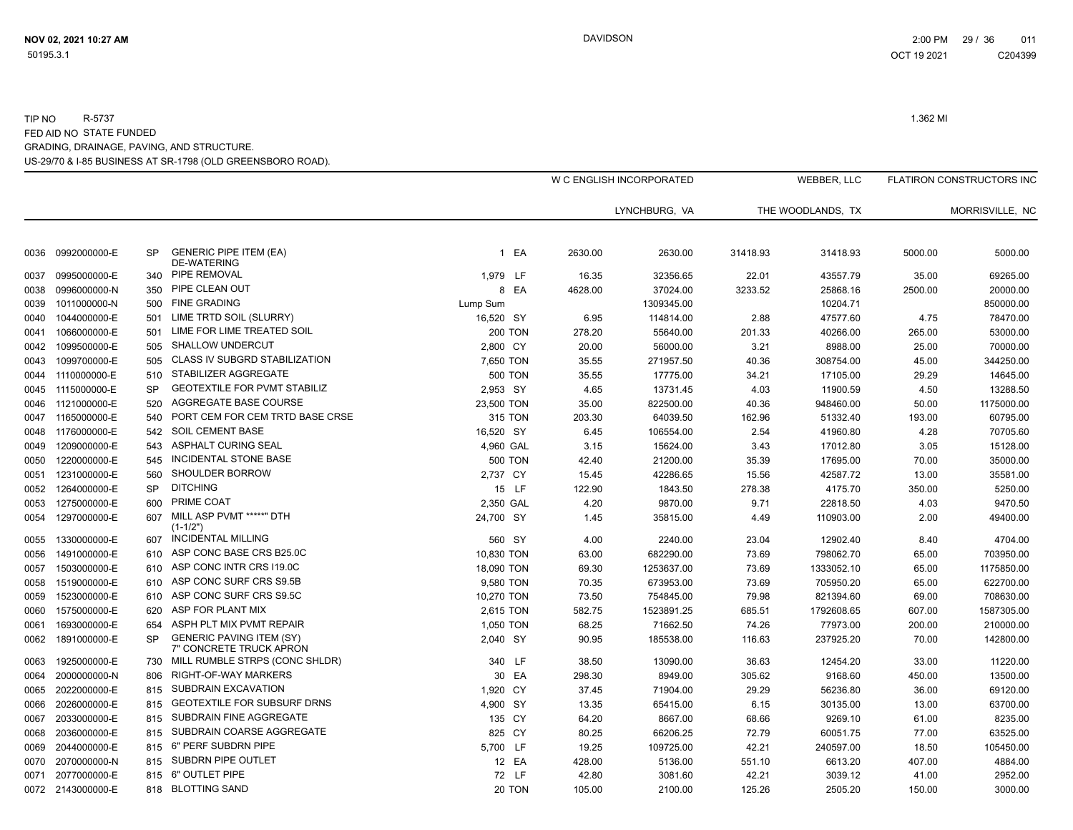|      |                   |           |                                                            |                |         | W C ENGLISH INCORPORATED |          | <b>WEBBER, LLC</b> |         | <b>FLATIRON CONSTRUCTORS INC</b> |
|------|-------------------|-----------|------------------------------------------------------------|----------------|---------|--------------------------|----------|--------------------|---------|----------------------------------|
|      |                   |           |                                                            |                |         | LYNCHBURG, VA            |          | THE WOODLANDS, TX  |         | MORRISVILLE, NC                  |
|      |                   |           |                                                            |                |         |                          |          |                    |         |                                  |
| 0036 | 0992000000-E      | <b>SP</b> | <b>GENERIC PIPE ITEM (EA)</b><br><b>DE-WATERING</b>        | 1 EA           | 2630.00 | 2630.00                  | 31418.93 | 31418.93           | 5000.00 | 5000.00                          |
| 0037 | 0995000000-E      | 340       | PIPE REMOVAL                                               | 1,979 LF       | 16.35   | 32356.65                 | 22.01    | 43557.79           | 35.00   | 69265.00                         |
| 0038 | 0996000000-N      | 350       | PIPE CLEAN OUT                                             | 8 EA           | 4628.00 | 37024.00                 | 3233.52  | 25868.16           | 2500.00 | 20000.00                         |
| 0039 | 1011000000-N      | 500       | <b>FINE GRADING</b>                                        | Lump Sum       |         | 1309345.00               |          | 10204.71           |         | 850000.00                        |
| 0040 | 1044000000-E      | 501       | LIME TRTD SOIL (SLURRY)                                    | 16,520 SY      | 6.95    | 114814.00                | 2.88     | 47577.60           | 4.75    | 78470.00                         |
| 0041 | 1066000000-E      | 501       | LIME FOR LIME TREATED SOIL                                 | <b>200 TON</b> | 278.20  | 55640.00                 | 201.33   | 40266.00           | 265.00  | 53000.00                         |
|      | 0042 1099500000-E | 505       | <b>SHALLOW UNDERCUT</b>                                    | 2,800 CY       | 20.00   | 56000.00                 | 3.21     | 8988.00            | 25.00   | 70000.00                         |
| 0043 | 1099700000-E      | 505       | <b>CLASS IV SUBGRD STABILIZATION</b>                       | 7,650 TON      | 35.55   | 271957.50                | 40.36    | 308754.00          | 45.00   | 344250.00                        |
|      | 0044 1110000000-E | 510       | STABILIZER AGGREGATE                                       | <b>500 TON</b> | 35.55   | 17775.00                 | 34.21    | 17105.00           | 29.29   | 14645.00                         |
|      | 0045 1115000000-E | <b>SP</b> | <b>GEOTEXTILE FOR PVMT STABILIZ</b>                        | 2,953 SY       | 4.65    | 13731.45                 | 4.03     | 11900.59           | 4.50    | 13288.50                         |
|      | 0046 1121000000-E | 520       | AGGREGATE BASE COURSE                                      | 23,500 TON     | 35.00   | 822500.00                | 40.36    | 948460.00          | 50.00   | 1175000.00                       |
|      | 0047 1165000000-E | 540       | PORT CEM FOR CEM TRTD BASE CRSE                            | 315 TON        | 203.30  | 64039.50                 | 162.96   | 51332.40           | 193.00  | 60795.00                         |
|      | 0048 1176000000-E | 542       | <b>SOIL CEMENT BASE</b>                                    | 16,520 SY      | 6.45    | 106554.00                | 2.54     | 41960.80           | 4.28    | 70705.60                         |
|      | 0049 1209000000-E | 543       | <b>ASPHALT CURING SEAL</b>                                 | 4,960 GAL      | 3.15    | 15624.00                 | 3.43     | 17012.80           | 3.05    | 15128.00                         |
| 0050 | 1220000000-E      | 545       | <b>INCIDENTAL STONE BASE</b>                               | <b>500 TON</b> | 42.40   | 21200.00                 | 35.39    | 17695.00           | 70.00   | 35000.00                         |
| 0051 | 1231000000-E      | 560       | SHOULDER BORROW                                            | 2,737 CY       | 15.45   | 42286.65                 | 15.56    | 42587.72           | 13.00   | 35581.00                         |
|      | 0052 1264000000-E | <b>SP</b> | <b>DITCHING</b>                                            | 15 LF          | 122.90  | 1843.50                  | 278.38   | 4175.70            | 350.00  | 5250.00                          |
|      | 0053 1275000000-E | 600       | PRIME COAT                                                 | 2,350 GAL      | 4.20    | 9870.00                  | 9.71     | 22818.50           | 4.03    | 9470.50                          |
| 0054 | 1297000000-E      | 607       | MILL ASP PVMT *****" DTH<br>$(1-1/2")$                     | 24,700 SY      | 1.45    | 35815.00                 | 4.49     | 110903.00          | 2.00    | 49400.00                         |
|      | 0055 1330000000-E | 607       | <b>INCIDENTAL MILLING</b>                                  | 560 SY         | 4.00    | 2240.00                  | 23.04    | 12902.40           | 8.40    | 4704.00                          |
| 0056 | 1491000000-E      | 610       | ASP CONC BASE CRS B25.0C                                   | 10,830 TON     | 63.00   | 682290.00                | 73.69    | 798062.70          | 65.00   | 703950.00                        |
| 0057 | 1503000000-E      | 610       | ASP CONC INTR CRS I19.0C                                   | 18,090 TON     | 69.30   | 1253637.00               | 73.69    | 1333052.10         | 65.00   | 1175850.00                       |
| 0058 | 1519000000-E      | 610       | ASP CONC SURF CRS S9.5B                                    | 9,580 TON      | 70.35   | 673953.00                | 73.69    | 705950.20          | 65.00   | 622700.00                        |
| 0059 | 1523000000-E      | 610       | ASP CONC SURF CRS S9.5C                                    | 10,270 TON     | 73.50   | 754845.00                | 79.98    | 821394.60          | 69.00   | 708630.00                        |
| 0060 | 1575000000-E      | 620       | ASP FOR PLANT MIX                                          | 2,615 TON      | 582.75  | 1523891.25               | 685.51   | 1792608.65         | 607.00  | 1587305.00                       |
| 0061 | 1693000000-E      | 654       | ASPH PLT MIX PVMT REPAIR                                   | 1,050 TON      | 68.25   | 71662.50                 | 74.26    | 77973.00           | 200.00  | 210000.00                        |
|      | 0062 1891000000-E | <b>SP</b> | <b>GENERIC PAVING ITEM (SY)</b><br>7" CONCRETE TRUCK APRON | 2,040 SY       | 90.95   | 185538.00                | 116.63   | 237925.20          | 70.00   | 142800.00                        |
| 0063 | 1925000000-E      | 730       | MILL RUMBLE STRPS (CONC SHLDR)                             | 340 LF         | 38.50   | 13090.00                 | 36.63    | 12454.20           | 33.00   | 11220.00                         |
| 0064 | 2000000000-N      | 806       | RIGHT-OF-WAY MARKERS                                       | 30 EA          | 298.30  | 8949.00                  | 305.62   | 9168.60            | 450.00  | 13500.00                         |
|      | 0065 2022000000-E | 815       | SUBDRAIN EXCAVATION                                        | 1,920 CY       | 37.45   | 71904.00                 | 29.29    | 56236.80           | 36.00   | 69120.00                         |
| 0066 | 2026000000-E      | 815       | GEOTEXTILE FOR SUBSURF DRNS                                | 4,900 SY       | 13.35   | 65415.00                 | 6.15     | 30135.00           | 13.00   | 63700.00                         |
| 0067 | 2033000000-E      | 815       | SUBDRAIN FINE AGGREGATE                                    | 135 CY         | 64.20   | 8667.00                  | 68.66    | 9269.10            | 61.00   | 8235.00                          |
| 8000 | 2036000000-E      | 815       | SUBDRAIN COARSE AGGREGATE                                  | 825 CY         | 80.25   | 66206.25                 | 72.79    | 60051.75           | 77.00   | 63525.00                         |
| 0069 | 2044000000-E      | 815       | 6" PERF SUBDRN PIPE                                        | 5,700 LF       | 19.25   | 109725.00                | 42.21    | 240597.00          | 18.50   | 105450.00                        |
| 0070 | 2070000000-N      | 815       | SUBDRN PIPE OUTLET                                         | 12 EA          | 428.00  | 5136.00                  | 551.10   | 6613.20            | 407.00  | 4884.00                          |
| 0071 | 2077000000-E      | 815       | 6" OUTLET PIPE                                             | 72 LF          | 42.80   | 3081.60                  | 42.21    | 3039.12            | 41.00   | 2952.00                          |
|      | 0072 2143000000-E | 818       | <b>BLOTTING SAND</b>                                       | 20 TON         | 105.00  | 2100.00                  | 125.26   | 2505.20            | 150.00  | 3000.00                          |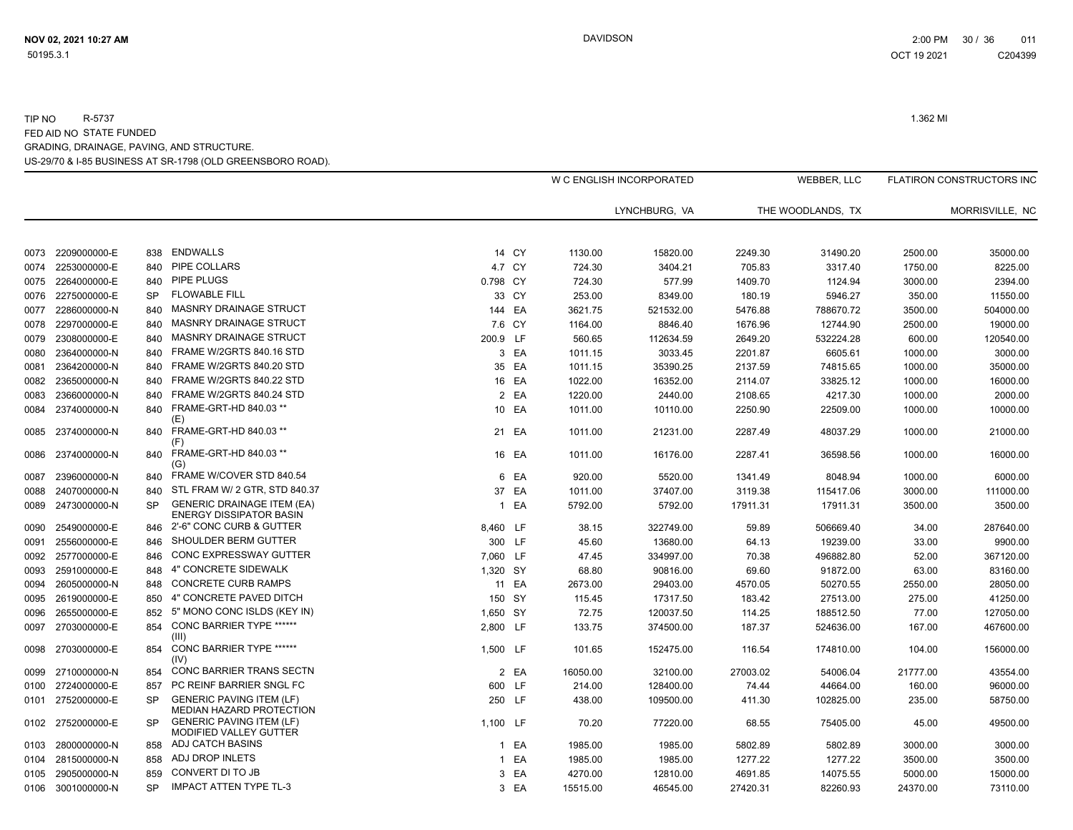|      |              |           |                                                                     |          |        |          | W C ENGLISH INCORPORATED |          | WEBBER, LLC       |          | <b>FLATIRON CONSTRUCTORS INC</b> |
|------|--------------|-----------|---------------------------------------------------------------------|----------|--------|----------|--------------------------|----------|-------------------|----------|----------------------------------|
|      |              |           |                                                                     |          |        |          | LYNCHBURG, VA            |          | THE WOODLANDS. TX |          | MORRISVILLE, NC                  |
| 0073 | 2209000000-E | 838       | ENDWALLS                                                            |          | 14 CY  | 1130.00  | 15820.00                 | 2249.30  | 31490.20          | 2500.00  | 35000.00                         |
| 0074 | 2253000000-E | 840       | PIPE COLLARS                                                        |          | 4.7 CY | 724.30   | 3404.21                  | 705.83   | 3317.40           | 1750.00  | 8225.00                          |
| 0075 | 2264000000-E | 840       | PIPE PLUGS                                                          | 0.798 CY |        | 724.30   | 577.99                   | 1409.70  | 1124.94           | 3000.00  | 2394.00                          |
| 0076 | 2275000000-E | <b>SP</b> | <b>FLOWABLE FILL</b>                                                |          | 33 CY  | 253.00   | 8349.00                  | 180.19   | 5946.27           | 350.00   | 11550.00                         |
| 0077 | 2286000000-N | 840       | MASNRY DRAINAGE STRUCT                                              |          | 144 EA | 3621.75  | 521532.00                | 5476.88  | 788670.72         | 3500.00  | 504000.00                        |
| 0078 | 2297000000-E | 840       | <b>MASNRY DRAINAGE STRUCT</b>                                       |          | 7.6 CY | 1164.00  | 8846.40                  | 1676.96  | 12744.90          | 2500.00  | 19000.00                         |
| 0079 | 2308000000-E | 840       | MASNRY DRAINAGE STRUCT                                              | 200.9 LF |        | 560.65   | 112634.59                | 2649.20  | 532224.28         | 600.00   | 120540.00                        |
| 0080 | 2364000000-N | 840       | FRAME W/2GRTS 840.16 STD                                            |          | 3 EA   | 1011.15  | 3033.45                  | 2201.87  | 6605.61           | 1000.00  | 3000.00                          |
| 0081 | 2364200000-N | 840       | FRAME W/2GRTS 840.20 STD                                            |          | 35 EA  | 1011.15  | 35390.25                 | 2137.59  | 74815.65          | 1000.00  | 35000.00                         |
| 0082 | 2365000000-N | 840       | FRAME W/2GRTS 840.22 STD                                            |          | 16 EA  | 1022.00  | 16352.00                 | 2114.07  | 33825.12          | 1000.00  | 16000.00                         |
| 0083 | 2366000000-N | 840       | FRAME W/2GRTS 840.24 STD                                            |          | 2 EA   | 1220.00  | 2440.00                  | 2108.65  | 4217.30           | 1000.00  | 2000.00                          |
| 0084 | 2374000000-N | 840       | FRAME-GRT-HD 840.03 **<br>(E)                                       |          | 10 EA  | 1011.00  | 10110.00                 | 2250.90  | 22509.00          | 1000.00  | 10000.00                         |
| 0085 | 2374000000-N | 840       | FRAME-GRT-HD 840.03 **<br>(F)                                       |          | 21 EA  | 1011.00  | 21231.00                 | 2287.49  | 48037.29          | 1000.00  | 21000.00                         |
| 0086 | 2374000000-N | 840       | FRAME-GRT-HD 840.03 **<br>(G)                                       |          | 16 EA  | 1011.00  | 16176.00                 | 2287.41  | 36598.56          | 1000.00  | 16000.00                         |
| 0087 | 2396000000-N | 840       | FRAME W/COVER STD 840.54                                            |          | 6 EA   | 920.00   | 5520.00                  | 1341.49  | 8048.94           | 1000.00  | 6000.00                          |
| 0088 | 2407000000-N | 840       | STL FRAM W/ 2 GTR, STD 840.37                                       | 37       | EA     | 1011.00  | 37407.00                 | 3119.38  | 115417.06         | 3000.00  | 111000.00                        |
| 0089 | 2473000000-N | <b>SP</b> | <b>GENERIC DRAINAGE ITEM (EA)</b><br><b>ENERGY DISSIPATOR BASIN</b> |          | 1 EA   | 5792.00  | 5792.00                  | 17911.31 | 17911.31          | 3500.00  | 3500.00                          |
| 0090 | 2549000000-E | 846       | 2'-6" CONC CURB & GUTTER                                            | 8,460 LF |        | 38.15    | 322749.00                | 59.89    | 506669.40         | 34.00    | 287640.00                        |
| 0091 | 2556000000-E | 846       | SHOULDER BERM GUTTER                                                |          | 300 LF | 45.60    | 13680.00                 | 64.13    | 19239.00          | 33.00    | 9900.00                          |
| 0092 | 2577000000-E | 846       | <b>CONC EXPRESSWAY GUTTER</b>                                       | 7,060 LF |        | 47.45    | 334997.00                | 70.38    | 496882.80         | 52.00    | 367120.00                        |
| 0093 | 2591000000-E | 848       | 4" CONCRETE SIDEWALK                                                | 1,320 SY |        | 68.80    | 90816.00                 | 69.60    | 91872.00          | 63.00    | 83160.00                         |
| 0094 | 2605000000-N | 848       | <b>CONCRETE CURB RAMPS</b>                                          |          | 11 EA  | 2673.00  | 29403.00                 | 4570.05  | 50270.55          | 2550.00  | 28050.00                         |
| 0095 | 2619000000-E | 850       | 4" CONCRETE PAVED DITCH                                             |          | 150 SY | 115.45   | 17317.50                 | 183.42   | 27513.00          | 275.00   | 41250.00                         |
| 0096 | 2655000000-E | 852       | 5" MONO CONC ISLDS (KEY IN)                                         | 1,650 SY |        | 72.75    | 120037.50                | 114.25   | 188512.50         | 77.00    | 127050.00                        |
| 0097 | 2703000000-E | 854       | <b>CONC BARRIER TYPE ******</b><br>(III)                            | 2,800 LF |        | 133.75   | 374500.00                | 187.37   | 524636.00         | 167.00   | 467600.00                        |
| 0098 | 2703000000-E | 854       | CONC BARRIER TYPE ******<br>(IV)                                    | 1.500 LF |        | 101.65   | 152475.00                | 116.54   | 174810.00         | 104.00   | 156000.00                        |
| 0099 | 2710000000-N | 854       | CONC BARRIER TRANS SECTN                                            |          | 2 EA   | 16050.00 | 32100.00                 | 27003.02 | 54006.04          | 21777.00 | 43554.00                         |
| 0100 | 2724000000-E | 857       | PC REINF BARRIER SNGL FC                                            |          | 600 LF | 214.00   | 128400.00                | 74.44    | 44664.00          | 160.00   | 96000.00                         |
| 0101 | 2752000000-E | <b>SP</b> | <b>GENERIC PAVING ITEM (LF)</b><br>MEDIAN HAZARD PROTECTION         |          | 250 LF | 438.00   | 109500.00                | 411.30   | 102825.00         | 235.00   | 58750.00                         |
| 0102 | 2752000000-E | <b>SP</b> | <b>GENERIC PAVING ITEM (LF)</b><br>MODIFIED VALLEY GUTTER           | 1,100 LF |        | 70.20    | 77220.00                 | 68.55    | 75405.00          | 45.00    | 49500.00                         |
| 0103 | 2800000000-N | 858       | ADJ CATCH BASINS                                                    |          | 1 EA   | 1985.00  | 1985.00                  | 5802.89  | 5802.89           | 3000.00  | 3000.00                          |
| 0104 | 2815000000-N | 858       | ADJ DROP INLETS                                                     |          | 1 EA   | 1985.00  | 1985.00                  | 1277.22  | 1277.22           | 3500.00  | 3500.00                          |
| 0105 | 2905000000-N | 859       | CONVERT DI TO JB                                                    |          | 3 EA   | 4270.00  | 12810.00                 | 4691.85  | 14075.55          | 5000.00  | 15000.00                         |
| 0106 | 3001000000-N | <b>SP</b> | <b>IMPACT ATTEN TYPE TL-3</b>                                       |          | 3 EA   | 15515.00 | 46545.00                 | 27420.31 | 82260.93          | 24370.00 | 73110.00                         |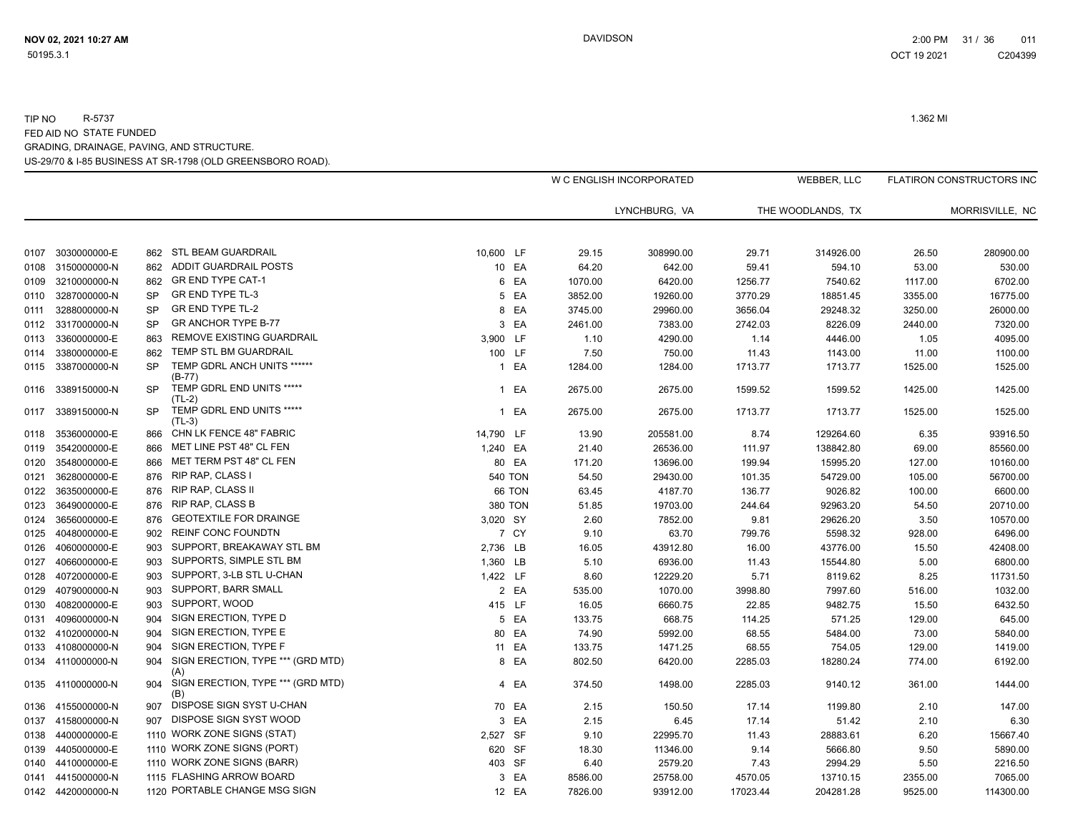|      |                    |           |                                          |           |                |         | W C ENGLISH INCORPORATED |          | WEBBER, LLC       |         | <b>FLATIRON CONSTRUCTORS INC</b> |
|------|--------------------|-----------|------------------------------------------|-----------|----------------|---------|--------------------------|----------|-------------------|---------|----------------------------------|
|      |                    |           |                                          |           |                |         | LYNCHBURG, VA            |          | THE WOODLANDS, TX |         | MORRISVILLE, NC                  |
|      |                    |           |                                          |           |                |         |                          |          |                   |         |                                  |
|      | 0107 3030000000-E  | 862       | STL BEAM GUARDRAIL                       | 10.600 LF |                | 29.15   | 308990.00                | 29.71    | 314926.00         | 26.50   | 280900.00                        |
|      | 0108 3150000000-N  | 862       | ADDIT GUARDRAIL POSTS                    |           | 10 EA          | 64.20   | 642.00                   | 59.41    | 594.10            | 53.00   | 530.00                           |
|      | 0109 3210000000-N  | 862       | <b>GR END TYPE CAT-1</b>                 |           | 6 EA           | 1070.00 | 6420.00                  | 1256.77  | 7540.62           | 1117.00 | 6702.00                          |
|      | 0110 3287000000-N  | <b>SP</b> | <b>GR END TYPE TL-3</b>                  |           | 5 EA           | 3852.00 | 19260.00                 | 3770.29  | 18851.45          | 3355.00 | 16775.00                         |
| 0111 | 3288000000-N       | <b>SP</b> | <b>GR END TYPE TL-2</b>                  |           | 8 EA           | 3745.00 | 29960.00                 | 3656.04  | 29248.32          | 3250.00 | 26000.00                         |
|      | 0112 3317000000-N  | <b>SP</b> | <b>GR ANCHOR TYPE B-77</b>               |           | 3 EA           | 2461.00 | 7383.00                  | 2742.03  | 8226.09           | 2440.00 | 7320.00                          |
|      | 0113 3360000000-E  | 863       | REMOVE EXISTING GUARDRAIL                | 3,900 LF  |                | 1.10    | 4290.00                  | 1.14     | 4446.00           | 1.05    | 4095.00                          |
| 0114 | 3380000000-E       | 862       | TEMP STL BM GUARDRAIL                    |           | 100 LF         | 7.50    | 750.00                   | 11.43    | 1143.00           | 11.00   | 1100.00                          |
|      | 0115 3387000000-N  | <b>SP</b> | TEMP GDRL ANCH UNITS ******<br>$(B-77)$  |           | 1 EA           | 1284.00 | 1284.00                  | 1713.77  | 1713.77           | 1525.00 | 1525.00                          |
|      | 0116 3389150000-N  | <b>SP</b> | TEMP GDRL END UNITS *****<br>$(TL-2)$    |           | 1 EA           | 2675.00 | 2675.00                  | 1599.52  | 1599.52           | 1425.00 | 1425.00                          |
| 0117 | 3389150000-N       | <b>SP</b> | TEMP GDRL END UNITS *****<br>$(TL-3)$    |           | 1 EA           | 2675.00 | 2675.00                  | 1713.77  | 1713.77           | 1525.00 | 1525.00                          |
|      | 0118 3536000000-E  | 866       | CHN LK FENCE 48" FABRIC                  | 14,790 LF |                | 13.90   | 205581.00                | 8.74     | 129264.60         | 6.35    | 93916.50                         |
|      | 0119 3542000000-E  | 866       | MET LINE PST 48" CL FEN                  | 1,240 EA  |                | 21.40   | 26536.00                 | 111.97   | 138842.80         | 69.00   | 85560.00                         |
| 0120 | 3548000000-E       | 866       | MET TERM PST 48" CL FEN                  |           | 80 EA          | 171.20  | 13696.00                 | 199.94   | 15995.20          | 127.00  | 10160.00                         |
| 0121 | 3628000000-E       |           | 876 RIP RAP, CLASS I                     |           | <b>540 TON</b> | 54.50   | 29430.00                 | 101.35   | 54729.00          | 105.00  | 56700.00                         |
|      | 0122 3635000000-E  | 876       | RIP RAP, CLASS II                        |           | 66 TON         | 63.45   | 4187.70                  | 136.77   | 9026.82           | 100.00  | 6600.00                          |
| 0123 | 3649000000-E       | 876       | <b>RIP RAP, CLASS B</b>                  |           | <b>380 TON</b> | 51.85   | 19703.00                 | 244.64   | 92963.20          | 54.50   | 20710.00                         |
| 0124 | 3656000000-E       | 876       | <b>GEOTEXTILE FOR DRAINGE</b>            | 3,020 SY  |                | 2.60    | 7852.00                  | 9.81     | 29626.20          | 3.50    | 10570.00                         |
|      | 0125 4048000000-E  | 902       | <b>REINF CONC FOUNDTN</b>                |           | 7 CY           | 9.10    | 63.70                    | 799.76   | 5598.32           | 928.00  | 6496.00                          |
|      | 0126 4060000000-E  | 903       | SUPPORT, BREAKAWAY STL BM                | 2,736 LB  |                | 16.05   | 43912.80                 | 16.00    | 43776.00          | 15.50   | 42408.00                         |
| 0127 | 4066000000-E       | 903       | SUPPORTS, SIMPLE STL BM                  | 1,360 LB  |                | 5.10    | 6936.00                  | 11.43    | 15544.80          | 5.00    | 6800.00                          |
| 0128 | 4072000000-E       | 903       | SUPPORT, 3-LB STL U-CHAN                 | 1,422 LF  |                | 8.60    | 12229.20                 | 5.71     | 8119.62           | 8.25    | 11731.50                         |
|      | 0129 4079000000-N  | 903       | SUPPORT, BARR SMALL                      |           | 2 EA           | 535.00  | 1070.00                  | 3998.80  | 7997.60           | 516.00  | 1032.00                          |
| 0130 | 4082000000-E       | 903       | SUPPORT, WOOD                            |           | 415 LF         | 16.05   | 6660.75                  | 22.85    | 9482.75           | 15.50   | 6432.50                          |
|      | 0131 4096000000-N  | 904       | SIGN ERECTION, TYPE D                    |           | 5 EA           | 133.75  | 668.75                   | 114.25   | 571.25            | 129.00  | 645.00                           |
|      | 0132 4102000000-N  | 904       | SIGN ERECTION, TYPE E                    |           | 80 EA          | 74.90   | 5992.00                  | 68.55    | 5484.00           | 73.00   | 5840.00                          |
|      | 0133 4108000000-N  | 904       | SIGN ERECTION, TYPE F                    |           | 11 EA          | 133.75  | 1471.25                  | 68.55    | 754.05            | 129.00  | 1419.00                          |
|      | 0134 4110000000-N  | 904       | SIGN ERECTION, TYPE *** (GRD MTD)<br>(A) |           | 8 EA           | 802.50  | 6420.00                  | 2285.03  | 18280.24          | 774.00  | 6192.00                          |
|      | 0135 4110000000-N  | 904       | SIGN ERECTION, TYPE *** (GRD MTD)<br>(B) |           | 4 EA           | 374.50  | 1498.00                  | 2285.03  | 9140.12           | 361.00  | 1444.00                          |
|      | 0136 4155000000-N  | 907       | DISPOSE SIGN SYST U-CHAN                 |           | 70 EA          | 2.15    | 150.50                   | 17.14    | 1199.80           | 2.10    | 147.00                           |
|      | 0137 4158000000-N  | 907       | DISPOSE SIGN SYST WOOD                   |           | 3 EA           | 2.15    | 6.45                     | 17.14    | 51.42             | 2.10    | 6.30                             |
|      | 0138 4400000000-E  |           | 1110 WORK ZONE SIGNS (STAT)              | 2,527 SF  |                | 9.10    | 22995.70                 | 11.43    | 28883.61          | 6.20    | 15667.40                         |
|      | 0139 4405000000-E  |           | 1110 WORK ZONE SIGNS (PORT)              | 620 SF    |                | 18.30   | 11346.00                 | 9.14     | 5666.80           | 9.50    | 5890.00                          |
|      | 0140  4410000000-E |           | 1110 WORK ZONE SIGNS (BARR)              |           | 403 SF         | 6.40    | 2579.20                  | 7.43     | 2994.29           | 5.50    | 2216.50                          |
|      | 0141 4415000000-N  |           | 1115 FLASHING ARROW BOARD                |           | 3 EA           | 8586.00 | 25758.00                 | 4570.05  | 13710.15          | 2355.00 | 7065.00                          |
|      | 0142 4420000000-N  |           | 1120 PORTABLE CHANGE MSG SIGN            |           | 12 EA          | 7826.00 | 93912.00                 | 17023.44 | 204281.28         | 9525.00 | 114300.00                        |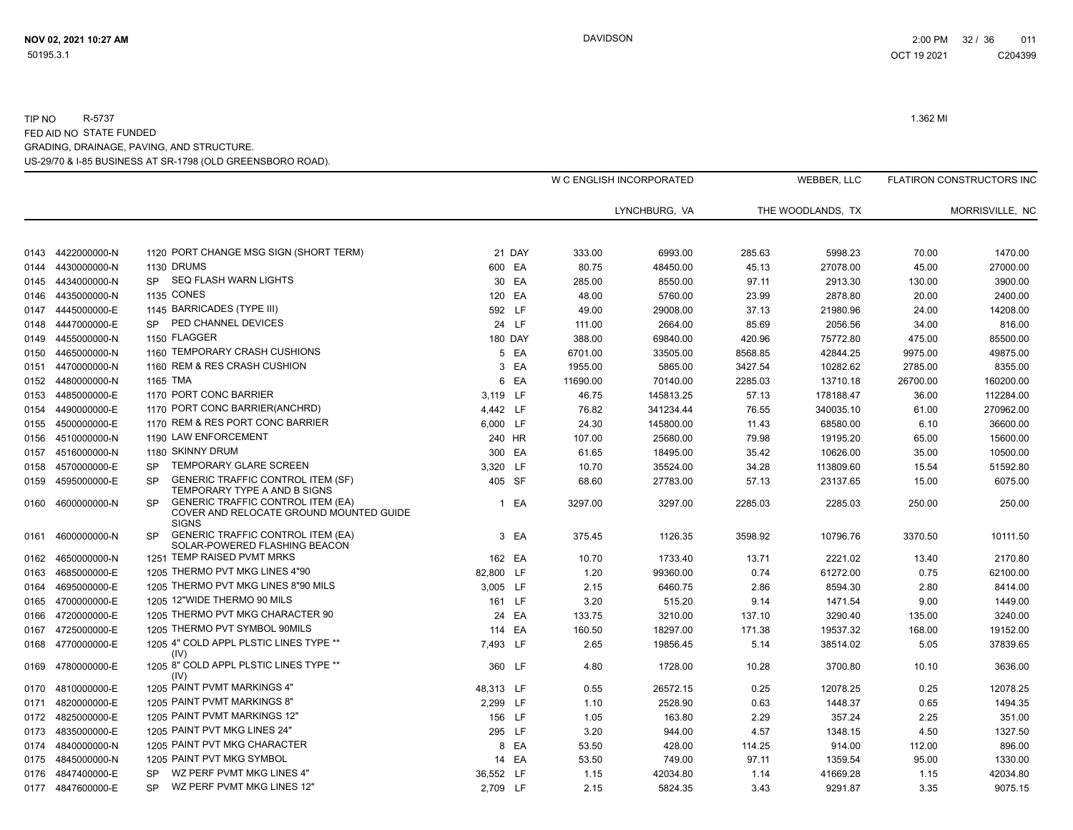|      |                   |                                                                                                                  |                |        |          | W C ENGLISH INCORPORATED |         | WEBBER, LLC       |          | FLATIRON CONSTRUCTORS INC |
|------|-------------------|------------------------------------------------------------------------------------------------------------------|----------------|--------|----------|--------------------------|---------|-------------------|----------|---------------------------|
|      |                   |                                                                                                                  |                |        |          | LYNCHBURG, VA            |         | THE WOODLANDS. TX |          | MORRISVILLE, NC           |
| 0143 | 4422000000-N      | 1120 PORT CHANGE MSG SIGN (SHORT TERM)                                                                           |                | 21 DAY | 333.00   | 6993.00                  | 285.63  | 5998.23           | 70.00    | 1470.00                   |
| 0144 | 4430000000-N      | 1130 DRUMS                                                                                                       | 600 EA         |        | 80.75    | 48450.00                 | 45.13   | 27078.00          | 45.00    | 27000.00                  |
| 0145 | 4434000000-N      | SEQ FLASH WARN LIGHTS<br><b>SP</b>                                                                               |                | 30 EA  | 285.00   | 8550.00                  | 97.11   | 2913.30           | 130.00   | 3900.00                   |
| 0146 | 4435000000-N      | <b>1135 CONES</b>                                                                                                | 120 EA         |        | 48.00    | 5760.00                  | 23.99   | 2878.80           | 20.00    | 2400.00                   |
| 0147 | 4445000000-E      | 1145 BARRICADES (TYPE III)                                                                                       | 592 LF         |        | 49.00    | 29008.00                 | 37.13   | 21980.96          | 24.00    | 14208.00                  |
| 0148 | 4447000000-E      | PED CHANNEL DEVICES<br><b>SP</b>                                                                                 |                | 24 LF  | 111.00   | 2664.00                  | 85.69   | 2056.56           | 34.00    | 816.00                    |
| 0149 | 4455000000-N      | 1150 FLAGGER                                                                                                     | <b>180 DAY</b> |        | 388.00   | 69840.00                 | 420.96  | 75772.80          | 475.00   | 85500.00                  |
| 0150 | 4465000000-N      | 1160 TEMPORARY CRASH CUSHIONS                                                                                    |                | 5 EA   | 6701.00  | 33505.00                 | 8568.85 | 42844.25          | 9975.00  | 49875.00                  |
| 0151 | 4470000000-N      | 1160 REM & RES CRASH CUSHION                                                                                     |                | 3 EA   | 1955.00  | 5865.00                  | 3427.54 | 10282.62          | 2785.00  | 8355.00                   |
| 0152 | 4480000000-N      | 1165 TMA                                                                                                         |                | 6 EA   | 11690.00 | 70140.00                 | 2285.03 | 13710.18          | 26700.00 | 160200.00                 |
| 0153 | 4485000000-E      | 1170 PORT CONC BARRIER                                                                                           | 3,119 LF       |        | 46.75    | 145813.25                | 57.13   | 178188.47         | 36.00    | 112284.00                 |
| 0154 | 4490000000-E      | 1170 PORT CONC BARRIER(ANCHRD)                                                                                   | 4,442 LF       |        | 76.82    | 341234.44                | 76.55   | 340035.10         | 61.00    | 270962.00                 |
| 0155 | 4500000000-E      | 1170 REM & RES PORT CONC BARRIER                                                                                 | 6,000 LF       |        | 24.30    | 145800.00                | 11.43   | 68580.00          | 6.10     | 36600.00                  |
| 0156 | 4510000000-N      | 1190 LAW ENFORCEMENT                                                                                             | 240 HR         |        | 107.00   | 25680.00                 | 79.98   | 19195.20          | 65.00    | 15600.00                  |
| 0157 | 4516000000-N      | 1180 SKINNY DRUM                                                                                                 | 300 EA         |        | 61.65    | 18495.00                 | 35.42   | 10626.00          | 35.00    | 10500.00                  |
| 0158 | 4570000000-E      | TEMPORARY GLARE SCREEN<br><b>SP</b>                                                                              | 3,320 LF       |        | 10.70    | 35524.00                 | 34.28   | 113809.60         | 15.54    | 51592.80                  |
| 0159 | 4595000000-E      | <b>GENERIC TRAFFIC CONTROL ITEM (SF)</b><br><b>SP</b><br>TEMPORARY TYPE A AND B SIGNS                            | 405 SF         |        | 68.60    | 27783.00                 | 57.13   | 23137.65          | 15.00    | 6075.00                   |
|      | 0160 4600000000-N | <b>GENERIC TRAFFIC CONTROL ITEM (EA)</b><br><b>SP</b><br>COVER AND RELOCATE GROUND MOUNTED GUIDE<br><b>SIGNS</b> |                | 1 EA   | 3297.00  | 3297.00                  | 2285.03 | 2285.03           | 250.00   | 250.00                    |
|      | 0161 4600000000-N | <b>GENERIC TRAFFIC CONTROL ITEM (EA)</b><br><b>SP</b><br>SOLAR-POWERED FLASHING BEACON                           |                | 3 EA   | 375.45   | 1126.35                  | 3598.92 | 10796.76          | 3370.50  | 10111.50                  |
| 0162 | 4650000000-N      | 1251 TEMP RAISED PVMT MRKS                                                                                       | 162 EA         |        | 10.70    | 1733.40                  | 13.71   | 2221.02           | 13.40    | 2170.80                   |
| 0163 | 4685000000-E      | 1205 THERMO PVT MKG LINES 4"90                                                                                   | 82,800 LF      |        | 1.20     | 99360.00                 | 0.74    | 61272.00          | 0.75     | 62100.00                  |
| 0164 | 4695000000-E      | 1205 THERMO PVT MKG LINES 8"90 MILS                                                                              | 3.005 LF       |        | 2.15     | 6460.75                  | 2.86    | 8594.30           | 2.80     | 8414.00                   |
| 0165 | 4700000000-E      | 1205 12"WIDE THERMO 90 MILS                                                                                      | 161 LF         |        | 3.20     | 515.20                   | 9.14    | 1471.54           | 9.00     | 1449.00                   |
| 0166 | 4720000000-E      | 1205 THERMO PVT MKG CHARACTER 90                                                                                 |                | 24 EA  | 133.75   | 3210.00                  | 137.10  | 3290.40           | 135.00   | 3240.00                   |
| 0167 | 4725000000-E      | 1205 THERMO PVT SYMBOL 90MILS                                                                                    | 114 EA         |        | 160.50   | 18297.00                 | 171.38  | 19537.32          | 168.00   | 19152.00                  |
| 0168 | 4770000000-E      | 1205 4" COLD APPL PLSTIC LINES TYPE **<br>(IV)                                                                   | 7,493 LF       |        | 2.65     | 19856.45                 | 5.14    | 38514.02          | 5.05     | 37839.65                  |
| 0169 | 4780000000-E      | 1205 8" COLD APPL PLSTIC LINES TYPE **<br>(IV)                                                                   | 360 LF         |        | 4.80     | 1728.00                  | 10.28   | 3700.80           | 10.10    | 3636.00                   |
| 0170 | 4810000000-E      | 1205 PAINT PVMT MARKINGS 4"                                                                                      | 48,313 LF      |        | 0.55     | 26572.15                 | 0.25    | 12078.25          | 0.25     | 12078.25                  |
| 0171 | 4820000000-E      | 1205 PAINT PVMT MARKINGS 8"                                                                                      | 2.299 LF       |        | 1.10     | 2528.90                  | 0.63    | 1448.37           | 0.65     | 1494.35                   |
|      | 0172 4825000000-E | 1205 PAINT PVMT MARKINGS 12"                                                                                     | 156 LF         |        | 1.05     | 163.80                   | 2.29    | 357.24            | 2.25     | 351.00                    |
| 0173 | 4835000000-E      | 1205 PAINT PVT MKG LINES 24"                                                                                     | 295 LF         |        | 3.20     | 944.00                   | 4.57    | 1348.15           | 4.50     | 1327.50                   |
| 0174 | 4840000000-N      | 1205 PAINT PVT MKG CHARACTER                                                                                     |                | 8 EA   | 53.50    | 428.00                   | 114.25  | 914.00            | 112.00   | 896.00                    |
| 0175 | 4845000000-N      | 1205 PAINT PVT MKG SYMBOL                                                                                        | 14 EA          |        | 53.50    | 749.00                   | 97.11   | 1359.54           | 95.00    | 1330.00                   |
| 0176 | 4847400000-E      | WZ PERF PVMT MKG LINES 4"<br><b>SP</b>                                                                           | 36,552 LF      |        | 1.15     | 42034.80                 | 1.14    | 41669.28          | 1.15     | 42034.80                  |
|      | 0177 4847600000-E | WZ PERF PVMT MKG LINES 12"<br><b>SP</b>                                                                          | 2,709 LF       |        | 2.15     | 5824.35                  | 3.43    | 9291.87           | 3.35     | 9075.15                   |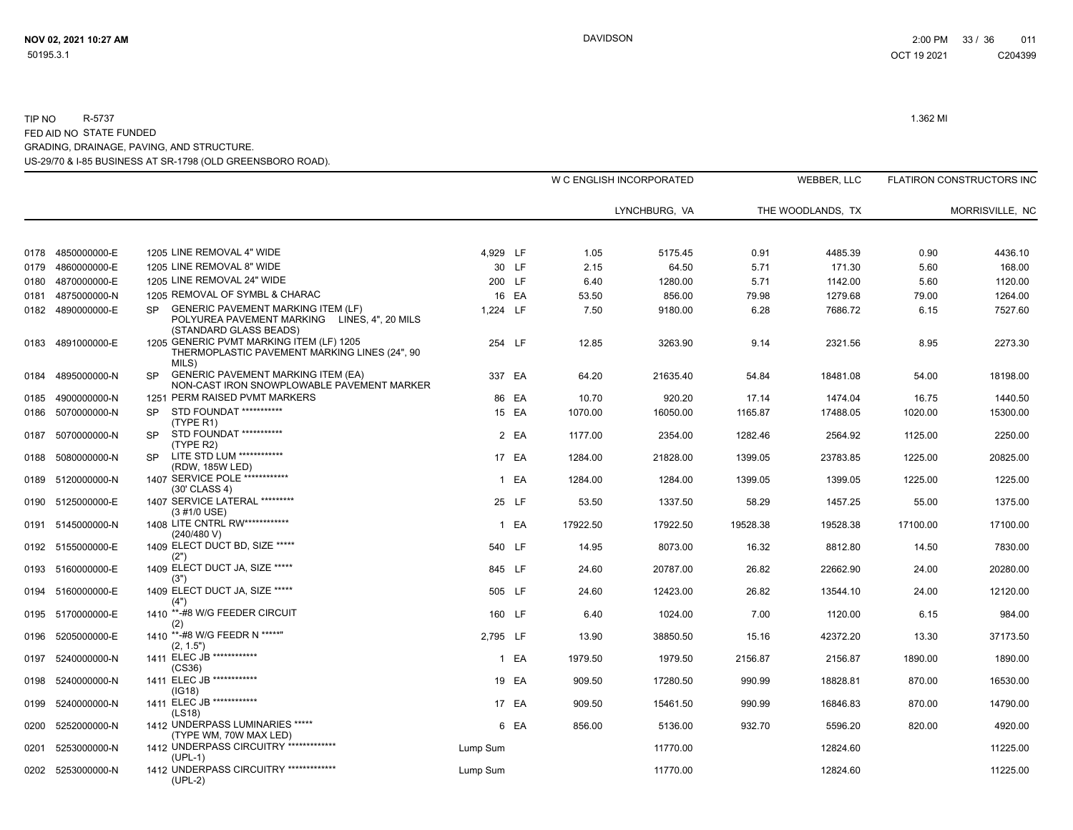|      |                                   |                                                                                                                            |          |        |               | W C ENGLISH INCORPORATED |               | WEBBER, LLC        |               | FLATIRON CONSTRUCTORS INC |
|------|-----------------------------------|----------------------------------------------------------------------------------------------------------------------------|----------|--------|---------------|--------------------------|---------------|--------------------|---------------|---------------------------|
|      |                                   |                                                                                                                            |          |        |               | LYNCHBURG, VA            |               | THE WOODLANDS, TX  |               | MORRISVILLE, NC           |
|      |                                   |                                                                                                                            |          |        |               |                          |               |                    |               |                           |
| 0178 | 4850000000-E                      | 1205 LINE REMOVAL 4" WIDE                                                                                                  | 4,929 LF |        | 1.05          | 5175.45                  | 0.91          | 4485.39            | 0.90          | 4436.10                   |
| 0179 | 4860000000-E                      | 1205 LINE REMOVAL 8" WIDE                                                                                                  |          | 30 LF  | 2.15          | 64.50                    | 5.71          | 171.30             | 5.60          | 168.00                    |
| 0180 | 4870000000-E                      | 1205 LINE REMOVAL 24" WIDE<br>1205 REMOVAL OF SYMBL & CHARAC                                                               |          | 200 LF | 6.40          | 1280.00                  | 5.71          | 1142.00            | 5.60          | 1120.00                   |
| 0181 | 4875000000-N<br>0182 4890000000-E | <b>GENERIC PAVEMENT MARKING ITEM (LF)</b><br>SP.<br>POLYUREA PAVEMENT MARKING LINES, 4", 20 MILS<br>(STANDARD GLASS BEADS) | 1,224 LF | 16 EA  | 53.50<br>7.50 | 856.00<br>9180.00        | 79.98<br>6.28 | 1279.68<br>7686.72 | 79.00<br>6.15 | 1264.00<br>7527.60        |
| 0183 | 4891000000-E                      | 1205 GENERIC PVMT MARKING ITEM (LF) 1205<br>THERMOPLASTIC PAVEMENT MARKING LINES (24", 90<br>MILS)                         |          | 254 LF | 12.85         | 3263.90                  | 9.14          | 2321.56            | 8.95          | 2273.30                   |
| 0184 | 4895000000-N                      | <b>GENERIC PAVEMENT MARKING ITEM (EA)</b><br><b>SP</b><br>NON-CAST IRON SNOWPLOWABLE PAVEMENT MARKER                       |          | 337 EA | 64.20         | 21635.40                 | 54.84         | 18481.08           | 54.00         | 18198.00                  |
| 0185 | 4900000000-N                      | 1251 PERM RAISED PVMT MARKERS                                                                                              |          | 86 EA  | 10.70         | 920.20                   | 17.14         | 1474.04            | 16.75         | 1440.50                   |
| 0186 | 5070000000-N                      | STD FOUNDAT ***********<br><b>SP</b><br>(TYPE R1)                                                                          |          | 15 EA  | 1070.00       | 16050.00                 | 1165.87       | 17488.05           | 1020.00       | 15300.00                  |
| 0187 | 5070000000-N                      | STD FOUNDAT ***********<br><b>SP</b><br>(TYPE R2)                                                                          |          | 2 EA   | 1177.00       | 2354.00                  | 1282.46       | 2564.92            | 1125.00       | 2250.00                   |
| 0188 | 5080000000-N                      | LITE STD LUM ************<br><b>SP</b><br>(RDW, 185W LED)                                                                  |          | 17 EA  | 1284.00       | 21828.00                 | 1399.05       | 23783.85           | 1225.00       | 20825.00                  |
| 0189 | 5120000000-N                      | 1407 SERVICE POLE ************<br>$(30'$ CLASS 4)                                                                          |          | 1 EA   | 1284.00       | 1284.00                  | 1399.05       | 1399.05            | 1225.00       | 1225.00                   |
| 0190 | 5125000000-E                      | 1407 SERVICE LATERAL *********<br>(3 #1/0 USE)                                                                             |          | 25 LF  | 53.50         | 1337.50                  | 58.29         | 1457.25            | 55.00         | 1375.00                   |
| 0191 | 5145000000-N                      | 1408 LITE CNTRL RW *************<br>(240/480 V)                                                                            |          | 1 EA   | 17922.50      | 17922.50                 | 19528.38      | 19528.38           | 17100.00      | 17100.00                  |
| 0192 | 5155000000-E                      | 1409 ELECT DUCT BD, SIZE *****<br>(2")                                                                                     |          | 540 LF | 14.95         | 8073.00                  | 16.32         | 8812.80            | 14.50         | 7830.00                   |
| 0193 | 5160000000-E                      | 1409 ELECT DUCT JA, SIZE *****<br>(3")                                                                                     |          | 845 LF | 24.60         | 20787.00                 | 26.82         | 22662.90           | 24.00         | 20280.00                  |
| 0194 | 5160000000-E                      | 1409 ELECT DUCT JA, SIZE *****<br>(4")                                                                                     |          | 505 LF | 24.60         | 12423.00                 | 26.82         | 13544.10           | 24.00         | 12120.00                  |
| 0195 | 5170000000-E                      | 1410 **-#8 W/G FEEDER CIRCUIT<br>(2)                                                                                       |          | 160 LF | 6.40          | 1024.00                  | 7.00          | 1120.00            | 6.15          | 984.00                    |
| 0196 | 5205000000-E                      | 1410 **-#8 W/G FEEDR N *****"<br>(2, 1.5")                                                                                 | 2,795 LF |        | 13.90         | 38850.50                 | 15.16         | 42372.20           | 13.30         | 37173.50                  |
| 0197 | 5240000000-N                      | 1411 ELEC JB ************<br>(CS36)                                                                                        |          | 1 EA   | 1979.50       | 1979.50                  | 2156.87       | 2156.87            | 1890.00       | 1890.00                   |
| 0198 | 5240000000-N                      | 1411 ELEC JB ************<br>(IG18)                                                                                        |          | 19 EA  | 909.50        | 17280.50                 | 990.99        | 18828.81           | 870.00        | 16530.00                  |
| 0199 | 5240000000-N                      | 1411 ELEC JB ************<br>(LS18)                                                                                        |          | 17 EA  | 909.50        | 15461.50                 | 990.99        | 16846.83           | 870.00        | 14790.00                  |
| 0200 | 5252000000-N                      | 1412 UNDERPASS LUMINARIES *****<br>(TYPE WM, 70W MAX LED)                                                                  |          | 6 EA   | 856.00        | 5136.00                  | 932.70        | 5596.20            | 820.00        | 4920.00                   |
| 0201 | 5253000000-N                      | 1412 UNDERPASS CIRCUITRY **************<br>(UPL-1)                                                                         | Lump Sum |        |               | 11770.00                 |               | 12824.60           |               | 11225.00                  |
| 0202 | 5253000000-N                      | 1412 UNDERPASS CIRCUITRY **************<br>$(UPL-2)$                                                                       | Lump Sum |        |               | 11770.00                 |               | 12824.60           |               | 11225.00                  |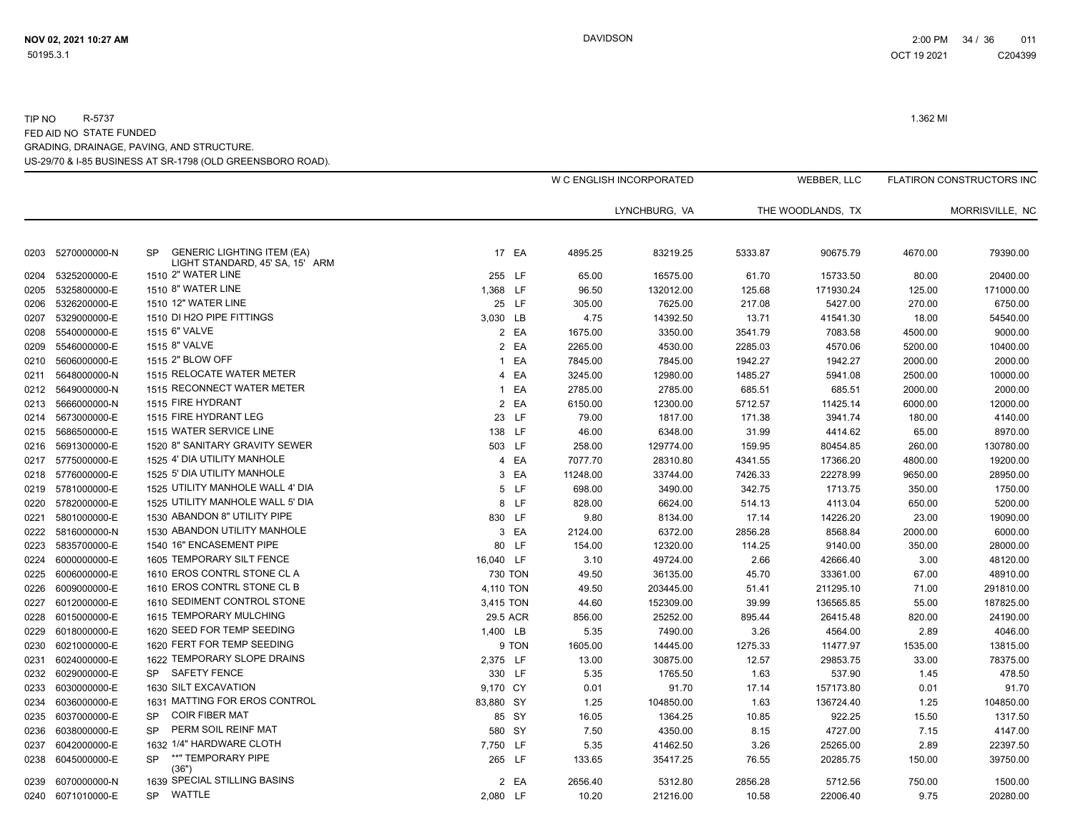### US-29/70 & I-85 BUSINESS AT SR-1798 (OLD GREENSBORO ROAD). TIP NO R-5737 1.362 MI FED AID NO STATE FUNDED GRADING, DRAINAGE, PAVING, AND STRUCTURE.

|      |                   |                                                                                   |           |          | W C ENGLISH INCORPORATED |         | WEBBER, LLC       |         | FLATIRON CONSTRUCTORS INC |
|------|-------------------|-----------------------------------------------------------------------------------|-----------|----------|--------------------------|---------|-------------------|---------|---------------------------|
|      |                   |                                                                                   |           |          | LYNCHBURG, VA            |         | THE WOODLANDS, TX |         | MORRISVILLE, NC           |
| 0203 | 5270000000-N      | <b>GENERIC LIGHTING ITEM (EA)</b><br><b>SP</b><br>LIGHT STANDARD, 45' SA, 15' ARM | 17 EA     | 4895.25  | 83219.25                 | 5333.87 | 90675.79          | 4670.00 | 79390.00                  |
| 0204 | 5325200000-E      | 1510 2" WATER LINE                                                                | 255 LF    | 65.00    | 16575.00                 | 61.70   | 15733.50          | 80.00   | 20400.00                  |
| 0205 | 5325800000-E      | 1510 8" WATER LINE                                                                | 1,368 LF  | 96.50    | 132012.00                | 125.68  | 171930.24         | 125.00  | 171000.00                 |
| 0206 | 5326200000-E      | 1510 12" WATER LINE                                                               | 25 LF     | 305.00   | 7625.00                  | 217.08  | 5427.00           | 270.00  | 6750.00                   |
| 0207 | 5329000000-E      | 1510 DI H2O PIPE FITTINGS                                                         | 3,030 LB  | 4.75     | 14392.50                 | 13.71   | 41541.30          | 18.00   | 54540.00                  |
| 0208 | 5540000000-E      | 1515 6" VALVE                                                                     | 2 EA      | 1675.00  | 3350.00                  | 3541.79 | 7083.58           | 4500.00 | 9000.00                   |
| 0209 | 5546000000-E      | 1515 8" VALVE                                                                     | 2 EA      | 2265.00  | 4530.00                  | 2285.03 | 4570.06           | 5200.00 | 10400.00                  |
| 0210 | 5606000000-E      | 1515 2" BLOW OFF                                                                  | 1 EA      | 7845.00  | 7845.00                  | 1942.27 | 1942.27           | 2000.00 | 2000.00                   |
| 0211 | 5648000000-N      | 1515 RELOCATE WATER METER                                                         | 4 EA      | 3245.00  | 12980.00                 | 1485.27 | 5941.08           | 2500.00 | 10000.00                  |
| 0212 | 5649000000-N      | 1515 RECONNECT WATER METER                                                        | 1 EA      | 2785.00  | 2785.00                  | 685.51  | 685.51            | 2000.00 | 2000.00                   |
| 0213 | 5666000000-N      | 1515 FIRE HYDRANT                                                                 | 2 EA      | 6150.00  | 12300.00                 | 5712.57 | 11425.14          | 6000.00 | 12000.00                  |
| 0214 | 5673000000-E      | 1515 FIRE HYDRANT LEG                                                             | 23 LF     | 79.00    | 1817.00                  | 171.38  | 3941.74           | 180.00  | 4140.00                   |
| 0215 | 5686500000-E      | 1515 WATER SERVICE LINE                                                           | 138 LF    | 46.00    | 6348.00                  | 31.99   | 4414.62           | 65.00   | 8970.00                   |
| 0216 | 5691300000-E      | 1520 8" SANITARY GRAVITY SEWER                                                    | 503 LF    | 258.00   | 129774.00                | 159.95  | 80454.85          | 260.00  | 130780.00                 |
| 0217 | 5775000000-E      | 1525 4' DIA UTILITY MANHOLE                                                       | 4 EA      | 7077.70  | 28310.80                 | 4341.55 | 17366.20          | 4800.00 | 19200.00                  |
|      | 0218 5776000000-E | 1525 5' DIA UTILITY MANHOLE                                                       | 3 EA      | 11248.00 | 33744.00                 | 7426.33 | 22278.99          | 9650.00 | 28950.00                  |
| 0219 | 5781000000-E      | 1525 UTILITY MANHOLE WALL 4' DIA                                                  | 5 LF      | 698.00   | 3490.00                  | 342.75  | 1713.75           | 350.00  | 1750.00                   |
| 0220 | 5782000000-E      | 1525 UTILITY MANHOLE WALL 5' DIA                                                  | 8 LF      | 828.00   | 6624.00                  | 514.13  | 4113.04           | 650.00  | 5200.00                   |
| 0221 | 5801000000-E      | 1530 ABANDON 8" UTILITY PIPE                                                      | 830 LF    | 9.80     | 8134.00                  | 17.14   | 14226.20          | 23.00   | 19090.00                  |
| 0222 | 5816000000-N      | 1530 ABANDON UTILITY MANHOLE                                                      | 3 EA      | 2124.00  | 6372.00                  | 2856.28 | 8568.84           | 2000.00 | 6000.00                   |
| 0223 | 5835700000-E      | 1540 16" ENCASEMENT PIPE                                                          | 80 LF     | 154.00   | 12320.00                 | 114.25  | 9140.00           | 350.00  | 28000.00                  |
| 0224 | 6000000000-E      | 1605 TEMPORARY SILT FENCE                                                         | 16,040 LF | 3.10     | 49724.00                 | 2.66    | 42666.40          | 3.00    | 48120.00                  |
| 0225 | 6006000000-E      | 1610 EROS CONTRL STONE CL A                                                       | 730 TON   | 49.50    | 36135.00                 | 45.70   | 33361.00          | 67.00   | 48910.00                  |
| 0226 | 6009000000-E      | 1610 EROS CONTRL STONE CL B                                                       | 4,110 TON | 49.50    | 203445.00                | 51.41   | 211295.10         | 71.00   | 291810.00                 |
| 0227 | 6012000000-E      | 1610 SEDIMENT CONTROL STONE                                                       | 3,415 TON | 44.60    | 152309.00                | 39.99   | 136565.85         | 55.00   | 187825.00                 |
| 0228 | 6015000000-E      | 1615 TEMPORARY MULCHING                                                           | 29.5 ACR  | 856.00   | 25252.00                 | 895.44  | 26415.48          | 820.00  | 24190.00                  |
| 0229 | 6018000000-E      | 1620 SEED FOR TEMP SEEDING                                                        | 1,400 LB  | 5.35     | 7490.00                  | 3.26    | 4564.00           | 2.89    | 4046.00                   |
| 0230 | 6021000000-E      | 1620 FERT FOR TEMP SEEDING                                                        | 9 TON     | 1605.00  | 14445.00                 | 1275.33 | 11477.97          | 1535.00 | 13815.00                  |
| 0231 | 6024000000-E      | 1622 TEMPORARY SLOPE DRAINS                                                       | 2,375 LF  | 13.00    | 30875.00                 | 12.57   | 29853.75          | 33.00   | 78375.00                  |
| 0232 | 6029000000-E      | SP SAFETY FENCE                                                                   | 330 LF    | 5.35     | 1765.50                  | 1.63    | 537.90            | 1.45    | 478.50                    |
| 0233 | 6030000000-E      | 1630 SILT EXCAVATION                                                              | 9,170 CY  | 0.01     | 91.70                    | 17.14   | 157173.80         | 0.01    | 91.70                     |
| 0234 | 6036000000-E      | 1631 MATTING FOR EROS CONTROL                                                     | 83,880 SY | 1.25     | 104850.00                | 1.63    | 136724.40         | 1.25    | 104850.00                 |
| 0235 | 6037000000-E      | <b>COIR FIBER MAT</b><br><b>SP</b>                                                | 85 SY     | 16.05    | 1364.25                  | 10.85   | 922.25            | 15.50   | 1317.50                   |
| 0236 | 6038000000-E      | PERM SOIL REINF MAT<br><b>SP</b>                                                  | 580 SY    | 7.50     | 4350.00                  | 8.15    | 4727.00           | 7.15    | 4147.00                   |
| 0237 | 6042000000-E      | 1632 1/4" HARDWARE CLOTH                                                          | 7,750 LF  | 5.35     | 41462.50                 | 3.26    | 25265.00          | 2.89    | 22397.50                  |
| 0238 | 6045000000-E      | **" TEMPORARY PIPE<br><b>SP</b><br>(36")                                          | 265 LF    | 133.65   | 35417.25                 | 76.55   | 20285.75          | 150.00  | 39750.00                  |
| 0239 | 6070000000-N      | 1639 SPECIAL STILLING BASINS                                                      | 2 EA      | 2656.40  | 5312.80                  | 2856.28 | 5712.56           | 750.00  | 1500.00                   |
|      | 0240 6071010000-E | WATTLE<br><b>SP</b>                                                               | 2,080 LF  | 10.20    | 21216.00                 | 10.58   | 22006.40          | 9.75    | 20280.00                  |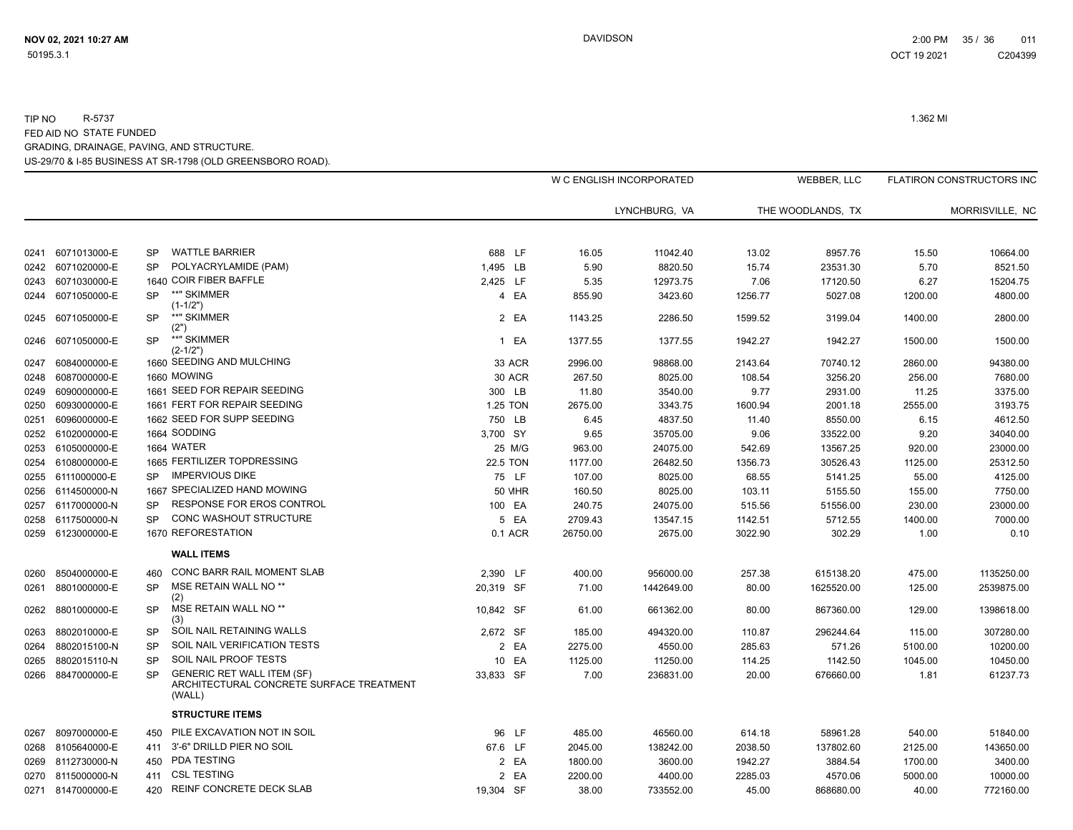# US-29/70 & I-85 BUSINESS AT SR-1798 (OLD GREENSBORO ROAD). TIP NO R-5737 1.362 MI FED AID NO STATE FUNDED GRADING, DRAINAGE, PAVING, AND STRUCTURE.

|      |                   |           |                                                                                         |                 |               |          | W C ENGLISH INCORPORATED |         | WEBBER, LLC       |         | FLATIRON CONSTRUCTORS INC |
|------|-------------------|-----------|-----------------------------------------------------------------------------------------|-----------------|---------------|----------|--------------------------|---------|-------------------|---------|---------------------------|
|      |                   |           |                                                                                         |                 |               |          | LYNCHBURG, VA            |         | THE WOODLANDS, TX |         | MORRISVILLE, NC           |
|      |                   |           |                                                                                         |                 |               |          |                          |         |                   |         |                           |
| 0241 | 6071013000-E      | <b>SP</b> | <b>WATTLE BARRIER</b>                                                                   | 688 LF          |               | 16.05    | 11042.40                 | 13.02   | 8957.76           | 15.50   | 10664.00                  |
| 0242 | 6071020000-E      | <b>SP</b> | POLYACRYLAMIDE (PAM)                                                                    | 1,495 LB        |               | 5.90     | 8820.50                  | 15.74   | 23531.30          | 5.70    | 8521.50                   |
| 0243 | 6071030000-E      |           | 1640 COIR FIBER BAFFLE                                                                  | 2,425 LF        |               | 5.35     | 12973.75                 | 7.06    | 17120.50          | 6.27    | 15204.75                  |
|      | 0244 6071050000-E | <b>SP</b> | **" SKIMMER<br>$(1-1/2")$                                                               |                 | 4 EA          | 855.90   | 3423.60                  | 1256.77 | 5027.08           | 1200.00 | 4800.00                   |
| 0245 | 6071050000-E      | SP        | **" SKIMMER<br>(2")                                                                     |                 | 2 EA          | 1143.25  | 2286.50                  | 1599.52 | 3199.04           | 1400.00 | 2800.00                   |
| 0246 | 6071050000-E      | <b>SP</b> | **" SKIMMER<br>(2-1/2")                                                                 |                 | 1 EA          | 1377.55  | 1377.55                  | 1942.27 | 1942.27           | 1500.00 | 1500.00                   |
| 0247 | 6084000000-E      |           | 1660 SEEDING AND MULCHING                                                               |                 | 33 ACR        | 2996.00  | 98868.00                 | 2143.64 | 70740.12          | 2860.00 | 94380.00                  |
| 0248 | 6087000000-E      |           | 1660 MOWING                                                                             |                 | <b>30 ACR</b> | 267.50   | 8025.00                  | 108.54  | 3256.20           | 256.00  | 7680.00                   |
| 0249 | 6090000000-E      |           | 1661 SEED FOR REPAIR SEEDING                                                            | 300 LB          |               | 11.80    | 3540.00                  | 9.77    | 2931.00           | 11.25   | 3375.00                   |
| 0250 | 6093000000-E      |           | 1661 FERT FOR REPAIR SEEDING                                                            | 1.25 TON        |               | 2675.00  | 3343.75                  | 1600.94 | 2001.18           | 2555.00 | 3193.75                   |
| 0251 | 6096000000-E      |           | 1662 SEED FOR SUPP SEEDING                                                              | 750 LB          |               | 6.45     | 4837.50                  | 11.40   | 8550.00           | 6.15    | 4612.50                   |
| 0252 | 6102000000-E      |           | 1664 SODDING                                                                            | 3,700 SY        |               | 9.65     | 35705.00                 | 9.06    | 33522.00          | 9.20    | 34040.00                  |
| 0253 | 6105000000-E      |           | 1664 WATER                                                                              |                 | 25 M/G        | 963.00   | 24075.00                 | 542.69  | 13567.25          | 920.00  | 23000.00                  |
|      | 0254 6108000000-E |           | 1665 FERTILIZER TOPDRESSING                                                             | <b>22.5 TON</b> |               | 1177.00  | 26482.50                 | 1356.73 | 30526.43          | 1125.00 | 25312.50                  |
| 0255 | 6111000000-E      | <b>SP</b> | <b>IMPERVIOUS DIKE</b>                                                                  |                 | 75 LF         | 107.00   | 8025.00                  | 68.55   | 5141.25           | 55.00   | 4125.00                   |
| 0256 | 6114500000-N      |           | 1667 SPECIALIZED HAND MOWING                                                            |                 | <b>50 MHR</b> | 160.50   | 8025.00                  | 103.11  | 5155.50           | 155.00  | 7750.00                   |
| 0257 | 6117000000-N      | <b>SP</b> | RESPONSE FOR EROS CONTROL                                                               |                 | 100 EA        | 240.75   | 24075.00                 | 515.56  | 51556.00          | 230.00  | 23000.00                  |
| 0258 | 6117500000-N      | <b>SP</b> | <b>CONC WASHOUT STRUCTURE</b>                                                           |                 | 5 EA          | 2709.43  | 13547.15                 | 1142.51 | 5712.55           | 1400.00 | 7000.00                   |
|      | 0259 6123000000-E |           | 1670 REFORESTATION                                                                      |                 | 0.1 ACR       | 26750.00 | 2675.00                  | 3022.90 | 302.29            | 1.00    | 0.10                      |
|      |                   |           | <b>WALL ITEMS</b>                                                                       |                 |               |          |                          |         |                   |         |                           |
| 0260 | 8504000000-E      | 460       | CONC BARR RAIL MOMENT SLAB                                                              | 2,390 LF        |               | 400.00   | 956000.00                | 257.38  | 615138.20         | 475.00  | 1135250.00                |
| 0261 | 8801000000-E      | SP        | MSE RETAIN WALL NO <sup>**</sup><br>(2)                                                 | 20,319 SF       |               | 71.00    | 1442649.00               | 80.00   | 1625520.00        | 125.00  | 2539875.00                |
| 0262 | 8801000000-E      | <b>SP</b> | MSE RETAIN WALL NO **<br>(3)                                                            | 10.842 SF       |               | 61.00    | 661362.00                | 80.00   | 867360.00         | 129.00  | 1398618.00                |
| 0263 | 8802010000-E      | SP        | SOIL NAIL RETAINING WALLS                                                               | 2,672 SF        |               | 185.00   | 494320.00                | 110.87  | 296244.64         | 115.00  | 307280.00                 |
| 0264 | 8802015100-N      | <b>SP</b> | SOIL NAIL VERIFICATION TESTS                                                            |                 | 2 EA          | 2275.00  | 4550.00                  | 285.63  | 571.26            | 5100.00 | 10200.00                  |
| 0265 | 8802015110-N      | <b>SP</b> | SOIL NAIL PROOF TESTS                                                                   |                 | 10 EA         | 1125.00  | 11250.00                 | 114.25  | 1142.50           | 1045.00 | 10450.00                  |
| 0266 | 8847000000-E      | <b>SP</b> | <b>GENERIC RET WALL ITEM (SF)</b><br>ARCHITECTURAL CONCRETE SURFACE TREATMENT<br>(WALL) | 33.833 SF       |               | 7.00     | 236831.00                | 20.00   | 676660.00         | 1.81    | 61237.73                  |
|      |                   |           | <b>STRUCTURE ITEMS</b>                                                                  |                 |               |          |                          |         |                   |         |                           |
| 0267 | 8097000000-E      | 450       | PILE EXCAVATION NOT IN SOIL                                                             |                 | 96 LF         | 485.00   | 46560.00                 | 614.18  | 58961.28          | 540.00  | 51840.00                  |
| 0268 | 8105640000-E      | 411       | 3'-6" DRILLD PIER NO SOIL                                                               | 67.6 LF         |               | 2045.00  | 138242.00                | 2038.50 | 137802.60         | 2125.00 | 143650.00                 |
| 0269 | 8112730000-N      | 450       | PDA TESTING                                                                             |                 | 2 EA          | 1800.00  | 3600.00                  | 1942.27 | 3884.54           | 1700.00 | 3400.00                   |
| 0270 | 8115000000-N      | 411       | <b>CSL TESTING</b>                                                                      |                 | 2 EA          | 2200.00  | 4400.00                  | 2285.03 | 4570.06           | 5000.00 | 10000.00                  |
|      | 0271 8147000000-E | 420       | REINF CONCRETE DECK SLAB                                                                | 19,304 SF       |               | 38.00    | 733552.00                | 45.00   | 868680.00         | 40.00   | 772160.00                 |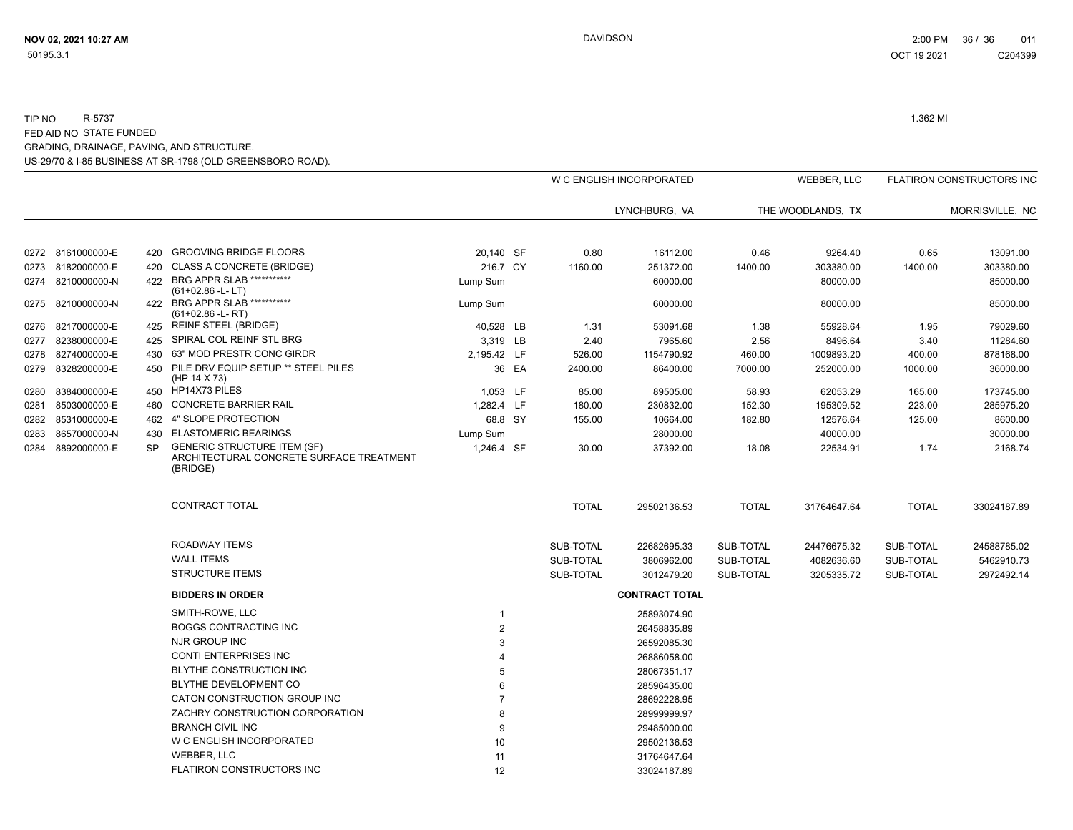## US-29/70 & I-85 BUSINESS AT SR-1798 (OLD GREENSBORO ROAD). TIP NO R-5737 1.362 MI FED AID NO STATE FUNDED GRADING, DRAINAGE, PAVING, AND STRUCTURE.

|      |                   |           |                                                                                            |                |       |              | W C ENGLISH INCORPORATED |              | <b>WEBBER, LLC</b> |              | <b>FLATIRON CONSTRUCTORS INC</b> |
|------|-------------------|-----------|--------------------------------------------------------------------------------------------|----------------|-------|--------------|--------------------------|--------------|--------------------|--------------|----------------------------------|
|      |                   |           |                                                                                            |                |       |              | LYNCHBURG, VA            |              | THE WOODLANDS, TX  |              | MORRISVILLE, NC                  |
|      | 0272 8161000000-E | 420       | <b>GROOVING BRIDGE FLOORS</b>                                                              | 20,140 SF      |       | 0.80         | 16112.00                 | 0.46         | 9264.40            | 0.65         | 13091.00                         |
| 0273 | 8182000000-E      | 420       | <b>CLASS A CONCRETE (BRIDGE)</b>                                                           | 216.7 CY       |       | 1160.00      | 251372.00                | 1400.00      | 303380.00          | 1400.00      | 303380.00                        |
|      | 0274 8210000000-N | 422       | BRG APPR SLAB ***********<br>$(61+02.86 - L - LT)$                                         | Lump Sum       |       |              | 60000.00                 |              | 80000.00           |              | 85000.00                         |
| 0275 | 8210000000-N      | 422       | BRG APPR SLAB ***********<br>$(61+02.86 - L - RT)$                                         | Lump Sum       |       |              | 60000.00                 |              | 80000.00           |              | 85000.00                         |
| 0276 | 8217000000-E      | 425       | <b>REINF STEEL (BRIDGE)</b>                                                                | 40,528 LB      |       | 1.31         | 53091.68                 | 1.38         | 55928.64           | 1.95         | 79029.60                         |
| 0277 | 8238000000-E      | 425       | SPIRAL COL REINF STL BRG                                                                   | 3,319 LB       |       | 2.40         | 7965.60                  | 2.56         | 8496.64            | 3.40         | 11284.60                         |
| 0278 | 8274000000-E      | 430       | 63" MOD PRESTR CONC GIRDR                                                                  | 2,195.42 LF    |       | 526.00       | 1154790.92               | 460.00       | 1009893.20         | 400.00       | 878168.00                        |
| 0279 | 8328200000-E      | 450       | PILE DRV EQUIP SETUP ** STEEL PILES<br>(HP 14 X 73)                                        |                | 36 EA | 2400.00      | 86400.00                 | 7000.00      | 252000.00          | 1000.00      | 36000.00                         |
| 0280 | 8384000000-E      | 450       | HP14X73 PILES                                                                              | 1,053 LF       |       | 85.00        | 89505.00                 | 58.93        | 62053.29           | 165.00       | 173745.00                        |
| 0281 | 8503000000-E      | 460       | <b>CONCRETE BARRIER RAIL</b>                                                               | 1,282.4 LF     |       | 180.00       | 230832.00                | 152.30       | 195309.52          | 223.00       | 285975.20                        |
| 0282 | 8531000000-E      | 462       | 4" SLOPE PROTECTION                                                                        | 68.8 SY        |       | 155.00       | 10664.00                 | 182.80       | 12576.64           | 125.00       | 8600.00                          |
| 0283 | 8657000000-N      | 430       | <b>ELASTOMERIC BEARINGS</b>                                                                | Lump Sum       |       |              | 28000.00                 |              | 40000.00           |              | 30000.00                         |
| 0284 | 8892000000-E      | <b>SP</b> | <b>GENERIC STRUCTURE ITEM (SF)</b><br>ARCHITECTURAL CONCRETE SURFACE TREATMENT<br>(BRIDGE) | 1,246.4 SF     |       | 30.00        | 37392.00                 | 18.08        | 22534.91           | 1.74         | 2168.74                          |
|      |                   |           | CONTRACT TOTAL                                                                             |                |       | <b>TOTAL</b> | 29502136.53              | <b>TOTAL</b> | 31764647.64        | <b>TOTAL</b> | 33024187.89                      |
|      |                   |           | <b>ROADWAY ITEMS</b>                                                                       |                |       | SUB-TOTAL    | 22682695.33              | SUB-TOTAL    | 24476675.32        | SUB-TOTAL    | 24588785.02                      |
|      |                   |           | <b>WALL ITEMS</b>                                                                          |                |       | SUB-TOTAL    | 3806962.00               | SUB-TOTAL    | 4082636.60         | SUB-TOTAL    | 5462910.73                       |
|      |                   |           | <b>STRUCTURE ITEMS</b>                                                                     |                |       | SUB-TOTAL    | 3012479.20               | SUB-TOTAL    | 3205335.72         | SUB-TOTAL    | 2972492.14                       |
|      |                   |           | <b>BIDDERS IN ORDER</b>                                                                    |                |       |              | <b>CONTRACT TOTAL</b>    |              |                    |              |                                  |
|      |                   |           | SMITH-ROWE, LLC                                                                            |                |       |              | 25893074.90              |              |                    |              |                                  |
|      |                   |           | <b>BOGGS CONTRACTING INC</b>                                                               | $\overline{2}$ |       |              | 26458835.89              |              |                    |              |                                  |
|      |                   |           | NJR GROUP INC                                                                              | 3              |       |              | 26592085.30              |              |                    |              |                                  |
|      |                   |           | <b>CONTI ENTERPRISES INC</b>                                                               |                |       |              | 26886058.00              |              |                    |              |                                  |
|      |                   |           | <b>BLYTHE CONSTRUCTION INC</b>                                                             | 5              |       |              | 28067351.17              |              |                    |              |                                  |
|      |                   |           | BLYTHE DEVELOPMENT CO                                                                      | 6              |       |              | 28596435.00              |              |                    |              |                                  |
|      |                   |           | CATON CONSTRUCTION GROUP INC                                                               |                |       |              | 28692228.95              |              |                    |              |                                  |
|      |                   |           | ZACHRY CONSTRUCTION CORPORATION                                                            | 8              |       |              | 28999999.97              |              |                    |              |                                  |
|      |                   |           | <b>BRANCH CIVIL INC</b>                                                                    | 9              |       |              | 29485000.00              |              |                    |              |                                  |
|      |                   |           | W C ENGLISH INCORPORATED                                                                   | 10             |       |              | 29502136.53              |              |                    |              |                                  |
|      |                   |           | <b>WEBBER, LLC</b>                                                                         | 11             |       |              | 31764647.64              |              |                    |              |                                  |
|      |                   |           | FLATIRON CONSTRUCTORS INC                                                                  | 12             |       |              | 33024187.89              |              |                    |              |                                  |
|      |                   |           |                                                                                            |                |       |              |                          |              |                    |              |                                  |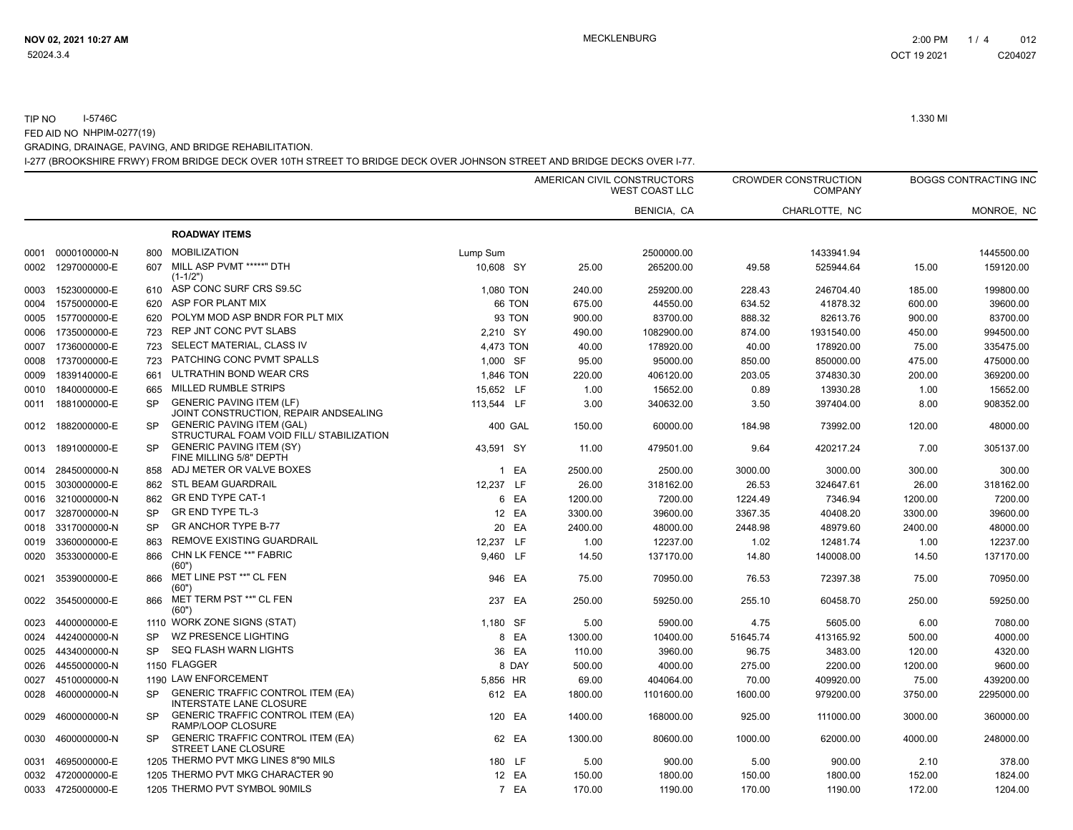### I-277 (BROOKSHIRE FRWY) FROM BRIDGE DECK OVER 10TH STREET TO BRIDGE DECK OVER JOHNSON STREET AND BRIDGE DECKS OVER I-77. TIP NO I-5746C 1.330 MI FED AID NO NHPIM-0277(19) GRADING, DRAINAGE, PAVING, AND BRIDGE REHABILITATION.

|      |                   |           |                                                                              |            |         |         | AMERICAN CIVIL CONSTRUCTORS<br><b>WEST COAST LLC</b> |          | <b>CROWDER CONSTRUCTION</b><br><b>COMPANY</b> |         | <b>BOGGS CONTRACTING INC</b> |
|------|-------------------|-----------|------------------------------------------------------------------------------|------------|---------|---------|------------------------------------------------------|----------|-----------------------------------------------|---------|------------------------------|
|      |                   |           |                                                                              |            |         |         | BENICIA, CA                                          |          | CHARLOTTE, NC                                 |         | MONROE, NC                   |
|      |                   |           | <b>ROADWAY ITEMS</b>                                                         |            |         |         |                                                      |          |                                               |         |                              |
|      | 0001 0000100000-N | 800       | <b>MOBILIZATION</b>                                                          | Lump Sum   |         |         | 2500000.00                                           |          | 1433941.94                                    |         | 1445500.00                   |
| 0002 | 1297000000-E      | 607       | MILL ASP PVMT *****" DTH<br>$(1-1/2")$                                       | 10,608 SY  |         | 25.00   | 265200.00                                            | 49.58    | 525944.64                                     | 15.00   | 159120.00                    |
| 0003 | 1523000000-E      | 610       | ASP CONC SURF CRS S9.5C                                                      | 1,080 TON  |         | 240.00  | 259200.00                                            | 228.43   | 246704.40                                     | 185.00  | 199800.00                    |
| 0004 | 1575000000-E      | 620       | ASP FOR PLANT MIX                                                            |            | 66 TON  | 675.00  | 44550.00                                             | 634.52   | 41878.32                                      | 600.00  | 39600.00                     |
| 0005 | 1577000000-E      | 620       | POLYM MOD ASP BNDR FOR PLT MIX                                               |            | 93 TON  | 900.00  | 83700.00                                             | 888.32   | 82613.76                                      | 900.00  | 83700.00                     |
| 0006 | 1735000000-E      | 723       | REP JNT CONC PVT SLABS                                                       | 2,210 SY   |         | 490.00  | 1082900.00                                           | 874.00   | 1931540.00                                    | 450.00  | 994500.00                    |
|      | 0007 1736000000-E | 723       | SELECT MATERIAL, CLASS IV                                                    | 4,473 TON  |         | 40.00   | 178920.00                                            | 40.00    | 178920.00                                     | 75.00   | 335475.00                    |
| 0008 | 1737000000-E      | 723       | PATCHING CONC PVMT SPALLS                                                    | 1,000 SF   |         | 95.00   | 95000.00                                             | 850.00   | 850000.00                                     | 475.00  | 475000.00                    |
| 0009 | 1839140000-E      | 661       | ULTRATHIN BOND WEAR CRS                                                      | 1,846 TON  |         | 220.00  | 406120.00                                            | 203.05   | 374830.30                                     | 200.00  | 369200.00                    |
| 0010 | 1840000000-E      | 665       | MILLED RUMBLE STRIPS                                                         | 15,652 LF  |         | 1.00    | 15652.00                                             | 0.89     | 13930.28                                      | 1.00    | 15652.00                     |
|      | 0011 1881000000-E | <b>SP</b> | <b>GENERIC PAVING ITEM (LF)</b><br>JOINT CONSTRUCTION, REPAIR ANDSEALING     | 113,544 LF |         | 3.00    | 340632.00                                            | 3.50     | 397404.00                                     | 8.00    | 908352.00                    |
| 0012 | 1882000000-E      | <b>SP</b> | <b>GENERIC PAVING ITEM (GAL)</b><br>STRUCTURAL FOAM VOID FILL/ STABILIZATION |            | 400 GAL | 150.00  | 60000.00                                             | 184.98   | 73992.00                                      | 120.00  | 48000.00                     |
| 0013 | 1891000000-E      | SP        | <b>GENERIC PAVING ITEM (SY)</b><br>FINE MILLING 5/8" DEPTH                   | 43,591 SY  |         | 11.00   | 479501.00                                            | 9.64     | 420217.24                                     | 7.00    | 305137.00                    |
|      | 0014 2845000000-N | 858       | ADJ METER OR VALVE BOXES                                                     |            | 1 EA    | 2500.00 | 2500.00                                              | 3000.00  | 3000.00                                       | 300.00  | 300.00                       |
|      | 0015 3030000000-E | 862       | <b>STL BEAM GUARDRAIL</b>                                                    | 12,237 LF  |         | 26.00   | 318162.00                                            | 26.53    | 324647.61                                     | 26.00   | 318162.00                    |
|      | 0016 3210000000-N | 862       | <b>GR END TYPE CAT-1</b>                                                     |            | 6 EA    | 1200.00 | 7200.00                                              | 1224.49  | 7346.94                                       | 1200.00 | 7200.00                      |
|      | 0017 3287000000-N | <b>SP</b> | <b>GR END TYPE TL-3</b>                                                      |            | 12 EA   | 3300.00 | 39600.00                                             | 3367.35  | 40408.20                                      | 3300.00 | 39600.00                     |
|      | 0018 3317000000-N | <b>SP</b> | <b>GR ANCHOR TYPE B-77</b>                                                   |            | 20 EA   | 2400.00 | 48000.00                                             | 2448.98  | 48979.60                                      | 2400.00 | 48000.00                     |
| 0019 | 3360000000-E      | 863       | REMOVE EXISTING GUARDRAIL                                                    | 12,237 LF  |         | 1.00    | 12237.00                                             | 1.02     | 12481.74                                      | 1.00    | 12237.00                     |
| 0020 | 3533000000-E      | 866       | CHN LK FENCE **" FABRIC<br>(60")                                             | 9,460 LF   |         | 14.50   | 137170.00                                            | 14.80    | 140008.00                                     | 14.50   | 137170.00                    |
| 0021 | 3539000000-E      | 866       | MET LINE PST **" CL FEN<br>(60")                                             | 946 EA     |         | 75.00   | 70950.00                                             | 76.53    | 72397.38                                      | 75.00   | 70950.00                     |
|      | 0022 3545000000-E | 866       | MET TERM PST **" CL FEN<br>(60"                                              |            | 237 EA  | 250.00  | 59250.00                                             | 255.10   | 60458.70                                      | 250.00  | 59250.00                     |
| 0023 | 4400000000-E      | 1110      | WORK ZONE SIGNS (STAT)                                                       | 1.180 SF   |         | 5.00    | 5900.00                                              | 4.75     | 5605.00                                       | 6.00    | 7080.00                      |
|      | 0024 4424000000-N | SP        | WZ PRESENCE LIGHTING                                                         |            | 8 EA    | 1300.00 | 10400.00                                             | 51645.74 | 413165.92                                     | 500.00  | 4000.00                      |
| 0025 | 4434000000-N      | <b>SP</b> | <b>SEQ FLASH WARN LIGHTS</b>                                                 |            | 36 EA   | 110.00  | 3960.00                                              | 96.75    | 3483.00                                       | 120.00  | 4320.00                      |
|      | 0026 4455000000-N |           | 1150 FLAGGER                                                                 |            | 8 DAY   | 500.00  | 4000.00                                              | 275.00   | 2200.00                                       | 1200.00 | 9600.00                      |
|      | 0027 4510000000-N |           | 1190 LAW ENFORCEMENT                                                         | 5,856 HR   |         | 69.00   | 404064.00                                            | 70.00    | 409920.00                                     | 75.00   | 439200.00                    |
| 0028 | 4600000000-N      | SP.       | <b>GENERIC TRAFFIC CONTROL ITEM (EA)</b><br><b>INTERSTATE LANE CLOSURE</b>   | 612 EA     |         | 1800.00 | 1101600.00                                           | 1600.00  | 979200.00                                     | 3750.00 | 2295000.00                   |
| 0029 | 4600000000-N      | SP.       | GENERIC TRAFFIC CONTROL ITEM (EA)<br>RAMP/LOOP CLOSURE                       |            | 120 EA  | 1400.00 | 168000.00                                            | 925.00   | 111000.00                                     | 3000.00 | 360000.00                    |
| 0030 | 4600000000-N      | <b>SP</b> | <b>GENERIC TRAFFIC CONTROL ITEM (EA)</b><br><b>STREET LANE CLOSURE</b>       |            | 62 EA   | 1300.00 | 80600.00                                             | 1000.00  | 62000.00                                      | 4000.00 | 248000.00                    |
| 0031 | 4695000000-E      |           | 1205 THERMO PVT MKG LINES 8"90 MILS                                          |            | 180 LF  | 5.00    | 900.00                                               | 5.00     | 900.00                                        | 2.10    | 378.00                       |
| 0032 | 4720000000-E      |           | 1205 THERMO PVT MKG CHARACTER 90                                             |            | 12 EA   | 150.00  | 1800.00                                              | 150.00   | 1800.00                                       | 152.00  | 1824.00                      |
|      | 0033 4725000000-E |           | 1205 THERMO PVT SYMBOL 90MILS                                                |            | 7 EA    | 170.00  | 1190.00                                              | 170.00   | 1190.00                                       | 172.00  | 1204.00                      |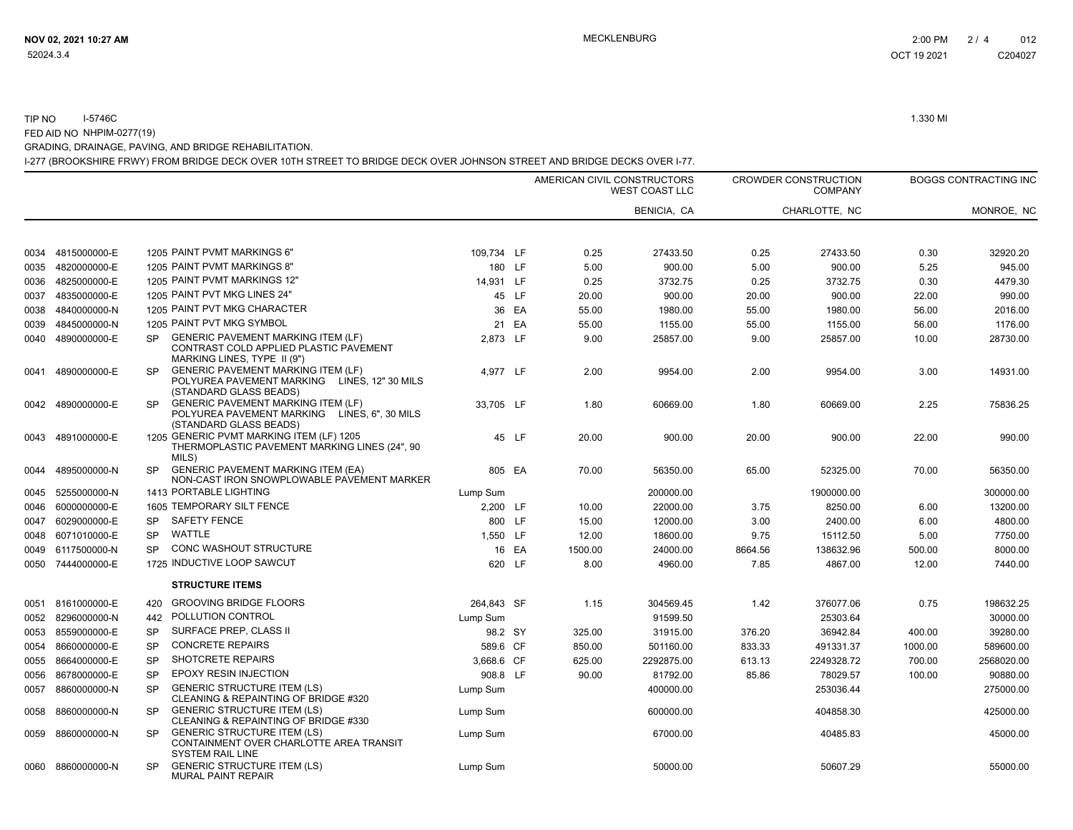### TIP NO I-5746C 1.330 MI FED AID NO NHPIM-0277(19)

GRADING, DRAINAGE, PAVING, AND BRIDGE REHABILITATION.

I-277 (BROOKSHIRE FRWY) FROM BRIDGE DECK OVER 10TH STREET TO BRIDGE DECK OVER JOHNSON STREET AND BRIDGE DECKS OVER I-77.

|      |                   |           |                                                                                                                     |            |       | AMERICAN CIVIL CONSTRUCTORS | <b>WEST COAST LLC</b> |         | <b>CROWDER CONSTRUCTION</b><br><b>COMPANY</b> |         | <b>BOGGS CONTRACTING INC</b> |
|------|-------------------|-----------|---------------------------------------------------------------------------------------------------------------------|------------|-------|-----------------------------|-----------------------|---------|-----------------------------------------------|---------|------------------------------|
|      |                   |           |                                                                                                                     |            |       |                             | <b>BENICIA, CA</b>    |         | CHARLOTTE, NC                                 |         | MONROE, NC                   |
| 0034 | 4815000000-E      |           | 1205 PAINT PVMT MARKINGS 6"                                                                                         | 109,734 LF |       | 0.25                        | 27433.50              | 0.25    | 27433.50                                      | 0.30    | 32920.20                     |
| 0035 | 4820000000-E      |           | 1205 PAINT PVMT MARKINGS 8"                                                                                         | 180 LF     |       | 5.00                        | 900.00                | 5.00    | 900.00                                        | 5.25    | 945.00                       |
| 0036 | 4825000000-E      |           | 1205 PAINT PVMT MARKINGS 12"                                                                                        | 14,931 LF  |       | 0.25                        | 3732.75               | 0.25    | 3732.75                                       | 0.30    | 4479.30                      |
| 0037 | 4835000000-E      |           | 1205 PAINT PVT MKG LINES 24"                                                                                        |            | 45 LF | 20.00                       | 900.00                | 20.00   | 900.00                                        | 22.00   | 990.00                       |
| 0038 | 4840000000-N      |           | 1205 PAINT PVT MKG CHARACTER                                                                                        |            | 36 EA | 55.00                       | 1980.00               | 55.00   | 1980.00                                       | 56.00   | 2016.00                      |
| 0039 | 4845000000-N      |           | 1205 PAINT PVT MKG SYMBOL                                                                                           |            | 21 EA | 55.00                       | 1155.00               | 55.00   | 1155.00                                       | 56.00   | 1176.00                      |
| 0040 | 4890000000-E      | <b>SP</b> | <b>GENERIC PAVEMENT MARKING ITEM (LF)</b><br>CONTRAST COLD APPLIED PLASTIC PAVEMENT<br>MARKING LINES, TYPE II (9")  | 2.873 LF   |       | 9.00                        | 25857.00              | 9.00    | 25857.00                                      | 10.00   | 28730.00                     |
| 0041 | 4890000000-E      | <b>SP</b> | <b>GENERIC PAVEMENT MARKING ITEM (LF)</b><br>POLYUREA PAVEMENT MARKING LINES, 12" 30 MILS<br>(STANDARD GLASS BEADS) | 4,977 LF   |       | 2.00                        | 9954.00               | 2.00    | 9954.00                                       | 3.00    | 14931.00                     |
| 0042 | 4890000000-E      | SP.       | <b>GENERIC PAVEMENT MARKING ITEM (LF)</b><br>POLYUREA PAVEMENT MARKING LINES, 6", 30 MILS<br>(STANDARD GLASS BEADS) | 33,705 LF  |       | 1.80                        | 60669.00              | 1.80    | 60669.00                                      | 2.25    | 75836.25                     |
| 0043 | 4891000000-E      |           | 1205 GENERIC PVMT MARKING ITEM (LF) 1205<br>THERMOPLASTIC PAVEMENT MARKING LINES (24", 90<br>MILS)                  |            | 45 LF | 20.00                       | 900.00                | 20.00   | 900.00                                        | 22.00   | 990.00                       |
| 0044 | 4895000000-N      | <b>SP</b> | <b>GENERIC PAVEMENT MARKING ITEM (EA)</b><br>NON-CAST IRON SNOWPLOWABLE PAVEMENT MARKER                             | 805 EA     |       | 70.00                       | 56350.00              | 65.00   | 52325.00                                      | 70.00   | 56350.00                     |
| 0045 | 5255000000-N      |           | 1413 PORTABLE LIGHTING                                                                                              | Lump Sum   |       |                             | 200000.00             |         | 1900000.00                                    |         | 300000.00                    |
| 0046 | 6000000000-E      |           | 1605 TEMPORARY SILT FENCE                                                                                           | 2,200 LF   |       | 10.00                       | 22000.00              | 3.75    | 8250.00                                       | 6.00    | 13200.00                     |
| 0047 | 6029000000-E      | <b>SP</b> | <b>SAFETY FENCE</b>                                                                                                 | 800 LF     |       | 15.00                       | 12000.00              | 3.00    | 2400.00                                       | 6.00    | 4800.00                      |
| 0048 | 6071010000-E      | <b>SP</b> | <b>WATTLE</b>                                                                                                       | 1.550 LF   |       | 12.00                       | 18600.00              | 9.75    | 15112.50                                      | 5.00    | 7750.00                      |
| 0049 | 6117500000-N      | <b>SP</b> | <b>CONC WASHOUT STRUCTURE</b>                                                                                       |            | 16 EA | 1500.00                     | 24000.00              | 8664.56 | 138632.96                                     | 500.00  | 8000.00                      |
| 0050 | 7444000000-E      |           | 1725 INDUCTIVE LOOP SAWCUT                                                                                          | 620 LF     |       | 8.00                        | 4960.00               | 7.85    | 4867.00                                       | 12.00   | 7440.00                      |
|      |                   |           | <b>STRUCTURE ITEMS</b>                                                                                              |            |       |                             |                       |         |                                               |         |                              |
| 0051 | 8161000000-E      | 420       | <b>GROOVING BRIDGE FLOORS</b>                                                                                       | 264,843 SF |       | 1.15                        | 304569.45             | 1.42    | 376077.06                                     | 0.75    | 198632.25                    |
| 0052 | 8296000000-N      | 442       | POLLUTION CONTROL                                                                                                   | Lump Sum   |       |                             | 91599.50              |         | 25303.64                                      |         | 30000.00                     |
| 0053 | 8559000000-E      | <b>SP</b> | SURFACE PREP, CLASS II                                                                                              | 98.2 SY    |       | 325.00                      | 31915.00              | 376.20  | 36942.84                                      | 400.00  | 39280.00                     |
| 0054 | 8660000000-E      | <b>SP</b> | <b>CONCRETE REPAIRS</b>                                                                                             | 589.6 CF   |       | 850.00                      | 501160.00             | 833.33  | 491331.37                                     | 1000.00 | 589600.00                    |
| 0055 | 8664000000-E      | <b>SP</b> | <b>SHOTCRETE REPAIRS</b>                                                                                            | 3.668.6 CF |       | 625.00                      | 2292875.00            | 613.13  | 2249328.72                                    | 700.00  | 2568020.00                   |
| 0056 | 8678000000-E      | <b>SP</b> | <b>EPOXY RESIN INJECTION</b>                                                                                        | 908.8 LF   |       | 90.00                       | 81792.00              | 85.86   | 78029.57                                      | 100.00  | 90880.00                     |
| 0057 | 8860000000-N      | <b>SP</b> | <b>GENERIC STRUCTURE ITEM (LS)</b><br>CLEANING & REPAINTING OF BRIDGE #320                                          | Lump Sum   |       |                             | 400000.00             |         | 253036.44                                     |         | 275000.00                    |
| 0058 | 8860000000-N      | <b>SP</b> | <b>GENERIC STRUCTURE ITEM (LS)</b><br>CLEANING & REPAINTING OF BRIDGE #330                                          | Lump Sum   |       |                             | 600000.00             |         | 404858.30                                     |         | 425000.00                    |
| 0059 | 8860000000-N      | <b>SP</b> | <b>GENERIC STRUCTURE ITEM (LS)</b><br>CONTAINMENT OVER CHARLOTTE AREA TRANSIT<br><b>SYSTEM RAIL LINE</b>            | Lump Sum   |       |                             | 67000.00              |         | 40485.83                                      |         | 45000.00                     |
|      | 0060 8860000000-N | SP        | <b>GENERIC STRUCTURE ITEM (LS)</b><br><b>MURAL PAINT REPAIR</b>                                                     | Lump Sum   |       |                             | 50000.00              |         | 50607.29                                      |         | 55000.00                     |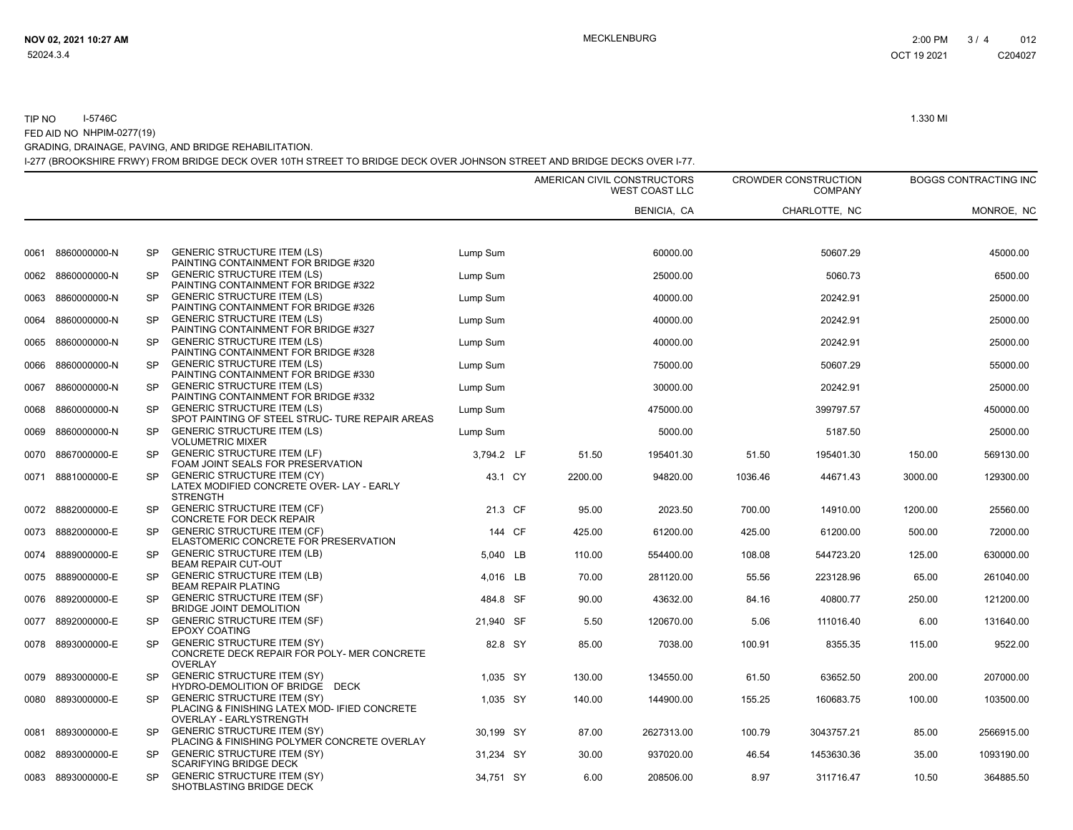#### TIP NOI-5746C 1.330 MI

FED AID NO NHPIM-0277(19)

GRADING, DRAINAGE, PAVING, AND BRIDGE REHABILITATION.

I-277 (BROOKSHIRE FRWY) FROM BRIDGE DECK OVER 10TH STREET TO BRIDGE DECK OVER JOHNSON STREET AND BRIDGE DECKS OVER I-77.

|      |                   |           |                                                                                                                       |            |        |         | AMERICAN CIVIL CONSTRUCTORS<br><b>WEST COAST LLC</b> |         | <b>CROWDER CONSTRUCTION</b><br><b>COMPANY</b> |         | BOGGS CONTRACTING INC |
|------|-------------------|-----------|-----------------------------------------------------------------------------------------------------------------------|------------|--------|---------|------------------------------------------------------|---------|-----------------------------------------------|---------|-----------------------|
|      |                   |           |                                                                                                                       |            |        |         | BENICIA, CA                                          |         | CHARLOTTE, NC                                 |         | MONROE, NC            |
| 0061 | 8860000000-N      | <b>SP</b> | <b>GENERIC STRUCTURE ITEM (LS)</b>                                                                                    | Lump Sum   |        |         | 60000.00                                             |         | 50607.29                                      |         | 45000.00              |
|      |                   |           | PAINTING CONTAINMENT FOR BRIDGE #320                                                                                  |            |        |         |                                                      |         |                                               |         |                       |
| 0062 | 8860000000-N      | <b>SP</b> | <b>GENERIC STRUCTURE ITEM (LS)</b><br>PAINTING CONTAINMENT FOR BRIDGE #322                                            | Lump Sum   |        |         | 25000.00                                             |         | 5060.73                                       |         | 6500.00               |
| 0063 | 8860000000-N      | <b>SP</b> | <b>GENERIC STRUCTURE ITEM (LS)</b><br>PAINTING CONTAINMENT FOR BRIDGE #326                                            | Lump Sum   |        |         | 40000.00                                             |         | 20242.91                                      |         | 25000.00              |
| 0064 | 8860000000-N      | <b>SP</b> | <b>GENERIC STRUCTURE ITEM (LS)</b><br>PAINTING CONTAINMENT FOR BRIDGE #327                                            | Lump Sum   |        |         | 40000.00                                             |         | 20242.91                                      |         | 25000.00              |
| 0065 | 8860000000-N      | <b>SP</b> | <b>GENERIC STRUCTURE ITEM (LS)</b><br>PAINTING CONTAINMENT FOR BRIDGE #328                                            | Lump Sum   |        |         | 40000.00                                             |         | 20242.91                                      |         | 25000.00              |
| 0066 | 8860000000-N      | <b>SP</b> | <b>GENERIC STRUCTURE ITEM (LS)</b><br>PAINTING CONTAINMENT FOR BRIDGE #330                                            | Lump Sum   |        |         | 75000.00                                             |         | 50607.29                                      |         | 55000.00              |
| 0067 | 8860000000-N      | <b>SP</b> | <b>GENERIC STRUCTURE ITEM (LS)</b><br>PAINTING CONTAINMENT FOR BRIDGE #332                                            | Lump Sum   |        |         | 30000.00                                             |         | 20242.91                                      |         | 25000.00              |
| 0068 | 8860000000-N      | <b>SP</b> | <b>GENERIC STRUCTURE ITEM (LS)</b><br>SPOT PAINTING OF STEEL STRUC- TURE REPAIR AREAS                                 | Lump Sum   |        |         | 475000.00                                            |         | 399797.57                                     |         | 450000.00             |
| 0069 | 8860000000-N      | <b>SP</b> | <b>GENERIC STRUCTURE ITEM (LS)</b><br><b>VOLUMETRIC MIXER</b>                                                         | Lump Sum   |        |         | 5000.00                                              |         | 5187.50                                       |         | 25000.00              |
| 0070 | 8867000000-E      | <b>SP</b> | <b>GENERIC STRUCTURE ITEM (LF)</b><br>FOAM JOINT SEALS FOR PRESERVATION                                               | 3,794.2 LF |        | 51.50   | 195401.30                                            | 51.50   | 195401.30                                     | 150.00  | 569130.00             |
|      | 0071 8881000000-E | <b>SP</b> | <b>GENERIC STRUCTURE ITEM (CY)</b><br>LATEX MODIFIED CONCRETE OVER- LAY - EARLY<br><b>STRENGTH</b>                    | 43.1 CY    |        | 2200.00 | 94820.00                                             | 1036.46 | 44671.43                                      | 3000.00 | 129300.00             |
|      | 0072 8882000000-E | <b>SP</b> | <b>GENERIC STRUCTURE ITEM (CF)</b><br>CONCRETE FOR DECK REPAIR                                                        | 21.3 CF    |        | 95.00   | 2023.50                                              | 700.00  | 14910.00                                      | 1200.00 | 25560.00              |
|      | 0073 8882000000-E | <b>SP</b> | <b>GENERIC STRUCTURE ITEM (CF)</b><br>ELASTOMERIC CONCRETE FOR PRESERVATION                                           |            | 144 CF | 425.00  | 61200.00                                             | 425.00  | 61200.00                                      | 500.00  | 72000.00              |
| 0074 | 8889000000-E      | <b>SP</b> | <b>GENERIC STRUCTURE ITEM (LB)</b><br>BEAM REPAIR CUT-OUT                                                             | 5,040 LB   |        | 110.00  | 554400.00                                            | 108.08  | 544723.20                                     | 125.00  | 630000.00             |
| 0075 | 8889000000-E      | <b>SP</b> | <b>GENERIC STRUCTURE ITEM (LB)</b><br><b>BEAM REPAIR PLATING</b>                                                      | 4.016 LB   |        | 70.00   | 281120.00                                            | 55.56   | 223128.96                                     | 65.00   | 261040.00             |
| 0076 | 8892000000-E      | <b>SP</b> | <b>GENERIC STRUCTURE ITEM (SF)</b><br><b>BRIDGE JOINT DEMOLITION</b>                                                  | 484.8 SF   |        | 90.00   | 43632.00                                             | 84.16   | 40800.77                                      | 250.00  | 121200.00             |
| 0077 | 8892000000-E      | <b>SP</b> | <b>GENERIC STRUCTURE ITEM (SF)</b><br><b>EPOXY COATING</b>                                                            | 21,940 SF  |        | 5.50    | 120670.00                                            | 5.06    | 111016.40                                     | 6.00    | 131640.00             |
| 0078 | 8893000000-E      | <b>SP</b> | <b>GENERIC STRUCTURE ITEM (SY)</b><br>CONCRETE DECK REPAIR FOR POLY- MER CONCRETE<br><b>OVERLAY</b>                   | 82.8 SY    |        | 85.00   | 7038.00                                              | 100.91  | 8355.35                                       | 115.00  | 9522.00               |
| 0079 | 8893000000-E      | <b>SP</b> | <b>GENERIC STRUCTURE ITEM (SY)</b><br>HYDRO-DEMOLITION OF BRIDGE DECK                                                 | 1.035 SY   |        | 130.00  | 134550.00                                            | 61.50   | 63652.50                                      | 200.00  | 207000.00             |
| 0080 | 8893000000-E      | <b>SP</b> | <b>GENERIC STRUCTURE ITEM (SY)</b><br>PLACING & FINISHING LATEX MOD- IFIED CONCRETE<br><b>OVERLAY - EARLYSTRENGTH</b> | 1,035 SY   |        | 140.00  | 144900.00                                            | 155.25  | 160683.75                                     | 100.00  | 103500.00             |
| 0081 | 8893000000-E      | <b>SP</b> | <b>GENERIC STRUCTURE ITEM (SY)</b><br>PLACING & FINISHING POLYMER CONCRETE OVERLAY                                    | 30,199 SY  |        | 87.00   | 2627313.00                                           | 100.79  | 3043757.21                                    | 85.00   | 2566915.00            |
| 0082 | 8893000000-E      | <b>SP</b> | <b>GENERIC STRUCTURE ITEM (SY)</b><br><b>SCARIFYING BRIDGE DECK</b>                                                   | 31,234 SY  |        | 30.00   | 937020.00                                            | 46.54   | 1453630.36                                    | 35.00   | 1093190.00            |
|      | 0083 8893000000-E | <b>SP</b> | <b>GENERIC STRUCTURE ITEM (SY)</b><br>SHOTBLASTING BRIDGE DECK                                                        | 34,751 SY  |        | 6.00    | 208506.00                                            | 8.97    | 311716.47                                     | 10.50   | 364885.50             |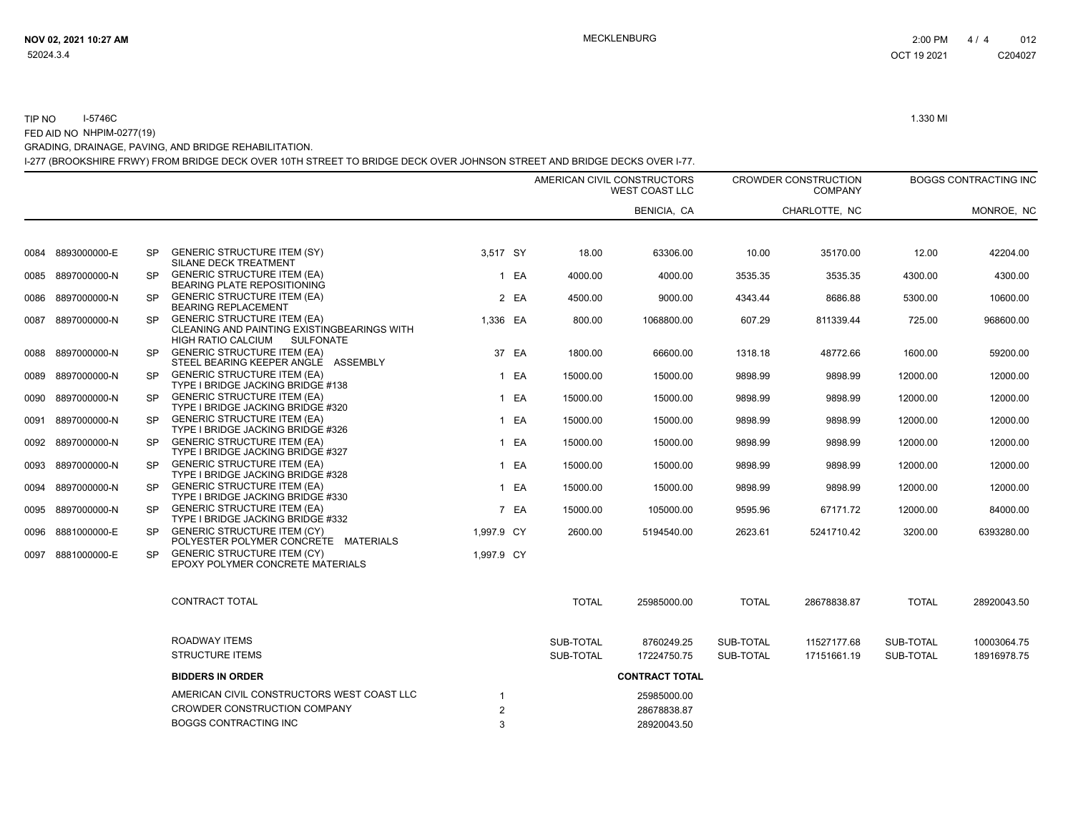### TIP NO I-5746C 1.330 MI FED AID NO NHPIM-0277(19)

GRADING, DRAINAGE, PAVING, AND BRIDGE REHABILITATION.

I-277 (BROOKSHIRE FRWY) FROM BRIDGE DECK OVER 10TH STREET TO BRIDGE DECK OVER JOHNSON STREET AND BRIDGE DECKS OVER I-77.

|      |              |           |                                                                                                                             |                |       |              | AMERICAN CIVIL CONSTRUCTORS<br><b>WEST COAST LLC</b> |              | <b>CROWDER CONSTRUCTION</b><br><b>COMPANY</b> |              | <b>BOGGS CONTRACTING INC</b> |
|------|--------------|-----------|-----------------------------------------------------------------------------------------------------------------------------|----------------|-------|--------------|------------------------------------------------------|--------------|-----------------------------------------------|--------------|------------------------------|
|      |              |           |                                                                                                                             |                |       |              | BENICIA, CA                                          |              | CHARLOTTE. NC                                 |              | MONROE, NC                   |
| 0084 | 8893000000-E | <b>SP</b> | <b>GENERIC STRUCTURE ITEM (SY)</b><br><b>SILANE DECK TREATMENT</b>                                                          | 3,517 SY       |       | 18.00        | 63306.00                                             | 10.00        | 35170.00                                      | 12.00        | 42204.00                     |
| 0085 | 8897000000-N | SP.       | <b>GENERIC STRUCTURE ITEM (EA)</b><br>BEARING PLATE REPOSITIONING                                                           |                | 1 EA  | 4000.00      | 4000.00                                              | 3535.35      | 3535.35                                       | 4300.00      | 4300.00                      |
| 0086 | 8897000000-N | SP.       | <b>GENERIC STRUCTURE ITEM (EA)</b><br><b>BEARING REPLACEMENT</b>                                                            |                | 2 EA  | 4500.00      | 9000.00                                              | 4343.44      | 8686.88                                       | 5300.00      | 10600.00                     |
| 0087 | 8897000000-N | SP.       | <b>GENERIC STRUCTURE ITEM (EA)</b><br><b>CLEANING AND PAINTING EXISTINGBEARINGS WITH</b><br>HIGH RATIO CALCIUM<br>SULFONATE | 1.336 EA       |       | 800.00       | 1068800.00                                           | 607.29       | 811339.44                                     | 725.00       | 968600.00                    |
| 0088 | 8897000000-N | SP.       | <b>GENERIC STRUCTURE ITEM (EA)</b><br>STEEL BEARING KEEPER ANGLE ASSEMBLY                                                   |                | 37 EA | 1800.00      | 66600.00                                             | 1318.18      | 48772.66                                      | 1600.00      | 59200.00                     |
| 0089 | 8897000000-N | <b>SP</b> | <b>GENERIC STRUCTURE ITEM (EA)</b><br>TYPE I BRIDGE JACKING BRIDGE #138                                                     |                | 1 EA  | 15000.00     | 15000.00                                             | 9898.99      | 9898.99                                       | 12000.00     | 12000.00                     |
| 0090 | 8897000000-N | <b>SP</b> | <b>GENERIC STRUCTURE ITEM (EA)</b><br>TYPE I BRIDGE JACKING BRIDGE #320                                                     |                | 1 EA  | 15000.00     | 15000.00                                             | 9898.99      | 9898.99                                       | 12000.00     | 12000.00                     |
| 0091 | 8897000000-N | <b>SP</b> | <b>GENERIC STRUCTURE ITEM (EA)</b><br>TYPE I BRIDGE JACKING BRIDGE #326                                                     |                | 1 EA  | 15000.00     | 15000.00                                             | 9898.99      | 9898.99                                       | 12000.00     | 12000.00                     |
| 0092 | 8897000000-N | <b>SP</b> | <b>GENERIC STRUCTURE ITEM (EA)</b><br>TYPE I BRIDGE JACKING BRIDGE #327                                                     |                | 1 EA  | 15000.00     | 15000.00                                             | 9898.99      | 9898.99                                       | 12000.00     | 12000.00                     |
| 0093 | 8897000000-N | <b>SP</b> | <b>GENERIC STRUCTURE ITEM (EA)</b><br>TYPE I BRIDGE JACKING BRIDGE #328                                                     |                | 1 EA  | 15000.00     | 15000.00                                             | 9898.99      | 9898.99                                       | 12000.00     | 12000.00                     |
| 0094 | 8897000000-N | <b>SP</b> | <b>GENERIC STRUCTURE ITEM (EA)</b><br>TYPE I BRIDGE JACKING BRIDGE #330                                                     |                | 1 EA  | 15000.00     | 15000.00                                             | 9898.99      | 9898.99                                       | 12000.00     | 12000.00                     |
| 0095 | 8897000000-N | <b>SP</b> | <b>GENERIC STRUCTURE ITEM (EA)</b><br>TYPE I BRIDGE JACKING BRIDGE #332                                                     |                | 7 EA  | 15000.00     | 105000.00                                            | 9595.96      | 67171.72                                      | 12000.00     | 84000.00                     |
| 0096 | 8881000000-E | <b>SP</b> | <b>GENERIC STRUCTURE ITEM (CY)</b><br>POLYESTER POLYMER CONCRETE MATERIALS                                                  | 1,997.9 CY     |       | 2600.00      | 5194540.00                                           | 2623.61      | 5241710.42                                    | 3200.00      | 6393280.00                   |
| 0097 | 8881000000-E | <b>SP</b> | <b>GENERIC STRUCTURE ITEM (CY)</b><br>EPOXY POLYMER CONCRETE MATERIALS                                                      | 1,997.9 CY     |       |              |                                                      |              |                                               |              |                              |
|      |              |           | <b>CONTRACT TOTAL</b>                                                                                                       |                |       | <b>TOTAL</b> | 25985000.00                                          | <b>TOTAL</b> | 28678838.87                                   | <b>TOTAL</b> | 28920043.50                  |
|      |              |           | <b>ROADWAY ITEMS</b>                                                                                                        |                |       | SUB-TOTAL    | 8760249.25                                           | SUB-TOTAL    | 11527177.68                                   | SUB-TOTAL    | 10003064.75                  |
|      |              |           | <b>STRUCTURE ITEMS</b>                                                                                                      |                |       | SUB-TOTAL    | 17224750.75                                          | SUB-TOTAL    | 17151661.19                                   | SUB-TOTAL    | 18916978.75                  |
|      |              |           | <b>BIDDERS IN ORDER</b>                                                                                                     |                |       |              | <b>CONTRACT TOTAL</b>                                |              |                                               |              |                              |
|      |              |           | AMERICAN CIVIL CONSTRUCTORS WEST COAST LLC                                                                                  | 1              |       |              | 25985000.00                                          |              |                                               |              |                              |
|      |              |           | CROWDER CONSTRUCTION COMPANY                                                                                                | $\overline{2}$ |       |              | 28678838.87                                          |              |                                               |              |                              |
|      |              |           | <b>BOGGS CONTRACTING INC</b>                                                                                                | 3              |       |              | 28920043.50                                          |              |                                               |              |                              |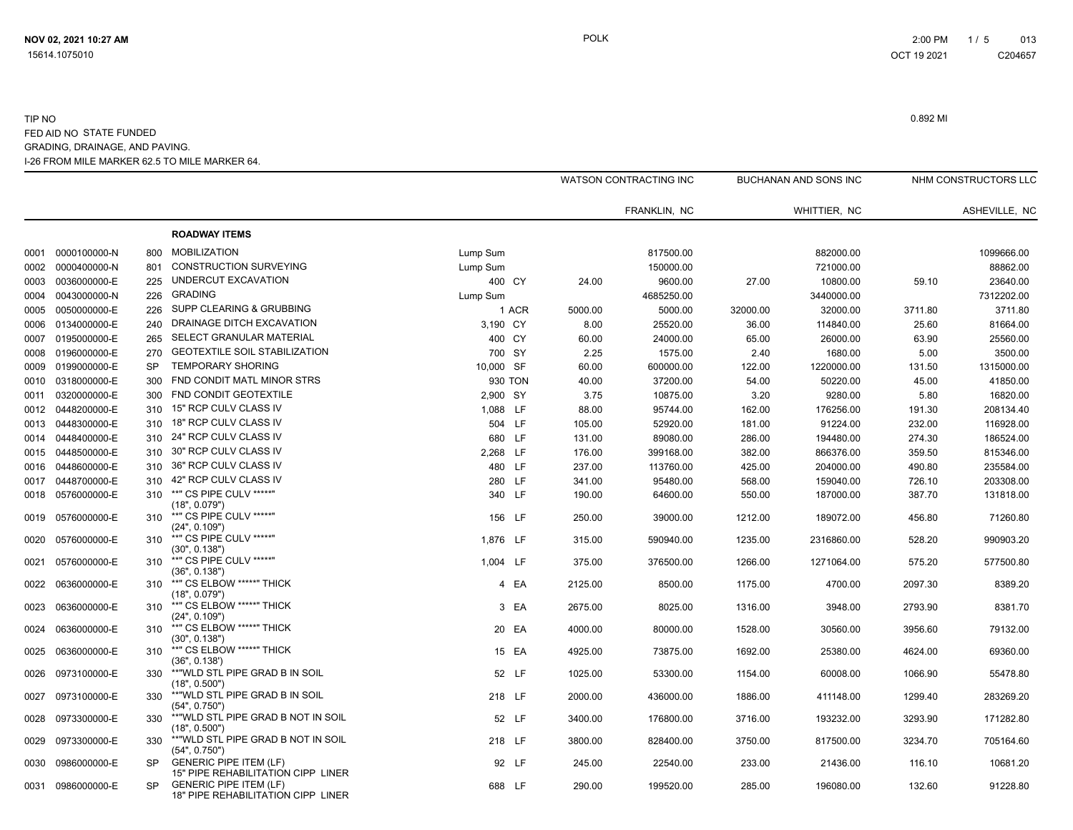|      |                   |           |                                                                     |           |       |         | WATSON CONTRACTING INC |          | BUCHANAN AND SONS INC |         | NHM CONSTRUCTORS LLC |
|------|-------------------|-----------|---------------------------------------------------------------------|-----------|-------|---------|------------------------|----------|-----------------------|---------|----------------------|
|      |                   |           |                                                                     |           |       |         | FRANKLIN, NC           |          | WHITTIER, NC          |         | ASHEVILLE, NC        |
|      |                   |           | <b>ROADWAY ITEMS</b>                                                |           |       |         |                        |          |                       |         |                      |
| 0001 | 0000100000-N      | 800       | <b>MOBILIZATION</b>                                                 | Lump Sum  |       |         | 817500.00              |          | 882000.00             |         | 1099666.00           |
| 0002 | 0000400000-N      | 801       | <b>CONSTRUCTION SURVEYING</b>                                       | Lump Sum  |       |         | 150000.00              |          | 721000.00             |         | 88862.00             |
| 0003 | 0036000000-E      | 225       | UNDERCUT EXCAVATION                                                 | 400 CY    |       | 24.00   | 9600.00                | 27.00    | 10800.00              | 59.10   | 23640.00             |
| 0004 | 0043000000-N      | 226       | <b>GRADING</b>                                                      | Lump Sum  |       |         | 4685250.00             |          | 3440000.00            |         | 7312202.00           |
| 0005 | 0050000000-E      | 226       | SUPP CLEARING & GRUBBING                                            |           | 1 ACR | 5000.00 | 5000.00                | 32000.00 | 32000.00              | 3711.80 | 3711.80              |
| 0006 | 0134000000-E      | 240       | DRAINAGE DITCH EXCAVATION                                           | 3,190 CY  |       | 8.00    | 25520.00               | 36.00    | 114840.00             | 25.60   | 81664.00             |
| 0007 | 0195000000-E      | 265       | SELECT GRANULAR MATERIAL                                            | 400 CY    |       | 60.00   | 24000.00               | 65.00    | 26000.00              | 63.90   | 25560.00             |
| 0008 | 0196000000-E      | 270       | <b>GEOTEXTILE SOIL STABILIZATION</b>                                | 700 SY    |       | 2.25    | 1575.00                | 2.40     | 1680.00               | 5.00    | 3500.00              |
| 0009 | 0199000000-E      | <b>SP</b> | <b>TEMPORARY SHORING</b>                                            | 10,000 SF |       | 60.00   | 600000.00              | 122.00   | 1220000.00            | 131.50  | 1315000.00           |
| 0010 | 0318000000-E      | 300       | FND CONDIT MATL MINOR STRS                                          | 930 TON   |       | 40.00   | 37200.00               | 54.00    | 50220.00              | 45.00   | 41850.00             |
| 0011 | 0320000000-E      | 300       | FND CONDIT GEOTEXTILE                                               | 2,900 SY  |       | 3.75    | 10875.00               | 3.20     | 9280.00               | 5.80    | 16820.00             |
|      | 0012 0448200000-E | 310       | 15" RCP CULV CLASS IV                                               | 1,088 LF  |       | 88.00   | 95744.00               | 162.00   | 176256.00             | 191.30  | 208134.40            |
|      | 0013 0448300000-E | 310       | 18" RCP CULV CLASS IV                                               | 504 LF    |       | 105.00  | 52920.00               | 181.00   | 91224.00              | 232.00  | 116928.00            |
|      | 0014 0448400000-E | 310       | 24" RCP CULV CLASS IV                                               | 680 LF    |       | 131.00  | 89080.00               | 286.00   | 194480.00             | 274.30  | 186524.00            |
|      | 0015 0448500000-E | 310       | 30" RCP CULV CLASS IV                                               | 2,268 LF  |       | 176.00  | 399168.00              | 382.00   | 866376.00             | 359.50  | 815346.00            |
|      | 0016 0448600000-E | 310       | 36" RCP CULV CLASS IV                                               | 480 LF    |       | 237.00  | 113760.00              | 425.00   | 204000.00             | 490.80  | 235584.00            |
| 0017 | 0448700000-E      | 310       | 42" RCP CULV CLASS IV                                               | 280 LF    |       | 341.00  | 95480.00               | 568.00   | 159040.00             | 726.10  | 203308.00            |
|      | 0018 0576000000-E | 310       | **" CS PIPE CULV *****"<br>(18", 0.079")                            | 340 LF    |       | 190.00  | 64600.00               | 550.00   | 187000.00             | 387.70  | 131818.00            |
| 0019 | 0576000000-E      | 310       | **" CS PIPE CULV *****"<br>(24", 0.109")                            | 156 LF    |       | 250.00  | 39000.00               | 1212.00  | 189072.00             | 456.80  | 71260.80             |
| 0020 | 0576000000-E      | 310       | **" CS PIPE CULV *****"<br>(30", 0.138")                            | 1,876 LF  |       | 315.00  | 590940.00              | 1235.00  | 2316860.00            | 528.20  | 990903.20            |
| 0021 | 0576000000-E      | 310       | **" CS PIPE CULV *****"<br>(36", 0.138")                            | 1,004 LF  |       | 375.00  | 376500.00              | 1266.00  | 1271064.00            | 575.20  | 577500.80            |
| 0022 | 0636000000-E      | 310       | **" CS ELBOW *****" THICK<br>(18", 0.079")                          |           | 4 EA  | 2125.00 | 8500.00                | 1175.00  | 4700.00               | 2097.30 | 8389.20              |
| 0023 | 0636000000-E      | 310       | **" CS ELBOW *****" THICK<br>(24", 0.109")                          |           | 3 EA  | 2675.00 | 8025.00                | 1316.00  | 3948.00               | 2793.90 | 8381.70              |
| 0024 | 0636000000-E      | 310       | **" CS ELBOW *****" THICK<br>(30", 0.138")                          |           | 20 EA | 4000.00 | 80000.00               | 1528.00  | 30560.00              | 3956.60 | 79132.00             |
| 0025 | 0636000000-E      | 310       | **" CS ELBOW *****" THICK<br>(36", 0.138')                          |           | 15 EA | 4925.00 | 73875.00               | 1692.00  | 25380.00              | 4624.00 | 69360.00             |
| 0026 | 0973100000-E      | 330       | **"WLD STL PIPE GRAD B IN SOIL<br>(18", 0.500")                     |           | 52 LF | 1025.00 | 53300.00               | 1154.00  | 60008.00              | 1066.90 | 55478.80             |
| 0027 | 0973100000-E      | 330       | **"WLD STL PIPE GRAD B IN SOIL<br>(54", 0.750")                     | 218 LF    |       | 2000.00 | 436000.00              | 1886.00  | 411148.00             | 1299.40 | 283269.20            |
| 0028 | 0973300000-E      | 330       | **"WLD STL PIPE GRAD B NOT IN SOIL<br>(18", 0.500")                 |           | 52 LF | 3400.00 | 176800.00              | 3716.00  | 193232.00             | 3293.90 | 171282.80            |
| 0029 | 0973300000-E      | 330       | **"WLD STL PIPE GRAD B NOT IN SOIL<br>(54", 0.750")                 | 218 LF    |       | 3800.00 | 828400.00              | 3750.00  | 817500.00             | 3234.70 | 705164.60            |
| 0030 | 0986000000-E      | <b>SP</b> | <b>GENERIC PIPE ITEM (LF)</b><br>15" PIPE REHABILITATION CIPP LINER |           | 92 LF | 245.00  | 22540.00               | 233.00   | 21436.00              | 116.10  | 10681.20             |
|      | 0031 0986000000-E | <b>SP</b> | <b>GENERIC PIPE ITEM (LF)</b><br>18" PIPE REHABILITATION CIPP LINER | 688 LF    |       | 290.00  | 199520.00              | 285.00   | 196080.00             | 132.60  | 91228.80             |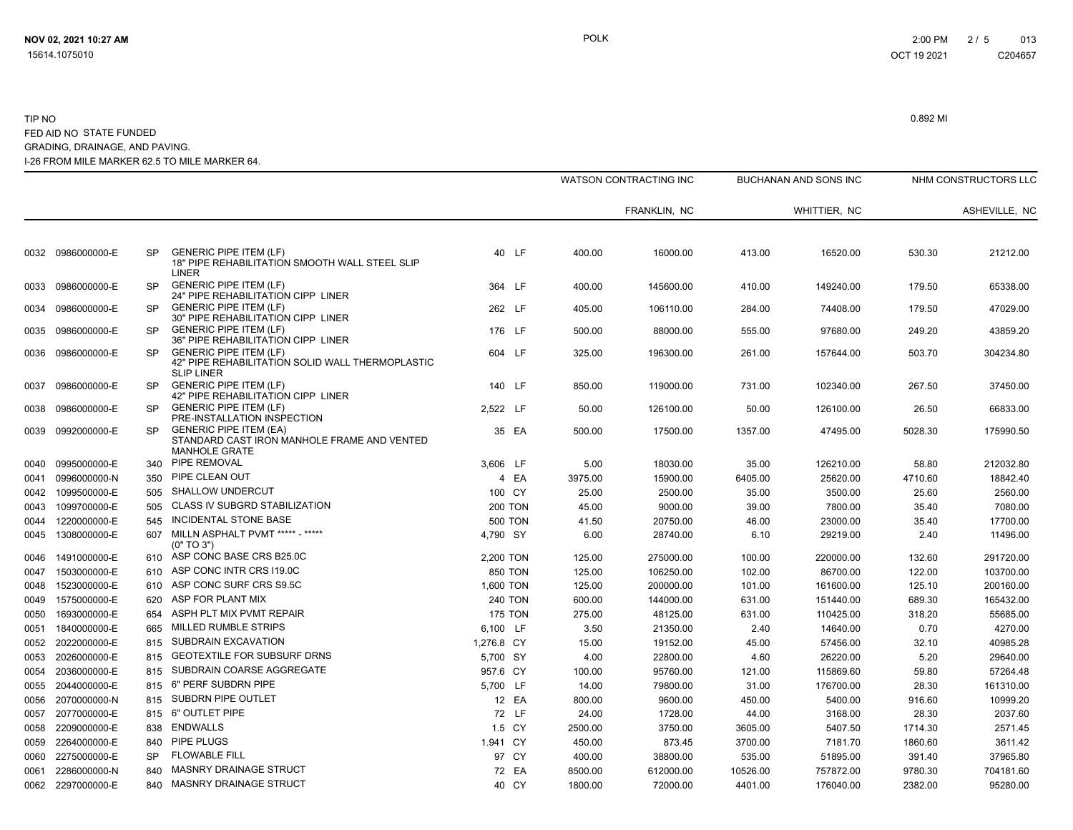|      |                   |           |                                                                                                        |                |         | <b>WATSON CONTRACTING INC</b> |          | BUCHANAN AND SONS INC |         | NHM CONSTRUCTORS LLC |
|------|-------------------|-----------|--------------------------------------------------------------------------------------------------------|----------------|---------|-------------------------------|----------|-----------------------|---------|----------------------|
|      |                   |           |                                                                                                        |                |         | FRANKLIN, NC                  |          | WHITTIER, NC          |         | ASHEVILLE, NC        |
|      |                   |           |                                                                                                        |                |         |                               |          |                       |         |                      |
|      | 0032 0986000000-E | SP        | <b>GENERIC PIPE ITEM (LF)</b><br>18" PIPE REHABILITATION SMOOTH WALL STEEL SLIP<br>LINER               | 40 LF          | 400.00  | 16000.00                      | 413.00   | 16520.00              | 530.30  | 21212.00             |
| 0033 | 0986000000-E      | <b>SP</b> | <b>GENERIC PIPE ITEM (LF)</b><br>24" PIPE REHABILITATION CIPP LINER                                    | 364 LF         | 400.00  | 145600.00                     | 410.00   | 149240.00             | 179.50  | 65338.00             |
| 0034 | 0986000000-E      | <b>SP</b> | <b>GENERIC PIPE ITEM (LF)</b><br>30" PIPE REHABILITATION CIPP LINER                                    | 262 LF         | 405.00  | 106110.00                     | 284.00   | 74408.00              | 179.50  | 47029.00             |
| 0035 | 0986000000-E      | <b>SP</b> | <b>GENERIC PIPE ITEM (LF)</b><br>36" PIPE REHABILITATION CIPP LINER                                    | 176 LF         | 500.00  | 88000.00                      | 555.00   | 97680.00              | 249.20  | 43859.20             |
| 0036 | 0986000000-E      | <b>SP</b> | <b>GENERIC PIPE ITEM (LF)</b><br>42" PIPE REHABILITATION SOLID WALL THERMOPLASTIC<br><b>SLIP LINER</b> | 604 LF         | 325.00  | 196300.00                     | 261.00   | 157644.00             | 503.70  | 304234.80            |
| 0037 | 0986000000-E      | <b>SP</b> | <b>GENERIC PIPE ITEM (LF)</b><br>42" PIPE REHABILITATION CIPP LINER                                    | 140 LF         | 850.00  | 119000.00                     | 731.00   | 102340.00             | 267.50  | 37450.00             |
| 0038 | 0986000000-E      | SP        | <b>GENERIC PIPE ITEM (LF)</b><br>PRE-INSTALLATION INSPECTION                                           | 2,522 LF       | 50.00   | 126100.00                     | 50.00    | 126100.00             | 26.50   | 66833.00             |
| 0039 | 0992000000-E      | <b>SP</b> | <b>GENERIC PIPE ITEM (EA)</b><br>STANDARD CAST IRON MANHOLE FRAME AND VENTED<br><b>MANHOLE GRATE</b>   | 35 EA          | 500.00  | 17500.00                      | 1357.00  | 47495.00              | 5028.30 | 175990.50            |
| 0040 | 0995000000-E      | 340       | PIPE REMOVAL                                                                                           | 3,606 LF       | 5.00    | 18030.00                      | 35.00    | 126210.00             | 58.80   | 212032.80            |
| 0041 | 0996000000-N      | 350       | PIPE CLEAN OUT                                                                                         | 4 EA           | 3975.00 | 15900.00                      | 6405.00  | 25620.00              | 4710.60 | 18842.40             |
| 0042 | 1099500000-E      | 505       | <b>SHALLOW UNDERCUT</b>                                                                                | 100 CY         | 25.00   | 2500.00                       | 35.00    | 3500.00               | 25.60   | 2560.00              |
| 0043 | 1099700000-E      | 505       | CLASS IV SUBGRD STABILIZATION                                                                          | <b>200 TON</b> | 45.00   | 9000.00                       | 39.00    | 7800.00               | 35.40   | 7080.00              |
| 0044 | 1220000000-E      | 545       | INCIDENTAL STONE BASE                                                                                  | <b>500 TON</b> | 41.50   | 20750.00                      | 46.00    | 23000.00              | 35.40   | 17700.00             |
| 0045 | 1308000000-E      | 607       | MILLN ASPHALT PVMT ***** - *****<br>(0" TO 3")                                                         | 4,790 SY       | 6.00    | 28740.00                      | 6.10     | 29219.00              | 2.40    | 11496.00             |
| 0046 | 1491000000-E      | 610       | ASP CONC BASE CRS B25.0C                                                                               | 2,200 TON      | 125.00  | 275000.00                     | 100.00   | 220000.00             | 132.60  | 291720.00            |
| 0047 | 1503000000-E      | 610       | ASP CONC INTR CRS 119.0C                                                                               | 850 TON        | 125.00  | 106250.00                     | 102.00   | 86700.00              | 122.00  | 103700.00            |
| 0048 | 1523000000-E      | 610       | ASP CONC SURF CRS S9.5C                                                                                | 1,600 TON      | 125.00  | 200000.00                     | 101.00   | 161600.00             | 125.10  | 200160.00            |
| 0049 | 1575000000-E      | 620       | ASP FOR PLANT MIX                                                                                      | <b>240 TON</b> | 600.00  | 144000.00                     | 631.00   | 151440.00             | 689.30  | 165432.00            |
| 0050 | 1693000000-E      | 654       | ASPH PLT MIX PVMT REPAIR                                                                               | <b>175 TON</b> | 275.00  | 48125.00                      | 631.00   | 110425.00             | 318.20  | 55685.00             |
| 0051 | 1840000000-E      | 665       | <b>MILLED RUMBLE STRIPS</b>                                                                            | 6,100 LF       | 3.50    | 21350.00                      | 2.40     | 14640.00              | 0.70    | 4270.00              |
| 0052 | 2022000000-E      | 815       | SUBDRAIN EXCAVATION                                                                                    | 1,276.8 CY     | 15.00   | 19152.00                      | 45.00    | 57456.00              | 32.10   | 40985.28             |
| 0053 | 2026000000-E      | 815       | <b>GEOTEXTILE FOR SUBSURF DRNS</b>                                                                     | 5,700 SY       | 4.00    | 22800.00                      | 4.60     | 26220.00              | 5.20    | 29640.00             |
| 0054 | 2036000000-E      | 815       | SUBDRAIN COARSE AGGREGATE                                                                              | 957.6 CY       | 100.00  | 95760.00                      | 121.00   | 115869.60             | 59.80   | 57264.48             |
| 0055 | 2044000000-E      | 815       | 6" PERF SUBDRN PIPE                                                                                    | 5.700 LF       | 14.00   | 79800.00                      | 31.00    | 176700.00             | 28.30   | 161310.00            |
| 0056 | 2070000000-N      | 815       | SUBDRN PIPE OUTLET                                                                                     | 12 EA          | 800.00  | 9600.00                       | 450.00   | 5400.00               | 916.60  | 10999.20             |
| 0057 | 2077000000-E      | 815       | 6" OUTLET PIPE                                                                                         | 72 LF          | 24.00   | 1728.00                       | 44.00    | 3168.00               | 28.30   | 2037.60              |
| 0058 | 2209000000-E      | 838       | <b>ENDWALLS</b>                                                                                        | 1.5 CY         | 2500.00 | 3750.00                       | 3605.00  | 5407.50               | 1714.30 | 2571.45              |
| 0059 | 2264000000-E      | 840       | PIPE PLUGS                                                                                             | 1.941 CY       | 450.00  | 873.45                        | 3700.00  | 7181.70               | 1860.60 | 3611.42              |
| 0060 | 2275000000-E      | <b>SP</b> | <b>FLOWABLE FILL</b>                                                                                   | 97 CY          | 400.00  | 38800.00                      | 535.00   | 51895.00              | 391.40  | 37965.80             |
| 0061 | 2286000000-N      | 840       | MASNRY DRAINAGE STRUCT                                                                                 | 72 EA          | 8500.00 | 612000.00                     | 10526.00 | 757872.00             | 9780.30 | 704181.60            |
|      | 0062 2297000000-E | 840       | MASNRY DRAINAGE STRUCT                                                                                 | 40 CY          | 1800.00 | 72000.00                      | 4401.00  | 176040.00             | 2382.00 | 95280.00             |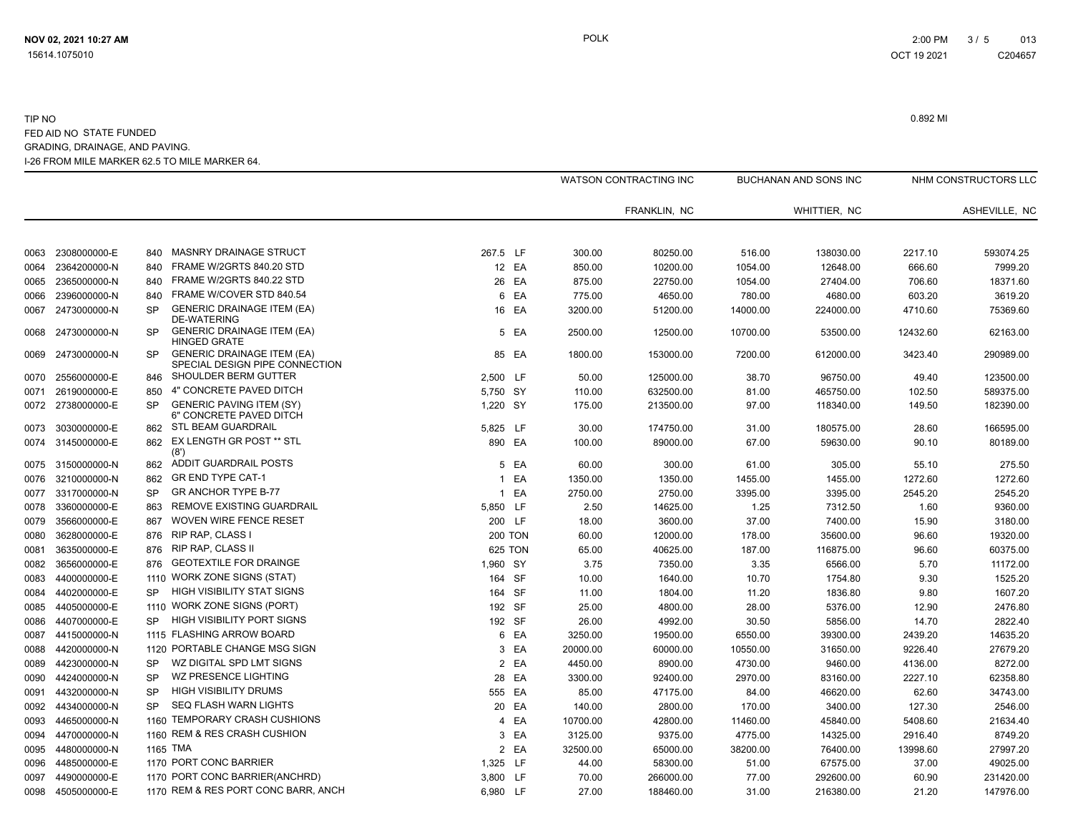|      |              |           |                                                                     |                |                |          | WATSON CONTRACTING INC |          | <b>BUCHANAN AND SONS INC</b> |          | NHM CONSTRUCTORS LLC |
|------|--------------|-----------|---------------------------------------------------------------------|----------------|----------------|----------|------------------------|----------|------------------------------|----------|----------------------|
|      |              |           |                                                                     |                |                |          | FRANKLIN, NC           |          | WHITTIER, NC                 |          | ASHEVILLE, NC        |
|      |              |           | <b>MASNRY DRAINAGE STRUCT</b>                                       |                |                |          |                        |          |                              |          |                      |
| 0063 | 2308000000-E | 840       |                                                                     | 267.5 LF       |                | 300.00   | 80250.00               | 516.00   | 138030.00                    | 2217.10  | 593074.25            |
| 0064 | 2364200000-N | 840       | FRAME W/2GRTS 840.20 STD<br>FRAME W/2GRTS 840.22 STD                |                | 12 EA          | 850.00   | 10200.00               | 1054.00  | 12648.00                     | 666.60   | 7999.20              |
| 0065 | 2365000000-N | 840       | FRAME W/COVER STD 840.54                                            |                | 26 EA          | 875.00   | 22750.00               | 1054.00  | 27404.00                     | 706.60   | 18371.60             |
| 0066 | 2396000000-N | 840       |                                                                     |                | 6 EA           | 775.00   | 4650.00                | 780.00   | 4680.00                      | 603.20   | 3619.20              |
| 0067 | 2473000000-N | <b>SP</b> | <b>GENERIC DRAINAGE ITEM (EA)</b><br><b>DE-WATERING</b>             |                | 16 EA          | 3200.00  | 51200.00               | 14000.00 | 224000.00                    | 4710.60  | 75369.60             |
| 0068 | 2473000000-N | <b>SP</b> | <b>GENERIC DRAINAGE ITEM (EA)</b><br><b>HINGED GRATE</b>            |                | 5 EA           | 2500.00  | 12500.00               | 10700.00 | 53500.00                     | 12432.60 | 62163.00             |
| 0069 | 2473000000-N | <b>SP</b> | <b>GENERIC DRAINAGE ITEM (EA)</b><br>SPECIAL DESIGN PIPE CONNECTION |                | 85 EA          | 1800.00  | 153000.00              | 7200.00  | 612000.00                    | 3423.40  | 290989.00            |
| 0070 | 2556000000-E | 846       | SHOULDER BERM GUTTER                                                | 2,500 LF       |                | 50.00    | 125000.00              | 38.70    | 96750.00                     | 49.40    | 123500.00            |
| 0071 | 2619000000-E | 850       | 4" CONCRETE PAVED DITCH                                             | 5,750 SY       |                | 110.00   | 632500.00              | 81.00    | 465750.00                    | 102.50   | 589375.00            |
| 0072 | 2738000000-E | <b>SP</b> | <b>GENERIC PAVING ITEM (SY)</b><br>6" CONCRETE PAVED DITCH          | 1,220 SY       |                | 175.00   | 213500.00              | 97.00    | 118340.00                    | 149.50   | 182390.00            |
| 0073 | 3030000000-E | 862       | STL BEAM GUARDRAIL                                                  | 5,825 LF       |                | 30.00    | 174750.00              | 31.00    | 180575.00                    | 28.60    | 166595.00            |
| 0074 | 3145000000-E | 862       | EX LENGTH GR POST ** STL<br>(8')                                    | 890 EA         |                | 100.00   | 89000.00               | 67.00    | 59630.00                     | 90.10    | 80189.00             |
| 0075 | 3150000000-N | 862       | ADDIT GUARDRAIL POSTS                                               |                | 5 EA           | 60.00    | 300.00                 | 61.00    | 305.00                       | 55.10    | 275.50               |
| 0076 | 3210000000-N | 862       | <b>GR END TYPE CAT-1</b>                                            | 1              | EA             | 1350.00  | 1350.00                | 1455.00  | 1455.00                      | 1272.60  | 1272.60              |
| 0077 | 3317000000-N | <b>SP</b> | <b>GR ANCHOR TYPE B-77</b>                                          |                | 1 EA           | 2750.00  | 2750.00                | 3395.00  | 3395.00                      | 2545.20  | 2545.20              |
| 0078 | 3360000000-E | 863       | REMOVE EXISTING GUARDRAIL                                           | 5,850 LF       |                | 2.50     | 14625.00               | 1.25     | 7312.50                      | 1.60     | 9360.00              |
| 0079 | 3566000000-E | 867       | <b>WOVEN WIRE FENCE RESET</b>                                       | 200 LF         |                | 18.00    | 3600.00                | 37.00    | 7400.00                      | 15.90    | 3180.00              |
| 0080 | 3628000000-E | 876       | RIP RAP, CLASS I                                                    |                | <b>200 TON</b> | 60.00    | 12000.00               | 178.00   | 35600.00                     | 96.60    | 19320.00             |
| 0081 | 3635000000-E | 876       | <b>RIP RAP, CLASS II</b>                                            |                | 625 TON        | 65.00    | 40625.00               | 187.00   | 116875.00                    | 96.60    | 60375.00             |
| 0082 | 3656000000-E | 876       | <b>GEOTEXTILE FOR DRAINGE</b>                                       | 1,960 SY       |                | 3.75     | 7350.00                | 3.35     | 6566.00                      | 5.70     | 11172.00             |
| 0083 | 4400000000-E | 1110      | WORK ZONE SIGNS (STAT)                                              | 164 SF         |                | 10.00    | 1640.00                | 10.70    | 1754.80                      | 9.30     | 1525.20              |
| 0084 | 4402000000-E | <b>SP</b> | <b>HIGH VISIBILITY STAT SIGNS</b>                                   | 164 SF         |                | 11.00    | 1804.00                | 11.20    | 1836.80                      | 9.80     | 1607.20              |
| 0085 | 4405000000-E | 1110      | WORK ZONE SIGNS (PORT)                                              | 192 SF         |                | 25.00    | 4800.00                | 28.00    | 5376.00                      | 12.90    | 2476.80              |
| 0086 | 4407000000-E | <b>SP</b> | <b>HIGH VISIBILITY PORT SIGNS</b>                                   | 192 SF         |                | 26.00    | 4992.00                | 30.50    | 5856.00                      | 14.70    | 2822.40              |
| 0087 | 4415000000-N |           | 1115 FLASHING ARROW BOARD                                           |                | 6 EA           | 3250.00  | 19500.00               | 6550.00  | 39300.00                     | 2439.20  | 14635.20             |
| 0088 | 4420000000-N |           | 1120 PORTABLE CHANGE MSG SIGN                                       | 3              | EA             | 20000.00 | 60000.00               | 10550.00 | 31650.00                     | 9226.40  | 27679.20             |
| 0089 | 4423000000-N | <b>SP</b> | WZ DIGITAL SPD LMT SIGNS                                            |                | 2 EA           | 4450.00  | 8900.00                | 4730.00  | 9460.00                      | 4136.00  | 8272.00              |
| 0090 | 4424000000-N | <b>SP</b> | WZ PRESENCE LIGHTING                                                |                | 28 EA          | 3300.00  | 92400.00               | 2970.00  | 83160.00                     | 2227.10  | 62358.80             |
| 0091 | 4432000000-N | <b>SP</b> | <b>HIGH VISIBILITY DRUMS</b>                                        | 555 EA         |                | 85.00    | 47175.00               | 84.00    | 46620.00                     | 62.60    | 34743.00             |
| 0092 | 4434000000-N | <b>SP</b> | <b>SEQ FLASH WARN LIGHTS</b>                                        |                | 20 EA          | 140.00   | 2800.00                | 170.00   | 3400.00                      | 127.30   | 2546.00              |
| 0093 | 4465000000-N |           | 1160 TEMPORARY CRASH CUSHIONS                                       | $\overline{4}$ | EA             | 10700.00 | 42800.00               | 11460.00 | 45840.00                     | 5408.60  | 21634.40             |
| 0094 | 4470000000-N |           | 1160 REM & RES CRASH CUSHION                                        |                | 3 EA           | 3125.00  | 9375.00                | 4775.00  | 14325.00                     | 2916.40  | 8749.20              |
| 0095 | 4480000000-N |           | 1165 TMA                                                            |                | 2 EA           | 32500.00 | 65000.00               | 38200.00 | 76400.00                     | 13998.60 | 27997.20             |
| 0096 | 4485000000-E |           | 1170 PORT CONC BARRIER                                              | 1,325 LF       |                | 44.00    | 58300.00               | 51.00    | 67575.00                     | 37.00    | 49025.00             |
| 0097 | 4490000000-E |           | 1170 PORT CONC BARRIER(ANCHRD)                                      | 3,800 LF       |                | 70.00    | 266000.00              | 77.00    | 292600.00                    | 60.90    | 231420.00            |
| 0098 | 4505000000-E |           | 1170 REM & RES PORT CONC BARR, ANCH                                 | 6,980 LF       |                | 27.00    | 188460.00              | 31.00    | 216380.00                    | 21.20    | 147976.00            |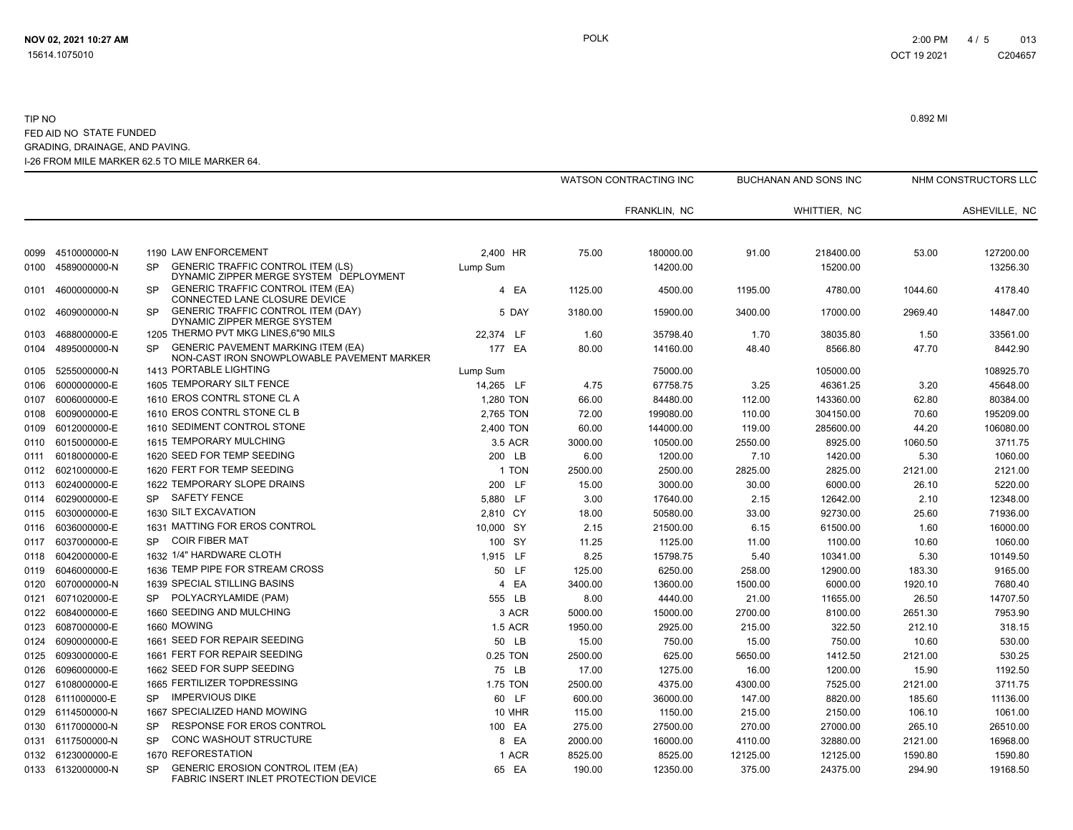|      |                   |             |                                                                                    |                |         | WATSON CONTRACTING INC |          | BUCHANAN AND SONS INC |         | NHM CONSTRUCTORS LLC |
|------|-------------------|-------------|------------------------------------------------------------------------------------|----------------|---------|------------------------|----------|-----------------------|---------|----------------------|
|      |                   |             |                                                                                    |                |         | FRANKLIN, NC           |          | WHITTIER, NC          |         | ASHEVILLE, NC        |
|      |                   |             |                                                                                    |                |         |                        |          |                       |         |                      |
| 0099 | 4510000000-N      |             | 1190 LAW ENFORCEMENT                                                               | 2.400 HR       | 75.00   | 180000.00              | 91.00    | 218400.00             | 53.00   | 127200.00            |
| 0100 | 4589000000-N      | SP          | <b>GENERIC TRAFFIC CONTROL ITEM (LS)</b><br>DYNAMIC ZIPPER MERGE SYSTEM DEPLOYMENT | Lump Sum       |         | 14200.00               |          | 15200.00              |         | 13256.30             |
| 0101 | 4600000000-N      | <b>SP</b>   | <b>GENERIC TRAFFIC CONTROL ITEM (EA)</b><br>CONNECTED LANE CLOSURE DEVICE          | 4 EA           | 1125.00 | 4500.00                | 1195.00  | 4780.00               | 1044.60 | 4178.40              |
| 0102 | 4609000000-N      | <b>SP</b>   | GENERIC TRAFFIC CONTROL ITEM (DAY)<br>DYNAMIC ZIPPER MERGE SYSTEM                  | 5 DAY          | 3180.00 | 15900.00               | 3400.00  | 17000.00              | 2969.40 | 14847.00             |
| 0103 | 4688000000-E      |             | 1205 THERMO PVT MKG LINES, 6"90 MILS                                               | 22.374 LF      | 1.60    | 35798.40               | 1.70     | 38035.80              | 1.50    | 33561.00             |
| 0104 | 4895000000-N      | SP.         | GENERIC PAVEMENT MARKING ITEM (EA)<br>NON-CAST IRON SNOWPLOWABLE PAVEMENT MARKER   | 177 EA         | 80.00   | 14160.00               | 48.40    | 8566.80               | 47.70   | 8442.90              |
| 0105 | 5255000000-N      |             | 1413 PORTABLE LIGHTING                                                             | Lump Sum       |         | 75000.00               |          | 105000.00             |         | 108925.70            |
| 0106 | 6000000000-E      |             | 1605 TEMPORARY SILT FENCE                                                          | 14,265 LF      | 4.75    | 67758.75               | 3.25     | 46361.25              | 3.20    | 45648.00             |
| 0107 | 6006000000-E      |             | 1610 EROS CONTRL STONE CL A                                                        | 1,280 TON      | 66.00   | 84480.00               | 112.00   | 143360.00             | 62.80   | 80384.00             |
| 0108 | 6009000000-E      |             | 1610 EROS CONTRL STONE CL B                                                        | 2,765 TON      | 72.00   | 199080.00              | 110.00   | 304150.00             | 70.60   | 195209.00            |
| 0109 | 6012000000-E      |             | 1610 SEDIMENT CONTROL STONE                                                        | 2,400 TON      | 60.00   | 144000.00              | 119.00   | 285600.00             | 44.20   | 106080.00            |
| 0110 | 6015000000-E      |             | 1615 TEMPORARY MULCHING                                                            | 3.5 ACR        | 3000.00 | 10500.00               | 2550.00  | 8925.00               | 1060.50 | 3711.75              |
| 0111 | 6018000000-E      |             | 1620 SEED FOR TEMP SEEDING                                                         | 200 LB         | 6.00    | 1200.00                | 7.10     | 1420.00               | 5.30    | 1060.00              |
| 0112 | 6021000000-E      |             | 1620 FERT FOR TEMP SEEDING                                                         | 1 TON          | 2500.00 | 2500.00                | 2825.00  | 2825.00               | 2121.00 | 2121.00              |
| 0113 | 6024000000-E      |             | 1622 TEMPORARY SLOPE DRAINS                                                        | 200 LF         | 15.00   | 3000.00                | 30.00    | 6000.00               | 26.10   | 5220.00              |
| 0114 | 6029000000-E      | SP.         | <b>SAFETY FENCE</b>                                                                | 5,880 LF       | 3.00    | 17640.00               | 2.15     | 12642.00              | 2.10    | 12348.00             |
| 0115 | 6030000000-E      |             | 1630 SILT EXCAVATION                                                               | 2,810 CY       | 18.00   | 50580.00               | 33.00    | 92730.00              | 25.60   | 71936.00             |
| 0116 | 6036000000-E      |             | 1631 MATTING FOR EROS CONTROL                                                      | 10.000 SY      | 2.15    | 21500.00               | 6.15     | 61500.00              | 1.60    | 16000.00             |
| 0117 | 6037000000-E      | SP          | <b>COIR FIBER MAT</b>                                                              | 100 SY         | 11.25   | 1125.00                | 11.00    | 1100.00               | 10.60   | 1060.00              |
| 0118 | 6042000000-E      |             | 1632 1/4" HARDWARE CLOTH                                                           | 1,915 LF       | 8.25    | 15798.75               | 5.40     | 10341.00              | 5.30    | 10149.50             |
| 0119 | 6046000000-E      |             | 1636 TEMP PIPE FOR STREAM CROSS                                                    | 50 LF          | 125.00  | 6250.00                | 258.00   | 12900.00              | 183.30  | 9165.00              |
| 0120 | 6070000000-N      |             | 1639 SPECIAL STILLING BASINS                                                       | 4 EA           | 3400.00 | 13600.00               | 1500.00  | 6000.00               | 1920.10 | 7680.40              |
| 0121 | 6071020000-E      | SP.         | POLYACRYLAMIDE (PAM)                                                               | 555 LB         | 8.00    | 4440.00                | 21.00    | 11655.00              | 26.50   | 14707.50             |
| 0122 | 6084000000-E      |             | 1660 SEEDING AND MULCHING                                                          | 3 ACR          | 5000.00 | 15000.00               | 2700.00  | 8100.00               | 2651.30 | 7953.90              |
| 0123 | 6087000000-E      | 1660 MOWING |                                                                                    | <b>1.5 ACR</b> | 1950.00 | 2925.00                | 215.00   | 322.50                | 212.10  | 318.15               |
| 0124 | 6090000000-E      |             | 1661 SEED FOR REPAIR SEEDING                                                       | 50 LB          | 15.00   | 750.00                 | 15.00    | 750.00                | 10.60   | 530.00               |
| 0125 | 6093000000-E      |             | 1661 FERT FOR REPAIR SEEDING                                                       | 0.25 TON       | 2500.00 | 625.00                 | 5650.00  | 1412.50               | 2121.00 | 530.25               |
| 0126 | 6096000000-E      |             | 1662 SEED FOR SUPP SEEDING                                                         | 75 LB          | 17.00   | 1275.00                | 16.00    | 1200.00               | 15.90   | 1192.50              |
| 0127 | 6108000000-E      |             | 1665 FERTILIZER TOPDRESSING                                                        | 1.75 TON       | 2500.00 | 4375.00                | 4300.00  | 7525.00               | 2121.00 | 3711.75              |
| 0128 | 6111000000-E      | SP.         | <b>IMPERVIOUS DIKE</b>                                                             | 60 LF          | 600.00  | 36000.00               | 147.00   | 8820.00               | 185.60  | 11136.00             |
| 0129 | 6114500000-N      |             | 1667 SPECIALIZED HAND MOWING                                                       | <b>10 MHR</b>  | 115.00  | 1150.00                | 215.00   | 2150.00               | 106.10  | 1061.00              |
| 0130 | 6117000000-N      | SP          | <b>RESPONSE FOR EROS CONTROL</b>                                                   | 100 EA         | 275.00  | 27500.00               | 270.00   | 27000.00              | 265.10  | 26510.00             |
|      | 0131 6117500000-N | SP          | CONC WASHOUT STRUCTURE                                                             | 8 EA           | 2000.00 | 16000.00               | 4110.00  | 32880.00              | 2121.00 | 16968.00             |
|      | 0132 6123000000-E |             | 1670 REFORESTATION                                                                 | 1 ACR          | 8525.00 | 8525.00                | 12125.00 | 12125.00              | 1590.80 | 1590.80              |
|      | 0133 6132000000-N | SP          | <b>GENERIC EROSION CONTROL ITEM (EA)</b><br>FABRIC INSERT INLET PROTECTION DEVICE  | 65 EA          | 190.00  | 12350.00               | 375.00   | 24375.00              | 294.90  | 19168.50             |